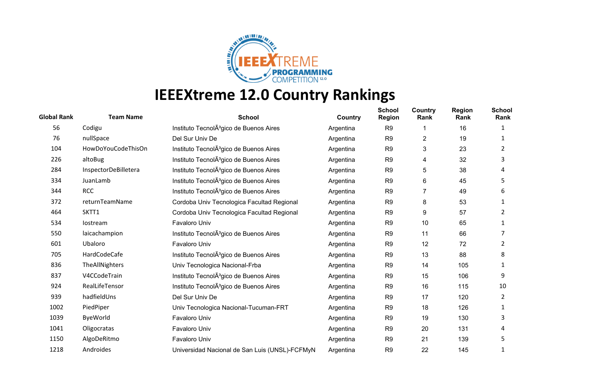

| <b>Global Rank</b> | <b>Team Name</b>     | <b>School</b>                                       | Country   | <b>School</b><br><b>Region</b> | Country<br>Rank | <b>Region</b><br>Rank | <b>School</b><br>Rank |
|--------------------|----------------------|-----------------------------------------------------|-----------|--------------------------------|-----------------|-----------------------|-----------------------|
| 56                 | Codigu               | Instituto TecnolA <sup>3</sup> gico de Buenos Aires | Argentina | R <sub>9</sub>                 | 1               | 16                    | 1                     |
| 76                 | nullSpace            | Del Sur Univ De                                     | Argentina | R <sub>9</sub>                 | 2               | 19                    |                       |
| 104                | HowDoYouCodeThisOn   | Instituto TecnolA <sup>3</sup> gico de Buenos Aires | Argentina | R <sub>9</sub>                 | 3               | 23                    | 2                     |
| 226                | altoBug              | Instituto TecnolA <sup>3</sup> gico de Buenos Aires | Argentina | R <sub>9</sub>                 | 4               | 32                    | 3                     |
| 284                | InspectorDeBilletera | Instituto TecnolA <sup>3</sup> gico de Buenos Aires | Argentina | R <sub>9</sub>                 | 5               | 38                    | 4                     |
| 334                | JuanLamb             | Instituto TecnolA <sup>3</sup> gico de Buenos Aires | Argentina | R <sub>9</sub>                 | 6               | 45                    | 5                     |
| 344                | <b>RCC</b>           | Instituto TecnolA <sup>3</sup> gico de Buenos Aires | Argentina | R <sub>9</sub>                 | 7               | 49                    | 6                     |
| 372                | returnTeamName       | Cordoba Univ Tecnologica Facultad Regional          | Argentina | R <sub>9</sub>                 | 8               | 53                    | 1                     |
| 464                | SKTT1                | Cordoba Univ Tecnologica Facultad Regional          | Argentina | R <sub>9</sub>                 | 9               | 57                    | 2                     |
| 534                | lostream             | Favaloro Univ                                       | Argentina | R <sub>9</sub>                 | 10              | 65                    |                       |
| 550                | laicachampion        | Instituto TecnolA <sup>3</sup> gico de Buenos Aires | Argentina | R <sub>9</sub>                 | 11              | 66                    |                       |
| 601                | Ubaloro              | Favaloro Univ                                       | Argentina | R <sub>9</sub>                 | 12              | 72                    | 2                     |
| 705                | HardCodeCafe         | Instituto TecnolA <sup>3</sup> gico de Buenos Aires | Argentina | R <sub>9</sub>                 | 13              | 88                    | 8                     |
| 836                | TheAllNighters       | Univ Tecnologica Nacional-Frba                      | Argentina | R <sub>9</sub>                 | 14              | 105                   |                       |
| 837                | V4CCodeTrain         | Instituto TecnolA <sup>3</sup> gico de Buenos Aires | Argentina | R <sub>9</sub>                 | 15              | 106                   | 9                     |
| 924                | RealLifeTensor       | Instituto TecnolA <sup>3</sup> gico de Buenos Aires | Argentina | R <sub>9</sub>                 | 16              | 115                   | 10                    |
| 939                | hadfieldUns          | Del Sur Univ De                                     | Argentina | R <sub>9</sub>                 | 17              | 120                   | 2                     |
| 1002               | PiedPiper            | Univ Tecnologica Nacional-Tucuman-FRT               | Argentina | R <sub>9</sub>                 | 18              | 126                   | 1                     |
| 1039               | ByeWorld             | Favaloro Univ                                       | Argentina | R <sub>9</sub>                 | 19              | 130                   | 3                     |
| 1041               | Oligocratas          | Favaloro Univ                                       | Argentina | R <sub>9</sub>                 | 20              | 131                   | 4                     |
| 1150               | AlgoDeRitmo          | Favaloro Univ                                       | Argentina | R <sub>9</sub>                 | 21              | 139                   | 5                     |
| 1218               | Androides            | Universidad Nacional de San Luis (UNSL)-FCFMyN      | Argentina | R <sub>9</sub>                 | 22              | 145                   | 1                     |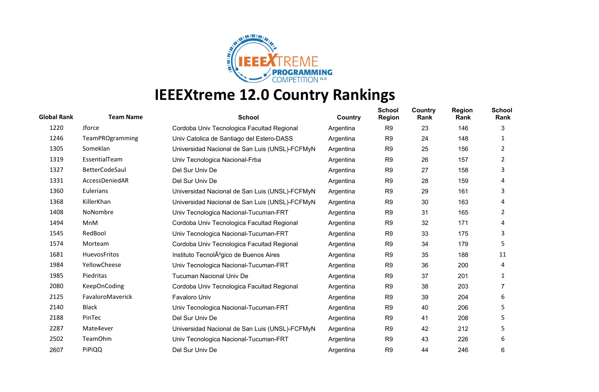

| <b>Global Rank</b> | <b>Team Name</b>      | <b>School</b>                                       | Country   | <b>School</b><br><b>Region</b> | Country<br>Rank | <b>Region</b><br>Rank | <b>School</b><br>Rank |
|--------------------|-----------------------|-----------------------------------------------------|-----------|--------------------------------|-----------------|-----------------------|-----------------------|
| 1220               | Jforce                | Cordoba Univ Tecnologica Facultad Regional          | Argentina | R <sub>9</sub>                 | 23              | 146                   | 3                     |
| 1246               | TeamPROgramming       | Univ Catolica de Santiago del Estero-DASS           | Argentina | R <sub>9</sub>                 | 24              | 148                   | 1                     |
| 1305               | Someklan              | Universidad Nacional de San Luis (UNSL)-FCFMyN      | Argentina | R <sub>9</sub>                 | 25              | 156                   | 2                     |
| 1319               | EssentialTeam         | Univ Tecnologica Nacional-Frba                      | Argentina | R <sub>9</sub>                 | 26              | 157                   | 2                     |
| 1327               | <b>BetterCodeSaul</b> | Del Sur Univ De                                     | Argentina | R <sub>9</sub>                 | 27              | 158                   | 3                     |
| 1331               | AccessDeniedAR        | Del Sur Univ De                                     | Argentina | R <sub>9</sub>                 | 28              | 159                   | 4                     |
| 1360               | Eulerians             | Universidad Nacional de San Luis (UNSL)-FCFMyN      | Argentina | R <sub>9</sub>                 | 29              | 161                   | 3                     |
| 1368               | KillerKhan            | Universidad Nacional de San Luis (UNSL)-FCFMyN      | Argentina | R <sub>9</sub>                 | 30              | 163                   | 4                     |
| 1408               | NoNombre              | Univ Tecnologica Nacional-Tucuman-FRT               | Argentina | R <sub>9</sub>                 | 31              | 165                   | $\mathbf{2}$          |
| 1494               | MnM                   | Cordoba Univ Tecnologica Facultad Regional          | Argentina | R <sub>9</sub>                 | 32              | 171                   | 4                     |
| 1545               | RedBool               | Univ Tecnologica Nacional-Tucuman-FRT               | Argentina | R <sub>9</sub>                 | 33              | 175                   | 3                     |
| 1574               | Morteam               | Cordoba Univ Tecnologica Facultad Regional          | Argentina | R <sub>9</sub>                 | 34              | 179                   | 5                     |
| 1681               | HuevosFritos          | Instituto TecnolA <sup>3</sup> gico de Buenos Aires | Argentina | R <sub>9</sub>                 | 35              | 188                   | 11                    |
| 1984               | YellowCheese          | Univ Tecnologica Nacional-Tucuman-FRT               | Argentina | R <sub>9</sub>                 | 36              | 200                   | 4                     |
| 1985               | Piedritas             | <b>Tucuman Nacional Univ De</b>                     | Argentina | R <sub>9</sub>                 | 37              | 201                   | 1                     |
| 2080               | <b>KeepOnCoding</b>   | Cordoba Univ Tecnologica Facultad Regional          | Argentina | R <sub>9</sub>                 | 38              | 203                   |                       |
| 2125               | FavaloroMaverick      | Favaloro Univ                                       | Argentina | R <sub>9</sub>                 | 39              | 204                   | 6                     |
| 2140               | <b>Black</b>          | Univ Tecnologica Nacional-Tucuman-FRT               | Argentina | R <sub>9</sub>                 | 40              | 206                   | 5                     |
| 2188               | PinTec                | Del Sur Univ De                                     | Argentina | R <sub>9</sub>                 | 41              | 208                   | 5                     |
| 2287               | Mate4ever             | Universidad Nacional de San Luis (UNSL)-FCFMyN      | Argentina | R <sub>9</sub>                 | 42              | 212                   | 5                     |
| 2502               | <b>TeamOhm</b>        | Univ Tecnologica Nacional-Tucuman-FRT               | Argentina | R <sub>9</sub>                 | 43              | 226                   | 6                     |
| 2607               | PiPiQQ                | Del Sur Univ De                                     | Argentina | R <sub>9</sub>                 | 44              | 246                   | 6                     |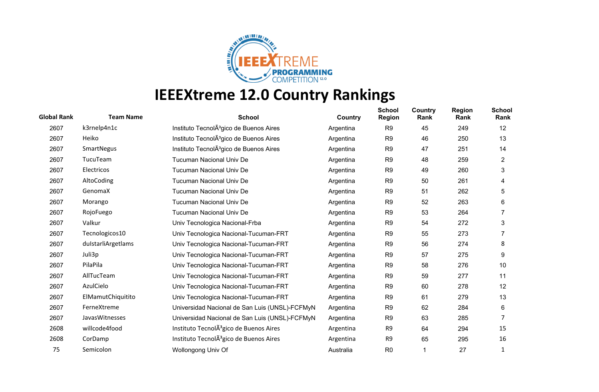

| <b>Global Rank</b> | <b>Team Name</b>   | <b>School</b>                                                   | Country   | <b>School</b><br><b>Region</b> | Country<br>Rank | <b>Region</b><br>Rank | <b>School</b><br>Rank |
|--------------------|--------------------|-----------------------------------------------------------------|-----------|--------------------------------|-----------------|-----------------------|-----------------------|
| 2607               | k3rnelp4n1c        | Instituto TecnolA <sup>3</sup> gico de Buenos Aires             | Argentina | R <sub>9</sub>                 | 45              | 249                   | $12 \overline{ }$     |
| 2607               | Heiko              | Instituto TecnolA <sup>3</sup> gico de Buenos Aires             | Argentina | R <sub>9</sub>                 | 46              | 250                   | 13                    |
| 2607               | SmartNegus         | Instituto TecnolA <sup>3</sup> gico de Buenos Aires             | Argentina | R <sub>9</sub>                 | 47              | 251                   | 14                    |
| 2607               | TucuTeam           | <b>Tucuman Nacional Univ De</b>                                 | Argentina | R <sub>9</sub>                 | 48              | 259                   | $\overline{c}$        |
| 2607               | Electricos         | <b>Tucuman Nacional Univ De</b>                                 | Argentina | R <sub>9</sub>                 | 49              | 260                   | 3                     |
| 2607               | AltoCoding         | <b>Tucuman Nacional Univ De</b>                                 | Argentina | R <sub>9</sub>                 | 50              | 261                   | 4                     |
| 2607               | GenomaX            | <b>Tucuman Nacional Univ De</b>                                 | Argentina | R <sub>9</sub>                 | 51              | 262                   | 5                     |
| 2607               | Morango            | <b>Tucuman Nacional Univ De</b>                                 | Argentina | R <sub>9</sub>                 | 52              | 263                   | 6                     |
| 2607               | RojoFuego          | <b>Tucuman Nacional Univ De</b>                                 | Argentina | R <sub>9</sub>                 | 53              | 264                   |                       |
| 2607               | Valkur             | Univ Tecnologica Nacional-Frba                                  | Argentina | R <sub>9</sub>                 | 54              | 272                   | 3                     |
| 2607               | Tecnologicos10     | Univ Tecnologica Nacional-Tucuman-FRT                           | Argentina | R <sub>9</sub>                 | 55              | 273                   |                       |
| 2607               | dulstarliArgetlams | Univ Tecnologica Nacional-Tucuman-FRT                           | Argentina | R <sub>9</sub>                 | 56              | 274                   | 8                     |
| 2607               | Juli3p             | Univ Tecnologica Nacional-Tucuman-FRT                           | Argentina | R <sub>9</sub>                 | 57              | 275                   | 9                     |
| 2607               | PilaPila           | Univ Tecnologica Nacional-Tucuman-FRT                           | Argentina | R <sub>9</sub>                 | 58              | 276                   | 10                    |
| 2607               | AllTucTeam         | Univ Tecnologica Nacional-Tucuman-FRT                           | Argentina | R <sub>9</sub>                 | 59              | 277                   | 11                    |
| 2607               | AzulCielo          | Univ Tecnologica Nacional-Tucuman-FRT                           | Argentina | R <sub>9</sub>                 | 60              | 278                   | 12                    |
| 2607               | ElMamutChiquitito  | Univ Tecnologica Nacional-Tucuman-FRT                           | Argentina | R <sub>9</sub>                 | 61              | 279                   | 13                    |
| 2607               | FerneXtreme        | Universidad Nacional de San Luis (UNSL)-FCFMyN                  | Argentina | R <sub>9</sub>                 | 62              | 284                   | 6                     |
| 2607               | JavasWitnesses     | Universidad Nacional de San Luis (UNSL)-FCFMyN                  | Argentina | R <sub>9</sub>                 | 63              | 285                   | 7                     |
| 2608               | willcode4food      | Instituto TecnolA <sup>3</sup> gico de Buenos Aires             | Argentina | R <sub>9</sub>                 | 64              | 294                   | 15                    |
| 2608               | CorDamp            | Instituto Tecnol <sub>A</sub> <sup>3</sup> gico de Buenos Aires | Argentina | R <sub>9</sub>                 | 65              | 295                   | 16                    |
| 75                 | Semicolon          | Wollongong Univ Of                                              | Australia | R <sub>0</sub>                 |                 | 27                    | 1                     |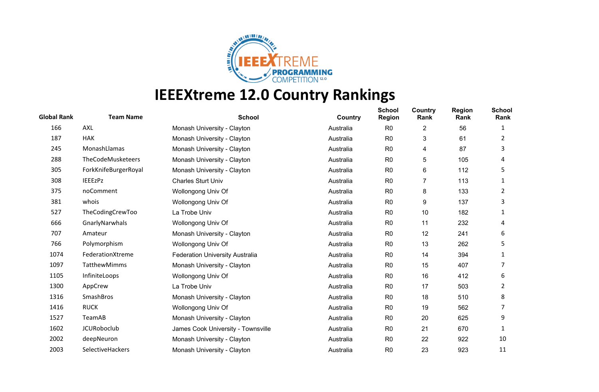

| <b>Global Rank</b> | <b>Team Name</b>     | <b>School</b>                          | Country   | <b>School</b><br><b>Region</b> | Country<br>Rank | <b>Region</b><br>Rank | <b>School</b><br>Rank |
|--------------------|----------------------|----------------------------------------|-----------|--------------------------------|-----------------|-----------------------|-----------------------|
| 166                | AXL                  | Monash University - Clayton            | Australia | R <sub>0</sub>                 | 2               | 56                    | 1                     |
| 187                | <b>HAK</b>           | Monash University - Clayton            | Australia | R <sub>0</sub>                 | 3               | 61                    | 2                     |
| 245                | MonashLlamas         | Monash University - Clayton            | Australia | R <sub>0</sub>                 | 4               | 87                    | 3                     |
| 288                | TheCodeMusketeers    | Monash University - Clayton            | Australia | R <sub>0</sub>                 | 5               | 105                   | 4                     |
| 305                | ForkKnifeBurgerRoyal | Monash University - Clayton            | Australia | R <sub>0</sub>                 | 6               | 112                   | 5                     |
| 308                | <b>IEEEzPz</b>       | <b>Charles Sturt Univ</b>              | Australia | R <sub>0</sub>                 | 7               | 113                   | 1                     |
| 375                | noComment            | Wollongong Univ Of                     | Australia | R <sub>0</sub>                 | 8               | 133                   | 2                     |
| 381                | whois                | Wollongong Univ Of                     | Australia | R <sub>0</sub>                 | 9               | 137                   | 3                     |
| 527                | TheCodingCrewToo     | La Trobe Univ                          | Australia | R <sub>0</sub>                 | 10              | 182                   | 1                     |
| 666                | GnarlyNarwhals       | Wollongong Univ Of                     | Australia | R <sub>0</sub>                 | 11              | 232                   | 4                     |
| 707                | Amateur              | Monash University - Clayton            | Australia | R <sub>0</sub>                 | 12              | 241                   | 6                     |
| 766                | Polymorphism         | Wollongong Univ Of                     | Australia | R <sub>0</sub>                 | 13              | 262                   | 5                     |
| 1074               | FederationXtreme     | <b>Federation University Australia</b> | Australia | R <sub>0</sub>                 | 14              | 394                   | 1                     |
| 1097               | TatthewMimms         | Monash University - Clayton            | Australia | R <sub>0</sub>                 | 15              | 407                   |                       |
| 1105               | InfiniteLoops        | Wollongong Univ Of                     | Australia | R <sub>0</sub>                 | 16              | 412                   | 6                     |
| 1300               | AppCrew              | La Trobe Univ                          | Australia | R <sub>0</sub>                 | 17              | 503                   | 2                     |
| 1316               | SmashBros            | Monash University - Clayton            | Australia | R <sub>0</sub>                 | 18              | 510                   | 8                     |
| 1416               | <b>RUCK</b>          | Wollongong Univ Of                     | Australia | R <sub>0</sub>                 | 19              | 562                   | 7                     |
| 1527               | TeamAB               | Monash University - Clayton            | Australia | R <sub>0</sub>                 | 20              | 625                   | 9                     |
| 1602               | <b>JCURoboclub</b>   | James Cook University - Townsville     | Australia | R <sub>0</sub>                 | 21              | 670                   | 1                     |
| 2002               | deepNeuron           | Monash University - Clayton            | Australia | R <sub>0</sub>                 | 22              | 922                   | 10                    |
| 2003               | SelectiveHackers     | Monash University - Clayton            | Australia | R <sub>0</sub>                 | 23              | 923                   | 11                    |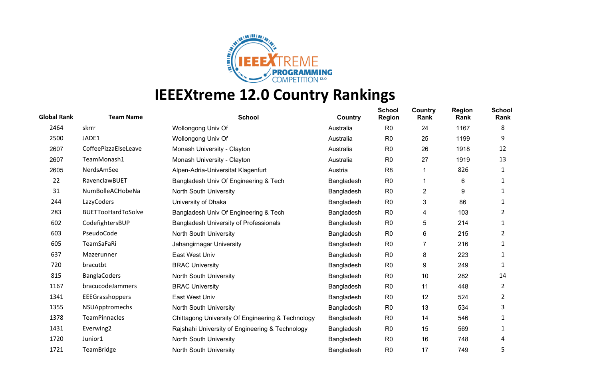

| <b>Global Rank</b> | <b>Team Name</b>          | <b>School</b>                                     | Country    | <b>School</b><br><b>Region</b> | Country<br>Rank | <b>Region</b><br>Rank | <b>School</b><br>Rank |
|--------------------|---------------------------|---------------------------------------------------|------------|--------------------------------|-----------------|-----------------------|-----------------------|
| 2464               | skrrr                     | Wollongong Univ Of                                | Australia  | R <sub>0</sub>                 | 24              | 1167                  | 8                     |
| 2500               | JADE1                     | Wollongong Univ Of                                | Australia  | R <sub>0</sub>                 | 25              | 1199                  | 9                     |
| 2607               | CoffeePizzaElseLeave      | Monash University - Clayton                       | Australia  | R <sub>0</sub>                 | 26              | 1918                  | 12                    |
| 2607               | TeamMonash1               | Monash University - Clayton                       | Australia  | R <sub>0</sub>                 | 27              | 1919                  | 13                    |
| 2605               | NerdsAmSee                | Alpen-Adria-Universitat Klagenfurt                | Austria    | R <sub>8</sub>                 |                 | 826                   | 1                     |
| 22                 | RavenclawBUET             | Bangladesh Univ Of Engineering & Tech             | Bangladesh | R <sub>0</sub>                 | 1               | 6                     | 1                     |
| 31                 | NumBolleACHobeNa          | North South University                            | Bangladesh | R <sub>0</sub>                 | $\overline{2}$  | 9                     | 1                     |
| 244                | LazyCoders                | University of Dhaka                               | Bangladesh | R <sub>0</sub>                 | 3               | 86                    | 1                     |
| 283                | <b>BUETTooHardToSolve</b> | Bangladesh Univ Of Engineering & Tech             | Bangladesh | R <sub>0</sub>                 | 4               | 103                   | 2                     |
| 602                | CodefightersBUP           | <b>Bangladesh University of Professionals</b>     | Bangladesh | R <sub>0</sub>                 | 5               | 214                   | 1                     |
| 603                | PseudoCode                | North South University                            | Bangladesh | R <sub>0</sub>                 | 6               | 215                   | 2                     |
| 605                | TeamSaFaRi                | Jahangirnagar University                          | Bangladesh | R <sub>0</sub>                 | 7               | 216                   |                       |
| 637                | Mazerunner                | East West Univ                                    | Bangladesh | R <sub>0</sub>                 | 8               | 223                   | 1                     |
| 720                | bracutbt                  | <b>BRAC University</b>                            | Bangladesh | R <sub>0</sub>                 | 9               | 249                   | 1                     |
| 815                | <b>BanglaCoders</b>       | North South University                            | Bangladesh | R <sub>0</sub>                 | 10              | 282                   | 14                    |
| 1167               | bracucodeJammers          | <b>BRAC University</b>                            | Bangladesh | R <sub>0</sub>                 | 11              | 448                   | 2                     |
| 1341               | EEEGrasshoppers           | East West Univ                                    | Bangladesh | R <sub>0</sub>                 | 12              | 524                   | 2                     |
| 1355               | NSUApptromechs            | North South University                            | Bangladesh | R <sub>0</sub>                 | 13              | 534                   | 3                     |
| 1378               | <b>TeamPinnacles</b>      | Chittagong University Of Engineering & Technology | Bangladesh | R <sub>0</sub>                 | 14              | 546                   |                       |
| 1431               | Everwing2                 | Rajshahi University of Engineering & Technology   | Bangladesh | R <sub>0</sub>                 | 15              | 569                   |                       |
| 1720               | Junior1                   | North South University                            | Bangladesh | R <sub>0</sub>                 | 16              | 748                   | 4                     |
| 1721               | <b>TeamBridge</b>         | North South University                            | Bangladesh | R <sub>0</sub>                 | 17              | 749                   | 5                     |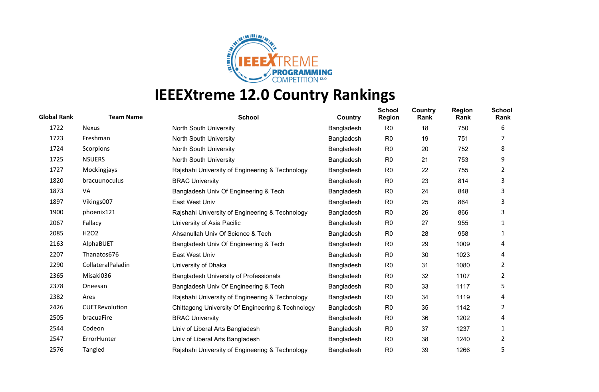

| <b>Global Rank</b> | <b>Team Name</b>              | <b>School</b>                                     | Country    | <b>School</b><br><b>Region</b> | Country<br>Rank | <b>Region</b><br>Rank | <b>School</b><br>Rank |
|--------------------|-------------------------------|---------------------------------------------------|------------|--------------------------------|-----------------|-----------------------|-----------------------|
| 1722               | <b>Nexus</b>                  | North South University                            | Bangladesh | R <sub>0</sub>                 | 18              | 750                   | 6                     |
| 1723               | Freshman                      | North South University                            | Bangladesh | R <sub>0</sub>                 | 19              | 751                   |                       |
| 1724               | Scorpions                     | North South University                            | Bangladesh | R <sub>0</sub>                 | 20              | 752                   | 8                     |
| 1725               | <b>NSUERS</b>                 | North South University                            | Bangladesh | R <sub>0</sub>                 | 21              | 753                   | 9                     |
| 1727               | Mockingjays                   | Rajshahi University of Engineering & Technology   | Bangladesh | R <sub>0</sub>                 | 22              | 755                   | 2                     |
| 1820               | bracuunoculus                 | <b>BRAC University</b>                            | Bangladesh | R <sub>0</sub>                 | 23              | 814                   | 3                     |
| 1873               | <b>VA</b>                     | Bangladesh Univ Of Engineering & Tech             | Bangladesh | R <sub>0</sub>                 | 24              | 848                   | 3                     |
| 1897               | Vikings007                    | East West Univ                                    | Bangladesh | R <sub>0</sub>                 | 25              | 864                   | 3                     |
| 1900               | phoenix121                    | Rajshahi University of Engineering & Technology   | Bangladesh | R <sub>0</sub>                 | 26              | 866                   | 3                     |
| 2067               | Fallacy                       | University of Asia Pacific                        | Bangladesh | R <sub>0</sub>                 | 27              | 955                   |                       |
| 2085               | H <sub>2</sub> O <sub>2</sub> | Ahsanullah Univ Of Science & Tech                 | Bangladesh | R <sub>0</sub>                 | 28              | 958                   | 1                     |
| 2163               | AlphaBUET                     | Bangladesh Univ Of Engineering & Tech             | Bangladesh | R <sub>0</sub>                 | 29              | 1009                  | 4                     |
| 2207               | Thanatos676                   | East West Univ                                    | Bangladesh | R <sub>0</sub>                 | 30              | 1023                  | 4                     |
| 2290               | CollateralPaladin             | University of Dhaka                               | Bangladesh | R <sub>0</sub>                 | 31              | 1080                  | 2                     |
| 2365               | Misaki036                     | <b>Bangladesh University of Professionals</b>     | Bangladesh | R <sub>0</sub>                 | 32              | 1107                  | 2                     |
| 2378               | Oneesan                       | Bangladesh Univ Of Engineering & Tech             | Bangladesh | R <sub>0</sub>                 | 33              | 1117                  | 5                     |
| 2382               | Ares                          | Rajshahi University of Engineering & Technology   | Bangladesh | R <sub>0</sub>                 | 34              | 1119                  | 4                     |
| 2426               | CUETRevolution                | Chittagong University Of Engineering & Technology | Bangladesh | R <sub>0</sub>                 | 35              | 1142                  | 2                     |
| 2505               | bracuaFire                    | <b>BRAC University</b>                            | Bangladesh | R <sub>0</sub>                 | 36              | 1202                  | 4                     |
| 2544               | Codeon                        | Univ of Liberal Arts Bangladesh                   | Bangladesh | R <sub>0</sub>                 | 37              | 1237                  | 1                     |
| 2547               | ErrorHunter                   | Univ of Liberal Arts Bangladesh                   | Bangladesh | R <sub>0</sub>                 | 38              | 1240                  | 2                     |
| 2576               | Tangled                       | Rajshahi University of Engineering & Technology   | Bangladesh | R <sub>0</sub>                 | 39              | 1266                  | 5                     |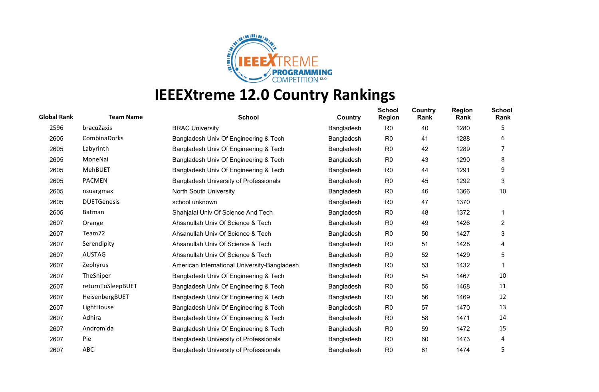

| <b>Global Rank</b> | <b>Team Name</b>   | <b>School</b>                                 | Country    | <b>School</b><br><b>Region</b> | <b>Country</b><br>Rank | <b>Region</b><br>Rank | <b>School</b><br>Rank |
|--------------------|--------------------|-----------------------------------------------|------------|--------------------------------|------------------------|-----------------------|-----------------------|
| 2596               | bracuZaxis         | <b>BRAC University</b>                        | Bangladesh | R <sub>0</sub>                 | 40                     | 1280                  | 5                     |
| 2605               | CombinaDorks       | Bangladesh Univ Of Engineering & Tech         | Bangladesh | R <sub>0</sub>                 | 41                     | 1288                  | 6                     |
| 2605               | Labyrinth          | Bangladesh Univ Of Engineering & Tech         | Bangladesh | R <sub>0</sub>                 | 42                     | 1289                  |                       |
| 2605               | MoneNai            | Bangladesh Univ Of Engineering & Tech         | Bangladesh | R <sub>0</sub>                 | 43                     | 1290                  | 8                     |
| 2605               | <b>MehBUET</b>     | Bangladesh Univ Of Engineering & Tech         | Bangladesh | R <sub>0</sub>                 | 44                     | 1291                  | 9                     |
| 2605               | <b>PACMEN</b>      | <b>Bangladesh University of Professionals</b> | Bangladesh | R <sub>0</sub>                 | 45                     | 1292                  | 3                     |
| 2605               | nsuargmax          | North South University                        | Bangladesh | R <sub>0</sub>                 | 46                     | 1366                  | 10                    |
| 2605               | <b>DUETGenesis</b> | school unknown                                | Bangladesh | R <sub>0</sub>                 | 47                     | 1370                  |                       |
| 2605               | Batman             | Shahjalal Univ Of Science And Tech            | Bangladesh | R <sub>0</sub>                 | 48                     | 1372                  |                       |
| 2607               | Orange             | Ahsanullah Univ Of Science & Tech             | Bangladesh | R <sub>0</sub>                 | 49                     | 1426                  | $\overline{2}$        |
| 2607               | Team72             | Ahsanullah Univ Of Science & Tech             | Bangladesh | R <sub>0</sub>                 | 50                     | 1427                  | 3                     |
| 2607               | Serendipity        | Ahsanullah Univ Of Science & Tech             | Bangladesh | R <sub>0</sub>                 | 51                     | 1428                  | 4                     |
| 2607               | <b>AUSTAG</b>      | Ahsanullah Univ Of Science & Tech             | Bangladesh | R <sub>0</sub>                 | 52                     | 1429                  | 5                     |
| 2607               | Zephyrus           | American International University-Bangladesh  | Bangladesh | R <sub>0</sub>                 | 53                     | 1432                  |                       |
| 2607               | TheSniper          | Bangladesh Univ Of Engineering & Tech         | Bangladesh | R <sub>0</sub>                 | 54                     | 1467                  | 10                    |
| 2607               | returnToSleepBUET  | Bangladesh Univ Of Engineering & Tech         | Bangladesh | R <sub>0</sub>                 | 55                     | 1468                  | 11                    |
| 2607               | HeisenbergBUET     | Bangladesh Univ Of Engineering & Tech         | Bangladesh | R <sub>0</sub>                 | 56                     | 1469                  | 12                    |
| 2607               | LightHouse         | Bangladesh Univ Of Engineering & Tech         | Bangladesh | R <sub>0</sub>                 | 57                     | 1470                  | 13                    |
| 2607               | Adhira             | Bangladesh Univ Of Engineering & Tech         | Bangladesh | R <sub>0</sub>                 | 58                     | 1471                  | 14                    |
| 2607               | Andromida          | Bangladesh Univ Of Engineering & Tech         | Bangladesh | R <sub>0</sub>                 | 59                     | 1472                  | 15                    |
| 2607               | Pie                | Bangladesh University of Professionals        | Bangladesh | R <sub>0</sub>                 | 60                     | 1473                  | 4                     |
| 2607               | <b>ABC</b>         | <b>Bangladesh University of Professionals</b> | Bangladesh | R <sub>0</sub>                 | 61                     | 1474                  | 5                     |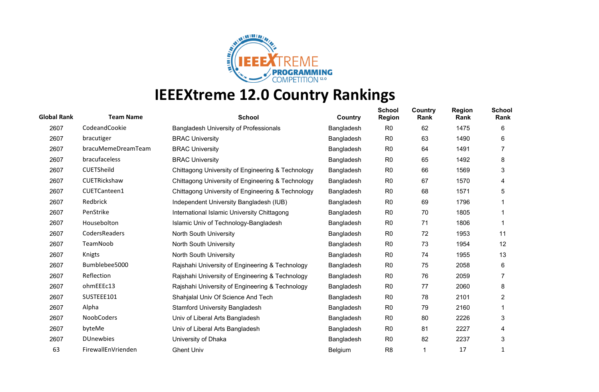

| <b>Global Rank</b> | <b>Team Name</b>   | <b>School</b>                                     | Country    | <b>School</b><br><b>Region</b> | Country<br>Rank | <b>Region</b><br>Rank | <b>School</b><br>Rank |
|--------------------|--------------------|---------------------------------------------------|------------|--------------------------------|-----------------|-----------------------|-----------------------|
| 2607               | CodeandCookie      | <b>Bangladesh University of Professionals</b>     | Bangladesh | R <sub>0</sub>                 | 62              | 1475                  | 6                     |
| 2607               | bracutiger         | <b>BRAC University</b>                            | Bangladesh | R <sub>0</sub>                 | 63              | 1490                  | 6                     |
| 2607               | bracuMemeDreamTeam | <b>BRAC University</b>                            | Bangladesh | R <sub>0</sub>                 | 64              | 1491                  | 7                     |
| 2607               | bracufaceless      | <b>BRAC University</b>                            | Bangladesh | R <sub>0</sub>                 | 65              | 1492                  | 8                     |
| 2607               | CUETSheild         | Chittagong University of Engineering & Technology | Bangladesh | R <sub>0</sub>                 | 66              | 1569                  | 3                     |
| 2607               | CUETRickshaw       | Chittagong University of Engineering & Technology | Bangladesh | R <sub>0</sub>                 | 67              | 1570                  | 4                     |
| 2607               | CUETCanteen1       | Chittagong University of Engineering & Technology | Bangladesh | R <sub>0</sub>                 | 68              | 1571                  | 5                     |
| 2607               | Redbrick           | Independent University Bangladesh (IUB)           | Bangladesh | R <sub>0</sub>                 | 69              | 1796                  |                       |
| 2607               | PenStrike          | International Islamic University Chittagong       | Bangladesh | R <sub>0</sub>                 | 70              | 1805                  |                       |
| 2607               | Housebolton        | Islamic Univ of Technology-Bangladesh             | Bangladesh | R <sub>0</sub>                 | 71              | 1806                  |                       |
| 2607               | CodersReaders      | North South University                            | Bangladesh | R <sub>0</sub>                 | 72              | 1953                  | 11                    |
| 2607               | TeamNoob           | North South University                            | Bangladesh | R <sub>0</sub>                 | 73              | 1954                  | 12                    |
| 2607               | Knigts             | North South University                            | Bangladesh | R <sub>0</sub>                 | 74              | 1955                  | 13                    |
| 2607               | Bumblebee5000      | Rajshahi University of Engineering & Technology   | Bangladesh | R <sub>0</sub>                 | 75              | 2058                  | 6                     |
| 2607               | Reflection         | Rajshahi University of Engineering & Technology   | Bangladesh | R <sub>0</sub>                 | 76              | 2059                  |                       |
| 2607               | ohmEEEc13          | Rajshahi University of Engineering & Technology   | Bangladesh | R <sub>0</sub>                 | 77              | 2060                  | 8                     |
| 2607               | SUSTEEE101         | Shahjalal Univ Of Science And Tech                | Bangladesh | R <sub>0</sub>                 | 78              | 2101                  | 2                     |
| 2607               | Alpha              | <b>Stamford University Bangladesh</b>             | Bangladesh | R <sub>0</sub>                 | 79              | 2160                  |                       |
| 2607               | NoobCoders         | Univ of Liberal Arts Bangladesh                   | Bangladesh | R <sub>0</sub>                 | 80              | 2226                  | 3                     |
| 2607               | byteMe             | Univ of Liberal Arts Bangladesh                   | Bangladesh | R <sub>0</sub>                 | 81              | 2227                  | 4                     |
| 2607               | <b>DUnewbies</b>   | University of Dhaka                               | Bangladesh | R <sub>0</sub>                 | 82              | 2237                  | 3                     |
| 63                 | FirewallEnVrienden | <b>Ghent Univ</b>                                 | Belgium    | R <sub>8</sub>                 | 1               | 17                    |                       |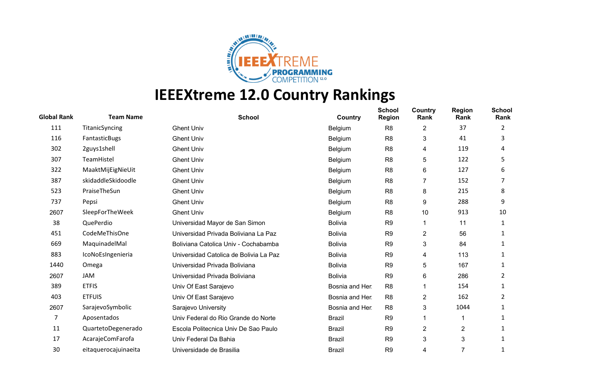

| <b>Global Rank</b> | <b>Team Name</b>     | <b>School</b>                          | Country         | <b>School</b><br><b>Region</b> | Country<br>Rank | <b>Region</b><br>Rank | <b>School</b><br>Rank |
|--------------------|----------------------|----------------------------------------|-----------------|--------------------------------|-----------------|-----------------------|-----------------------|
| 111                | TitanicSyncing       | <b>Ghent Univ</b>                      | Belgium         | R <sub>8</sub>                 | 2               | 37                    | 2                     |
| 116                | FantasticBugs        | <b>Ghent Univ</b>                      | Belgium         | R <sub>8</sub>                 | 3               | 41                    | 3                     |
| 302                | 2guys1shell          | <b>Ghent Univ</b>                      | Belgium         | R <sub>8</sub>                 | 4               | 119                   | 4                     |
| 307                | TeamHistel           | <b>Ghent Univ</b>                      | Belgium         | R <sub>8</sub>                 | 5               | 122                   | 5                     |
| 322                | MaaktMijEigNieUit    | <b>Ghent Univ</b>                      | Belgium         | R <sub>8</sub>                 | 6               | 127                   | 6                     |
| 387                | skidaddleSkidoodle   | <b>Ghent Univ</b>                      | Belgium         | R <sub>8</sub>                 | 7               | 152                   |                       |
| 523                | PraiseTheSun         | <b>Ghent Univ</b>                      | Belgium         | R <sub>8</sub>                 | 8               | 215                   | 8                     |
| 737                | Pepsi                | <b>Ghent Univ</b>                      | Belgium         | R <sub>8</sub>                 | 9               | 288                   | 9                     |
| 2607               | SleepForTheWeek      | <b>Ghent Univ</b>                      | Belgium         | R <sub>8</sub>                 | 10              | 913                   | 10                    |
| 38                 | QuePerdio            | Universidad Mayor de San Simon         | <b>Bolivia</b>  | R <sub>9</sub>                 | 1               | 11                    |                       |
| 451                | CodeMeThisOne        | Universidad Privada Boliviana La Paz   | <b>Bolivia</b>  | R <sub>9</sub>                 | 2               | 56                    | 1                     |
| 669                | MaquinadelMal        | Boliviana Catolica Univ - Cochabamba   | <b>Bolivia</b>  | R <sub>9</sub>                 | 3               | 84                    |                       |
| 883                | IcoNoEsIngenieria    | Universidad Catolica de Bolivia La Paz | <b>Bolivia</b>  | R <sub>9</sub>                 | 4               | 113                   | 1                     |
| 1440               | Omega                | Universidad Privada Boliviana          | <b>Bolivia</b>  | R <sub>9</sub>                 | 5               | 167                   |                       |
| 2607               | <b>JAM</b>           | Universidad Privada Boliviana          | <b>Bolivia</b>  | R <sub>9</sub>                 | 6               | 286                   | 2                     |
| 389                | <b>ETFIS</b>         | Univ Of East Sarajevo                  | Bosnia and Her. | R <sub>8</sub>                 |                 | 154                   |                       |
| 403                | <b>ETFUIS</b>        | Univ Of East Sarajevo                  | Bosnia and Her. | R <sub>8</sub>                 | 2               | 162                   | 2                     |
| 2607               | SarajevoSymbolic     | Sarajevo University                    | Bosnia and Her. | R <sub>8</sub>                 | 3               | 1044                  |                       |
| 7                  | Aposentados          | Univ Federal do Rio Grande do Norte    | <b>Brazil</b>   | R <sub>9</sub>                 | 1               |                       |                       |
| 11                 | QuartetoDegenerado   | Escola Politecnica Univ De Sao Paulo   | <b>Brazil</b>   | R <sub>9</sub>                 | 2               | $\overline{2}$        | 1                     |
| 17                 | AcarajeComFarofa     | Univ Federal Da Bahia                  | <b>Brazil</b>   | R <sub>9</sub>                 | 3               | 3                     |                       |
| 30                 | eitaquerocajuinaeita | Universidade de Brasilia               | <b>Brazil</b>   | R <sub>9</sub>                 | 4               | 7                     |                       |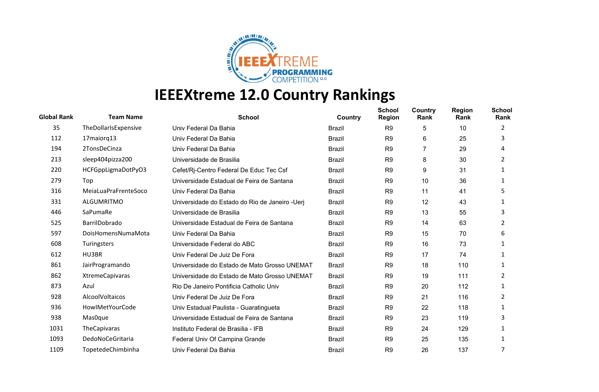

| <b>Global Rank</b> | <b>Team Name</b>       | <b>School</b>                                   | Country       | <b>School</b><br><b>Region</b> | Country<br>Rank | <b>Region</b><br>Rank | <b>School</b><br>Rank |
|--------------------|------------------------|-------------------------------------------------|---------------|--------------------------------|-----------------|-----------------------|-----------------------|
| 35                 | TheDollarIsExpensive   | Univ Federal Da Bahia                           | <b>Brazil</b> | R <sub>9</sub>                 | 5               | 10                    | 2                     |
| 112                | 17maiorq13             | Univ Federal Da Bahia                           | <b>Brazil</b> | R <sub>9</sub>                 | 6               | 25                    | 3                     |
| 194                | 2TonsDeCinza           | Univ Federal Da Bahia                           | <b>Brazil</b> | R <sub>9</sub>                 | 7               | 29                    | 4                     |
| 213                | sleep404pizza200       | Universidade de Brasilia                        | <b>Brazil</b> | R <sub>9</sub>                 | 8               | 30                    | 2                     |
| 220                | HCFGppLigmaDotPyO3     | Cefet/Rj-Centro Federal De Educ Tec Csf         | <b>Brazil</b> | R <sub>9</sub>                 | 9               | 31                    |                       |
| 279                | Top                    | Universidade Estadual de Feira de Santana       | <b>Brazil</b> | R <sub>9</sub>                 | 10              | 36                    | 1                     |
| 316                | MeiaLuaPraFrenteSoco   | Univ Federal Da Bahia                           | <b>Brazil</b> | R <sub>9</sub>                 | 11              | 41                    | 5                     |
| 331                | ALGUMRITMO             | Universidade do Estado do Rio de Janeiro - Ueri | <b>Brazil</b> | R <sub>9</sub>                 | 12              | 43                    | 1                     |
| 446                | SaPumaRe               | Universidade de Brasilia                        | <b>Brazil</b> | R <sub>9</sub>                 | 13              | 55                    | 3                     |
| 525                | BarrilDobrado          | Universidade Estadual de Feira de Santana       | <b>Brazil</b> | R <sub>9</sub>                 | 14              | 63                    | 2                     |
| 597                | DoisHomensNumaMota     | Univ Federal Da Bahia                           | <b>Brazil</b> | R <sub>9</sub>                 | 15              | 70                    | 6                     |
| 608                | Turingsters            | Universidade Federal do ABC                     | <b>Brazil</b> | R <sub>9</sub>                 | 16              | 73                    |                       |
| 612                | HU3BR                  | Univ Federal De Juiz De Fora                    | <b>Brazil</b> | R <sub>9</sub>                 | 17              | 74                    | 1                     |
| 861                | JairProgramando        | Universidade do Estado de Mato Grosso UNEMAT    | <b>Brazil</b> | R <sub>9</sub>                 | 18              | 110                   |                       |
| 862                | <b>XtremeCapivaras</b> | Universidade do Estado de Mato Grosso UNEMAT    | <b>Brazil</b> | R <sub>9</sub>                 | 19              | 111                   | 2                     |
| 873                | Azul                   | Rio De Janeiro Pontificia Catholic Univ         | <b>Brazil</b> | R <sub>9</sub>                 | 20              | 112                   | 1                     |
| 928                | AlcoolVoltaicos        | Univ Federal De Juiz De Fora                    | <b>Brazil</b> | R <sub>9</sub>                 | 21              | 116                   | 2                     |
| 936                | HowlMetYourCode        | Univ Estadual Paulista - Guaratingueta          | <b>Brazil</b> | R <sub>9</sub>                 | 22              | 118                   | 1                     |
| 938                | Mas0que                | Universidade Estadual de Feira de Santana       | <b>Brazil</b> | R <sub>9</sub>                 | 23              | 119                   | 3                     |
| 1031               | TheCapivaras           | Instituto Federal de Brasilia - IFB             | <b>Brazil</b> | R <sub>9</sub>                 | 24              | 129                   |                       |
| 1093               | DedoNoCeGritaria       | Federal Univ Of Campina Grande                  | <b>Brazil</b> | R <sub>9</sub>                 | 25              | 135                   | 1                     |
| 1109               | TopetedeChimbinha      | Univ Federal Da Bahia                           | <b>Brazil</b> | R <sub>9</sub>                 | 26              | 137                   | 7                     |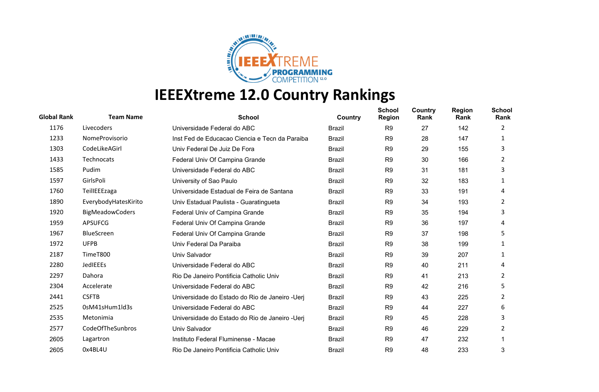

| <b>Global Rank</b> | <b>Team Name</b>       | <b>School</b>                                   | <b>Country</b> | <b>School</b><br><b>Region</b> | Country<br>Rank | <b>Region</b><br>Rank | <b>School</b><br>Rank |
|--------------------|------------------------|-------------------------------------------------|----------------|--------------------------------|-----------------|-----------------------|-----------------------|
| 1176               | Livecoders             | Universidade Federal do ABC                     | <b>Brazil</b>  | R <sub>9</sub>                 | 27              | 142                   | 2                     |
| 1233               | NomeProvisorio         | Inst Fed de Educacao Ciencia e Tecn da Paraiba  | <b>Brazil</b>  | R <sub>9</sub>                 | 28              | 147                   | 1                     |
| 1303               | CodeLikeAGirl          | Univ Federal De Juiz De Fora                    | <b>Brazil</b>  | R <sub>9</sub>                 | 29              | 155                   | 3                     |
| 1433               | Technocats             | Federal Univ Of Campina Grande                  | <b>Brazil</b>  | R <sub>9</sub>                 | 30              | 166                   | 2                     |
| 1585               | Pudim                  | Universidade Federal do ABC                     | <b>Brazil</b>  | R <sub>9</sub>                 | 31              | 181                   | 3                     |
| 1597               | GirlsPoli              | University of Sao Paulo                         | <b>Brazil</b>  | R <sub>9</sub>                 | 32              | 183                   | 1                     |
| 1760               | TeillEEEzaga           | Universidade Estadual de Feira de Santana       | <b>Brazil</b>  | R <sub>9</sub>                 | 33              | 191                   | 4                     |
| 1890               | EverybodyHatesKirito   | Univ Estadual Paulista - Guaratingueta          | <b>Brazil</b>  | R <sub>9</sub>                 | 34              | 193                   | 2                     |
| 1920               | <b>BigMeadowCoders</b> | Federal Univ of Campina Grande                  | <b>Brazil</b>  | R <sub>9</sub>                 | 35              | 194                   | 3                     |
| 1959               | <b>APSUFCG</b>         | Federal Univ Of Campina Grande                  | <b>Brazil</b>  | R <sub>9</sub>                 | 36              | 197                   | 4                     |
| 1967               | <b>BlueScreen</b>      | Federal Univ Of Campina Grande                  | <b>Brazil</b>  | R <sub>9</sub>                 | 37              | 198                   | 5                     |
| 1972               | <b>UFPB</b>            | Univ Federal Da Paraiba                         | <b>Brazil</b>  | R <sub>9</sub>                 | 38              | 199                   |                       |
| 2187               | TimeT800               | Univ Salvador                                   | <b>Brazil</b>  | R <sub>9</sub>                 | 39              | 207                   | 1                     |
| 2280               | JedIEEEs               | Universidade Federal do ABC                     | <b>Brazil</b>  | R <sub>9</sub>                 | 40              | 211                   | 4                     |
| 2297               | Dahora                 | Rio De Janeiro Pontificia Catholic Univ         | <b>Brazil</b>  | R <sub>9</sub>                 | 41              | 213                   | 2                     |
| 2304               | Accelerate             | Universidade Federal do ABC                     | <b>Brazil</b>  | R <sub>9</sub>                 | 42              | 216                   | 5                     |
| 2441               | <b>CSFTB</b>           | Universidade do Estado do Rio de Janeiro - Uerj | <b>Brazil</b>  | R <sub>9</sub>                 | 43              | 225                   | 2                     |
| 2525               | 0sM41sHum1ld3s         | Universidade Federal do ABC                     | <b>Brazil</b>  | R <sub>9</sub>                 | 44              | 227                   | 6                     |
| 2535               | Metonimia              | Universidade do Estado do Rio de Janeiro - Uerj | <b>Brazil</b>  | R <sub>9</sub>                 | 45              | 228                   | 3                     |
| 2577               | CodeOfTheSunbros       | Univ Salvador                                   | <b>Brazil</b>  | R <sub>9</sub>                 | 46              | 229                   | 2                     |
| 2605               | Lagartron              | Instituto Federal Fluminense - Macae            | <b>Brazil</b>  | R <sub>9</sub>                 | 47              | 232                   |                       |
| 2605               | 0x4BL4U                | Rio De Janeiro Pontificia Catholic Univ         | Brazil         | R <sub>9</sub>                 | 48              | 233                   | 3                     |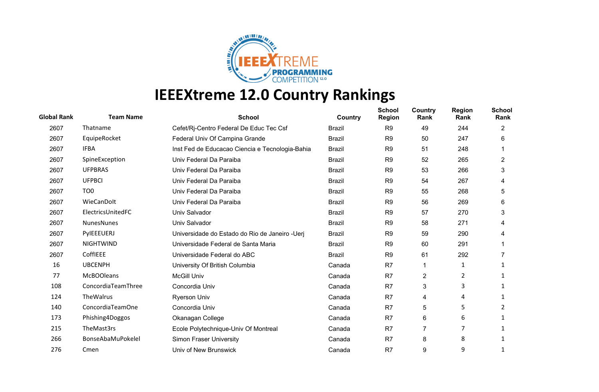

| <b>Global Rank</b> | <b>Team Name</b>   | <b>School</b>                                   | Country       | <b>School</b><br><b>Region</b> | Country<br>Rank | <b>Region</b><br>Rank | <b>School</b><br>Rank |
|--------------------|--------------------|-------------------------------------------------|---------------|--------------------------------|-----------------|-----------------------|-----------------------|
| 2607               | Thatname           | Cefet/Rj-Centro Federal De Educ Tec Csf         | <b>Brazil</b> | R <sub>9</sub>                 | 49              | 244                   | 2                     |
| 2607               | EquipeRocket       | Federal Univ Of Campina Grande                  | <b>Brazil</b> | R <sub>9</sub>                 | 50              | 247                   | 6                     |
| 2607               | <b>IFBA</b>        | Inst Fed de Educacao Ciencia e Tecnologia-Bahia | <b>Brazil</b> | R <sub>9</sub>                 | 51              | 248                   |                       |
| 2607               | SpineException     | Univ Federal Da Paraiba                         | <b>Brazil</b> | R <sub>9</sub>                 | 52              | 265                   | 2                     |
| 2607               | <b>UFPBRAS</b>     | Univ Federal Da Paraiba                         | <b>Brazil</b> | R <sub>9</sub>                 | 53              | 266                   | 3                     |
| 2607               | <b>UFPBCI</b>      | Univ Federal Da Paraiba                         | <b>Brazil</b> | R <sub>9</sub>                 | 54              | 267                   | 4                     |
| 2607               | TO <sub>0</sub>    | Univ Federal Da Paraiba                         | <b>Brazil</b> | R <sub>9</sub>                 | 55              | 268                   | 5                     |
| 2607               | WieCanDolt         | Univ Federal Da Paraiba                         | <b>Brazil</b> | R <sub>9</sub>                 | 56              | 269                   | 6                     |
| 2607               | ElectricsUnitedFC  | Univ Salvador                                   | <b>Brazil</b> | R <sub>9</sub>                 | 57              | 270                   | 3                     |
| 2607               | NunesNunes         | Univ Salvador                                   | <b>Brazil</b> | R <sub>9</sub>                 | 58              | 271                   | 4                     |
| 2607               | PylEEEUERJ         | Universidade do Estado do Rio de Janeiro - Ueri | <b>Brazil</b> | R <sub>9</sub>                 | 59              | 290                   | 4                     |
| 2607               | <b>NIGHTWIND</b>   | Universidade Federal de Santa Maria             | <b>Brazil</b> | R <sub>9</sub>                 | 60              | 291                   |                       |
| 2607               | CoffIEEE           | Universidade Federal do ABC                     | <b>Brazil</b> | R <sub>9</sub>                 | 61              | 292                   |                       |
| 16                 | <b>UBCENPH</b>     | University Of British Columbia                  | Canada        | R7                             | 1               | 1                     | 1                     |
| 77                 | <b>McBOOleans</b>  | <b>McGill Univ</b>                              | Canada        | R7                             | 2               | $\overline{2}$        |                       |
| 108                | ConcordiaTeamThree | Concordia Univ                                  | Canada        | R7                             | 3               | 3                     | 1                     |
| 124                | TheWalrus          | <b>Ryerson Univ</b>                             | Canada        | R7                             | 4               | 4                     |                       |
| 140                | ConcordiaTeamOne   | Concordia Univ                                  | Canada        | R7                             | 5               | 5                     | 2                     |
| 173                | Phishing4Doggos    | Okanagan College                                | Canada        | R7                             | 6               | 6                     | 1                     |
| 215                | TheMast3rs         | Ecole Polytechnique-Univ Of Montreal            | Canada        | R7                             | $\overline{7}$  | 7                     |                       |
| 266                | BonseAbaMuPokelel  | <b>Simon Fraser University</b>                  | Canada        | R7                             | 8               | 8                     |                       |
| 276                | Cmen               | Univ of New Brunswick                           | Canada        | R7                             | 9               | 9                     |                       |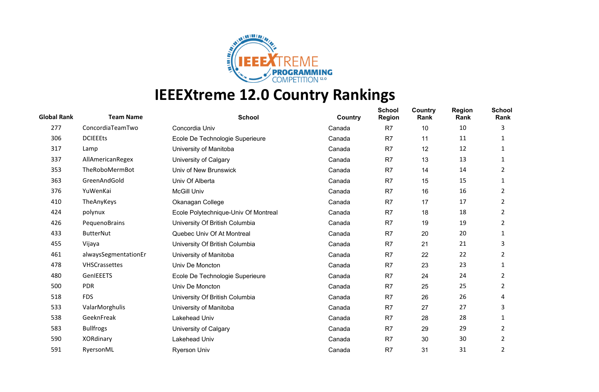

| <b>Global Rank</b> | <b>Team Name</b>     | <b>School</b>                        | Country | <b>School</b><br><b>Region</b> | Country<br>Rank | <b>Region</b><br>Rank | <b>School</b><br>Rank |
|--------------------|----------------------|--------------------------------------|---------|--------------------------------|-----------------|-----------------------|-----------------------|
| 277                | ConcordiaTeamTwo     | Concordia Univ                       | Canada  | R <sub>7</sub>                 | 10              | 10                    | 3                     |
| 306                | <b>DCIEEEts</b>      | Ecole De Technologie Superieure      | Canada  | R <sub>7</sub>                 | 11              | 11                    |                       |
| 317                | Lamp                 | University of Manitoba               | Canada  | R <sub>7</sub>                 | 12              | 12                    |                       |
| 337                | AllAmericanRegex     | University of Calgary                | Canada  | R <sub>7</sub>                 | 13              | 13                    | 1                     |
| 353                | TheRoboMermBot       | Univ of New Brunswick                | Canada  | R7                             | 14              | 14                    | 2                     |
| 363                | GreenAndGold         | Univ Of Alberta                      | Canada  | R <sub>7</sub>                 | 15              | 15                    | 1                     |
| 376                | YuWenKai             | <b>McGill Univ</b>                   | Canada  | R7                             | 16              | 16                    | 2                     |
| 410                | TheAnyKeys           | Okanagan College                     | Canada  | R <sub>7</sub>                 | 17              | 17                    | 2                     |
| 424                | polynux              | Ecole Polytechnique-Univ Of Montreal | Canada  | R <sub>7</sub>                 | 18              | 18                    | 2                     |
| 426                | PequenoBrains        | University Of British Columbia       | Canada  | R7                             | 19              | 19                    | 2                     |
| 433                | <b>ButterNut</b>     | Quebec Univ Of At Montreal           | Canada  | R7                             | 20              | 20                    | 1                     |
| 455                | Vijaya               | University Of British Columbia       | Canada  | R <sub>7</sub>                 | 21              | 21                    | 3                     |
| 461                | alwaysSegmentationEr | University of Manitoba               | Canada  | R <sub>7</sub>                 | 22              | 22                    | 2                     |
| 478                | VHSCrassettes        | Univ De Moncton                      | Canada  | R <sub>7</sub>                 | 23              | 23                    | 1                     |
| 480                | GenIEEETS            | Ecole De Technologie Superieure      | Canada  | R7                             | 24              | 24                    | 2                     |
| 500                | <b>PDR</b>           | Univ De Moncton                      | Canada  | R7                             | 25              | 25                    | 2                     |
| 518                | <b>FDS</b>           | University Of British Columbia       | Canada  | R <sub>7</sub>                 | 26              | 26                    | 4                     |
| 533                | ValarMorghulis       | University of Manitoba               | Canada  | R <sub>7</sub>                 | 27              | 27                    | 3                     |
| 538                | GeeknFreak           | Lakehead Univ                        | Canada  | R <sub>7</sub>                 | 28              | 28                    | 1                     |
| 583                | <b>Bullfrogs</b>     | University of Calgary                | Canada  | R <sub>7</sub>                 | 29              | 29                    | 2                     |
| 590                | XORdinary            | Lakehead Univ                        | Canada  | R7                             | 30              | 30                    | 2                     |
| 591                | RyersonML            | <b>Ryerson Univ</b>                  | Canada  | R7                             | 31              | 31                    | 2                     |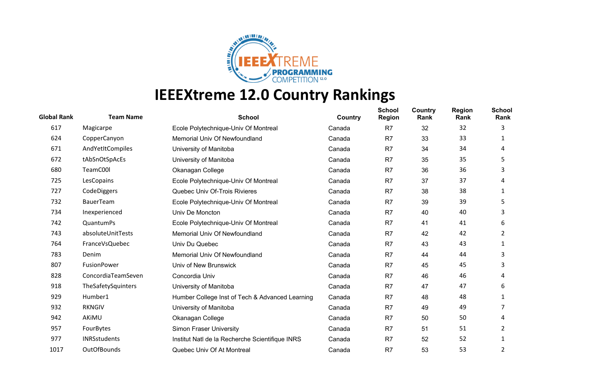

| <b>Global Rank</b> | <b>Team Name</b>    | <b>School</b>                                   | <b>Country</b> | <b>School</b><br><b>Region</b> | Country<br>Rank | <b>Region</b><br>Rank | <b>School</b><br>Rank |
|--------------------|---------------------|-------------------------------------------------|----------------|--------------------------------|-----------------|-----------------------|-----------------------|
| 617                | Magicarpe           | Ecole Polytechnique-Univ Of Montreal            | Canada         | R <sub>7</sub>                 | 32              | 32                    | 3                     |
| 624                | CopperCanyon        | Memorial Univ Of Newfoundland                   | Canada         | R7                             | 33              | 33                    |                       |
| 671                | AndYetItCompiles    | University of Manitoba                          | Canada         | R7                             | 34              | 34                    | 4                     |
| 672                | tAbSnOtSpAcEs       | University of Manitoba                          | Canada         | R <sub>7</sub>                 | 35              | 35                    | 5                     |
| 680                | TeamC00l            | Okanagan College                                | Canada         | R7                             | 36              | 36                    | 3                     |
| 725                | LesCopains          | Ecole Polytechnique-Univ Of Montreal            | Canada         | R <sub>7</sub>                 | 37              | 37                    | 4                     |
| 727                | CodeDiggers         | Quebec Univ Of-Trois Rivieres                   | Canada         | R7                             | 38              | 38                    |                       |
| 732                | <b>BauerTeam</b>    | Ecole Polytechnique-Univ Of Montreal            | Canada         | R <sub>7</sub>                 | 39              | 39                    | 5                     |
| 734                | Inexperienced       | Univ De Moncton                                 | Canada         | R7                             | 40              | 40                    | 3                     |
| 742                | QuantumPs           | Ecole Polytechnique-Univ Of Montreal            | Canada         | R <sub>7</sub>                 | 41              | 41                    | 6                     |
| 743                | absoluteUnitTests   | Memorial Univ Of Newfoundland                   | Canada         | R7                             | 42              | 42                    | 2                     |
| 764                | FranceVsQuebec      | Univ Du Quebec                                  | Canada         | R <sub>7</sub>                 | 43              | 43                    |                       |
| 783                | Denim               | Memorial Univ Of Newfoundland                   | Canada         | R7                             | 44              | 44                    | 3                     |
| 807                | FusionPower         | Univ of New Brunswick                           | Canada         | R <sub>7</sub>                 | 45              | 45                    | 3                     |
| 828                | ConcordiaTeamSeven  | Concordia Univ                                  | Canada         | R7                             | 46              | 46                    | 4                     |
| 918                | TheSafetySquinters  | University of Manitoba                          | Canada         | R <sub>7</sub>                 | 47              | 47                    | 6                     |
| 929                | Humber1             | Humber College Inst of Tech & Advanced Learning | Canada         | R <sub>7</sub>                 | 48              | 48                    | 1                     |
| 932                | <b>RKNGIV</b>       | University of Manitoba                          | Canada         | R <sub>7</sub>                 | 49              | 49                    |                       |
| 942                | AKIMU               | Okanagan College                                | Canada         | R7                             | 50              | 50                    | 4                     |
| 957                | FourBytes           | Simon Fraser University                         | Canada         | R7                             | 51              | 51                    | 2                     |
| 977                | <b>INRSstudents</b> | Institut Natl de la Recherche Scientifique INRS | Canada         | R7                             | 52              | 52                    |                       |
| 1017               | <b>OutOfBounds</b>  | Quebec Univ Of At Montreal                      | Canada         | R7                             | 53              | 53                    | 2                     |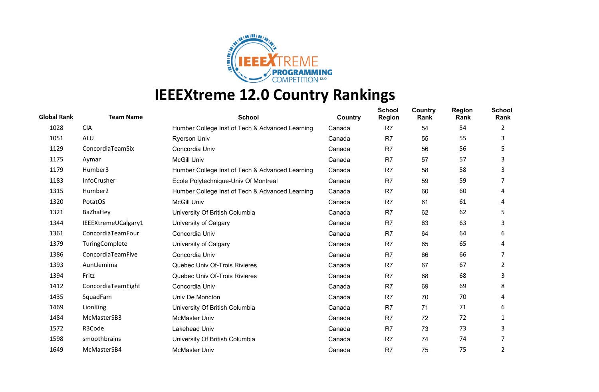

| <b>Global Rank</b> | <b>Team Name</b>    | <b>School</b>                                   | Country | <b>School</b><br><b>Region</b> | Country<br>Rank | <b>Region</b><br>Rank | <b>School</b><br>Rank |
|--------------------|---------------------|-------------------------------------------------|---------|--------------------------------|-----------------|-----------------------|-----------------------|
| 1028               | <b>CIA</b>          | Humber College Inst of Tech & Advanced Learning | Canada  | R <sub>7</sub>                 | 54              | 54                    | 2                     |
| 1051               | ALU                 | <b>Ryerson Univ</b>                             | Canada  | R <sub>7</sub>                 | 55              | 55                    | 3                     |
| 1129               | ConcordiaTeamSix    | Concordia Univ                                  | Canada  | R7                             | 56              | 56                    | 5                     |
| 1175               | Aymar               | <b>McGill Univ</b>                              | Canada  | R7                             | 57              | 57                    | 3                     |
| 1179               | Humber3             | Humber College Inst of Tech & Advanced Learning | Canada  | R <sub>7</sub>                 | 58              | 58                    | 3                     |
| 1183               | InfoCrusher         | Ecole Polytechnique-Univ Of Montreal            | Canada  | R <sub>7</sub>                 | 59              | 59                    |                       |
| 1315               | Humber <sub>2</sub> | Humber College Inst of Tech & Advanced Learning | Canada  | R7                             | 60              | 60                    | 4                     |
| 1320               | PotatOS             | <b>McGill Univ</b>                              | Canada  | R <sub>7</sub>                 | 61              | 61                    | 4                     |
| 1321               | BaZhaHey            | University Of British Columbia                  | Canada  | R <sub>7</sub>                 | 62              | 62                    | 5                     |
| 1344               | IEEEXtremeUCalgary1 | University of Calgary                           | Canada  | R <sub>7</sub>                 | 63              | 63                    | 3                     |
| 1361               | ConcordiaTeamFour   | Concordia Univ                                  | Canada  | R7                             | 64              | 64                    | 6                     |
| 1379               | TuringComplete      | University of Calgary                           | Canada  | R <sub>7</sub>                 | 65              | 65                    | 4                     |
| 1386               | ConcordiaTeamFive   | Concordia Univ                                  | Canada  | R <sub>7</sub>                 | 66              | 66                    | 7                     |
| 1393               | AuntJemima          | Quebec Univ Of-Trois Rivieres                   | Canada  | R <sub>7</sub>                 | 67              | 67                    | 2                     |
| 1394               | Fritz               | Quebec Univ Of-Trois Rivieres                   | Canada  | R7                             | 68              | 68                    | 3                     |
| 1412               | ConcordiaTeamEight  | Concordia Univ                                  | Canada  | R <sub>7</sub>                 | 69              | 69                    | 8                     |
| 1435               | SquadFam            | Univ De Moncton                                 | Canada  | R <sub>7</sub>                 | 70              | 70                    | 4                     |
| 1469               | LionKing            | University Of British Columbia                  | Canada  | R7                             | 71              | 71                    | 6                     |
| 1484               | McMasterSB3         | <b>McMaster Univ</b>                            | Canada  | R7                             | 72              | 72                    | 1                     |
| 1572               | R3Code              | Lakehead Univ                                   | Canada  | R <sub>7</sub>                 | 73              | 73                    | 3                     |
| 1598               | smoothbrains        | University Of British Columbia                  | Canada  | R <sub>7</sub>                 | 74              | 74                    |                       |
| 1649               | McMasterSB4         | <b>McMaster Univ</b>                            | Canada  | R <sub>7</sub>                 | 75              | 75                    | 2                     |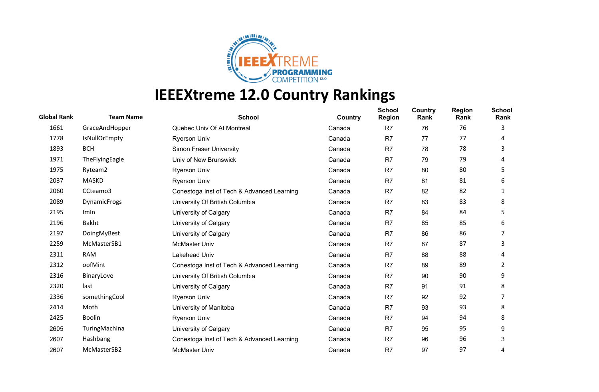

| <b>Global Rank</b> | <b>Team Name</b>    | <b>School</b>                              | Country | <b>School</b><br><b>Region</b> | Country<br>Rank | <b>Region</b><br>Rank | <b>School</b><br>Rank |
|--------------------|---------------------|--------------------------------------------|---------|--------------------------------|-----------------|-----------------------|-----------------------|
| 1661               | GraceAndHopper      | Quebec Univ Of At Montreal                 | Canada  | R <sub>7</sub>                 | 76              | 76                    | 3                     |
| 1778               | IsNullOrEmpty       | <b>Ryerson Univ</b>                        | Canada  | R7                             | 77              | 77                    | 4                     |
| 1893               | <b>BCH</b>          | <b>Simon Fraser University</b>             | Canada  | R7                             | 78              | 78                    | 3                     |
| 1971               | TheFlyingEagle      | Univ of New Brunswick                      | Canada  | R <sub>7</sub>                 | 79              | 79                    | 4                     |
| 1975               | Ryteam2             | <b>Ryerson Univ</b>                        | Canada  | R7                             | 80              | 80                    | 5                     |
| 2037               | <b>MASKD</b>        | Ryerson Univ                               | Canada  | R7                             | 81              | 81                    | 6                     |
| 2060               | CCteamo3            | Conestoga Inst of Tech & Advanced Learning | Canada  | R7                             | 82              | 82                    | 1                     |
| 2089               | <b>DynamicFrogs</b> | University Of British Columbia             | Canada  | R <sub>7</sub>                 | 83              | 83                    | 8                     |
| 2195               | Imln                | University of Calgary                      | Canada  | R <sub>7</sub>                 | 84              | 84                    | 5                     |
| 2196               | Bakht               | University of Calgary                      | Canada  | R <sub>7</sub>                 | 85              | 85                    | 6                     |
| 2197               | DoingMyBest         | University of Calgary                      | Canada  | R <sub>7</sub>                 | 86              | 86                    |                       |
| 2259               | McMasterSB1         | <b>McMaster Univ</b>                       | Canada  | R7                             | 87              | 87                    | 3                     |
| 2311               | <b>RAM</b>          | Lakehead Univ                              | Canada  | R <sub>7</sub>                 | 88              | 88                    | 4                     |
| 2312               | oofMint             | Conestoga Inst of Tech & Advanced Learning | Canada  | R <sub>7</sub>                 | 89              | 89                    | 2                     |
| 2316               | BinaryLove          | University Of British Columbia             | Canada  | R7                             | 90              | 90                    | 9                     |
| 2320               | last                | University of Calgary                      | Canada  | R7                             | 91              | 91                    | 8                     |
| 2336               | somethingCool       | <b>Ryerson Univ</b>                        | Canada  | R7                             | 92              | 92                    |                       |
| 2414               | Moth                | University of Manitoba                     | Canada  | R7                             | 93              | 93                    | 8                     |
| 2425               | <b>Boolin</b>       | <b>Ryerson Univ</b>                        | Canada  | R <sub>7</sub>                 | 94              | 94                    | 8                     |
| 2605               | TuringMachina       | University of Calgary                      | Canada  | R <sub>7</sub>                 | 95              | 95                    | 9                     |
| 2607               | Hashbang            | Conestoga Inst of Tech & Advanced Learning | Canada  | R <sub>7</sub>                 | 96              | 96                    | 3                     |
| 2607               | McMasterSB2         | <b>McMaster Univ</b>                       | Canada  | R7                             | 97              | 97                    | 4                     |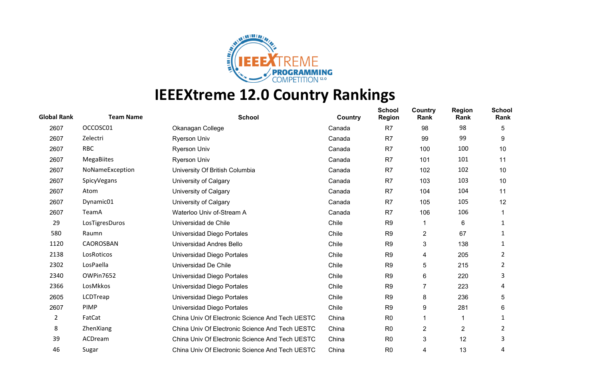

| <b>Global Rank</b> | <b>Team Name</b>  | <b>School</b>                                   | Country | <b>School</b><br><b>Region</b> | Country<br>Rank | <b>Region</b><br>Rank | <b>School</b><br>Rank |
|--------------------|-------------------|-------------------------------------------------|---------|--------------------------------|-----------------|-----------------------|-----------------------|
| 2607               | OCCOSC01          | Okanagan College                                | Canada  | R <sub>7</sub>                 | 98              | 98                    | 5                     |
| 2607               | Zelectri          | <b>Ryerson Univ</b>                             | Canada  | R7                             | 99              | 99                    | 9                     |
| 2607               | <b>RBC</b>        | <b>Ryerson Univ</b>                             | Canada  | R7                             | 100             | 100                   | 10                    |
| 2607               | <b>MegaBiites</b> | <b>Ryerson Univ</b>                             | Canada  | R <sub>7</sub>                 | 101             | 101                   | 11                    |
| 2607               | NoNameException   | University Of British Columbia                  | Canada  | R7                             | 102             | 102                   | 10                    |
| 2607               | SpicyVegans       | University of Calgary                           | Canada  | R <sub>7</sub>                 | 103             | 103                   | 10                    |
| 2607               | Atom              | University of Calgary                           | Canada  | R <sub>7</sub>                 | 104             | 104                   | 11                    |
| 2607               | Dynamic01         | University of Calgary                           | Canada  | R <sub>7</sub>                 | 105             | 105                   | 12                    |
| 2607               | TeamA             | Waterloo Univ of-Stream A                       | Canada  | R <sub>7</sub>                 | 106             | 106                   |                       |
| 29                 | LosTigresDuros    | Universidad de Chile                            | Chile   | R <sub>9</sub>                 | 1               | 6                     |                       |
| 580                | Raumn             | Universidad Diego Portales                      | Chile   | R <sub>9</sub>                 | 2               | 67                    | 1                     |
| 1120               | CAOROSBAN         | Universidad Andres Bello                        | Chile   | R <sub>9</sub>                 | 3               | 138                   | 1                     |
| 2138               | LosRoticos        | Universidad Diego Portales                      | Chile   | R <sub>9</sub>                 | 4               | 205                   | 2                     |
| 2302               | LosPaella         | Universidad De Chile                            | Chile   | R <sub>9</sub>                 | 5               | 215                   | 2                     |
| 2340               | OWPin7652         | Universidad Diego Portales                      | Chile   | R <sub>9</sub>                 | 6               | 220                   | 3                     |
| 2366               | LosMkkos          | Universidad Diego Portales                      | Chile   | R <sub>9</sub>                 | 7               | 223                   | 4                     |
| 2605               | LCDTreap          | Universidad Diego Portales                      | Chile   | R <sub>9</sub>                 | 8               | 236                   | 5                     |
| 2607               | <b>PIMP</b>       | Universidad Diego Portales                      | Chile   | R <sub>9</sub>                 | 9               | 281                   | 6                     |
| 2                  | FatCat            | China Univ Of Electronic Science And Tech UESTC | China   | R <sub>0</sub>                 | 1               |                       | 1                     |
| 8                  | ZhenXiang         | China Univ Of Electronic Science And Tech UESTC | China   | R <sub>0</sub>                 | 2               | $\overline{2}$        | 2                     |
| 39                 | ACDream           | China Univ Of Electronic Science And Tech UESTC | China   | R <sub>0</sub>                 | 3               | 12                    | 3                     |
| 46                 | Sugar             | China Univ Of Electronic Science And Tech UESTC | China   | R <sub>0</sub>                 | 4               | 13                    | 4                     |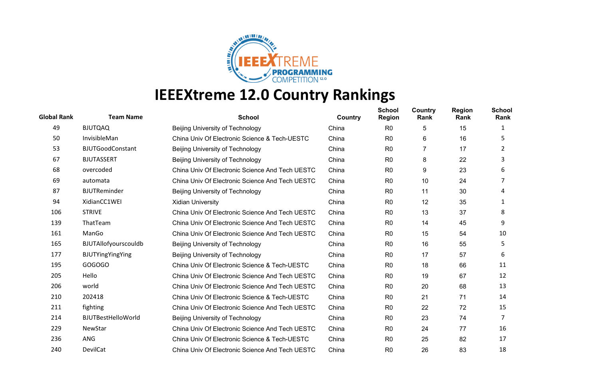

| <b>Global Rank</b> | <b>Team Name</b>          | <b>School</b>                                   | <b>Country</b> | <b>School</b><br><b>Region</b> | <b>Country</b><br>Rank | <b>Region</b><br>Rank | <b>School</b><br>Rank |
|--------------------|---------------------------|-------------------------------------------------|----------------|--------------------------------|------------------------|-----------------------|-----------------------|
| 49                 | <b>BJUTQAQ</b>            | Beijing University of Technology                | China          | R <sub>0</sub>                 | 5                      | 15                    |                       |
| 50                 | InvisibleMan              | China Univ Of Electronic Science & Tech-UESTC   | China          | R <sub>0</sub>                 | 6                      | 16                    | 5.                    |
| 53                 | <b>BJUTGoodConstant</b>   | Beijing University of Technology                | China          | R <sub>0</sub>                 | 7                      | 17                    | 2                     |
| 67                 | <b>BJUTASSERT</b>         | Beijing University of Technology                | China          | R <sub>0</sub>                 | 8                      | 22                    | 3                     |
| 68                 | overcoded                 | China Univ Of Electronic Science And Tech UESTC | China          | R <sub>0</sub>                 | 9                      | 23                    | 6                     |
| 69                 | automata                  | China Univ Of Electronic Science And Tech UESTC | China          | R <sub>0</sub>                 | 10                     | 24                    |                       |
| 87                 | <b>BJUTReminder</b>       | Beijing University of Technology                | China          | R <sub>0</sub>                 | 11                     | 30                    | 4                     |
| 94                 | XidianCC1WEI              | <b>Xidian University</b>                        | China          | R <sub>0</sub>                 | 12                     | 35                    | 1                     |
| 106                | <b>STRIVE</b>             | China Univ Of Electronic Science And Tech UESTC | China          | R <sub>0</sub>                 | 13                     | 37                    | 8                     |
| 139                | ThatTeam                  | China Univ Of Electronic Science And Tech UESTC | China          | R <sub>0</sub>                 | 14                     | 45                    | 9                     |
| 161                | ManGo                     | China Univ Of Electronic Science And Tech UESTC | China          | R <sub>0</sub>                 | 15                     | 54                    | 10                    |
| 165                | BJUTAllofyourscouldb      | Beijing University of Technology                | China          | R <sub>0</sub>                 | 16                     | 55                    | 5.                    |
| 177                | BJUTYingYingYing          | Beijing University of Technology                | China          | R <sub>0</sub>                 | 17                     | 57                    | 6                     |
| 195                | GOGOGO                    | China Univ Of Electronic Science & Tech-UESTC   | China          | R <sub>0</sub>                 | 18                     | 66                    | 11                    |
| 205                | Hello                     | China Univ Of Electronic Science And Tech UESTC | China          | R <sub>0</sub>                 | 19                     | 67                    | 12                    |
| 206                | world                     | China Univ Of Electronic Science And Tech UESTC | China          | R <sub>0</sub>                 | 20                     | 68                    | 13                    |
| 210                | 202418                    | China Univ Of Electronic Science & Tech-UESTC   | China          | R <sub>0</sub>                 | 21                     | 71                    | 14                    |
| 211                | fighting                  | China Univ Of Electronic Science And Tech UESTC | China          | R <sub>0</sub>                 | 22                     | 72                    | 15                    |
| 214                | <b>BJUTBestHelloWorld</b> | Beijing University of Technology                | China          | R <sub>0</sub>                 | 23                     | 74                    | 7                     |
| 229                | NewStar                   | China Univ Of Electronic Science And Tech UESTC | China          | R <sub>0</sub>                 | 24                     | 77                    | 16                    |
| 236                | ANG                       | China Univ Of Electronic Science & Tech-UESTC   | China          | R <sub>0</sub>                 | 25                     | 82                    | 17                    |
| 240                | DevilCat                  | China Univ Of Electronic Science And Tech UESTC | China          | R <sub>0</sub>                 | 26                     | 83                    | 18                    |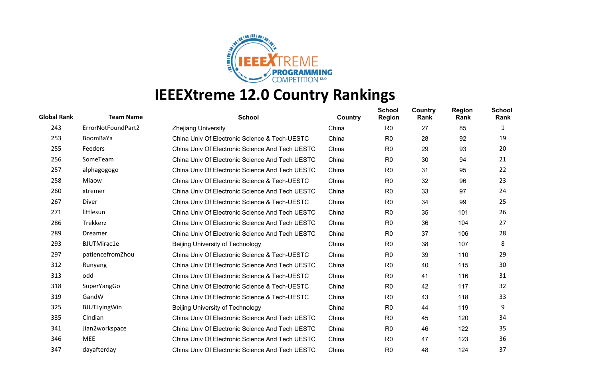

| <b>Global Rank</b> | <b>Team Name</b>    | <b>School</b>                                   | Country | <b>School</b><br><b>Region</b> | Country<br>Rank | <b>Region</b><br>Rank | <b>School</b><br>Rank |
|--------------------|---------------------|-------------------------------------------------|---------|--------------------------------|-----------------|-----------------------|-----------------------|
| 243                | ErrorNotFoundPart2  | <b>Zhejiang University</b>                      | China   | R <sub>0</sub>                 | 27              | 85                    | 1                     |
| 253                | BoomBaYa            | China Univ Of Electronic Science & Tech-UESTC   | China   | R <sub>0</sub>                 | 28              | 92                    | 19                    |
| 255                | Feeders             | China Univ Of Electronic Science And Tech UESTC | China   | R <sub>0</sub>                 | 29              | 93                    | 20                    |
| 256                | SomeTeam            | China Univ Of Electronic Science And Tech UESTC | China   | R <sub>0</sub>                 | 30              | 94                    | 21                    |
| 257                | alphagogogo         | China Univ Of Electronic Science And Tech UESTC | China   | R <sub>0</sub>                 | 31              | 95                    | 22                    |
| 258                | Miaow               | China Univ Of Electronic Science & Tech-UESTC   | China   | R <sub>0</sub>                 | 32              | 96                    | 23                    |
| 260                | xtremer             | China Univ Of Electronic Science And Tech UESTC | China   | R <sub>0</sub>                 | 33              | 97                    | 24                    |
| 267                | Diver               | China Univ Of Electronic Science & Tech-UESTC   | China   | R <sub>0</sub>                 | 34              | 99                    | 25                    |
| 271                | littlesun           | China Univ Of Electronic Science And Tech UESTC | China   | R <sub>0</sub>                 | 35              | 101                   | 26                    |
| 286                | Trekkerz            | China Univ Of Electronic Science And Tech UESTC | China   | R <sub>0</sub>                 | 36              | 104                   | 27                    |
| 289                | Dreamer             | China Univ Of Electronic Science And Tech UESTC | China   | R <sub>0</sub>                 | 37              | 106                   | 28                    |
| 293                | <b>BJUTMirac1e</b>  | Beijing University of Technology                | China   | R <sub>0</sub>                 | 38              | 107                   | 8                     |
| 297                | patiencefromZhou    | China Univ Of Electronic Science & Tech-UESTC   | China   | R <sub>0</sub>                 | 39              | 110                   | 29                    |
| 312                | Runyang             | China Univ Of Electronic Science And Tech UESTC | China   | R <sub>0</sub>                 | 40              | 115                   | 30                    |
| 313                | odd                 | China Univ Of Electronic Science & Tech-UESTC   | China   | R <sub>0</sub>                 | 41              | 116                   | 31                    |
| 318                | SuperYangGo         | China Univ Of Electronic Science & Tech-UESTC   | China   | R <sub>0</sub>                 | 42              | 117                   | 32                    |
| 319                | GandW               | China Univ Of Electronic Science & Tech-UESTC   | China   | R <sub>0</sub>                 | 43              | 118                   | 33                    |
| 325                | <b>BJUTLyingWin</b> | <b>Beijing University of Technology</b>         | China   | R <sub>0</sub>                 | 44              | 119                   | 9                     |
| 335                | CIndian             | China Univ Of Electronic Science And Tech UESTC | China   | R <sub>0</sub>                 | 45              | 120                   | 34                    |
| 341                | Jian2workspace      | China Univ Of Electronic Science And Tech UESTC | China   | R <sub>0</sub>                 | 46              | 122                   | 35                    |
| 346                | <b>MEE</b>          | China Univ Of Electronic Science And Tech UESTC | China   | R <sub>0</sub>                 | 47              | 123                   | 36                    |
| 347                | dayafterday         | China Univ Of Electronic Science And Tech UESTC | China   | R <sub>0</sub>                 | 48              | 124                   | 37                    |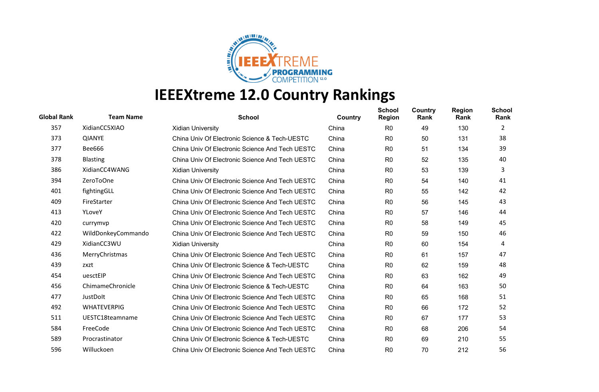

| <b>Global Rank</b> | <b>Team Name</b>   | <b>School</b>                                   | Country | <b>School</b><br><b>Region</b> | Country<br>Rank | <b>Region</b><br>Rank | <b>School</b><br>Rank |
|--------------------|--------------------|-------------------------------------------------|---------|--------------------------------|-----------------|-----------------------|-----------------------|
| 357                | XidianCC5XIAO      | <b>Xidian University</b>                        | China   | R <sub>0</sub>                 | 49              | 130                   | 2                     |
| 373                | <b>QIANYE</b>      | China Univ Of Electronic Science & Tech-UESTC   | China   | R <sub>0</sub>                 | 50              | 131                   | 38                    |
| 377                | Bee666             | China Univ Of Electronic Science And Tech UESTC | China   | R <sub>0</sub>                 | 51              | 134                   | 39                    |
| 378                | <b>Blasting</b>    | China Univ Of Electronic Science And Tech UESTC | China   | R <sub>0</sub>                 | 52              | 135                   | 40                    |
| 386                | XidianCC4WANG      | <b>Xidian University</b>                        | China   | R <sub>0</sub>                 | 53              | 139                   | 3                     |
| 394                | ZeroToOne          | China Univ Of Electronic Science And Tech UESTC | China   | R <sub>0</sub>                 | 54              | 140                   | 41                    |
| 401                | fightingGLL        | China Univ Of Electronic Science And Tech UESTC | China   | R <sub>0</sub>                 | 55              | 142                   | 42                    |
| 409                | FireStarter        | China Univ Of Electronic Science And Tech UESTC | China   | R <sub>0</sub>                 | 56              | 145                   | 43                    |
| 413                | YLoveY             | China Univ Of Electronic Science And Tech UESTC | China   | R <sub>0</sub>                 | 57              | 146                   | 44                    |
| 420                | currymvp           | China Univ Of Electronic Science And Tech UESTC | China   | R <sub>0</sub>                 | 58              | 149                   | 45                    |
| 422                | WildDonkeyCommando | China Univ Of Electronic Science And Tech UESTC | China   | R <sub>0</sub>                 | 59              | 150                   | 46                    |
| 429                | XidianCC3WU        | <b>Xidian University</b>                        | China   | R <sub>0</sub>                 | 60              | 154                   | 4                     |
| 436                | MerryChristmas     | China Univ Of Electronic Science And Tech UESTC | China   | R <sub>0</sub>                 | 61              | 157                   | 47                    |
| 439                | zxzt               | China Univ Of Electronic Science & Tech-UESTC   | China   | R <sub>0</sub>                 | 62              | 159                   | 48                    |
| 454                | uesctEIP           | China Univ Of Electronic Science And Tech UESTC | China   | R <sub>0</sub>                 | 63              | 162                   | 49                    |
| 456                | ChimameChronicle   | China Univ Of Electronic Science & Tech-UESTC   | China   | R <sub>0</sub>                 | 64              | 163                   | 50                    |
| 477                | JustDolt           | China Univ Of Electronic Science And Tech UESTC | China   | R <sub>0</sub>                 | 65              | 168                   | 51                    |
| 492                | <b>WHATEVERPIG</b> | China Univ Of Electronic Science And Tech UESTC | China   | R <sub>0</sub>                 | 66              | 172                   | 52                    |
| 511                | UESTC18teamname    | China Univ Of Electronic Science And Tech UESTC | China   | R <sub>0</sub>                 | 67              | 177                   | 53                    |
| 584                | FreeCode           | China Univ Of Electronic Science And Tech UESTC | China   | R <sub>0</sub>                 | 68              | 206                   | 54                    |
| 589                | Procrastinator     | China Univ Of Electronic Science & Tech-UESTC   | China   | R <sub>0</sub>                 | 69              | 210                   | 55                    |
| 596                | Willuckoen         | China Univ Of Electronic Science And Tech UESTC | China   | R <sub>0</sub>                 | 70              | 212                   | 56                    |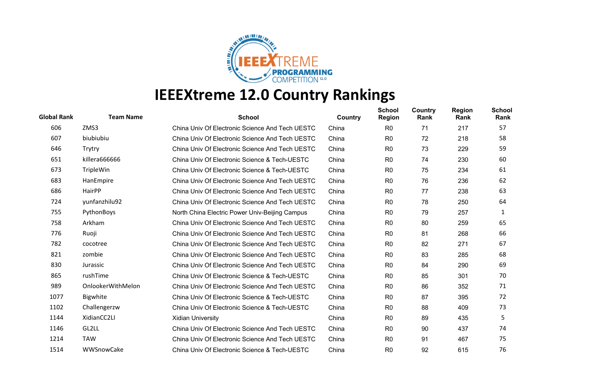

| <b>Global Rank</b> | <b>Team Name</b>  | <b>School</b>                                   | Country | <b>School</b><br><b>Region</b> | Country<br>Rank | <b>Region</b><br>Rank | <b>School</b><br>Rank |
|--------------------|-------------------|-------------------------------------------------|---------|--------------------------------|-----------------|-----------------------|-----------------------|
| 606                | ZMS3              | China Univ Of Electronic Science And Tech UESTC | China   | R <sub>0</sub>                 | 71              | 217                   | 57                    |
| 607                | biubiubiu         | China Univ Of Electronic Science And Tech UESTC | China   | R <sub>0</sub>                 | 72              | 218                   | 58                    |
| 646                | Trytry            | China Univ Of Electronic Science And Tech UESTC | China   | R <sub>0</sub>                 | 73              | 229                   | 59                    |
| 651                | killera666666     | China Univ Of Electronic Science & Tech-UESTC   | China   | R <sub>0</sub>                 | 74              | 230                   | 60                    |
| 673                | TripleWin         | China Univ Of Electronic Science & Tech-UESTC   | China   | R <sub>0</sub>                 | 75              | 234                   | 61                    |
| 683                | HanEmpire         | China Univ Of Electronic Science And Tech UESTC | China   | R <sub>0</sub>                 | 76              | 236                   | 62                    |
| 686                | HairPP            | China Univ Of Electronic Science And Tech UESTC | China   | R <sub>0</sub>                 | 77              | 238                   | 63                    |
| 724                | yunfanzhilu92     | China Univ Of Electronic Science And Tech UESTC | China   | R <sub>0</sub>                 | 78              | 250                   | 64                    |
| 755                | PythonBoys        | North China Electric Power Univ-Beijing Campus  | China   | R <sub>0</sub>                 | 79              | 257                   | 1                     |
| 758                | Arkham            | China Univ Of Electronic Science And Tech UESTC | China   | R <sub>0</sub>                 | 80              | 259                   | 65                    |
| 776                | Ruoji             | China Univ Of Electronic Science And Tech UESTC | China   | R <sub>0</sub>                 | 81              | 268                   | 66                    |
| 782                | cocotree          | China Univ Of Electronic Science And Tech UESTC | China   | R <sub>0</sub>                 | 82              | 271                   | 67                    |
| 821                | zombie            | China Univ Of Electronic Science And Tech UESTC | China   | R <sub>0</sub>                 | 83              | 285                   | 68                    |
| 830                | Jurassic          | China Univ Of Electronic Science And Tech UESTC | China   | R <sub>0</sub>                 | 84              | 290                   | 69                    |
| 865                | rushTime          | China Univ Of Electronic Science & Tech-UESTC   | China   | R <sub>0</sub>                 | 85              | 301                   | 70                    |
| 989                | OnlookerWithMelon | China Univ Of Electronic Science And Tech UESTC | China   | R <sub>0</sub>                 | 86              | 352                   | 71                    |
| 1077               | Bigwhite          | China Univ Of Electronic Science & Tech-UESTC   | China   | R <sub>0</sub>                 | 87              | 395                   | 72                    |
| 1102               | Challengerzw      | China Univ Of Electronic Science & Tech-UESTC   | China   | R <sub>0</sub>                 | 88              | 409                   | 73                    |
| 1144               | XidianCC2LI       | <b>Xidian University</b>                        | China   | R <sub>0</sub>                 | 89              | 435                   | 5                     |
| 1146               | GL2LL             | China Univ Of Electronic Science And Tech UESTC | China   | R <sub>0</sub>                 | 90              | 437                   | 74                    |
| 1214               | <b>TAW</b>        | China Univ Of Electronic Science And Tech UESTC | China   | R <sub>0</sub>                 | 91              | 467                   | 75                    |
| 1514               | WWSnowCake        | China Univ Of Electronic Science & Tech-UESTC   | China   | R <sub>0</sub>                 | 92              | 615                   | 76                    |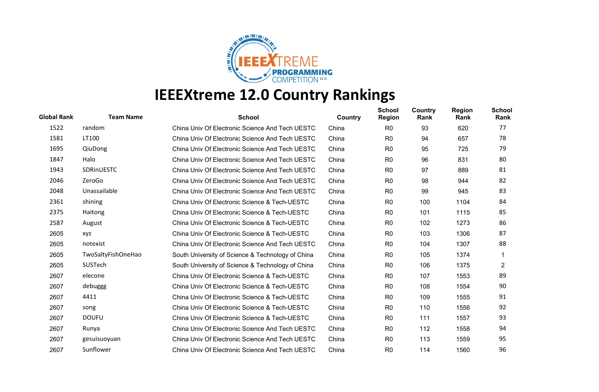

| <b>Global Rank</b> | <b>Team Name</b>   | <b>School</b>                                     | Country | <b>School</b><br><b>Region</b> | <b>Country</b><br>Rank | <b>Region</b><br>Rank | <b>School</b><br>Rank |
|--------------------|--------------------|---------------------------------------------------|---------|--------------------------------|------------------------|-----------------------|-----------------------|
| 1522               | random             | China Univ Of Electronic Science And Tech UESTC   | China   | R <sub>0</sub>                 | 93                     | 620                   | 77                    |
| 1581               | LT100              | China Univ Of Electronic Science And Tech UESTC   | China   | R <sub>0</sub>                 | 94                     | 657                   | 78                    |
| 1695               | QiuDong            | China Univ Of Electronic Science And Tech UESTC   | China   | R <sub>0</sub>                 | 95                     | 725                   | 79                    |
| 1847               | Halo               | China Univ Of Electronic Science And Tech UESTC   | China   | R <sub>0</sub>                 | 96                     | 831                   | 80                    |
| 1943               | <b>SDRINUESTC</b>  | China Univ Of Electronic Science And Tech UESTC   | China   | R <sub>0</sub>                 | 97                     | 889                   | 81                    |
| 2046               | ZeroGo             | China Univ Of Electronic Science And Tech UESTC   | China   | R <sub>0</sub>                 | 98                     | 944                   | 82                    |
| 2048               | Unassailable       | China Univ Of Electronic Science And Tech UESTC   | China   | R <sub>0</sub>                 | 99                     | 945                   | 83                    |
| 2361               | shining            | China Univ Of Electronic Science & Tech-UESTC     | China   | R <sub>0</sub>                 | 100                    | 1104                  | 84                    |
| 2375               | Haitong            | China Univ Of Electronic Science & Tech-UESTC     | China   | R <sub>0</sub>                 | 101                    | 1115                  | 85                    |
| 2587               | August             | China Univ Of Electronic Science & Tech-UESTC     | China   | R <sub>0</sub>                 | 102                    | 1273                  | 86                    |
| 2605               | xyz                | China Univ Of Electronic Science & Tech-UESTC     | China   | R <sub>0</sub>                 | 103                    | 1306                  | 87                    |
| 2605               | notexist           | China Univ Of Electronic Science And Tech UESTC   | China   | R <sub>0</sub>                 | 104                    | 1307                  | 88                    |
| 2605               | TwoSaltyFishOneHao | South University of Science & Technology of China | China   | R <sub>0</sub>                 | 105                    | 1374                  |                       |
| 2605               | SUSTech            | South University of Science & Technology of China | China   | R <sub>0</sub>                 | 106                    | 1375                  | $\overline{2}$        |
| 2607               | elecone            | China Univ Of Electronic Science & Tech-UESTC     | China   | R <sub>0</sub>                 | 107                    | 1553                  | 89                    |
| 2607               | debuggg            | China Univ Of Electronic Science & Tech-UESTC     | China   | R <sub>0</sub>                 | 108                    | 1554                  | 90                    |
| 2607               | 4411               | China Univ Of Electronic Science & Tech-UESTC     | China   | R <sub>0</sub>                 | 109                    | 1555                  | 91                    |
| 2607               | song               | China Univ Of Electronic Science & Tech-UESTC     | China   | R <sub>0</sub>                 | 110                    | 1556                  | 92                    |
| 2607               | <b>DOUFU</b>       | China Univ Of Electronic Science & Tech-UESTC     | China   | R <sub>0</sub>                 | 111                    | 1557                  | 93                    |
| 2607               | Runya              | China Univ Of Electronic Science And Tech UESTC   | China   | R <sub>0</sub>                 | 112                    | 1558                  | 94                    |
| 2607               | gesuisuoyuan       | China Univ Of Electronic Science And Tech UESTC   | China   | R <sub>0</sub>                 | 113                    | 1559                  | 95                    |
| 2607               | Sunflower          | China Univ Of Electronic Science And Tech UESTC   | China   | R <sub>0</sub>                 | 114                    | 1560                  | 96                    |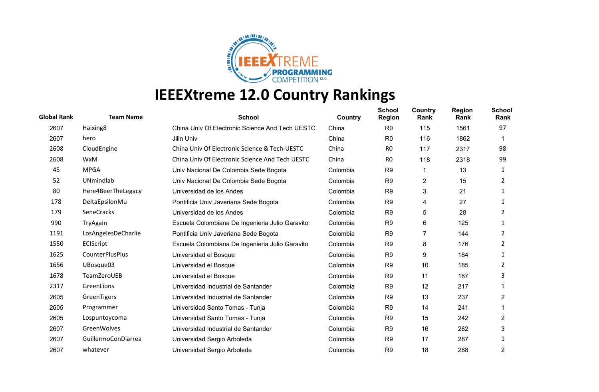

| <b>Global Rank</b> | <b>Team Name</b>    | <b>School</b>                                   | Country  | <b>School</b><br><b>Region</b> | Country<br>Rank | <b>Region</b><br>Rank | <b>School</b><br>Rank |
|--------------------|---------------------|-------------------------------------------------|----------|--------------------------------|-----------------|-----------------------|-----------------------|
| 2607               | Haixing8            | China Univ Of Electronic Science And Tech UESTC | China    | R <sub>0</sub>                 | 115             | 1561                  | 97                    |
| 2607               | hero                | Jilin Univ                                      | China    | R <sub>0</sub>                 | 116             | 1862                  |                       |
| 2608               | CloudEngine         | China Univ Of Electronic Science & Tech-UESTC   | China    | R <sub>0</sub>                 | 117             | 2317                  | 98                    |
| 2608               | WxM                 | China Univ Of Electronic Science And Tech UESTC | China    | R <sub>0</sub>                 | 118             | 2318                  | 99                    |
| 45                 | <b>MPGA</b>         | Univ Nacional De Colombia Sede Bogota           | Colombia | R <sub>9</sub>                 | 1               | 13                    | 1                     |
| 52                 | <b>UNmindlab</b>    | Univ Nacional De Colombia Sede Bogota           | Colombia | R <sub>9</sub>                 | $\overline{c}$  | 15                    | 2                     |
| 80                 | Here4BeerTheLegacy  | Universidad de los Andes                        | Colombia | R <sub>9</sub>                 | 3               | 21                    | 1                     |
| 178                | DeltaEpsilonMu      | Pontificia Univ Javeriana Sede Bogota           | Colombia | R <sub>9</sub>                 | 4               | 27                    | 1                     |
| 179                | <b>SeneCracks</b>   | Universidad de los Andes                        | Colombia | R <sub>9</sub>                 | 5               | 28                    | 2                     |
| 990                | TryAgain            | Escuela Colombiana De Ingenieria Julio Garavito | Colombia | R <sub>9</sub>                 | 6               | 125                   |                       |
| 1191               | LosAngelesDeCharlie | Pontificia Univ Javeriana Sede Bogota           | Colombia | R <sub>9</sub>                 | 7               | 144                   | 2                     |
| 1550               | ECIScript           | Escuela Colombiana De Ingenieria Julio Garavito | Colombia | R <sub>9</sub>                 | 8               | 176                   | $\overline{2}$        |
| 1625               | CounterPlusPlus     | Universidad el Bosque                           | Colombia | R <sub>9</sub>                 | 9               | 184                   | 1                     |
| 1656               | UBosque03           | Universidad el Bosque                           | Colombia | R <sub>9</sub>                 | 10              | 185                   | 2                     |
| 1678               | TeamZeroUEB         | Universidad el Bosque                           | Colombia | R <sub>9</sub>                 | 11              | 187                   | 3                     |
| 2317               | GreenLions          | Universidad Industrial de Santander             | Colombia | R <sub>9</sub>                 | 12              | 217                   | 1                     |
| 2605               | GreenTigers         | Universidad Industrial de Santander             | Colombia | R <sub>9</sub>                 | 13              | 237                   | 2                     |
| 2605               | Programmer          | Universidad Santo Tomas - Tunja                 | Colombia | R <sub>9</sub>                 | 14              | 241                   |                       |
| 2605               | Lospuntoycoma       | Universidad Santo Tomas - Tunja                 | Colombia | R <sub>9</sub>                 | 15              | 242                   | $\overline{c}$        |
| 2607               | GreenWolves         | Universidad Industrial de Santander             | Colombia | R <sub>9</sub>                 | 16              | 282                   | 3                     |
| 2607               | GuillermoConDiarrea | Universidad Sergio Arboleda                     | Colombia | R <sub>9</sub>                 | 17              | 287                   | 1                     |
| 2607               | whatever            | Universidad Sergio Arboleda                     | Colombia | R <sub>9</sub>                 | 18              | 288                   | 2                     |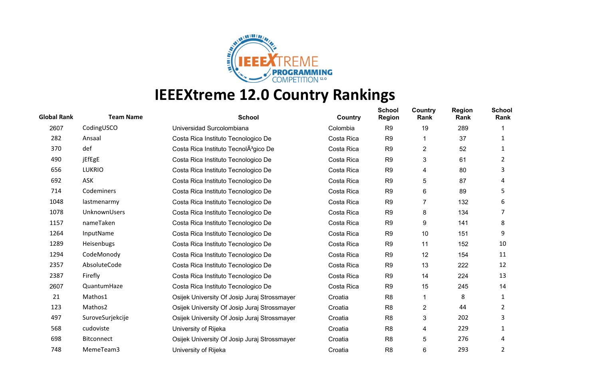

| <b>Global Rank</b> | <b>Team Name</b> | <b>School</b>                                     | Country    | <b>School</b><br><b>Region</b> | Country<br>Rank | <b>Region</b><br>Rank | <b>School</b><br>Rank |
|--------------------|------------------|---------------------------------------------------|------------|--------------------------------|-----------------|-----------------------|-----------------------|
| 2607               | CodingUSCO       | Universidad Surcolombiana                         | Colombia   | R <sub>9</sub>                 | 19              | 289                   |                       |
| 282                | Ansaal           | Costa Rica Instituto Tecnologico De               | Costa Rica | R <sub>9</sub>                 |                 | 37                    | 1                     |
| 370                | def              | Costa Rica Instituto TecnolA <sup>3</sup> gico De | Costa Rica | R <sub>9</sub>                 | 2               | 52                    |                       |
| 490                | jEfEgE           | Costa Rica Instituto Tecnologico De               | Costa Rica | R <sub>9</sub>                 | 3               | 61                    | 2                     |
| 656                | <b>LUKRIO</b>    | Costa Rica Instituto Tecnologico De               | Costa Rica | R <sub>9</sub>                 | 4               | 80                    | 3                     |
| 692                | ASK              | Costa Rica Instituto Tecnologico De               | Costa Rica | R <sub>9</sub>                 | 5               | 87                    | 4                     |
| 714                | Codeminers       | Costa Rica Instituto Tecnologico De               | Costa Rica | R <sub>9</sub>                 | 6               | 89                    | 5                     |
| 1048               | lastmenarmy      | Costa Rica Instituto Tecnologico De               | Costa Rica | R <sub>9</sub>                 | 7               | 132                   | 6                     |
| 1078               | UnknownUsers     | Costa Rica Instituto Tecnologico De               | Costa Rica | R <sub>9</sub>                 | 8               | 134                   |                       |
| 1157               | nameTaken        | Costa Rica Instituto Tecnologico De               | Costa Rica | R <sub>9</sub>                 | 9               | 141                   | 8                     |
| 1264               | InputName        | Costa Rica Instituto Tecnologico De               | Costa Rica | R <sub>9</sub>                 | 10              | 151                   | 9                     |
| 1289               | Heisenbugs       | Costa Rica Instituto Tecnologico De               | Costa Rica | R <sub>9</sub>                 | 11              | 152                   | 10                    |
| 1294               | CodeMonody       | Costa Rica Instituto Tecnologico De               | Costa Rica | R <sub>9</sub>                 | 12              | 154                   | 11                    |
| 2357               | AbsoluteCode     | Costa Rica Instituto Tecnologico De               | Costa Rica | R <sub>9</sub>                 | 13              | 222                   | 12                    |
| 2387               | Firefly          | Costa Rica Instituto Tecnologico De               | Costa Rica | R <sub>9</sub>                 | 14              | 224                   | 13                    |
| 2607               | QuantumHaze      | Costa Rica Instituto Tecnologico De               | Costa Rica | R <sub>9</sub>                 | 15              | 245                   | 14                    |
| 21                 | Mathos1          | Osijek University Of Josip Juraj Strossmayer      | Croatia    | R <sub>8</sub>                 |                 | 8                     | 1                     |
| 123                | Mathos2          | Osijek University Of Josip Juraj Strossmayer      | Croatia    | R <sub>8</sub>                 | 2               | 44                    | 2                     |
| 497                | SuroveSurjekcije | Osijek University Of Josip Juraj Strossmayer      | Croatia    | R <sub>8</sub>                 | 3               | 202                   | 3                     |
| 568                | cudoviste        | University of Rijeka                              | Croatia    | R <sub>8</sub>                 | 4               | 229                   |                       |
| 698                | Bitconnect       | Osijek University Of Josip Juraj Strossmayer      | Croatia    | R <sub>8</sub>                 | 5               | 276                   | 4                     |
| 748                | MemeTeam3        | University of Rijeka                              | Croatia    | R <sub>8</sub>                 | 6               | 293                   | 2                     |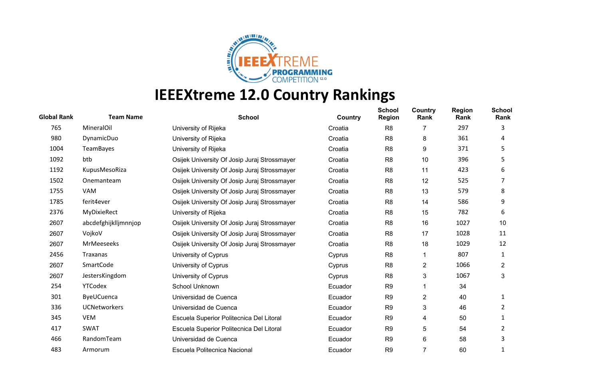

| <b>Global Rank</b> | <b>Team Name</b>     | <b>School</b>                                | Country | <b>School</b><br><b>Region</b> | Country<br>Rank | <b>Region</b><br>Rank | <b>School</b><br>Rank   |
|--------------------|----------------------|----------------------------------------------|---------|--------------------------------|-----------------|-----------------------|-------------------------|
| 765                | MineralOil           | University of Rijeka                         | Croatia | R <sub>8</sub>                 | 7               | 297                   | 3                       |
| 980                | DynamicDuo           | University of Rijeka                         | Croatia | R <sub>8</sub>                 | 8               | 361                   | 4                       |
| 1004               | TeamBayes            | University of Rijeka                         | Croatia | R <sub>8</sub>                 | 9               | 371                   | 5                       |
| 1092               | btb                  | Osijek University Of Josip Juraj Strossmayer | Croatia | R <sub>8</sub>                 | 10              | 396                   | 5                       |
| 1192               | KupusMesoRiza        | Osijek University Of Josip Juraj Strossmayer | Croatia | R <sub>8</sub>                 | 11              | 423                   | 6                       |
| 1502               | Onemanteam           | Osijek University Of Josip Juraj Strossmayer | Croatia | R <sub>8</sub>                 | 12              | 525                   |                         |
| 1755               | VAM                  | Osijek University Of Josip Juraj Strossmayer | Croatia | R <sub>8</sub>                 | 13              | 579                   | 8                       |
| 1785               | ferit4ever           | Osijek University Of Josip Juraj Strossmayer | Croatia | R <sub>8</sub>                 | 14              | 586                   | 9                       |
| 2376               | MyDixieRect          | University of Rijeka                         | Croatia | R <sub>8</sub>                 | 15              | 782                   | 6                       |
| 2607               | abcdefghijklljmnnjop | Osijek University Of Josip Juraj Strossmayer | Croatia | R <sub>8</sub>                 | 16              | 1027                  | 10                      |
| 2607               | VojkoV               | Osijek University Of Josip Juraj Strossmayer | Croatia | R <sub>8</sub>                 | 17              | 1028                  | 11                      |
| 2607               | <b>MrMeeseeks</b>    | Osijek University Of Josip Juraj Strossmayer | Croatia | R <sub>8</sub>                 | 18              | 1029                  | 12                      |
| 2456               | Traxanas             | University of Cyprus                         | Cyprus  | R <sub>8</sub>                 | 1               | 807                   | 1                       |
| 2607               | SmartCode            | University of Cyprus                         | Cyprus  | R <sub>8</sub>                 | $\overline{c}$  | 1066                  | $\overline{\mathbf{c}}$ |
| 2607               | JestersKingdom       | University of Cyprus                         | Cyprus  | R <sub>8</sub>                 | 3               | 1067                  | 3                       |
| 254                | <b>YTCodex</b>       | School Unknown                               | Ecuador | R <sub>9</sub>                 | 1               | 34                    |                         |
| 301                | ByeUCuenca           | Universidad de Cuenca                        | Ecuador | R <sub>9</sub>                 | $\overline{c}$  | 40                    | 1                       |
| 336                | <b>UCNetworkers</b>  | Universidad de Cuenca                        | Ecuador | R <sub>9</sub>                 | 3               | 46                    | 2                       |
| 345                | <b>VEM</b>           | Escuela Superior Politecnica Del Litoral     | Ecuador | R <sub>9</sub>                 | 4               | 50                    |                         |
| 417                | <b>SWAT</b>          | Escuela Superior Politecnica Del Litoral     | Ecuador | R <sub>9</sub>                 | 5               | 54                    | 2                       |
| 466                | RandomTeam           | Universidad de Cuenca                        | Ecuador | R <sub>9</sub>                 | 6               | 58                    | 3                       |
| 483                | Armorum              | Escuela Politecnica Nacional                 | Ecuador | R <sub>9</sub>                 | $\overline{7}$  | 60                    |                         |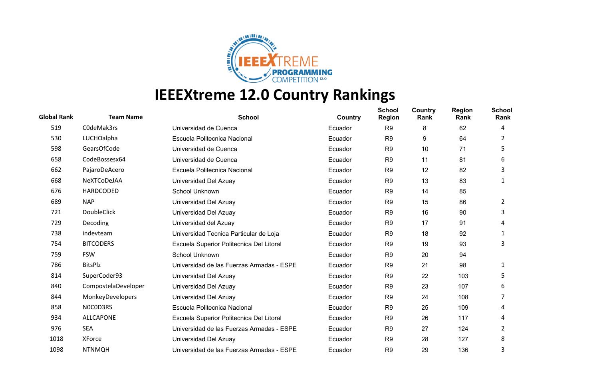

| <b>Global Rank</b> | <b>Team Name</b>    | <b>School</b>                             | Country | <b>School</b><br><b>Region</b> | Country<br>Rank | <b>Region</b><br>Rank | <b>School</b><br>Rank |
|--------------------|---------------------|-------------------------------------------|---------|--------------------------------|-----------------|-----------------------|-----------------------|
| 519                | C0deMak3rs          | Universidad de Cuenca                     | Ecuador | R <sub>9</sub>                 | 8               | 62                    | 4                     |
| 530                | LUCHOalpha          | Escuela Politecnica Nacional              | Ecuador | R <sub>9</sub>                 | 9               | 64                    | 2                     |
| 598                | GearsOfCode         | Universidad de Cuenca                     | Ecuador | R <sub>9</sub>                 | 10              | 71                    | 5                     |
| 658                | CodeBossesx64       | Universidad de Cuenca                     | Ecuador | R <sub>9</sub>                 | 11              | 81                    | 6                     |
| 662                | PajaroDeAcero       | Escuela Politecnica Nacional              | Ecuador | R <sub>9</sub>                 | 12              | 82                    | 3                     |
| 668                | NeXTCoDeJAA         | Universidad Del Azuay                     | Ecuador | R <sub>9</sub>                 | 13              | 83                    | 1                     |
| 676                | HARDCODED           | School Unknown                            | Ecuador | R <sub>9</sub>                 | 14              | 85                    |                       |
| 689                | <b>NAP</b>          | Universidad Del Azuay                     | Ecuador | R <sub>9</sub>                 | 15              | 86                    | 2                     |
| 721                | <b>DoubleClick</b>  | Universidad Del Azuay                     | Ecuador | R <sub>9</sub>                 | 16              | 90                    | 3                     |
| 729                | Decoding            | Universidad del Azuay                     | Ecuador | R <sub>9</sub>                 | 17              | 91                    | 4                     |
| 738                | indevteam           | Universidad Tecnica Particular de Loja    | Ecuador | R <sub>9</sub>                 | 18              | 92                    | 1                     |
| 754                | <b>BITCODERS</b>    | Escuela Superior Politecnica Del Litoral  | Ecuador | R <sub>9</sub>                 | 19              | 93                    | 3                     |
| 759                | <b>FSW</b>          | School Unknown                            | Ecuador | R <sub>9</sub>                 | 20              | 94                    |                       |
| 786                | <b>BitsPlz</b>      | Universidad de las Fuerzas Armadas - ESPE | Ecuador | R <sub>9</sub>                 | 21              | 98                    | 1                     |
| 814                | SuperCoder93        | Universidad Del Azuay                     | Ecuador | R <sub>9</sub>                 | 22              | 103                   | 5                     |
| 840                | CompostelaDeveloper | Universidad Del Azuay                     | Ecuador | R <sub>9</sub>                 | 23              | 107                   | 6                     |
| 844                | MonkeyDevelopers    | Universidad Del Azuay                     | Ecuador | R <sub>9</sub>                 | 24              | 108                   | 7                     |
| 858                | NOCOD3RS            | Escuela Politecnica Nacional              | Ecuador | R <sub>9</sub>                 | 25              | 109                   | 4                     |
| 934                | <b>ALLCAPONE</b>    | Escuela Superior Politecnica Del Litoral  | Ecuador | R <sub>9</sub>                 | 26              | 117                   | 4                     |
| 976                | <b>SEA</b>          | Universidad de las Fuerzas Armadas - ESPE | Ecuador | R <sub>9</sub>                 | 27              | 124                   | 2                     |
| 1018               | XForce              | Universidad Del Azuay                     | Ecuador | R <sub>9</sub>                 | 28              | 127                   | 8                     |
| 1098               | <b>NTNMQH</b>       | Universidad de las Fuerzas Armadas - ESPE | Ecuador | R <sub>9</sub>                 | 29              | 136                   | 3                     |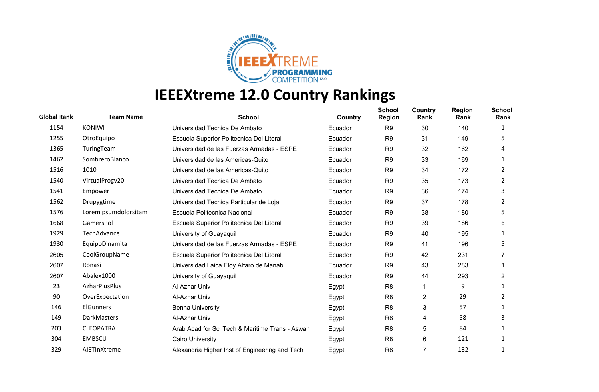

| <b>Global Rank</b> | <b>Team Name</b>     | <b>School</b>                                   | Country | <b>School</b><br><b>Region</b> | Country<br>Rank | <b>Region</b><br>Rank | <b>School</b><br>Rank |
|--------------------|----------------------|-------------------------------------------------|---------|--------------------------------|-----------------|-----------------------|-----------------------|
| 1154               | <b>KONIWI</b>        | Universidad Tecnica De Ambato                   | Ecuador | R <sub>9</sub>                 | 30              | 140                   | 1                     |
| 1255               | OtroEquipo           | Escuela Superior Politecnica Del Litoral        | Ecuador | R <sub>9</sub>                 | 31              | 149                   | 5.                    |
| 1365               | TuringTeam           | Universidad de las Fuerzas Armadas - ESPE       | Ecuador | R <sub>9</sub>                 | 32              | 162                   | 4                     |
| 1462               | SombreroBlanco       | Universidad de las Americas-Quito               | Ecuador | R <sub>9</sub>                 | 33              | 169                   | 1                     |
| 1516               | 1010                 | Universidad de las Americas-Quito               | Ecuador | R <sub>9</sub>                 | 34              | 172                   | 2                     |
| 1540               | VirtualProgv20       | Universidad Tecnica De Ambato                   | Ecuador | R <sub>9</sub>                 | 35              | 173                   | 2                     |
| 1541               | Empower              | Universidad Tecnica De Ambato                   | Ecuador | R <sub>9</sub>                 | 36              | 174                   | 3                     |
| 1562               | Drupygtime           | Universidad Tecnica Particular de Loja          | Ecuador | R <sub>9</sub>                 | 37              | 178                   | 2                     |
| 1576               | Loremipsumdolorsitam | Escuela Politecnica Nacional                    | Ecuador | R <sub>9</sub>                 | 38              | 180                   | 5                     |
| 1668               | GamersPol            | Escuela Superior Politecnica Del Litoral        | Ecuador | R <sub>9</sub>                 | 39              | 186                   | 6                     |
| 1929               | TechAdvance          | University of Guayaquil                         | Ecuador | R <sub>9</sub>                 | 40              | 195                   | 1                     |
| 1930               | EquipoDinamita       | Universidad de las Fuerzas Armadas - ESPE       | Ecuador | R <sub>9</sub>                 | 41              | 196                   | 5                     |
| 2605               | CoolGroupName        | Escuela Superior Politecnica Del Litoral        | Ecuador | R <sub>9</sub>                 | 42              | 231                   |                       |
| 2607               | Ronasi               | Universidad Laica Eloy Alfaro de Manabi         | Ecuador | R <sub>9</sub>                 | 43              | 283                   |                       |
| 2607               | Abalex1000           | University of Guayaquil                         | Ecuador | R <sub>9</sub>                 | 44              | 293                   | $\overline{c}$        |
| 23                 | AzharPlusPlus        | Al-Azhar Univ                                   | Egypt   | R <sub>8</sub>                 | 1               | 9                     | 1                     |
| 90                 | OverExpectation      | Al-Azhar Univ                                   | Egypt   | R <sub>8</sub>                 | $\overline{c}$  | 29                    | 2                     |
| 146                | <b>ElGunners</b>     | <b>Benha University</b>                         | Egypt   | R <sub>8</sub>                 | 3               | 57                    | 1                     |
| 149                | DarkMasters          | Al-Azhar Univ                                   | Egypt   | R <sub>8</sub>                 | 4               | 58                    | 3                     |
| 203                | <b>CLEOPATRA</b>     | Arab Acad for Sci Tech & Maritime Trans - Aswan | Egypt   | R <sub>8</sub>                 | 5               | 84                    |                       |
| 304                | <b>EMBSCU</b>        | <b>Cairo University</b>                         | Egypt   | R <sub>8</sub>                 | 6               | 121                   |                       |
| 329                | AIETInXtreme         | Alexandria Higher Inst of Engineering and Tech  | Egypt   | R <sub>8</sub>                 | $\overline{7}$  | 132                   |                       |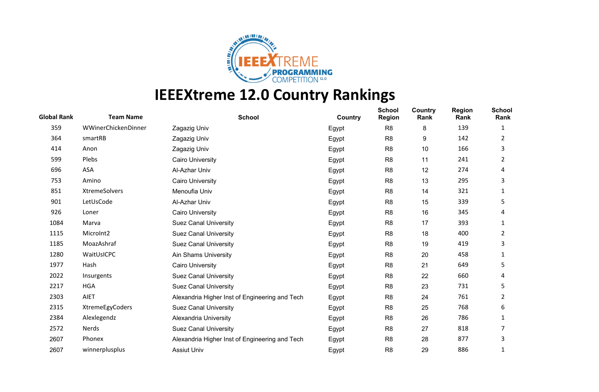

| <b>Global Rank</b> | <b>Team Name</b>    | <b>School</b>                                  | Country | <b>School</b><br><b>Region</b> | Country<br>Rank | <b>Region</b><br>Rank | <b>School</b><br>Rank |
|--------------------|---------------------|------------------------------------------------|---------|--------------------------------|-----------------|-----------------------|-----------------------|
| 359                | WWinerChickenDinner | Zagazig Univ                                   | Egypt   | R <sub>8</sub>                 | 8               | 139                   | 1                     |
| 364                | smartRB             | Zagazig Univ                                   | Egypt   | R <sub>8</sub>                 | 9               | 142                   | 2                     |
| 414                | Anon                | Zagazig Univ                                   | Egypt   | R <sub>8</sub>                 | 10              | 166                   | 3                     |
| 599                | Plebs               | <b>Cairo University</b>                        | Egypt   | R <sub>8</sub>                 | 11              | 241                   | 2                     |
| 696                | ASA                 | Al-Azhar Univ                                  | Egypt   | R <sub>8</sub>                 | 12              | 274                   | 4                     |
| 753                | Amino               | <b>Cairo University</b>                        | Egypt   | R <sub>8</sub>                 | 13              | 295                   | 3                     |
| 851                | XtremeSolvers       | Menoufia Univ                                  | Egypt   | R <sub>8</sub>                 | 14              | 321                   | 1                     |
| 901                | LetUsCode           | Al-Azhar Univ                                  | Egypt   | R <sub>8</sub>                 | 15              | 339                   | 5                     |
| 926                | Loner               | <b>Cairo University</b>                        | Egypt   | R <sub>8</sub>                 | 16              | 345                   | 4                     |
| 1084               | Marva               | <b>Suez Canal University</b>                   | Egypt   | R <sub>8</sub>                 | 17              | 393                   | 1                     |
| 1115               | MicroInt2           | <b>Suez Canal University</b>                   | Egypt   | R <sub>8</sub>                 | 18              | 400                   | 2                     |
| 1185               | MoazAshraf          | <b>Suez Canal University</b>                   | Egypt   | R <sub>8</sub>                 | 19              | 419                   | 3                     |
| 1280               | WaitUsICPC          | Ain Shams University                           | Egypt   | R <sub>8</sub>                 | 20              | 458                   | 1                     |
| 1977               | Hash                | <b>Cairo University</b>                        | Egypt   | R <sub>8</sub>                 | 21              | 649                   | 5                     |
| 2022               | Insurgents          | <b>Suez Canal University</b>                   | Egypt   | R <sub>8</sub>                 | 22              | 660                   | 4                     |
| 2217               | <b>HGA</b>          | <b>Suez Canal University</b>                   | Egypt   | R <sub>8</sub>                 | 23              | 731                   | 5                     |
| 2303               | <b>AIET</b>         | Alexandria Higher Inst of Engineering and Tech | Egypt   | R <sub>8</sub>                 | 24              | 761                   | 2                     |
| 2315               | XtremeEgyCoders     | <b>Suez Canal University</b>                   | Egypt   | R <sub>8</sub>                 | 25              | 768                   | 6                     |
| 2384               | Alexlegendz         | Alexandria University                          | Egypt   | R <sub>8</sub>                 | 26              | 786                   | 1                     |
| 2572               | Nerds               | <b>Suez Canal University</b>                   | Egypt   | R <sub>8</sub>                 | 27              | 818                   |                       |
| 2607               | Phonex              | Alexandria Higher Inst of Engineering and Tech | Egypt   | R <sub>8</sub>                 | 28              | 877                   | 3                     |
| 2607               | winnerplusplus      | <b>Assiut Univ</b>                             | Egypt   | R <sub>8</sub>                 | 29              | 886                   | 1                     |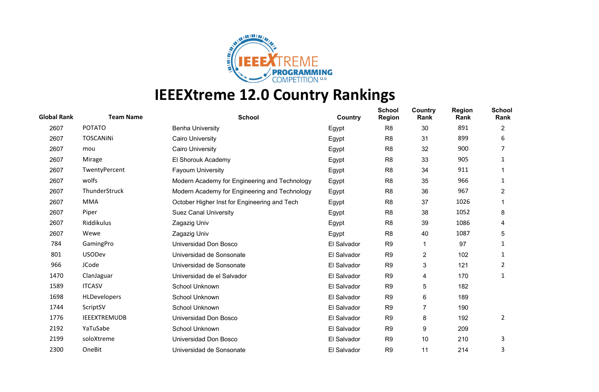

| <b>Global Rank</b> | <b>Team Name</b>    | <b>School</b>                                 | Country     | <b>School</b><br><b>Region</b> | Country<br>Rank | <b>Region</b><br>Rank | <b>School</b><br>Rank |
|--------------------|---------------------|-----------------------------------------------|-------------|--------------------------------|-----------------|-----------------------|-----------------------|
| 2607               | <b>POTATO</b>       | <b>Benha University</b>                       | Egypt       | R <sub>8</sub>                 | 30              | 891                   | $\overline{2}$        |
| 2607               | <b>TOSCANINI</b>    | <b>Cairo University</b>                       | Egypt       | R <sub>8</sub>                 | 31              | 899                   | 6                     |
| 2607               | mou                 | <b>Cairo University</b>                       | Egypt       | R <sub>8</sub>                 | 32              | 900                   |                       |
| 2607               | Mirage              | El Shorouk Academy                            | Egypt       | R <sub>8</sub>                 | 33              | 905                   | 1                     |
| 2607               | TwentyPercent       | <b>Fayoum University</b>                      | Egypt       | R <sub>8</sub>                 | 34              | 911                   |                       |
| 2607               | wolfs               | Modern Academy for Engineering and Technology | Egypt       | R <sub>8</sub>                 | 35              | 966                   | 1                     |
| 2607               | ThunderStruck       | Modern Academy for Engineering and Technology | Egypt       | R <sub>8</sub>                 | 36              | 967                   | 2                     |
| 2607               | <b>MMA</b>          | October Higher Inst for Engineering and Tech  | Egypt       | R <sub>8</sub>                 | 37              | 1026                  |                       |
| 2607               | Piper               | <b>Suez Canal University</b>                  | Egypt       | R <sub>8</sub>                 | 38              | 1052                  | 8                     |
| 2607               | Riddikulus          | Zagazig Univ                                  | Egypt       | R <sub>8</sub>                 | 39              | 1086                  | 4                     |
| 2607               | Wewe                | Zagazig Univ                                  | Egypt       | R <sub>8</sub>                 | 40              | 1087                  | 5                     |
| 784                | GamingPro           | Universidad Don Bosco                         | El Salvador | R <sub>9</sub>                 | 1               | 97                    | 1                     |
| 801                | <b>USODev</b>       | Universidad de Sonsonate                      | El Salvador | R <sub>9</sub>                 | 2               | 102                   | 1                     |
| 966                | JCode               | Universidad de Sonsonate                      | El Salvador | R <sub>9</sub>                 | 3               | 121                   | 2                     |
| 1470               | ClanJaguar          | Universidad de el Salvador                    | El Salvador | R <sub>9</sub>                 | 4               | 170                   | 1                     |
| 1589               | <b>ITCASV</b>       | School Unknown                                | El Salvador | R <sub>9</sub>                 | 5               | 182                   |                       |
| 1698               | <b>HLDevelopers</b> | School Unknown                                | El Salvador | R <sub>9</sub>                 | 6               | 189                   |                       |
| 1744               | ScriptSV            | School Unknown                                | El Salvador | R <sub>9</sub>                 | $\overline{7}$  | 190                   |                       |
| 1776               | <b>IEEEXTREMUDB</b> | Universidad Don Bosco                         | El Salvador | R <sub>9</sub>                 | 8               | 192                   | 2                     |
| 2192               | YaTuSabe            | School Unknown                                | El Salvador | R <sub>9</sub>                 | 9               | 209                   |                       |
| 2199               | soloXtreme          | Universidad Don Bosco                         | El Salvador | R <sub>9</sub>                 | 10              | 210                   | 3                     |
| 2300               | OneBit              | Universidad de Sonsonate                      | El Salvador | R <sub>9</sub>                 | 11              | 214                   | 3                     |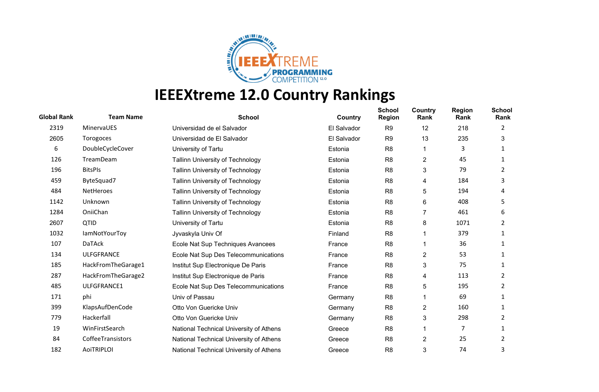

| <b>Global Rank</b> | <b>Team Name</b>     | <b>School</b>                           | Country     | <b>School</b><br><b>Region</b> | Country<br>Rank | <b>Region</b><br>Rank | <b>School</b><br>Rank |
|--------------------|----------------------|-----------------------------------------|-------------|--------------------------------|-----------------|-----------------------|-----------------------|
| 2319               | MinervaUES           | Universidad de el Salvador              | El Salvador | R <sub>9</sub>                 | 12              | 218                   | 2                     |
| 2605               | Torogoces            | Universidad de El Salvador              | El Salvador | R <sub>9</sub>                 | 13              | 235                   | 3                     |
| 6                  | DoubleCycleCover     | University of Tartu                     | Estonia     | R <sub>8</sub>                 |                 | 3                     |                       |
| 126                | TreamDeam            | <b>Tallinn University of Technology</b> | Estonia     | R <sub>8</sub>                 | $\overline{c}$  | 45                    |                       |
| 196                | <b>BitsPIs</b>       | <b>Tallinn University of Technology</b> | Estonia     | R <sub>8</sub>                 | 3               | 79                    | 2                     |
| 459                | ByteSquad7           | <b>Tallinn University of Technology</b> | Estonia     | R <sub>8</sub>                 | 4               | 184                   | 3                     |
| 484                | NetHeroes            | Tallinn University of Technology        | Estonia     | R <sub>8</sub>                 | 5               | 194                   | 4                     |
| 1142               | Unknown              | <b>Tallinn University of Technology</b> | Estonia     | R <sub>8</sub>                 | 6               | 408                   | 5                     |
| 1284               | OniiChan             | <b>Tallinn University of Technology</b> | Estonia     | R <sub>8</sub>                 | 7               | 461                   | 6                     |
| 2607               | QTID                 | University of Tartu                     | Estonia     | R <sub>8</sub>                 | 8               | 1071                  | 2                     |
| 1032               | <b>lamNotYourToy</b> | Jyvaskyla Univ Of                       | Finland     | R <sub>8</sub>                 |                 | 379                   |                       |
| 107                | <b>DaTAck</b>        | Ecole Nat Sup Techniques Avancees       | France      | R <sub>8</sub>                 |                 | 36                    |                       |
| 134                | <b>ULFGFRANCE</b>    | Ecole Nat Sup Des Telecommunications    | France      | R <sub>8</sub>                 | $\overline{c}$  | 53                    | 1                     |
| 185                | HackFromTheGarage1   | Institut Sup Electronique De Paris      | France      | R <sub>8</sub>                 | 3               | 75                    |                       |
| 287                | HackFromTheGarage2   | Institut Sup Electronique de Paris      | France      | R <sub>8</sub>                 | 4               | 113                   | 2                     |
| 485                | ULFGFRANCE1          | Ecole Nat Sup Des Telecommunications    | France      | R <sub>8</sub>                 | 5               | 195                   | 2                     |
| 171                | phi                  | Univ of Passau                          | Germany     | R <sub>8</sub>                 |                 | 69                    |                       |
| 399                | KlapsAufDenCode      | Otto Von Guericke Univ                  | Germany     | R <sub>8</sub>                 | $\overline{c}$  | 160                   | 1                     |
| 779                | Hackerfall           | Otto Von Guericke Univ                  | Germany     | R <sub>8</sub>                 | 3               | 298                   | 2                     |
| 19                 | WinFirstSearch       | National Technical University of Athens | Greece      | R <sub>8</sub>                 |                 | 7                     |                       |
| 84                 | CoffeeTransistors    | National Technical University of Athens | Greece      | R <sub>8</sub>                 | 2               | 25                    | 2                     |
| 182                | <b>AoiTRIPLOI</b>    | National Technical University of Athens | Greece      | R <sub>8</sub>                 | 3               | 74                    | 3                     |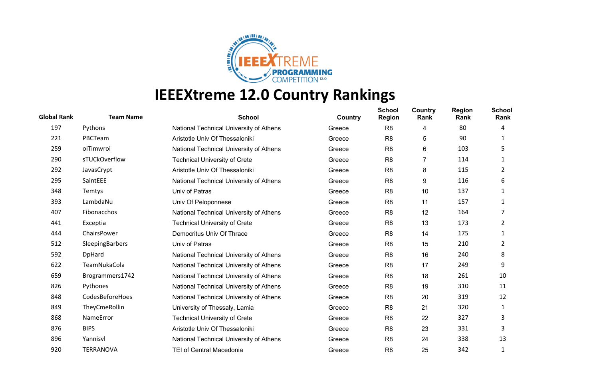

| <b>Global Rank</b> | <b>Team Name</b> | <b>School</b>                           | Country | <b>School</b><br><b>Region</b> | Country<br>Rank | <b>Region</b><br>Rank | <b>School</b><br>Rank |
|--------------------|------------------|-----------------------------------------|---------|--------------------------------|-----------------|-----------------------|-----------------------|
| 197                | Pythons          | National Technical University of Athens | Greece  | R <sub>8</sub>                 | 4               | 80                    | 4                     |
| 221                | PBCTeam          | Aristotle Univ Of Thessaloniki          | Greece  | R <sub>8</sub>                 | 5               | 90                    | 1                     |
| 259                | oiTimwroi        | National Technical University of Athens | Greece  | R <sub>8</sub>                 | 6               | 103                   | 5                     |
| 290                | sTUCkOverflow    | <b>Technical University of Crete</b>    | Greece  | R <sub>8</sub>                 | 7               | 114                   | 1                     |
| 292                | JavasCrypt       | Aristotle Univ Of Thessaloniki          | Greece  | R <sub>8</sub>                 | 8               | 115                   | 2                     |
| 295                | SaintEEE         | National Technical University of Athens | Greece  | R <sub>8</sub>                 | 9               | 116                   | 6                     |
| 348                | Temtys           | Univ of Patras                          | Greece  | R <sub>8</sub>                 | 10              | 137                   | 1                     |
| 393                | LambdaNu         | Univ Of Peloponnese                     | Greece  | R <sub>8</sub>                 | 11              | 157                   | 1                     |
| 407                | Fibonacchos      | National Technical University of Athens | Greece  | R <sub>8</sub>                 | 12              | 164                   |                       |
| 441                | Exceptia         | <b>Technical University of Crete</b>    | Greece  | R <sub>8</sub>                 | 13              | 173                   | 2                     |
| 444                | ChairsPower      | Democritus Univ Of Thrace               | Greece  | R <sub>8</sub>                 | 14              | 175                   | 1                     |
| 512                | SleepingBarbers  | Univ of Patras                          | Greece  | R <sub>8</sub>                 | 15              | 210                   | 2                     |
| 592                | DpHard           | National Technical University of Athens | Greece  | R <sub>8</sub>                 | 16              | 240                   | 8                     |
| 622                | TeamNukaCola     | National Technical University of Athens | Greece  | R <sub>8</sub>                 | 17              | 249                   | 9                     |
| 659                | Brogrammers1742  | National Technical University of Athens | Greece  | R <sub>8</sub>                 | 18              | 261                   | 10                    |
| 826                | Pythones         | National Technical University of Athens | Greece  | R <sub>8</sub>                 | 19              | 310                   | 11                    |
| 848                | CodesBeforeHoes  | National Technical University of Athens | Greece  | R <sub>8</sub>                 | 20              | 319                   | 12                    |
| 849                | TheyCmeRollin    | University of Thessaly, Lamia           | Greece  | R <sub>8</sub>                 | 21              | 320                   | 1                     |
| 868                | NameError        | <b>Technical University of Crete</b>    | Greece  | R <sub>8</sub>                 | 22              | 327                   | 3                     |
| 876                | <b>BIPS</b>      | Aristotle Univ Of Thessaloniki          | Greece  | R <sub>8</sub>                 | 23              | 331                   | 3                     |
| 896                | Yannisvl         | National Technical University of Athens | Greece  | R <sub>8</sub>                 | 24              | 338                   | 13                    |
| 920                | <b>TERRANOVA</b> | <b>TEI of Central Macedonia</b>         | Greece  | R <sub>8</sub>                 | 25              | 342                   |                       |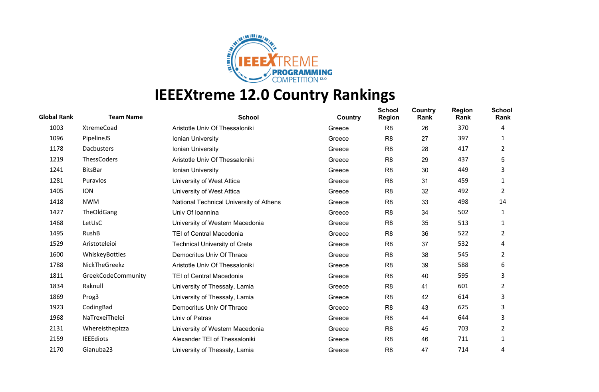

| <b>Global Rank</b> | <b>Team Name</b>   | <b>School</b>                           | Country | <b>School</b><br><b>Region</b> | Country<br>Rank | <b>Region</b><br>Rank | <b>School</b><br>Rank |
|--------------------|--------------------|-----------------------------------------|---------|--------------------------------|-----------------|-----------------------|-----------------------|
| 1003               | XtremeCoad         | Aristotle Univ Of Thessaloniki          | Greece  | R <sub>8</sub>                 | 26              | 370                   | 4                     |
| 1096               | PipelineJS         | Ionian University                       | Greece  | R <sub>8</sub>                 | 27              | 397                   | 1                     |
| 1178               | Dacbusters         | Ionian University                       | Greece  | R <sub>8</sub>                 | 28              | 417                   | 2                     |
| 1219               | ThessCoders        | Aristotle Univ Of Thessaloniki          | Greece  | R <sub>8</sub>                 | 29              | 437                   | 5                     |
| 1241               | <b>BitsBar</b>     | Ionian University                       | Greece  | R <sub>8</sub>                 | 30              | 449                   | 3                     |
| 1281               | Puravlos           | University of West Attica               | Greece  | R <sub>8</sub>                 | 31              | 459                   | 1                     |
| 1405               | <b>ION</b>         | University of West Attica               | Greece  | R <sub>8</sub>                 | 32              | 492                   | 2                     |
| 1418               | <b>NWM</b>         | National Technical University of Athens | Greece  | R <sub>8</sub>                 | 33              | 498                   | 14                    |
| 1427               | TheOldGang         | Univ Of Ioannina                        | Greece  | R <sub>8</sub>                 | 34              | 502                   | 1                     |
| 1468               | LetUsC             | University of Western Macedonia         | Greece  | R <sub>8</sub>                 | 35              | 513                   | 1                     |
| 1495               | RushB              | <b>TEI of Central Macedonia</b>         | Greece  | R <sub>8</sub>                 | 36              | 522                   | 2                     |
| 1529               | Aristoteleioi      | <b>Technical University of Crete</b>    | Greece  | R <sub>8</sub>                 | 37              | 532                   | 4                     |
| 1600               | WhiskeyBottles     | Democritus Univ Of Thrace               | Greece  | R <sub>8</sub>                 | 38              | 545                   | 2                     |
| 1788               | NickTheGreekz      | Aristotle Univ Of Thessaloniki          | Greece  | R <sub>8</sub>                 | 39              | 588                   | 6                     |
| 1811               | GreekCodeCommunity | TEI of Central Macedonia                | Greece  | R <sub>8</sub>                 | 40              | 595                   | 3                     |
| 1834               | Raknull            | University of Thessaly, Lamia           | Greece  | R <sub>8</sub>                 | 41              | 601                   | 2                     |
| 1869               | Prog3              | University of Thessaly, Lamia           | Greece  | R <sub>8</sub>                 | 42              | 614                   | 3                     |
| 1923               | CodingBad          | Democritus Univ Of Thrace               | Greece  | R <sub>8</sub>                 | 43              | 625                   | 3                     |
| 1968               | NaTrexeiThelei     | Univ of Patras                          | Greece  | R <sub>8</sub>                 | 44              | 644                   | 3                     |
| 2131               | Whereisthepizza    | University of Western Macedonia         | Greece  | R <sub>8</sub>                 | 45              | 703                   | 2                     |
| 2159               | <b>IEEEdiots</b>   | Alexander TEI of Thessaloniki           | Greece  | R <sub>8</sub>                 | 46              | 711                   | 1                     |
| 2170               | Gianuba23          | University of Thessaly, Lamia           | Greece  | R <sub>8</sub>                 | 47              | 714                   | 4                     |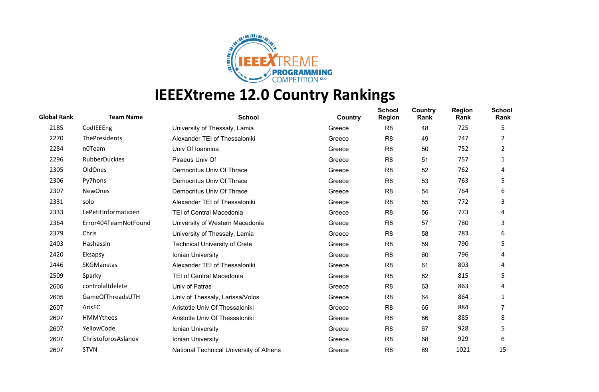

| <b>Global Rank</b> | <b>Team Name</b>     | <b>School</b>                           | Country | <b>School</b><br><b>Region</b> | Country<br>Rank | <b>Region</b><br>Rank | <b>School</b><br>Rank |
|--------------------|----------------------|-----------------------------------------|---------|--------------------------------|-----------------|-----------------------|-----------------------|
| 2185               | CodlEEEng            | University of Thessaly, Lamia           | Greece  | R <sub>8</sub>                 | 48              | 725                   | 5                     |
| 2270               | <b>ThePresidents</b> | Alexander TEI of Thessaloniki           | Greece  | R <sub>8</sub>                 | 49              | 747                   | 2                     |
| 2284               | n0Team               | Univ Of Ioannina                        | Greece  | R <sub>8</sub>                 | 50              | 752                   | 2                     |
| 2296               | <b>RubberDuckies</b> | Piraeus Univ Of                         | Greece  | R <sub>8</sub>                 | 51              | 757                   | 1                     |
| 2305               | OldOnes              | Democritus Univ Of Thrace               | Greece  | R <sub>8</sub>                 | 52              | 762                   | 4                     |
| 2306               | Py7hons              | Democritus Univ Of Thrace               | Greece  | R <sub>8</sub>                 | 53              | 763                   | 5                     |
| 2307               | <b>NewOnes</b>       | Democritus Univ Of Thrace               | Greece  | R <sub>8</sub>                 | 54              | 764                   | 6                     |
| 2331               | solo                 | Alexander TEI of Thessaloniki           | Greece  | R <sub>8</sub>                 | 55              | 772                   | 3                     |
| 2333               | LePetitInformaticien | <b>TEI of Central Macedonia</b>         | Greece  | R <sub>8</sub>                 | 56              | 773                   | 4                     |
| 2364               | Error404TeamNotFound | University of Western Macedonia         | Greece  | R <sub>8</sub>                 | 57              | 780                   | 3                     |
| 2379               | Chris                | University of Thessaly, Lamia           | Greece  | R <sub>8</sub>                 | 58              | 783                   | 6                     |
| 2403               | Hashassin            | <b>Technical University of Crete</b>    | Greece  | R <sub>8</sub>                 | 59              | 790                   | 5                     |
| 2420               | Eksapsy              | Ionian University                       | Greece  | R <sub>8</sub>                 | 60              | 796                   | 4                     |
| 2446               | <b>SKGManstas</b>    | Alexander TEI of Thessaloniki           | Greece  | R <sub>8</sub>                 | 61              | 803                   | 4                     |
| 2509               | Sparky               | <b>TEI of Central Macedonia</b>         | Greece  | R <sub>8</sub>                 | 62              | 815                   | 5                     |
| 2605               | controlaltdelete     | Univ of Patras                          | Greece  | R <sub>8</sub>                 | 63              | 863                   | 4                     |
| 2605               | GameOfThreadsUTH     | Univ of Thessaly, Larissa/Volos         | Greece  | R <sub>8</sub>                 | 64              | 864                   | 1                     |
| 2607               | ArisFC               | Aristotle Univ Of Thessaloniki          | Greece  | R <sub>8</sub>                 | 65              | 884                   |                       |
| 2607               | HMMYthees            | Aristotle Univ Of Thessaloniki          | Greece  | R <sub>8</sub>                 | 66              | 885                   | 8                     |
| 2607               | YellowCode           | Ionian University                       | Greece  | R <sub>8</sub>                 | 67              | 928                   | 5                     |
| 2607               | ChristoforosAslanov  | Ionian University                       | Greece  | R <sub>8</sub>                 | 68              | 929                   | 6                     |
| 2607               | <b>STVN</b>          | National Technical University of Athens | Greece  | R <sub>8</sub>                 | 69              | 1021                  | 15                    |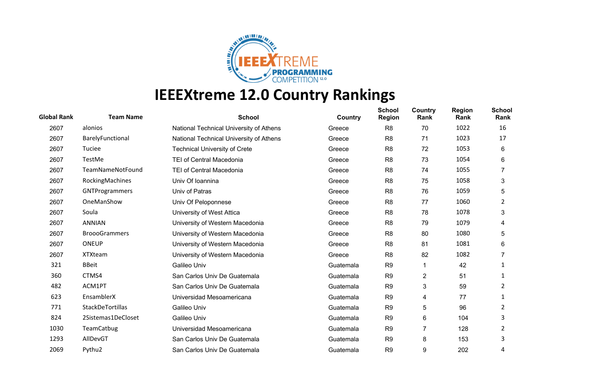

| <b>Global Rank</b> | <b>Team Name</b>      | <b>School</b>                           | Country   | <b>School</b><br><b>Region</b> | Country<br>Rank | <b>Region</b><br>Rank | <b>School</b><br>Rank |
|--------------------|-----------------------|-----------------------------------------|-----------|--------------------------------|-----------------|-----------------------|-----------------------|
| 2607               | alonios               | National Technical University of Athens | Greece    | R <sub>8</sub>                 | 70              | 1022                  | 16                    |
| 2607               | BarelyFunctional      | National Technical University of Athens | Greece    | R <sub>8</sub>                 | 71              | 1023                  | 17                    |
| 2607               | Tuciee                | <b>Technical University of Crete</b>    | Greece    | R <sub>8</sub>                 | 72              | 1053                  | 6                     |
| 2607               | TestMe                | <b>TEI of Central Macedonia</b>         | Greece    | R <sub>8</sub>                 | 73              | 1054                  | 6                     |
| 2607               | TeamNameNotFound      | TEI of Central Macedonia                | Greece    | R <sub>8</sub>                 | 74              | 1055                  |                       |
| 2607               | RockingMachines       | Univ Of Ioannina                        | Greece    | R <sub>8</sub>                 | 75              | 1058                  | 3                     |
| 2607               | <b>GNTProgrammers</b> | Univ of Patras                          | Greece    | R <sub>8</sub>                 | 76              | 1059                  | 5                     |
| 2607               | OneManShow            | Univ Of Peloponnese                     | Greece    | R <sub>8</sub>                 | 77              | 1060                  | 2                     |
| 2607               | Soula                 | University of West Attica               | Greece    | R <sub>8</sub>                 | 78              | 1078                  | 3                     |
| 2607               | <b>ANNIAN</b>         | University of Western Macedonia         | Greece    | R <sub>8</sub>                 | 79              | 1079                  | 4                     |
| 2607               | <b>BroooGrammers</b>  | University of Western Macedonia         | Greece    | R <sub>8</sub>                 | 80              | 1080                  | 5                     |
| 2607               | <b>ONEUP</b>          | University of Western Macedonia         | Greece    | R <sub>8</sub>                 | 81              | 1081                  | 6                     |
| 2607               | <b>XTXteam</b>        | University of Western Macedonia         | Greece    | R <sub>8</sub>                 | 82              | 1082                  |                       |
| 321                | <b>BBeit</b>          | Galileo Univ                            | Guatemala | R <sub>9</sub>                 | 1               | 42                    |                       |
| 360                | CTMS4                 | San Carlos Univ De Guatemala            | Guatemala | R <sub>9</sub>                 | $\overline{c}$  | 51                    | 1                     |
| 482                | ACM1PT                | San Carlos Univ De Guatemala            | Guatemala | R <sub>9</sub>                 | 3               | 59                    | 2                     |
| 623                | EnsamblerX            | Universidad Mesoamericana               | Guatemala | R <sub>9</sub>                 | 4               | 77                    |                       |
| 771                | StackDeTortillas      | Galileo Univ                            | Guatemala | R <sub>9</sub>                 | 5               | 96                    | 2                     |
| 824                | 2Sistemas1DeCloset    | Galileo Univ                            | Guatemala | R <sub>9</sub>                 | 6               | 104                   | 3                     |
| 1030               | <b>TeamCatbug</b>     | Universidad Mesoamericana               | Guatemala | R <sub>9</sub>                 | 7               | 128                   | 2                     |
| 1293               | AllDevGT              | San Carlos Univ De Guatemala            | Guatemala | R <sub>9</sub>                 | 8               | 153                   | 3                     |
| 2069               | Pythu2                | San Carlos Univ De Guatemala            | Guatemala | R <sub>9</sub>                 | 9               | 202                   | 4                     |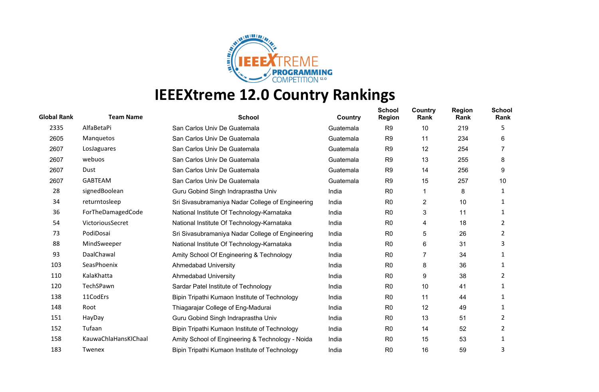

| <b>Global Rank</b> | <b>Team Name</b>     | <b>School</b>                                    | Country   | <b>School</b><br><b>Region</b> | Country<br>Rank | <b>Region</b><br>Rank | <b>School</b><br>Rank |
|--------------------|----------------------|--------------------------------------------------|-----------|--------------------------------|-----------------|-----------------------|-----------------------|
| 2335               | AlfaBetaPi           | San Carlos Univ De Guatemala                     | Guatemala | R <sub>9</sub>                 | 10              | 219                   | 5                     |
| 2605               | Manquetos            | San Carlos Univ De Guatemala                     | Guatemala | R <sub>9</sub>                 | 11              | 234                   | 6                     |
| 2607               | LosJaguares          | San Carlos Univ De Guatemala                     | Guatemala | R <sub>9</sub>                 | 12              | 254                   |                       |
| 2607               | webuos               | San Carlos Univ De Guatemala                     | Guatemala | R <sub>9</sub>                 | 13              | 255                   | 8                     |
| 2607               | Dust                 | San Carlos Univ De Guatemala                     | Guatemala | R <sub>9</sub>                 | 14              | 256                   | 9                     |
| 2607               | <b>GABTEAM</b>       | San Carlos Univ De Guatemala                     | Guatemala | R <sub>9</sub>                 | 15              | 257                   | 10                    |
| 28                 | signedBoolean        | Guru Gobind Singh Indraprastha Univ              | India     | R <sub>0</sub>                 |                 | 8                     | 1                     |
| 34                 | returntosleep        | Sri Sivasubramaniya Nadar College of Engineering | India     | R <sub>0</sub>                 | 2               | 10                    | 1                     |
| 36                 | ForTheDamagedCode    | National Institute Of Technology-Karnataka       | India     | R <sub>0</sub>                 | 3               | 11                    | 1                     |
| 54                 | VictoriousSecret     | National Institute Of Technology-Karnataka       | India     | R <sub>0</sub>                 | 4               | 18                    | 2                     |
| 73                 | PodiDosai            | Sri Sivasubramaniya Nadar College of Engineering | India     | R <sub>0</sub>                 | 5               | 26                    | 2                     |
| 88                 | MindSweeper          | National Institute Of Technology-Karnataka       | India     | R <sub>0</sub>                 | 6               | 31                    | 3                     |
| 93                 | DaalChawal           | Amity School Of Engineering & Technology         | India     | R <sub>0</sub>                 | 7               | 34                    |                       |
| 103                | SeasPhoenix          | <b>Ahmedabad University</b>                      | India     | R <sub>0</sub>                 | 8               | 36                    |                       |
| 110                | KalaKhatta           | Ahmedabad University                             | India     | R <sub>0</sub>                 | 9               | 38                    | 2                     |
| 120                | TechSPawn            | Sardar Patel Institute of Technology             | India     | R <sub>0</sub>                 | 10              | 41                    |                       |
| 138                | 11CodErs             | Bipin Tripathi Kumaon Institute of Technology    | India     | R <sub>0</sub>                 | 11              | 44                    |                       |
| 148                | Root                 | Thiagarajar College of Eng-Madurai               | India     | R <sub>0</sub>                 | 12              | 49                    |                       |
| 151                | HayDay               | Guru Gobind Singh Indraprastha Univ              | India     | R <sub>0</sub>                 | 13              | 51                    | 2                     |
| 152                | Tufaan               | Bipin Tripathi Kumaon Institute of Technology    | India     | R <sub>0</sub>                 | 14              | 52                    | 2                     |
| 158                | KauwaChlaHansKIChaal | Amity School of Engineering & Technology - Noida | India     | R <sub>0</sub>                 | 15              | 53                    |                       |
| 183                | Twenex               | Bipin Tripathi Kumaon Institute of Technology    | India     | R <sub>0</sub>                 | 16              | 59                    | 3                     |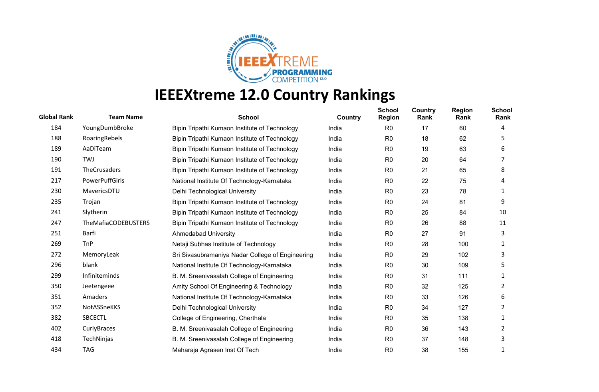

| <b>Global Rank</b> | <b>Team Name</b>           | <b>School</b>                                    | Country | <b>School</b><br><b>Region</b> | <b>Country</b><br>Rank | <b>Region</b><br>Rank | <b>School</b><br>Rank |
|--------------------|----------------------------|--------------------------------------------------|---------|--------------------------------|------------------------|-----------------------|-----------------------|
| 184                | YoungDumbBroke             | Bipin Tripathi Kumaon Institute of Technology    | India   | R <sub>0</sub>                 | 17                     | 60                    | 4                     |
| 188                | RoaringRebels              | Bipin Tripathi Kumaon Institute of Technology    | India   | R <sub>0</sub>                 | 18                     | 62                    | 5.                    |
| 189                | AaDiTeam                   | Bipin Tripathi Kumaon Institute of Technology    | India   | R <sub>0</sub>                 | 19                     | 63                    | 6                     |
| 190                | <b>TWJ</b>                 | Bipin Tripathi Kumaon Institute of Technology    | India   | R <sub>0</sub>                 | 20                     | 64                    |                       |
| 191                | TheCrusaders               | Bipin Tripathi Kumaon Institute of Technology    | India   | R <sub>0</sub>                 | 21                     | 65                    | 8                     |
| 217                | <b>PowerPuffGirls</b>      | National Institute Of Technology-Karnataka       | India   | R <sub>0</sub>                 | 22                     | 75                    | 4                     |
| 230                | MavericsDTU                | Delhi Technological University                   | India   | R <sub>0</sub>                 | 23                     | 78                    |                       |
| 235                | Trojan                     | Bipin Tripathi Kumaon Institute of Technology    | India   | R <sub>0</sub>                 | 24                     | 81                    | 9                     |
| 241                | Slytherin                  | Bipin Tripathi Kumaon Institute of Technology    | India   | R <sub>0</sub>                 | 25                     | 84                    | 10                    |
| 247                | <b>TheMafiaCODEBUSTERS</b> | Bipin Tripathi Kumaon Institute of Technology    | India   | R <sub>0</sub>                 | 26                     | 88                    | 11                    |
| 251                | Barfi                      | <b>Ahmedabad University</b>                      | India   | R <sub>0</sub>                 | 27                     | 91                    | 3                     |
| 269                | <b>TnP</b>                 | Netaji Subhas Institute of Technology            | India   | R <sub>0</sub>                 | 28                     | 100                   |                       |
| 272                | MemoryLeak                 | Sri Sivasubramaniya Nadar College of Engineering | India   | R <sub>0</sub>                 | 29                     | 102                   | 3                     |
| 296                | blank                      | National Institute Of Technology-Karnataka       | India   | R <sub>0</sub>                 | 30                     | 109                   | 5                     |
| 299                | Infiniteminds              | B. M. Sreenivasalah College of Engineering       | India   | R <sub>0</sub>                 | 31                     | 111                   |                       |
| 350                | Jeetengeee                 | Amity School Of Engineering & Technology         | India   | R <sub>0</sub>                 | 32                     | 125                   | 2                     |
| 351                | Amaders                    | National Institute Of Technology-Karnataka       | India   | R <sub>0</sub>                 | 33                     | 126                   | 6                     |
| 352                | NotASSneKKS                | Delhi Technological University                   | India   | R <sub>0</sub>                 | 34                     | 127                   | 2                     |
| 382                | <b>SBCECTL</b>             | College of Engineering, Cherthala                | India   | R <sub>0</sub>                 | 35                     | 138                   | 1                     |
| 402                | CurlyBraces                | B. M. Sreenivasalah College of Engineering       | India   | R <sub>0</sub>                 | 36                     | 143                   | 2                     |
| 418                | TechNinjas                 | B. M. Sreenivasalah College of Engineering       | India   | R <sub>0</sub>                 | 37                     | 148                   | 3                     |
| 434                | <b>TAG</b>                 | Maharaja Agrasen Inst Of Tech                    | India   | R <sub>0</sub>                 | 38                     | 155                   |                       |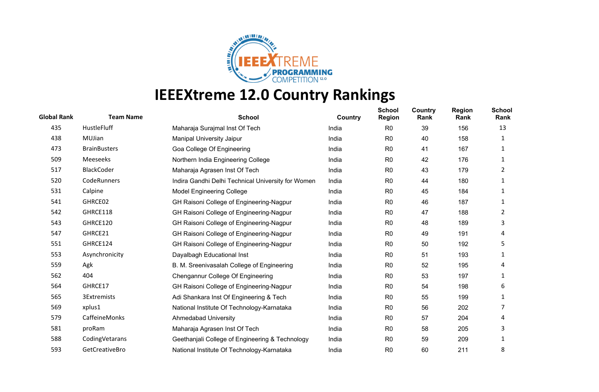

| <b>Global Rank</b> | <b>Team Name</b>    | <b>School</b>                                      | <b>Country</b> | <b>School</b><br><b>Region</b> | Country<br>Rank | <b>Region</b><br>Rank | <b>School</b><br>Rank |
|--------------------|---------------------|----------------------------------------------------|----------------|--------------------------------|-----------------|-----------------------|-----------------------|
| 435                | HustleFluff         | Maharaja Surajmal Inst Of Tech                     | India          | R <sub>0</sub>                 | 39              | 156                   | 13                    |
| 438                | MUJian              | <b>Manipal University Jaipur</b>                   | India          | R <sub>0</sub>                 | 40              | 158                   | 1                     |
| 473                | <b>BrainBusters</b> | Goa College Of Engineering                         | India          | R <sub>0</sub>                 | 41              | 167                   | 1                     |
| 509                | Meeseeks            | Northern India Engineering College                 | India          | R <sub>0</sub>                 | 42              | 176                   | 1                     |
| 517                | <b>BlackCoder</b>   | Maharaja Agrasen Inst Of Tech                      | India          | R <sub>0</sub>                 | 43              | 179                   | 2                     |
| 520                | CodeRunners         | Indira Gandhi Delhi Technical University for Women | India          | R <sub>0</sub>                 | 44              | 180                   | 1                     |
| 531                | Calpine             | <b>Model Engineering College</b>                   | India          | R <sub>0</sub>                 | 45              | 184                   | 1                     |
| 541                | GHRCE02             | GH Raisoni College of Engineering-Nagpur           | India          | R <sub>0</sub>                 | 46              | 187                   | 1                     |
| 542                | GHRCE118            | GH Raisoni College of Engineering-Nagpur           | India          | R <sub>0</sub>                 | 47              | 188                   | 2                     |
| 543                | GHRCE120            | GH Raisoni College of Engineering-Nagpur           | India          | R <sub>0</sub>                 | 48              | 189                   | 3                     |
| 547                | GHRCE21             | GH Raisoni College of Engineering-Nagpur           | India          | R <sub>0</sub>                 | 49              | 191                   | 4                     |
| 551                | GHRCE124            | GH Raisoni College of Engineering-Nagpur           | India          | R <sub>0</sub>                 | 50              | 192                   | 5                     |
| 553                | Asynchronicity      | Dayalbagh Educational Inst                         | India          | R <sub>0</sub>                 | 51              | 193                   | 1                     |
| 559                | Agk                 | B. M. Sreenivasalah College of Engineering         | India          | R <sub>0</sub>                 | 52              | 195                   | 4                     |
| 562                | 404                 | Chengannur College Of Engineering                  | India          | R <sub>0</sub>                 | 53              | 197                   | 1                     |
| 564                | GHRCE17             | GH Raisoni College of Engineering-Nagpur           | India          | R <sub>0</sub>                 | 54              | 198                   | 6                     |
| 565                | 3Extremists         | Adi Shankara Inst Of Engineering & Tech            | India          | R <sub>0</sub>                 | 55              | 199                   | 1                     |
| 569                | xplus1              | National Institute Of Technology-Karnataka         | India          | R <sub>0</sub>                 | 56              | 202                   | 7                     |
| 579                | CaffeineMonks       | Ahmedabad University                               | India          | R <sub>0</sub>                 | 57              | 204                   | 4                     |
| 581                | proRam              | Maharaja Agrasen Inst Of Tech                      | India          | R <sub>0</sub>                 | 58              | 205                   | 3                     |
| 588                | CodingVetarans      | Geethanjali College of Engineering & Technology    | India          | R <sub>0</sub>                 | 59              | 209                   | 1                     |
| 593                | GetCreativeBro      | National Institute Of Technology-Karnataka         | India          | R <sub>0</sub>                 | 60              | 211                   | 8                     |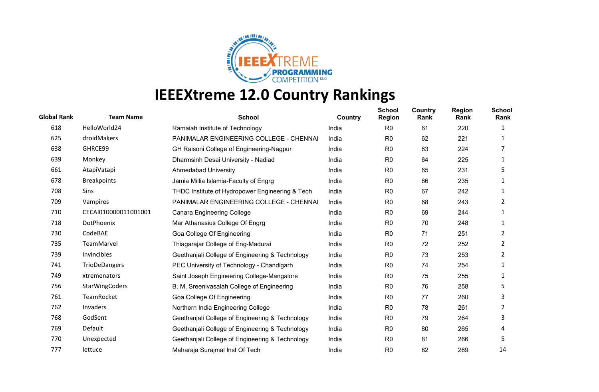

| <b>Global Rank</b> | <b>Team Name</b>     | <b>School</b>                                   | Country | <b>School</b><br><b>Region</b> | Country<br>Rank | <b>Region</b><br>Rank | <b>School</b><br>Rank |
|--------------------|----------------------|-------------------------------------------------|---------|--------------------------------|-----------------|-----------------------|-----------------------|
| 618                | HelloWorld24         | Ramaiah Institute of Technology                 | India   | R <sub>0</sub>                 | 61              | 220                   | 1                     |
| 625                | droidMakers          | PANIMALAR ENGINEERING COLLEGE - CHENNAI         | India   | R <sub>0</sub>                 | 62              | 221                   | 1                     |
| 638                | GHRCE99              | GH Raisoni College of Engineering-Nagpur        | India   | R <sub>0</sub>                 | 63              | 224                   |                       |
| 639                | Monkey               | Dharmsinh Desai University - Nadiad             | India   | R <sub>0</sub>                 | 64              | 225                   | 1                     |
| 661                | AtapiVatapi          | <b>Ahmedabad University</b>                     | India   | R <sub>0</sub>                 | 65              | 231                   | 5                     |
| 678                | <b>Breakpoints</b>   | Jamia Millia Islamia-Faculty of Engrg           | India   | R <sub>0</sub>                 | 66              | 235                   | 1                     |
| 708                | Sins                 | THDC Institute of Hydropower Engineering & Tech | India   | R <sub>0</sub>                 | 67              | 242                   | 1                     |
| 709                | Vampires             | PANIMALAR ENGINEERING COLLEGE - CHENNAI         | India   | R <sub>0</sub>                 | 68              | 243                   | 2                     |
| 710                | CECAI010000011001001 | <b>Canara Engineering College</b>               | India   | R <sub>0</sub>                 | 69              | 244                   | 1                     |
| 718                | DotPhoenix           | Mar Athanasius College Of Engrg                 | India   | R <sub>0</sub>                 | 70              | 248                   | 1                     |
| 730                | CodeBAE              | Goa College Of Engineering                      | India   | R <sub>0</sub>                 | 71              | 251                   | 2                     |
| 735                | TeamMarvel           | Thiagarajar College of Eng-Madurai              | India   | R <sub>0</sub>                 | 72              | 252                   | 2                     |
| 739                | invincibles          | Geethanjali College of Engineering & Technology | India   | R <sub>0</sub>                 | 73              | 253                   | $\overline{2}$        |
| 741                | <b>TrioDeDangers</b> | PEC University of Technology - Chandigarh       | India   | R <sub>0</sub>                 | 74              | 254                   | 1                     |
| 749                | xtremenators         | Saint Joseph Engineering College-Mangalore      | India   | R <sub>0</sub>                 | 75              | 255                   | 1                     |
| 756                | StarWingCoders       | B. M. Sreenivasalah College of Engineering      | India   | R <sub>0</sub>                 | 76              | 258                   | 5                     |
| 761                | TeamRocket           | Goa College Of Engineering                      | India   | R <sub>0</sub>                 | 77              | 260                   | 3                     |
| 762                | Invaders             | Northern India Engineering College              | India   | R <sub>0</sub>                 | 78              | 261                   | $\overline{2}$        |
| 768                | GodSent              | Geethanjali College of Engineering & Technology | India   | R <sub>0</sub>                 | 79              | 264                   | 3                     |
| 769                | Default              | Geethanjali College of Engineering & Technology | India   | R <sub>0</sub>                 | 80              | 265                   | 4                     |
| 770                | Unexpected           | Geethanjali College of Engineering & Technology | India   | R <sub>0</sub>                 | 81              | 266                   | 5                     |
| 777                | lettuce              | Maharaja Surajmal Inst Of Tech                  | India   | R <sub>0</sub>                 | 82              | 269                   | 14                    |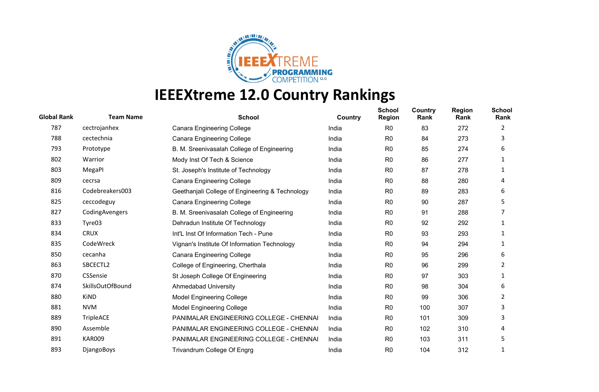

| <b>Global Rank</b> | <b>Team Name</b>  | <b>School</b>                                   | Country | <b>School</b><br><b>Region</b> | Country<br>Rank | <b>Region</b><br>Rank | <b>School</b><br>Rank |
|--------------------|-------------------|-------------------------------------------------|---------|--------------------------------|-----------------|-----------------------|-----------------------|
| 787                | cectrojanhex      | <b>Canara Engineering College</b>               | India   | R <sub>0</sub>                 | 83              | 272                   | 2                     |
| 788                | cectechnia        | <b>Canara Engineering College</b>               | India   | R <sub>0</sub>                 | 84              | 273                   | 3                     |
| 793                | Prototype         | B. M. Sreenivasalah College of Engineering      | India   | R <sub>0</sub>                 | 85              | 274                   | 6                     |
| 802                | Warrior           | Mody Inst Of Tech & Science                     | India   | R <sub>0</sub>                 | 86              | 277                   | 1                     |
| 803                | MegaPI            | St. Joseph's Institute of Technology            | India   | R <sub>0</sub>                 | 87              | 278                   | 1                     |
| 809                | cecrsa            | <b>Canara Engineering College</b>               | India   | R <sub>0</sub>                 | 88              | 280                   | 4                     |
| 816                | Codebreakers003   | Geethanjali College of Engineering & Technology | India   | R <sub>0</sub>                 | 89              | 283                   | 6                     |
| 825                | ceccodeguy        | <b>Canara Engineering College</b>               | India   | R <sub>0</sub>                 | 90              | 287                   | 5                     |
| 827                | CodingAvengers    | B. M. Sreenivasalah College of Engineering      | India   | R <sub>0</sub>                 | 91              | 288                   |                       |
| 833                | Tyre03            | Dehradun Institute Of Technology                | India   | R <sub>0</sub>                 | 92              | 292                   | 1                     |
| 834                | <b>CRUX</b>       | Int'L Inst Of Information Tech - Pune           | India   | R <sub>0</sub>                 | 93              | 293                   | 1                     |
| 835                | CodeWreck         | Vignan's Institute Of Information Technology    | India   | R <sub>0</sub>                 | 94              | 294                   | 1                     |
| 850                | cecanha           | <b>Canara Engineering College</b>               | India   | R <sub>0</sub>                 | 95              | 296                   | 6                     |
| 863                | SBCECTL2          | College of Engineering, Cherthala               | India   | R <sub>0</sub>                 | 96              | 299                   | 2                     |
| 870                | <b>CSSensie</b>   | St Joseph College Of Engineering                | India   | R <sub>0</sub>                 | 97              | 303                   | 1                     |
| 874                | SkillsOutOfBound  | <b>Ahmedabad University</b>                     | India   | R <sub>0</sub>                 | 98              | 304                   | 6                     |
| 880                | <b>KiND</b>       | <b>Model Engineering College</b>                | India   | R <sub>0</sub>                 | 99              | 306                   | 2                     |
| 881                | <b>NVM</b>        | <b>Model Engineering College</b>                | India   | R <sub>0</sub>                 | 100             | 307                   | 3                     |
| 889                | TripleACE         | <b>PANIMALAR ENGINEERING COLLEGE - CHENNAI</b>  | India   | R <sub>0</sub>                 | 101             | 309                   | 3                     |
| 890                | Assemble          | PANIMALAR ENGINEERING COLLEGE - CHENNAI         | India   | R <sub>0</sub>                 | 102             | 310                   | 4                     |
| 891                | <b>KAR009</b>     | PANIMALAR ENGINEERING COLLEGE - CHENNAI         | India   | R <sub>0</sub>                 | 103             | 311                   | 5                     |
| 893                | <b>DjangoBoys</b> | <b>Trivandrum College Of Engrg</b>              | India   | R <sub>0</sub>                 | 104             | 312                   |                       |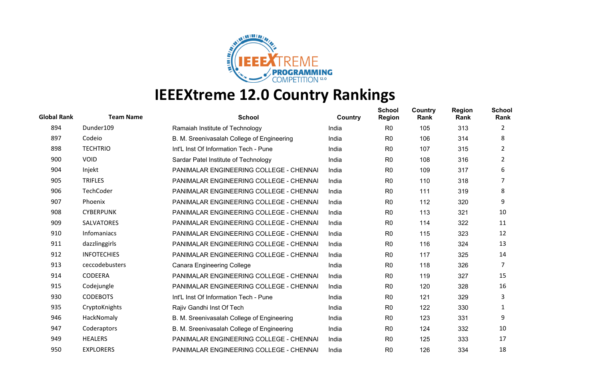

| <b>Global Rank</b> | <b>Team Name</b>   | <b>School</b>                                  | Country | <b>School</b><br><b>Region</b> | Country<br>Rank | <b>Region</b><br>Rank | <b>School</b><br>Rank |
|--------------------|--------------------|------------------------------------------------|---------|--------------------------------|-----------------|-----------------------|-----------------------|
| 894                | Dunder109          | Ramaiah Institute of Technology                | India   | R <sub>0</sub>                 | 105             | 313                   | 2                     |
| 897                | Codeio             | B. M. Sreenivasalah College of Engineering     | India   | R <sub>0</sub>                 | 106             | 314                   | 8                     |
| 898                | <b>TECHTRIO</b>    | Int'L Inst Of Information Tech - Pune          | India   | R <sub>0</sub>                 | 107             | 315                   | 2                     |
| 900                | <b>VOID</b>        | Sardar Patel Institute of Technology           | India   | R <sub>0</sub>                 | 108             | 316                   | 2                     |
| 904                | Injekt             | PANIMALAR ENGINEERING COLLEGE - CHENNAI        | India   | R <sub>0</sub>                 | 109             | 317                   | 6                     |
| 905                | <b>TRIFLES</b>     | PANIMALAR ENGINEERING COLLEGE - CHENNAI        | India   | R <sub>0</sub>                 | 110             | 318                   | 7                     |
| 906                | TechCoder          | PANIMALAR ENGINEERING COLLEGE - CHENNAI        | India   | R <sub>0</sub>                 | 111             | 319                   | 8                     |
| 907                | Phoenix            | PANIMALAR ENGINEERING COLLEGE - CHENNAI        | India   | R <sub>0</sub>                 | 112             | 320                   | 9                     |
| 908                | <b>CYBERPUNK</b>   | PANIMALAR ENGINEERING COLLEGE - CHENNAI        | India   | R <sub>0</sub>                 | 113             | 321                   | 10                    |
| 909                | <b>SALVATORES</b>  | PANIMALAR ENGINEERING COLLEGE - CHENNAI        | India   | R <sub>0</sub>                 | 114             | 322                   | 11                    |
| 910                | Infomaniacs        | PANIMALAR ENGINEERING COLLEGE - CHENNAI        | India   | R <sub>0</sub>                 | 115             | 323                   | 12                    |
| 911                | dazzlinggirls      | PANIMALAR ENGINEERING COLLEGE - CHENNAI        | India   | R <sub>0</sub>                 | 116             | 324                   | 13                    |
| 912                | <b>INFOTECHIES</b> | PANIMALAR ENGINEERING COLLEGE - CHENNAI        | India   | R <sub>0</sub>                 | 117             | 325                   | 14                    |
| 913                | ceccodebusters     | <b>Canara Engineering College</b>              | India   | R <sub>0</sub>                 | 118             | 326                   | 7                     |
| 914                | <b>CODEERA</b>     | <b>PANIMALAR ENGINEERING COLLEGE - CHENNAI</b> | India   | R <sub>0</sub>                 | 119             | 327                   | 15                    |
| 915                | Codejungle         | PANIMALAR ENGINEERING COLLEGE - CHENNAI        | India   | R <sub>0</sub>                 | 120             | 328                   | 16                    |
| 930                | <b>CODEBOTS</b>    | Int'L Inst Of Information Tech - Pune          | India   | R <sub>0</sub>                 | 121             | 329                   | 3                     |
| 935                | CryptoKnights      | Rajiv Gandhi Inst Of Tech                      | India   | R <sub>0</sub>                 | 122             | 330                   | 1                     |
| 946                | HackNomaly         | B. M. Sreenivasalah College of Engineering     | India   | R <sub>0</sub>                 | 123             | 331                   | 9                     |
| 947                | Coderaptors        | B. M. Sreenivasalah College of Engineering     | India   | R <sub>0</sub>                 | 124             | 332                   | 10                    |
| 949                | <b>HEALERS</b>     | PANIMALAR ENGINEERING COLLEGE - CHENNAI        | India   | R <sub>0</sub>                 | 125             | 333                   | 17                    |
| 950                | <b>EXPLORERS</b>   | PANIMALAR ENGINEERING COLLEGE - CHENNAI        | India   | R <sub>0</sub>                 | 126             | 334                   | 18                    |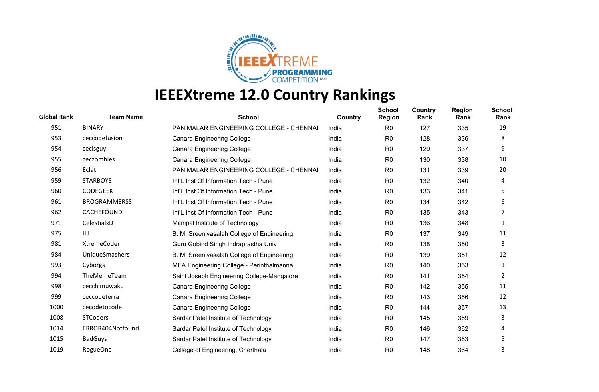

| <b>Global Rank</b> | <b>Team Name</b>      | <b>School</b>                              | Country | <b>School</b><br><b>Region</b> | Country<br>Rank | <b>Region</b><br>Rank | <b>School</b><br>Rank |
|--------------------|-----------------------|--------------------------------------------|---------|--------------------------------|-----------------|-----------------------|-----------------------|
| 951                | <b>BINARY</b>         | PANIMALAR ENGINEERING COLLEGE - CHENNAI    | India   | R <sub>0</sub>                 | 127             | 335                   | 19                    |
| 953                | ceccodefusion         | <b>Canara Engineering College</b>          | India   | R <sub>0</sub>                 | 128             | 336                   | 8                     |
| 954                | cecisguy              | <b>Canara Engineering College</b>          | India   | R <sub>0</sub>                 | 129             | 337                   | 9                     |
| 955                | ceczombies            | <b>Canara Engineering College</b>          | India   | R <sub>0</sub>                 | 130             | 338                   | 10                    |
| 956                | Eclat                 | PANIMALAR ENGINEERING COLLEGE - CHENNAI    | India   | R <sub>0</sub>                 | 131             | 339                   | 20                    |
| 959                | <b>STARBOYS</b>       | Int'L Inst Of Information Tech - Pune      | India   | R <sub>0</sub>                 | 132             | 340                   | 4                     |
| 960                | <b>CODEGEEK</b>       | Int'L Inst Of Information Tech - Pune      | India   | R <sub>0</sub>                 | 133             | 341                   | 5                     |
| 961                | <b>BROGRAMMERSS</b>   | Int'L Inst Of Information Tech - Pune      | India   | R <sub>0</sub>                 | 134             | 342                   | 6                     |
| 962                | CACHEFOUND            | Int'L Inst Of Information Tech - Pune      | India   | R <sub>0</sub>                 | 135             | 343                   |                       |
| 971                | CelestialxD           | Manipal Institute of Technology            | India   | R <sub>0</sub>                 | 136             | 348                   | 1                     |
| 975                | HJ                    | B. M. Sreenivasalah College of Engineering | India   | R <sub>0</sub>                 | 137             | 349                   | 11                    |
| 981                | XtremeCoder           | Guru Gobind Singh Indraprastha Univ        | India   | R <sub>0</sub>                 | 138             | 350                   | 3                     |
| 984                | <b>UniqueSmashers</b> | B. M. Sreenivasalah College of Engineering | India   | R <sub>0</sub>                 | 139             | 351                   | 12                    |
| 993                | Cyborgs               | MEA Engineering College - Perinthalmanna   | India   | R <sub>0</sub>                 | 140             | 353                   | 1                     |
| 994                | TheMemeTeam           | Saint Joseph Engineering College-Mangalore | India   | R <sub>0</sub>                 | 141             | 354                   | 2                     |
| 998                | cecchimuwaku          | <b>Canara Engineering College</b>          | India   | R <sub>0</sub>                 | 142             | 355                   | 11                    |
| 999                | ceccodeterra          | <b>Canara Engineering College</b>          | India   | R <sub>0</sub>                 | 143             | 356                   | 12                    |
| 1000               | cecodetocode          | <b>Canara Engineering College</b>          | India   | R <sub>0</sub>                 | 144             | 357                   | 13                    |
| 1008               | <b>STCoders</b>       | Sardar Patel Institute of Technology       | India   | R <sub>0</sub>                 | 145             | 359                   | 3                     |
| 1014               | ERROR404Notfound      | Sardar Patel Institute of Technology       | India   | R <sub>0</sub>                 | 146             | 362                   | 4                     |
| 1015               | <b>BadGuys</b>        | Sardar Patel Institute of Technology       | India   | R <sub>0</sub>                 | 147             | 363                   | 5                     |
| 1019               | RogueOne              | College of Engineering, Cherthala          | India   | R <sub>0</sub>                 | 148             | 364                   | 3                     |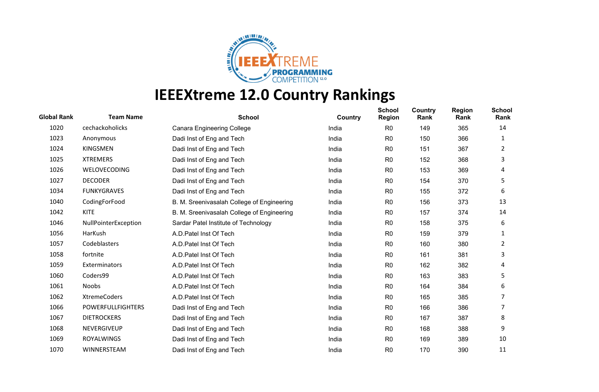

| <b>Global Rank</b> | <b>Team Name</b>         | <b>School</b>                              | Country | <b>School</b><br><b>Region</b> | Country<br>Rank | <b>Region</b><br>Rank | <b>School</b><br>Rank |
|--------------------|--------------------------|--------------------------------------------|---------|--------------------------------|-----------------|-----------------------|-----------------------|
| 1020               | cechackoholicks          | <b>Canara Engineering College</b>          | India   | R <sub>0</sub>                 | 149             | 365                   | 14                    |
| 1023               | Anonymous                | Dadi Inst of Eng and Tech                  | India   | R <sub>0</sub>                 | 150             | 366                   | 1                     |
| 1024               | <b>KINGSMEN</b>          | Dadi Inst of Eng and Tech                  | India   | R <sub>0</sub>                 | 151             | 367                   | 2                     |
| 1025               | <b>XTREMERS</b>          | Dadi Inst of Eng and Tech                  | India   | R <sub>0</sub>                 | 152             | 368                   | 3                     |
| 1026               | WELOVECODING             | Dadi Inst of Eng and Tech                  | India   | R <sub>0</sub>                 | 153             | 369                   | 4                     |
| 1027               | <b>DECODER</b>           | Dadi Inst of Eng and Tech                  | India   | R <sub>0</sub>                 | 154             | 370                   | 5                     |
| 1034               | <b>FUNKYGRAVES</b>       | Dadi Inst of Eng and Tech                  | India   | R <sub>0</sub>                 | 155             | 372                   | 6                     |
| 1040               | CodingForFood            | B. M. Sreenivasalah College of Engineering | India   | R <sub>0</sub>                 | 156             | 373                   | 13                    |
| 1042               | <b>KITE</b>              | B. M. Sreenivasalah College of Engineering | India   | R <sub>0</sub>                 | 157             | 374                   | 14                    |
| 1046               | NullPointerException     | Sardar Patel Institute of Technology       | India   | R <sub>0</sub>                 | 158             | 375                   | 6                     |
| 1056               | HarKush                  | A.D. Patel Inst Of Tech                    | India   | R <sub>0</sub>                 | 159             | 379                   | 1                     |
| 1057               | Codeblasters             | A.D. Patel Inst Of Tech                    | India   | R <sub>0</sub>                 | 160             | 380                   | 2                     |
| 1058               | fortnite                 | A.D. Patel Inst Of Tech                    | India   | R <sub>0</sub>                 | 161             | 381                   | 3                     |
| 1059               | Exterminators            | A.D. Patel Inst Of Tech                    | India   | R <sub>0</sub>                 | 162             | 382                   | 4                     |
| 1060               | Coders99                 | A.D. Patel Inst Of Tech                    | India   | R <sub>0</sub>                 | 163             | 383                   | 5                     |
| 1061               | <b>Noobs</b>             | A.D. Patel Inst Of Tech                    | India   | R <sub>0</sub>                 | 164             | 384                   | 6                     |
| 1062               | <b>XtremeCoders</b>      | A.D. Patel Inst Of Tech                    | India   | R <sub>0</sub>                 | 165             | 385                   | 7                     |
| 1066               | <b>POWERFULLFIGHTERS</b> | Dadi Inst of Eng and Tech                  | India   | R <sub>0</sub>                 | 166             | 386                   | 7                     |
| 1067               | <b>DIETROCKERS</b>       | Dadi Inst of Eng and Tech                  | India   | R <sub>0</sub>                 | 167             | 387                   | 8                     |
| 1068               | NEVERGIVEUP              | Dadi Inst of Eng and Tech                  | India   | R <sub>0</sub>                 | 168             | 388                   | 9                     |
| 1069               | <b>ROYALWINGS</b>        | Dadi Inst of Eng and Tech                  | India   | R <sub>0</sub>                 | 169             | 389                   | 10                    |
| 1070               | WINNERSTEAM              | Dadi Inst of Eng and Tech                  | India   | R <sub>0</sub>                 | 170             | 390                   | 11                    |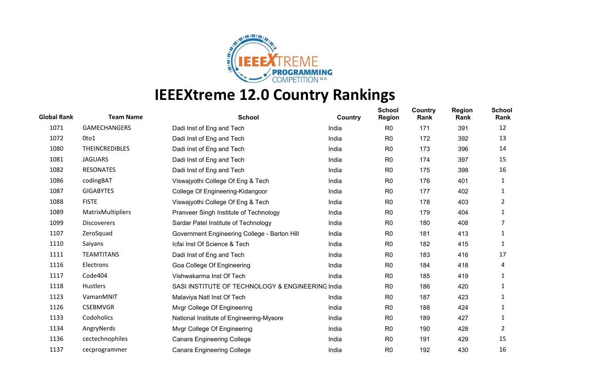

| <b>Global Rank</b> | <b>Team Name</b>      | <b>School</b>                                    | Country | <b>School</b><br><b>Region</b> | Country<br>Rank | <b>Region</b><br>Rank | <b>School</b><br>Rank |
|--------------------|-----------------------|--------------------------------------------------|---------|--------------------------------|-----------------|-----------------------|-----------------------|
| 1071               | <b>GAMECHANGERS</b>   | Dadi Inst of Eng and Tech                        | India   | R <sub>0</sub>                 | 171             | 391                   | 12                    |
| 1072               | 0to1                  | Dadi Inst of Eng and Tech                        | India   | R <sub>0</sub>                 | 172             | 392                   | 13                    |
| 1080               | <b>THEINCREDIBLES</b> | Dadi Inst of Eng and Tech                        | India   | R <sub>0</sub>                 | 173             | 396                   | 14                    |
| 1081               | <b>JAGUARS</b>        | Dadi Inst of Eng and Tech                        | India   | R <sub>0</sub>                 | 174             | 397                   | 15                    |
| 1082               | <b>RESONATES</b>      | Dadi Inst of Eng and Tech                        | India   | R <sub>0</sub>                 | 175             | 398                   | 16                    |
| 1086               | codingBAT             | Viswajyothi College Of Eng & Tech                | India   | R <sub>0</sub>                 | 176             | 401                   | 1                     |
| 1087               | <b>GIGABYTES</b>      | College Of Engineering-Kidangoor                 | India   | R <sub>0</sub>                 | 177             | 402                   | 1                     |
| 1088               | <b>FISTE</b>          | Viswajyothi College Of Eng & Tech                | India   | R <sub>0</sub>                 | 178             | 403                   | 2                     |
| 1089               | MatrixMultipliers     | Pranveer Singh Institute of Technology           | India   | R <sub>0</sub>                 | 179             | 404                   | 1                     |
| 1099               | <b>Discoverers</b>    | Sardar Patel Institute of Technology             | India   | R <sub>0</sub>                 | 180             | 408                   | 7                     |
| 1107               | ZeroSquad             | Government Engineering College - Barton Hill     | India   | R <sub>0</sub>                 | 181             | 413                   | 1                     |
| 1110               | Saiyans               | Icfai Inst Of Science & Tech                     | India   | R <sub>0</sub>                 | 182             | 415                   | 1                     |
| 1111               | <b>TEAMTITANS</b>     | Dadi Inst of Eng and Tech                        | India   | R <sub>0</sub>                 | 183             | 416                   | 17                    |
| 1116               | Electrons             | Goa College Of Engineering                       | India   | R <sub>0</sub>                 | 184             | 418                   | 4                     |
| 1117               | Code404               | Vishwakarma Inst Of Tech                         | India   | R <sub>0</sub>                 | 185             | 419                   | 1                     |
| 1118               | Hustlers              | SASI INSTITUTE OF TECHNOLOGY & ENGINEERING India |         | R <sub>0</sub>                 | 186             | 420                   | 1                     |
| 1123               | VamanMNIT             | Malaviya Natl Inst Of Tech                       | India   | R <sub>0</sub>                 | 187             | 423                   | 1                     |
| 1126               | <b>CSEBMVGR</b>       | Mvgr College Of Engineering                      | India   | R <sub>0</sub>                 | 188             | 424                   | 1                     |
| 1133               | Codoholics            | National Institute of Engineering-Mysore         | India   | R <sub>0</sub>                 | 189             | 427                   | 1                     |
| 1134               | AngryNerds            | Mvgr College Of Engineering                      | India   | R <sub>0</sub>                 | 190             | 428                   | 2                     |
| 1136               | cectechnophiles       | <b>Canara Engineering College</b>                | India   | R <sub>0</sub>                 | 191             | 429                   | 15                    |
| 1137               | cecprogrammer         | <b>Canara Engineering College</b>                | India   | R <sub>0</sub>                 | 192             | 430                   | 16                    |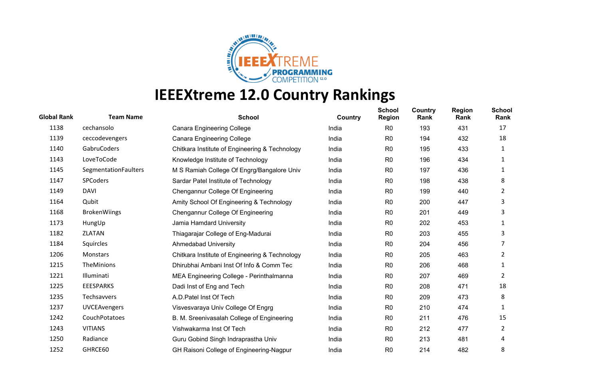

| <b>Global Rank</b> | <b>Team Name</b>     | <b>School</b>                                  | Country | <b>School</b><br><b>Region</b> | Country<br>Rank | <b>Region</b><br>Rank | <b>School</b><br>Rank |
|--------------------|----------------------|------------------------------------------------|---------|--------------------------------|-----------------|-----------------------|-----------------------|
| 1138               | cechansolo           | <b>Canara Engineering College</b>              | India   | R <sub>0</sub>                 | 193             | 431                   | 17                    |
| 1139               | ceccodevengers       | <b>Canara Engineering College</b>              | India   | R <sub>0</sub>                 | 194             | 432                   | 18                    |
| 1140               | GabruCoders          | Chitkara Institute of Engineering & Technology | India   | R <sub>0</sub>                 | 195             | 433                   | 1                     |
| 1143               | LoveToCode           | Knowledge Institute of Technology              | India   | R <sub>0</sub>                 | 196             | 434                   | 1                     |
| 1145               | SegmentationFaulters | M S Ramiah College Of Engrg/Bangalore Univ     | India   | R <sub>0</sub>                 | 197             | 436                   | 1                     |
| 1147               | <b>SPCoders</b>      | Sardar Patel Institute of Technology           | India   | R <sub>0</sub>                 | 198             | 438                   | 8                     |
| 1149               | <b>DAVI</b>          | Chengannur College Of Engineering              | India   | R <sub>0</sub>                 | 199             | 440                   | 2                     |
| 1164               | Qubit                | Amity School Of Engineering & Technology       | India   | R <sub>0</sub>                 | 200             | 447                   | 3                     |
| 1168               | <b>BrokenWiings</b>  | Chengannur College Of Engineering              | India   | R <sub>0</sub>                 | 201             | 449                   | 3                     |
| 1173               | HungUp               | Jamia Hamdard University                       | India   | R <sub>0</sub>                 | 202             | 453                   | 1                     |
| 1182               | ZLATAN               | Thiagarajar College of Eng-Madurai             | India   | R <sub>0</sub>                 | 203             | 455                   | 3                     |
| 1184               | Squircles            | <b>Ahmedabad University</b>                    | India   | R0                             | 204             | 456                   | 7                     |
| 1206               | Monstars             | Chitkara Institute of Engineering & Technology | India   | R <sub>0</sub>                 | 205             | 463                   | $\overline{2}$        |
| 1215               | TheMinions           | Dhirubhai Ambani Inst Of Info & Comm Tec       | India   | R <sub>0</sub>                 | 206             | 468                   | 1                     |
| 1221               | Illuminati           | MEA Engineering College - Perinthalmanna       | India   | R <sub>0</sub>                 | 207             | 469                   | 2                     |
| 1225               | <b>EEESPARKS</b>     | Dadi Inst of Eng and Tech                      | India   | R <sub>0</sub>                 | 208             | 471                   | 18                    |
| 1235               | Techsavvers          | A.D. Patel Inst Of Tech                        | India   | R <sub>0</sub>                 | 209             | 473                   | 8                     |
| 1237               | <b>UVCEAvengers</b>  | Visvesvaraya Univ College Of Engrg             | India   | R <sub>0</sub>                 | 210             | 474                   | 1                     |
| 1242               | CouchPotatoes        | B. M. Sreenivasalah College of Engineering     | India   | R <sub>0</sub>                 | 211             | 476                   | 15                    |
| 1243               | <b>VITIANS</b>       | Vishwakarma Inst Of Tech                       | India   | R <sub>0</sub>                 | 212             | 477                   | 2                     |
| 1250               | Radiance             | Guru Gobind Singh Indraprastha Univ            | India   | R <sub>0</sub>                 | 213             | 481                   | 4                     |
| 1252               | GHRCE60              | GH Raisoni College of Engineering-Nagpur       | India   | R <sub>0</sub>                 | 214             | 482                   | 8                     |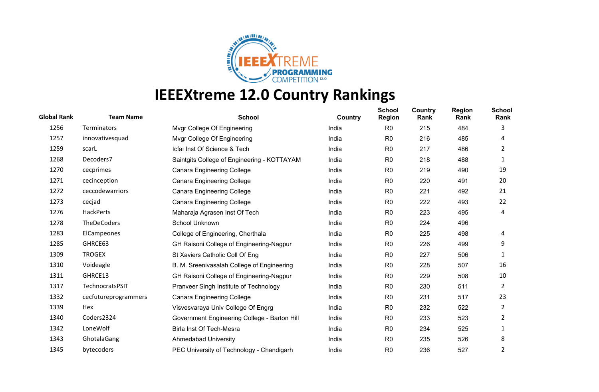

| <b>Global Rank</b> | <b>Team Name</b>     | <b>School</b>                                | Country | <b>School</b><br><b>Region</b> | Country<br>Rank | <b>Region</b><br>Rank | <b>School</b><br>Rank |
|--------------------|----------------------|----------------------------------------------|---------|--------------------------------|-----------------|-----------------------|-----------------------|
| 1256               | Terminators          | Mvgr College Of Engineering                  | India   | R <sub>0</sub>                 | 215             | 484                   | 3                     |
| 1257               | innovativesquad      | Mvgr College Of Engineering                  | India   | R <sub>0</sub>                 | 216             | 485                   | 4                     |
| 1259               | scarL                | Icfai Inst Of Science & Tech                 | India   | R <sub>0</sub>                 | 217             | 486                   | 2                     |
| 1268               | Decoders7            | Saintgits College of Engineering - KOTTAYAM  | India   | R <sub>0</sub>                 | 218             | 488                   | 1                     |
| 1270               | cecprimes            | <b>Canara Engineering College</b>            | India   | R <sub>0</sub>                 | 219             | 490                   | 19                    |
| 1271               | cecinception         | <b>Canara Engineering College</b>            | India   | R <sub>0</sub>                 | 220             | 491                   | 20                    |
| 1272               | ceccodewarriors      | <b>Canara Engineering College</b>            | India   | R <sub>0</sub>                 | 221             | 492                   | 21                    |
| 1273               | cecjad               | <b>Canara Engineering College</b>            | India   | R <sub>0</sub>                 | 222             | 493                   | 22                    |
| 1276               | HackPerts            | Maharaja Agrasen Inst Of Tech                | India   | R <sub>0</sub>                 | 223             | 495                   | 4                     |
| 1278               | TheDeCoders          | School Unknown                               | India   | R <sub>0</sub>                 | 224             | 496                   |                       |
| 1283               | ElCampeones          | College of Engineering, Cherthala            | India   | R <sub>0</sub>                 | 225             | 498                   | 4                     |
| 1285               | GHRCE63              | GH Raisoni College of Engineering-Nagpur     | India   | R <sub>0</sub>                 | 226             | 499                   | 9                     |
| 1309               | <b>TROGEX</b>        | St Xaviers Catholic Coll Of Eng              | India   | R <sub>0</sub>                 | 227             | 506                   | 1                     |
| 1310               | Voideagle            | B. M. Sreenivasalah College of Engineering   | India   | R <sub>0</sub>                 | 228             | 507                   | 16                    |
| 1311               | GHRCE13              | GH Raisoni College of Engineering-Nagpur     | India   | R <sub>0</sub>                 | 229             | 508                   | 10                    |
| 1317               | TechnocratsPSIT      | Pranveer Singh Institute of Technology       | India   | R <sub>0</sub>                 | 230             | 511                   | 2                     |
| 1332               | cecfutureprogrammers | <b>Canara Engineering College</b>            | India   | R <sub>0</sub>                 | 231             | 517                   | 23                    |
| 1339               | Hex                  | Visvesvaraya Univ College Of Engrg           | India   | R <sub>0</sub>                 | 232             | 522                   | $\overline{2}$        |
| 1340               | Coders2324           | Government Engineering College - Barton Hill | India   | R <sub>0</sub>                 | 233             | 523                   | 2                     |
| 1342               | LoneWolf             | Birla Inst Of Tech-Mesra                     | India   | R <sub>0</sub>                 | 234             | 525                   | 1                     |
| 1343               | GhotalaGang          | <b>Ahmedabad University</b>                  | India   | R <sub>0</sub>                 | 235             | 526                   | 8                     |
| 1345               | bytecoders           | PEC University of Technology - Chandigarh    | India   | R <sub>0</sub>                 | 236             | 527                   | 2                     |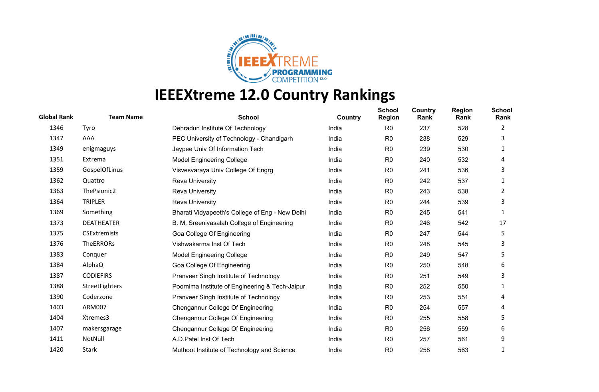

| <b>Global Rank</b> | <b>Team Name</b>    | <b>School</b>                                   | Country | <b>School</b><br><b>Region</b> | Country<br>Rank | <b>Region</b><br>Rank | <b>School</b><br>Rank |
|--------------------|---------------------|-------------------------------------------------|---------|--------------------------------|-----------------|-----------------------|-----------------------|
| 1346               | Tyro                | Dehradun Institute Of Technology                | India   | R <sub>0</sub>                 | 237             | 528                   | 2                     |
| 1347               | AAA                 | PEC University of Technology - Chandigarh       | India   | R <sub>0</sub>                 | 238             | 529                   | 3                     |
| 1349               | enigmaguys          | Jaypee Univ Of Information Tech                 | India   | R <sub>0</sub>                 | 239             | 530                   | 1                     |
| 1351               | Extrema             | <b>Model Engineering College</b>                | India   | R <sub>0</sub>                 | 240             | 532                   | 4                     |
| 1359               | GospelOfLinus       | Visvesvaraya Univ College Of Engrg              | India   | R <sub>0</sub>                 | 241             | 536                   | 3                     |
| 1362               | Quattro             | <b>Reva University</b>                          | India   | R <sub>0</sub>                 | 242             | 537                   | 1                     |
| 1363               | ThePsionic2         | <b>Reva University</b>                          | India   | R <sub>0</sub>                 | 243             | 538                   | 2                     |
| 1364               | <b>TRIPLER</b>      | <b>Reva University</b>                          | India   | R <sub>0</sub>                 | 244             | 539                   | 3                     |
| 1369               | Something           | Bharati Vidyapeeth's College of Eng - New Delhi | India   | R <sub>0</sub>                 | 245             | 541                   | 1                     |
| 1373               | <b>DEATHEATER</b>   | B. M. Sreenivasalah College of Engineering      | India   | R <sub>0</sub>                 | 246             | 542                   | 17                    |
| 1375               | <b>CSExtremists</b> | Goa College Of Engineering                      | India   | R <sub>0</sub>                 | 247             | 544                   | 5                     |
| 1376               | <b>TheERRORs</b>    | Vishwakarma Inst Of Tech                        | India   | R <sub>0</sub>                 | 248             | 545                   | 3                     |
| 1383               | Conquer             | <b>Model Engineering College</b>                | India   | R <sub>0</sub>                 | 249             | 547                   | 5                     |
| 1384               | AlphaQ              | Goa College Of Engineering                      | India   | R <sub>0</sub>                 | 250             | 548                   | 6                     |
| 1387               | <b>CODIEFIRS</b>    | Pranveer Singh Institute of Technology          | India   | R <sub>0</sub>                 | 251             | 549                   | 3                     |
| 1388               | StreetFighters      | Poornima Institute of Engineering & Tech-Jaipur | India   | R <sub>0</sub>                 | 252             | 550                   | 1                     |
| 1390               | Coderzone           | Pranveer Singh Institute of Technology          | India   | R <sub>0</sub>                 | 253             | 551                   | 4                     |
| 1403               | <b>ARM007</b>       | Chengannur College Of Engineering               | India   | R <sub>0</sub>                 | 254             | 557                   | 4                     |
| 1404               | Xtremes3            | Chengannur College Of Engineering               | India   | R <sub>0</sub>                 | 255             | 558                   | 5                     |
| 1407               | makersgarage        | Chengannur College Of Engineering               | India   | R <sub>0</sub>                 | 256             | 559                   | 6                     |
| 1411               | NotNull             | A.D. Patel Inst Of Tech                         | India   | R <sub>0</sub>                 | 257             | 561                   | 9                     |
| 1420               | Stark               | Muthoot Institute of Technology and Science     | India   | R <sub>0</sub>                 | 258             | 563                   | 1                     |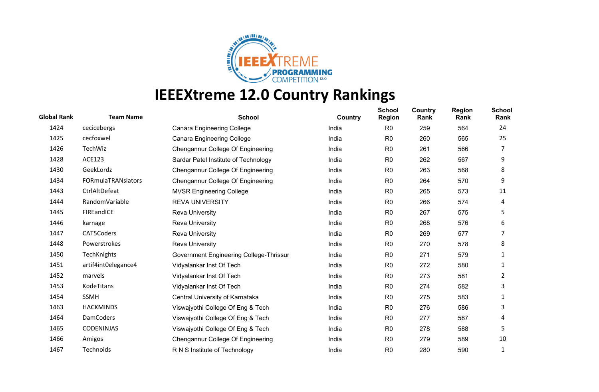

| <b>Global Rank</b> | <b>Team Name</b>    | <b>School</b>                           | Country | <b>School</b><br><b>Region</b> | Country<br>Rank | <b>Region</b><br>Rank | <b>School</b><br>Rank |
|--------------------|---------------------|-----------------------------------------|---------|--------------------------------|-----------------|-----------------------|-----------------------|
| 1424               | cecicebergs         | <b>Canara Engineering College</b>       | India   | R <sub>0</sub>                 | 259             | 564                   | 24                    |
| 1425               | cecfoxwel           | <b>Canara Engineering College</b>       | India   | R <sub>0</sub>                 | 260             | 565                   | 25                    |
| 1426               | TechWiz             | Chengannur College Of Engineering       | India   | R <sub>0</sub>                 | 261             | 566                   | 7                     |
| 1428               | <b>ACE123</b>       | Sardar Patel Institute of Technology    | India   | R <sub>0</sub>                 | 262             | 567                   | 9                     |
| 1430               | GeekLordz           | Chengannur College Of Engineering       | India   | R <sub>0</sub>                 | 263             | 568                   | 8                     |
| 1434               | FORmulaTRANslators  | Chengannur College Of Engineering       | India   | R <sub>0</sub>                 | 264             | 570                   | 9                     |
| 1443               | CtrlAltDefeat       | <b>MVSR Engineering College</b>         | India   | R <sub>0</sub>                 | 265             | 573                   | 11                    |
| 1444               | RandomVariable      | <b>REVA UNIVERSITY</b>                  | India   | R <sub>0</sub>                 | 266             | 574                   | 4                     |
| 1445               | FIREandICE          | Reva University                         | India   | R <sub>0</sub>                 | 267             | 575                   | 5                     |
| 1446               | karnage             | <b>Reva University</b>                  | India   | R <sub>0</sub>                 | 268             | 576                   | 6                     |
| 1447               | CAT5Coders          | Reva University                         | India   | R <sub>0</sub>                 | 269             | 577                   |                       |
| 1448               | Powerstrokes        | <b>Reva University</b>                  | India   | R <sub>0</sub>                 | 270             | 578                   | 8                     |
| 1450               | <b>TechKnights</b>  | Government Engineering College-Thrissur | India   | R <sub>0</sub>                 | 271             | 579                   | 1                     |
| 1451               | artif4int0elegance4 | Vidyalankar Inst Of Tech                | India   | R <sub>0</sub>                 | 272             | 580                   | 1                     |
| 1452               | marvels             | Vidyalankar Inst Of Tech                | India   | R <sub>0</sub>                 | 273             | 581                   | 2                     |
| 1453               | KodeTitans          | Vidyalankar Inst Of Tech                | India   | R <sub>0</sub>                 | 274             | 582                   | 3                     |
| 1454               | <b>SSMH</b>         | Central University of Karnataka         | India   | R <sub>0</sub>                 | 275             | 583                   | 1                     |
| 1463               | <b>HACKMINDS</b>    | Viswajyothi College Of Eng & Tech       | India   | R <sub>0</sub>                 | 276             | 586                   | 3                     |
| 1464               | <b>DamCoders</b>    | Viswajyothi College Of Eng & Tech       | India   | R <sub>0</sub>                 | 277             | 587                   | 4                     |
| 1465               | <b>CODENINJAS</b>   | Viswajyothi College Of Eng & Tech       | India   | R <sub>0</sub>                 | 278             | 588                   | 5                     |
| 1466               | Amigos              | Chengannur College Of Engineering       | India   | R <sub>0</sub>                 | 279             | 589                   | 10                    |
| 1467               | Technoids           | R N S Institute of Technology           | India   | R <sub>0</sub>                 | 280             | 590                   | 1                     |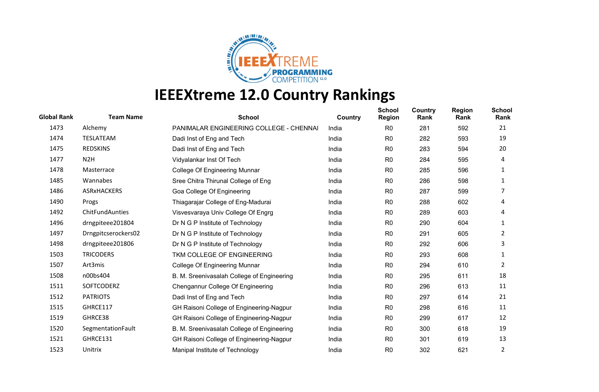

| <b>Global Rank</b> | <b>Team Name</b>    | <b>School</b>                                  | Country | <b>School</b><br><b>Region</b> | Country<br>Rank | <b>Region</b><br>Rank | <b>School</b><br>Rank |
|--------------------|---------------------|------------------------------------------------|---------|--------------------------------|-----------------|-----------------------|-----------------------|
| 1473               | Alchemy             | <b>PANIMALAR ENGINEERING COLLEGE - CHENNAI</b> | India   | R <sub>0</sub>                 | 281             | 592                   | 21                    |
| 1474               | TESLATEAM           | Dadi Inst of Eng and Tech                      | India   | R <sub>0</sub>                 | 282             | 593                   | 19                    |
| 1475               | <b>REDSKINS</b>     | Dadi Inst of Eng and Tech                      | India   | R <sub>0</sub>                 | 283             | 594                   | 20                    |
| 1477               | N <sub>2</sub> H    | Vidyalankar Inst Of Tech                       | India   | R <sub>0</sub>                 | 284             | 595                   | 4                     |
| 1478               | Masterrace          | College Of Engineering Munnar                  | India   | R0                             | 285             | 596                   | 1                     |
| 1485               | Wannabes            | Sree Chitra Thirunal College of Eng            | India   | R <sub>0</sub>                 | 286             | 598                   | 1                     |
| 1486               | <b>ASRxHACKERS</b>  | Goa College Of Engineering                     | India   | R <sub>0</sub>                 | 287             | 599                   | 7                     |
| 1490               | Progs               | Thiagarajar College of Eng-Madurai             | India   | R <sub>0</sub>                 | 288             | 602                   | 4                     |
| 1492               | ChitFundAunties     | Visvesvaraya Univ College Of Engrg             | India   | R <sub>0</sub>                 | 289             | 603                   | 4                     |
| 1496               | drngpiteee201804    | Dr N G P Institute of Technology               | India   | R <sub>0</sub>                 | 290             | 604                   | 1                     |
| 1497               | Drngpitcserockers02 | Dr N G P Institute of Technology               | India   | R <sub>0</sub>                 | 291             | 605                   | 2                     |
| 1498               | drngpiteee201806    | Dr N G P Institute of Technology               | India   | R <sub>0</sub>                 | 292             | 606                   | 3                     |
| 1503               | <b>TRICODERS</b>    | TKM COLLEGE OF ENGINEERING                     | India   | R <sub>0</sub>                 | 293             | 608                   | 1                     |
| 1507               | Art3mis             | College Of Engineering Munnar                  | India   | R <sub>0</sub>                 | 294             | 610                   | 2                     |
| 1508               | n00bs404            | B. M. Sreenivasalah College of Engineering     | India   | R <sub>0</sub>                 | 295             | 611                   | 18                    |
| 1511               | <b>SOFTCODERZ</b>   | Chengannur College Of Engineering              | India   | R <sub>0</sub>                 | 296             | 613                   | 11                    |
| 1512               | <b>PATRIOTS</b>     | Dadi Inst of Eng and Tech                      | India   | R <sub>0</sub>                 | 297             | 614                   | 21                    |
| 1515               | GHRCE117            | GH Raisoni College of Engineering-Nagpur       | India   | R <sub>0</sub>                 | 298             | 616                   | 11                    |
| 1519               | GHRCE38             | GH Raisoni College of Engineering-Nagpur       | India   | R <sub>0</sub>                 | 299             | 617                   | 12                    |
| 1520               | SegmentationFault   | B. M. Sreenivasalah College of Engineering     | India   | R <sub>0</sub>                 | 300             | 618                   | 19                    |
| 1521               | GHRCE131            | GH Raisoni College of Engineering-Nagpur       | India   | R <sub>0</sub>                 | 301             | 619                   | 13                    |
| 1523               | Unitrix             | Manipal Institute of Technology                | India   | R <sub>0</sub>                 | 302             | 621                   | 2                     |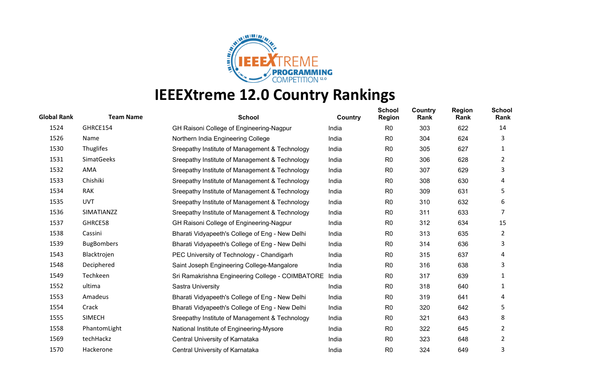

| <b>Global Rank</b> | <b>Team Name</b>  | <b>School</b>                                    | Country | <b>School</b><br><b>Region</b> | Country<br>Rank | <b>Region</b><br>Rank | <b>School</b><br>Rank |
|--------------------|-------------------|--------------------------------------------------|---------|--------------------------------|-----------------|-----------------------|-----------------------|
| 1524               | GHRCE154          | GH Raisoni College of Engineering-Nagpur         | India   | R <sub>0</sub>                 | 303             | 622                   | 14                    |
| 1526               | Name              | Northern India Engineering College               | India   | R <sub>0</sub>                 | 304             | 624                   | 3                     |
| 1530               | Thuglifes         | Sreepathy Institute of Management & Technology   | India   | R <sub>0</sub>                 | 305             | 627                   | 1                     |
| 1531               | <b>SimatGeeks</b> | Sreepathy Institute of Management & Technology   | India   | R <sub>0</sub>                 | 306             | 628                   | 2                     |
| 1532               | AMA               | Sreepathy Institute of Management & Technology   | India   | R <sub>0</sub>                 | 307             | 629                   | 3                     |
| 1533               | Chishiki          | Sreepathy Institute of Management & Technology   | India   | R <sub>0</sub>                 | 308             | 630                   | 4                     |
| 1534               | <b>RAK</b>        | Sreepathy Institute of Management & Technology   | India   | R <sub>0</sub>                 | 309             | 631                   | 5                     |
| 1535               | <b>UVT</b>        | Sreepathy Institute of Management & Technology   | India   | R <sub>0</sub>                 | 310             | 632                   | 6                     |
| 1536               | SIMATIANZZ        | Sreepathy Institute of Management & Technology   | India   | R <sub>0</sub>                 | 311             | 633                   | 7                     |
| 1537               | GHRCE58           | GH Raisoni College of Engineering-Nagpur         | India   | R <sub>0</sub>                 | 312             | 634                   | 15                    |
| 1538               | Cassini           | Bharati Vidyapeeth's College of Eng - New Delhi  | India   | R <sub>0</sub>                 | 313             | 635                   | 2                     |
| 1539               | <b>BugBombers</b> | Bharati Vidyapeeth's College of Eng - New Delhi  | India   | R <sub>0</sub>                 | 314             | 636                   | 3                     |
| 1543               | Blacktrojen       | PEC University of Technology - Chandigarh        | India   | R <sub>0</sub>                 | 315             | 637                   | 4                     |
| 1548               | Deciphered        | Saint Joseph Engineering College-Mangalore       | India   | R <sub>0</sub>                 | 316             | 638                   | 3                     |
| 1549               | Techkeen          | Sri Ramakrishna Engineering College - COIMBATORE | India   | R0                             | 317             | 639                   | 1                     |
| 1552               | ultima            | Sastra University                                | India   | R <sub>0</sub>                 | 318             | 640                   | 1                     |
| 1553               | Amadeus           | Bharati Vidyapeeth's College of Eng - New Delhi  | India   | R <sub>0</sub>                 | 319             | 641                   | 4                     |
| 1554               | Crack             | Bharati Vidyapeeth's College of Eng - New Delhi  | India   | R <sub>0</sub>                 | 320             | 642                   | 5                     |
| 1555               | <b>SIMECH</b>     | Sreepathy Institute of Management & Technology   | India   | R <sub>0</sub>                 | 321             | 643                   | 8                     |
| 1558               | PhantomLight      | National Institute of Engineering-Mysore         | India   | R <sub>0</sub>                 | 322             | 645                   | 2                     |
| 1569               | techHackz         | Central University of Karnataka                  | India   | R <sub>0</sub>                 | 323             | 648                   | 2                     |
| 1570               | Hackerone         | Central University of Karnataka                  | India   | R <sub>0</sub>                 | 324             | 649                   | 3                     |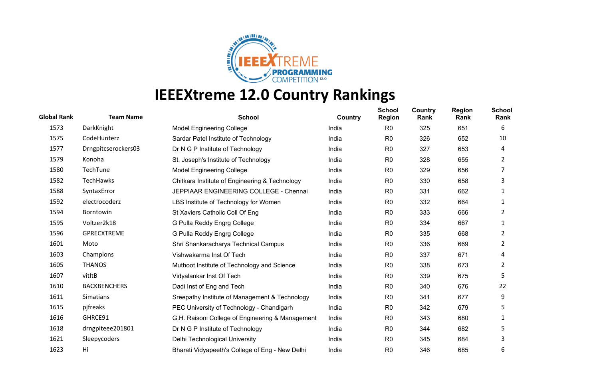

| <b>Global Rank</b> | <b>Team Name</b>    | <b>School</b>                                    | Country | <b>School</b><br><b>Region</b> | <b>Country</b><br>Rank | <b>Region</b><br>Rank | <b>School</b><br>Rank |
|--------------------|---------------------|--------------------------------------------------|---------|--------------------------------|------------------------|-----------------------|-----------------------|
| 1573               | DarkKnight          | <b>Model Engineering College</b>                 | India   | R <sub>0</sub>                 | 325                    | 651                   | 6                     |
| 1575               | CodeHunterz         | Sardar Patel Institute of Technology             | India   | R <sub>0</sub>                 | 326                    | 652                   | 10                    |
| 1577               | Drngpitcserockers03 | Dr N G P Institute of Technology                 | India   | R <sub>0</sub>                 | 327                    | 653                   | 4                     |
| 1579               | Konoha              | St. Joseph's Institute of Technology             | India   | R <sub>0</sub>                 | 328                    | 655                   | 2                     |
| 1580               | TechTune            | <b>Model Engineering College</b>                 | India   | R <sub>0</sub>                 | 329                    | 656                   | 7                     |
| 1582               | TechHawks           | Chitkara Institute of Engineering & Technology   | India   | R <sub>0</sub>                 | 330                    | 658                   | 3                     |
| 1588               | SyntaxError         | JEPPIAAR ENGINEERING COLLEGE - Chennai           | India   | R <sub>0</sub>                 | 331                    | 662                   | 1                     |
| 1592               | electrocoderz       | LBS Institute of Technology for Women            | India   | R <sub>0</sub>                 | 332                    | 664                   | 1                     |
| 1594               | Borntowin           | St Xaviers Catholic Coll Of Eng                  | India   | R <sub>0</sub>                 | 333                    | 666                   | 2                     |
| 1595               | Voltzer2k18         | G Pulla Reddy Engrg College                      | India   | R <sub>0</sub>                 | 334                    | 667                   | 1                     |
| 1596               | <b>GPRECXTREME</b>  | G Pulla Reddy Engrg College                      | India   | R <sub>0</sub>                 | 335                    | 668                   | 2                     |
| 1601               | Moto                | Shri Shankaracharya Technical Campus             | India   | R <sub>0</sub>                 | 336                    | 669                   | 2                     |
| 1603               | Champions           | Vishwakarma Inst Of Tech                         | India   | R <sub>0</sub>                 | 337                    | 671                   | 4                     |
| 1605               | <b>THANOS</b>       | Muthoot Institute of Technology and Science      | India   | R <sub>0</sub>                 | 338                    | 673                   | 2                     |
| 1607               | vitItB              | Vidyalankar Inst Of Tech                         | India   | R0                             | 339                    | 675                   | 5                     |
| 1610               | <b>BACKBENCHERS</b> | Dadi Inst of Eng and Tech                        | India   | R <sub>0</sub>                 | 340                    | 676                   | 22                    |
| 1611               | Simatians           | Sreepathy Institute of Management & Technology   | India   | R <sub>0</sub>                 | 341                    | 677                   | 9                     |
| 1615               | pjfreaks            | PEC University of Technology - Chandigarh        | India   | R <sub>0</sub>                 | 342                    | 679                   | 5                     |
| 1616               | GHRCE91             | G.H. Raisoni College of Engineering & Management | India   | R <sub>0</sub>                 | 343                    | 680                   | 1                     |
| 1618               | drngpiteee201801    | Dr N G P Institute of Technology                 | India   | R <sub>0</sub>                 | 344                    | 682                   | 5                     |
| 1621               | Sleepycoders        | Delhi Technological University                   | India   | R <sub>0</sub>                 | 345                    | 684                   | 3                     |
| 1623               | Hi                  | Bharati Vidyapeeth's College of Eng - New Delhi  | India   | R <sub>0</sub>                 | 346                    | 685                   | 6                     |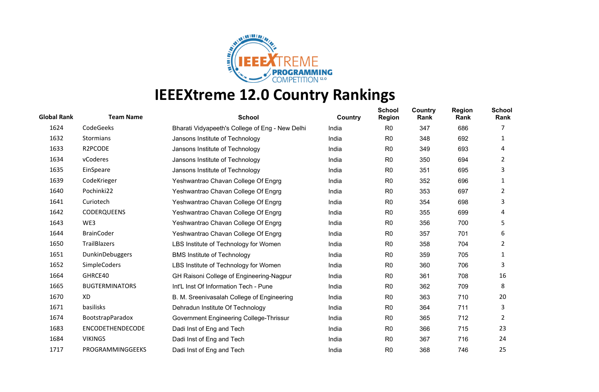

| <b>Global Rank</b> | <b>Team Name</b>        | <b>School</b>                                   | Country | <b>School</b><br><b>Region</b> | Country<br>Rank | <b>Region</b><br>Rank | <b>School</b><br>Rank |
|--------------------|-------------------------|-------------------------------------------------|---------|--------------------------------|-----------------|-----------------------|-----------------------|
| 1624               | CodeGeeks               | Bharati Vidyapeeth's College of Eng - New Delhi | India   | R <sub>0</sub>                 | 347             | 686                   | 7                     |
| 1632               | Stormians               | Jansons Institute of Technology                 | India   | R <sub>0</sub>                 | 348             | 692                   | 1                     |
| 1633               | R2PCODE                 | Jansons Institute of Technology                 | India   | R <sub>0</sub>                 | 349             | 693                   | 4                     |
| 1634               | vCoderes                | Jansons Institute of Technology                 | India   | R <sub>0</sub>                 | 350             | 694                   | 2                     |
| 1635               | EinSpeare               | Jansons Institute of Technology                 | India   | R <sub>0</sub>                 | 351             | 695                   | 3                     |
| 1639               | CodeKrieger             | Yeshwantrao Chavan College Of Engrg             | India   | R <sub>0</sub>                 | 352             | 696                   | 1                     |
| 1640               | Pochinki22              | Yeshwantrao Chavan College Of Engrg             | India   | R <sub>0</sub>                 | 353             | 697                   | 2                     |
| 1641               | Curiotech               | Yeshwantrao Chavan College Of Engrg             | India   | R <sub>0</sub>                 | 354             | 698                   | 3                     |
| 1642               | <b>CODERQUEENS</b>      | Yeshwantrao Chavan College Of Engrg             | India   | R <sub>0</sub>                 | 355             | 699                   | 4                     |
| 1643               | WE3                     | Yeshwantrao Chavan College Of Engrg             | India   | R <sub>0</sub>                 | 356             | 700                   | 5                     |
| 1644               | <b>BrainCoder</b>       | Yeshwantrao Chavan College Of Engrg             | India   | R <sub>0</sub>                 | 357             | 701                   | 6                     |
| 1650               | TrailBlazers            | LBS Institute of Technology for Women           | India   | R <sub>0</sub>                 | 358             | 704                   | 2                     |
| 1651               | DunkinDebuggers         | <b>BMS Institute of Technology</b>              | India   | R <sub>0</sub>                 | 359             | 705                   | 1                     |
| 1652               | SimpleCoders            | LBS Institute of Technology for Women           | India   | R <sub>0</sub>                 | 360             | 706                   | 3                     |
| 1664               | GHRCE40                 | GH Raisoni College of Engineering-Nagpur        | India   | R <sub>0</sub>                 | 361             | 708                   | 16                    |
| 1665               | <b>BUGTERMINATORS</b>   | Int'L Inst Of Information Tech - Pune           | India   | R <sub>0</sub>                 | 362             | 709                   | 8                     |
| 1670               | XD                      | B. M. Sreenivasalah College of Engineering      | India   | R <sub>0</sub>                 | 363             | 710                   | 20                    |
| 1671               | basilisks               | Dehradun Institute Of Technology                | India   | R <sub>0</sub>                 | 364             | 711                   | 3                     |
| 1674               | BootstrapParadox        | Government Engineering College-Thrissur         | India   | R <sub>0</sub>                 | 365             | 712                   | 2                     |
| 1683               | <b>ENCODETHENDECODE</b> | Dadi Inst of Eng and Tech                       | India   | R <sub>0</sub>                 | 366             | 715                   | 23                    |
| 1684               | <b>VIKINGS</b>          | Dadi Inst of Eng and Tech                       | India   | R <sub>0</sub>                 | 367             | 716                   | 24                    |
| 1717               | PROGRAMMINGGEEKS        | Dadi Inst of Eng and Tech                       | India   | R <sub>0</sub>                 | 368             | 746                   | 25                    |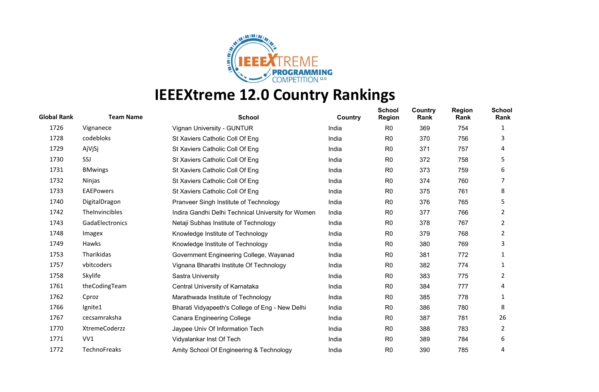

| <b>Global Rank</b> | <b>Team Name</b>    | <b>School</b>                                      | Country | <b>School</b><br><b>Region</b> | Country<br>Rank | <b>Region</b><br>Rank | <b>School</b><br>Rank |
|--------------------|---------------------|----------------------------------------------------|---------|--------------------------------|-----------------|-----------------------|-----------------------|
| 1726               | Vignanece           | Vignan University - GUNTUR                         | India   | R <sub>0</sub>                 | 369             | 754                   | 1                     |
| 1728               | codebloks           | St Xaviers Catholic Coll Of Eng                    | India   | R <sub>0</sub>                 | 370             | 756                   | 3                     |
| 1729               | AjVjSj              | St Xaviers Catholic Coll Of Eng                    | India   | R <sub>0</sub>                 | 371             | 757                   | 4                     |
| 1730               | SSJ                 | St Xaviers Catholic Coll Of Eng                    | India   | R <sub>0</sub>                 | 372             | 758                   | 5                     |
| 1731               | <b>BMwings</b>      | St Xaviers Catholic Coll Of Eng                    | India   | R <sub>0</sub>                 | 373             | 759                   | 6                     |
| 1732               | Ninjas              | St Xaviers Catholic Coll Of Eng                    | India   | R <sub>0</sub>                 | 374             | 760                   |                       |
| 1733               | <b>EAEPowers</b>    | St Xaviers Catholic Coll Of Eng                    | India   | R <sub>0</sub>                 | 375             | 761                   | 8                     |
| 1740               | DigitalDragon       | Pranveer Singh Institute of Technology             | India   | R <sub>0</sub>                 | 376             | 765                   | 5                     |
| 1742               | TheInvincibles      | Indira Gandhi Delhi Technical University for Women | India   | R <sub>0</sub>                 | 377             | 766                   | 2                     |
| 1743               | GadaElectronics     | Netaji Subhas Institute of Technology              | India   | R <sub>0</sub>                 | 378             | 767                   | 2                     |
| 1748               | Imagex              | Knowledge Institute of Technology                  | India   | R <sub>0</sub>                 | 379             | 768                   | 2                     |
| 1749               | Hawks               | Knowledge Institute of Technology                  | India   | R <sub>0</sub>                 | 380             | 769                   | 3                     |
| 1753               | Tharikidas          | Government Engineering College, Wayanad            | India   | R <sub>0</sub>                 | 381             | 772                   | 1                     |
| 1757               | vbitcoders          | Vignana Bharathi Institute Of Technology           | India   | R <sub>0</sub>                 | 382             | 774                   | 1                     |
| 1758               | Skylife             | Sastra University                                  | India   | R <sub>0</sub>                 | 383             | 775                   | 2                     |
| 1761               | theCodingTeam       | Central University of Karnataka                    | India   | R <sub>0</sub>                 | 384             | 777                   | 4                     |
| 1762               | Cproz               | Marathwada Institute of Technology                 | India   | R <sub>0</sub>                 | 385             | 778                   | 1                     |
| 1766               | Ignite1             | Bharati Vidyapeeth's College of Eng - New Delhi    | India   | R <sub>0</sub>                 | 386             | 780                   | 8                     |
| 1767               | cecsamraksha        | <b>Canara Engineering College</b>                  | India   | R <sub>0</sub>                 | 387             | 781                   | 26                    |
| 1770               | XtremeCoderzz       | Jaypee Univ Of Information Tech                    | India   | R <sub>0</sub>                 | 388             | 783                   | 2                     |
| 1771               | VV1                 | Vidyalankar Inst Of Tech                           | India   | R <sub>0</sub>                 | 389             | 784                   | 6                     |
| 1772               | <b>TechnoFreaks</b> | Amity School Of Engineering & Technology           | India   | R <sub>0</sub>                 | 390             | 785                   | 4                     |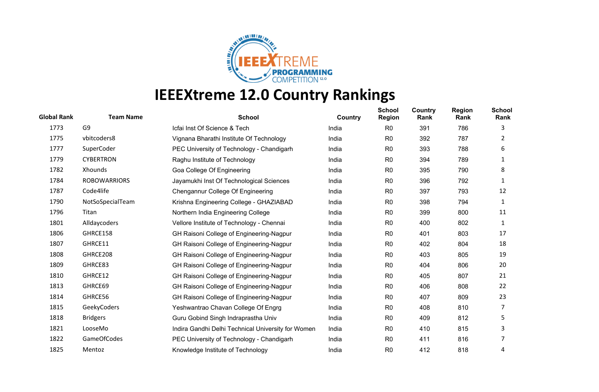

| <b>Global Rank</b> | <b>Team Name</b>    | <b>School</b>                                      | Country | <b>School</b><br><b>Region</b> | Country<br>Rank | <b>Region</b><br>Rank | <b>School</b><br>Rank |
|--------------------|---------------------|----------------------------------------------------|---------|--------------------------------|-----------------|-----------------------|-----------------------|
| 1773               | G <sub>9</sub>      | Icfai Inst Of Science & Tech                       | India   | R <sub>0</sub>                 | 391             | 786                   | 3                     |
| 1775               | vbitcoders8         | Vignana Bharathi Institute Of Technology           | India   | R <sub>0</sub>                 | 392             | 787                   | 2                     |
| 1777               | SuperCoder          | PEC University of Technology - Chandigarh          | India   | R <sub>0</sub>                 | 393             | 788                   | 6                     |
| 1779               | <b>CYBERTRON</b>    | Raghu Institute of Technology                      | India   | R <sub>0</sub>                 | 394             | 789                   | 1                     |
| 1782               | Xhounds             | Goa College Of Engineering                         | India   | R <sub>0</sub>                 | 395             | 790                   | 8                     |
| 1784               | <b>ROBOWARRIORS</b> | Jayamukhi Inst Of Technological Sciences           | India   | R <sub>0</sub>                 | 396             | 792                   | 1                     |
| 1787               | Code4life           | Chengannur College Of Engineering                  | India   | R <sub>0</sub>                 | 397             | 793                   | 12                    |
| 1790               | NotSoSpecialTeam    | Krishna Engineering College - GHAZIABAD            | India   | R <sub>0</sub>                 | 398             | 794                   | 1                     |
| 1796               | Titan               | Northern India Engineering College                 | India   | R <sub>0</sub>                 | 399             | 800                   | 11                    |
| 1801               | Alldaycoders        | Vellore Institute of Technology - Chennai          | India   | R <sub>0</sub>                 | 400             | 802                   | 1                     |
| 1806               | GHRCE158            | GH Raisoni College of Engineering-Nagpur           | India   | R <sub>0</sub>                 | 401             | 803                   | 17                    |
| 1807               | GHRCE11             | GH Raisoni College of Engineering-Nagpur           | India   | R <sub>0</sub>                 | 402             | 804                   | 18                    |
| 1808               | GHRCE208            | GH Raisoni College of Engineering-Nagpur           | India   | R <sub>0</sub>                 | 403             | 805                   | 19                    |
| 1809               | GHRCE83             | GH Raisoni College of Engineering-Nagpur           | India   | R <sub>0</sub>                 | 404             | 806                   | 20                    |
| 1810               | GHRCE12             | GH Raisoni College of Engineering-Nagpur           | India   | R <sub>0</sub>                 | 405             | 807                   | 21                    |
| 1813               | GHRCE69             | GH Raisoni College of Engineering-Nagpur           | India   | R <sub>0</sub>                 | 406             | 808                   | 22                    |
| 1814               | GHRCE56             | GH Raisoni College of Engineering-Nagpur           | India   | R <sub>0</sub>                 | 407             | 809                   | 23                    |
| 1815               | GeekyCoders         | Yeshwantrao Chavan College Of Engrg                | India   | R <sub>0</sub>                 | 408             | 810                   | 7                     |
| 1818               | <b>Bridgers</b>     | Guru Gobind Singh Indraprastha Univ                | India   | R <sub>0</sub>                 | 409             | 812                   | 5                     |
| 1821               | LooseMo             | Indira Gandhi Delhi Technical University for Women | India   | R <sub>0</sub>                 | 410             | 815                   | 3                     |
| 1822               | <b>GameOfCodes</b>  | PEC University of Technology - Chandigarh          | India   | R <sub>0</sub>                 | 411             | 816                   | 7                     |
| 1825               | Mentoz              | Knowledge Institute of Technology                  | India   | R <sub>0</sub>                 | 412             | 818                   | 4                     |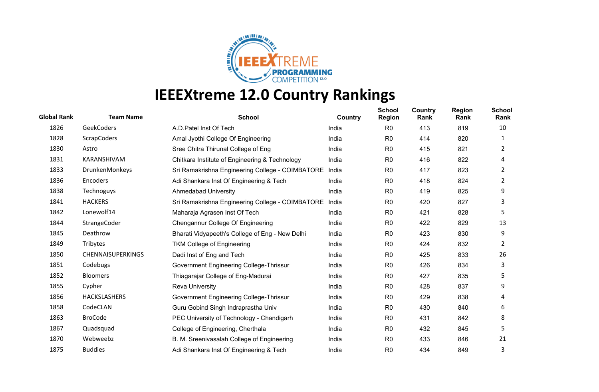

| <b>Global Rank</b> | <b>Team Name</b>         | <b>School</b>                                    | Country | <b>School</b><br><b>Region</b> | Country<br>Rank | <b>Region</b><br>Rank | <b>School</b><br>Rank |
|--------------------|--------------------------|--------------------------------------------------|---------|--------------------------------|-----------------|-----------------------|-----------------------|
| 1826               | GeekCoders               | A.D. Patel Inst Of Tech                          | India   | R <sub>0</sub>                 | 413             | 819                   | 10                    |
| 1828               | <b>ScrapCoders</b>       | Amal Jyothi College Of Engineering               | India   | R <sub>0</sub>                 | 414             | 820                   | 1                     |
| 1830               | Astro                    | Sree Chitra Thirunal College of Eng              | India   | R <sub>0</sub>                 | 415             | 821                   | 2                     |
| 1831               | KARANSHIVAM              | Chitkara Institute of Engineering & Technology   | India   | R <sub>0</sub>                 | 416             | 822                   | 4                     |
| 1833               | DrunkenMonkeys           | Sri Ramakrishna Engineering College - COIMBATORE | India   | R <sub>0</sub>                 | 417             | 823                   | 2                     |
| 1836               | Encoders                 | Adi Shankara Inst Of Engineering & Tech          | India   | R <sub>0</sub>                 | 418             | 824                   | 2                     |
| 1838               | Technoguys               | Ahmedabad University                             | India   | R <sub>0</sub>                 | 419             | 825                   | 9                     |
| 1841               | <b>HACKERS</b>           | Sri Ramakrishna Engineering College - COIMBATORE | India   | R <sub>0</sub>                 | 420             | 827                   | 3                     |
| 1842               | Lonewolf14               | Maharaja Agrasen Inst Of Tech                    | India   | R <sub>0</sub>                 | 421             | 828                   | 5                     |
| 1844               | StrangeCoder             | Chengannur College Of Engineering                | India   | R <sub>0</sub>                 | 422             | 829                   | 13                    |
| 1845               | Deathrow                 | Bharati Vidyapeeth's College of Eng - New Delhi  | India   | R <sub>0</sub>                 | 423             | 830                   | 9                     |
| 1849               | Tribytes                 | <b>TKM College of Engineering</b>                | India   | R <sub>0</sub>                 | 424             | 832                   | 2                     |
| 1850               | <b>CHENNAISUPERKINGS</b> | Dadi Inst of Eng and Tech                        | India   | R <sub>0</sub>                 | 425             | 833                   | 26                    |
| 1851               | Codebugs                 | Government Engineering College-Thrissur          | India   | R <sub>0</sub>                 | 426             | 834                   | 3                     |
| 1852               | <b>Bloomers</b>          | Thiagarajar College of Eng-Madurai               | India   | R <sub>0</sub>                 | 427             | 835                   | 5                     |
| 1855               | Cypher                   | <b>Reva University</b>                           | India   | R <sub>0</sub>                 | 428             | 837                   | 9                     |
| 1856               | HACKSLASHERS             | Government Engineering College-Thrissur          | India   | R <sub>0</sub>                 | 429             | 838                   | 4                     |
| 1858               | CodeCLAN                 | Guru Gobind Singh Indraprastha Univ              | India   | R <sub>0</sub>                 | 430             | 840                   | 6                     |
| 1863               | <b>BroCode</b>           | PEC University of Technology - Chandigarh        | India   | R <sub>0</sub>                 | 431             | 842                   | 8                     |
| 1867               | Quadsquad                | College of Engineering, Cherthala                | India   | R <sub>0</sub>                 | 432             | 845                   | 5                     |
| 1870               | Webweebz                 | B. M. Sreenivasalah College of Engineering       | India   | R <sub>0</sub>                 | 433             | 846                   | 21                    |
| 1875               | <b>Buddies</b>           | Adi Shankara Inst Of Engineering & Tech          | India   | R <sub>0</sub>                 | 434             | 849                   | 3                     |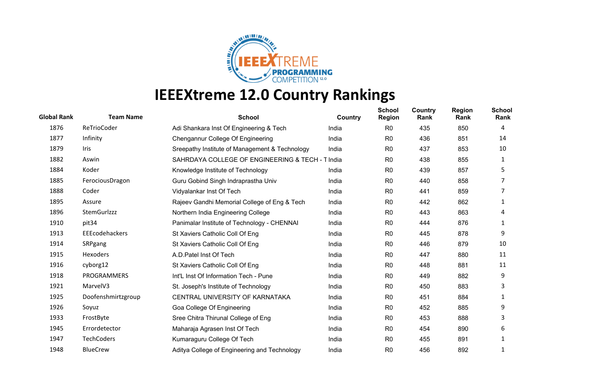

| <b>Global Rank</b> | <b>Team Name</b>   | <b>School</b>                                    | Country | <b>School</b><br><b>Region</b> | <b>Country</b><br>Rank | <b>Region</b><br>Rank | <b>School</b><br>Rank |
|--------------------|--------------------|--------------------------------------------------|---------|--------------------------------|------------------------|-----------------------|-----------------------|
| 1876               | ReTrioCoder        | Adi Shankara Inst Of Engineering & Tech          | India   | R <sub>0</sub>                 | 435                    | 850                   | 4                     |
| 1877               | Infinity           | Chengannur College Of Engineering                | India   | R <sub>0</sub>                 | 436                    | 851                   | 14                    |
| 1879               | Iris               | Sreepathy Institute of Management & Technology   | India   | R <sub>0</sub>                 | 437                    | 853                   | 10                    |
| 1882               | Aswin              | SAHRDAYA COLLEGE OF ENGINEERING & TECH - T India |         | R <sub>0</sub>                 | 438                    | 855                   | 1                     |
| 1884               | Koder              | Knowledge Institute of Technology                | India   | R <sub>0</sub>                 | 439                    | 857                   | 5                     |
| 1885               | FerociousDragon    | Guru Gobind Singh Indraprastha Univ              | India   | R <sub>0</sub>                 | 440                    | 858                   |                       |
| 1888               | Coder              | Vidyalankar Inst Of Tech                         | India   | R <sub>0</sub>                 | 441                    | 859                   | 7                     |
| 1895               | Assure             | Rajeev Gandhi Memorial College of Eng & Tech     | India   | R <sub>0</sub>                 | 442                    | 862                   | 1                     |
| 1896               | StemGurlzzz        | Northern India Engineering College               | India   | R <sub>0</sub>                 | 443                    | 863                   | 4                     |
| 1910               | pit <sub>34</sub>  | Panimalar Institute of Technology - CHENNAI      | India   | R <sub>0</sub>                 | 444                    | 876                   | 1                     |
| 1913               | EEEcodehackers     | St Xaviers Catholic Coll Of Eng                  | India   | R <sub>0</sub>                 | 445                    | 878                   | 9                     |
| 1914               | SRPgang            | St Xaviers Catholic Coll Of Eng                  | India   | R <sub>0</sub>                 | 446                    | 879                   | 10                    |
| 1915               | <b>Hexoders</b>    | A.D. Patel Inst Of Tech                          | India   | R <sub>0</sub>                 | 447                    | 880                   | 11                    |
| 1916               | cyborg12           | St Xaviers Catholic Coll Of Eng                  | India   | R <sub>0</sub>                 | 448                    | 881                   | 11                    |
| 1918               | PROGRAMMERS        | Int'L Inst Of Information Tech - Pune            | India   | R <sub>0</sub>                 | 449                    | 882                   | 9                     |
| 1921               | MarvelV3           | St. Joseph's Institute of Technology             | India   | R <sub>0</sub>                 | 450                    | 883                   | 3                     |
| 1925               | Doofenshmirtzgroup | CENTRAL UNIVERSITY OF KARNATAKA                  | India   | R <sub>0</sub>                 | 451                    | 884                   | 1                     |
| 1926               | Soyuz              | Goa College Of Engineering                       | India   | R <sub>0</sub>                 | 452                    | 885                   | 9                     |
| 1933               | FrostByte          | Sree Chitra Thirunal College of Eng              | India   | R <sub>0</sub>                 | 453                    | 888                   | 3                     |
| 1945               | Errordetector      | Maharaja Agrasen Inst Of Tech                    | India   | R <sub>0</sub>                 | 454                    | 890                   | 6                     |
| 1947               | <b>TechCoders</b>  | Kumaraguru College Of Tech                       | India   | R <sub>0</sub>                 | 455                    | 891                   | 1                     |
| 1948               | <b>BlueCrew</b>    | Aditya College of Engineering and Technology     | India   | R <sub>0</sub>                 | 456                    | 892                   |                       |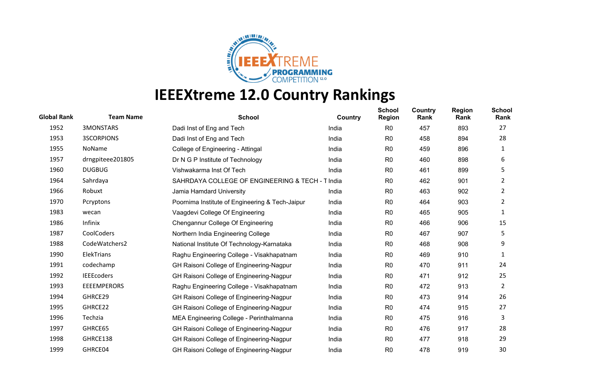

| <b>Global Rank</b> | <b>Team Name</b>   | <b>School</b>                                    | Country | <b>School</b><br><b>Region</b> | Country<br>Rank | <b>Region</b><br>Rank | <b>School</b><br>Rank |
|--------------------|--------------------|--------------------------------------------------|---------|--------------------------------|-----------------|-----------------------|-----------------------|
| 1952               | <b>3MONSTARS</b>   | Dadi Inst of Eng and Tech                        | India   | R <sub>0</sub>                 | 457             | 893                   | 27                    |
| 1953               | <b>3SCORPIONS</b>  | Dadi Inst of Eng and Tech                        | India   | R <sub>0</sub>                 | 458             | 894                   | 28                    |
| 1955               | NoName             | College of Engineering - Attingal                | India   | R <sub>0</sub>                 | 459             | 896                   | 1                     |
| 1957               | drngpiteee201805   | Dr N G P Institute of Technology                 | India   | R <sub>0</sub>                 | 460             | 898                   | 6                     |
| 1960               | <b>DUGBUG</b>      | Vishwakarma Inst Of Tech                         | India   | R <sub>0</sub>                 | 461             | 899                   | 5                     |
| 1964               | Sahrdaya           | SAHRDAYA COLLEGE OF ENGINEERING & TECH - T India |         | R <sub>0</sub>                 | 462             | 901                   | 2                     |
| 1966               | Robuxt             | Jamia Hamdard University                         | India   | R <sub>0</sub>                 | 463             | 902                   | $\overline{2}$        |
| 1970               | Pcryptons          | Poornima Institute of Engineering & Tech-Jaipur  | India   | R <sub>0</sub>                 | 464             | 903                   | 2                     |
| 1983               | wecan              | Vaagdevi College Of Engineering                  | India   | R <sub>0</sub>                 | 465             | 905                   | 1                     |
| 1986               | Infinix            | Chengannur College Of Engineering                | India   | R <sub>0</sub>                 | 466             | 906                   | 15                    |
| 1987               | CoolCoders         | Northern India Engineering College               | India   | R <sub>0</sub>                 | 467             | 907                   | 5                     |
| 1988               | CodeWatchers2      | National Institute Of Technology-Karnataka       | India   | R <sub>0</sub>                 | 468             | 908                   | 9                     |
| 1990               | ElekTrians         | Raghu Engineering College - Visakhapatnam        | India   | R <sub>0</sub>                 | 469             | 910                   | 1                     |
| 1991               | codechamp          | GH Raisoni College of Engineering-Nagpur         | India   | R <sub>0</sub>                 | 470             | 911                   | 24                    |
| 1992               | <b>IEEEcoders</b>  | GH Raisoni College of Engineering-Nagpur         | India   | R0                             | 471             | 912                   | 25                    |
| 1993               | <b>EEEEMPERORS</b> | Raghu Engineering College - Visakhapatnam        | India   | R <sub>0</sub>                 | 472             | 913                   | $\overline{2}$        |
| 1994               | GHRCE29            | GH Raisoni College of Engineering-Nagpur         | India   | R <sub>0</sub>                 | 473             | 914                   | 26                    |
| 1995               | GHRCE22            | GH Raisoni College of Engineering-Nagpur         | India   | R <sub>0</sub>                 | 474             | 915                   | 27                    |
| 1996               | Techzia            | MEA Engineering College - Perinthalmanna         | India   | R <sub>0</sub>                 | 475             | 916                   | 3                     |
| 1997               | GHRCE65            | GH Raisoni College of Engineering-Nagpur         | India   | R <sub>0</sub>                 | 476             | 917                   | 28                    |
| 1998               | GHRCE138           | GH Raisoni College of Engineering-Nagpur         | India   | R <sub>0</sub>                 | 477             | 918                   | 29                    |
| 1999               | GHRCE04            | GH Raisoni College of Engineering-Nagpur         | India   | R <sub>0</sub>                 | 478             | 919                   | 30                    |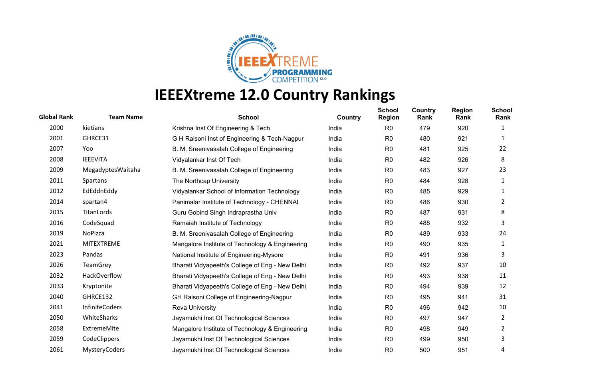

| <b>Global Rank</b> | <b>Team Name</b>      | <b>School</b>                                   | Country | <b>School</b><br><b>Region</b> | <b>Country</b><br>Rank | <b>Region</b><br>Rank | <b>School</b><br>Rank |
|--------------------|-----------------------|-------------------------------------------------|---------|--------------------------------|------------------------|-----------------------|-----------------------|
| 2000               | kietians              | Krishna Inst Of Engineering & Tech              | India   | R <sub>0</sub>                 | 479                    | 920                   | 1                     |
| 2001               | GHRCE31               | G H Raisoni Inst of Engineering & Tech-Nagpur   | India   | R <sub>0</sub>                 | 480                    | 921                   | 1                     |
| 2007               | Yoo                   | B. M. Sreenivasalah College of Engineering      | India   | R <sub>0</sub>                 | 481                    | 925                   | 22                    |
| 2008               | <b>IEEEVITA</b>       | Vidyalankar Inst Of Tech                        | India   | R <sub>0</sub>                 | 482                    | 926                   | 8                     |
| 2009               | MegadyptesWaitaha     | B. M. Sreenivasalah College of Engineering      | India   | R <sub>0</sub>                 | 483                    | 927                   | 23                    |
| 2011               | Spartans              | The Northcap University                         | India   | R <sub>0</sub>                 | 484                    | 928                   | 1                     |
| 2012               | EdEddnEddy            | Vidyalankar School of Information Technology    | India   | R <sub>0</sub>                 | 485                    | 929                   | 1                     |
| 2014               | spartan4              | Panimalar Institute of Technology - CHENNAI     | India   | R <sub>0</sub>                 | 486                    | 930                   | 2                     |
| 2015               | TitanLords            | Guru Gobind Singh Indraprastha Univ             | India   | R <sub>0</sub>                 | 487                    | 931                   | 8                     |
| 2016               | CodeSquad             | Ramaiah Institute of Technology                 | India   | R <sub>0</sub>                 | 488                    | 932                   | 3                     |
| 2019               | NoPizza               | B. M. Sreenivasalah College of Engineering      | India   | R <sub>0</sub>                 | 489                    | 933                   | 24                    |
| 2021               | <b>MITEXTREME</b>     | Mangalore Institute of Technology & Engineering | India   | R <sub>0</sub>                 | 490                    | 935                   | 1                     |
| 2023               | Pandas                | National Institute of Engineering-Mysore        | India   | R <sub>0</sub>                 | 491                    | 936                   | 3                     |
| 2026               | <b>TeamGrey</b>       | Bharati Vidyapeeth's College of Eng - New Delhi | India   | R <sub>0</sub>                 | 492                    | 937                   | 10                    |
| 2032               | HackOverflow          | Bharati Vidyapeeth's College of Eng - New Delhi | India   | R <sub>0</sub>                 | 493                    | 938                   | 11                    |
| 2033               | Kryptonite            | Bharati Vidyapeeth's College of Eng - New Delhi | India   | R <sub>0</sub>                 | 494                    | 939                   | 12                    |
| 2040               | GHRCE132              | GH Raisoni College of Engineering-Nagpur        | India   | R <sub>0</sub>                 | 495                    | 941                   | 31                    |
| 2041               | <b>InfiniteCoders</b> | <b>Reva University</b>                          | India   | R <sub>0</sub>                 | 496                    | 942                   | 10                    |
| 2050               | WhiteSharks           | Jayamukhi Inst Of Technological Sciences        | India   | R <sub>0</sub>                 | 497                    | 947                   | 2                     |
| 2058               | <b>ExtremeMite</b>    | Mangalore Institute of Technology & Engineering | India   | R <sub>0</sub>                 | 498                    | 949                   | 2                     |
| 2059               | CodeClippers          | Jayamukhi Inst Of Technological Sciences        | India   | R <sub>0</sub>                 | 499                    | 950                   | 3                     |
| 2061               | <b>MysteryCoders</b>  | Jayamukhi Inst Of Technological Sciences        | India   | R <sub>0</sub>                 | 500                    | 951                   | 4                     |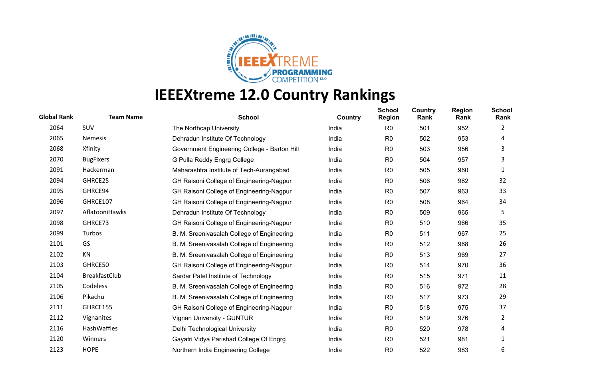

| <b>Global Rank</b> | <b>Team Name</b>     | <b>School</b>                                | Country | <b>School</b><br><b>Region</b> | Country<br>Rank | <b>Region</b><br>Rank | <b>School</b><br>Rank |
|--------------------|----------------------|----------------------------------------------|---------|--------------------------------|-----------------|-----------------------|-----------------------|
| 2064               | SUV                  | The Northcap University                      | India   | R <sub>0</sub>                 | 501             | 952                   | 2                     |
| 2065               | <b>Nemesis</b>       | Dehradun Institute Of Technology             | India   | R <sub>0</sub>                 | 502             | 953                   | 4                     |
| 2068               | Xfinity              | Government Engineering College - Barton Hill | India   | R <sub>0</sub>                 | 503             | 956                   | 3                     |
| 2070               | <b>BugFixers</b>     | G Pulla Reddy Engrg College                  | India   | R <sub>0</sub>                 | 504             | 957                   | 3                     |
| 2091               | Hackerman            | Maharashtra Institute of Tech-Aurangabad     | India   | R <sub>0</sub>                 | 505             | 960                   | 1                     |
| 2094               | GHRCE25              | GH Raisoni College of Engineering-Nagpur     | India   | R <sub>0</sub>                 | 506             | 962                   | 32                    |
| 2095               | GHRCE94              | GH Raisoni College of Engineering-Nagpur     | India   | R <sub>0</sub>                 | 507             | 963                   | 33                    |
| 2096               | GHRCE107             | GH Raisoni College of Engineering-Nagpur     | India   | R <sub>0</sub>                 | 508             | 964                   | 34                    |
| 2097               | AflatooniHawks       | Dehradun Institute Of Technology             | India   | R <sub>0</sub>                 | 509             | 965                   | 5                     |
| 2098               | GHRCE73              | GH Raisoni College of Engineering-Nagpur     | India   | R <sub>0</sub>                 | 510             | 966                   | 35                    |
| 2099               | Turbos               | B. M. Sreenivasalah College of Engineering   | India   | R <sub>0</sub>                 | 511             | 967                   | 25                    |
| 2101               | GS                   | B. M. Sreenivasalah College of Engineering   | India   | R <sub>0</sub>                 | 512             | 968                   | 26                    |
| 2102               | KN                   | B. M. Sreenivasalah College of Engineering   | India   | R <sub>0</sub>                 | 513             | 969                   | 27                    |
| 2103               | GHRCE50              | GH Raisoni College of Engineering-Nagpur     | India   | R <sub>0</sub>                 | 514             | 970                   | 36                    |
| 2104               | <b>BreakfastClub</b> | Sardar Patel Institute of Technology         | India   | R <sub>0</sub>                 | 515             | 971                   | 11                    |
| 2105               | Codeless             | B. M. Sreenivasalah College of Engineering   | India   | R <sub>0</sub>                 | 516             | 972                   | 28                    |
| 2106               | Pikachu              | B. M. Sreenivasalah College of Engineering   | India   | R <sub>0</sub>                 | 517             | 973                   | 29                    |
| 2111               | GHRCE155             | GH Raisoni College of Engineering-Nagpur     | India   | R <sub>0</sub>                 | 518             | 975                   | 37                    |
| 2112               | Vignanites           | Vignan University - GUNTUR                   | India   | R <sub>0</sub>                 | 519             | 976                   | $\overline{2}$        |
| 2116               | HashWaffles          | Delhi Technological University               | India   | R0                             | 520             | 978                   | 4                     |
| 2120               | Winners              | Gayatri Vidya Parishad College Of Engrg      | India   | R <sub>0</sub>                 | 521             | 981                   | 1                     |
| 2123               | <b>HOPE</b>          | Northern India Engineering College           | India   | R <sub>0</sub>                 | 522             | 983                   | 6                     |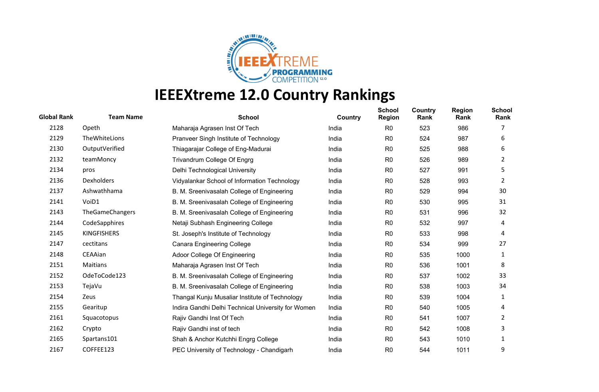

| <b>Global Rank</b> | <b>Team Name</b>       | <b>School</b>                                      | Country | <b>School</b><br><b>Region</b> | Country<br>Rank | <b>Region</b><br>Rank | <b>School</b><br>Rank |
|--------------------|------------------------|----------------------------------------------------|---------|--------------------------------|-----------------|-----------------------|-----------------------|
| 2128               | Opeth                  | Maharaja Agrasen Inst Of Tech                      | India   | R <sub>0</sub>                 | 523             | 986                   |                       |
| 2129               | TheWhiteLions          | Pranveer Singh Institute of Technology             | India   | R <sub>0</sub>                 | 524             | 987                   | 6                     |
| 2130               | OutputVerified         | Thiagarajar College of Eng-Madurai                 | India   | R <sub>0</sub>                 | 525             | 988                   | 6                     |
| 2132               | teamMoncy              | Trivandrum College Of Engrg                        | India   | R <sub>0</sub>                 | 526             | 989                   | 2                     |
| 2134               | pros                   | Delhi Technological University                     | India   | R <sub>0</sub>                 | 527             | 991                   | 5                     |
| 2136               | <b>Dexholders</b>      | Vidyalankar School of Information Technology       | India   | R <sub>0</sub>                 | 528             | 993                   | 2                     |
| 2137               | Ashwathhama            | B. M. Sreenivasalah College of Engineering         | India   | R <sub>0</sub>                 | 529             | 994                   | 30                    |
| 2141               | VoiD1                  | B. M. Sreenivasalah College of Engineering         | India   | R <sub>0</sub>                 | 530             | 995                   | 31                    |
| 2143               | <b>TheGameChangers</b> | B. M. Sreenivasalah College of Engineering         | India   | R <sub>0</sub>                 | 531             | 996                   | 32                    |
| 2144               | CodeSapphires          | Netaji Subhash Engineering College                 | India   | R <sub>0</sub>                 | 532             | 997                   | 4                     |
| 2145               | <b>KINGFISHERS</b>     | St. Joseph's Institute of Technology               | India   | R <sub>0</sub>                 | 533             | 998                   | 4                     |
| 2147               | cectitans              | <b>Canara Engineering College</b>                  | India   | R <sub>0</sub>                 | 534             | 999                   | 27                    |
| 2148               | CEAAian                | Adoor College Of Engineering                       | India   | R <sub>0</sub>                 | 535             | 1000                  | 1                     |
| 2151               | Maitians               | Maharaja Agrasen Inst Of Tech                      | India   | R <sub>0</sub>                 | 536             | 1001                  | 8                     |
| 2152               | OdeToCode123           | B. M. Sreenivasalah College of Engineering         | India   | R <sub>0</sub>                 | 537             | 1002                  | 33                    |
| 2153               | TejaVu                 | B. M. Sreenivasalah College of Engineering         | India   | R <sub>0</sub>                 | 538             | 1003                  | 34                    |
| 2154               | Zeus                   | Thangal Kunju Musaliar Institute of Technology     | India   | R <sub>0</sub>                 | 539             | 1004                  | 1                     |
| 2155               | Gearitup               | Indira Gandhi Delhi Technical University for Women | India   | R <sub>0</sub>                 | 540             | 1005                  | 4                     |
| 2161               | Squacotopus            | Rajiv Gandhi Inst Of Tech                          | India   | R <sub>0</sub>                 | 541             | 1007                  | 2                     |
| 2162               | Crypto                 | Rajiv Gandhi inst of tech                          | India   | R <sub>0</sub>                 | 542             | 1008                  | 3                     |
| 2165               | Spartans101            | Shah & Anchor Kutchhi Engrg College                | India   | R <sub>0</sub>                 | 543             | 1010                  | 1                     |
| 2167               | COFFEE123              | PEC University of Technology - Chandigarh          | India   | R <sub>0</sub>                 | 544             | 1011                  | 9                     |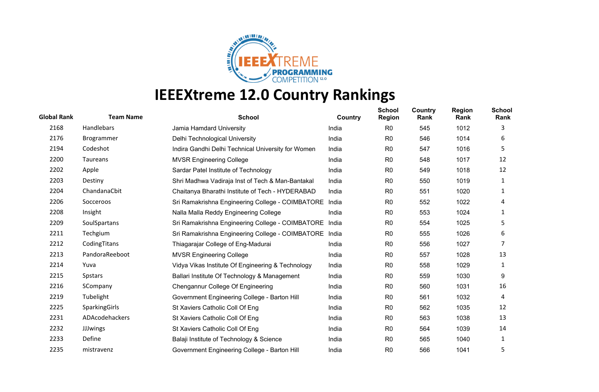

| <b>Global Rank</b> | <b>Team Name</b> | <b>School</b>                                          | Country | <b>School</b><br><b>Region</b> | Country<br>Rank | <b>Region</b><br>Rank | <b>School</b><br>Rank |
|--------------------|------------------|--------------------------------------------------------|---------|--------------------------------|-----------------|-----------------------|-----------------------|
| 2168               | Handlebars       | Jamia Hamdard University                               | India   | R <sub>0</sub>                 | 545             | 1012                  | 3                     |
| 2176               | Brogrammer       | Delhi Technological University                         | India   | R <sub>0</sub>                 | 546             | 1014                  | 6                     |
| 2194               | Codeshot         | Indira Gandhi Delhi Technical University for Women     | India   | R <sub>0</sub>                 | 547             | 1016                  | 5                     |
| 2200               | Taureans         | <b>MVSR Engineering College</b>                        | India   | R <sub>0</sub>                 | 548             | 1017                  | 12                    |
| 2202               | Apple            | Sardar Patel Institute of Technology                   | India   | R <sub>0</sub>                 | 549             | 1018                  | 12                    |
| 2203               | Destiny          | Shri Madhwa Vadiraja Inst of Tech & Man-Bantakal       | India   | R <sub>0</sub>                 | 550             | 1019                  | 1                     |
| 2204               | ChandanaCbit     | Chaitanya Bharathi Institute of Tech - HYDERABAD       | India   | R <sub>0</sub>                 | 551             | 1020                  | 1                     |
| 2206               | Socceroos        | Sri Ramakrishna Engineering College - COIMBATORE       | India   | R <sub>0</sub>                 | 552             | 1022                  | 4                     |
| 2208               | Insight          | Nalla Malla Reddy Engineering College                  | India   | R <sub>0</sub>                 | 553             | 1024                  | 1                     |
| 2209               | SoulSpartans     | Sri Ramakrishna Engineering College - COIMBATORE India |         | R <sub>0</sub>                 | 554             | 1025                  | 5                     |
| 2211               | Techgium         | Sri Ramakrishna Engineering College - COIMBATORE       | India   | R <sub>0</sub>                 | 555             | 1026                  | 6                     |
| 2212               | CodingTitans     | Thiagarajar College of Eng-Madurai                     | India   | R <sub>0</sub>                 | 556             | 1027                  |                       |
| 2213               | PandoraReeboot   | <b>MVSR Engineering College</b>                        | India   | R <sub>0</sub>                 | 557             | 1028                  | 13                    |
| 2214               | Yuva             | Vidya Vikas Institute Of Engineering & Technology      | India   | R <sub>0</sub>                 | 558             | 1029                  | 1                     |
| 2215               | <b>Spstars</b>   | Ballari Institute Of Technology & Management           | India   | R <sub>0</sub>                 | 559             | 1030                  | 9                     |
| 2216               | SCompany         | Chengannur College Of Engineering                      | India   | R <sub>0</sub>                 | 560             | 1031                  | 16                    |
| 2219               | Tubelight        | Government Engineering College - Barton Hill           | India   | R <sub>0</sub>                 | 561             | 1032                  | 4                     |
| 2225               | SparkingGirls    | St Xaviers Catholic Coll Of Eng                        | India   | R <sub>0</sub>                 | 562             | 1035                  | 12                    |
| 2231               | ADAcodehackers   | St Xaviers Catholic Coll Of Eng                        | India   | R <sub>0</sub>                 | 563             | 1038                  | 13                    |
| 2232               | <b>JJJwings</b>  | St Xaviers Catholic Coll Of Eng                        | India   | R <sub>0</sub>                 | 564             | 1039                  | 14                    |
| 2233               | Define           | Balaji Institute of Technology & Science               | India   | R <sub>0</sub>                 | 565             | 1040                  | 1                     |
| 2235               | mistravenz       | Government Engineering College - Barton Hill           | India   | R <sub>0</sub>                 | 566             | 1041                  | 5                     |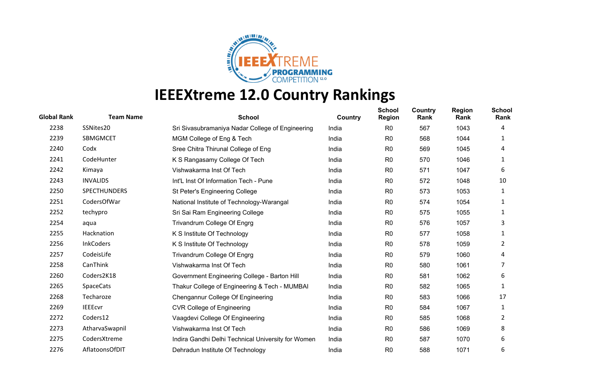

| <b>Global Rank</b> | <b>Team Name</b>    | <b>School</b>                                      | Country | <b>School</b><br><b>Region</b> | <b>Country</b><br>Rank | <b>Region</b><br>Rank | <b>School</b><br>Rank |
|--------------------|---------------------|----------------------------------------------------|---------|--------------------------------|------------------------|-----------------------|-----------------------|
| 2238               | SSNites20           | Sri Sivasubramaniya Nadar College of Engineering   | India   | R <sub>0</sub>                 | 567                    | 1043                  | 4                     |
| 2239               | SBMGMCET            | MGM College of Eng & Tech                          | India   | R <sub>0</sub>                 | 568                    | 1044                  | 1                     |
| 2240               | Codx                | Sree Chitra Thirunal College of Eng                | India   | R <sub>0</sub>                 | 569                    | 1045                  | 4                     |
| 2241               | CodeHunter          | K S Rangasamy College Of Tech                      | India   | R <sub>0</sub>                 | 570                    | 1046                  | 1                     |
| 2242               | Kimaya              | Vishwakarma Inst Of Tech                           | India   | R <sub>0</sub>                 | 571                    | 1047                  | 6                     |
| 2243               | <b>INVALIDS</b>     | Int'L Inst Of Information Tech - Pune              | India   | R <sub>0</sub>                 | 572                    | 1048                  | 10                    |
| 2250               | <b>SPECTHUNDERS</b> | St Peter's Engineering College                     | India   | R <sub>0</sub>                 | 573                    | 1053                  | 1                     |
| 2251               | CodersOfWar         | National Institute of Technology-Warangal          | India   | R <sub>0</sub>                 | 574                    | 1054                  | 1                     |
| 2252               | techypro            | Sri Sai Ram Engineering College                    | India   | R <sub>0</sub>                 | 575                    | 1055                  | 1                     |
| 2254               | aqua                | Trivandrum College Of Engrg                        | India   | R <sub>0</sub>                 | 576                    | 1057                  | 3                     |
| 2255               | Hacknation          | K S Institute Of Technology                        | India   | R <sub>0</sub>                 | 577                    | 1058                  | 1                     |
| 2256               | <b>InkCoders</b>    | K S Institute Of Technology                        | India   | R <sub>0</sub>                 | 578                    | 1059                  | 2                     |
| 2257               | CodeisLife          | Trivandrum College Of Engrg                        | India   | R <sub>0</sub>                 | 579                    | 1060                  | 4                     |
| 2258               | CanThink            | Vishwakarma Inst Of Tech                           | India   | R <sub>0</sub>                 | 580                    | 1061                  | 7                     |
| 2260               | Coders2K18          | Government Engineering College - Barton Hill       | India   | R <sub>0</sub>                 | 581                    | 1062                  | 6                     |
| 2265               | <b>SpaceCats</b>    | Thakur College of Engineering & Tech - MUMBAI      | India   | R <sub>0</sub>                 | 582                    | 1065                  | 1                     |
| 2268               | Techaroze           | Chengannur College Of Engineering                  | India   | R <sub>0</sub>                 | 583                    | 1066                  | 17                    |
| 2269               | <b>IEEEcvr</b>      | <b>CVR College of Engineering</b>                  | India   | R <sub>0</sub>                 | 584                    | 1067                  | 1                     |
| 2272               | Coders12            | Vaagdevi College Of Engineering                    | India   | R <sub>0</sub>                 | 585                    | 1068                  | 2                     |
| 2273               | AtharvaSwapnil      | Vishwakarma Inst Of Tech                           | India   | R <sub>0</sub>                 | 586                    | 1069                  | 8                     |
| 2275               | CodersXtreme        | Indira Gandhi Delhi Technical University for Women | India   | R <sub>0</sub>                 | 587                    | 1070                  | 6                     |
| 2276               | AflatoonsOfDIT      | Dehradun Institute Of Technology                   | India   | R <sub>0</sub>                 | 588                    | 1071                  | 6                     |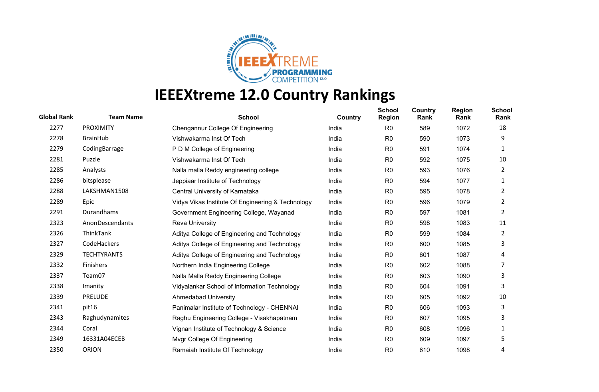

| <b>Global Rank</b> | <b>Team Name</b>   | <b>School</b>                                     | Country | <b>School</b><br><b>Region</b> | Country<br>Rank | <b>Region</b><br>Rank | <b>School</b><br>Rank |
|--------------------|--------------------|---------------------------------------------------|---------|--------------------------------|-----------------|-----------------------|-----------------------|
| 2277               | <b>PROXIMITY</b>   | Chengannur College Of Engineering                 | India   | R <sub>0</sub>                 | 589             | 1072                  | 18                    |
| 2278               | <b>BrainHub</b>    | Vishwakarma Inst Of Tech                          | India   | R <sub>0</sub>                 | 590             | 1073                  | 9                     |
| 2279               | CodingBarrage      | P D M College of Engineering                      | India   | R <sub>0</sub>                 | 591             | 1074                  | 1                     |
| 2281               | Puzzle             | Vishwakarma Inst Of Tech                          | India   | R <sub>0</sub>                 | 592             | 1075                  | 10                    |
| 2285               | Analysts           | Nalla malla Reddy engineering college             | India   | R0                             | 593             | 1076                  | 2                     |
| 2286               | bitsplease         | Jeppiaar Institute of Technology                  | India   | R <sub>0</sub>                 | 594             | 1077                  | 1                     |
| 2288               | LAKSHMAN1508       | Central University of Karnataka                   | India   | R <sub>0</sub>                 | 595             | 1078                  | 2                     |
| 2289               | Epic               | Vidya Vikas Institute Of Engineering & Technology | India   | R <sub>0</sub>                 | 596             | 1079                  | 2                     |
| 2291               | Durandhams         | Government Engineering College, Wayanad           | India   | R <sub>0</sub>                 | 597             | 1081                  | $\overline{2}$        |
| 2323               | AnonDescendants    | <b>Reva University</b>                            | India   | R <sub>0</sub>                 | 598             | 1083                  | 11                    |
| 2326               | ThinkTank          | Aditya College of Engineering and Technology      | India   | R <sub>0</sub>                 | 599             | 1084                  | 2                     |
| 2327               | CodeHackers        | Aditya College of Engineering and Technology      | India   | R <sub>0</sub>                 | 600             | 1085                  | 3                     |
| 2329               | <b>TECHTYRANTS</b> | Aditya College of Engineering and Technology      | India   | R <sub>0</sub>                 | 601             | 1087                  | 4                     |
| 2332               | Finishers          | Northern India Engineering College                | India   | R <sub>0</sub>                 | 602             | 1088                  | 7                     |
| 2337               | Team07             | Nalla Malla Reddy Engineering College             | India   | R0                             | 603             | 1090                  | 3                     |
| 2338               | Imanity            | Vidyalankar School of Information Technology      | India   | R <sub>0</sub>                 | 604             | 1091                  | 3                     |
| 2339               | <b>PRELUDE</b>     | <b>Ahmedabad University</b>                       | India   | R <sub>0</sub>                 | 605             | 1092                  | 10                    |
| 2341               | pit16              | Panimalar Institute of Technology - CHENNAI       | India   | R <sub>0</sub>                 | 606             | 1093                  | 3                     |
| 2343               | Raghudynamites     | Raghu Engineering College - Visakhapatnam         | India   | R <sub>0</sub>                 | 607             | 1095                  | 3                     |
| 2344               | Coral              | Vignan Institute of Technology & Science          | India   | R <sub>0</sub>                 | 608             | 1096                  | 1                     |
| 2349               | 16331A04ECEB       | Mvgr College Of Engineering                       | India   | R <sub>0</sub>                 | 609             | 1097                  | 5                     |
| 2350               | <b>ORION</b>       | Ramaiah Institute Of Technology                   | India   | R <sub>0</sub>                 | 610             | 1098                  | 4                     |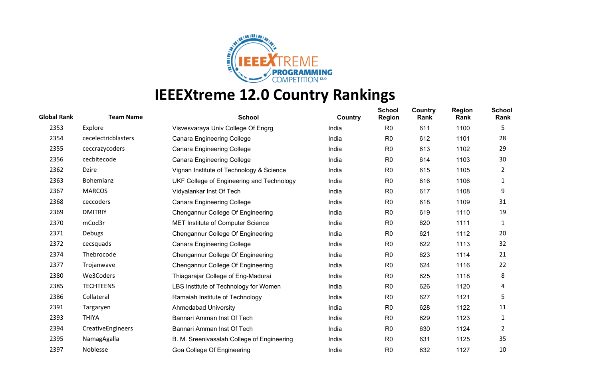

| <b>Global Rank</b> | <b>Team Name</b>    | <b>School</b>                              | Country | <b>School</b><br><b>Region</b> | Country<br>Rank | <b>Region</b><br>Rank | <b>School</b><br>Rank |
|--------------------|---------------------|--------------------------------------------|---------|--------------------------------|-----------------|-----------------------|-----------------------|
| 2353               | Explore             | Visvesvaraya Univ College Of Engrg         | India   | R <sub>0</sub>                 | 611             | 1100                  | 5                     |
| 2354               | cecelectricblasters | <b>Canara Engineering College</b>          | India   | R <sub>0</sub>                 | 612             | 1101                  | 28                    |
| 2355               | ceccrazycoders      | <b>Canara Engineering College</b>          | India   | R <sub>0</sub>                 | 613             | 1102                  | 29                    |
| 2356               | cecbitecode         | <b>Canara Engineering College</b>          | India   | R <sub>0</sub>                 | 614             | 1103                  | 30                    |
| 2362               | <b>Dzire</b>        | Vignan Institute of Technology & Science   | India   | R <sub>0</sub>                 | 615             | 1105                  | 2                     |
| 2363               | <b>Bohemianz</b>    | UKF College of Engineering and Technology  | India   | R <sub>0</sub>                 | 616             | 1106                  | 1                     |
| 2367               | <b>MARCOS</b>       | Vidyalankar Inst Of Tech                   | India   | R <sub>0</sub>                 | 617             | 1108                  | 9                     |
| 2368               | ceccoders           | <b>Canara Engineering College</b>          | India   | R <sub>0</sub>                 | 618             | 1109                  | 31                    |
| 2369               | <b>DMITRIY</b>      | Chengannur College Of Engineering          | India   | R <sub>0</sub>                 | 619             | 1110                  | 19                    |
| 2370               | mCod3r              | MET Institute of Computer Science          | India   | R <sub>0</sub>                 | 620             | 1111                  | 1                     |
| 2371               | Debugs              | Chengannur College Of Engineering          | India   | R <sub>0</sub>                 | 621             | 1112                  | 20                    |
| 2372               | cecsquads           | <b>Canara Engineering College</b>          | India   | R <sub>0</sub>                 | 622             | 1113                  | 32                    |
| 2374               | Thebrocode          | Chengannur College Of Engineering          | India   | R <sub>0</sub>                 | 623             | 1114                  | 21                    |
| 2377               | Trojanwave          | Chengannur College Of Engineering          | India   | R <sub>0</sub>                 | 624             | 1116                  | 22                    |
| 2380               | We3Coders           | Thiagarajar College of Eng-Madurai         | India   | R <sub>0</sub>                 | 625             | 1118                  | 8                     |
| 2385               | <b>TECHTEENS</b>    | LBS Institute of Technology for Women      | India   | R <sub>0</sub>                 | 626             | 1120                  | 4                     |
| 2386               | Collateral          | Ramaiah Institute of Technology            | India   | R <sub>0</sub>                 | 627             | 1121                  | 5                     |
| 2391               | Targaryen           | Ahmedabad University                       | India   | R <sub>0</sub>                 | 628             | 1122                  | 11                    |
| 2393               | <b>THIYA</b>        | Bannari Amman Inst Of Tech                 | India   | R <sub>0</sub>                 | 629             | 1123                  | 1                     |
| 2394               | CreativeEngineers   | Bannari Amman Inst Of Tech                 | India   | R <sub>0</sub>                 | 630             | 1124                  | 2                     |
| 2395               | NamagAgalla         | B. M. Sreenivasalah College of Engineering | India   | R <sub>0</sub>                 | 631             | 1125                  | 35                    |
| 2397               | Noblesse            | Goa College Of Engineering                 | India   | R <sub>0</sub>                 | 632             | 1127                  | 10                    |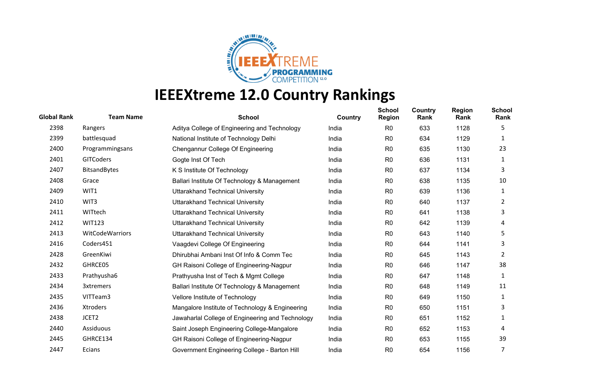

| <b>Global Rank</b> | <b>Team Name</b>    | <b>School</b>                                    | Country | <b>School</b><br><b>Region</b> | Country<br>Rank | <b>Region</b><br>Rank | <b>School</b><br>Rank |
|--------------------|---------------------|--------------------------------------------------|---------|--------------------------------|-----------------|-----------------------|-----------------------|
| 2398               | Rangers             | Aditya College of Engineering and Technology     | India   | R <sub>0</sub>                 | 633             | 1128                  | 5                     |
| 2399               | battlesquad         | National Institute of Technology Delhi           | India   | R <sub>0</sub>                 | 634             | 1129                  | 1                     |
| 2400               | Programmingsans     | Chengannur College Of Engineering                | India   | R <sub>0</sub>                 | 635             | 1130                  | 23                    |
| 2401               | <b>GITCoders</b>    | Gogte Inst Of Tech                               | India   | R <sub>0</sub>                 | 636             | 1131                  | 1                     |
| 2407               | <b>BitsandBytes</b> | K S Institute Of Technology                      | India   | R0                             | 637             | 1134                  | 3                     |
| 2408               | Grace               | Ballari Institute Of Technology & Management     | India   | R <sub>0</sub>                 | 638             | 1135                  | 10                    |
| 2409               | WIT1                | <b>Uttarakhand Technical University</b>          | India   | R <sub>0</sub>                 | 639             | 1136                  | 1                     |
| 2410               | WIT3                | <b>Uttarakhand Technical University</b>          | India   | R <sub>0</sub>                 | 640             | 1137                  | 2                     |
| 2411               | WITtech             | <b>Uttarakhand Technical University</b>          | India   | R <sub>0</sub>                 | 641             | 1138                  | 3                     |
| 2412               | <b>WIT123</b>       | <b>Uttarakhand Technical University</b>          | India   | R <sub>0</sub>                 | 642             | 1139                  | 4                     |
| 2413               | WitCodeWarriors     | <b>Uttarakhand Technical University</b>          | India   | R <sub>0</sub>                 | 643             | 1140                  | 5                     |
| 2416               | Coders451           | Vaagdevi College Of Engineering                  | India   | R <sub>0</sub>                 | 644             | 1141                  | 3                     |
| 2428               | GreenKiwi           | Dhirubhai Ambani Inst Of Info & Comm Tec         | India   | R <sub>0</sub>                 | 645             | 1143                  | 2                     |
| 2432               | GHRCE05             | GH Raisoni College of Engineering-Nagpur         | India   | R <sub>0</sub>                 | 646             | 1147                  | 38                    |
| 2433               | Prathyusha6         | Prathyusha Inst of Tech & Mgmt College           | India   | R0                             | 647             | 1148                  | 1                     |
| 2434               | <b>3xtremers</b>    | Ballari Institute Of Technology & Management     | India   | R <sub>0</sub>                 | 648             | 1149                  | 11                    |
| 2435               | VITTeam3            | Vellore Institute of Technology                  | India   | R <sub>0</sub>                 | 649             | 1150                  | 1                     |
| 2436               | Xtroders            | Mangalore Institute of Technology & Engineering  | India   | R <sub>0</sub>                 | 650             | 1151                  | 3                     |
| 2438               | JCET2               | Jawaharlal College of Engineering and Technology | India   | R <sub>0</sub>                 | 651             | 1152                  | 1                     |
| 2440               | Assiduous           | Saint Joseph Engineering College-Mangalore       | India   | R <sub>0</sub>                 | 652             | 1153                  | 4                     |
| 2445               | GHRCE134            | GH Raisoni College of Engineering-Nagpur         | India   | R <sub>0</sub>                 | 653             | 1155                  | 39                    |
| 2447               | Ecians              | Government Engineering College - Barton Hill     | India   | R <sub>0</sub>                 | 654             | 1156                  | 7                     |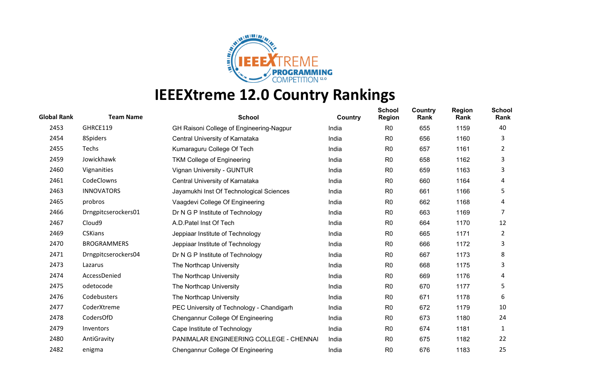

| <b>Global Rank</b> | <b>Team Name</b>    | <b>School</b>                             | Country | <b>School</b><br><b>Region</b> | <b>Country</b><br>Rank | <b>Region</b><br>Rank | <b>School</b><br>Rank |
|--------------------|---------------------|-------------------------------------------|---------|--------------------------------|------------------------|-----------------------|-----------------------|
| 2453               | GHRCE119            | GH Raisoni College of Engineering-Nagpur  | India   | R <sub>0</sub>                 | 655                    | 1159                  | 40                    |
| 2454               | 8Spiders            | Central University of Karnataka           | India   | R <sub>0</sub>                 | 656                    | 1160                  | 3                     |
| 2455               | Techs               | Kumaraguru College Of Tech                | India   | R <sub>0</sub>                 | 657                    | 1161                  | 2                     |
| 2459               | Jowickhawk          | <b>TKM College of Engineering</b>         | India   | R <sub>0</sub>                 | 658                    | 1162                  | 3                     |
| 2460               | Vignanities         | Vignan University - GUNTUR                | India   | R <sub>0</sub>                 | 659                    | 1163                  | 3                     |
| 2461               | CodeClowns          | Central University of Karnataka           | India   | R <sub>0</sub>                 | 660                    | 1164                  | 4                     |
| 2463               | <b>INNOVATORS</b>   | Jayamukhi Inst Of Technological Sciences  | India   | R <sub>0</sub>                 | 661                    | 1166                  | 5                     |
| 2465               | probros             | Vaagdevi College Of Engineering           | India   | R <sub>0</sub>                 | 662                    | 1168                  | 4                     |
| 2466               | Drngpitcserockers01 | Dr N G P Institute of Technology          | India   | R <sub>0</sub>                 | 663                    | 1169                  | 7                     |
| 2467               | Cloud9              | A.D. Patel Inst Of Tech                   | India   | R <sub>0</sub>                 | 664                    | 1170                  | 12                    |
| 2469               | <b>CSKians</b>      | Jeppiaar Institute of Technology          | India   | R <sub>0</sub>                 | 665                    | 1171                  | 2                     |
| 2470               | <b>BROGRAMMERS</b>  | Jeppiaar Institute of Technology          | India   | R <sub>0</sub>                 | 666                    | 1172                  | 3                     |
| 2471               | Drngpitcserockers04 | Dr N G P Institute of Technology          | India   | R <sub>0</sub>                 | 667                    | 1173                  | 8                     |
| 2473               | Lazarus             | The Northcap University                   | India   | R <sub>0</sub>                 | 668                    | 1175                  | 3                     |
| 2474               | AccessDenied        | The Northcap University                   | India   | R <sub>0</sub>                 | 669                    | 1176                  | 4                     |
| 2475               | odetocode           | The Northcap University                   | India   | R <sub>0</sub>                 | 670                    | 1177                  | 5                     |
| 2476               | Codebusters         | The Northcap University                   | India   | R <sub>0</sub>                 | 671                    | 1178                  | 6                     |
| 2477               | CoderXtreme         | PEC University of Technology - Chandigarh | India   | R <sub>0</sub>                 | 672                    | 1179                  | 10                    |
| 2478               | CodersOfD           | Chengannur College Of Engineering         | India   | R <sub>0</sub>                 | 673                    | 1180                  | 24                    |
| 2479               | Inventors           | Cape Institute of Technology              | India   | R <sub>0</sub>                 | 674                    | 1181                  | 1                     |
| 2480               | AntiGravity         | PANIMALAR ENGINEERING COLLEGE - CHENNAI   | India   | R <sub>0</sub>                 | 675                    | 1182                  | 22                    |
| 2482               | enigma              | Chengannur College Of Engineering         | India   | R <sub>0</sub>                 | 676                    | 1183                  | 25                    |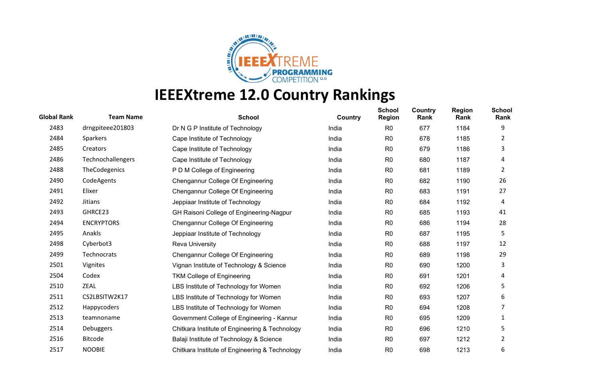

| <b>Global Rank</b> | <b>Team Name</b>  | <b>School</b>                                  | Country | <b>School</b><br><b>Region</b> | Country<br>Rank | <b>Region</b><br>Rank | <b>School</b><br>Rank |
|--------------------|-------------------|------------------------------------------------|---------|--------------------------------|-----------------|-----------------------|-----------------------|
| 2483               | drngpiteee201803  | Dr N G P Institute of Technology               | India   | R <sub>0</sub>                 | 677             | 1184                  | 9                     |
| 2484               | Sparkers          | Cape Institute of Technology                   | India   | R <sub>0</sub>                 | 678             | 1185                  | 2                     |
| 2485               | Creators          | Cape Institute of Technology                   | India   | R <sub>0</sub>                 | 679             | 1186                  | 3                     |
| 2486               | Technochallengers | Cape Institute of Technology                   | India   | R <sub>0</sub>                 | 680             | 1187                  | 4                     |
| 2488               | TheCodegenics     | P D M College of Engineering                   | India   | R <sub>0</sub>                 | 681             | 1189                  | 2                     |
| 2490               | CodeAgents        | Chengannur College Of Engineering              | India   | R <sub>0</sub>                 | 682             | 1190                  | 26                    |
| 2491               | Elixer            | Chengannur College Of Engineering              | India   | R <sub>0</sub>                 | 683             | 1191                  | 27                    |
| 2492               | <b>Jitians</b>    | Jeppiaar Institute of Technology               | India   | R <sub>0</sub>                 | 684             | 1192                  | 4                     |
| 2493               | GHRCE23           | GH Raisoni College of Engineering-Nagpur       | India   | R <sub>0</sub>                 | 685             | 1193                  | 41                    |
| 2494               | <b>ENCRYPTORS</b> | Chengannur College Of Engineering              | India   | R <sub>0</sub>                 | 686             | 1194                  | 28                    |
| 2495               | Anakls            | Jeppiaar Institute of Technology               | India   | R <sub>0</sub>                 | 687             | 1195                  | 5                     |
| 2498               | Cyberbot3         | <b>Reva University</b>                         | India   | R <sub>0</sub>                 | 688             | 1197                  | 12                    |
| 2499               | Technocrats       | Chengannur College Of Engineering              | India   | R <sub>0</sub>                 | 689             | 1198                  | 29                    |
| 2501               | Vignites          | Vignan Institute of Technology & Science       | India   | R <sub>0</sub>                 | 690             | 1200                  | 3                     |
| 2504               | Codex             | <b>TKM College of Engineering</b>              | India   | R <sub>0</sub>                 | 691             | 1201                  | 4                     |
| 2510               | ZEAL              | LBS Institute of Technology for Women          | India   | R <sub>0</sub>                 | 692             | 1206                  | 5                     |
| 2511               | CS2LBSITW2K17     | LBS Institute of Technology for Women          | India   | R <sub>0</sub>                 | 693             | 1207                  | 6                     |
| 2512               | Happycoders       | LBS Institute of Technology for Women          | India   | R <sub>0</sub>                 | 694             | 1208                  | 7                     |
| 2513               | teamnoname        | Government College of Engineering - Kannur     | India   | R <sub>0</sub>                 | 695             | 1209                  | 1                     |
| 2514               | Debuggers         | Chitkara Institute of Engineering & Technology | India   | R <sub>0</sub>                 | 696             | 1210                  | 5                     |
| 2516               | <b>Bitcode</b>    | Balaji Institute of Technology & Science       | India   | R <sub>0</sub>                 | 697             | 1212                  | $\overline{2}$        |
| 2517               | <b>NOOBIE</b>     | Chitkara Institute of Engineering & Technology | India   | R <sub>0</sub>                 | 698             | 1213                  | 6                     |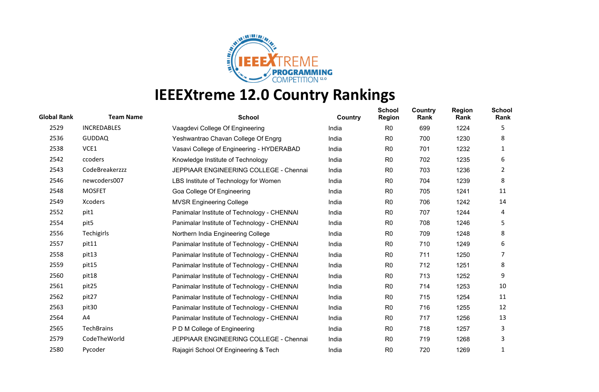

| <b>Global Rank</b> | <b>Team Name</b>   | <b>School</b>                               | Country | <b>School</b><br><b>Region</b> | <b>Country</b><br>Rank | <b>Region</b><br>Rank | School<br>Rank |
|--------------------|--------------------|---------------------------------------------|---------|--------------------------------|------------------------|-----------------------|----------------|
| 2529               | <b>INCREDABLES</b> | Vaagdevi College Of Engineering             | India   | R <sub>0</sub>                 | 699                    | 1224                  | 5              |
| 2536               | <b>GUDDAQ</b>      | Yeshwantrao Chavan College Of Engrg         | India   | R <sub>0</sub>                 | 700                    | 1230                  | 8              |
| 2538               | VCE1               | Vasavi College of Engineering - HYDERABAD   | India   | R <sub>0</sub>                 | 701                    | 1232                  | 1              |
| 2542               | ccoders            | Knowledge Institute of Technology           | India   | R <sub>0</sub>                 | 702                    | 1235                  | 6              |
| 2543               | CodeBreakerzzz     | JEPPIAAR ENGINEERING COLLEGE - Chennai      | India   | R <sub>0</sub>                 | 703                    | 1236                  | 2              |
| 2546               | newcoders007       | LBS Institute of Technology for Women       | India   | R <sub>0</sub>                 | 704                    | 1239                  | 8              |
| 2548               | <b>MOSFET</b>      | Goa College Of Engineering                  | India   | R <sub>0</sub>                 | 705                    | 1241                  | 11             |
| 2549               | Xcoders            | <b>MVSR Engineering College</b>             | India   | R0                             | 706                    | 1242                  | 14             |
| 2552               | pit1               | Panimalar Institute of Technology - CHENNAI | India   | R <sub>0</sub>                 | 707                    | 1244                  | 4              |
| 2554               | pit5               | Panimalar Institute of Technology - CHENNAI | India   | R <sub>0</sub>                 | 708                    | 1246                  | 5              |
| 2556               | Techigirls         | Northern India Engineering College          | India   | R <sub>0</sub>                 | 709                    | 1248                  | 8              |
| 2557               | pit11              | Panimalar Institute of Technology - CHENNAI | India   | R <sub>0</sub>                 | 710                    | 1249                  | 6              |
| 2558               | pit13              | Panimalar Institute of Technology - CHENNAI | India   | R <sub>0</sub>                 | 711                    | 1250                  | 7              |
| 2559               | pit15              | Panimalar Institute of Technology - CHENNAI | India   | R <sub>0</sub>                 | 712                    | 1251                  | 8              |
| 2560               | pit18              | Panimalar Institute of Technology - CHENNAI | India   | R <sub>0</sub>                 | 713                    | 1252                  | 9              |
| 2561               | pit <sub>25</sub>  | Panimalar Institute of Technology - CHENNAI | India   | R <sub>0</sub>                 | 714                    | 1253                  | 10             |
| 2562               | pit27              | Panimalar Institute of Technology - CHENNAI | India   | R <sub>0</sub>                 | 715                    | 1254                  | 11             |
| 2563               | pit <sub>30</sub>  | Panimalar Institute of Technology - CHENNAI | India   | R <sub>0</sub>                 | 716                    | 1255                  | 12             |
| 2564               | A4                 | Panimalar Institute of Technology - CHENNAI | India   | R <sub>0</sub>                 | 717                    | 1256                  | 13             |
| 2565               | TechBrains         | P D M College of Engineering                | India   | R <sub>0</sub>                 | 718                    | 1257                  | 3              |
| 2579               | CodeTheWorld       | JEPPIAAR ENGINEERING COLLEGE - Chennai      | India   | R <sub>0</sub>                 | 719                    | 1268                  | 3              |
| 2580               | Pycoder            | Rajagiri School Of Engineering & Tech       | India   | R <sub>0</sub>                 | 720                    | 1269                  |                |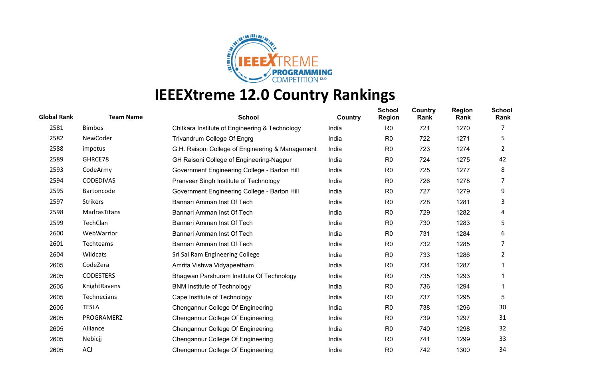

| <b>Global Rank</b> | <b>Team Name</b> | <b>School</b>                                    | Country | <b>School</b><br><b>Region</b> | Country<br>Rank | <b>Region</b><br>Rank | <b>School</b><br>Rank |
|--------------------|------------------|--------------------------------------------------|---------|--------------------------------|-----------------|-----------------------|-----------------------|
| 2581               | <b>Bimbos</b>    | Chitkara Institute of Engineering & Technology   | India   | R <sub>0</sub>                 | 721             | 1270                  |                       |
| 2582               | <b>NewCoder</b>  | Trivandrum College Of Engrg                      | India   | R <sub>0</sub>                 | 722             | 1271                  | 5                     |
| 2588               | impetus          | G.H. Raisoni College of Engineering & Management | India   | R <sub>0</sub>                 | 723             | 1274                  | 2                     |
| 2589               | GHRCE78          | GH Raisoni College of Engineering-Nagpur         | India   | R <sub>0</sub>                 | 724             | 1275                  | 42                    |
| 2593               | CodeArmy         | Government Engineering College - Barton Hill     | India   | R <sub>0</sub>                 | 725             | 1277                  | 8                     |
| 2594               | <b>CODEDIVAS</b> | Pranveer Singh Institute of Technology           | India   | R <sub>0</sub>                 | 726             | 1278                  | 7                     |
| 2595               | Bartoncode       | Government Engineering College - Barton Hill     | India   | R <sub>0</sub>                 | 727             | 1279                  | 9                     |
| 2597               | <b>Strikers</b>  | Bannari Amman Inst Of Tech                       | India   | R <sub>0</sub>                 | 728             | 1281                  | 3                     |
| 2598               | MadrasTitans     | Bannari Amman Inst Of Tech                       | India   | R <sub>0</sub>                 | 729             | 1282                  | 4                     |
| 2599               | TechClan         | Bannari Amman Inst Of Tech                       | India   | R0                             | 730             | 1283                  | 5                     |
| 2600               | WebWarrior       | Bannari Amman Inst Of Tech                       | India   | R <sub>0</sub>                 | 731             | 1284                  | 6                     |
| 2601               | Techteams        | Bannari Amman Inst Of Tech                       | India   | R <sub>0</sub>                 | 732             | 1285                  | 7                     |
| 2604               | Wildcats         | Sri Sai Ram Engineering College                  | India   | R <sub>0</sub>                 | 733             | 1286                  | 2                     |
| 2605               | CodeZera         | Amrita Vishwa Vidyapeetham                       | India   | R <sub>0</sub>                 | 734             | 1287                  |                       |
| 2605               | <b>CODESTERS</b> | Bhagwan Parshuram Institute Of Technology        | India   | R <sub>0</sub>                 | 735             | 1293                  |                       |
| 2605               | KnightRavens     | <b>BNM Institute of Technology</b>               | India   | R <sub>0</sub>                 | 736             | 1294                  |                       |
| 2605               | Technecians      | Cape Institute of Technology                     | India   | R <sub>0</sub>                 | 737             | 1295                  | 5                     |
| 2605               | <b>TESLA</b>     | Chengannur College Of Engineering                | India   | R <sub>0</sub>                 | 738             | 1296                  | 30                    |
| 2605               | PROGRAMERZ       | Chengannur College Of Engineering                | India   | R <sub>0</sub>                 | 739             | 1297                  | 31                    |
| 2605               | Alliance         | Chengannur College Of Engineering                | India   | R <sub>0</sub>                 | 740             | 1298                  | 32                    |
| 2605               | Nebicjj          | Chengannur College Of Engineering                | India   | R <sub>0</sub>                 | 741             | 1299                  | 33                    |
| 2605               | <b>ACJ</b>       | Chengannur College Of Engineering                | India   | R <sub>0</sub>                 | 742             | 1300                  | 34                    |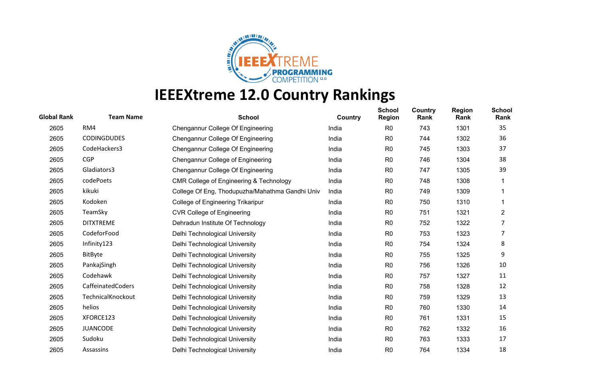

| <b>Global Rank</b> | <b>Team Name</b>   | <b>School</b>                                   | Country | <b>School</b><br><b>Region</b> | Country<br>Rank | <b>Region</b><br>Rank | <b>School</b><br>Rank |
|--------------------|--------------------|-------------------------------------------------|---------|--------------------------------|-----------------|-----------------------|-----------------------|
| 2605               | RM4                | Chengannur College Of Engineering               | India   | R <sub>0</sub>                 | 743             | 1301                  | 35                    |
| 2605               | <b>CODINGDUDES</b> | Chengannur College Of Engineering               | India   | R <sub>0</sub>                 | 744             | 1302                  | 36                    |
| 2605               | CodeHackers3       | Chengannur College Of Engineering               | India   | R <sub>0</sub>                 | 745             | 1303                  | 37                    |
| 2605               | <b>CGP</b>         | Chengannur College of Engineering               | India   | R <sub>0</sub>                 | 746             | 1304                  | 38                    |
| 2605               | Gladiators3        | Chengannur College Of Engineering               | India   | R <sub>0</sub>                 | 747             | 1305                  | 39                    |
| 2605               | codePoets          | CMR College of Engineering & Technology         | India   | R <sub>0</sub>                 | 748             | 1308                  |                       |
| 2605               | kikuki             | College Of Eng, Thodupuzha/Mahathma Gandhi Univ | India   | R <sub>0</sub>                 | 749             | 1309                  |                       |
| 2605               | Kodoken            | College of Engineering Trikaripur               | India   | R <sub>0</sub>                 | 750             | 1310                  |                       |
| 2605               | TeamSky            | <b>CVR College of Engineering</b>               | India   | R <sub>0</sub>                 | 751             | 1321                  | $\overline{c}$        |
| 2605               | <b>DITXTREME</b>   | Dehradun Institute Of Technology                | India   | R <sub>0</sub>                 | 752             | 1322                  | 7                     |
| 2605               | CodeforFood        | Delhi Technological University                  | India   | R <sub>0</sub>                 | 753             | 1323                  |                       |
| 2605               | Infinity123        | Delhi Technological University                  | India   | R <sub>0</sub>                 | 754             | 1324                  | 8                     |
| 2605               | BitByte            | Delhi Technological University                  | India   | R <sub>0</sub>                 | 755             | 1325                  | 9                     |
| 2605               | PankajSingh        | Delhi Technological University                  | India   | R <sub>0</sub>                 | 756             | 1326                  | 10                    |
| 2605               | Codehawk           | Delhi Technological University                  | India   | R <sub>0</sub>                 | 757             | 1327                  | 11                    |
| 2605               | CaffeinatedCoders  | Delhi Technological University                  | India   | R <sub>0</sub>                 | 758             | 1328                  | 12                    |
| 2605               | TechnicalKnockout  | Delhi Technological University                  | India   | R <sub>0</sub>                 | 759             | 1329                  | 13                    |
| 2605               | helios             | Delhi Technological University                  | India   | R <sub>0</sub>                 | 760             | 1330                  | 14                    |
| 2605               | XFORCE123          | Delhi Technological University                  | India   | R <sub>0</sub>                 | 761             | 1331                  | 15                    |
| 2605               | <b>JUANCODE</b>    | Delhi Technological University                  | India   | R <sub>0</sub>                 | 762             | 1332                  | 16                    |
| 2605               | Sudoku             | Delhi Technological University                  | India   | R <sub>0</sub>                 | 763             | 1333                  | 17                    |
| 2605               | Assassins          | Delhi Technological University                  | India   | R <sub>0</sub>                 | 764             | 1334                  | 18                    |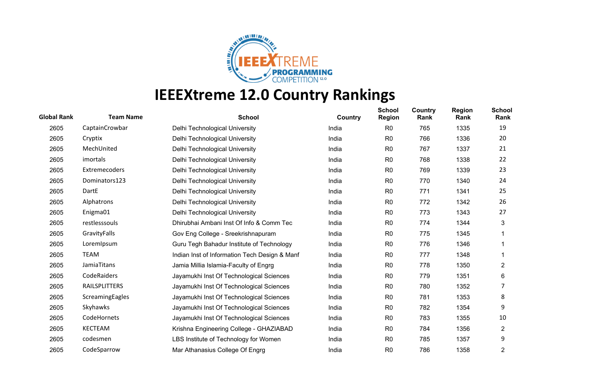

| <b>Global Rank</b> | <b>Team Name</b>     | <b>School</b>                                 | Country | <b>School</b><br><b>Region</b> | Country<br>Rank | <b>Region</b><br>Rank | <b>School</b><br>Rank |
|--------------------|----------------------|-----------------------------------------------|---------|--------------------------------|-----------------|-----------------------|-----------------------|
| 2605               | CaptainCrowbar       | Delhi Technological University                | India   | R <sub>0</sub>                 | 765             | 1335                  | 19                    |
| 2605               | Cryptix              | Delhi Technological University                | India   | R <sub>0</sub>                 | 766             | 1336                  | 20                    |
| 2605               | MechUnited           | Delhi Technological University                | India   | R <sub>0</sub>                 | 767             | 1337                  | 21                    |
| 2605               | imortals             | Delhi Technological University                | India   | R <sub>0</sub>                 | 768             | 1338                  | 22                    |
| 2605               | Extremecoders        | Delhi Technological University                | India   | R <sub>0</sub>                 | 769             | 1339                  | 23                    |
| 2605               | Dominators123        | Delhi Technological University                | India   | R <sub>0</sub>                 | 770             | 1340                  | 24                    |
| 2605               | DartE                | Delhi Technological University                | India   | R <sub>0</sub>                 | 771             | 1341                  | 25                    |
| 2605               | Alphatrons           | Delhi Technological University                | India   | R <sub>0</sub>                 | 772             | 1342                  | 26                    |
| 2605               | Enigma01             | Delhi Technological University                | India   | R <sub>0</sub>                 | 773             | 1343                  | 27                    |
| 2605               | restlesssouls        | Dhirubhai Ambani Inst Of Info & Comm Tec      | India   | R <sub>0</sub>                 | 774             | 1344                  | 3                     |
| 2605               | GravityFalls         | Gov Eng College - Sreekrishnapuram            | India   | R <sub>0</sub>                 | 775             | 1345                  |                       |
| 2605               | LoremIpsum           | Guru Tegh Bahadur Institute of Technology     | India   | R <sub>0</sub>                 | 776             | 1346                  |                       |
| 2605               | <b>TEAM</b>          | Indian Inst of Information Tech Design & Manf | India   | R <sub>0</sub>                 | 777             | 1348                  |                       |
| 2605               | JamiaTitans          | Jamia Millia Islamia-Faculty of Engrg         | India   | R <sub>0</sub>                 | 778             | 1350                  | $\overline{2}$        |
| 2605               | CodeRaiders          | Jayamukhi Inst Of Technological Sciences      | India   | R <sub>0</sub>                 | 779             | 1351                  | 6                     |
| 2605               | <b>RAILSPLITTERS</b> | Jayamukhi Inst Of Technological Sciences      | India   | R <sub>0</sub>                 | 780             | 1352                  |                       |
| 2605               | ScreamingEagles      | Jayamukhi Inst Of Technological Sciences      | India   | R <sub>0</sub>                 | 781             | 1353                  | 8                     |
| 2605               | Skyhawks             | Jayamukhi Inst Of Technological Sciences      | India   | R <sub>0</sub>                 | 782             | 1354                  | 9                     |
| 2605               | CodeHornets          | Jayamukhi Inst Of Technological Sciences      | India   | R <sub>0</sub>                 | 783             | 1355                  | 10                    |
| 2605               | KECTEAM              | Krishna Engineering College - GHAZIABAD       | India   | R <sub>0</sub>                 | 784             | 1356                  | $\overline{2}$        |
| 2605               | codesmen             | LBS Institute of Technology for Women         | India   | R <sub>0</sub>                 | 785             | 1357                  | 9                     |
| 2605               | CodeSparrow          | Mar Athanasius College Of Engrg               | India   | R <sub>0</sub>                 | 786             | 1358                  | 2                     |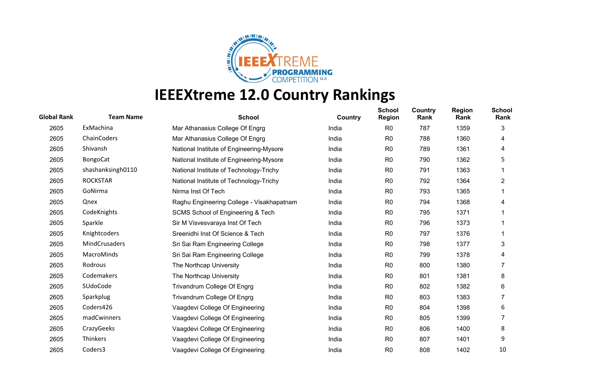

| <b>Global Rank</b> | <b>Team Name</b>     | <b>School</b>                             | Country | <b>School</b><br><b>Region</b> | Country<br>Rank | <b>Region</b><br>Rank | <b>School</b><br>Rank |
|--------------------|----------------------|-------------------------------------------|---------|--------------------------------|-----------------|-----------------------|-----------------------|
| 2605               | ExMachina            | Mar Athanasius College Of Engrg           | India   | R <sub>0</sub>                 | 787             | 1359                  | 3                     |
| 2605               | ChainCoders          | Mar Athanasius College Of Engrg           | India   | R <sub>0</sub>                 | 788             | 1360                  | 4                     |
| 2605               | Shivansh             | National Institute of Engineering-Mysore  | India   | R <sub>0</sub>                 | 789             | 1361                  | 4                     |
| 2605               | <b>BongoCat</b>      | National Institute of Engineering-Mysore  | India   | R <sub>0</sub>                 | 790             | 1362                  | 5                     |
| 2605               | shashanksingh0110    | National Institute of Technology-Trichy   | India   | R <sub>0</sub>                 | 791             | 1363                  |                       |
| 2605               | <b>ROCKSTAR</b>      | National Institute of Technology-Trichy   | India   | R <sub>0</sub>                 | 792             | 1364                  | $\overline{c}$        |
| 2605               | GoNirma              | Nirma Inst Of Tech                        | India   | R <sub>0</sub>                 | 793             | 1365                  |                       |
| 2605               | Qnex                 | Raghu Engineering College - Visakhapatnam | India   | R <sub>0</sub>                 | 794             | 1368                  | 4                     |
| 2605               | CodeKnights          | SCMS School of Engineering & Tech         | India   | R <sub>0</sub>                 | 795             | 1371                  |                       |
| 2605               | Sparkle              | Sir M Visvesvaraya Inst Of Tech           | India   | R <sub>0</sub>                 | 796             | 1373                  |                       |
| 2605               | Knightcoders         | Sreenidhi Inst Of Science & Tech          | India   | R <sub>0</sub>                 | 797             | 1376                  |                       |
| 2605               | <b>MindCrusaders</b> | Sri Sai Ram Engineering College           | India   | R <sub>0</sub>                 | 798             | 1377                  | 3                     |
| 2605               | MacroMinds           | Sri Sai Ram Engineering College           | India   | R <sub>0</sub>                 | 799             | 1378                  | 4                     |
| 2605               | Rodrous              | The Northcap University                   | India   | R <sub>0</sub>                 | 800             | 1380                  |                       |
| 2605               | Codemakers           | The Northcap University                   | India   | R <sub>0</sub>                 | 801             | 1381                  | 8                     |
| 2605               | SUdoCode             | Trivandrum College Of Engrg               | India   | R <sub>0</sub>                 | 802             | 1382                  | 6                     |
| 2605               | Sparkplug            | Trivandrum College Of Engrg               | India   | R <sub>0</sub>                 | 803             | 1383                  | 7                     |
| 2605               | Coders426            | Vaagdevi College Of Engineering           | India   | R <sub>0</sub>                 | 804             | 1398                  | 6                     |
| 2605               | madCwinners          | Vaagdevi College Of Engineering           | India   | R <sub>0</sub>                 | 805             | 1399                  | 7                     |
| 2605               | CrazyGeeks           | Vaagdevi College Of Engineering           | India   | R <sub>0</sub>                 | 806             | 1400                  | 8                     |
| 2605               | Thinkers             | Vaagdevi College Of Engineering           | India   | R <sub>0</sub>                 | 807             | 1401                  | 9                     |
| 2605               | Coders3              | Vaagdevi College Of Engineering           | India   | R <sub>0</sub>                 | 808             | 1402                  | 10                    |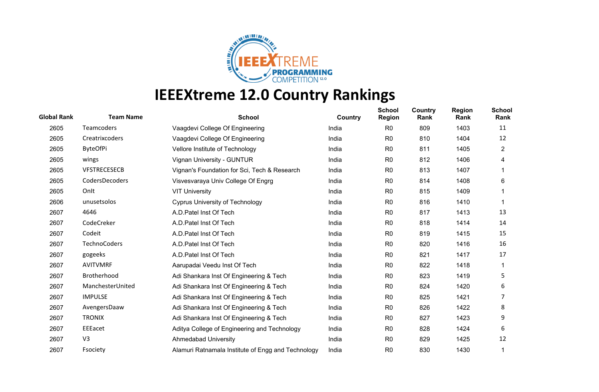

| <b>Global Rank</b> | <b>Team Name</b>    | <b>School</b>                                      | Country | <b>School</b><br><b>Region</b> | Country<br>Rank | <b>Region</b><br>Rank | <b>School</b><br>Rank |
|--------------------|---------------------|----------------------------------------------------|---------|--------------------------------|-----------------|-----------------------|-----------------------|
| 2605               | <b>Teamcoders</b>   | Vaagdevi College Of Engineering                    | India   | R <sub>0</sub>                 | 809             | 1403                  | 11                    |
| 2605               | Creatrixcoders      | Vaagdevi College Of Engineering                    | India   | R <sub>0</sub>                 | 810             | 1404                  | 12                    |
| 2605               | <b>ByteOfPi</b>     | Vellore Institute of Technology                    | India   | R <sub>0</sub>                 | 811             | 1405                  | $\overline{2}$        |
| 2605               | wings               | Vignan University - GUNTUR                         | India   | R <sub>0</sub>                 | 812             | 1406                  | 4                     |
| 2605               | <b>VFSTRECESECB</b> | Vignan's Foundation for Sci, Tech & Research       | India   | R <sub>0</sub>                 | 813             | 1407                  |                       |
| 2605               | CodersDecoders      | Visvesvaraya Univ College Of Engrg                 | India   | R <sub>0</sub>                 | 814             | 1408                  | 6                     |
| 2605               | Onlt                | <b>VIT University</b>                              | India   | R <sub>0</sub>                 | 815             | 1409                  |                       |
| 2606               | unusetsolos         | <b>Cyprus University of Technology</b>             | India   | R <sub>0</sub>                 | 816             | 1410                  |                       |
| 2607               | 4646                | A.D. Patel Inst Of Tech                            | India   | R <sub>0</sub>                 | 817             | 1413                  | 13                    |
| 2607               | CodeCreker          | A.D. Patel Inst Of Tech                            | India   | R <sub>0</sub>                 | 818             | 1414                  | 14                    |
| 2607               | Codeit              | A.D. Patel Inst Of Tech                            | India   | R <sub>0</sub>                 | 819             | 1415                  | 15                    |
| 2607               | <b>TechnoCoders</b> | A.D. Patel Inst Of Tech                            | India   | R <sub>0</sub>                 | 820             | 1416                  | 16                    |
| 2607               | gogeeks             | A.D. Patel Inst Of Tech                            | India   | R <sub>0</sub>                 | 821             | 1417                  | 17                    |
| 2607               | <b>AVITVMRF</b>     | Aarupadai Veedu Inst Of Tech                       | India   | R <sub>0</sub>                 | 822             | 1418                  |                       |
| 2607               | Brotherhood         | Adi Shankara Inst Of Engineering & Tech            | India   | R <sub>0</sub>                 | 823             | 1419                  | 5                     |
| 2607               | ManchesterUnited    | Adi Shankara Inst Of Engineering & Tech            | India   | R <sub>0</sub>                 | 824             | 1420                  | 6                     |
| 2607               | <b>IMPULSE</b>      | Adi Shankara Inst Of Engineering & Tech            | India   | R <sub>0</sub>                 | 825             | 1421                  |                       |
| 2607               | AvengersDaaw        | Adi Shankara Inst Of Engineering & Tech            | India   | R <sub>0</sub>                 | 826             | 1422                  | 8                     |
| 2607               | <b>TRONIX</b>       | Adi Shankara Inst Of Engineering & Tech            | India   | R <sub>0</sub>                 | 827             | 1423                  | 9                     |
| 2607               | EEEacet             | Aditya College of Engineering and Technology       | India   | R <sub>0</sub>                 | 828             | 1424                  | 6                     |
| 2607               | V <sub>3</sub>      | <b>Ahmedabad University</b>                        | India   | R <sub>0</sub>                 | 829             | 1425                  | 12                    |
| 2607               | Fsociety            | Alamuri Ratnamala Institute of Engg and Technology | India   | R <sub>0</sub>                 | 830             | 1430                  |                       |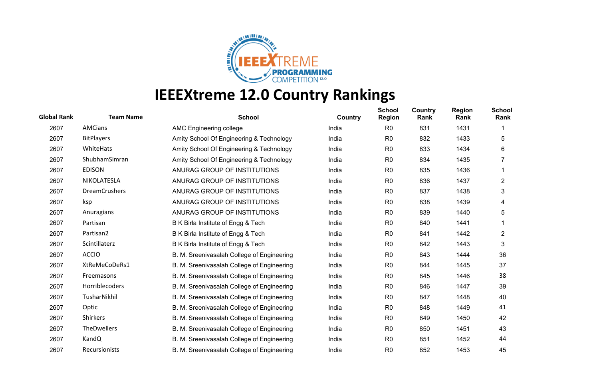

| <b>Global Rank</b> | <b>Team Name</b>     | <b>School</b>                              | Country | <b>School</b><br><b>Region</b> | Country<br>Rank | <b>Region</b><br>Rank | <b>School</b><br>Rank |
|--------------------|----------------------|--------------------------------------------|---------|--------------------------------|-----------------|-----------------------|-----------------------|
| 2607               | <b>AMCians</b>       | AMC Engineering college                    | India   | R <sub>0</sub>                 | 831             | 1431                  |                       |
| 2607               | <b>BitPlayers</b>    | Amity School Of Engineering & Technology   | India   | R <sub>0</sub>                 | 832             | 1433                  | 5                     |
| 2607               | WhiteHats            | Amity School Of Engineering & Technology   | India   | R <sub>0</sub>                 | 833             | 1434                  | 6                     |
| 2607               | ShubhamSimran        | Amity School Of Engineering & Technology   | India   | R <sub>0</sub>                 | 834             | 1435                  |                       |
| 2607               | <b>EDISON</b>        | ANURAG GROUP OF INSTITUTIONS               | India   | R0                             | 835             | 1436                  |                       |
| 2607               | NIKOLATESLA          | ANURAG GROUP OF INSTITUTIONS               | India   | R <sub>0</sub>                 | 836             | 1437                  | 2                     |
| 2607               | <b>DreamCrushers</b> | ANURAG GROUP OF INSTITUTIONS               | India   | R <sub>0</sub>                 | 837             | 1438                  | 3                     |
| 2607               | ksp                  | ANURAG GROUP OF INSTITUTIONS               | India   | R <sub>0</sub>                 | 838             | 1439                  | 4                     |
| 2607               | Anuragians           | ANURAG GROUP OF INSTITUTIONS               | India   | R <sub>0</sub>                 | 839             | 1440                  | 5                     |
| 2607               | Partisan             | B K Birla Institute of Engg & Tech         | India   | R <sub>0</sub>                 | 840             | 1441                  |                       |
| 2607               | Partisan2            | B K Birla Institute of Engg & Tech         | India   | R <sub>0</sub>                 | 841             | 1442                  | $\overline{2}$        |
| 2607               | Scintillaterz        | B K Birla Institute of Engg & Tech         | India   | R <sub>0</sub>                 | 842             | 1443                  | 3                     |
| 2607               | <b>ACCIO</b>         | B. M. Sreenivasalah College of Engineering | India   | R <sub>0</sub>                 | 843             | 1444                  | 36                    |
| 2607               | XtReMeCoDeRs1        | B. M. Sreenivasalah College of Engineering | India   | R <sub>0</sub>                 | 844             | 1445                  | 37                    |
| 2607               | Freemasons           | B. M. Sreenivasalah College of Engineering | India   | R0                             | 845             | 1446                  | 38                    |
| 2607               | Horriblecoders       | B. M. Sreenivasalah College of Engineering | India   | R <sub>0</sub>                 | 846             | 1447                  | 39                    |
| 2607               | TusharNikhil         | B. M. Sreenivasalah College of Engineering | India   | R <sub>0</sub>                 | 847             | 1448                  | 40                    |
| 2607               | Optic                | B. M. Sreenivasalah College of Engineering | India   | R <sub>0</sub>                 | 848             | 1449                  | 41                    |
| 2607               | Shirkers             | B. M. Sreenivasalah College of Engineering | India   | R <sub>0</sub>                 | 849             | 1450                  | 42                    |
| 2607               | TheDwellers          | B. M. Sreenivasalah College of Engineering | India   | R <sub>0</sub>                 | 850             | 1451                  | 43                    |
| 2607               | KandQ                | B. M. Sreenivasalah College of Engineering | India   | R <sub>0</sub>                 | 851             | 1452                  | 44                    |
| 2607               | <b>Recursionists</b> | B. M. Sreenivasalah College of Engineering | India   | R <sub>0</sub>                 | 852             | 1453                  | 45                    |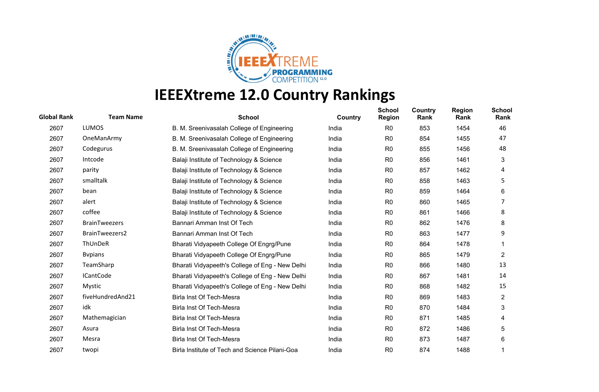

| <b>Global Rank</b> | <b>Team Name</b>     | <b>School</b>                                   | Country | <b>School</b><br><b>Region</b> | <b>Country</b><br>Rank | <b>Region</b><br>Rank | <b>School</b><br>Rank |
|--------------------|----------------------|-------------------------------------------------|---------|--------------------------------|------------------------|-----------------------|-----------------------|
| 2607               | <b>LUMOS</b>         | B. M. Sreenivasalah College of Engineering      | India   | R <sub>0</sub>                 | 853                    | 1454                  | 46                    |
| 2607               | OneManArmy           | B. M. Sreenivasalah College of Engineering      | India   | R <sub>0</sub>                 | 854                    | 1455                  | 47                    |
| 2607               | Codegurus            | B. M. Sreenivasalah College of Engineering      | India   | R <sub>0</sub>                 | 855                    | 1456                  | 48                    |
| 2607               | Intcode              | Balaji Institute of Technology & Science        | India   | R <sub>0</sub>                 | 856                    | 1461                  | 3                     |
| 2607               | parity               | Balaji Institute of Technology & Science        | India   | R <sub>0</sub>                 | 857                    | 1462                  | 4                     |
| 2607               | smalltalk            | Balaji Institute of Technology & Science        | India   | R <sub>0</sub>                 | 858                    | 1463                  | 5                     |
| 2607               | bean                 | Balaji Institute of Technology & Science        | India   | R <sub>0</sub>                 | 859                    | 1464                  | 6                     |
| 2607               | alert                | Balaji Institute of Technology & Science        | India   | R <sub>0</sub>                 | 860                    | 1465                  | 7                     |
| 2607               | coffee               | Balaji Institute of Technology & Science        | India   | R <sub>0</sub>                 | 861                    | 1466                  | 8                     |
| 2607               | <b>BrainTweezers</b> | Bannari Amman Inst Of Tech                      | India   | R <sub>0</sub>                 | 862                    | 1476                  | 8                     |
| 2607               | BrainTweezers2       | Bannari Amman Inst Of Tech                      | India   | R <sub>0</sub>                 | 863                    | 1477                  | 9                     |
| 2607               | ThUnDeR              | Bharati Vidyapeeth College Of Engrg/Pune        | India   | R <sub>0</sub>                 | 864                    | 1478                  |                       |
| 2607               | <b>B</b> vpians      | Bharati Vidyapeeth College Of Engrg/Pune        | India   | R <sub>0</sub>                 | 865                    | 1479                  | $\overline{c}$        |
| 2607               | TeamSharp            | Bharati Vidyapeeth's College of Eng - New Delhi | India   | R <sub>0</sub>                 | 866                    | 1480                  | 13                    |
| 2607               | <b>ICantCode</b>     | Bharati Vidyapeeth's College of Eng - New Delhi | India   | R <sub>0</sub>                 | 867                    | 1481                  | 14                    |
| 2607               | Mystic               | Bharati Vidyapeeth's College of Eng - New Delhi | India   | R <sub>0</sub>                 | 868                    | 1482                  | 15                    |
| 2607               | fiveHundredAnd21     | Birla Inst Of Tech-Mesra                        | India   | R <sub>0</sub>                 | 869                    | 1483                  | $\overline{2}$        |
| 2607               | idk                  | Birla Inst Of Tech-Mesra                        | India   | R <sub>0</sub>                 | 870                    | 1484                  | 3                     |
| 2607               | Mathemagician        | Birla Inst Of Tech-Mesra                        | India   | R <sub>0</sub>                 | 871                    | 1485                  | 4                     |
| 2607               | Asura                | Birla Inst Of Tech-Mesra                        | India   | R <sub>0</sub>                 | 872                    | 1486                  | 5                     |
| 2607               | Mesra                | Birla Inst Of Tech-Mesra                        | India   | R <sub>0</sub>                 | 873                    | 1487                  | 6                     |
| 2607               | twopi                | Birla Institute of Tech and Science Pilani-Goa  | India   | R <sub>0</sub>                 | 874                    | 1488                  |                       |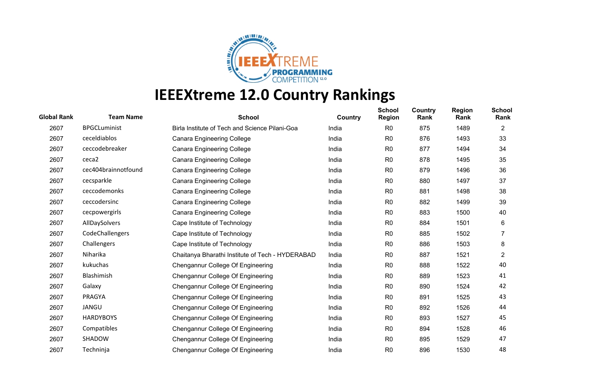

| <b>Global Rank</b> | <b>Team Name</b>    | <b>School</b>                                    | Country | <b>School</b><br><b>Region</b> | Country<br>Rank | <b>Region</b><br>Rank | <b>School</b><br>Rank |
|--------------------|---------------------|--------------------------------------------------|---------|--------------------------------|-----------------|-----------------------|-----------------------|
| 2607               | <b>BPGCLuminist</b> | Birla Institute of Tech and Science Pilani-Goa   | India   | R <sub>0</sub>                 | 875             | 1489                  | $\overline{2}$        |
| 2607               | ceceldiablos        | <b>Canara Engineering College</b>                | India   | R <sub>0</sub>                 | 876             | 1493                  | 33                    |
| 2607               | ceccodebreaker      | <b>Canara Engineering College</b>                | India   | R <sub>0</sub>                 | 877             | 1494                  | 34                    |
| 2607               | ceca2               | <b>Canara Engineering College</b>                | India   | R <sub>0</sub>                 | 878             | 1495                  | 35                    |
| 2607               | cec404brainnotfound | <b>Canara Engineering College</b>                | India   | R <sub>0</sub>                 | 879             | 1496                  | 36                    |
| 2607               | cecsparkle          | <b>Canara Engineering College</b>                | India   | R <sub>0</sub>                 | 880             | 1497                  | 37                    |
| 2607               | ceccodemonks        | <b>Canara Engineering College</b>                | India   | R <sub>0</sub>                 | 881             | 1498                  | 38                    |
| 2607               | ceccodersinc        | <b>Canara Engineering College</b>                | India   | R <sub>0</sub>                 | 882             | 1499                  | 39                    |
| 2607               | cecpowergirls       | <b>Canara Engineering College</b>                | India   | R <sub>0</sub>                 | 883             | 1500                  | 40                    |
| 2607               | AllDaySolvers       | Cape Institute of Technology                     | India   | R <sub>0</sub>                 | 884             | 1501                  | 6                     |
| 2607               | CodeChallengers     | Cape Institute of Technology                     | India   | R <sub>0</sub>                 | 885             | 1502                  |                       |
| 2607               | Challengers         | Cape Institute of Technology                     | India   | R <sub>0</sub>                 | 886             | 1503                  | 8                     |
| 2607               | Niharika            | Chaitanya Bharathi Institute of Tech - HYDERABAD | India   | R <sub>0</sub>                 | 887             | 1521                  | $\overline{2}$        |
| 2607               | kukuchas            | Chengannur College Of Engineering                | India   | R <sub>0</sub>                 | 888             | 1522                  | 40                    |
| 2607               | Blashimish          | Chengannur College Of Engineering                | India   | R <sub>0</sub>                 | 889             | 1523                  | 41                    |
| 2607               | Galaxy              | Chengannur College Of Engineering                | India   | R <sub>0</sub>                 | 890             | 1524                  | 42                    |
| 2607               | PRAGYA              | Chengannur College Of Engineering                | India   | R <sub>0</sub>                 | 891             | 1525                  | 43                    |
| 2607               | JANGU               | Chengannur College Of Engineering                | India   | R <sub>0</sub>                 | 892             | 1526                  | 44                    |
| 2607               | <b>HARDYBOYS</b>    | Chengannur College Of Engineering                | India   | R <sub>0</sub>                 | 893             | 1527                  | 45                    |
| 2607               | Compatibles         | Chengannur College Of Engineering                | India   | R <sub>0</sub>                 | 894             | 1528                  | 46                    |
| 2607               | SHADOW              | Chengannur College Of Engineering                | India   | R <sub>0</sub>                 | 895             | 1529                  | 47                    |
| 2607               | Techninja           | Chengannur College Of Engineering                | India   | R <sub>0</sub>                 | 896             | 1530                  | 48                    |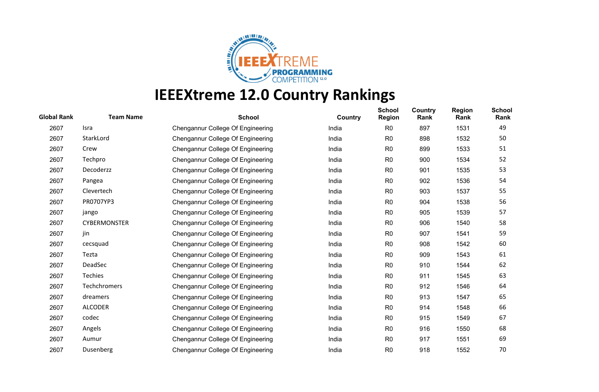

| <b>Global Rank</b> | <b>Team Name</b>    | <b>School</b>                     | Country | <b>School</b><br><b>Region</b> | Country<br>Rank | <b>Region</b><br>Rank | <b>School</b><br>Rank |
|--------------------|---------------------|-----------------------------------|---------|--------------------------------|-----------------|-----------------------|-----------------------|
| 2607               | Isra                | Chengannur College Of Engineering | India   | R <sub>0</sub>                 | 897             | 1531                  | 49                    |
| 2607               | StarkLord           | Chengannur College Of Engineering | India   | R <sub>0</sub>                 | 898             | 1532                  | 50                    |
| 2607               | Crew                | Chengannur College Of Engineering | India   | R <sub>0</sub>                 | 899             | 1533                  | 51                    |
| 2607               | Techpro             | Chengannur College Of Engineering | India   | R <sub>0</sub>                 | 900             | 1534                  | 52                    |
| 2607               | Decoderzz           | Chengannur College Of Engineering | India   | R <sub>0</sub>                 | 901             | 1535                  | 53                    |
| 2607               | Pangea              | Chengannur College Of Engineering | India   | R <sub>0</sub>                 | 902             | 1536                  | 54                    |
| 2607               | Clevertech          | Chengannur College Of Engineering | India   | R <sub>0</sub>                 | 903             | 1537                  | 55                    |
| 2607               | PR0707YP3           | Chengannur College Of Engineering | India   | R <sub>0</sub>                 | 904             | 1538                  | 56                    |
| 2607               | jango               | Chengannur College Of Engineering | India   | R <sub>0</sub>                 | 905             | 1539                  | 57                    |
| 2607               | <b>CYBERMONSTER</b> | Chengannur College Of Engineering | India   | R <sub>0</sub>                 | 906             | 1540                  | 58                    |
| 2607               | jin                 | Chengannur College Of Engineering | India   | R <sub>0</sub>                 | 907             | 1541                  | 59                    |
| 2607               | cecsquad            | Chengannur College Of Engineering | India   | R <sub>0</sub>                 | 908             | 1542                  | 60                    |
| 2607               | Tezta               | Chengannur College Of Engineering | India   | R <sub>0</sub>                 | 909             | 1543                  | 61                    |
| 2607               | DeadSec             | Chengannur College Of Engineering | India   | R <sub>0</sub>                 | 910             | 1544                  | 62                    |
| 2607               | Techies             | Chengannur College Of Engineering | India   | R <sub>0</sub>                 | 911             | 1545                  | 63                    |
| 2607               | Techchromers        | Chengannur College Of Engineering | India   | R <sub>0</sub>                 | 912             | 1546                  | 64                    |
| 2607               | dreamers            | Chengannur College Of Engineering | India   | R <sub>0</sub>                 | 913             | 1547                  | 65                    |
| 2607               | <b>ALCODER</b>      | Chengannur College Of Engineering | India   | R <sub>0</sub>                 | 914             | 1548                  | 66                    |
| 2607               | codec               | Chengannur College Of Engineering | India   | R <sub>0</sub>                 | 915             | 1549                  | 67                    |
| 2607               | Angels              | Chengannur College Of Engineering | India   | R <sub>0</sub>                 | 916             | 1550                  | 68                    |
| 2607               | Aumur               | Chengannur College Of Engineering | India   | R <sub>0</sub>                 | 917             | 1551                  | 69                    |
| 2607               | Dusenberg           | Chengannur College Of Engineering | India   | R <sub>0</sub>                 | 918             | 1552                  | 70                    |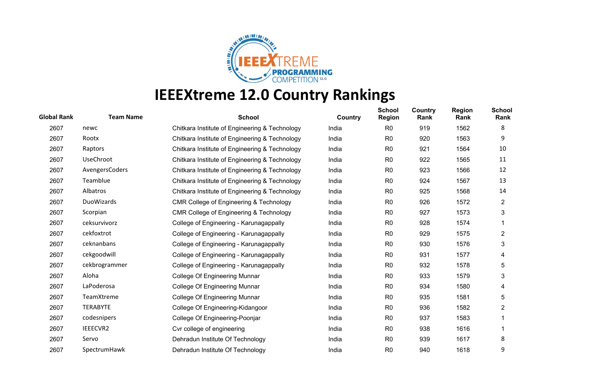

| <b>Global Rank</b> | <b>Team Name</b> | <b>School</b>                                      | Country | <b>School</b><br><b>Region</b> | Country<br>Rank | <b>Region</b><br>Rank | <b>School</b><br>Rank |
|--------------------|------------------|----------------------------------------------------|---------|--------------------------------|-----------------|-----------------------|-----------------------|
| 2607               | newc             | Chitkara Institute of Engineering & Technology     | India   | R <sub>0</sub>                 | 919             | 1562                  | 8                     |
| 2607               | Rootx            | Chitkara Institute of Engineering & Technology     | India   | R <sub>0</sub>                 | 920             | 1563                  | 9                     |
| 2607               | Raptors          | Chitkara Institute of Engineering & Technology     | India   | R <sub>0</sub>                 | 921             | 1564                  | 10                    |
| 2607               | <b>UseChroot</b> | Chitkara Institute of Engineering & Technology     | India   | R <sub>0</sub>                 | 922             | 1565                  | 11                    |
| 2607               | AvengersCoders   | Chitkara Institute of Engineering & Technology     | India   | R <sub>0</sub>                 | 923             | 1566                  | 12                    |
| 2607               | Teamblue         | Chitkara Institute of Engineering & Technology     | India   | R <sub>0</sub>                 | 924             | 1567                  | 13                    |
| 2607               | Albatros         | Chitkara Institute of Engineering & Technology     | India   | R <sub>0</sub>                 | 925             | 1568                  | 14                    |
| 2607               | DuoWizards       | CMR College of Engineering & Technology            | India   | R <sub>0</sub>                 | 926             | 1572                  | $\overline{2}$        |
| 2607               | Scorpian         | <b>CMR College of Engineering &amp; Technology</b> | India   | R <sub>0</sub>                 | 927             | 1573                  | 3                     |
| 2607               | ceksurvivorz     | College of Engineering - Karunagappally            | India   | R <sub>0</sub>                 | 928             | 1574                  |                       |
| 2607               | cekfoxtrot       | College of Engineering - Karunagappally            | India   | R <sub>0</sub>                 | 929             | 1575                  | $\overline{2}$        |
| 2607               | ceknanbans       | College of Engineering - Karunagappally            | India   | R <sub>0</sub>                 | 930             | 1576                  | 3                     |
| 2607               | cekgoodwill      | College of Engineering - Karunagappally            | India   | R <sub>0</sub>                 | 931             | 1577                  | 4                     |
| 2607               | cekbrogrammer    | College of Engineering - Karunagappally            | India   | R <sub>0</sub>                 | 932             | 1578                  | 5                     |
| 2607               | Aloha            | College Of Engineering Munnar                      | India   | R <sub>0</sub>                 | 933             | 1579                  | 3                     |
| 2607               | LaPoderosa       | <b>College Of Engineering Munnar</b>               | India   | R <sub>0</sub>                 | 934             | 1580                  | 4                     |
| 2607               | TeamXtreme       | College Of Engineering Munnar                      | India   | R <sub>0</sub>                 | 935             | 1581                  | 5                     |
| 2607               | <b>TERABYTE</b>  | College Of Engineering-Kidangoor                   | India   | R <sub>0</sub>                 | 936             | 1582                  | $\overline{2}$        |
| 2607               | codesnipers      | College Of Engineering-Poonjar                     | India   | R <sub>0</sub>                 | 937             | 1583                  |                       |
| 2607               | IEEECVR2         | Cvr college of engineering                         | India   | R <sub>0</sub>                 | 938             | 1616                  |                       |
| 2607               | Servo            | Dehradun Institute Of Technology                   | India   | R <sub>0</sub>                 | 939             | 1617                  | 8                     |
| 2607               | SpectrumHawk     | Dehradun Institute Of Technology                   | India   | R <sub>0</sub>                 | 940             | 1618                  | 9                     |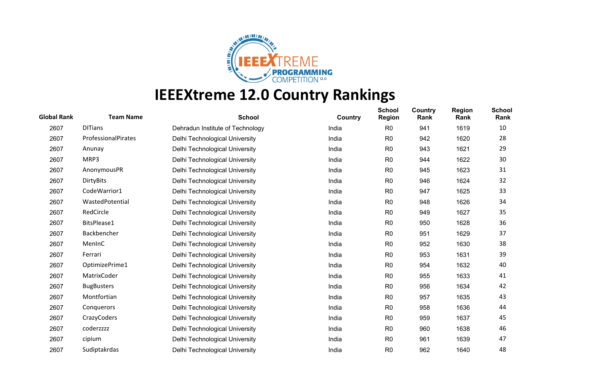

| <b>Global Rank</b> | <b>Team Name</b>    | <b>School</b>                    | Country | <b>School</b><br><b>Region</b> | <b>Country</b><br>Rank | <b>Region</b><br>Rank | <b>School</b><br>Rank |
|--------------------|---------------------|----------------------------------|---------|--------------------------------|------------------------|-----------------------|-----------------------|
| 2607               | <b>DITians</b>      | Dehradun Institute of Technology | India   | R <sub>0</sub>                 | 941                    | 1619                  | 10                    |
| 2607               | ProfessionalPirates | Delhi Technological University   | India   | R <sub>0</sub>                 | 942                    | 1620                  | 28                    |
| 2607               | Anunay              | Delhi Technological University   | India   | R <sub>0</sub>                 | 943                    | 1621                  | 29                    |
| 2607               | MRP3                | Delhi Technological University   | India   | R <sub>0</sub>                 | 944                    | 1622                  | 30                    |
| 2607               | AnonymousPR         | Delhi Technological University   | India   | R0                             | 945                    | 1623                  | 31                    |
| 2607               | <b>DirtyBits</b>    | Delhi Technological University   | India   | R <sub>0</sub>                 | 946                    | 1624                  | 32                    |
| 2607               | CodeWarrior1        | Delhi Technological University   | India   | R <sub>0</sub>                 | 947                    | 1625                  | 33                    |
| 2607               | WastedPotential     | Delhi Technological University   | India   | R <sub>0</sub>                 | 948                    | 1626                  | 34                    |
| 2607               | RedCircle           | Delhi Technological University   | India   | R <sub>0</sub>                 | 949                    | 1627                  | 35                    |
| 2607               | BitsPlease1         | Delhi Technological University   | India   | R <sub>0</sub>                 | 950                    | 1628                  | 36                    |
| 2607               | Backbencher         | Delhi Technological University   | India   | R <sub>0</sub>                 | 951                    | 1629                  | 37                    |
| 2607               | MenInC              | Delhi Technological University   | India   | R <sub>0</sub>                 | 952                    | 1630                  | 38                    |
| 2607               | Ferrari             | Delhi Technological University   | India   | R <sub>0</sub>                 | 953                    | 1631                  | 39                    |
| 2607               | OptimizePrime1      | Delhi Technological University   | India   | R <sub>0</sub>                 | 954                    | 1632                  | 40                    |
| 2607               | MatrixCoder         | Delhi Technological University   | India   | R <sub>0</sub>                 | 955                    | 1633                  | 41                    |
| 2607               | <b>BugBusters</b>   | Delhi Technological University   | India   | R <sub>0</sub>                 | 956                    | 1634                  | 42                    |
| 2607               | Montfortian         | Delhi Technological University   | India   | R <sub>0</sub>                 | 957                    | 1635                  | 43                    |
| 2607               | Conquerors          | Delhi Technological University   | India   | R <sub>0</sub>                 | 958                    | 1636                  | 44                    |
| 2607               | <b>CrazyCoders</b>  | Delhi Technological University   | India   | R <sub>0</sub>                 | 959                    | 1637                  | 45                    |
| 2607               | coderzzzz           | Delhi Technological University   | India   | R <sub>0</sub>                 | 960                    | 1638                  | 46                    |
| 2607               | cipium              | Delhi Technological University   | India   | R <sub>0</sub>                 | 961                    | 1639                  | 47                    |
| 2607               | Sudiptakrdas        | Delhi Technological University   | India   | R <sub>0</sub>                 | 962                    | 1640                  | 48                    |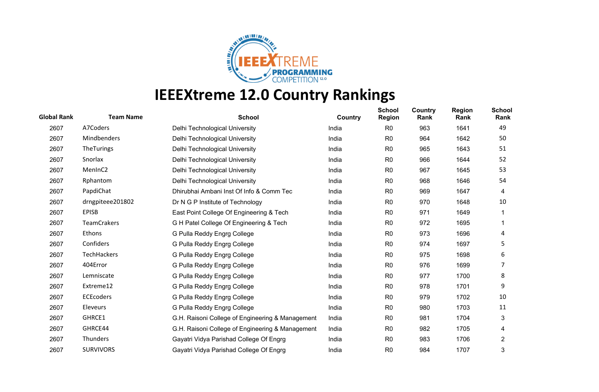

| <b>Global Rank</b> | <b>Team Name</b>    | <b>School</b>                                    | Country | <b>School</b><br><b>Region</b> | <b>Country</b><br>Rank | <b>Region</b><br>Rank | <b>School</b><br>Rank |
|--------------------|---------------------|--------------------------------------------------|---------|--------------------------------|------------------------|-----------------------|-----------------------|
| 2607               | A7Coders            | Delhi Technological University                   | India   | R <sub>0</sub>                 | 963                    | 1641                  | 49                    |
| 2607               | Mindbenders         | Delhi Technological University                   | India   | R <sub>0</sub>                 | 964                    | 1642                  | 50                    |
| 2607               | TheTurings          | Delhi Technological University                   | India   | R <sub>0</sub>                 | 965                    | 1643                  | 51                    |
| 2607               | Snorlax             | Delhi Technological University                   | India   | R <sub>0</sub>                 | 966                    | 1644                  | 52                    |
| 2607               | MenInC <sub>2</sub> | Delhi Technological University                   | India   | R <sub>0</sub>                 | 967                    | 1645                  | 53                    |
| 2607               | Rphantom            | Delhi Technological University                   | India   | R <sub>0</sub>                 | 968                    | 1646                  | 54                    |
| 2607               | PapdiChat           | Dhirubhai Ambani Inst Of Info & Comm Tec         | India   | R <sub>0</sub>                 | 969                    | 1647                  | 4                     |
| 2607               | drngpiteee201802    | Dr N G P Institute of Technology                 | India   | R <sub>0</sub>                 | 970                    | 1648                  | 10                    |
| 2607               | <b>EPISB</b>        | East Point College Of Engineering & Tech         | India   | R <sub>0</sub>                 | 971                    | 1649                  |                       |
| 2607               | <b>TeamCrakers</b>  | G H Patel College Of Engineering & Tech          | India   | R <sub>0</sub>                 | 972                    | 1695                  |                       |
| 2607               | Ethons              | G Pulla Reddy Engrg College                      | India   | R <sub>0</sub>                 | 973                    | 1696                  | 4                     |
| 2607               | Confiders           | G Pulla Reddy Engrg College                      | India   | R <sub>0</sub>                 | 974                    | 1697                  | 5                     |
| 2607               | TechHackers         | G Pulla Reddy Engrg College                      | India   | R <sub>0</sub>                 | 975                    | 1698                  | 6                     |
| 2607               | 404Error            | G Pulla Reddy Engrg College                      | India   | R <sub>0</sub>                 | 976                    | 1699                  | 7                     |
| 2607               | Lemniscate          | G Pulla Reddy Engrg College                      | India   | R <sub>0</sub>                 | 977                    | 1700                  | 8                     |
| 2607               | Extreme12           | G Pulla Reddy Engrg College                      | India   | R <sub>0</sub>                 | 978                    | 1701                  | 9                     |
| 2607               | <b>ECEcoders</b>    | G Pulla Reddy Engrg College                      | India   | R <sub>0</sub>                 | 979                    | 1702                  | 10                    |
| 2607               | Eleveurs            | G Pulla Reddy Engrg College                      | India   | R <sub>0</sub>                 | 980                    | 1703                  | 11                    |
| 2607               | GHRCE1              | G.H. Raisoni College of Engineering & Management | India   | R <sub>0</sub>                 | 981                    | 1704                  | 3                     |
| 2607               | GHRCE44             | G.H. Raisoni College of Engineering & Management | India   | R <sub>0</sub>                 | 982                    | 1705                  | 4                     |
| 2607               | Thunders            | Gayatri Vidya Parishad College Of Engrg          | India   | R <sub>0</sub>                 | 983                    | 1706                  | $\overline{2}$        |
| 2607               | <b>SURVIVORS</b>    | Gayatri Vidya Parishad College Of Engrg          | India   | R <sub>0</sub>                 | 984                    | 1707                  | 3                     |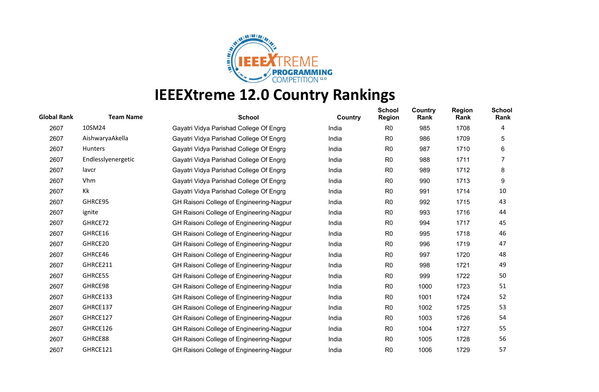

| <b>Global Rank</b> | <b>Team Name</b>   | <b>School</b>                            | Country | <b>School</b><br><b>Region</b> | Country<br>Rank | <b>Region</b><br>Rank | <b>School</b><br>Rank |
|--------------------|--------------------|------------------------------------------|---------|--------------------------------|-----------------|-----------------------|-----------------------|
| 2607               | 10SM24             | Gayatri Vidya Parishad College Of Engrg  | India   | R <sub>0</sub>                 | 985             | 1708                  | 4                     |
| 2607               | AishwaryaAkella    | Gayatri Vidya Parishad College Of Engrg  | India   | R <sub>0</sub>                 | 986             | 1709                  | 5                     |
| 2607               | Hunters            | Gayatri Vidya Parishad College Of Engrg  | India   | R <sub>0</sub>                 | 987             | 1710                  | 6                     |
| 2607               | Endlesslyenergetic | Gayatri Vidya Parishad College Of Engrg  | India   | R <sub>0</sub>                 | 988             | 1711                  | 7                     |
| 2607               | lavcr              | Gayatri Vidya Parishad College Of Engrg  | India   | R <sub>0</sub>                 | 989             | 1712                  | 8                     |
| 2607               | Vhm                | Gayatri Vidya Parishad College Of Engrg  | India   | R <sub>0</sub>                 | 990             | 1713                  | 9                     |
| 2607               | Kk                 | Gayatri Vidya Parishad College Of Engrg  | India   | R <sub>0</sub>                 | 991             | 1714                  | 10                    |
| 2607               | GHRCE95            | GH Raisoni College of Engineering-Nagpur | India   | R <sub>0</sub>                 | 992             | 1715                  | 43                    |
| 2607               | ignite             | GH Raisoni College of Engineering-Nagpur | India   | R <sub>0</sub>                 | 993             | 1716                  | 44                    |
| 2607               | GHRCE72            | GH Raisoni College of Engineering-Nagpur | India   | R <sub>0</sub>                 | 994             | 1717                  | 45                    |
| 2607               | GHRCE16            | GH Raisoni College of Engineering-Nagpur | India   | R <sub>0</sub>                 | 995             | 1718                  | 46                    |
| 2607               | GHRCE20            | GH Raisoni College of Engineering-Nagpur | India   | R <sub>0</sub>                 | 996             | 1719                  | 47                    |
| 2607               | GHRCE46            | GH Raisoni College of Engineering-Nagpur | India   | R <sub>0</sub>                 | 997             | 1720                  | 48                    |
| 2607               | GHRCE211           | GH Raisoni College of Engineering-Nagpur | India   | R <sub>0</sub>                 | 998             | 1721                  | 49                    |
| 2607               | GHRCE55            | GH Raisoni College of Engineering-Nagpur | India   | R <sub>0</sub>                 | 999             | 1722                  | 50                    |
| 2607               | GHRCE98            | GH Raisoni College of Engineering-Nagpur | India   | R <sub>0</sub>                 | 1000            | 1723                  | 51                    |
| 2607               | GHRCE133           | GH Raisoni College of Engineering-Nagpur | India   | R <sub>0</sub>                 | 1001            | 1724                  | 52                    |
| 2607               | GHRCE137           | GH Raisoni College of Engineering-Nagpur | India   | R <sub>0</sub>                 | 1002            | 1725                  | 53                    |
| 2607               | GHRCE127           | GH Raisoni College of Engineering-Nagpur | India   | R <sub>0</sub>                 | 1003            | 1726                  | 54                    |
| 2607               | GHRCE126           | GH Raisoni College of Engineering-Nagpur | India   | R <sub>0</sub>                 | 1004            | 1727                  | 55                    |
| 2607               | GHRCE88            | GH Raisoni College of Engineering-Nagpur | India   | R <sub>0</sub>                 | 1005            | 1728                  | 56                    |
| 2607               | GHRCE121           | GH Raisoni College of Engineering-Nagpur | India   | R <sub>0</sub>                 | 1006            | 1729                  | 57                    |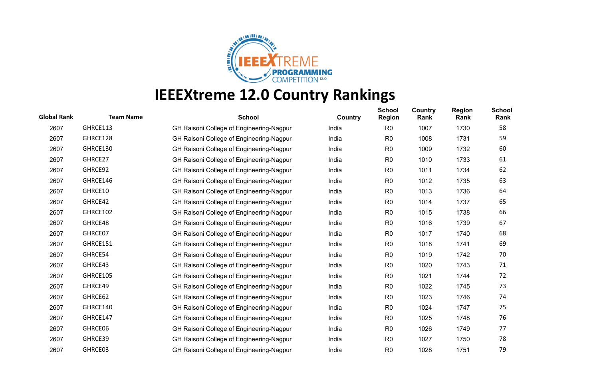

| <b>Team Name</b> | <b>School</b>                            | Country | <b>School</b><br><b>Region</b> | Country<br>Rank | <b>Region</b><br>Rank | <b>School</b><br>Rank |
|------------------|------------------------------------------|---------|--------------------------------|-----------------|-----------------------|-----------------------|
| GHRCE113         | GH Raisoni College of Engineering-Nagpur | India   | R <sub>0</sub>                 | 1007            | 1730                  | 58                    |
| GHRCE128         | GH Raisoni College of Engineering-Nagpur | India   | R <sub>0</sub>                 | 1008            | 1731                  | 59                    |
| GHRCE130         | GH Raisoni College of Engineering-Nagpur | India   | R <sub>0</sub>                 | 1009            | 1732                  | 60                    |
| GHRCE27          | GH Raisoni College of Engineering-Nagpur | India   | R <sub>0</sub>                 | 1010            | 1733                  | 61                    |
| GHRCE92          | GH Raisoni College of Engineering-Nagpur | India   | R <sub>0</sub>                 | 1011            | 1734                  | 62                    |
| GHRCE146         | GH Raisoni College of Engineering-Nagpur | India   | R <sub>0</sub>                 | 1012            | 1735                  | 63                    |
| GHRCE10          | GH Raisoni College of Engineering-Nagpur | India   | R <sub>0</sub>                 | 1013            | 1736                  | 64                    |
| GHRCE42          | GH Raisoni College of Engineering-Nagpur | India   | R <sub>0</sub>                 | 1014            | 1737                  | 65                    |
| GHRCE102         | GH Raisoni College of Engineering-Nagpur | India   | R <sub>0</sub>                 | 1015            | 1738                  | 66                    |
| GHRCE48          | GH Raisoni College of Engineering-Nagpur | India   | R <sub>0</sub>                 | 1016            | 1739                  | 67                    |
| GHRCE07          | GH Raisoni College of Engineering-Nagpur | India   | R <sub>0</sub>                 | 1017            | 1740                  | 68                    |
| GHRCE151         | GH Raisoni College of Engineering-Nagpur | India   | R <sub>0</sub>                 | 1018            | 1741                  | 69                    |
| GHRCE54          | GH Raisoni College of Engineering-Nagpur | India   | R <sub>0</sub>                 | 1019            | 1742                  | 70                    |
| GHRCE43          | GH Raisoni College of Engineering-Nagpur | India   | R <sub>0</sub>                 | 1020            | 1743                  | 71                    |
| GHRCE105         | GH Raisoni College of Engineering-Nagpur | India   | R <sub>0</sub>                 | 1021            | 1744                  | 72                    |
| GHRCE49          | GH Raisoni College of Engineering-Nagpur | India   | R <sub>0</sub>                 | 1022            | 1745                  | 73                    |
| GHRCE62          | GH Raisoni College of Engineering-Nagpur | India   | R <sub>0</sub>                 | 1023            | 1746                  | 74                    |
| GHRCE140         | GH Raisoni College of Engineering-Nagpur | India   | R <sub>0</sub>                 | 1024            | 1747                  | 75                    |
| GHRCE147         | GH Raisoni College of Engineering-Nagpur | India   | R <sub>0</sub>                 | 1025            | 1748                  | 76                    |
| GHRCE06          | GH Raisoni College of Engineering-Nagpur | India   | R <sub>0</sub>                 | 1026            | 1749                  | 77                    |
| GHRCE39          | GH Raisoni College of Engineering-Nagpur | India   | R <sub>0</sub>                 | 1027            | 1750                  | 78                    |
| GHRCE03          | GH Raisoni College of Engineering-Nagpur | India   | R <sub>0</sub>                 | 1028            | 1751                  | 79                    |
|                  |                                          |         |                                |                 |                       |                       |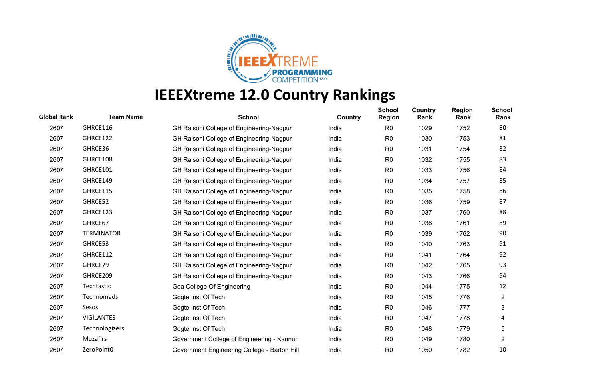

| <b>Global Rank</b> | <b>Team Name</b>  | <b>School</b>                                | Country | <b>School</b><br><b>Region</b> | Country<br>Rank | <b>Region</b><br>Rank | <b>School</b><br>Rank |
|--------------------|-------------------|----------------------------------------------|---------|--------------------------------|-----------------|-----------------------|-----------------------|
| 2607               | GHRCE116          | GH Raisoni College of Engineering-Nagpur     | India   | R <sub>0</sub>                 | 1029            | 1752                  | 80                    |
| 2607               | GHRCE122          | GH Raisoni College of Engineering-Nagpur     | India   | R <sub>0</sub>                 | 1030            | 1753                  | 81                    |
| 2607               | GHRCE36           | GH Raisoni College of Engineering-Nagpur     | India   | R <sub>0</sub>                 | 1031            | 1754                  | 82                    |
| 2607               | GHRCE108          | GH Raisoni College of Engineering-Nagpur     | India   | R <sub>0</sub>                 | 1032            | 1755                  | 83                    |
| 2607               | GHRCE101          | GH Raisoni College of Engineering-Nagpur     | India   | R <sub>0</sub>                 | 1033            | 1756                  | 84                    |
| 2607               | GHRCE149          | GH Raisoni College of Engineering-Nagpur     | India   | R <sub>0</sub>                 | 1034            | 1757                  | 85                    |
| 2607               | GHRCE115          | GH Raisoni College of Engineering-Nagpur     | India   | R <sub>0</sub>                 | 1035            | 1758                  | 86                    |
| 2607               | GHRCE52           | GH Raisoni College of Engineering-Nagpur     | India   | R <sub>0</sub>                 | 1036            | 1759                  | 87                    |
| 2607               | GHRCE123          | GH Raisoni College of Engineering-Nagpur     | India   | R <sub>0</sub>                 | 1037            | 1760                  | 88                    |
| 2607               | GHRCE67           | GH Raisoni College of Engineering-Nagpur     | India   | R <sub>0</sub>                 | 1038            | 1761                  | 89                    |
| 2607               | <b>TERMINATOR</b> | GH Raisoni College of Engineering-Nagpur     | India   | R <sub>0</sub>                 | 1039            | 1762                  | 90                    |
| 2607               | GHRCE53           | GH Raisoni College of Engineering-Nagpur     | India   | R <sub>0</sub>                 | 1040            | 1763                  | 91                    |
| 2607               | GHRCE112          | GH Raisoni College of Engineering-Nagpur     | India   | R <sub>0</sub>                 | 1041            | 1764                  | 92                    |
| 2607               | GHRCE79           | GH Raisoni College of Engineering-Nagpur     | India   | R <sub>0</sub>                 | 1042            | 1765                  | 93                    |
| 2607               | GHRCE209          | GH Raisoni College of Engineering-Nagpur     | India   | R <sub>0</sub>                 | 1043            | 1766                  | 94                    |
| 2607               | Techtastic        | Goa College Of Engineering                   | India   | R <sub>0</sub>                 | 1044            | 1775                  | 12                    |
| 2607               | Technomads        | Gogte Inst Of Tech                           | India   | R <sub>0</sub>                 | 1045            | 1776                  | $\overline{2}$        |
| 2607               | Sesos             | Gogte Inst Of Tech                           | India   | R <sub>0</sub>                 | 1046            | 1777                  | 3                     |
| 2607               | <b>VIGILANTES</b> | Gogte Inst Of Tech                           | India   | R <sub>0</sub>                 | 1047            | 1778                  | 4                     |
| 2607               | Technologizers    | Gogte Inst Of Tech                           | India   | R <sub>0</sub>                 | 1048            | 1779                  | 5                     |
| 2607               | Muzafirs          | Government College of Engineering - Kannur   | India   | R <sub>0</sub>                 | 1049            | 1780                  | $\overline{2}$        |
| 2607               | ZeroPoint0        | Government Engineering College - Barton Hill | India   | R <sub>0</sub>                 | 1050            | 1782                  | 10                    |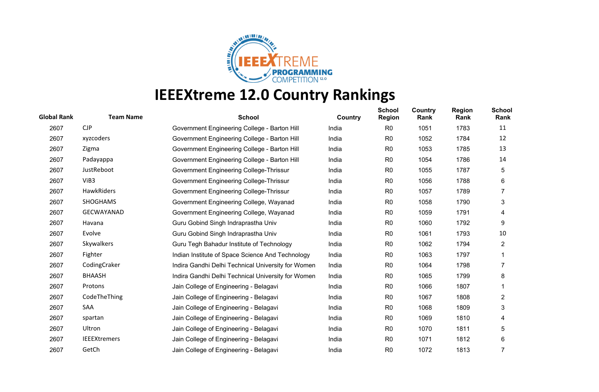

| <b>Global Rank</b> | <b>Team Name</b>    | <b>School</b>                                      | Country | <b>School</b><br><b>Region</b> | <b>Country</b><br>Rank | <b>Region</b><br>Rank | <b>School</b><br>Rank |
|--------------------|---------------------|----------------------------------------------------|---------|--------------------------------|------------------------|-----------------------|-----------------------|
| 2607               | CJP                 | Government Engineering College - Barton Hill       | India   | R <sub>0</sub>                 | 1051                   | 1783                  | 11                    |
| 2607               | xyzcoders           | Government Engineering College - Barton Hill       | India   | R <sub>0</sub>                 | 1052                   | 1784                  | 12                    |
| 2607               | Zigma               | Government Engineering College - Barton Hill       | India   | R <sub>0</sub>                 | 1053                   | 1785                  | 13                    |
| 2607               | Padayappa           | Government Engineering College - Barton Hill       | India   | R <sub>0</sub>                 | 1054                   | 1786                  | 14                    |
| 2607               | JustReboot          | Government Engineering College-Thrissur            | India   | R <sub>0</sub>                 | 1055                   | 1787                  | 5                     |
| 2607               | ViB3                | Government Engineering College-Thrissur            | India   | R <sub>0</sub>                 | 1056                   | 1788                  | 6                     |
| 2607               | HawkRiders          | Government Engineering College-Thrissur            | India   | R <sub>0</sub>                 | 1057                   | 1789                  |                       |
| 2607               | <b>SHOGHAMS</b>     | Government Engineering College, Wayanad            | India   | R <sub>0</sub>                 | 1058                   | 1790                  | 3                     |
| 2607               | <b>GECWAYANAD</b>   | Government Engineering College, Wayanad            | India   | R <sub>0</sub>                 | 1059                   | 1791                  | 4                     |
| 2607               | Havana              | Guru Gobind Singh Indraprastha Univ                | India   | R <sub>0</sub>                 | 1060                   | 1792                  | 9                     |
| 2607               | Evolve              | Guru Gobind Singh Indraprastha Univ                | India   | R <sub>0</sub>                 | 1061                   | 1793                  | 10                    |
| 2607               | Skywalkers          | Guru Tegh Bahadur Institute of Technology          | India   | R <sub>0</sub>                 | 1062                   | 1794                  | $\overline{2}$        |
| 2607               | Fighter             | Indian Institute of Space Science And Technology   | India   | R <sub>0</sub>                 | 1063                   | 1797                  |                       |
| 2607               | CodingCraker        | Indira Gandhi Delhi Technical University for Women | India   | R <sub>0</sub>                 | 1064                   | 1798                  |                       |
| 2607               | <b>BHAASH</b>       | Indira Gandhi Delhi Technical University for Women | India   | R <sub>0</sub>                 | 1065                   | 1799                  | 8                     |
| 2607               | Protons             | Jain College of Engineering - Belagavi             | India   | R <sub>0</sub>                 | 1066                   | 1807                  |                       |
| 2607               | CodeTheThing        | Jain College of Engineering - Belagavi             | India   | R <sub>0</sub>                 | 1067                   | 1808                  | $\overline{c}$        |
| 2607               | SAA                 | Jain College of Engineering - Belagavi             | India   | R <sub>0</sub>                 | 1068                   | 1809                  | 3                     |
| 2607               | spartan             | Jain College of Engineering - Belagavi             | India   | R <sub>0</sub>                 | 1069                   | 1810                  | 4                     |
| 2607               | Ultron              | Jain College of Engineering - Belagavi             | India   | R <sub>0</sub>                 | 1070                   | 1811                  | 5                     |
| 2607               | <b>IEEEXtremers</b> | Jain College of Engineering - Belagavi             | India   | R <sub>0</sub>                 | 1071                   | 1812                  | 6                     |
| 2607               | GetCh               | Jain College of Engineering - Belagavi             | India   | R <sub>0</sub>                 | 1072                   | 1813                  |                       |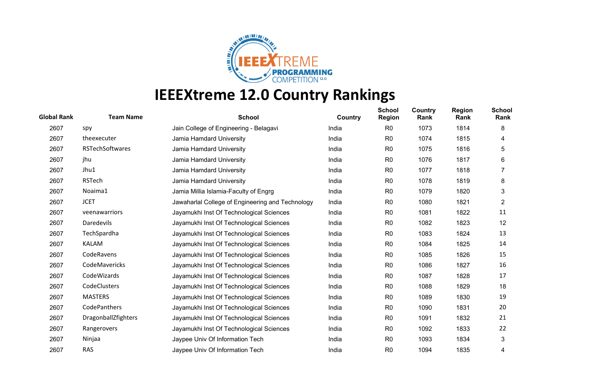

| <b>Global Rank</b> | <b>Team Name</b>    | <b>School</b>                                    | Country | <b>School</b><br><b>Region</b> | Country<br>Rank | <b>Region</b><br>Rank | <b>School</b><br>Rank |
|--------------------|---------------------|--------------------------------------------------|---------|--------------------------------|-----------------|-----------------------|-----------------------|
| 2607               | spy                 | Jain College of Engineering - Belagavi           | India   | R <sub>0</sub>                 | 1073            | 1814                  | 8                     |
| 2607               | theexecuter         | Jamia Hamdard University                         | India   | R <sub>0</sub>                 | 1074            | 1815                  | 4                     |
| 2607               | RSTechSoftwares     | Jamia Hamdard University                         | India   | R <sub>0</sub>                 | 1075            | 1816                  | 5                     |
| 2607               | jhu                 | Jamia Hamdard University                         | India   | R <sub>0</sub>                 | 1076            | 1817                  | 6                     |
| 2607               | Jhu1                | Jamia Hamdard University                         | India   | R <sub>0</sub>                 | 1077            | 1818                  | 7                     |
| 2607               | <b>RSTech</b>       | Jamia Hamdard University                         | India   | R <sub>0</sub>                 | 1078            | 1819                  | 8                     |
| 2607               | Noaima1             | Jamia Millia Islamia-Faculty of Engrg            | India   | R <sub>0</sub>                 | 1079            | 1820                  | 3                     |
| 2607               | <b>JCET</b>         | Jawaharlal College of Engineering and Technology | India   | R <sub>0</sub>                 | 1080            | 1821                  | $\overline{2}$        |
| 2607               | veenawarriors       | Jayamukhi Inst Of Technological Sciences         | India   | R <sub>0</sub>                 | 1081            | 1822                  | 11                    |
| 2607               | Daredevils          | Jayamukhi Inst Of Technological Sciences         | India   | R <sub>0</sub>                 | 1082            | 1823                  | 12                    |
| 2607               | TechSpardha         | Jayamukhi Inst Of Technological Sciences         | India   | R <sub>0</sub>                 | 1083            | 1824                  | 13                    |
| 2607               | <b>KALAM</b>        | Jayamukhi Inst Of Technological Sciences         | India   | R <sub>0</sub>                 | 1084            | 1825                  | 14                    |
| 2607               | CodeRavens          | Jayamukhi Inst Of Technological Sciences         | India   | R <sub>0</sub>                 | 1085            | 1826                  | 15                    |
| 2607               | CodeMavericks       | Jayamukhi Inst Of Technological Sciences         | India   | R <sub>0</sub>                 | 1086            | 1827                  | 16                    |
| 2607               | CodeWizards         | Jayamukhi Inst Of Technological Sciences         | India   | R <sub>0</sub>                 | 1087            | 1828                  | 17                    |
| 2607               | CodeClusters        | Jayamukhi Inst Of Technological Sciences         | India   | R <sub>0</sub>                 | 1088            | 1829                  | 18                    |
| 2607               | <b>MASTERS</b>      | Jayamukhi Inst Of Technological Sciences         | India   | R <sub>0</sub>                 | 1089            | 1830                  | 19                    |
| 2607               | CodePanthers        | Jayamukhi Inst Of Technological Sciences         | India   | R <sub>0</sub>                 | 1090            | 1831                  | 20                    |
| 2607               | DragonballZfighters | Jayamukhi Inst Of Technological Sciences         | India   | R <sub>0</sub>                 | 1091            | 1832                  | 21                    |
| 2607               | Rangerovers         | Jayamukhi Inst Of Technological Sciences         | India   | R <sub>0</sub>                 | 1092            | 1833                  | 22                    |
| 2607               | Ninjaa              | Jaypee Univ Of Information Tech                  | India   | R <sub>0</sub>                 | 1093            | 1834                  | 3                     |
| 2607               | <b>RAS</b>          | Jaypee Univ Of Information Tech                  | India   | R <sub>0</sub>                 | 1094            | 1835                  | 4                     |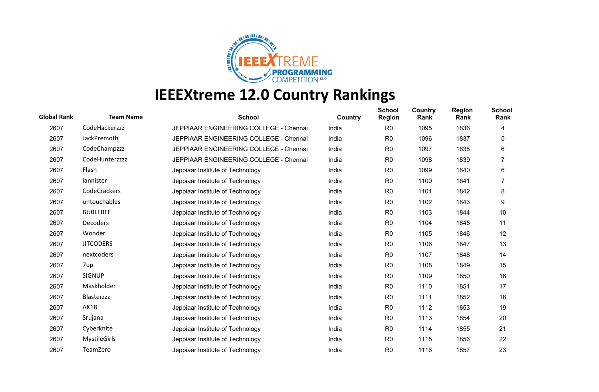

| <b>Global Rank</b> | <b>Team Name</b>    | <b>School</b>                          | Country | <b>School</b><br><b>Region</b> | Country<br>Rank | <b>Region</b><br>Rank | <b>School</b><br>Rank |
|--------------------|---------------------|----------------------------------------|---------|--------------------------------|-----------------|-----------------------|-----------------------|
| 2607               | CodeHackerzzz       | JEPPIAAR ENGINEERING COLLEGE - Chennai | India   | R <sub>0</sub>                 | 1095            | 1836                  | 4                     |
| 2607               | JackPremoth         | JEPPIAAR ENGINEERING COLLEGE - Chennai | India   | R <sub>0</sub>                 | 1096            | 1837                  | 5                     |
| 2607               | CodeChampzzz        | JEPPIAAR ENGINEERING COLLEGE - Chennai | India   | R <sub>0</sub>                 | 1097            | 1838                  | 6                     |
| 2607               | CodeHunterzzzz      | JEPPIAAR ENGINEERING COLLEGE - Chennai | India   | R <sub>0</sub>                 | 1098            | 1839                  |                       |
| 2607               | Flash               | Jeppiaar Institute of Technology       | India   | R <sub>0</sub>                 | 1099            | 1840                  | 6                     |
| 2607               | lannister           | Jeppiaar Institute of Technology       | India   | R <sub>0</sub>                 | 1100            | 1841                  |                       |
| 2607               | CodeCrackers        | Jeppiaar Institute of Technology       | India   | R <sub>0</sub>                 | 1101            | 1842                  | 8                     |
| 2607               | untouchables        | Jeppiaar Institute of Technology       | India   | R <sub>0</sub>                 | 1102            | 1843                  | 9                     |
| 2607               | <b>BUBLEBEE</b>     | Jeppiaar Institute of Technology       | India   | R <sub>0</sub>                 | 1103            | 1844                  | 10                    |
| 2607               | <b>Decoders</b>     | Jeppiaar Institute of Technology       | India   | R <sub>0</sub>                 | 1104            | 1845                  | 11                    |
| 2607               | Wonder              | Jeppiaar Institute of Technology       | India   | R <sub>0</sub>                 | 1105            | 1846                  | 12                    |
| 2607               | <b>JITCODERS</b>    | Jeppiaar Institute of Technology       | India   | R <sub>0</sub>                 | 1106            | 1847                  | 13                    |
| 2607               | nextcoders          | Jeppiaar Institute of Technology       | India   | R <sub>0</sub>                 | 1107            | 1848                  | 14                    |
| 2607               | 7up                 | Jeppiaar Institute of Technology       | India   | R <sub>0</sub>                 | 1108            | 1849                  | 15                    |
| 2607               | <b>SIGNUP</b>       | Jeppiaar Institute of Technology       | India   | R <sub>0</sub>                 | 1109            | 1850                  | 16                    |
| 2607               | Maskholder          | Jeppiaar Institute of Technology       | India   | R <sub>0</sub>                 | 1110            | 1851                  | 17                    |
| 2607               | Blasterzzz          | Jeppiaar Institute of Technology       | India   | R <sub>0</sub>                 | 1111            | 1852                  | 18                    |
| 2607               | <b>AK18</b>         | Jeppiaar Institute of Technology       | India   | R <sub>0</sub>                 | 1112            | 1853                  | 19                    |
| 2607               | Srujana             | Jeppiaar Institute of Technology       | India   | R <sub>0</sub>                 | 1113            | 1854                  | 20                    |
| 2607               | Cyberknite          | Jeppiaar Institute of Technology       | India   | R <sub>0</sub>                 | 1114            | 1855                  | 21                    |
| 2607               | <b>MystileGirls</b> | Jeppiaar Institute of Technology       | India   | R <sub>0</sub>                 | 1115            | 1856                  | 22                    |
| 2607               | TeamZero            | Jeppiaar Institute of Technology       | India   | R <sub>0</sub>                 | 1116            | 1857                  | 23                    |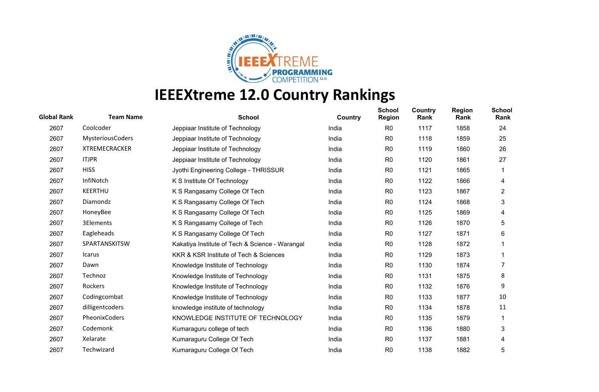

| <b>Global Rank</b> | <b>Team Name</b>        | <b>School</b>                                   | Country | <b>School</b><br><b>Region</b> | <b>Country</b><br>Rank | <b>Region</b><br>Rank | <b>School</b><br>Rank |
|--------------------|-------------------------|-------------------------------------------------|---------|--------------------------------|------------------------|-----------------------|-----------------------|
| 2607               | Coolcoder               | Jeppiaar Institute of Technology                | India   | R <sub>0</sub>                 | 1117                   | 1858                  | 24                    |
| 2607               | <b>MysteriousCoders</b> | Jeppiaar Institute of Technology                | India   | R <sub>0</sub>                 | 1118                   | 1859                  | 25                    |
| 2607               | <b>XTREMECRACKER</b>    | Jeppiaar Institute of Technology                | India   | R <sub>0</sub>                 | 1119                   | 1860                  | 26                    |
| 2607               | <b>ITJPR</b>            | Jeppiaar Institute of Technology                | India   | R <sub>0</sub>                 | 1120                   | 1861                  | 27                    |
| 2607               | <b>HISS</b>             | Jyothi Engineering College - THRISSUR           | India   | R <sub>0</sub>                 | 1121                   | 1865                  |                       |
| 2607               | InfiNotch               | K S Institute Of Technology                     | India   | R <sub>0</sub>                 | 1122                   | 1866                  | 4                     |
| 2607               | <b>KEERTHU</b>          | K S Rangasamy College Of Tech                   | India   | R <sub>0</sub>                 | 1123                   | 1867                  | $\overline{2}$        |
| 2607               | Diamondz                | K S Rangasamy College Of Tech                   | India   | R <sub>0</sub>                 | 1124                   | 1868                  | 3                     |
| 2607               | HoneyBee                | K S Rangasamy College Of Tech                   | India   | R <sub>0</sub>                 | 1125                   | 1869                  | 4                     |
| 2607               | 3Elements               | K S Rangasamy College of Tech                   | India   | R <sub>0</sub>                 | 1126                   | 1870                  | 5                     |
| 2607               | Eagleheads              | K S Rangasamy College Of Tech                   | India   | R <sub>0</sub>                 | 1127                   | 1871                  | 6                     |
| 2607               | SPARTANSKITSW           | Kakatiya Institute of Tech & Science - Warangal | India   | R <sub>0</sub>                 | 1128                   | 1872                  |                       |
| 2607               | Icarus                  | KKR & KSR Institute of Tech & Sciences          | India   | R <sub>0</sub>                 | 1129                   | 1873                  |                       |
| 2607               | Dawn                    | Knowledge Institute of Technology               | India   | R <sub>0</sub>                 | 1130                   | 1874                  | 7                     |
| 2607               | Technoz                 | Knowledge Institute of Technology               | India   | R0                             | 1131                   | 1875                  | 8                     |
| 2607               | Rockers                 | Knowledge Institute of Technology               | India   | R <sub>0</sub>                 | 1132                   | 1876                  | 9                     |
| 2607               | Codingcombat            | Knowledge Institute of Technology               | India   | R <sub>0</sub>                 | 1133                   | 1877                  | 10                    |
| 2607               | dilligentcoders         | knowledge institute of technology               | India   | R <sub>0</sub>                 | 1134                   | 1878                  | 11                    |
| 2607               | PheonixCoders           | KNOWLEDGE INSTITUTE OF TECHNOLOGY               | India   | R <sub>0</sub>                 | 1135                   | 1879                  |                       |
| 2607               | Codemonk                | Kumaraguru college of tech                      | India   | R <sub>0</sub>                 | 1136                   | 1880                  | 3                     |
| 2607               | Xelarate                | Kumaraguru College Of Tech                      | India   | R <sub>0</sub>                 | 1137                   | 1881                  | 4                     |
| 2607               | Techwizard              | Kumaraguru College Of Tech                      | India   | R <sub>0</sub>                 | 1138                   | 1882                  | 5                     |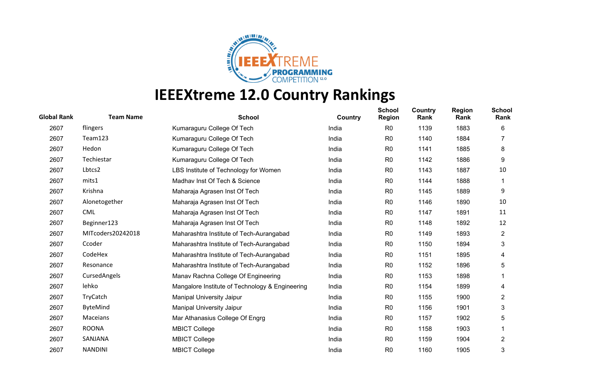

| <b>Global Rank</b> | <b>Team Name</b>  | <b>School</b>                                   | Country | <b>School</b><br><b>Region</b> | Country<br>Rank | <b>Region</b><br>Rank | <b>School</b><br>Rank |
|--------------------|-------------------|-------------------------------------------------|---------|--------------------------------|-----------------|-----------------------|-----------------------|
| 2607               | flingers          | Kumaraguru College Of Tech                      | India   | R <sub>0</sub>                 | 1139            | 1883                  | 6                     |
| 2607               | Team123           | Kumaraguru College Of Tech                      | India   | R <sub>0</sub>                 | 1140            | 1884                  |                       |
| 2607               | Hedon             | Kumaraguru College Of Tech                      | India   | R <sub>0</sub>                 | 1141            | 1885                  | 8                     |
| 2607               | Techiestar        | Kumaraguru College Of Tech                      | India   | R <sub>0</sub>                 | 1142            | 1886                  | 9                     |
| 2607               | Lbtcs2            | LBS Institute of Technology for Women           | India   | R <sub>0</sub>                 | 1143            | 1887                  | 10                    |
| 2607               | mits1             | Madhav Inst Of Tech & Science                   | India   | R <sub>0</sub>                 | 1144            | 1888                  |                       |
| 2607               | Krishna           | Maharaja Agrasen Inst Of Tech                   | India   | R <sub>0</sub>                 | 1145            | 1889                  | 9                     |
| 2607               | Alonetogether     | Maharaja Agrasen Inst Of Tech                   | India   | R <sub>0</sub>                 | 1146            | 1890                  | 10                    |
| 2607               | <b>CML</b>        | Maharaja Agrasen Inst Of Tech                   | India   | R <sub>0</sub>                 | 1147            | 1891                  | 11                    |
| 2607               | Beginner123       | Maharaja Agrasen Inst Of Tech                   | India   | R <sub>0</sub>                 | 1148            | 1892                  | 12                    |
| 2607               | MITcoders20242018 | Maharashtra Institute of Tech-Aurangabad        | India   | R <sub>0</sub>                 | 1149            | 1893                  | $\overline{2}$        |
| 2607               | Ccoder            | Maharashtra Institute of Tech-Aurangabad        | India   | R <sub>0</sub>                 | 1150            | 1894                  | 3                     |
| 2607               | CodeHex           | Maharashtra Institute of Tech-Aurangabad        | India   | R <sub>0</sub>                 | 1151            | 1895                  | 4                     |
| 2607               | Resonance         | Maharashtra Institute of Tech-Aurangabad        | India   | R <sub>0</sub>                 | 1152            | 1896                  | 5                     |
| 2607               | CursedAngels      | Manav Rachna College Of Engineering             | India   | R <sub>0</sub>                 | 1153            | 1898                  |                       |
| 2607               | lehko             | Mangalore Institute of Technology & Engineering | India   | R <sub>0</sub>                 | 1154            | 1899                  | 4                     |
| 2607               | TryCatch          | <b>Manipal University Jaipur</b>                | India   | R <sub>0</sub>                 | 1155            | 1900                  | 2                     |
| 2607               | ByteMind          | Manipal University Jaipur                       | India   | R <sub>0</sub>                 | 1156            | 1901                  | 3                     |
| 2607               | Maceians          | Mar Athanasius College Of Engrg                 | India   | R <sub>0</sub>                 | 1157            | 1902                  | 5                     |
| 2607               | <b>ROONA</b>      | <b>MBICT College</b>                            | India   | R <sub>0</sub>                 | 1158            | 1903                  |                       |
| 2607               | SANJANA           | <b>MBICT College</b>                            | India   | R <sub>0</sub>                 | 1159            | 1904                  | $\overline{2}$        |
| 2607               | <b>NANDINI</b>    | <b>MBICT College</b>                            | India   | R <sub>0</sub>                 | 1160            | 1905                  | 3                     |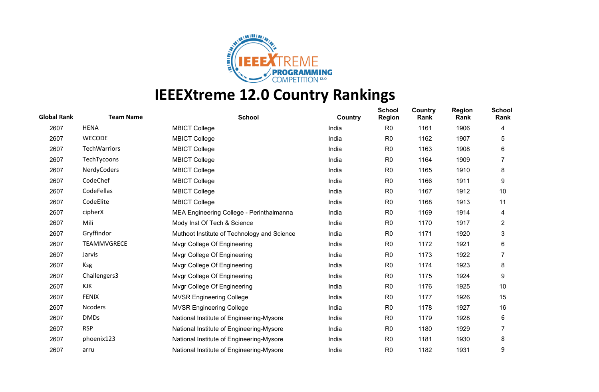

| <b>Global Rank</b> | <b>Team Name</b>    | <b>School</b>                               | Country | <b>School</b><br><b>Region</b> | Country<br>Rank | <b>Region</b><br>Rank | <b>School</b><br>Rank |
|--------------------|---------------------|---------------------------------------------|---------|--------------------------------|-----------------|-----------------------|-----------------------|
| 2607               | <b>HENA</b>         | <b>MBICT College</b>                        | India   | R <sub>0</sub>                 | 1161            | 1906                  | 4                     |
| 2607               | <b>WECODE</b>       | <b>MBICT College</b>                        | India   | R <sub>0</sub>                 | 1162            | 1907                  | 5                     |
| 2607               | <b>TechWarriors</b> | <b>MBICT College</b>                        | India   | R <sub>0</sub>                 | 1163            | 1908                  | 6                     |
| 2607               | TechTycoons         | <b>MBICT College</b>                        | India   | R <sub>0</sub>                 | 1164            | 1909                  |                       |
| 2607               | NerdyCoders         | <b>MBICT College</b>                        | India   | R <sub>0</sub>                 | 1165            | 1910                  | 8                     |
| 2607               | CodeChef            | <b>MBICT College</b>                        | India   | R <sub>0</sub>                 | 1166            | 1911                  | 9                     |
| 2607               | CodeFellas          | <b>MBICT College</b>                        | India   | R <sub>0</sub>                 | 1167            | 1912                  | 10                    |
| 2607               | CodeElite           | <b>MBICT College</b>                        | India   | R <sub>0</sub>                 | 1168            | 1913                  | 11                    |
| 2607               | cipherX             | MEA Engineering College - Perinthalmanna    | India   | R <sub>0</sub>                 | 1169            | 1914                  | 4                     |
| 2607               | Mili                | Mody Inst Of Tech & Science                 | India   | R <sub>0</sub>                 | 1170            | 1917                  | $\overline{2}$        |
| 2607               | Gryffindor          | Muthoot Institute of Technology and Science | India   | R <sub>0</sub>                 | 1171            | 1920                  | 3                     |
| 2607               | TEAMMVGRECE         | Mvgr College Of Engineering                 | India   | R <sub>0</sub>                 | 1172            | 1921                  | 6                     |
| 2607               | Jarvis              | Mvgr College Of Engineering                 | India   | R <sub>0</sub>                 | 1173            | 1922                  | 7                     |
| 2607               | <b>Ksg</b>          | Mvgr College Of Engineering                 | India   | R <sub>0</sub>                 | 1174            | 1923                  | 8                     |
| 2607               | Challengers3        | Mvgr College Of Engineering                 | India   | R <sub>0</sub>                 | 1175            | 1924                  | 9                     |
| 2607               | KJK                 | Mvgr College Of Engineering                 | India   | R <sub>0</sub>                 | 1176            | 1925                  | 10                    |
| 2607               | <b>FENIX</b>        | <b>MVSR Engineering College</b>             | India   | R <sub>0</sub>                 | 1177            | 1926                  | 15                    |
| 2607               | Ncoders             | <b>MVSR Engineering College</b>             | India   | R <sub>0</sub>                 | 1178            | 1927                  | 16                    |
| 2607               | <b>DMDs</b>         | National Institute of Engineering-Mysore    | India   | R <sub>0</sub>                 | 1179            | 1928                  | 6                     |
| 2607               | <b>RSP</b>          | National Institute of Engineering-Mysore    | India   | R <sub>0</sub>                 | 1180            | 1929                  |                       |
| 2607               | phoenix123          | National Institute of Engineering-Mysore    | India   | R <sub>0</sub>                 | 1181            | 1930                  | 8                     |
| 2607               | arru                | National Institute of Engineering-Mysore    | India   | R <sub>0</sub>                 | 1182            | 1931                  | 9                     |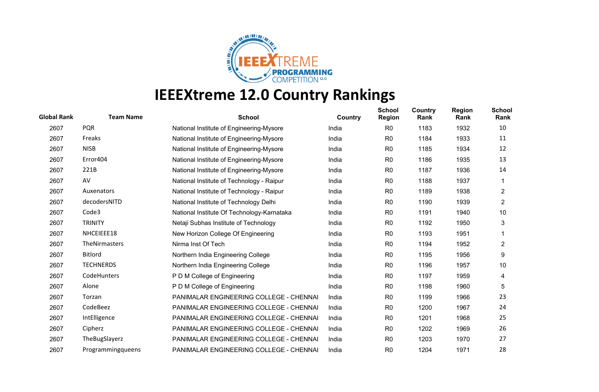

| <b>Global Rank</b> | <b>Team Name</b>     | <b>School</b>                              | <b>Country</b> | <b>School</b><br><b>Region</b> | Country<br>Rank | <b>Region</b><br>Rank | <b>School</b><br>Rank |
|--------------------|----------------------|--------------------------------------------|----------------|--------------------------------|-----------------|-----------------------|-----------------------|
| 2607               | <b>PQR</b>           | National Institute of Engineering-Mysore   | India          | R <sub>0</sub>                 | 1183            | 1932                  | 10                    |
| 2607               | Freaks               | National Institute of Engineering-Mysore   | India          | R <sub>0</sub>                 | 1184            | 1933                  | 11                    |
| 2607               | <b>NISB</b>          | National Institute of Engineering-Mysore   | India          | R <sub>0</sub>                 | 1185            | 1934                  | 12                    |
| 2607               | Error404             | National Institute of Engineering-Mysore   | India          | R <sub>0</sub>                 | 1186            | 1935                  | 13                    |
| 2607               | 221B                 | National Institute of Engineering-Mysore   | India          | R <sub>0</sub>                 | 1187            | 1936                  | 14                    |
| 2607               | AV                   | National Institute of Technology - Raipur  | India          | R <sub>0</sub>                 | 1188            | 1937                  |                       |
| 2607               | Auxenators           | National Institute of Technology - Raipur  | India          | R <sub>0</sub>                 | 1189            | 1938                  | $\overline{c}$        |
| 2607               | decodersNITD         | National Institute of Technology Delhi     | India          | R <sub>0</sub>                 | 1190            | 1939                  | $\overline{2}$        |
| 2607               | Code3                | National Institute Of Technology-Karnataka | India          | R <sub>0</sub>                 | 1191            | 1940                  | 10                    |
| 2607               | <b>TRINITY</b>       | Netaji Subhas Institute of Technology      | India          | R <sub>0</sub>                 | 1192            | 1950                  | 3                     |
| 2607               | NHCEIEEE18           | New Horizon College Of Engineering         | India          | R <sub>0</sub>                 | 1193            | 1951                  |                       |
| 2607               | <b>TheNirmasters</b> | Nirma Inst Of Tech                         | India          | R <sub>0</sub>                 | 1194            | 1952                  | 2                     |
| 2607               | <b>Bitlord</b>       | Northern India Engineering College         | India          | R <sub>0</sub>                 | 1195            | 1956                  | 9                     |
| 2607               | <b>TECHNERDS</b>     | Northern India Engineering College         | India          | R <sub>0</sub>                 | 1196            | 1957                  | 10                    |
| 2607               | CodeHunters          | P D M College of Engineering               | India          | R <sub>0</sub>                 | 1197            | 1959                  | 4                     |
| 2607               | Alone                | P D M College of Engineering               | India          | R <sub>0</sub>                 | 1198            | 1960                  | 5                     |
| 2607               | Torzan               | PANIMALAR ENGINEERING COLLEGE - CHENNAI    | India          | R <sub>0</sub>                 | 1199            | 1966                  | 23                    |
| 2607               | CodeBeez             | PANIMALAR ENGINEERING COLLEGE - CHENNAI    | India          | R <sub>0</sub>                 | 1200            | 1967                  | 24                    |
| 2607               | IntElligence         | PANIMALAR ENGINEERING COLLEGE - CHENNAI    | India          | R <sub>0</sub>                 | 1201            | 1968                  | 25                    |
| 2607               | Cipherz              | PANIMALAR ENGINEERING COLLEGE - CHENNAI    | India          | R <sub>0</sub>                 | 1202            | 1969                  | 26                    |
| 2607               | TheBugSlayerz        | PANIMALAR ENGINEERING COLLEGE - CHENNAI    | India          | R <sub>0</sub>                 | 1203            | 1970                  | 27                    |
| 2607               | Programmingqueens    | PANIMALAR ENGINEERING COLLEGE - CHENNAI    | India          | R <sub>0</sub>                 | 1204            | 1971                  | 28                    |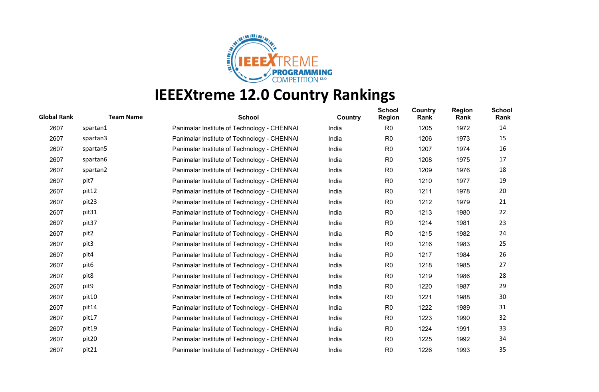

| <b>Global Rank</b> | <b>Team Name</b>  | <b>School</b>                               | Country | <b>School</b><br><b>Region</b> | <b>Country</b><br>Rank | <b>Region</b><br>Rank | <b>School</b><br>Rank |
|--------------------|-------------------|---------------------------------------------|---------|--------------------------------|------------------------|-----------------------|-----------------------|
| 2607               | spartan1          | Panimalar Institute of Technology - CHENNAI | India   | R <sub>0</sub>                 | 1205                   | 1972                  | 14                    |
| 2607               | spartan3          | Panimalar Institute of Technology - CHENNAI | India   | R <sub>0</sub>                 | 1206                   | 1973                  | 15                    |
| 2607               | spartan5          | Panimalar Institute of Technology - CHENNAI | India   | R <sub>0</sub>                 | 1207                   | 1974                  | 16                    |
| 2607               | spartan6          | Panimalar Institute of Technology - CHENNAI | India   | R <sub>0</sub>                 | 1208                   | 1975                  | 17                    |
| 2607               | spartan2          | Panimalar Institute of Technology - CHENNAI | India   | R <sub>0</sub>                 | 1209                   | 1976                  | 18                    |
| 2607               | pit7              | Panimalar Institute of Technology - CHENNAI | India   | R <sub>0</sub>                 | 1210                   | 1977                  | 19                    |
| 2607               | pit12             | Panimalar Institute of Technology - CHENNAI | India   | R <sub>0</sub>                 | 1211                   | 1978                  | 20                    |
| 2607               | pit <sub>23</sub> | Panimalar Institute of Technology - CHENNAI | India   | R0                             | 1212                   | 1979                  | 21                    |
| 2607               | pit31             | Panimalar Institute of Technology - CHENNAI | India   | R <sub>0</sub>                 | 1213                   | 1980                  | 22                    |
| 2607               | pit37             | Panimalar Institute of Technology - CHENNAI | India   | R0                             | 1214                   | 1981                  | 23                    |
| 2607               | pit2              | Panimalar Institute of Technology - CHENNAI | India   | R <sub>0</sub>                 | 1215                   | 1982                  | 24                    |
| 2607               | pit3              | Panimalar Institute of Technology - CHENNAI | India   | R <sub>0</sub>                 | 1216                   | 1983                  | 25                    |
| 2607               | pit4              | Panimalar Institute of Technology - CHENNAI | India   | R <sub>0</sub>                 | 1217                   | 1984                  | 26                    |
| 2607               | pit <sub>6</sub>  | Panimalar Institute of Technology - CHENNAI | India   | R0                             | 1218                   | 1985                  | 27                    |
| 2607               | pit8              | Panimalar Institute of Technology - CHENNAI | India   | R <sub>0</sub>                 | 1219                   | 1986                  | 28                    |
| 2607               | pit9              | Panimalar Institute of Technology - CHENNAI | India   | R <sub>0</sub>                 | 1220                   | 1987                  | 29                    |
| 2607               | pit10             | Panimalar Institute of Technology - CHENNAI | India   | R <sub>0</sub>                 | 1221                   | 1988                  | 30                    |
| 2607               | pit14             | Panimalar Institute of Technology - CHENNAI | India   | R <sub>0</sub>                 | 1222                   | 1989                  | 31                    |
| 2607               | pit17             | Panimalar Institute of Technology - CHENNAI | India   | R <sub>0</sub>                 | 1223                   | 1990                  | 32                    |
| 2607               | pit19             | Panimalar Institute of Technology - CHENNAI | India   | R <sub>0</sub>                 | 1224                   | 1991                  | 33                    |
| 2607               | pit <sub>20</sub> | Panimalar Institute of Technology - CHENNAI | India   | R0                             | 1225                   | 1992                  | 34                    |
| 2607               | pit21             | Panimalar Institute of Technology - CHENNAI | India   | R <sub>0</sub>                 | 1226                   | 1993                  | 35                    |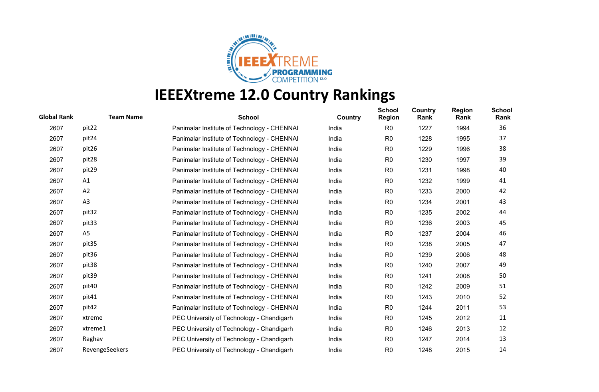

| <b>Global Rank</b> | <b>Team Name</b> | <b>School</b>                               | Country | <b>School</b><br><b>Region</b> | <b>Country</b><br>Rank | <b>Region</b><br>Rank | <b>School</b><br>Rank |
|--------------------|------------------|---------------------------------------------|---------|--------------------------------|------------------------|-----------------------|-----------------------|
| 2607               | pit22            | Panimalar Institute of Technology - CHENNAI | India   | R <sub>0</sub>                 | 1227                   | 1994                  | 36                    |
| 2607               | pit24            | Panimalar Institute of Technology - CHENNAI | India   | R <sub>0</sub>                 | 1228                   | 1995                  | 37                    |
| 2607               | pit26            | Panimalar Institute of Technology - CHENNAI | India   | R <sub>0</sub>                 | 1229                   | 1996                  | 38                    |
| 2607               | pit28            | Panimalar Institute of Technology - CHENNAI | India   | R <sub>0</sub>                 | 1230                   | 1997                  | 39                    |
| 2607               | pit29            | Panimalar Institute of Technology - CHENNAI | India   | R0                             | 1231                   | 1998                  | 40                    |
| 2607               | A1               | Panimalar Institute of Technology - CHENNAI | India   | R <sub>0</sub>                 | 1232                   | 1999                  | 41                    |
| 2607               | A <sub>2</sub>   | Panimalar Institute of Technology - CHENNAI | India   | R0                             | 1233                   | 2000                  | 42                    |
| 2607               | A3               | Panimalar Institute of Technology - CHENNAI | India   | R <sub>0</sub>                 | 1234                   | 2001                  | 43                    |
| 2607               | pit32            | Panimalar Institute of Technology - CHENNAI | India   | R <sub>0</sub>                 | 1235                   | 2002                  | 44                    |
| 2607               | pit33            | Panimalar Institute of Technology - CHENNAI | India   | R <sub>0</sub>                 | 1236                   | 2003                  | 45                    |
| 2607               | A <sub>5</sub>   | Panimalar Institute of Technology - CHENNAI | India   | R <sub>0</sub>                 | 1237                   | 2004                  | 46                    |
| 2607               | pit35            | Panimalar Institute of Technology - CHENNAI | India   | R <sub>0</sub>                 | 1238                   | 2005                  | 47                    |
| 2607               | pit36            | Panimalar Institute of Technology - CHENNAI | India   | R <sub>0</sub>                 | 1239                   | 2006                  | 48                    |
| 2607               | pit38            | Panimalar Institute of Technology - CHENNAI | India   | R <sub>0</sub>                 | 1240                   | 2007                  | 49                    |
| 2607               | pit39            | Panimalar Institute of Technology - CHENNAI | India   | R0                             | 1241                   | 2008                  | 50                    |
| 2607               | pit40            | Panimalar Institute of Technology - CHENNAI | India   | R <sub>0</sub>                 | 1242                   | 2009                  | 51                    |
| 2607               | pit41            | Panimalar Institute of Technology - CHENNAI | India   | R0                             | 1243                   | 2010                  | 52                    |
| 2607               | pit42            | Panimalar Institute of Technology - CHENNAI | India   | R <sub>0</sub>                 | 1244                   | 2011                  | 53                    |
| 2607               | xtreme           | PEC University of Technology - Chandigarh   | India   | R <sub>0</sub>                 | 1245                   | 2012                  | 11                    |
| 2607               | xtreme1          | PEC University of Technology - Chandigarh   | India   | R <sub>0</sub>                 | 1246                   | 2013                  | 12                    |
| 2607               | Raghav           | PEC University of Technology - Chandigarh   | India   | R <sub>0</sub>                 | 1247                   | 2014                  | 13                    |
| 2607               | RevengeSeekers   | PEC University of Technology - Chandigarh   | India   | R <sub>0</sub>                 | 1248                   | 2015                  | 14                    |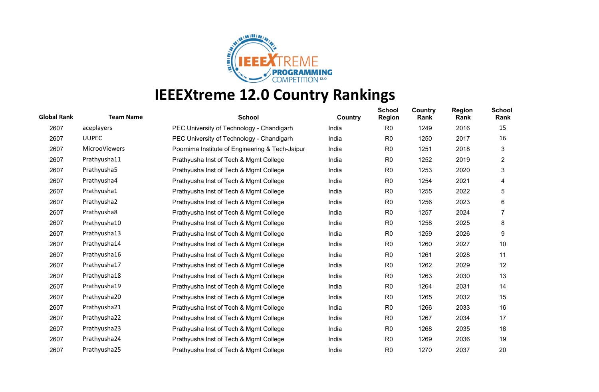

| <b>Team Name</b> | <b>School</b>                                   | Country | <b>School</b><br><b>Region</b> | <b>Country</b><br>Rank | <b>Region</b><br>Rank | <b>School</b><br>Rank |
|------------------|-------------------------------------------------|---------|--------------------------------|------------------------|-----------------------|-----------------------|
| aceplayers       | PEC University of Technology - Chandigarh       | India   | R <sub>0</sub>                 | 1249                   | 2016                  | 15                    |
| <b>UUPEC</b>     | PEC University of Technology - Chandigarh       | India   | R <sub>0</sub>                 | 1250                   | 2017                  | 16                    |
| MicrooViewers    | Poornima Institute of Engineering & Tech-Jaipur | India   | R <sub>0</sub>                 | 1251                   | 2018                  | 3                     |
| Prathyusha11     | Prathyusha Inst of Tech & Mgmt College          | India   | R <sub>0</sub>                 | 1252                   | 2019                  | $\overline{2}$        |
| Prathyusha5      | Prathyusha Inst of Tech & Mgmt College          | India   | R <sub>0</sub>                 | 1253                   | 2020                  | 3                     |
| Prathyusha4      | Prathyusha Inst of Tech & Mgmt College          | India   | R <sub>0</sub>                 | 1254                   | 2021                  | 4                     |
| Prathyusha1      | Prathyusha Inst of Tech & Mgmt College          | India   | R <sub>0</sub>                 | 1255                   | 2022                  | 5                     |
| Prathyusha2      | Prathyusha Inst of Tech & Mgmt College          | India   | R <sub>0</sub>                 | 1256                   | 2023                  | 6                     |
| Prathyusha8      | Prathyusha Inst of Tech & Mgmt College          | India   | R <sub>0</sub>                 | 1257                   | 2024                  |                       |
| Prathyusha10     | Prathyusha Inst of Tech & Mgmt College          | India   | R <sub>0</sub>                 | 1258                   | 2025                  | 8                     |
| Prathyusha13     | Prathyusha Inst of Tech & Mgmt College          | India   | R <sub>0</sub>                 | 1259                   | 2026                  | 9                     |
| Prathyusha14     | Prathyusha Inst of Tech & Mgmt College          | India   | R <sub>0</sub>                 | 1260                   | 2027                  | 10                    |
| Prathyusha16     | Prathyusha Inst of Tech & Mgmt College          | India   | R <sub>0</sub>                 | 1261                   | 2028                  | 11                    |
| Prathyusha17     | Prathyusha Inst of Tech & Mgmt College          | India   | R <sub>0</sub>                 | 1262                   | 2029                  | 12                    |
| Prathyusha18     | Prathyusha Inst of Tech & Mgmt College          | India   | R <sub>0</sub>                 | 1263                   | 2030                  | 13                    |
| Prathyusha19     | Prathyusha Inst of Tech & Mgmt College          | India   | R <sub>0</sub>                 | 1264                   | 2031                  | 14                    |
| Prathyusha20     | Prathyusha Inst of Tech & Mgmt College          | India   | R <sub>0</sub>                 | 1265                   | 2032                  | 15                    |
| Prathyusha21     | Prathyusha Inst of Tech & Mgmt College          | India   | R <sub>0</sub>                 | 1266                   | 2033                  | 16                    |
| Prathyusha22     | Prathyusha Inst of Tech & Mgmt College          | India   | R <sub>0</sub>                 | 1267                   | 2034                  | 17                    |
| Prathyusha23     | Prathyusha Inst of Tech & Mgmt College          | India   | R <sub>0</sub>                 | 1268                   | 2035                  | 18                    |
| Prathyusha24     | Prathyusha Inst of Tech & Mgmt College          | India   | R <sub>0</sub>                 | 1269                   | 2036                  | 19                    |
| Prathyusha25     | Prathyusha Inst of Tech & Mgmt College          | India   | R <sub>0</sub>                 | 1270                   | 2037                  | 20                    |
|                  |                                                 |         |                                |                        |                       |                       |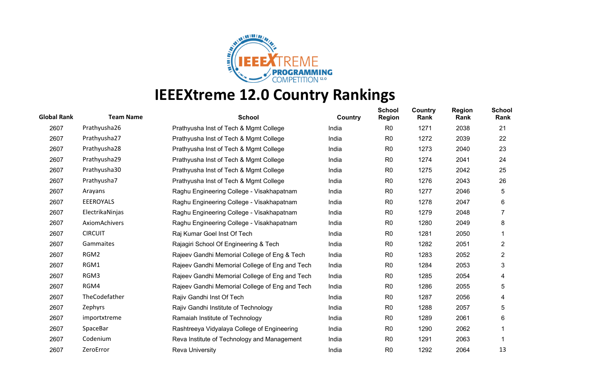

| <b>Global Rank</b> | <b>Team Name</b> | <b>School</b>                                  | Country | <b>School</b><br><b>Region</b> | Country<br>Rank | <b>Region</b><br>Rank | <b>School</b><br>Rank |
|--------------------|------------------|------------------------------------------------|---------|--------------------------------|-----------------|-----------------------|-----------------------|
| 2607               | Prathyusha26     | Prathyusha Inst of Tech & Mgmt College         | India   | R <sub>0</sub>                 | 1271            | 2038                  | 21                    |
| 2607               | Prathyusha27     | Prathyusha Inst of Tech & Mgmt College         | India   | R <sub>0</sub>                 | 1272            | 2039                  | 22                    |
| 2607               | Prathyusha28     | Prathyusha Inst of Tech & Mgmt College         | India   | R <sub>0</sub>                 | 1273            | 2040                  | 23                    |
| 2607               | Prathyusha29     | Prathyusha Inst of Tech & Mgmt College         | India   | R <sub>0</sub>                 | 1274            | 2041                  | 24                    |
| 2607               | Prathyusha30     | Prathyusha Inst of Tech & Mgmt College         | India   | R <sub>0</sub>                 | 1275            | 2042                  | 25                    |
| 2607               | Prathyusha7      | Prathyusha Inst of Tech & Mgmt College         | India   | R <sub>0</sub>                 | 1276            | 2043                  | 26                    |
| 2607               | Arayans          | Raghu Engineering College - Visakhapatnam      | India   | R <sub>0</sub>                 | 1277            | 2046                  | 5                     |
| 2607               | <b>EEEROYALS</b> | Raghu Engineering College - Visakhapatnam      | India   | R <sub>0</sub>                 | 1278            | 2047                  | 6                     |
| 2607               | ElectrikaNinjas  | Raghu Engineering College - Visakhapatnam      | India   | R <sub>0</sub>                 | 1279            | 2048                  |                       |
| 2607               | AxiomAchivers    | Raghu Engineering College - Visakhapatnam      | India   | R <sub>0</sub>                 | 1280            | 2049                  | 8                     |
| 2607               | <b>CIRCUIT</b>   | Raj Kumar Goel Inst Of Tech                    | India   | R <sub>0</sub>                 | 1281            | 2050                  |                       |
| 2607               | Gammaites        | Rajagiri School Of Engineering & Tech          | India   | R <sub>0</sub>                 | 1282            | 2051                  | $\overline{c}$        |
| 2607               | RGM2             | Rajeev Gandhi Memorial College of Eng & Tech   | India   | R <sub>0</sub>                 | 1283            | 2052                  | $\overline{2}$        |
| 2607               | RGM1             | Rajeev Gandhi Memorial College of Eng and Tech | India   | R <sub>0</sub>                 | 1284            | 2053                  | 3                     |
| 2607               | RGM3             | Rajeev Gandhi Memorial College of Eng and Tech | India   | R <sub>0</sub>                 | 1285            | 2054                  | 4                     |
| 2607               | RGM4             | Rajeev Gandhi Memorial College of Eng and Tech | India   | R <sub>0</sub>                 | 1286            | 2055                  | 5                     |
| 2607               | TheCodefather    | Rajiv Gandhi Inst Of Tech                      | India   | R <sub>0</sub>                 | 1287            | 2056                  | 4                     |
| 2607               | Zephyrs          | Rajiv Gandhi Institute of Technology           | India   | R <sub>0</sub>                 | 1288            | 2057                  | 5                     |
| 2607               | importxtreme     | Ramaiah Institute of Technology                | India   | R <sub>0</sub>                 | 1289            | 2061                  | 6                     |
| 2607               | SpaceBar         | Rashtreeya Vidyalaya College of Engineering    | India   | R <sub>0</sub>                 | 1290            | 2062                  |                       |
| 2607               | Codenium         | Reva Institute of Technology and Management    | India   | R <sub>0</sub>                 | 1291            | 2063                  |                       |
| 2607               | ZeroError        | <b>Reva University</b>                         | India   | R <sub>0</sub>                 | 1292            | 2064                  | 13                    |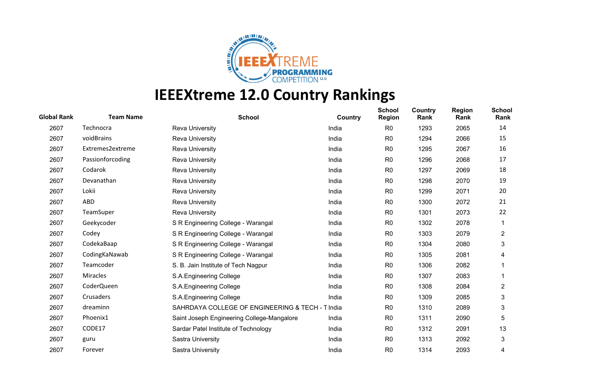

| <b>Global Rank</b> | <b>Team Name</b> | <b>School</b>                                    | Country | <b>School</b><br><b>Region</b> | Country<br>Rank | <b>Region</b><br>Rank | <b>School</b><br>Rank   |
|--------------------|------------------|--------------------------------------------------|---------|--------------------------------|-----------------|-----------------------|-------------------------|
| 2607               | Technocra        | <b>Reva University</b>                           | India   | R <sub>0</sub>                 | 1293            | 2065                  | 14                      |
| 2607               | voidBrains       | <b>Reva University</b>                           | India   | R <sub>0</sub>                 | 1294            | 2066                  | 15                      |
| 2607               | Extremes2extreme | Reva University                                  | India   | R <sub>0</sub>                 | 1295            | 2067                  | 16                      |
| 2607               | Passionforcoding | <b>Reva University</b>                           | India   | R <sub>0</sub>                 | 1296            | 2068                  | 17                      |
| 2607               | Codarok          | Reva University                                  | India   | R <sub>0</sub>                 | 1297            | 2069                  | 18                      |
| 2607               | Devanathan       | <b>Reva University</b>                           | India   | R <sub>0</sub>                 | 1298            | 2070                  | 19                      |
| 2607               | Lokii            | <b>Reva University</b>                           | India   | R <sub>0</sub>                 | 1299            | 2071                  | 20                      |
| 2607               | ABD              | <b>Reva University</b>                           | India   | R <sub>0</sub>                 | 1300            | 2072                  | 21                      |
| 2607               | TeamSuper        | <b>Reva University</b>                           | India   | R <sub>0</sub>                 | 1301            | 2073                  | 22                      |
| 2607               | Geekycoder       | S R Engineering College - Warangal               | India   | R <sub>0</sub>                 | 1302            | 2078                  |                         |
| 2607               | Codey            | S R Engineering College - Warangal               | India   | R <sub>0</sub>                 | 1303            | 2079                  | $\overline{2}$          |
| 2607               | CodekaBaap       | S R Engineering College - Warangal               | India   | R <sub>0</sub>                 | 1304            | 2080                  | 3                       |
| 2607               | CodingKaNawab    | S R Engineering College - Warangal               | India   | R <sub>0</sub>                 | 1305            | 2081                  | 4                       |
| 2607               | Teamcoder        | S. B. Jain Institute of Tech Nagpur              | India   | R <sub>0</sub>                 | 1306            | 2082                  |                         |
| 2607               | Miracles         | S.A.Engineering College                          | India   | R <sub>0</sub>                 | 1307            | 2083                  |                         |
| 2607               | CoderQueen       | S.A.Engineering College                          | India   | R <sub>0</sub>                 | 1308            | 2084                  | $\overline{\mathbf{c}}$ |
| 2607               | Crusaders        | S.A.Engineering College                          | India   | R <sub>0</sub>                 | 1309            | 2085                  | 3                       |
| 2607               | dreaminn         | SAHRDAYA COLLEGE OF ENGINEERING & TECH - T India |         | R <sub>0</sub>                 | 1310            | 2089                  | 3                       |
| 2607               | Phoenix1         | Saint Joseph Engineering College-Mangalore       | India   | R <sub>0</sub>                 | 1311            | 2090                  | 5                       |
| 2607               | CODE17           | Sardar Patel Institute of Technology             | India   | R <sub>0</sub>                 | 1312            | 2091                  | 13                      |
| 2607               | guru             | Sastra University                                | India   | R <sub>0</sub>                 | 1313            | 2092                  | 3                       |
| 2607               | Forever          | Sastra University                                | India   | R <sub>0</sub>                 | 1314            | 2093                  | 4                       |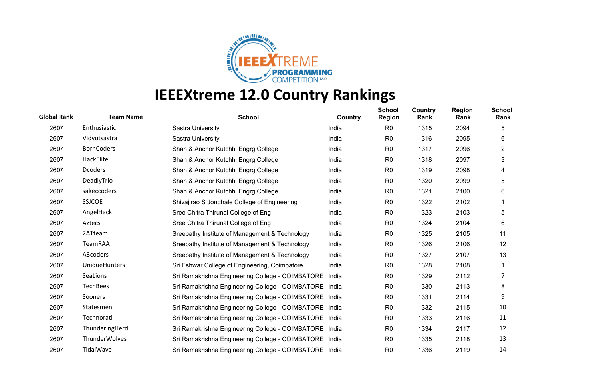

| <b>Global Rank</b> | <b>Team Name</b>     | <b>School</b>                                          | Country | <b>School</b><br><b>Region</b> | Country<br>Rank | <b>Region</b><br>Rank | <b>School</b><br>Rank |
|--------------------|----------------------|--------------------------------------------------------|---------|--------------------------------|-----------------|-----------------------|-----------------------|
| 2607               | Enthusiastic         | <b>Sastra University</b>                               | India   | R <sub>0</sub>                 | 1315            | 2094                  | 5                     |
| 2607               | Vidyutsastra         | Sastra University                                      | India   | R <sub>0</sub>                 | 1316            | 2095                  | 6                     |
| 2607               | <b>BornCoders</b>    | Shah & Anchor Kutchhi Engrg College                    | India   | R <sub>0</sub>                 | 1317            | 2096                  | $\overline{2}$        |
| 2607               | HackElite            | Shah & Anchor Kutchhi Engrg College                    | India   | R <sub>0</sub>                 | 1318            | 2097                  | 3                     |
| 2607               | <b>Dcoders</b>       | Shah & Anchor Kutchhi Engrg College                    | India   | R <sub>0</sub>                 | 1319            | 2098                  | 4                     |
| 2607               | DeadlyTrio           | Shah & Anchor Kutchhi Engrg College                    | India   | R <sub>0</sub>                 | 1320            | 2099                  | 5                     |
| 2607               | sakeccoders          | Shah & Anchor Kutchhi Engrg College                    | India   | R <sub>0</sub>                 | 1321            | 2100                  | 6                     |
| 2607               | <b>SSJCOE</b>        | Shivajirao S Jondhale College of Engineering           | India   | R <sub>0</sub>                 | 1322            | 2102                  |                       |
| 2607               | AngelHack            | Sree Chitra Thirunal College of Eng                    | India   | R <sub>0</sub>                 | 1323            | 2103                  | 5                     |
| 2607               | Aztecs               | Sree Chitra Thirunal College of Eng                    | India   | R0                             | 1324            | 2104                  | 6                     |
| 2607               | 2ATteam              | Sreepathy Institute of Management & Technology         | India   | R <sub>0</sub>                 | 1325            | 2105                  | 11                    |
| 2607               | TeamRAA              | Sreepathy Institute of Management & Technology         | India   | R <sub>0</sub>                 | 1326            | 2106                  | 12                    |
| 2607               | A3coders             | Sreepathy Institute of Management & Technology         | India   | R <sub>0</sub>                 | 1327            | 2107                  | 13                    |
| 2607               | <b>UniqueHunters</b> | Sri Eshwar College of Engineering, Coimbatore          | India   | R <sub>0</sub>                 | 1328            | 2108                  |                       |
| 2607               | SeaLions             | Sri Ramakrishna Engineering College - COIMBATORE India |         | R <sub>0</sub>                 | 1329            | 2112                  |                       |
| 2607               | TechBees             | Sri Ramakrishna Engineering College - COIMBATORE India |         | R <sub>0</sub>                 | 1330            | 2113                  | 8                     |
| 2607               | Sooners              | Sri Ramakrishna Engineering College - COIMBATORE India |         | R <sub>0</sub>                 | 1331            | 2114                  | 9                     |
| 2607               | Statesmen            | Sri Ramakrishna Engineering College - COIMBATORE India |         | R <sub>0</sub>                 | 1332            | 2115                  | 10                    |
| 2607               | Technorati           | Sri Ramakrishna Engineering College - COIMBATORE India |         | R <sub>0</sub>                 | 1333            | 2116                  | 11                    |
| 2607               | ThunderingHerd       | Sri Ramakrishna Engineering College - COIMBATORE India |         | R <sub>0</sub>                 | 1334            | 2117                  | 12                    |
| 2607               | ThunderWolves        | Sri Ramakrishna Engineering College - COIMBATORE India |         | R <sub>0</sub>                 | 1335            | 2118                  | 13                    |
| 2607               | TidalWave            | Sri Ramakrishna Engineering College - COIMBATORE India |         | R <sub>0</sub>                 | 1336            | 2119                  | 14                    |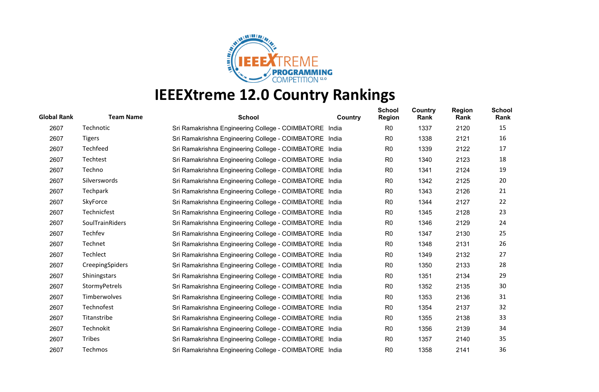

| <b>Global Rank</b> | <b>Team Name</b>       | <b>School</b>                                          | Country | <b>School</b><br><b>Region</b> | Country<br>Rank | <b>Region</b><br>Rank | <b>School</b><br>Rank |
|--------------------|------------------------|--------------------------------------------------------|---------|--------------------------------|-----------------|-----------------------|-----------------------|
| 2607               | Technotic              | Sri Ramakrishna Engineering College - COIMBATORE India |         | R <sub>0</sub>                 | 1337            | 2120                  | 15                    |
| 2607               | <b>Tigers</b>          | Sri Ramakrishna Engineering College - COIMBATORE India |         | R <sub>0</sub>                 | 1338            | 2121                  | 16                    |
| 2607               | Techfeed               | Sri Ramakrishna Engineering College - COIMBATORE India |         | R <sub>0</sub>                 | 1339            | 2122                  | 17                    |
| 2607               | Techtest               | Sri Ramakrishna Engineering College - COIMBATORE India |         | R <sub>0</sub>                 | 1340            | 2123                  | 18                    |
| 2607               | Techno                 | Sri Ramakrishna Engineering College - COIMBATORE India |         | R <sub>0</sub>                 | 1341            | 2124                  | 19                    |
| 2607               | Silverswords           | Sri Ramakrishna Engineering College - COIMBATORE India |         | R <sub>0</sub>                 | 1342            | 2125                  | 20                    |
| 2607               | Techpark               | Sri Ramakrishna Engineering College - COIMBATORE India |         | R <sub>0</sub>                 | 1343            | 2126                  | 21                    |
| 2607               | SkyForce               | Sri Ramakrishna Engineering College - COIMBATORE India |         | R0                             | 1344            | 2127                  | 22                    |
| 2607               | Technicfest            | Sri Ramakrishna Engineering College - COIMBATORE India |         | R <sub>0</sub>                 | 1345            | 2128                  | 23                    |
| 2607               | SoulTrainRiders        | Sri Ramakrishna Engineering College - COIMBATORE India |         | R <sub>0</sub>                 | 1346            | 2129                  | 24                    |
| 2607               | Techfev                | Sri Ramakrishna Engineering College - COIMBATORE India |         | R <sub>0</sub>                 | 1347            | 2130                  | 25                    |
| 2607               | Technet                | Sri Ramakrishna Engineering College - COIMBATORE India |         | R <sub>0</sub>                 | 1348            | 2131                  | 26                    |
| 2607               | Techlect               | Sri Ramakrishna Engineering College - COIMBATORE India |         | R <sub>0</sub>                 | 1349            | 2132                  | 27                    |
| 2607               | <b>CreepingSpiders</b> | Sri Ramakrishna Engineering College - COIMBATORE India |         | R <sub>0</sub>                 | 1350            | 2133                  | 28                    |
| 2607               | Shiningstars           | Sri Ramakrishna Engineering College - COIMBATORE India |         | R <sub>0</sub>                 | 1351            | 2134                  | 29                    |
| 2607               | StormyPetrels          | Sri Ramakrishna Engineering College - COIMBATORE India |         | R <sub>0</sub>                 | 1352            | 2135                  | 30                    |
| 2607               | Timberwolves           | Sri Ramakrishna Engineering College - COIMBATORE India |         | R <sub>0</sub>                 | 1353            | 2136                  | 31                    |
| 2607               | Technofest             | Sri Ramakrishna Engineering College - COIMBATORE India |         | R <sub>0</sub>                 | 1354            | 2137                  | 32                    |
| 2607               | Titanstribe            | Sri Ramakrishna Engineering College - COIMBATORE India |         | R <sub>0</sub>                 | 1355            | 2138                  | 33                    |
| 2607               | Technokit              | Sri Ramakrishna Engineering College - COIMBATORE India |         | R <sub>0</sub>                 | 1356            | 2139                  | 34                    |
| 2607               | <b>Tribes</b>          | Sri Ramakrishna Engineering College - COIMBATORE India |         | R0                             | 1357            | 2140                  | 35                    |
| 2607               | Techmos                | Sri Ramakrishna Engineering College - COIMBATORE India |         | R <sub>0</sub>                 | 1358            | 2141                  | 36                    |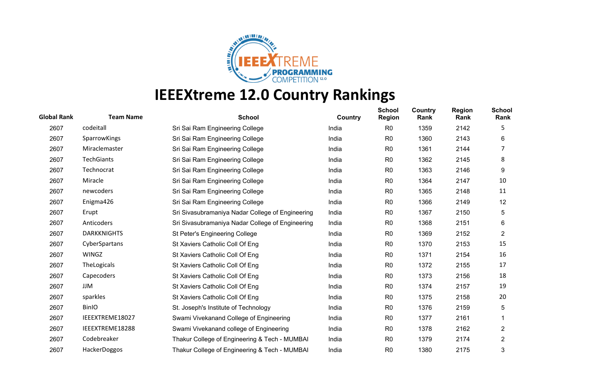

| <b>Global Rank</b> | <b>Team Name</b>   | <b>School</b>                                    | <b>Country</b> | <b>School</b><br><b>Region</b> | <b>Country</b><br>Rank | <b>Region</b><br>Rank | <b>School</b><br>Rank |
|--------------------|--------------------|--------------------------------------------------|----------------|--------------------------------|------------------------|-----------------------|-----------------------|
| 2607               | codeitall          | Sri Sai Ram Engineering College                  | India          | R <sub>0</sub>                 | 1359                   | 2142                  | 5                     |
| 2607               | SparrowKings       | Sri Sai Ram Engineering College                  | India          | R <sub>0</sub>                 | 1360                   | 2143                  | 6                     |
| 2607               | Miraclemaster      | Sri Sai Ram Engineering College                  | India          | R <sub>0</sub>                 | 1361                   | 2144                  | 7                     |
| 2607               | <b>TechGiants</b>  | Sri Sai Ram Engineering College                  | India          | R <sub>0</sub>                 | 1362                   | 2145                  | 8                     |
| 2607               | Technocrat         | Sri Sai Ram Engineering College                  | India          | R <sub>0</sub>                 | 1363                   | 2146                  | 9                     |
| 2607               | Miracle            | Sri Sai Ram Engineering College                  | India          | R <sub>0</sub>                 | 1364                   | 2147                  | 10                    |
| 2607               | newcoders          | Sri Sai Ram Engineering College                  | India          | R <sub>0</sub>                 | 1365                   | 2148                  | 11                    |
| 2607               | Enigma426          | Sri Sai Ram Engineering College                  | India          | R <sub>0</sub>                 | 1366                   | 2149                  | 12                    |
| 2607               | Erupt              | Sri Sivasubramaniya Nadar College of Engineering | India          | R <sub>0</sub>                 | 1367                   | 2150                  | 5                     |
| 2607               | Anticoders         | Sri Sivasubramaniya Nadar College of Engineering | India          | R <sub>0</sub>                 | 1368                   | 2151                  | 6                     |
| 2607               | <b>DARKKNIGHTS</b> | St Peter's Engineering College                   | India          | R <sub>0</sub>                 | 1369                   | 2152                  | $\overline{2}$        |
| 2607               | CyberSpartans      | St Xaviers Catholic Coll Of Eng                  | India          | R <sub>0</sub>                 | 1370                   | 2153                  | 15                    |
| 2607               | <b>WINGZ</b>       | St Xaviers Catholic Coll Of Eng                  | India          | R <sub>0</sub>                 | 1371                   | 2154                  | 16                    |
| 2607               | TheLogicals        | St Xaviers Catholic Coll Of Eng                  | India          | R <sub>0</sub>                 | 1372                   | 2155                  | 17                    |
| 2607               | Capecoders         | St Xaviers Catholic Coll Of Eng                  | India          | R <sub>0</sub>                 | 1373                   | 2156                  | 18                    |
| 2607               | JJM                | St Xaviers Catholic Coll Of Eng                  | India          | R <sub>0</sub>                 | 1374                   | 2157                  | 19                    |
| 2607               | sparkles           | St Xaviers Catholic Coll Of Eng                  | India          | R <sub>0</sub>                 | 1375                   | 2158                  | 20                    |
| 2607               | <b>BinIO</b>       | St. Joseph's Institute of Technology             | India          | R <sub>0</sub>                 | 1376                   | 2159                  | 5                     |
| 2607               | IEEEXTREME18027    | Swami Vivekanand College of Engineering          | India          | R <sub>0</sub>                 | 1377                   | 2161                  |                       |
| 2607               | IEEEXTREME18288    | Swami Vivekanand college of Engineering          | India          | R <sub>0</sub>                 | 1378                   | 2162                  | 2                     |
| 2607               | Codebreaker        | Thakur College of Engineering & Tech - MUMBAI    | India          | R <sub>0</sub>                 | 1379                   | 2174                  | $\overline{2}$        |
| 2607               | HackerDoggos       | Thakur College of Engineering & Tech - MUMBAI    | India          | R <sub>0</sub>                 | 1380                   | 2175                  | 3                     |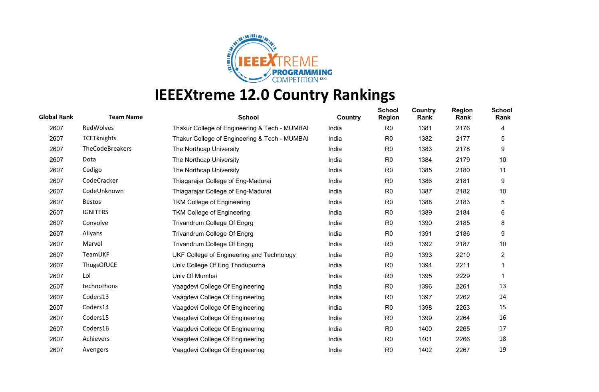

| <b>Global Rank</b> | <b>Team Name</b>   | <b>School</b>                                 | Country | <b>School</b><br><b>Region</b> | Country<br>Rank | <b>Region</b><br>Rank | <b>School</b><br>Rank |
|--------------------|--------------------|-----------------------------------------------|---------|--------------------------------|-----------------|-----------------------|-----------------------|
| 2607               | RedWolves          | Thakur College of Engineering & Tech - MUMBAI | India   | R <sub>0</sub>                 | 1381            | 2176                  | 4                     |
| 2607               | <b>TCETknights</b> | Thakur College of Engineering & Tech - MUMBAI | India   | R <sub>0</sub>                 | 1382            | 2177                  | 5                     |
| 2607               | TheCodeBreakers    | The Northcap University                       | India   | R <sub>0</sub>                 | 1383            | 2178                  | 9                     |
| 2607               | Dota               | The Northcap University                       | India   | R <sub>0</sub>                 | 1384            | 2179                  | 10                    |
| 2607               | Codigo             | The Northcap University                       | India   | R <sub>0</sub>                 | 1385            | 2180                  | 11                    |
| 2607               | CodeCracker        | Thiagarajar College of Eng-Madurai            | India   | R <sub>0</sub>                 | 1386            | 2181                  | 9                     |
| 2607               | CodeUnknown        | Thiagarajar College of Eng-Madurai            | India   | R <sub>0</sub>                 | 1387            | 2182                  | 10                    |
| 2607               | <b>Bestos</b>      | <b>TKM College of Engineering</b>             | India   | R <sub>0</sub>                 | 1388            | 2183                  | 5                     |
| 2607               | <b>IGNITERS</b>    | <b>TKM College of Engineering</b>             | India   | R <sub>0</sub>                 | 1389            | 2184                  | 6                     |
| 2607               | Convolve           | Trivandrum College Of Engrg                   | India   | R <sub>0</sub>                 | 1390            | 2185                  | 8                     |
| 2607               | Aliyans            | Trivandrum College Of Engrg                   | India   | R <sub>0</sub>                 | 1391            | 2186                  | 9                     |
| 2607               | Marvel             | Trivandrum College Of Engrg                   | India   | R <sub>0</sub>                 | 1392            | 2187                  | 10                    |
| 2607               | TeamUKF            | UKF College of Engineering and Technology     | India   | R <sub>0</sub>                 | 1393            | 2210                  | $\overline{2}$        |
| 2607               | ThugsOfUCE         | Univ College Of Eng Thodupuzha                | India   | R <sub>0</sub>                 | 1394            | 2211                  |                       |
| 2607               | Lol                | Univ Of Mumbai                                | India   | R <sub>0</sub>                 | 1395            | 2229                  |                       |
| 2607               | technothons        | Vaagdevi College Of Engineering               | India   | R <sub>0</sub>                 | 1396            | 2261                  | 13                    |
| 2607               | Coders13           | Vaagdevi College Of Engineering               | India   | R <sub>0</sub>                 | 1397            | 2262                  | 14                    |
| 2607               | Coders14           | Vaagdevi College Of Engineering               | India   | R <sub>0</sub>                 | 1398            | 2263                  | 15                    |
| 2607               | Coders15           | Vaagdevi College Of Engineering               | India   | R <sub>0</sub>                 | 1399            | 2264                  | 16                    |
| 2607               | Coders16           | Vaagdevi College Of Engineering               | India   | R <sub>0</sub>                 | 1400            | 2265                  | 17                    |
| 2607               | Achievers          | Vaagdevi College Of Engineering               | India   | R <sub>0</sub>                 | 1401            | 2266                  | 18                    |
| 2607               | Avengers           | Vaagdevi College Of Engineering               | India   | R <sub>0</sub>                 | 1402            | 2267                  | 19                    |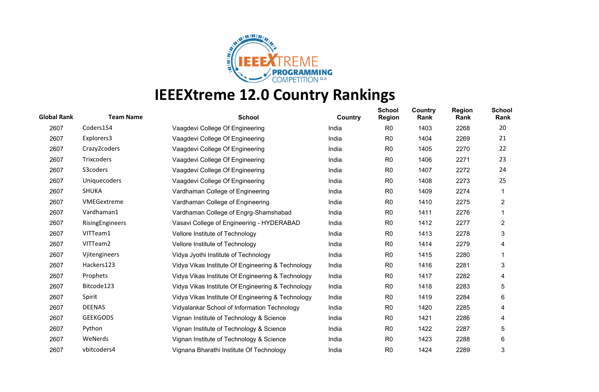

| <b>Global Rank</b> | <b>Team Name</b> | <b>School</b>                                     | Country | <b>School</b><br><b>Region</b> | Country<br>Rank | <b>Region</b><br>Rank | <b>School</b><br>Rank |
|--------------------|------------------|---------------------------------------------------|---------|--------------------------------|-----------------|-----------------------|-----------------------|
| 2607               | Coders154        | Vaagdevi College Of Engineering                   | India   | R <sub>0</sub>                 | 1403            | 2268                  | 20                    |
| 2607               | Explorers3       | Vaagdevi College Of Engineering                   | India   | R <sub>0</sub>                 | 1404            | 2269                  | 21                    |
| 2607               | Crazy2coders     | Vaagdevi College Of Engineering                   | India   | R <sub>0</sub>                 | 1405            | 2270                  | 22                    |
| 2607               | Trixcoders       | Vaagdevi College Of Engineering                   | India   | R <sub>0</sub>                 | 1406            | 2271                  | 23                    |
| 2607               | S3coders         | Vaagdevi College Of Engineering                   | India   | R0                             | 1407            | 2272                  | 24                    |
| 2607               | Uniquecoders     | Vaagdevi College Of Engineering                   | India   | R <sub>0</sub>                 | 1408            | 2273                  | 25                    |
| 2607               | <b>SHUKA</b>     | Vardhaman College of Engineering                  | India   | R <sub>0</sub>                 | 1409            | 2274                  |                       |
| 2607               | VMEGextreme      | Vardhaman College of Engineering                  | India   | R <sub>0</sub>                 | 1410            | 2275                  | $\overline{c}$        |
| 2607               | Vardhaman1       | Vardhaman College of Engrg-Shamshabad             | India   | R <sub>0</sub>                 | 1411            | 2276                  |                       |
| 2607               | RisingEngineers  | Vasavi College of Engineering - HYDERABAD         | India   | R <sub>0</sub>                 | 1412            | 2277                  | $\overline{2}$        |
| 2607               | VITTeam1         | Vellore Institute of Technology                   | India   | R <sub>0</sub>                 | 1413            | 2278                  | 3                     |
| 2607               | VITTeam2         | Vellore Institute of Technology                   | India   | R <sub>0</sub>                 | 1414            | 2279                  | 4                     |
| 2607               | Vjitengineers    | Vidya Jyothi Institute of Technology              | India   | R <sub>0</sub>                 | 1415            | 2280                  |                       |
| 2607               | Hackers123       | Vidya Vikas Institute Of Engineering & Technology | India   | R <sub>0</sub>                 | 1416            | 2281                  | 3                     |
| 2607               | Prophets         | Vidya Vikas Institute Of Engineering & Technology | India   | R <sub>0</sub>                 | 1417            | 2282                  | 4                     |
| 2607               | Bitcode123       | Vidya Vikas Institute Of Engineering & Technology | India   | R <sub>0</sub>                 | 1418            | 2283                  | 5                     |
| 2607               | Spirit           | Vidya Vikas Institute Of Engineering & Technology | India   | R <sub>0</sub>                 | 1419            | 2284                  | 6                     |
| 2607               | <b>DEENAS</b>    | Vidyalankar School of Information Technology      | India   | R <sub>0</sub>                 | 1420            | 2285                  | 4                     |
| 2607               | <b>GEEKGODS</b>  | Vignan Institute of Technology & Science          | India   | R <sub>0</sub>                 | 1421            | 2286                  | 4                     |
| 2607               | Python           | Vignan Institute of Technology & Science          | India   | R <sub>0</sub>                 | 1422            | 2287                  | 5                     |
| 2607               | WeNerds          | Vignan Institute of Technology & Science          | India   | R <sub>0</sub>                 | 1423            | 2288                  | 6                     |
| 2607               | vbitcoders4      | Vignana Bharathi Institute Of Technology          | India   | R <sub>0</sub>                 | 1424            | 2289                  | 3                     |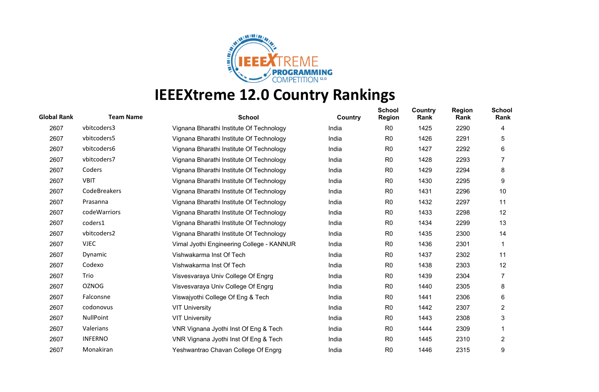

| <b>Global Rank</b> | <b>Team Name</b> | <b>School</b>                             | <b>Country</b> | <b>School</b><br><b>Region</b> | Country<br>Rank | <b>Region</b><br>Rank | <b>School</b><br>Rank |
|--------------------|------------------|-------------------------------------------|----------------|--------------------------------|-----------------|-----------------------|-----------------------|
| 2607               | vbitcoders3      | Vignana Bharathi Institute Of Technology  | India          | R <sub>0</sub>                 | 1425            | 2290                  | 4                     |
| 2607               | vbitcoders5      | Vignana Bharathi Institute Of Technology  | India          | R <sub>0</sub>                 | 1426            | 2291                  | 5                     |
| 2607               | vbitcoders6      | Vignana Bharathi Institute Of Technology  | India          | R <sub>0</sub>                 | 1427            | 2292                  | 6                     |
| 2607               | vbitcoders7      | Vignana Bharathi Institute Of Technology  | India          | R <sub>0</sub>                 | 1428            | 2293                  |                       |
| 2607               | Coders           | Vignana Bharathi Institute Of Technology  | India          | R0                             | 1429            | 2294                  | 8                     |
| 2607               | <b>VBIT</b>      | Vignana Bharathi Institute Of Technology  | India          | R <sub>0</sub>                 | 1430            | 2295                  | 9                     |
| 2607               | CodeBreakers     | Vignana Bharathi Institute Of Technology  | India          | R <sub>0</sub>                 | 1431            | 2296                  | 10                    |
| 2607               | Prasanna         | Vignana Bharathi Institute Of Technology  | India          | R <sub>0</sub>                 | 1432            | 2297                  | 11                    |
| 2607               | codeWarriors     | Vignana Bharathi Institute Of Technology  | India          | R <sub>0</sub>                 | 1433            | 2298                  | 12                    |
| 2607               | coders1          | Vignana Bharathi Institute Of Technology  | India          | R <sub>0</sub>                 | 1434            | 2299                  | 13                    |
| 2607               | vbitcoders2      | Vignana Bharathi Institute Of Technology  | India          | R <sub>0</sub>                 | 1435            | 2300                  | 14                    |
| 2607               | <b>VJEC</b>      | Vimal Jyothi Engineering College - KANNUR | India          | R <sub>0</sub>                 | 1436            | 2301                  |                       |
| 2607               | Dynamic          | Vishwakarma Inst Of Tech                  | India          | R <sub>0</sub>                 | 1437            | 2302                  | 11                    |
| 2607               | Codexo           | Vishwakarma Inst Of Tech                  | India          | R <sub>0</sub>                 | 1438            | 2303                  | 12                    |
| 2607               | Trio             | Visvesvaraya Univ College Of Engrg        | India          | R <sub>0</sub>                 | 1439            | 2304                  |                       |
| 2607               | <b>OZNOG</b>     | Visvesvaraya Univ College Of Engrg        | India          | R <sub>0</sub>                 | 1440            | 2305                  | 8                     |
| 2607               | Falconsne        | Viswajyothi College Of Eng & Tech         | India          | R <sub>0</sub>                 | 1441            | 2306                  | 6                     |
| 2607               | codonovus        | <b>VIT University</b>                     | India          | R <sub>0</sub>                 | 1442            | 2307                  | $\overline{2}$        |
| 2607               | NullPoint        | <b>VIT University</b>                     | India          | R <sub>0</sub>                 | 1443            | 2308                  | 3                     |
| 2607               | Valerians        | VNR Vignana Jyothi Inst Of Eng & Tech     | India          | R <sub>0</sub>                 | 1444            | 2309                  |                       |
| 2607               | <b>INFERNO</b>   | VNR Vignana Jyothi Inst Of Eng & Tech     | India          | R <sub>0</sub>                 | 1445            | 2310                  | $\overline{2}$        |
| 2607               | Monakiran        | Yeshwantrao Chavan College Of Engrg       | India          | R <sub>0</sub>                 | 1446            | 2315                  | 9                     |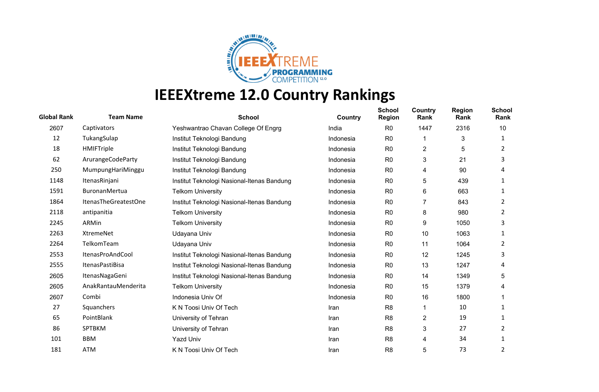

| <b>Global Rank</b> | <b>Team Name</b>       | <b>School</b>                              | Country   | <b>School</b><br><b>Region</b> | Country<br>Rank         | <b>Region</b><br>Rank | <b>School</b><br>Rank |
|--------------------|------------------------|--------------------------------------------|-----------|--------------------------------|-------------------------|-----------------------|-----------------------|
| 2607               | Captivators            | Yeshwantrao Chavan College Of Engrg        | India     | R <sub>0</sub>                 | 1447                    | 2316                  | 10                    |
| 12                 | TukangSulap            | Institut Teknologi Bandung                 | Indonesia | R <sub>0</sub>                 | -1                      | 3                     | 1                     |
| 18                 | HMIFTriple             | Institut Teknologi Bandung                 | Indonesia | R <sub>0</sub>                 | $\overline{c}$          | 5                     | 2                     |
| 62                 | ArurangeCodeParty      | Institut Teknologi Bandung                 | Indonesia | R <sub>0</sub>                 | 3                       | 21                    | 3                     |
| 250                | MumpungHariMinggu      | Institut Teknologi Bandung                 | Indonesia | R <sub>0</sub>                 | 4                       | 90                    | 4                     |
| 1148               | ItenasRinjani          | Institut Teknologi Nasional-Itenas Bandung | Indonesia | R <sub>0</sub>                 | 5                       | 439                   | 1                     |
| 1591               | BuronanMertua          | <b>Telkom University</b>                   | Indonesia | R <sub>0</sub>                 | 6                       | 663                   | 1                     |
| 1864               | ItenasTheGreatestOne   | Institut Teknologi Nasional-Itenas Bandung | Indonesia | R <sub>0</sub>                 | 7                       | 843                   | 2                     |
| 2118               | antipanitia            | <b>Telkom University</b>                   | Indonesia | R <sub>0</sub>                 | 8                       | 980                   | 2                     |
| 2245               | ARMin                  | <b>Telkom University</b>                   | Indonesia | R <sub>0</sub>                 | 9                       | 1050                  | 3                     |
| 2263               | XtremeNet              | Udayana Univ                               | Indonesia | R <sub>0</sub>                 | 10                      | 1063                  | 1                     |
| 2264               | TelkomTeam             | Udayana Univ                               | Indonesia | R <sub>0</sub>                 | 11                      | 1064                  | 2                     |
| 2553               | ItenasProAndCool       | Institut Teknologi Nasional-Itenas Bandung | Indonesia | R <sub>0</sub>                 | 12                      | 1245                  | 3                     |
| 2555               | <b>ItenasPastiBisa</b> | Institut Teknologi Nasional-Itenas Bandung | Indonesia | R <sub>0</sub>                 | 13                      | 1247                  | 4                     |
| 2605               | ItenasNagaGeni         | Institut Teknologi Nasional-Itenas Bandung | Indonesia | R <sub>0</sub>                 | 14                      | 1349                  | 5                     |
| 2605               | AnakRantauMenderita    | <b>Telkom University</b>                   | Indonesia | R <sub>0</sub>                 | 15                      | 1379                  | 4                     |
| 2607               | Combi                  | Indonesia Univ Of                          | Indonesia | R <sub>0</sub>                 | 16                      | 1800                  |                       |
| 27                 | Squanchers             | K N Toosi Univ Of Tech                     | Iran      | R <sub>8</sub>                 | 1                       | 10                    | 1                     |
| 65                 | PointBlank             | University of Tehran                       | Iran      | R <sub>8</sub>                 | $\overline{\mathbf{c}}$ | 19                    | 1                     |
| 86                 | SPTBKM                 | University of Tehran                       | Iran      | R <sub>8</sub>                 | 3                       | 27                    | 2                     |
| 101                | <b>BBM</b>             | <b>Yazd Univ</b>                           | Iran      | R <sub>8</sub>                 | 4                       | 34                    | 1                     |
| 181                | <b>ATM</b>             | K N Toosi Univ Of Tech                     | Iran      | R <sub>8</sub>                 | 5                       | 73                    | $\overline{2}$        |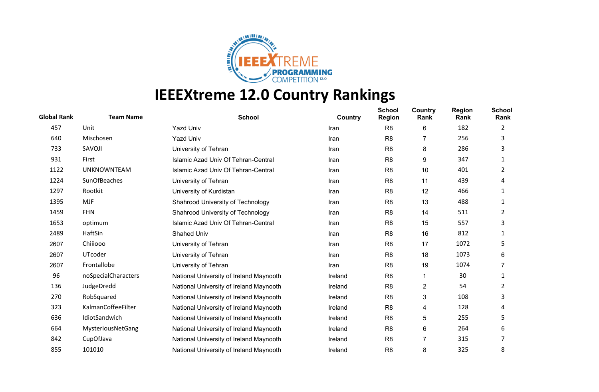

| <b>Global Rank</b> | <b>Team Name</b>    | <b>School</b>                           | <b>Country</b> | <b>School</b><br><b>Region</b> | Country<br>Rank | <b>Region</b><br>Rank | <b>School</b><br>Rank |
|--------------------|---------------------|-----------------------------------------|----------------|--------------------------------|-----------------|-----------------------|-----------------------|
| 457                | Unit                | <b>Yazd Univ</b>                        | Iran           | R <sub>8</sub>                 | 6               | 182                   | 2                     |
| 640                | Mischosen           | <b>Yazd Univ</b>                        | Iran           | R <sub>8</sub>                 |                 | 256                   | 3                     |
| 733                | SAVOJI              | University of Tehran                    | Iran           | R <sub>8</sub>                 | 8               | 286                   | 3                     |
| 931                | First               | Islamic Azad Univ Of Tehran-Central     | Iran           | R <sub>8</sub>                 | 9               | 347                   |                       |
| 1122               | <b>UNKNOWNTEAM</b>  | Islamic Azad Univ Of Tehran-Central     | Iran           | R <sub>8</sub>                 | 10              | 401                   | 2                     |
| 1224               | SunOfBeaches        | University of Tehran                    | Iran           | R <sub>8</sub>                 | 11              | 439                   | 4                     |
| 1297               | Rootkit             | University of Kurdistan                 | Iran           | R <sub>8</sub>                 | 12              | 466                   | 1                     |
| 1395               | <b>MJF</b>          | Shahrood University of Technology       | Iran           | R <sub>8</sub>                 | 13              | 488                   | 1                     |
| 1459               | <b>FHN</b>          | Shahrood University of Technology       | Iran           | R <sub>8</sub>                 | 14              | 511                   | 2                     |
| 1653               | optimum             | Islamic Azad Univ Of Tehran-Central     | Iran           | R <sub>8</sub>                 | 15              | 557                   | 3                     |
| 2489               | HaftSin             | <b>Shahed Univ</b>                      | Iran           | R <sub>8</sub>                 | 16              | 812                   | 1                     |
| 2607               | Chiiiooo            | University of Tehran                    | Iran           | R <sub>8</sub>                 | 17              | 1072                  | 5                     |
| 2607               | UTcoder             | University of Tehran                    | Iran           | R <sub>8</sub>                 | 18              | 1073                  | 6                     |
| 2607               | Frontallobe         | University of Tehran                    | Iran           | R <sub>8</sub>                 | 19              | 1074                  |                       |
| 96                 | noSpecialCharacters | National University of Ireland Maynooth | Ireland        | R <sub>8</sub>                 | 1               | 30                    | 1                     |
| 136                | JudgeDredd          | National University of Ireland Maynooth | Ireland        | R <sub>8</sub>                 | 2               | 54                    | 2                     |
| 270                | RobSquared          | National University of Ireland Maynooth | Ireland        | R <sub>8</sub>                 | 3               | 108                   | 3                     |
| 323                | KalmanCoffeeFilter  | National University of Ireland Maynooth | Ireland        | R <sub>8</sub>                 | 4               | 128                   | 4                     |
| 636                | IdiotSandwich       | National University of Ireland Maynooth | Ireland        | R <sub>8</sub>                 | 5               | 255                   | 5                     |
| 664                | MysteriousNetGang   | National University of Ireland Maynooth | Ireland        | R <sub>8</sub>                 | 6               | 264                   | 6                     |
| 842                | CupOfJava           | National University of Ireland Maynooth | Ireland        | R <sub>8</sub>                 | 7               | 315                   |                       |
| 855                | 101010              | National University of Ireland Maynooth | Ireland        | R <sub>8</sub>                 | 8               | 325                   | 8                     |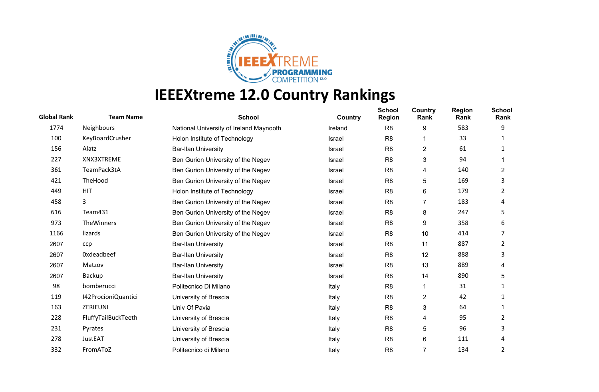

| <b>Global Rank</b> | <b>Team Name</b>    | <b>School</b>                           | Country       | <b>School</b><br><b>Region</b> | Country<br>Rank | <b>Region</b><br>Rank | <b>School</b><br>Rank |
|--------------------|---------------------|-----------------------------------------|---------------|--------------------------------|-----------------|-----------------------|-----------------------|
| 1774               | Neighbours          | National University of Ireland Maynooth | Ireland       | R <sub>8</sub>                 | 9               | 583                   | 9                     |
| 100                | KeyBoardCrusher     | Holon Institute of Technology           | Israel        | R <sub>8</sub>                 |                 | 33                    |                       |
| 156                | Alatz               | <b>Bar-Ilan University</b>              | <b>Israel</b> | R <sub>8</sub>                 | 2               | 61                    |                       |
| 227                | XNX3XTREME          | Ben Gurion University of the Negev      | Israel        | R <sub>8</sub>                 | 3               | 94                    |                       |
| 361                | TeamPack3tA         | Ben Gurion University of the Negev      | <b>Israel</b> | R <sub>8</sub>                 | 4               | 140                   | 2                     |
| 421                | TheHood             | Ben Gurion University of the Negev      | Israel        | R <sub>8</sub>                 | 5               | 169                   | 3                     |
| 449                | <b>HIT</b>          | Holon Institute of Technology           | <b>Israel</b> | R <sub>8</sub>                 | 6               | 179                   | 2                     |
| 458                | 3                   | Ben Gurion University of the Negev      | <b>Israel</b> | R <sub>8</sub>                 | 7               | 183                   | 4                     |
| 616                | Team431             | Ben Gurion University of the Negev      | <b>Israel</b> | R <sub>8</sub>                 | 8               | 247                   | 5                     |
| 973                | TheWinners          | Ben Gurion University of the Negev      | <b>Israel</b> | R <sub>8</sub>                 | 9               | 358                   | 6                     |
| 1166               | lizards             | Ben Gurion University of the Negev      | <b>Israel</b> | R <sub>8</sub>                 | 10              | 414                   |                       |
| 2607               | ccp                 | <b>Bar-Ilan University</b>              | <b>Israel</b> | R <sub>8</sub>                 | 11              | 887                   | 2                     |
| 2607               | Oxdeadbeef          | <b>Bar-Ilan University</b>              | Israel        | R <sub>8</sub>                 | 12              | 888                   | 3                     |
| 2607               | Matzov              | <b>Bar-Ilan University</b>              | <b>Israel</b> | R <sub>8</sub>                 | 13              | 889                   | 4                     |
| 2607               | Backup              | <b>Bar-Ilan University</b>              | <b>Israel</b> | R <sub>8</sub>                 | 14              | 890                   | 5.                    |
| 98                 | bomberucci          | Politecnico Di Milano                   | Italy         | R <sub>8</sub>                 | 1               | 31                    | 1                     |
| 119                | I42ProcioniQuantici | University of Brescia                   | Italy         | R <sub>8</sub>                 | $\overline{c}$  | 42                    | 1                     |
| 163                | ZERIEUNI            | Univ Of Pavia                           | Italy         | R <sub>8</sub>                 | 3               | 64                    | 1                     |
| 228                | FluffyTailBuckTeeth | University of Brescia                   | Italy         | R <sub>8</sub>                 | 4               | 95                    | 2                     |
| 231                | Pyrates             | University of Brescia                   | Italy         | R <sub>8</sub>                 | 5               | 96                    | 3                     |
| 278                | JustEAT             | University of Brescia                   | Italy         | R <sub>8</sub>                 | 6               | 111                   | 4                     |
| 332                | FromAToZ            | Politecnico di Milano                   | Italy         | R <sub>8</sub>                 | $\overline{7}$  | 134                   | 2                     |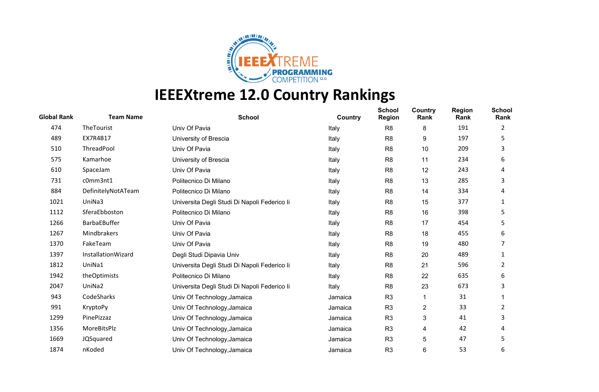

| <b>Global Rank</b> | <b>Team Name</b>   | <b>School</b>                                | Country | <b>School</b><br><b>Region</b> | Country<br>Rank | <b>Region</b><br>Rank | <b>School</b><br>Rank |
|--------------------|--------------------|----------------------------------------------|---------|--------------------------------|-----------------|-----------------------|-----------------------|
| 474                | TheTourist         | Univ Of Pavia                                | Italy   | R <sub>8</sub>                 | 8               | 191                   | 2                     |
| 489                | EX7R4B17           | University of Brescia                        | Italy   | R <sub>8</sub>                 | 9               | 197                   | 5                     |
| 510                | ThreadPool         | Univ Of Pavia                                | Italy   | R <sub>8</sub>                 | 10              | 209                   | 3                     |
| 575                | Kamarhoe           | University of Brescia                        | Italy   | R <sub>8</sub>                 | 11              | 234                   | 6                     |
| 610                | SpaceJam           | Univ Of Pavia                                | Italy   | R <sub>8</sub>                 | 12              | 243                   | 4                     |
| 731                | c0mm3nt1           | Politecnico Di Milano                        | Italy   | R <sub>8</sub>                 | 13              | 285                   | 3                     |
| 884                | DefinitelyNotATeam | Politecnico Di Milano                        | Italy   | R <sub>8</sub>                 | 14              | 334                   | 4                     |
| 1021               | UniNa3             | Universita Degli Studi Di Napoli Federico li | Italy   | R <sub>8</sub>                 | 15              | 377                   | 1                     |
| 1112               | SferaEbboston      | Politecnico Di Milano                        | Italy   | R <sub>8</sub>                 | 16              | 398                   | 5                     |
| 1266               | BarbaEBuffer       | Univ Of Pavia                                | Italy   | R <sub>8</sub>                 | 17              | 454                   | 5                     |
| 1267               | Mindbrakers        | Univ Of Pavia                                | Italy   | R <sub>8</sub>                 | 18              | 455                   | 6                     |
| 1370               | FakeTeam           | Univ Of Pavia                                | Italy   | R <sub>8</sub>                 | 19              | 480                   |                       |
| 1397               | InstallationWizard | Degli Studi Dipavia Univ                     | Italy   | R <sub>8</sub>                 | 20              | 489                   | 1                     |
| 1812               | UniNa1             | Universita Degli Studi Di Napoli Federico li | Italy   | R <sub>8</sub>                 | 21              | 596                   | 2                     |
| 1942               | theOptimists       | Politecnico Di Milano                        | Italy   | R <sub>8</sub>                 | 22              | 635                   | 6                     |
| 2047               | UniNa2             | Universita Degli Studi Di Napoli Federico li | Italy   | R <sub>8</sub>                 | 23              | 673                   | 3                     |
| 943                | CodeSharks         | Univ Of Technology, Jamaica                  | Jamaica | R <sub>3</sub>                 |                 | 31                    |                       |
| 991                | KryptoPy           | Univ Of Technology, Jamaica                  | Jamaica | R <sub>3</sub>                 | 2               | 33                    | 2                     |
| 1299               | PinePizzaz         | Univ Of Technology, Jamaica                  | Jamaica | R <sub>3</sub>                 | 3               | 41                    | 3                     |
| 1356               | MoreBitsPlz        | Univ Of Technology, Jamaica                  | Jamaica | R <sub>3</sub>                 | 4               | 42                    | 4                     |
| 1669               | JQSquared          | Univ Of Technology, Jamaica                  | Jamaica | R <sub>3</sub>                 | 5               | 47                    | 5                     |
| 1874               | nKoded             | Univ Of Technology, Jamaica                  | Jamaica | R <sub>3</sub>                 | 6               | 53                    | 6                     |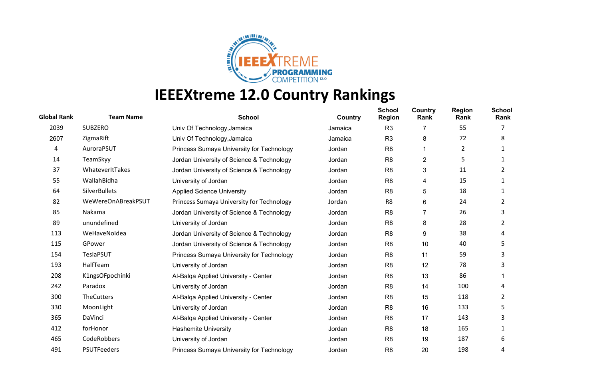

| <b>Global Rank</b> | <b>Team Name</b>     | <b>School</b>                             | <b>Country</b> | <b>School</b><br><b>Region</b> | Country<br>Rank | <b>Region</b><br>Rank | <b>School</b><br>Rank |
|--------------------|----------------------|-------------------------------------------|----------------|--------------------------------|-----------------|-----------------------|-----------------------|
| 2039               | <b>SUBZERO</b>       | Univ Of Technology, Jamaica               | Jamaica        | R <sub>3</sub>                 | 7               | 55                    |                       |
| 2607               | ZigmaRift            | Univ Of Technology, Jamaica               | Jamaica        | R <sub>3</sub>                 | 8               | 72                    | 8                     |
| 4                  | AuroraPSUT           | Princess Sumaya University for Technology | Jordan         | R <sub>8</sub>                 | 1               | 2                     |                       |
| 14                 | TeamSkyy             | Jordan University of Science & Technology | Jordan         | R <sub>8</sub>                 | 2               | 5                     | 1                     |
| 37                 | WhateverItTakes      | Jordan University of Science & Technology | Jordan         | R <sub>8</sub>                 | 3               | 11                    | 2                     |
| 55                 | WallahBidha          | University of Jordan                      | Jordan         | R <sub>8</sub>                 | 4               | 15                    | 1                     |
| 64                 | <b>SilverBullets</b> | <b>Applied Science University</b>         | Jordan         | R <sub>8</sub>                 | 5               | 18                    | 1                     |
| 82                 | WeWereOnABreakPSUT   | Princess Sumaya University for Technology | Jordan         | R <sub>8</sub>                 | 6               | 24                    | 2                     |
| 85                 | Nakama               | Jordan University of Science & Technology | Jordan         | R <sub>8</sub>                 | 7               | 26                    | 3                     |
| 89                 | unundefined          | University of Jordan                      | Jordan         | R <sub>8</sub>                 | 8               | 28                    | 2                     |
| 113                | WeHaveNoldea         | Jordan University of Science & Technology | Jordan         | R <sub>8</sub>                 | 9               | 38                    | 4                     |
| 115                | GPower               | Jordan University of Science & Technology | Jordan         | R <sub>8</sub>                 | 10              | 40                    | 5                     |
| 154                | TeslaPSUT            | Princess Sumaya University for Technology | Jordan         | R <sub>8</sub>                 | 11              | 59                    | 3                     |
| 193                | HalfTeam             | University of Jordan                      | Jordan         | R <sub>8</sub>                 | 12              | 78                    | 3                     |
| 208                | K1ngsOFpochinki      | Al-Balga Applied University - Center      | Jordan         | R <sub>8</sub>                 | 13              | 86                    |                       |
| 242                | Paradox              | University of Jordan                      | Jordan         | R <sub>8</sub>                 | 14              | 100                   | 4                     |
| 300                | <b>TheCutters</b>    | Al-Balqa Applied University - Center      | Jordan         | R <sub>8</sub>                 | 15              | 118                   | 2                     |
| 330                | MoonLight            | University of Jordan                      | Jordan         | R <sub>8</sub>                 | 16              | 133                   | 5                     |
| 365                | DaVinci              | Al-Balga Applied University - Center      | Jordan         | R <sub>8</sub>                 | 17              | 143                   | 3                     |
| 412                | forHonor             | <b>Hashemite University</b>               | Jordan         | R <sub>8</sub>                 | 18              | 165                   |                       |
| 465                | CodeRobbers          | University of Jordan                      | Jordan         | R <sub>8</sub>                 | 19              | 187                   | 6                     |
| 491                | PSUTFeeders          | Princess Sumaya University for Technology | Jordan         | R <sub>8</sub>                 | 20              | 198                   | 4                     |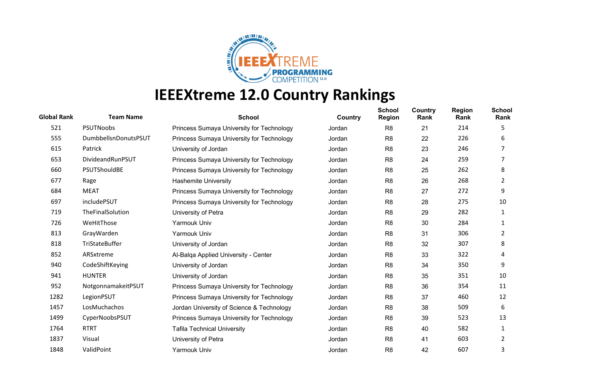

| <b>Global Rank</b> | <b>Team Name</b>     | <b>School</b>                             | Country | <b>School</b><br><b>Region</b> | Country<br>Rank | <b>Region</b><br>Rank | <b>School</b><br>Rank |
|--------------------|----------------------|-------------------------------------------|---------|--------------------------------|-----------------|-----------------------|-----------------------|
| 521                | PSUTNoobs            | Princess Sumaya University for Technology | Jordan  | R <sub>8</sub>                 | 21              | 214                   | 5                     |
| 555                | DumbbellsnDonutsPSUT | Princess Sumaya University for Technology | Jordan  | R <sub>8</sub>                 | 22              | 226                   | 6                     |
| 615                | Patrick              | University of Jordan                      | Jordan  | R <sub>8</sub>                 | 23              | 246                   |                       |
| 653                | DivideandRunPSUT     | Princess Sumaya University for Technology | Jordan  | R <sub>8</sub>                 | 24              | 259                   | 7                     |
| 660                | PSUTShouldBE         | Princess Sumaya University for Technology | Jordan  | R <sub>8</sub>                 | 25              | 262                   | 8                     |
| 677                | Rage                 | <b>Hashemite University</b>               | Jordan  | R <sub>8</sub>                 | 26              | 268                   | 2                     |
| 684                | <b>MEAT</b>          | Princess Sumaya University for Technology | Jordan  | R <sub>8</sub>                 | 27              | 272                   | 9                     |
| 697                | includePSUT          | Princess Sumaya University for Technology | Jordan  | R <sub>8</sub>                 | 28              | 275                   | 10                    |
| 719                | TheFinalSolution     | University of Petra                       | Jordan  | R <sub>8</sub>                 | 29              | 282                   | 1                     |
| 726                | WeHitThose           | Yarmouk Univ                              | Jordan  | R <sub>8</sub>                 | 30              | 284                   |                       |
| 813                | GrayWarden           | Yarmouk Univ                              | Jordan  | R <sub>8</sub>                 | 31              | 306                   | 2                     |
| 818                | TriStateBuffer       | University of Jordan                      | Jordan  | R <sub>8</sub>                 | 32              | 307                   | 8                     |
| 852                | ARSxtreme            | Al-Balga Applied University - Center      | Jordan  | R <sub>8</sub>                 | 33              | 322                   | 4                     |
| 940                | CodeShiftKeying      | University of Jordan                      | Jordan  | R <sub>8</sub>                 | 34              | 350                   | 9                     |
| 941                | <b>HUNTER</b>        | University of Jordan                      | Jordan  | R <sub>8</sub>                 | 35              | 351                   | 10                    |
| 952                | NotgonnamakeitPSUT   | Princess Sumaya University for Technology | Jordan  | R <sub>8</sub>                 | 36              | 354                   | 11                    |
| 1282               | LegionPSUT           | Princess Sumaya University for Technology | Jordan  | R <sub>8</sub>                 | 37              | 460                   | 12                    |
| 1457               | LosMuchachos         | Jordan University of Science & Technology | Jordan  | R <sub>8</sub>                 | 38              | 509                   | 6                     |
| 1499               | CyperNoobsPSUT       | Princess Sumaya University for Technology | Jordan  | R <sub>8</sub>                 | 39              | 523                   | 13                    |
| 1764               | <b>RTRT</b>          | <b>Tafila Technical University</b>        | Jordan  | R <sub>8</sub>                 | 40              | 582                   | 1                     |
| 1837               | Visual               | University of Petra                       | Jordan  | R <sub>8</sub>                 | 41              | 603                   | 2                     |
| 1848               | ValidPoint           | Yarmouk Univ                              | Jordan  | R <sub>8</sub>                 | 42              | 607                   | 3                     |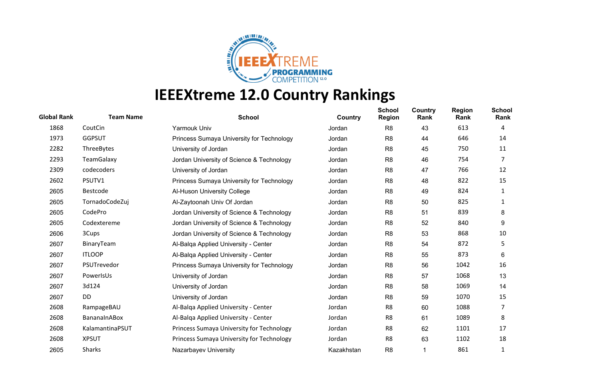

| <b>Global Rank</b> | <b>Team Name</b> | <b>School</b>                             | <b>Country</b> | <b>School</b><br><b>Region</b> | Country<br>Rank | <b>Region</b><br>Rank | <b>School</b><br>Rank |
|--------------------|------------------|-------------------------------------------|----------------|--------------------------------|-----------------|-----------------------|-----------------------|
| 1868               | CoutCin          | Yarmouk Univ                              | Jordan         | R <sub>8</sub>                 | 43              | 613                   | 4                     |
| 1973               | <b>GGPSUT</b>    | Princess Sumaya University for Technology | Jordan         | R <sub>8</sub>                 | 44              | 646                   | 14                    |
| 2282               | ThreeBytes       | University of Jordan                      | Jordan         | R <sub>8</sub>                 | 45              | 750                   | 11                    |
| 2293               | TeamGalaxy       | Jordan University of Science & Technology | Jordan         | R <sub>8</sub>                 | 46              | 754                   | 7                     |
| 2309               | codecoders       | University of Jordan                      | Jordan         | R <sub>8</sub>                 | 47              | 766                   | 12                    |
| 2602               | PSUTV1           | Princess Sumaya University for Technology | Jordan         | R <sub>8</sub>                 | 48              | 822                   | 15                    |
| 2605               | Bestcode         | Al-Huson University College               | Jordan         | R <sub>8</sub>                 | 49              | 824                   | 1                     |
| 2605               | TornadoCodeZuj   | Al-Zaytoonah Univ Of Jordan               | Jordan         | R <sub>8</sub>                 | 50              | 825                   | 1                     |
| 2605               | CodePro          | Jordan University of Science & Technology | Jordan         | R <sub>8</sub>                 | 51              | 839                   | 8                     |
| 2605               | Codextereme      | Jordan University of Science & Technology | Jordan         | R <sub>8</sub>                 | 52              | 840                   | 9                     |
| 2606               | 3Cups            | Jordan University of Science & Technology | Jordan         | R <sub>8</sub>                 | 53              | 868                   | 10                    |
| 2607               | BinaryTeam       | Al-Balga Applied University - Center      | Jordan         | R <sub>8</sub>                 | 54              | 872                   | 5                     |
| 2607               | <b>ITLOOP</b>    | Al-Balga Applied University - Center      | Jordan         | R <sub>8</sub>                 | 55              | 873                   | 6                     |
| 2607               | PSUTrevedor      | Princess Sumaya University for Technology | Jordan         | R <sub>8</sub>                 | 56              | 1042                  | 16                    |
| 2607               | PowerIsUs        | University of Jordan                      | Jordan         | R <sub>8</sub>                 | 57              | 1068                  | 13                    |
| 2607               | 3d124            | University of Jordan                      | Jordan         | R <sub>8</sub>                 | 58              | 1069                  | 14                    |
| 2607               | DD               | University of Jordan                      | Jordan         | R <sub>8</sub>                 | 59              | 1070                  | 15                    |
| 2608               | RampageBAU       | Al-Balga Applied University - Center      | Jordan         | R <sub>8</sub>                 | 60              | 1088                  | 7                     |
| 2608               | BananaInABox     | Al-Balga Applied University - Center      | Jordan         | R <sub>8</sub>                 | 61              | 1089                  | 8                     |
| 2608               | KalamantinaPSUT  | Princess Sumaya University for Technology | Jordan         | R <sub>8</sub>                 | 62              | 1101                  | 17                    |
| 2608               | <b>XPSUT</b>     | Princess Sumaya University for Technology | Jordan         | R8                             | 63              | 1102                  | 18                    |
| 2605               | <b>Sharks</b>    | Nazarbayev University                     | Kazakhstan     | R <sub>8</sub>                 |                 | 861                   | 1                     |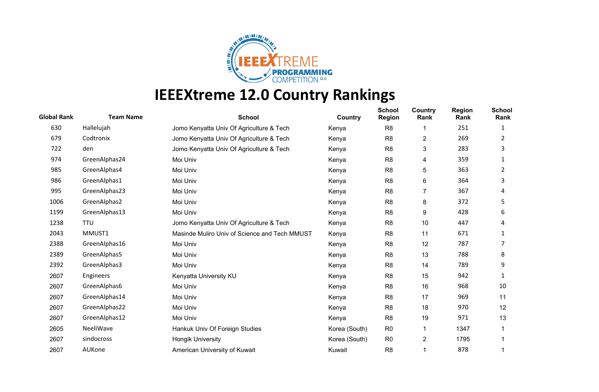

| <b>Global Rank</b> | <b>Team Name</b> | <b>School</b>                                 | Country       | <b>School</b><br><b>Region</b> | Country<br>Rank | <b>Region</b><br>Rank | <b>School</b><br>Rank |
|--------------------|------------------|-----------------------------------------------|---------------|--------------------------------|-----------------|-----------------------|-----------------------|
| 630                | Hallelujah       | Jomo Kenyatta Univ Of Agriculture & Tech      | Kenya         | R <sub>8</sub>                 | 1               | 251                   | 1                     |
| 679                | Codtronix        | Jomo Kenyatta Univ Of Agriculture & Tech      | Kenya         | R <sub>8</sub>                 | 2               | 269                   | 2                     |
| 722                | den              | Jomo Kenyatta Univ Of Agriculture & Tech      | Kenya         | R <sub>8</sub>                 | 3               | 283                   | 3                     |
| 974                | GreenAlphas24    | Moi Univ                                      | Kenya         | R <sub>8</sub>                 | 4               | 359                   | 1                     |
| 985                | GreenAlphas4     | Moi Univ                                      | Kenya         | R <sub>8</sub>                 | 5               | 363                   | 2                     |
| 986                | GreenAlphas1     | Moi Univ                                      | Kenya         | R <sub>8</sub>                 | 6               | 364                   | 3                     |
| 995                | GreenAlphas23    | Moi Univ                                      | Kenya         | R <sub>8</sub>                 | 7               | 367                   | 4                     |
| 1006               | GreenAlphas2     | Moi Univ                                      | Kenya         | R <sub>8</sub>                 | 8               | 372                   | 5                     |
| 1199               | GreenAlphas13    | Moi Univ                                      | Kenya         | R <sub>8</sub>                 | 9               | 428                   | 6                     |
| 1238               | TTU              | Jomo Kenyatta Univ Of Agriculture & Tech      | Kenya         | R <sub>8</sub>                 | 10              | 447                   | 4                     |
| 2043               | MMUST1           | Masinde Muliro Univ of Science and Tech MMUST | Kenya         | R <sub>8</sub>                 | 11              | 671                   | 1                     |
| 2388               | GreenAlphas16    | Moi Univ                                      | Kenya         | R <sub>8</sub>                 | 12              | 787                   |                       |
| 2389               | GreenAlphas5     | Moi Univ                                      | Kenya         | R <sub>8</sub>                 | 13              | 788                   | 8                     |
| 2392               | GreenAlphas3     | Moi Univ                                      | Kenya         | R <sub>8</sub>                 | 14              | 789                   | 9                     |
| 2607               | Engineers        | Kenyatta University KU                        | Kenya         | R <sub>8</sub>                 | 15              | 942                   | 1                     |
| 2607               | GreenAlphas6     | Moi Univ                                      | Kenya         | R <sub>8</sub>                 | 16              | 968                   | 10                    |
| 2607               | GreenAlphas14    | Moi Univ                                      | Kenya         | R <sub>8</sub>                 | 17              | 969                   | 11                    |
| 2607               | GreenAlphas22    | Moi Univ                                      | Kenya         | R <sub>8</sub>                 | 18              | 970                   | 12                    |
| 2607               | GreenAlphas12    | Moi Univ                                      | Kenya         | R <sub>8</sub>                 | 19              | 971                   | 13                    |
| 2605               | NeeliWave        | Hankuk Univ Of Foreign Studies                | Korea (South) | R <sub>0</sub>                 |                 | 1347                  |                       |
| 2607               | sindocross       | <b>Hongik University</b>                      | Korea (South) | R <sub>0</sub>                 | 2               | 1795                  |                       |
| 2607               | AUKone           | American University of Kuwait                 | Kuwait        | R <sub>8</sub>                 |                 | 878                   |                       |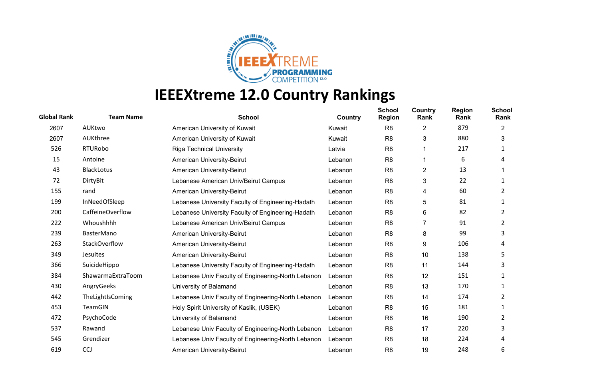

| <b>Global Rank</b> | <b>Team Name</b>  | <b>School</b>                                      | Country | <b>School</b><br><b>Region</b> | Country<br>Rank | <b>Region</b><br>Rank | <b>School</b><br>Rank |
|--------------------|-------------------|----------------------------------------------------|---------|--------------------------------|-----------------|-----------------------|-----------------------|
| 2607               | AUKtwo            | American University of Kuwait                      | Kuwait  | R <sub>8</sub>                 | 2               | 879                   | 2                     |
| 2607               | AUKthree          | American University of Kuwait                      | Kuwait  | R <sub>8</sub>                 | 3               | 880                   | 3                     |
| 526                | <b>RTURobo</b>    | <b>Riga Technical University</b>                   | Latvia  | R <sub>8</sub>                 |                 | 217                   |                       |
| 15                 | Antoine           | American University-Beirut                         | Lebanon | R <sub>8</sub>                 |                 | 6                     | 4                     |
| 43                 | <b>BlackLotus</b> | American University-Beirut                         | Lebanon | R <sub>8</sub>                 | 2               | 13                    |                       |
| 72                 | DirtyBit          | Lebanese American Univ/Beirut Campus               | Lebanon | R <sub>8</sub>                 | 3               | 22                    |                       |
| 155                | rand              | American University-Beirut                         | Lebanon | R <sub>8</sub>                 | 4               | 60                    | 2                     |
| 199                | InNeedOfSleep     | Lebanese University Faculty of Engineering-Hadath  | Lebanon | R <sub>8</sub>                 | 5               | 81                    |                       |
| 200                | CaffeineOverflow  | Lebanese University Faculty of Engineering-Hadath  | Lebanon | R <sub>8</sub>                 | 6               | 82                    | 2                     |
| 222                | Whoushhhh         | Lebanese American Univ/Beirut Campus               | Lebanon | R <sub>8</sub>                 | 7               | 91                    | 2                     |
| 239                | <b>BasterMano</b> | American University-Beirut                         | Lebanon | R <sub>8</sub>                 | 8               | 99                    | 3                     |
| 263                | StackOverflow     | American University-Beirut                         | Lebanon | R <sub>8</sub>                 | 9               | 106                   | 4                     |
| 349                | Jesuites          | <b>American University-Beirut</b>                  | Lebanon | R <sub>8</sub>                 | 10              | 138                   | 5                     |
| 366                | SuicideHippo      | Lebanese University Faculty of Engineering-Hadath  | Lebanon | R <sub>8</sub>                 | 11              | 144                   | 3                     |
| 384                | ShawarmaExtraToom | Lebanese Univ Faculty of Engineering-North Lebanon | Lebanon | R <sub>8</sub>                 | 12              | 151                   |                       |
| 430                | AngryGeeks        | University of Balamand                             | Lebanon | R <sub>8</sub>                 | 13              | 170                   |                       |
| 442                | TheLightIsComing  | Lebanese Univ Faculty of Engineering-North Lebanon | Lebanon | R <sub>8</sub>                 | 14              | 174                   | 2                     |
| 453                | TeamGIN           | Holy Spirit University of Kaslik, (USEK)           | Lebanon | R <sub>8</sub>                 | 15              | 181                   |                       |
| 472                | PsychoCode        | University of Balamand                             | Lebanon | R <sub>8</sub>                 | 16              | 190                   | 2                     |
| 537                | Rawand            | Lebanese Univ Faculty of Engineering-North Lebanon | Lebanon | R <sub>8</sub>                 | 17              | 220                   | 3                     |
| 545                | Grendizer         | Lebanese Univ Faculty of Engineering-North Lebanon | Lebanon | R <sub>8</sub>                 | 18              | 224                   | 4                     |
| 619                | <b>CCJ</b>        | American University-Beirut                         | Lebanon | R <sub>8</sub>                 | 19              | 248                   | 6                     |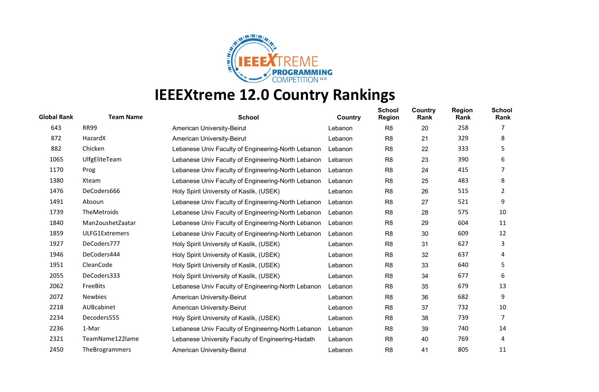

| <b>Global Rank</b> | <b>Team Name</b> | <b>School</b>                                      | Country | <b>School</b><br><b>Region</b> | Country<br>Rank | <b>Region</b><br>Rank | <b>School</b><br>Rank |
|--------------------|------------------|----------------------------------------------------|---------|--------------------------------|-----------------|-----------------------|-----------------------|
| 643                | <b>RR99</b>      | American University-Beirut                         | Lebanon | R <sub>8</sub>                 | 20              | 258                   |                       |
| 872                | HazardX          | American University-Beirut                         | Lebanon | R <sub>8</sub>                 | 21              | 329                   | 8                     |
| 882                | Chicken          | Lebanese Univ Faculty of Engineering-North Lebanon | Lebanon | R <sub>8</sub>                 | 22              | 333                   | 5                     |
| 1065               | UlfgEliteTeam    | Lebanese Univ Faculty of Engineering-North Lebanon | Lebanon | R <sub>8</sub>                 | 23              | 390                   | 6                     |
| 1170               | Prog             | Lebanese Univ Faculty of Engineering-North Lebanon | Lebanon | R <sub>8</sub>                 | 24              | 415                   | 7                     |
| 1380               | Xteam            | Lebanese Univ Faculty of Engineering-North Lebanon | Lebanon | R <sub>8</sub>                 | 25              | 483                   | 8                     |
| 1476               | DeCoders666      | Holy Spirit University of Kaslik, (USEK)           | Lebanon | R <sub>8</sub>                 | 26              | 515                   | 2                     |
| 1491               | Absoun           | Lebanese Univ Faculty of Engineering-North Lebanon | Lebanon | R <sub>8</sub>                 | 27              | 521                   | 9                     |
| 1739               | TheMetroids      | Lebanese Univ Faculty of Engineering-North Lebanon | Lebanon | R <sub>8</sub>                 | 28              | 575                   | 10                    |
| 1840               | Man2oushetZaatar | Lebanese Univ Faculty of Engineering-North Lebanon | Lebanon | R <sub>8</sub>                 | 29              | 604                   | 11                    |
| 1859               | ULFG1Extremers   | Lebanese Univ Faculty of Engineering-North Lebanon | Lebanon | R <sub>8</sub>                 | 30              | 609                   | 12                    |
| 1927               | DeCoders777      | Holy Spirit University of Kaslik, (USEK)           | Lebanon | R <sub>8</sub>                 | 31              | 627                   | 3                     |
| 1946               | DeCoders444      | Holy Spirit University of Kaslik, (USEK)           | Lebanon | R <sub>8</sub>                 | 32              | 637                   | 4                     |
| 1951               | CleanCode        | Holy Spirit University of Kaslik, (USEK)           | Lebanon | R <sub>8</sub>                 | 33              | 640                   | 5                     |
| 2055               | DeCoders333      | Holy Spirit University of Kaslik, (USEK)           | Lebanon | R <sub>8</sub>                 | 34              | 677                   | 6                     |
| 2062               | FreeBits         | Lebanese Univ Faculty of Engineering-North Lebanon | Lebanon | R <sub>8</sub>                 | 35              | 679                   | 13                    |
| 2072               | <b>Newbies</b>   | American University-Beirut                         | Lebanon | R <sub>8</sub>                 | 36              | 682                   | 9                     |
| 2218               | AUBcabinet       | American University-Beirut                         | Lebanon | R <sub>8</sub>                 | 37              | 732                   | 10                    |
| 2234               | Decoders555      | Holy Spirit University of Kaslik, (USEK)           | Lebanon | R <sub>8</sub>                 | 38              | 739                   | 7                     |
| 2236               | 1-Mar            | Lebanese Univ Faculty of Engineering-North Lebanon | Lebanon | R <sub>8</sub>                 | 39              | 740                   | 14                    |
| 2321               | TeamName122lame  | Lebanese University Faculty of Engineering-Hadath  | Lebanon | R <sub>8</sub>                 | 40              | 769                   | 4                     |
| 2450               | TheBrogrammers   | American University-Beirut                         | Lebanon | R <sub>8</sub>                 | 41              | 805                   | 11                    |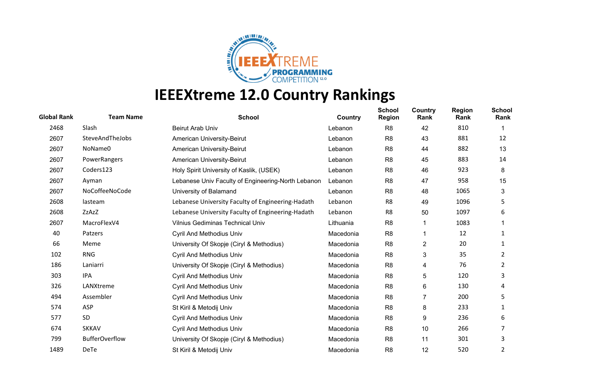

| <b>Global Rank</b> | <b>Team Name</b>      | <b>School</b>                                      | Country   | <b>School</b><br><b>Region</b> | Country<br>Rank | <b>Region</b><br>Rank | <b>School</b><br>Rank |
|--------------------|-----------------------|----------------------------------------------------|-----------|--------------------------------|-----------------|-----------------------|-----------------------|
| 2468               | Slash                 | <b>Beirut Arab Univ</b>                            | Lebanon   | R <sub>8</sub>                 | 42              | 810                   |                       |
| 2607               | SteveAndTheJobs       | American University-Beirut                         | Lebanon   | R <sub>8</sub>                 | 43              | 881                   | 12                    |
| 2607               | NoName0               | American University-Beirut                         | Lebanon   | R <sub>8</sub>                 | 44              | 882                   | 13                    |
| 2607               | PowerRangers          | American University-Beirut                         | Lebanon   | R <sub>8</sub>                 | 45              | 883                   | 14                    |
| 2607               | Coders123             | Holy Spirit University of Kaslik, (USEK)           | Lebanon   | R <sub>8</sub>                 | 46              | 923                   | 8                     |
| 2607               | Ayman                 | Lebanese Univ Faculty of Engineering-North Lebanon | Lebanon   | R <sub>8</sub>                 | 47              | 958                   | 15                    |
| 2607               | NoCoffeeNoCode        | University of Balamand                             | Lebanon   | R <sub>8</sub>                 | 48              | 1065                  | 3                     |
| 2608               | lasteam               | Lebanese University Faculty of Engineering-Hadath  | Lebanon   | R <sub>8</sub>                 | 49              | 1096                  | 5                     |
| 2608               | ZzAzZ                 | Lebanese University Faculty of Engineering-Hadath  | Lebanon   | R8                             | 50              | 1097                  | 6                     |
| 2607               | MacroFlexV4           | <b>Vilnius Gediminas Technical Univ</b>            | Lithuania | R <sub>8</sub>                 | 1               | 1083                  |                       |
| 40                 | Patzers               | <b>Cyril And Methodius Univ</b>                    | Macedonia | R <sub>8</sub>                 |                 | 12                    | 1                     |
| 66                 | Meme                  | University Of Skopje (Ciryl & Methodius)           | Macedonia | R <sub>8</sub>                 | 2               | 20                    |                       |
| 102                | <b>RNG</b>            | <b>Cyril And Methodius Univ</b>                    | Macedonia | R <sub>8</sub>                 | 3               | 35                    | 2                     |
| 186                | Laniarri              | University Of Skopje (Ciryl & Methodius)           | Macedonia | R <sub>8</sub>                 | 4               | 76                    | 2                     |
| 303                | <b>IPA</b>            | <b>Cyril And Methodius Univ</b>                    | Macedonia | R <sub>8</sub>                 | 5               | 120                   | 3                     |
| 326                | LANXtreme             | <b>Cyril And Methodius Univ</b>                    | Macedonia | R <sub>8</sub>                 | 6               | 130                   | 4                     |
| 494                | Assembler             | <b>Cyril And Methodius Univ</b>                    | Macedonia | R <sub>8</sub>                 | 7               | 200                   | 5                     |
| 574                | ASP                   | St Kiril & Metodij Univ                            | Macedonia | R <sub>8</sub>                 | 8               | 233                   | 1                     |
| 577                | SD                    | <b>Cyril And Methodius Univ</b>                    | Macedonia | R <sub>8</sub>                 | 9               | 236                   | 6                     |
| 674                | <b>SKKAV</b>          | <b>Cyril And Methodius Univ</b>                    | Macedonia | R <sub>8</sub>                 | 10              | 266                   |                       |
| 799                | <b>BufferOverflow</b> | University Of Skopje (Ciryl & Methodius)           | Macedonia | R <sub>8</sub>                 | 11              | 301                   | 3                     |
| 1489               | DeTe                  | St Kiril & Metodij Univ                            | Macedonia | R <sub>8</sub>                 | 12              | 520                   | 2                     |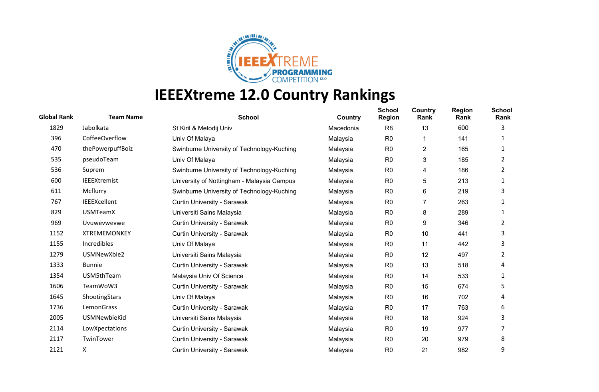

| <b>Global Rank</b> | <b>Team Name</b>    | <b>School</b>                              | Country   | <b>School</b><br><b>Region</b> | Country<br>Rank | <b>Region</b><br>Rank | <b>School</b><br>Rank |
|--------------------|---------------------|--------------------------------------------|-----------|--------------------------------|-----------------|-----------------------|-----------------------|
| 1829               | Jabolkata           | St Kiril & Metodij Univ                    | Macedonia | R <sub>8</sub>                 | 13              | 600                   | 3                     |
| 396                | CoffeeOverflow      | Univ Of Malaya                             | Malaysia  | R <sub>0</sub>                 |                 | 141                   |                       |
| 470                | thePowerpuffBoiz    | Swinburne University of Technology-Kuching | Malaysia  | R <sub>0</sub>                 | 2               | 165                   | 1                     |
| 535                | pseudoTeam          | Univ Of Malaya                             | Malaysia  | R <sub>0</sub>                 | 3               | 185                   | 2                     |
| 536                | Suprem              | Swinburne University of Technology-Kuching | Malaysia  | R <sub>0</sub>                 | 4               | 186                   | 2                     |
| 600                | <b>IEEEXtremist</b> | University of Nottingham - Malaysia Campus | Malaysia  | R <sub>0</sub>                 | 5               | 213                   | 1                     |
| 611                | Mcflurry            | Swinburne University of Technology-Kuching | Malaysia  | R <sub>0</sub>                 | 6               | 219                   | 3                     |
| 767                | <b>IEEEXcellent</b> | Curtin University - Sarawak                | Malaysia  | R <sub>0</sub>                 | 7               | 263                   | 1                     |
| 829                | <b>USMTeamX</b>     | Universiti Sains Malaysia                  | Malaysia  | R <sub>0</sub>                 | 8               | 289                   | 1                     |
| 969                | Uvuwevwevwe         | Curtin University - Sarawak                | Malaysia  | R <sub>0</sub>                 | 9               | 346                   | 2                     |
| 1152               | <b>XTREMEMONKEY</b> | Curtin University - Sarawak                | Malaysia  | R <sub>0</sub>                 | 10              | 441                   | 3                     |
| 1155               | Incredibles         | Univ Of Malaya                             | Malaysia  | R <sub>0</sub>                 | 11              | 442                   | 3                     |
| 1279               | USMNewXbie2         | Universiti Sains Malaysia                  | Malaysia  | R <sub>0</sub>                 | 12              | 497                   | 2                     |
| 1333               | <b>Bunnie</b>       | Curtin University - Sarawak                | Malaysia  | R <sub>0</sub>                 | 13              | 518                   | 4                     |
| 1354               | USM5thTeam          | Malaysia Univ Of Science                   | Malaysia  | R <sub>0</sub>                 | 14              | 533                   |                       |
| 1606               | TeamWoW3            | Curtin University - Sarawak                | Malaysia  | R <sub>0</sub>                 | 15              | 674                   | 5                     |
| 1645               | ShootingStars       | Univ Of Malaya                             | Malaysia  | R <sub>0</sub>                 | 16              | 702                   | 4                     |
| 1736               | LemonGrass          | Curtin University - Sarawak                | Malaysia  | R <sub>0</sub>                 | 17              | 763                   | 6                     |
| 2005               | <b>USMNewbieKid</b> | Universiti Sains Malaysia                  | Malaysia  | R <sub>0</sub>                 | 18              | 924                   | 3                     |
| 2114               | LowXpectations      | Curtin University - Sarawak                | Malaysia  | R <sub>0</sub>                 | 19              | 977                   |                       |
| 2117               | TwinTower           | Curtin University - Sarawak                | Malaysia  | R <sub>0</sub>                 | 20              | 979                   | 8                     |
| 2121               | X                   | Curtin University - Sarawak                | Malaysia  | R <sub>0</sub>                 | 21              | 982                   | 9                     |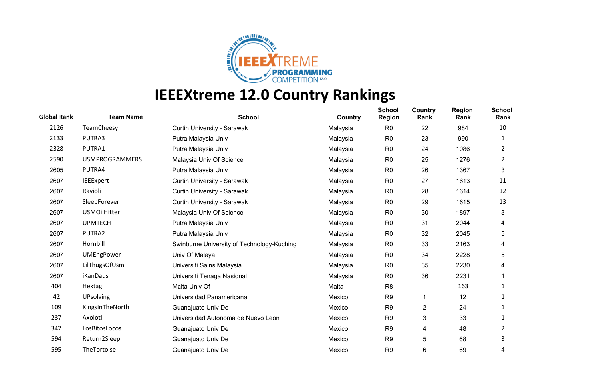

| <b>Global Rank</b> | <b>Team Name</b>      | <b>School</b>                              | Country  | <b>School</b><br><b>Region</b> | Country<br>Rank | <b>Region</b><br>Rank | <b>School</b><br>Rank |
|--------------------|-----------------------|--------------------------------------------|----------|--------------------------------|-----------------|-----------------------|-----------------------|
| 2126               | TeamCheesy            | Curtin University - Sarawak                | Malaysia | R <sub>0</sub>                 | 22              | 984                   | 10                    |
| 2133               | PUTRA3                | Putra Malaysia Univ                        | Malaysia | R <sub>0</sub>                 | 23              | 990                   | 1                     |
| 2328               | PUTRA1                | Putra Malaysia Univ                        | Malaysia | R <sub>0</sub>                 | 24              | 1086                  | 2                     |
| 2590               | <b>USMPROGRAMMERS</b> | Malaysia Univ Of Science                   | Malaysia | R <sub>0</sub>                 | 25              | 1276                  | 2                     |
| 2605               | PUTRA4                | Putra Malaysia Univ                        | Malaysia | R <sub>0</sub>                 | 26              | 1367                  | 3                     |
| 2607               | <b>IEEExpert</b>      | Curtin University - Sarawak                | Malaysia | R <sub>0</sub>                 | 27              | 1613                  | 11                    |
| 2607               | Ravioli               | Curtin University - Sarawak                | Malaysia | R <sub>0</sub>                 | 28              | 1614                  | 12                    |
| 2607               | SleepForever          | Curtin University - Sarawak                | Malaysia | R <sub>0</sub>                 | 29              | 1615                  | 13                    |
| 2607               | <b>USMOilHitter</b>   | Malaysia Univ Of Science                   | Malaysia | R <sub>0</sub>                 | 30              | 1897                  | 3                     |
| 2607               | <b>UPMTECH</b>        | Putra Malaysia Univ                        | Malaysia | R <sub>0</sub>                 | 31              | 2044                  | 4                     |
| 2607               | PUTRA2                | Putra Malaysia Univ                        | Malaysia | R <sub>0</sub>                 | 32              | 2045                  | 5                     |
| 2607               | Hornbill              | Swinburne University of Technology-Kuching | Malaysia | R <sub>0</sub>                 | 33              | 2163                  | 4                     |
| 2607               | <b>UMEngPower</b>     | Univ Of Malaya                             | Malaysia | R <sub>0</sub>                 | 34              | 2228                  | 5                     |
| 2607               | LilThugsOfUsm         | Universiti Sains Malaysia                  | Malaysia | R <sub>0</sub>                 | 35              | 2230                  | 4                     |
| 2607               | iKanDaus              | Universiti Tenaga Nasional                 | Malaysia | R <sub>0</sub>                 | 36              | 2231                  |                       |
| 404                | Hextag                | Malta Univ Of                              | Malta    | R <sub>8</sub>                 |                 | 163                   | 1                     |
| 42                 | <b>UPsolving</b>      | Universidad Panamericana                   | Mexico   | R <sub>9</sub>                 |                 | 12                    | 1                     |
| 109                | KingsInTheNorth       | Guanajuato Univ De                         | Mexico   | R <sub>9</sub>                 | $\overline{c}$  | 24                    | 1                     |
| 237                | Axolotl               | Universidad Autonoma de Nuevo Leon         | Mexico   | R <sub>9</sub>                 | 3               | 33                    | 1                     |
| 342                | LosBitosLocos         | Guanajuato Univ De                         | Mexico   | R <sub>9</sub>                 | 4               | 48                    | 2                     |
| 594                | Return2Sleep          | Guanajuato Univ De                         | Mexico   | R <sub>9</sub>                 | 5               | 68                    | 3                     |
| 595                | TheTortoise           | Guanajuato Univ De                         | Mexico   | R <sub>9</sub>                 | 6               | 69                    | 4                     |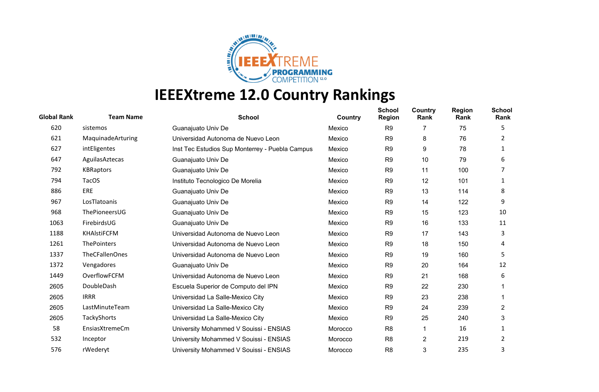

| <b>Global Rank</b> | <b>Team Name</b>      | <b>School</b>                                   | Country | <b>School</b><br><b>Region</b> | Country<br>Rank | <b>Region</b><br>Rank | <b>School</b><br>Rank |
|--------------------|-----------------------|-------------------------------------------------|---------|--------------------------------|-----------------|-----------------------|-----------------------|
| 620                | sistemos              | Guanajuato Univ De                              | Mexico  | R <sub>9</sub>                 | 7               | 75                    | 5                     |
| 621                | MaquinadeArturing     | Universidad Autonoma de Nuevo Leon              | Mexico  | R <sub>9</sub>                 | 8               | 76                    | 2                     |
| 627                | intEligentes          | Inst Tec Estudios Sup Monterrey - Puebla Campus | Mexico  | R <sub>9</sub>                 | 9               | 78                    |                       |
| 647                | AguilasAztecas        | Guanajuato Univ De                              | Mexico  | R <sub>9</sub>                 | 10              | 79                    | 6                     |
| 792                | <b>KBRaptors</b>      | Guanajuato Univ De                              | Mexico  | R <sub>9</sub>                 | 11              | 100                   |                       |
| 794                | <b>TacOS</b>          | Instituto Tecnologico De Morelia                | Mexico  | R <sub>9</sub>                 | 12              | 101                   | 1                     |
| 886                | <b>ERE</b>            | Guanajuato Univ De                              | Mexico  | R <sub>9</sub>                 | 13              | 114                   | 8                     |
| 967                | LosTlatoanis          | Guanajuato Univ De                              | Mexico  | R <sub>9</sub>                 | 14              | 122                   | 9                     |
| 968                | ThePioneersUG         | Guanajuato Univ De                              | Mexico  | R <sub>9</sub>                 | 15              | 123                   | 10                    |
| 1063               | FirebirdsUG           | Guanajuato Univ De                              | Mexico  | R <sub>9</sub>                 | 16              | 133                   | 11                    |
| 1188               | <b>KHAIstiFCFM</b>    | Universidad Autonoma de Nuevo Leon              | Mexico  | R <sub>9</sub>                 | 17              | 143                   | 3                     |
| 1261               | <b>ThePointers</b>    | Universidad Autonoma de Nuevo Leon              | Mexico  | R <sub>9</sub>                 | 18              | 150                   | 4                     |
| 1337               | <b>TheCFallenOnes</b> | Universidad Autonoma de Nuevo Leon              | Mexico  | R <sub>9</sub>                 | 19              | 160                   | 5                     |
| 1372               | Vengadores            | Guanajuato Univ De                              | Mexico  | R <sub>9</sub>                 | 20              | 164                   | 12                    |
| 1449               | OverflowFCFM          | Universidad Autonoma de Nuevo Leon              | Mexico  | R <sub>9</sub>                 | 21              | 168                   | 6                     |
| 2605               | DoubleDash            | Escuela Superior de Computo del IPN             | Mexico  | R <sub>9</sub>                 | 22              | 230                   |                       |
| 2605               | <b>IRRR</b>           | Universidad La Salle-Mexico City                | Mexico  | R <sub>9</sub>                 | 23              | 238                   |                       |
| 2605               | LastMinuteTeam        | Universidad La Salle-Mexico City                | Mexico  | R <sub>9</sub>                 | 24              | 239                   | $\overline{2}$        |
| 2605               | TackyShorts           | Universidad La Salle-Mexico City                | Mexico  | R <sub>9</sub>                 | 25              | 240                   | 3                     |
| 58                 | EnsiasXtremeCm        | University Mohammed V Souissi - ENSIAS          | Morocco | R <sub>8</sub>                 | 1               | 16                    |                       |
| 532                | Inceptor              | University Mohammed V Souissi - ENSIAS          | Morocco | R <sub>8</sub>                 | 2               | 219                   | 2                     |
| 576                | rWederyt              | University Mohammed V Souissi - ENSIAS          | Morocco | R <sub>8</sub>                 | 3               | 235                   | 3                     |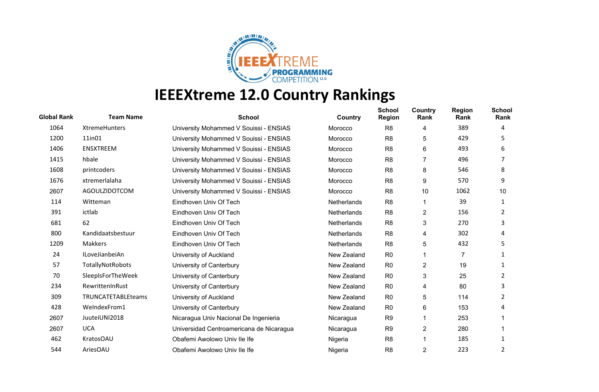

| <b>Global Rank</b> | <b>Team Name</b>   | <b>School</b>                            | Country            | <b>School</b><br><b>Region</b> | Country<br>Rank | <b>Region</b><br>Rank | <b>School</b><br>Rank |
|--------------------|--------------------|------------------------------------------|--------------------|--------------------------------|-----------------|-----------------------|-----------------------|
| 1064               | XtremeHunters      | University Mohammed V Souissi - ENSIAS   | Morocco            | R <sub>8</sub>                 | 4               | 389                   | 4                     |
| 1200               | 11in01             | University Mohammed V Souissi - ENSIAS   | Morocco            | R <sub>8</sub>                 | 5               | 429                   | 5.                    |
| 1406               | <b>ENSXTREEM</b>   | University Mohammed V Souissi - ENSIAS   | Morocco            | R <sub>8</sub>                 | 6               | 493                   | 6                     |
| 1415               | hbale              | University Mohammed V Souissi - ENSIAS   | Morocco            | R <sub>8</sub>                 | 7               | 496                   |                       |
| 1608               | printcoders        | University Mohammed V Souissi - ENSIAS   | Morocco            | R <sub>8</sub>                 | 8               | 546                   | 8                     |
| 1676               | xtremerlalaha      | University Mohammed V Souissi - ENSIAS   | Morocco            | R <sub>8</sub>                 | 9               | 570                   | 9                     |
| 2607               | AGOULZIDOTCOM      | University Mohammed V Souissi - ENSIAS   | Morocco            | R <sub>8</sub>                 | 10              | 1062                  | 10                    |
| 114                | Witteman           | Eindhoven Univ Of Tech                   | <b>Netherlands</b> | R <sub>8</sub>                 | 1               | 39                    | 1                     |
| 391                | ictlab             | Eindhoven Univ Of Tech                   | Netherlands        | R <sub>8</sub>                 | $\overline{c}$  | 156                   | 2                     |
| 681                | 62                 | Eindhoven Univ Of Tech                   | <b>Netherlands</b> | R <sub>8</sub>                 | 3               | 270                   | 3                     |
| 800                | Kandidaatsbestuur  | Eindhoven Univ Of Tech                   | Netherlands        | R <sub>8</sub>                 | 4               | 302                   | 4                     |
| 1209               | <b>Makkers</b>     | Eindhoven Univ Of Tech                   | Netherlands        | R <sub>8</sub>                 | 5               | 432                   | 5                     |
| 24                 | ILoveJianbeiAn     | University of Auckland                   | New Zealand        | R <sub>0</sub>                 |                 | $\overline{7}$        | 1                     |
| 57                 | TotallyNotRobots   | University of Canterbury                 | New Zealand        | R <sub>0</sub>                 | $\overline{c}$  | 19                    |                       |
| 70                 | SleepIsForTheWeek  | University of Canterbury                 | New Zealand        | R <sub>0</sub>                 | 3               | 25                    | 2                     |
| 234                | RewrittenInRust    | University of Canterbury                 | New Zealand        | R <sub>0</sub>                 | 4               | 80                    | 3                     |
| 309                | TRUNCATETABLEteams | University of Auckland                   | New Zealand        | R <sub>0</sub>                 | 5               | 114                   | 2                     |
| 428                | WeIndexFrom1       | University of Canterbury                 | New Zealand        | R <sub>0</sub>                 | 6               | 153                   | 4                     |
| 2607               | JuuteiUNI2018      | Nicaragua Univ Nacional De Ingenieria    | Nicaragua          | R <sub>9</sub>                 |                 | 253                   |                       |
| 2607               | <b>UCA</b>         | Universidad Centroamericana de Nicaragua | Nicaragua          | R <sub>9</sub>                 | 2               | 280                   |                       |
| 462                | <b>KratosOAU</b>   | Obafemi Awolowo Univ Ile Ife             | Nigeria            | R <sub>8</sub>                 |                 | 185                   |                       |
| 544                | AriesOAU           | Obafemi Awolowo Univ Ile Ife             | Nigeria            | R <sub>8</sub>                 | $\overline{2}$  | 223                   | 2                     |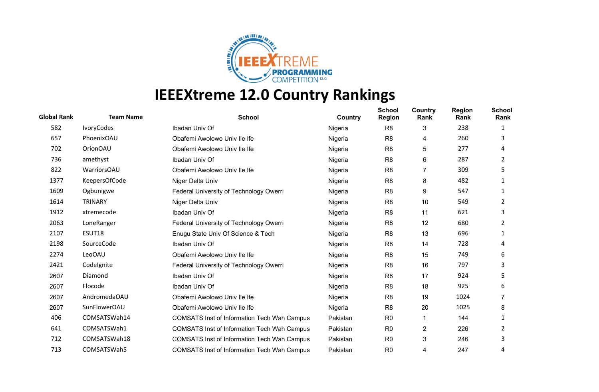

| <b>Global Rank</b> | <b>Team Name</b> | <b>School</b>                                      | Country  | <b>School</b><br><b>Region</b> | Country<br>Rank | <b>Region</b><br>Rank | <b>School</b><br>Rank |
|--------------------|------------------|----------------------------------------------------|----------|--------------------------------|-----------------|-----------------------|-----------------------|
| 582                | IvoryCodes       | Ibadan Univ Of                                     | Nigeria  | R <sub>8</sub>                 | 3               | 238                   |                       |
| 657                | PhoenixOAU       | Obafemi Awolowo Univ Ile Ife                       | Nigeria  | R <sub>8</sub>                 | 4               | 260                   | 3                     |
| 702                | OrionOAU         | Obafemi Awolowo Univ Ile Ife                       | Nigeria  | R <sub>8</sub>                 | 5               | 277                   | 4                     |
| 736                | amethyst         | Ibadan Univ Of                                     | Nigeria  | R <sub>8</sub>                 | 6               | 287                   | 2                     |
| 822                | WarriorsOAU      | Obafemi Awolowo Univ Ile Ife                       | Nigeria  | R <sub>8</sub>                 | $\overline{7}$  | 309                   | 5                     |
| 1377               | KeepersOfCode    | Niger Delta Univ                                   | Nigeria  | R <sub>8</sub>                 | 8               | 482                   | 1                     |
| 1609               | Ogbunigwe        | Federal University of Technology Owerri            | Nigeria  | R <sub>8</sub>                 | 9               | 547                   |                       |
| 1614               | TRINARY          | Niger Delta Univ                                   | Nigeria  | R <sub>8</sub>                 | 10              | 549                   | 2                     |
| 1912               | xtremecode       | Ibadan Univ Of                                     | Nigeria  | R <sub>8</sub>                 | 11              | 621                   | 3                     |
| 2063               | LoneRanger       | Federal University of Technology Owerri            | Nigeria  | R <sub>8</sub>                 | 12              | 680                   | 2                     |
| 2107               | ESUT18           | Enugu State Univ Of Science & Tech                 | Nigeria  | R <sub>8</sub>                 | 13              | 696                   | 1                     |
| 2198               | SourceCode       | Ibadan Univ Of                                     | Nigeria  | R <sub>8</sub>                 | 14              | 728                   | 4                     |
| 2274               | LeoOAU           | Obafemi Awolowo Univ Ile Ife                       | Nigeria  | R <sub>8</sub>                 | 15              | 749                   | 6                     |
| 2421               | Codelgnite       | Federal University of Technology Owerri            | Nigeria  | R <sub>8</sub>                 | 16              | 797                   | 3                     |
| 2607               | Diamond          | Ibadan Univ Of                                     | Nigeria  | R <sub>8</sub>                 | 17              | 924                   | 5.                    |
| 2607               | Flocode          | Ibadan Univ Of                                     | Nigeria  | R <sub>8</sub>                 | 18              | 925                   | 6                     |
| 2607               | AndromedaOAU     | Obafemi Awolowo Univ Ile Ife                       | Nigeria  | R <sub>8</sub>                 | 19              | 1024                  |                       |
| 2607               | SunFlowerOAU     | Obafemi Awolowo Univ Ile Ife                       | Nigeria  | R <sub>8</sub>                 | 20              | 1025                  | 8                     |
| 406                | COMSATSWah14     | <b>COMSATS Inst of Information Tech Wah Campus</b> | Pakistan | R <sub>0</sub>                 | 1               | 144                   | 1                     |
| 641                | COMSATSWah1      | <b>COMSATS Inst of Information Tech Wah Campus</b> | Pakistan | R <sub>0</sub>                 | 2               | 226                   | 2                     |
| 712                | COMSATSWah18     | <b>COMSATS Inst of Information Tech Wah Campus</b> | Pakistan | R <sub>0</sub>                 | 3               | 246                   | 3                     |
| 713                | COMSATSWah5      | <b>COMSATS Inst of Information Tech Wah Campus</b> | Pakistan | R <sub>0</sub>                 | 4               | 247                   | 4                     |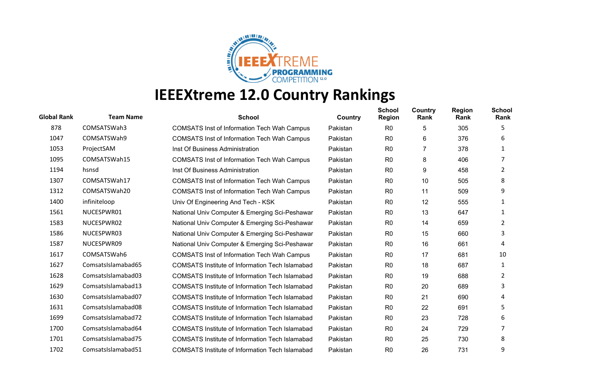

| <b>Global Rank</b> | <b>Team Name</b>   | <b>School</b>                                          | Country  | <b>School</b><br><b>Region</b> | Country<br>Rank | <b>Region</b><br>Rank | <b>School</b><br>Rank |
|--------------------|--------------------|--------------------------------------------------------|----------|--------------------------------|-----------------|-----------------------|-----------------------|
| 878                | COMSATSWah3        | <b>COMSATS Inst of Information Tech Wah Campus</b>     | Pakistan | R <sub>0</sub>                 | 5               | 305                   | 5                     |
| 1047               | COMSATSWah9        | <b>COMSATS Inst of Information Tech Wah Campus</b>     | Pakistan | R <sub>0</sub>                 | 6               | 376                   | 6                     |
| 1053               | ProjectSAM         | Inst Of Business Administration                        | Pakistan | R <sub>0</sub>                 | 7               | 378                   | 1                     |
| 1095               | COMSATSWah15       | <b>COMSATS Inst of Information Tech Wah Campus</b>     | Pakistan | R <sub>0</sub>                 | 8               | 406                   | 7                     |
| 1194               | hsnsd              | Inst Of Business Administration                        | Pakistan | R <sub>0</sub>                 | 9               | 458                   | 2                     |
| 1307               | COMSATSWah17       | <b>COMSATS Inst of Information Tech Wah Campus</b>     | Pakistan | R <sub>0</sub>                 | 10              | 505                   | 8                     |
| 1312               | COMSATSWah20       | <b>COMSATS Inst of Information Tech Wah Campus</b>     | Pakistan | R <sub>0</sub>                 | 11              | 509                   | 9                     |
| 1400               | infiniteloop       | Univ Of Engineering And Tech - KSK                     | Pakistan | R <sub>0</sub>                 | 12              | 555                   | 1                     |
| 1561               | NUCESPWR01         | National Univ Computer & Emerging Sci-Peshawar         | Pakistan | R <sub>0</sub>                 | 13              | 647                   | 1                     |
| 1583               | NUCESPWR02         | National Univ Computer & Emerging Sci-Peshawar         | Pakistan | R <sub>0</sub>                 | 14              | 659                   | 2                     |
| 1586               | NUCESPWR03         | National Univ Computer & Emerging Sci-Peshawar         | Pakistan | R <sub>0</sub>                 | 15              | 660                   | 3                     |
| 1587               | NUCESPWR09         | National Univ Computer & Emerging Sci-Peshawar         | Pakistan | R0                             | 16              | 661                   | 4                     |
| 1617               | COMSATSWah6        | <b>COMSATS Inst of Information Tech Wah Campus</b>     | Pakistan | R <sub>0</sub>                 | 17              | 681                   | 10                    |
| 1627               | ComsatsIslamabad65 | <b>COMSATS Institute of Information Tech Islamabad</b> | Pakistan | R <sub>0</sub>                 | 18              | 687                   | 1                     |
| 1628               | ComsatsIslamabad03 | <b>COMSATS Institute of Information Tech Islamabad</b> | Pakistan | R <sub>0</sub>                 | 19              | 688                   | 2                     |
| 1629               | ComsatsIslamabad13 | <b>COMSATS Institute of Information Tech Islamabad</b> | Pakistan | R <sub>0</sub>                 | 20              | 689                   | 3                     |
| 1630               | ComsatsIslamabad07 | <b>COMSATS Institute of Information Tech Islamabad</b> | Pakistan | R <sub>0</sub>                 | 21              | 690                   | 4                     |
| 1631               | ComsatsIslamabad08 | <b>COMSATS Institute of Information Tech Islamabad</b> | Pakistan | R <sub>0</sub>                 | 22              | 691                   | 5                     |
| 1699               | ComsatsIslamabad72 | <b>COMSATS Institute of Information Tech Islamabad</b> | Pakistan | R <sub>0</sub>                 | 23              | 728                   | 6                     |
| 1700               | ComsatsIslamabad64 | <b>COMSATS Institute of Information Tech Islamabad</b> | Pakistan | R <sub>0</sub>                 | 24              | 729                   |                       |
| 1701               | ComsatsIslamabad75 | COMSATS Institute of Information Tech Islamabad        | Pakistan | R <sub>0</sub>                 | 25              | 730                   | 8                     |
| 1702               | ComsatsIslamabad51 | <b>COMSATS Institute of Information Tech Islamabad</b> | Pakistan | R <sub>0</sub>                 | 26              | 731                   | 9                     |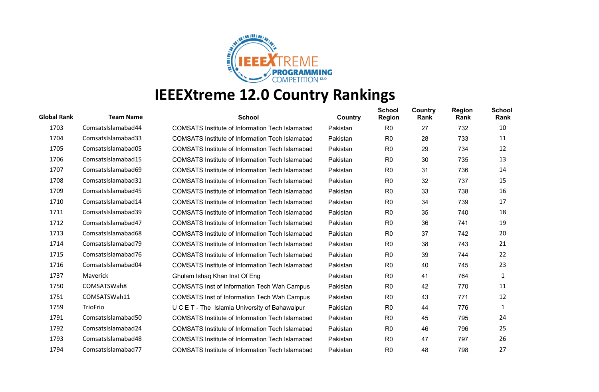

| <b>Global Rank</b> | <b>Team Name</b>   | <b>School</b>                                          | Country  | <b>School</b><br><b>Region</b> | Country<br>Rank | <b>Region</b><br>Rank | <b>School</b><br>Rank |
|--------------------|--------------------|--------------------------------------------------------|----------|--------------------------------|-----------------|-----------------------|-----------------------|
| 1703               | ComsatsIslamabad44 | <b>COMSATS Institute of Information Tech Islamabad</b> | Pakistan | R <sub>0</sub>                 | 27              | 732                   | 10                    |
| 1704               | ComsatsIslamabad33 | <b>COMSATS Institute of Information Tech Islamabad</b> | Pakistan | R <sub>0</sub>                 | 28              | 733                   | 11                    |
| 1705               | ComsatsIslamabad05 | COMSATS Institute of Information Tech Islamabad        | Pakistan | R <sub>0</sub>                 | 29              | 734                   | 12                    |
| 1706               | ComsatsIslamabad15 | <b>COMSATS Institute of Information Tech Islamabad</b> | Pakistan | R <sub>0</sub>                 | 30              | 735                   | 13                    |
| 1707               | ComsatsIslamabad69 | COMSATS Institute of Information Tech Islamabad        | Pakistan | R <sub>0</sub>                 | 31              | 736                   | 14                    |
| 1708               | ComsatsIslamabad31 | <b>COMSATS Institute of Information Tech Islamabad</b> | Pakistan | R <sub>0</sub>                 | 32              | 737                   | 15                    |
| 1709               | ComsatsIslamabad45 | COMSATS Institute of Information Tech Islamabad        | Pakistan | R <sub>0</sub>                 | 33              | 738                   | 16                    |
| 1710               | ComsatsIslamabad14 | <b>COMSATS Institute of Information Tech Islamabad</b> | Pakistan | R <sub>0</sub>                 | 34              | 739                   | 17                    |
| 1711               | ComsatsIslamabad39 | COMSATS Institute of Information Tech Islamabad        | Pakistan | R <sub>0</sub>                 | 35              | 740                   | 18                    |
| 1712               | ComsatsIslamabad47 | <b>COMSATS Institute of Information Tech Islamabad</b> | Pakistan | R <sub>0</sub>                 | 36              | 741                   | 19                    |
| 1713               | ComsatsIslamabad68 | COMSATS Institute of Information Tech Islamabad        | Pakistan | R <sub>0</sub>                 | 37              | 742                   | 20                    |
| 1714               | ComsatsIslamabad79 | <b>COMSATS Institute of Information Tech Islamabad</b> | Pakistan | R <sub>0</sub>                 | 38              | 743                   | 21                    |
| 1715               | ComsatsIslamabad76 | <b>COMSATS Institute of Information Tech Islamabad</b> | Pakistan | R <sub>0</sub>                 | 39              | 744                   | 22                    |
| 1716               | ComsatsIslamabad04 | <b>COMSATS Institute of Information Tech Islamabad</b> | Pakistan | R <sub>0</sub>                 | 40              | 745                   | 23                    |
| 1737               | <b>Maverick</b>    | Ghulam Ishaq Khan Inst Of Eng                          | Pakistan | R <sub>0</sub>                 | 41              | 764                   | 1                     |
| 1750               | COMSATSWah8        | <b>COMSATS Inst of Information Tech Wah Campus</b>     | Pakistan | R <sub>0</sub>                 | 42              | 770                   | 11                    |
| 1751               | COMSATSWah11       | <b>COMSATS Inst of Information Tech Wah Campus</b>     | Pakistan | R <sub>0</sub>                 | 43              | 771                   | 12                    |
| 1759               | TrioFrio           | U C E T - The Islamia University of Bahawalpur         | Pakistan | R <sub>0</sub>                 | 44              | 776                   | $\mathbf{1}$          |
| 1791               | ComsatsIslamabad50 | COMSATS Institute of Information Tech Islamabad        | Pakistan | R <sub>0</sub>                 | 45              | 795                   | 24                    |
| 1792               | ComsatsIslamabad24 | <b>COMSATS Institute of Information Tech Islamabad</b> | Pakistan | R <sub>0</sub>                 | 46              | 796                   | 25                    |
| 1793               | ComsatsIslamabad48 | <b>COMSATS Institute of Information Tech Islamabad</b> | Pakistan | R <sub>0</sub>                 | 47              | 797                   | 26                    |
| 1794               | ComsatsIslamabad77 | <b>COMSATS Institute of Information Tech Islamabad</b> | Pakistan | R <sub>0</sub>                 | 48              | 798                   | 27                    |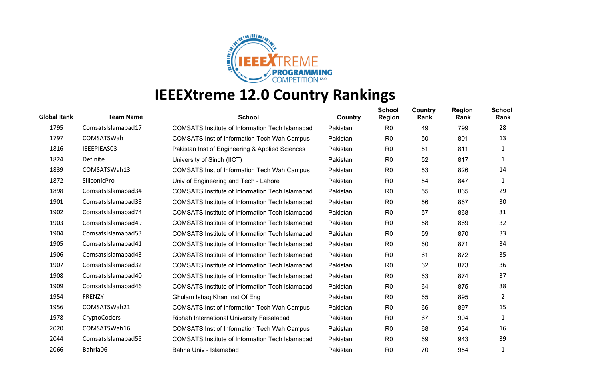

| <b>Global Rank</b> | <b>Team Name</b>    | <b>School</b>                                          | Country  | <b>School</b><br><b>Region</b> | Country<br>Rank | <b>Region</b><br>Rank | <b>School</b><br>Rank |
|--------------------|---------------------|--------------------------------------------------------|----------|--------------------------------|-----------------|-----------------------|-----------------------|
| 1795               | ComsatsIslamabad17  | <b>COMSATS Institute of Information Tech Islamabad</b> | Pakistan | R <sub>0</sub>                 | 49              | 799                   | 28                    |
| 1797               | COMSATSWah          | <b>COMSATS Inst of Information Tech Wah Campus</b>     | Pakistan | R <sub>0</sub>                 | 50              | 801                   | 13                    |
| 1816               | IEEEPIEAS03         | Pakistan Inst of Engineering & Applied Sciences        | Pakistan | R <sub>0</sub>                 | 51              | 811                   | 1                     |
| 1824               | Definite            | University of Sindh (IICT)                             | Pakistan | R <sub>0</sub>                 | 52              | 817                   | 1                     |
| 1839               | COMSATSWah13        | <b>COMSATS Inst of Information Tech Wah Campus</b>     | Pakistan | R <sub>0</sub>                 | 53              | 826                   | 14                    |
| 1872               | <b>SiliconicPro</b> | Univ of Engineering and Tech - Lahore                  | Pakistan | R <sub>0</sub>                 | 54              | 847                   | 1                     |
| 1898               | ComsatsIslamabad34  | <b>COMSATS Institute of Information Tech Islamabad</b> | Pakistan | R <sub>0</sub>                 | 55              | 865                   | 29                    |
| 1901               | ComsatsIslamabad38  | <b>COMSATS Institute of Information Tech Islamabad</b> | Pakistan | R <sub>0</sub>                 | 56              | 867                   | 30                    |
| 1902               | ComsatsIslamabad74  | <b>COMSATS Institute of Information Tech Islamabad</b> | Pakistan | R <sub>0</sub>                 | 57              | 868                   | 31                    |
| 1903               | ComsatsIslamabad49  | <b>COMSATS Institute of Information Tech Islamabad</b> | Pakistan | R <sub>0</sub>                 | 58              | 869                   | 32                    |
| 1904               | ComsatsIslamabad53  | <b>COMSATS Institute of Information Tech Islamabad</b> | Pakistan | R <sub>0</sub>                 | 59              | 870                   | 33                    |
| 1905               | ComsatsIslamabad41  | <b>COMSATS Institute of Information Tech Islamabad</b> | Pakistan | R <sub>0</sub>                 | 60              | 871                   | 34                    |
| 1906               | ComsatsIslamabad43  | <b>COMSATS Institute of Information Tech Islamabad</b> | Pakistan | R <sub>0</sub>                 | 61              | 872                   | 35                    |
| 1907               | ComsatsIslamabad32  | <b>COMSATS Institute of Information Tech Islamabad</b> | Pakistan | R <sub>0</sub>                 | 62              | 873                   | 36                    |
| 1908               | ComsatsIslamabad40  | <b>COMSATS Institute of Information Tech Islamabad</b> | Pakistan | R <sub>0</sub>                 | 63              | 874                   | 37                    |
| 1909               | ComsatsIslamabad46  | COMSATS Institute of Information Tech Islamabad        | Pakistan | R <sub>0</sub>                 | 64              | 875                   | 38                    |
| 1954               | <b>FRENZY</b>       | Ghulam Ishaq Khan Inst Of Eng                          | Pakistan | R <sub>0</sub>                 | 65              | 895                   | 2                     |
| 1956               | COMSATSWah21        | <b>COMSATS Inst of Information Tech Wah Campus</b>     | Pakistan | R <sub>0</sub>                 | 66              | 897                   | 15                    |
| 1978               | CryptoCoders        | Riphah International University Faisalabad             | Pakistan | R <sub>0</sub>                 | 67              | 904                   | 1                     |
| 2020               | COMSATSWah16        | <b>COMSATS Inst of Information Tech Wah Campus</b>     | Pakistan | R <sub>0</sub>                 | 68              | 934                   | 16                    |
| 2044               | ComsatsIslamabad55  | COMSATS Institute of Information Tech Islamabad        | Pakistan | R <sub>0</sub>                 | 69              | 943                   | 39                    |
| 2066               | Bahria06            | Bahria Univ - Islamabad                                | Pakistan | R <sub>0</sub>                 | 70              | 954                   |                       |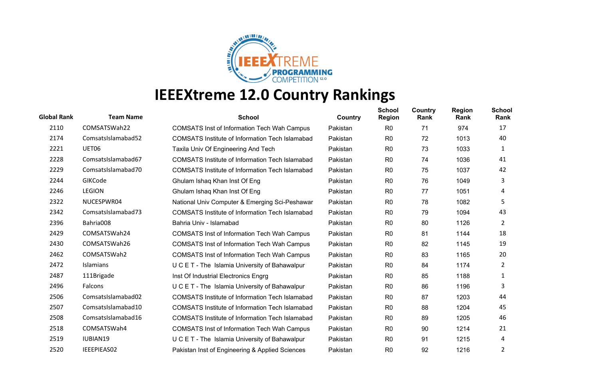

| <b>Global Rank</b> | <b>Team Name</b>   | <b>School</b>                                          | Country  | <b>School</b><br>Region | Country<br>Rank | <b>Region</b><br>Rank | <b>School</b><br>Rank |
|--------------------|--------------------|--------------------------------------------------------|----------|-------------------------|-----------------|-----------------------|-----------------------|
| 2110               | COMSATSWah22       | <b>COMSATS Inst of Information Tech Wah Campus</b>     | Pakistan | R <sub>0</sub>          | 71              | 974                   | 17                    |
| 2174               | ComsatsIslamabad52 | <b>COMSATS Institute of Information Tech Islamabad</b> | Pakistan | R <sub>0</sub>          | 72              | 1013                  | 40                    |
| 2221               | UET06              | Taxila Univ Of Engineering And Tech                    | Pakistan | R <sub>0</sub>          | 73              | 1033                  | 1                     |
| 2228               | ComsatsIslamabad67 | <b>COMSATS Institute of Information Tech Islamabad</b> | Pakistan | R <sub>0</sub>          | 74              | 1036                  | 41                    |
| 2229               | ComsatsIslamabad70 | COMSATS Institute of Information Tech Islamabad        | Pakistan | R0                      | 75              | 1037                  | 42                    |
| 2244               | GIKCode            | Ghulam Ishaq Khan Inst Of Eng                          | Pakistan | R <sub>0</sub>          | 76              | 1049                  | 3                     |
| 2246               | <b>LEGION</b>      | Ghulam Ishaq Khan Inst Of Eng                          | Pakistan | R <sub>0</sub>          | 77              | 1051                  | 4                     |
| 2322               | NUCESPWR04         | National Univ Computer & Emerging Sci-Peshawar         | Pakistan | R <sub>0</sub>          | 78              | 1082                  | 5                     |
| 2342               | ComsatsIslamabad73 | <b>COMSATS Institute of Information Tech Islamabad</b> | Pakistan | R <sub>0</sub>          | 79              | 1094                  | 43                    |
| 2396               | Bahria008          | Bahria Univ - Islamabad                                | Pakistan | R <sub>0</sub>          | 80              | 1126                  | 2                     |
| 2429               | COMSATSWah24       | <b>COMSATS Inst of Information Tech Wah Campus</b>     | Pakistan | R <sub>0</sub>          | 81              | 1144                  | 18                    |
| 2430               | COMSATSWah26       | <b>COMSATS Inst of Information Tech Wah Campus</b>     | Pakistan | R <sub>0</sub>          | 82              | 1145                  | 19                    |
| 2462               | COMSATSWah2        | <b>COMSATS Inst of Information Tech Wah Campus</b>     | Pakistan | R <sub>0</sub>          | 83              | 1165                  | 20                    |
| 2472               | Islamians          | U C E T - The Islamia University of Bahawalpur         | Pakistan | R <sub>0</sub>          | 84              | 1174                  | 2                     |
| 2487               | 111Brigade         | Inst Of Industrial Electronics Engrg                   | Pakistan | R0                      | 85              | 1188                  | 1                     |
| 2496               | Falcons            | U C E T - The Islamia University of Bahawalpur         | Pakistan | R <sub>0</sub>          | 86              | 1196                  | 3                     |
| 2506               | ComsatsIslamabad02 | <b>COMSATS Institute of Information Tech Islamabad</b> | Pakistan | R <sub>0</sub>          | 87              | 1203                  | 44                    |
| 2507               | ComsatsIslamabad10 | <b>COMSATS Institute of Information Tech Islamabad</b> | Pakistan | R <sub>0</sub>          | 88              | 1204                  | 45                    |
| 2508               | ComsatsIslamabad16 | <b>COMSATS Institute of Information Tech Islamabad</b> | Pakistan | R <sub>0</sub>          | 89              | 1205                  | 46                    |
| 2518               | COMSATSWah4        | <b>COMSATS Inst of Information Tech Wah Campus</b>     | Pakistan | R <sub>0</sub>          | 90              | 1214                  | 21                    |
| 2519               | <b>IUBIAN19</b>    | U C E T - The Islamia University of Bahawalpur         | Pakistan | R <sub>0</sub>          | 91              | 1215                  | 4                     |
| 2520               | IEEEPIEAS02        | Pakistan Inst of Engineering & Applied Sciences        | Pakistan | R <sub>0</sub>          | 92              | 1216                  | 2                     |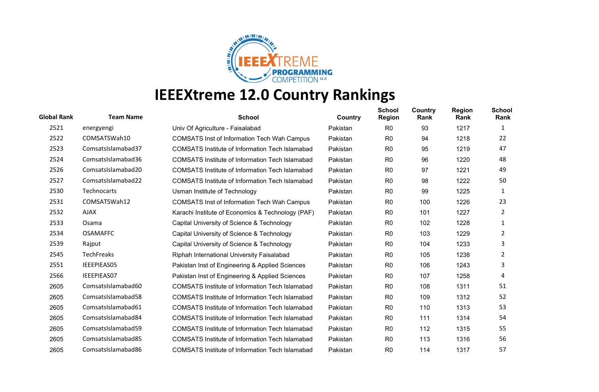

| <b>Global Rank</b> | <b>Team Name</b>   | <b>School</b>                                          | Country  | <b>School</b><br>Region | Country<br>Rank | <b>Region</b><br>Rank | <b>School</b><br>Rank |
|--------------------|--------------------|--------------------------------------------------------|----------|-------------------------|-----------------|-----------------------|-----------------------|
| 2521               | energyengi         | Univ Of Agriculture - Faisalabad                       | Pakistan | R <sub>0</sub>          | 93              | 1217                  | 1                     |
| 2522               | COMSATSWah10       | <b>COMSATS Inst of Information Tech Wah Campus</b>     | Pakistan | R <sub>0</sub>          | 94              | 1218                  | 22                    |
| 2523               | ComsatsIslamabad37 | <b>COMSATS Institute of Information Tech Islamabad</b> | Pakistan | R <sub>0</sub>          | 95              | 1219                  | 47                    |
| 2524               | ComsatsIslamabad36 | <b>COMSATS Institute of Information Tech Islamabad</b> | Pakistan | R <sub>0</sub>          | 96              | 1220                  | 48                    |
| 2526               | ComsatsIslamabad20 | COMSATS Institute of Information Tech Islamabad        | Pakistan | R0                      | 97              | 1221                  | 49                    |
| 2527               | ComsatsIslamabad22 | <b>COMSATS Institute of Information Tech Islamabad</b> | Pakistan | R <sub>0</sub>          | 98              | 1222                  | 50                    |
| 2530               | <b>Technocarts</b> | Usman Institute of Technology                          | Pakistan | R <sub>0</sub>          | 99              | 1225                  | $\mathbf{1}$          |
| 2531               | COMSATSWah12       | <b>COMSATS Inst of Information Tech Wah Campus</b>     | Pakistan | R <sub>0</sub>          | 100             | 1226                  | 23                    |
| 2532               | <b>AJAX</b>        | Karachi Institute of Economics & Technology (PAF)      | Pakistan | R <sub>0</sub>          | 101             | 1227                  | 2                     |
| 2533               | Osama              | Capital University of Science & Technology             | Pakistan | R <sub>0</sub>          | 102             | 1228                  | 1                     |
| 2534               | <b>OSAMAFFC</b>    | Capital University of Science & Technology             | Pakistan | R <sub>0</sub>          | 103             | 1229                  | 2                     |
| 2539               | Rajput             | Capital University of Science & Technology             | Pakistan | R <sub>0</sub>          | 104             | 1233                  | 3                     |
| 2545               | TechFreaks         | Riphah International University Faisalabad             | Pakistan | R <sub>0</sub>          | 105             | 1238                  | 2                     |
| 2551               | IEEEPIEAS05        | Pakistan Inst of Engineering & Applied Sciences        | Pakistan | R <sub>0</sub>          | 106             | 1243                  | 3                     |
| 2566               | <b>IEEEPIEAS07</b> | Pakistan Inst of Engineering & Applied Sciences        | Pakistan | R0                      | 107             | 1258                  | 4                     |
| 2605               | ComsatsIslamabad60 | <b>COMSATS Institute of Information Tech Islamabad</b> | Pakistan | R <sub>0</sub>          | 108             | 1311                  | 51                    |
| 2605               | ComsatsIslamabad58 | <b>COMSATS Institute of Information Tech Islamabad</b> | Pakistan | R <sub>0</sub>          | 109             | 1312                  | 52                    |
| 2605               | ComsatsIslamabad61 | <b>COMSATS Institute of Information Tech Islamabad</b> | Pakistan | R <sub>0</sub>          | 110             | 1313                  | 53                    |
| 2605               | ComsatsIslamabad84 | <b>COMSATS Institute of Information Tech Islamabad</b> | Pakistan | R <sub>0</sub>          | 111             | 1314                  | 54                    |
| 2605               | ComsatsIslamabad59 | <b>COMSATS Institute of Information Tech Islamabad</b> | Pakistan | R <sub>0</sub>          | 112             | 1315                  | 55                    |
| 2605               | ComsatsIslamabad85 | <b>COMSATS Institute of Information Tech Islamabad</b> | Pakistan | R <sub>0</sub>          | 113             | 1316                  | 56                    |
| 2605               | ComsatsIslamabad86 | <b>COMSATS Institute of Information Tech Islamabad</b> | Pakistan | R <sub>0</sub>          | 114             | 1317                  | 57                    |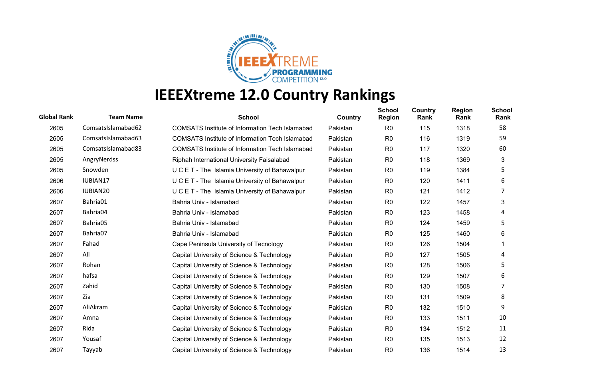

| <b>Global Rank</b> | <b>Team Name</b>     | <b>School</b>                                          | Country  | <b>School</b><br><b>Region</b> | <b>Country</b><br>Rank | <b>Region</b><br>Rank | <b>School</b><br>Rank |
|--------------------|----------------------|--------------------------------------------------------|----------|--------------------------------|------------------------|-----------------------|-----------------------|
| 2605               | ComsatsIslamabad62   | <b>COMSATS Institute of Information Tech Islamabad</b> | Pakistan | R <sub>0</sub>                 | 115                    | 1318                  | 58                    |
| 2605               | ComsatsIslamabad63   | <b>COMSATS Institute of Information Tech Islamabad</b> | Pakistan | R <sub>0</sub>                 | 116                    | 1319                  | 59                    |
| 2605               | ComsatsIslamabad83   | <b>COMSATS Institute of Information Tech Islamabad</b> | Pakistan | R <sub>0</sub>                 | 117                    | 1320                  | 60                    |
| 2605               | AngryNerdss          | Riphah International University Faisalabad             | Pakistan | R <sub>0</sub>                 | 118                    | 1369                  | 3                     |
| 2605               | Snowden              | U C E T - The Islamia University of Bahawalpur         | Pakistan | R <sub>0</sub>                 | 119                    | 1384                  | 5                     |
| 2606               | IUBIAN17             | U C E T - The Islamia University of Bahawalpur         | Pakistan | R0                             | 120                    | 1411                  | 6                     |
| 2606               | IUBIAN <sub>20</sub> | U C E T - The Islamia University of Bahawalpur         | Pakistan | R <sub>0</sub>                 | 121                    | 1412                  |                       |
| 2607               | Bahria01             | Bahria Univ - Islamabad                                | Pakistan | R <sub>0</sub>                 | 122                    | 1457                  | 3                     |
| 2607               | Bahria04             | Bahria Univ - Islamabad                                | Pakistan | R <sub>0</sub>                 | 123                    | 1458                  | 4                     |
| 2607               | Bahria05             | Bahria Univ - Islamabad                                | Pakistan | R <sub>0</sub>                 | 124                    | 1459                  | 5                     |
| 2607               | Bahria07             | Bahria Univ - Islamabad                                | Pakistan | R <sub>0</sub>                 | 125                    | 1460                  | 6                     |
| 2607               | Fahad                | Cape Peninsula University of Tecnology                 | Pakistan | R <sub>0</sub>                 | 126                    | 1504                  |                       |
| 2607               | Ali                  | Capital University of Science & Technology             | Pakistan | R <sub>0</sub>                 | 127                    | 1505                  | 4                     |
| 2607               | Rohan                | Capital University of Science & Technology             | Pakistan | R <sub>0</sub>                 | 128                    | 1506                  | 5                     |
| 2607               | hafsa                | Capital University of Science & Technology             | Pakistan | R0                             | 129                    | 1507                  | 6                     |
| 2607               | Zahid                | Capital University of Science & Technology             | Pakistan | R <sub>0</sub>                 | 130                    | 1508                  |                       |
| 2607               | Zia                  | Capital University of Science & Technology             | Pakistan | R <sub>0</sub>                 | 131                    | 1509                  | 8                     |
| 2607               | AliAkram             | Capital University of Science & Technology             | Pakistan | R <sub>0</sub>                 | 132                    | 1510                  | 9                     |
| 2607               | Amna                 | Capital University of Science & Technology             | Pakistan | R <sub>0</sub>                 | 133                    | 1511                  | 10                    |
| 2607               | Rida                 | Capital University of Science & Technology             | Pakistan | R0                             | 134                    | 1512                  | 11                    |
| 2607               | Yousaf               | Capital University of Science & Technology             | Pakistan | R <sub>0</sub>                 | 135                    | 1513                  | 12                    |
| 2607               | Tayyab               | Capital University of Science & Technology             | Pakistan | R <sub>0</sub>                 | 136                    | 1514                  | 13                    |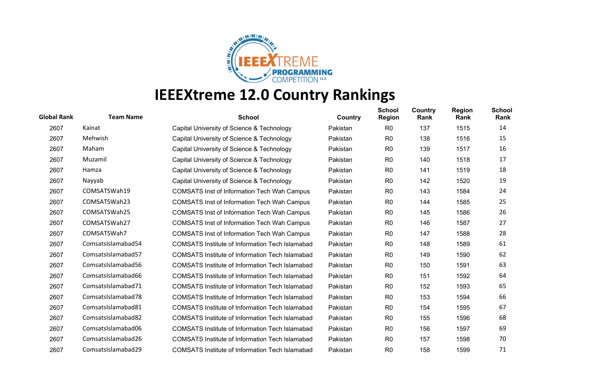

| <b>Global Rank</b> | <b>Team Name</b>   | <b>School</b>                                          | Country  | <b>School</b><br><b>Region</b> | <b>Country</b><br>Rank | <b>Region</b><br>Rank | <b>School</b><br>Rank |
|--------------------|--------------------|--------------------------------------------------------|----------|--------------------------------|------------------------|-----------------------|-----------------------|
| 2607               | Kainat             | Capital University of Science & Technology             | Pakistan | R <sub>0</sub>                 | 137                    | 1515                  | 14                    |
| 2607               | Mehwish            | Capital University of Science & Technology             | Pakistan | R <sub>0</sub>                 | 138                    | 1516                  | 15                    |
| 2607               | Maham              | Capital University of Science & Technology             | Pakistan | R <sub>0</sub>                 | 139                    | 1517                  | 16                    |
| 2607               | Muzamil            | Capital University of Science & Technology             | Pakistan | R <sub>0</sub>                 | 140                    | 1518                  | 17                    |
| 2607               | Hamza              | Capital University of Science & Technology             | Pakistan | R <sub>0</sub>                 | 141                    | 1519                  | 18                    |
| 2607               | Nayyab             | Capital University of Science & Technology             | Pakistan | R0                             | 142                    | 1520                  | 19                    |
| 2607               | COMSATSWah19       | <b>COMSATS Inst of Information Tech Wah Campus</b>     | Pakistan | R <sub>0</sub>                 | 143                    | 1584                  | 24                    |
| 2607               | COMSATSWah23       | <b>COMSATS Inst of Information Tech Wah Campus</b>     | Pakistan | R <sub>0</sub>                 | 144                    | 1585                  | 25                    |
| 2607               | COMSATSWah25       | <b>COMSATS Inst of Information Tech Wah Campus</b>     | Pakistan | R <sub>0</sub>                 | 145                    | 1586                  | 26                    |
| 2607               | COMSATSWah27       | <b>COMSATS Inst of Information Tech Wah Campus</b>     | Pakistan | R <sub>0</sub>                 | 146                    | 1587                  | 27                    |
| 2607               | COMSATSWah7        | <b>COMSATS Inst of Information Tech Wah Campus</b>     | Pakistan | R <sub>0</sub>                 | 147                    | 1588                  | 28                    |
| 2607               | ComsatsIslamabad54 | <b>COMSATS Institute of Information Tech Islamabad</b> | Pakistan | R <sub>0</sub>                 | 148                    | 1589                  | 61                    |
| 2607               | ComsatsIslamabad57 | <b>COMSATS Institute of Information Tech Islamabad</b> | Pakistan | R <sub>0</sub>                 | 149                    | 1590                  | 62                    |
| 2607               | ComsatsIslamabad56 | COMSATS Institute of Information Tech Islamabad        | Pakistan | R <sub>0</sub>                 | 150                    | 1591                  | 63                    |
| 2607               | ComsatsIslamabad66 | <b>COMSATS Institute of Information Tech Islamabad</b> | Pakistan | R <sub>0</sub>                 | 151                    | 1592                  | 64                    |
| 2607               | ComsatsIslamabad71 | <b>COMSATS Institute of Information Tech Islamabad</b> | Pakistan | R <sub>0</sub>                 | 152                    | 1593                  | 65                    |
| 2607               | ComsatsIslamabad78 | <b>COMSATS Institute of Information Tech Islamabad</b> | Pakistan | R <sub>0</sub>                 | 153                    | 1594                  | 66                    |
| 2607               | ComsatsIslamabad81 | <b>COMSATS Institute of Information Tech Islamabad</b> | Pakistan | R <sub>0</sub>                 | 154                    | 1595                  | 67                    |
| 2607               | ComsatsIslamabad82 | <b>COMSATS Institute of Information Tech Islamabad</b> | Pakistan | R <sub>0</sub>                 | 155                    | 1596                  | 68                    |
| 2607               | ComsatsIslamabad06 | <b>COMSATS Institute of Information Tech Islamabad</b> | Pakistan | R <sub>0</sub>                 | 156                    | 1597                  | 69                    |
| 2607               | ComsatsIslamabad26 | COMSATS Institute of Information Tech Islamabad        | Pakistan | R <sub>0</sub>                 | 157                    | 1598                  | 70                    |
| 2607               | ComsatsIslamabad29 | <b>COMSATS Institute of Information Tech Islamabad</b> | Pakistan | R <sub>0</sub>                 | 158                    | 1599                  | 71                    |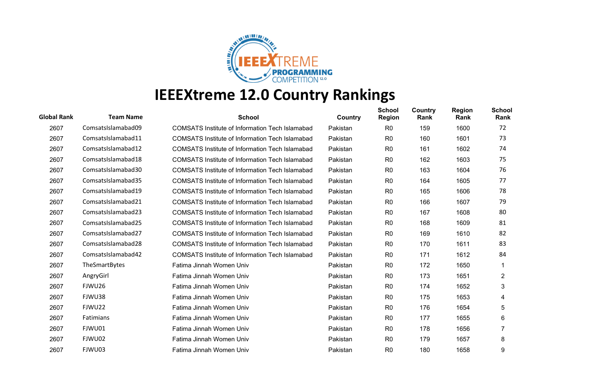

| <b>Global Rank</b> | <b>Team Name</b>   | <b>School</b>                                          | Country  | <b>School</b><br>Region | Country<br>Rank | <b>Region</b><br>Rank | <b>School</b><br>Rank |
|--------------------|--------------------|--------------------------------------------------------|----------|-------------------------|-----------------|-----------------------|-----------------------|
| 2607               | ComsatsIslamabad09 | <b>COMSATS Institute of Information Tech Islamabad</b> | Pakistan | R <sub>0</sub>          | 159             | 1600                  | 72                    |
| 2607               | ComsatsIslamabad11 | <b>COMSATS Institute of Information Tech Islamabad</b> | Pakistan | R <sub>0</sub>          | 160             | 1601                  | 73                    |
| 2607               | ComsatsIslamabad12 | <b>COMSATS Institute of Information Tech Islamabad</b> | Pakistan | R <sub>0</sub>          | 161             | 1602                  | 74                    |
| 2607               | ComsatsIslamabad18 | <b>COMSATS Institute of Information Tech Islamabad</b> | Pakistan | R <sub>0</sub>          | 162             | 1603                  | 75                    |
| 2607               | ComsatsIslamabad30 | COMSATS Institute of Information Tech Islamabad        | Pakistan | R <sub>0</sub>          | 163             | 1604                  | 76                    |
| 2607               | ComsatsIslamabad35 | <b>COMSATS Institute of Information Tech Islamabad</b> | Pakistan | R <sub>0</sub>          | 164             | 1605                  | 77                    |
| 2607               | ComsatsIslamabad19 | COMSATS Institute of Information Tech Islamabad        | Pakistan | R <sub>0</sub>          | 165             | 1606                  | 78                    |
| 2607               | ComsatsIslamabad21 | <b>COMSATS Institute of Information Tech Islamabad</b> | Pakistan | R <sub>0</sub>          | 166             | 1607                  | 79                    |
| 2607               | ComsatsIslamabad23 | COMSATS Institute of Information Tech Islamabad        | Pakistan | R <sub>0</sub>          | 167             | 1608                  | 80                    |
| 2607               | ComsatsIslamabad25 | <b>COMSATS Institute of Information Tech Islamabad</b> | Pakistan | R <sub>0</sub>          | 168             | 1609                  | 81                    |
| 2607               | ComsatsIslamabad27 | <b>COMSATS Institute of Information Tech Islamabad</b> | Pakistan | R <sub>0</sub>          | 169             | 1610                  | 82                    |
| 2607               | ComsatsIslamabad28 | <b>COMSATS Institute of Information Tech Islamabad</b> | Pakistan | R <sub>0</sub>          | 170             | 1611                  | 83                    |
| 2607               | ComsatsIslamabad42 | <b>COMSATS Institute of Information Tech Islamabad</b> | Pakistan | R <sub>0</sub>          | 171             | 1612                  | 84                    |
| 2607               | TheSmartBytes      | Fatima Jinnah Women Univ                               | Pakistan | R <sub>0</sub>          | 172             | 1650                  |                       |
| 2607               | AngryGirl          | Fatima Jinnah Women Univ                               | Pakistan | R <sub>0</sub>          | 173             | 1651                  | $\overline{2}$        |
| 2607               | FJWU26             | Fatima Jinnah Women Univ                               | Pakistan | R <sub>0</sub>          | 174             | 1652                  | 3                     |
| 2607               | FJWU38             | Fatima Jinnah Women Univ                               | Pakistan | R <sub>0</sub>          | 175             | 1653                  | 4                     |
| 2607               | FJWU22             | Fatima Jinnah Women Univ                               | Pakistan | R <sub>0</sub>          | 176             | 1654                  | 5                     |
| 2607               | <b>Fatimians</b>   | Fatima Jinnah Women Univ                               | Pakistan | R <sub>0</sub>          | 177             | 1655                  | 6                     |
| 2607               | FJWU01             | Fatima Jinnah Women Univ                               | Pakistan | R <sub>0</sub>          | 178             | 1656                  |                       |
| 2607               | FJWU02             | Fatima Jinnah Women Univ                               | Pakistan | R <sub>0</sub>          | 179             | 1657                  | 8                     |
| 2607               | FJWU03             | Fatima Jinnah Women Univ                               | Pakistan | R <sub>0</sub>          | 180             | 1658                  | 9                     |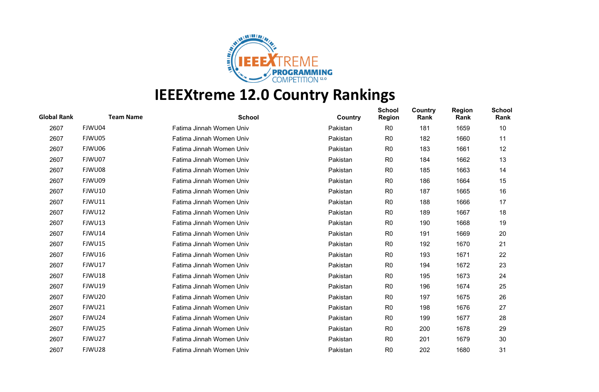

| <b>Global Rank</b> | <b>Team Name</b> | <b>School</b>            | Country  | <b>School</b><br><b>Region</b> | Country<br>Rank | <b>Region</b><br>Rank | <b>School</b><br>Rank |
|--------------------|------------------|--------------------------|----------|--------------------------------|-----------------|-----------------------|-----------------------|
| 2607               | FJWU04           | Fatima Jinnah Women Univ | Pakistan | R <sub>0</sub>                 | 181             | 1659                  | 10                    |
| 2607               | FJWU05           | Fatima Jinnah Women Univ | Pakistan | R <sub>0</sub>                 | 182             | 1660                  | 11                    |
| 2607               | FJWU06           | Fatima Jinnah Women Univ | Pakistan | R <sub>0</sub>                 | 183             | 1661                  | 12                    |
| 2607               | FJWU07           | Fatima Jinnah Women Univ | Pakistan | R <sub>0</sub>                 | 184             | 1662                  | 13                    |
| 2607               | FJWU08           | Fatima Jinnah Women Univ | Pakistan | R <sub>0</sub>                 | 185             | 1663                  | 14                    |
| 2607               | FJWU09           | Fatima Jinnah Women Univ | Pakistan | R <sub>0</sub>                 | 186             | 1664                  | 15                    |
| 2607               | FJWU10           | Fatima Jinnah Women Univ | Pakistan | R <sub>0</sub>                 | 187             | 1665                  | 16                    |
| 2607               | FJWU11           | Fatima Jinnah Women Univ | Pakistan | R <sub>0</sub>                 | 188             | 1666                  | 17                    |
| 2607               | <b>FJWU12</b>    | Fatima Jinnah Women Univ | Pakistan | R <sub>0</sub>                 | 189             | 1667                  | 18                    |
| 2607               | FJWU13           | Fatima Jinnah Women Univ | Pakistan | R <sub>0</sub>                 | 190             | 1668                  | 19                    |
| 2607               | FJWU14           | Fatima Jinnah Women Univ | Pakistan | R <sub>0</sub>                 | 191             | 1669                  | 20                    |
| 2607               | FJWU15           | Fatima Jinnah Women Univ | Pakistan | R <sub>0</sub>                 | 192             | 1670                  | 21                    |
| 2607               | FJWU16           | Fatima Jinnah Women Univ | Pakistan | R <sub>0</sub>                 | 193             | 1671                  | 22                    |
| 2607               | FJWU17           | Fatima Jinnah Women Univ | Pakistan | R <sub>0</sub>                 | 194             | 1672                  | 23                    |
| 2607               | FJWU18           | Fatima Jinnah Women Univ | Pakistan | R <sub>0</sub>                 | 195             | 1673                  | 24                    |
| 2607               | FJWU19           | Fatima Jinnah Women Univ | Pakistan | R <sub>0</sub>                 | 196             | 1674                  | 25                    |
| 2607               | FJWU20           | Fatima Jinnah Women Univ | Pakistan | R <sub>0</sub>                 | 197             | 1675                  | 26                    |
| 2607               | FJWU21           | Fatima Jinnah Women Univ | Pakistan | R <sub>0</sub>                 | 198             | 1676                  | 27                    |
| 2607               | FJWU24           | Fatima Jinnah Women Univ | Pakistan | R <sub>0</sub>                 | 199             | 1677                  | 28                    |
| 2607               | FJWU25           | Fatima Jinnah Women Univ | Pakistan | R <sub>0</sub>                 | 200             | 1678                  | 29                    |
| 2607               | FJWU27           | Fatima Jinnah Women Univ | Pakistan | R <sub>0</sub>                 | 201             | 1679                  | 30                    |
| 2607               | FJWU28           | Fatima Jinnah Women Univ | Pakistan | R <sub>0</sub>                 | 202             | 1680                  | 31                    |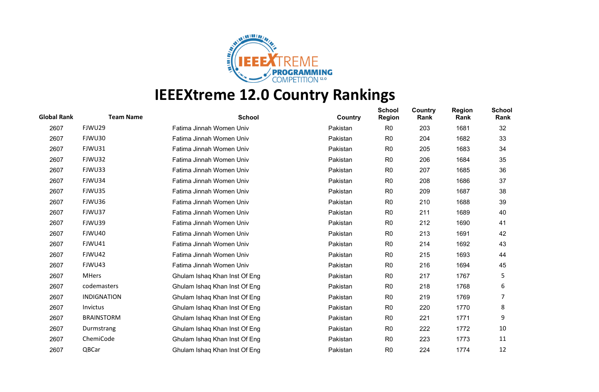

| <b>Global Rank</b> | <b>Team Name</b>   | <b>School</b>                 | Country  | <b>School</b><br><b>Region</b> | Country<br>Rank | <b>Region</b><br>Rank | <b>School</b><br>Rank |
|--------------------|--------------------|-------------------------------|----------|--------------------------------|-----------------|-----------------------|-----------------------|
| 2607               | FJWU29             | Fatima Jinnah Women Univ      | Pakistan | R <sub>0</sub>                 | 203             | 1681                  | 32                    |
| 2607               | FJWU30             | Fatima Jinnah Women Univ      | Pakistan | R <sub>0</sub>                 | 204             | 1682                  | 33                    |
| 2607               | FJWU31             | Fatima Jinnah Women Univ      | Pakistan | R <sub>0</sub>                 | 205             | 1683                  | 34                    |
| 2607               | FJWU32             | Fatima Jinnah Women Univ      | Pakistan | R <sub>0</sub>                 | 206             | 1684                  | 35                    |
| 2607               | FJWU33             | Fatima Jinnah Women Univ      | Pakistan | R <sub>0</sub>                 | 207             | 1685                  | 36                    |
| 2607               | FJWU34             | Fatima Jinnah Women Univ      | Pakistan | R <sub>0</sub>                 | 208             | 1686                  | 37                    |
| 2607               | FJWU35             | Fatima Jinnah Women Univ      | Pakistan | R <sub>0</sub>                 | 209             | 1687                  | 38                    |
| 2607               | FJWU36             | Fatima Jinnah Women Univ      | Pakistan | R <sub>0</sub>                 | 210             | 1688                  | 39                    |
| 2607               | FJWU37             | Fatima Jinnah Women Univ      | Pakistan | R <sub>0</sub>                 | 211             | 1689                  | 40                    |
| 2607               | FJWU39             | Fatima Jinnah Women Univ      | Pakistan | R <sub>0</sub>                 | 212             | 1690                  | 41                    |
| 2607               | FJWU40             | Fatima Jinnah Women Univ      | Pakistan | R <sub>0</sub>                 | 213             | 1691                  | 42                    |
| 2607               | FJWU41             | Fatima Jinnah Women Univ      | Pakistan | R <sub>0</sub>                 | 214             | 1692                  | 43                    |
| 2607               | FJWU42             | Fatima Jinnah Women Univ      | Pakistan | R <sub>0</sub>                 | 215             | 1693                  | 44                    |
| 2607               | FJWU43             | Fatima Jinnah Women Univ      | Pakistan | R <sub>0</sub>                 | 216             | 1694                  | 45                    |
| 2607               | <b>MHers</b>       | Ghulam Ishaq Khan Inst Of Eng | Pakistan | R <sub>0</sub>                 | 217             | 1767                  | 5                     |
| 2607               | codemasters        | Ghulam Ishaq Khan Inst Of Eng | Pakistan | R <sub>0</sub>                 | 218             | 1768                  | 6                     |
| 2607               | <b>INDIGNATION</b> | Ghulam Ishaq Khan Inst Of Eng | Pakistan | R <sub>0</sub>                 | 219             | 1769                  |                       |
| 2607               | Invictus           | Ghulam Ishaq Khan Inst Of Eng | Pakistan | R <sub>0</sub>                 | 220             | 1770                  | 8                     |
| 2607               | <b>BRAINSTORM</b>  | Ghulam Ishaq Khan Inst Of Eng | Pakistan | R <sub>0</sub>                 | 221             | 1771                  | 9                     |
| 2607               | Durmstrang         | Ghulam Ishaq Khan Inst Of Eng | Pakistan | R <sub>0</sub>                 | 222             | 1772                  | 10                    |
| 2607               | ChemiCode          | Ghulam Ishaq Khan Inst Of Eng | Pakistan | R <sub>0</sub>                 | 223             | 1773                  | 11                    |
| 2607               | QBCar              | Ghulam Ishaq Khan Inst Of Eng | Pakistan | R <sub>0</sub>                 | 224             | 1774                  | 12                    |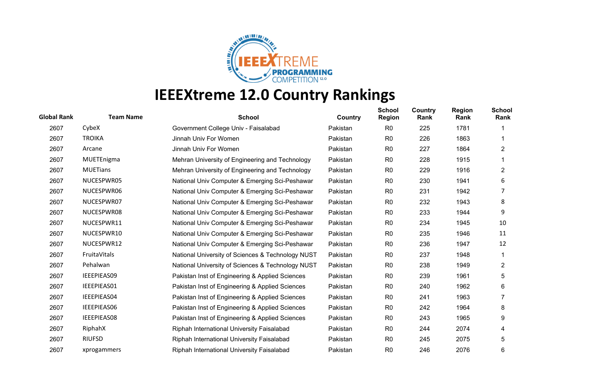

| <b>Global Rank</b> | <b>Team Name</b>   | <b>School</b>                                     | Country  | <b>School</b><br><b>Region</b> | Country<br>Rank | <b>Region</b><br>Rank | <b>School</b><br>Rank   |
|--------------------|--------------------|---------------------------------------------------|----------|--------------------------------|-----------------|-----------------------|-------------------------|
| 2607               | CybeX              | Government College Univ - Faisalabad              | Pakistan | R <sub>0</sub>                 | 225             | 1781                  |                         |
| 2607               | <b>TROIKA</b>      | Jinnah Univ For Women                             | Pakistan | R <sub>0</sub>                 | 226             | 1863                  |                         |
| 2607               | Arcane             | Jinnah Univ For Women                             | Pakistan | R <sub>0</sub>                 | 227             | 1864                  | $\overline{2}$          |
| 2607               | MUETEnigma         | Mehran University of Engineering and Technology   | Pakistan | R <sub>0</sub>                 | 228             | 1915                  |                         |
| 2607               | <b>MUETians</b>    | Mehran University of Engineering and Technology   | Pakistan | R <sub>0</sub>                 | 229             | 1916                  | $\overline{2}$          |
| 2607               | NUCESPWR05         | National Univ Computer & Emerging Sci-Peshawar    | Pakistan | R <sub>0</sub>                 | 230             | 1941                  | 6                       |
| 2607               | NUCESPWR06         | National Univ Computer & Emerging Sci-Peshawar    | Pakistan | R <sub>0</sub>                 | 231             | 1942                  | 7                       |
| 2607               | NUCESPWR07         | National Univ Computer & Emerging Sci-Peshawar    | Pakistan | R <sub>0</sub>                 | 232             | 1943                  | 8                       |
| 2607               | NUCESPWR08         | National Univ Computer & Emerging Sci-Peshawar    | Pakistan | R <sub>0</sub>                 | 233             | 1944                  | 9                       |
| 2607               | NUCESPWR11         | National Univ Computer & Emerging Sci-Peshawar    | Pakistan | R <sub>0</sub>                 | 234             | 1945                  | 10                      |
| 2607               | NUCESPWR10         | National Univ Computer & Emerging Sci-Peshawar    | Pakistan | R <sub>0</sub>                 | 235             | 1946                  | 11                      |
| 2607               | NUCESPWR12         | National Univ Computer & Emerging Sci-Peshawar    | Pakistan | R <sub>0</sub>                 | 236             | 1947                  | 12                      |
| 2607               | FruitaVitals       | National University of Sciences & Technology NUST | Pakistan | R <sub>0</sub>                 | 237             | 1948                  |                         |
| 2607               | Pehalwan           | National University of Sciences & Technology NUST | Pakistan | R <sub>0</sub>                 | 238             | 1949                  | $\overline{\mathbf{c}}$ |
| 2607               | IEEEPIEAS09        | Pakistan Inst of Engineering & Applied Sciences   | Pakistan | R <sub>0</sub>                 | 239             | 1961                  | 5                       |
| 2607               | IEEEPIEAS01        | Pakistan Inst of Engineering & Applied Sciences   | Pakistan | R <sub>0</sub>                 | 240             | 1962                  | 6                       |
| 2607               | IEEEPIEAS04        | Pakistan Inst of Engineering & Applied Sciences   | Pakistan | R <sub>0</sub>                 | 241             | 1963                  |                         |
| 2607               | IEEEPIEAS06        | Pakistan Inst of Engineering & Applied Sciences   | Pakistan | R <sub>0</sub>                 | 242             | 1964                  | 8                       |
| 2607               | <b>IEEEPIEAS08</b> | Pakistan Inst of Engineering & Applied Sciences   | Pakistan | R <sub>0</sub>                 | 243             | 1965                  | 9                       |
| 2607               | RiphahX            | Riphah International University Faisalabad        | Pakistan | R <sub>0</sub>                 | 244             | 2074                  | 4                       |
| 2607               | <b>RIUFSD</b>      | Riphah International University Faisalabad        | Pakistan | R <sub>0</sub>                 | 245             | 2075                  | 5                       |
| 2607               | xprogammers        | Riphah International University Faisalabad        | Pakistan | R <sub>0</sub>                 | 246             | 2076                  | 6                       |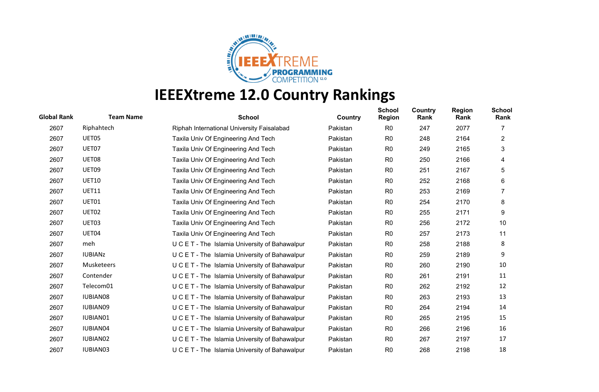

| <b>Global Rank</b> | <b>Team Name</b> | <b>School</b>                                  | Country  | <b>School</b><br><b>Region</b> | Country<br>Rank | <b>Region</b><br>Rank | <b>School</b><br>Rank |
|--------------------|------------------|------------------------------------------------|----------|--------------------------------|-----------------|-----------------------|-----------------------|
| 2607               | Riphahtech       | Riphah International University Faisalabad     | Pakistan | R <sub>0</sub>                 | 247             | 2077                  |                       |
| 2607               | UET05            | Taxila Univ Of Engineering And Tech            | Pakistan | R <sub>0</sub>                 | 248             | 2164                  | $\overline{2}$        |
| 2607               | UET07            | Taxila Univ Of Engineering And Tech            | Pakistan | R <sub>0</sub>                 | 249             | 2165                  | 3                     |
| 2607               | UET08            | Taxila Univ Of Engineering And Tech            | Pakistan | R <sub>0</sub>                 | 250             | 2166                  | 4                     |
| 2607               | UET09            | Taxila Univ Of Engineering And Tech            | Pakistan | R <sub>0</sub>                 | 251             | 2167                  | 5                     |
| 2607               | <b>UET10</b>     | Taxila Univ Of Engineering And Tech            | Pakistan | R0                             | 252             | 2168                  | 6                     |
| 2607               | <b>UET11</b>     | Taxila Univ Of Engineering And Tech            | Pakistan | R <sub>0</sub>                 | 253             | 2169                  |                       |
| 2607               | UET01            | Taxila Univ Of Engineering And Tech            | Pakistan | R <sub>0</sub>                 | 254             | 2170                  | 8                     |
| 2607               | UET02            | Taxila Univ Of Engineering And Tech            | Pakistan | R <sub>0</sub>                 | 255             | 2171                  | 9                     |
| 2607               | UET03            | Taxila Univ Of Engineering And Tech            | Pakistan | R <sub>0</sub>                 | 256             | 2172                  | 10                    |
| 2607               | UET04            | Taxila Univ Of Engineering And Tech            | Pakistan | R <sub>0</sub>                 | 257             | 2173                  | 11                    |
| 2607               | meh              | U C E T - The Islamia University of Bahawalpur | Pakistan | R <sub>0</sub>                 | 258             | 2188                  | 8                     |
| 2607               | <b>IUBIANZ</b>   | U C E T - The Islamia University of Bahawalpur | Pakistan | R <sub>0</sub>                 | 259             | 2189                  | 9                     |
| 2607               | Musketeers       | U C E T - The Islamia University of Bahawalpur | Pakistan | R <sub>0</sub>                 | 260             | 2190                  | 10                    |
| 2607               | Contender        | U C E T - The Islamia University of Bahawalpur | Pakistan | R <sub>0</sub>                 | 261             | 2191                  | 11                    |
| 2607               | Telecom01        | U C E T - The Islamia University of Bahawalpur | Pakistan | R <sub>0</sub>                 | 262             | 2192                  | 12                    |
| 2607               | IUBIAN08         | U C E T - The Islamia University of Bahawalpur | Pakistan | R <sub>0</sub>                 | 263             | 2193                  | 13                    |
| 2607               | IUBIAN09         | U C E T - The Islamia University of Bahawalpur | Pakistan | R <sub>0</sub>                 | 264             | 2194                  | 14                    |
| 2607               | IUBIAN01         | U C E T - The Islamia University of Bahawalpur | Pakistan | R <sub>0</sub>                 | 265             | 2195                  | 15                    |
| 2607               | IUBIAN04         | U C E T - The Islamia University of Bahawalpur | Pakistan | R <sub>0</sub>                 | 266             | 2196                  | 16                    |
| 2607               | IUBIAN02         | U C E T - The Islamia University of Bahawalpur | Pakistan | R <sub>0</sub>                 | 267             | 2197                  | 17                    |
| 2607               | IUBIAN03         | U C E T - The Islamia University of Bahawalpur | Pakistan | R <sub>0</sub>                 | 268             | 2198                  | 18                    |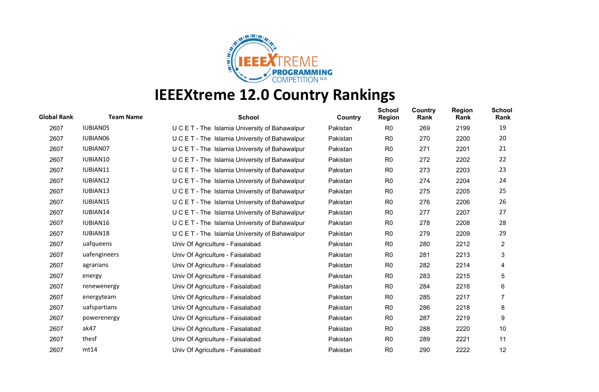

| <b>Global Rank</b> | <b>Team Name</b> | <b>School</b>                                  | Country  | <b>School</b><br><b>Region</b> | Country<br>Rank | <b>Region</b><br>Rank | <b>School</b><br>Rank |
|--------------------|------------------|------------------------------------------------|----------|--------------------------------|-----------------|-----------------------|-----------------------|
| 2607               | IUBIAN05         | U C E T - The Islamia University of Bahawalpur | Pakistan | R <sub>0</sub>                 | 269             | 2199                  | 19                    |
| 2607               | <b>IUBIAN06</b>  | U C E T - The Islamia University of Bahawalpur | Pakistan | R <sub>0</sub>                 | 270             | 2200                  | 20                    |
| 2607               | IUBIAN07         | U C E T - The Islamia University of Bahawalpur | Pakistan | R <sub>0</sub>                 | 271             | 2201                  | 21                    |
| 2607               | IUBIAN10         | U C E T - The Islamia University of Bahawalpur | Pakistan | R <sub>0</sub>                 | 272             | 2202                  | 22                    |
| 2607               | IUBIAN11         | U C E T - The Islamia University of Bahawalpur | Pakistan | R <sub>0</sub>                 | 273             | 2203                  | 23                    |
| 2607               | IUBIAN12         | U C E T - The Islamia University of Bahawalpur | Pakistan | R <sub>0</sub>                 | 274             | 2204                  | 24                    |
| 2607               | IUBIAN13         | U C E T - The Islamia University of Bahawalpur | Pakistan | R <sub>0</sub>                 | 275             | 2205                  | 25                    |
| 2607               | <b>IUBIAN15</b>  | U C E T - The Islamia University of Bahawalpur | Pakistan | R0                             | 276             | 2206                  | 26                    |
| 2607               | IUBIAN14         | U C E T - The Islamia University of Bahawalpur | Pakistan | R <sub>0</sub>                 | 277             | 2207                  | 27                    |
| 2607               | IUBIAN16         | U C E T - The Islamia University of Bahawalpur | Pakistan | R <sub>0</sub>                 | 278             | 2208                  | 28                    |
| 2607               | IUBIAN18         | U C E T - The Islamia University of Bahawalpur | Pakistan | R <sub>0</sub>                 | 279             | 2209                  | 29                    |
| 2607               | uafqueens        | Univ Of Agriculture - Faisalabad               | Pakistan | R <sub>0</sub>                 | 280             | 2212                  | $\overline{2}$        |
| 2607               | uafengineers     | Univ Of Agriculture - Faisalabad               | Pakistan | R <sub>0</sub>                 | 281             | 2213                  | 3                     |
| 2607               | agrarians        | Univ Of Agriculture - Faisalabad               | Pakistan | R <sub>0</sub>                 | 282             | 2214                  | 4                     |
| 2607               | energy           | Univ Of Agriculture - Faisalabad               | Pakistan | R <sub>0</sub>                 | 283             | 2215                  | 5                     |
| 2607               | renewenergy      | Univ Of Agriculture - Faisalabad               | Pakistan | R <sub>0</sub>                 | 284             | 2216                  | 6                     |
| 2607               | energyteam       | Univ Of Agriculture - Faisalabad               | Pakistan | R <sub>0</sub>                 | 285             | 2217                  | 7                     |
| 2607               | uafspartians     | Univ Of Agriculture - Faisalabad               | Pakistan | R <sub>0</sub>                 | 286             | 2218                  | 8                     |
| 2607               | powerenergy      | Univ Of Agriculture - Faisalabad               | Pakistan | R <sub>0</sub>                 | 287             | 2219                  | 9                     |
| 2607               | ak47             | Univ Of Agriculture - Faisalabad               | Pakistan | R <sub>0</sub>                 | 288             | 2220                  | 10                    |
| 2607               | thesf            | Univ Of Agriculture - Faisalabad               | Pakistan | R0                             | 289             | 2221                  | 11                    |
| 2607               | mt14             | Univ Of Agriculture - Faisalabad               | Pakistan | R <sub>0</sub>                 | 290             | 2222                  | 12                    |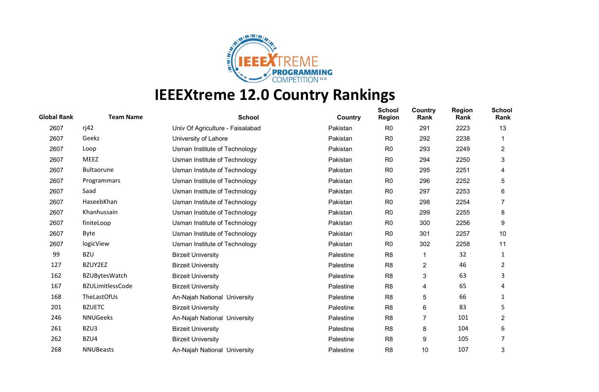

| <b>Global Rank</b> | <b>Team Name</b>        | <b>School</b>                    | Country   | <b>School</b><br><b>Region</b> | Country<br>Rank | <b>Region</b><br>Rank | <b>School</b><br>Rank |
|--------------------|-------------------------|----------------------------------|-----------|--------------------------------|-----------------|-----------------------|-----------------------|
| 2607               | ri42                    | Univ Of Agriculture - Faisalabad | Pakistan  | R <sub>0</sub>                 | 291             | 2223                  | 13                    |
| 2607               | Geekz                   | University of Lahore             | Pakistan  | R <sub>0</sub>                 | 292             | 2238                  |                       |
| 2607               | Loop                    | Usman Institute of Technology    | Pakistan  | R <sub>0</sub>                 | 293             | 2249                  | $\overline{2}$        |
| 2607               | <b>MEEZ</b>             | Usman Institute of Technology    | Pakistan  | R <sub>0</sub>                 | 294             | 2250                  | 3                     |
| 2607               | <b>Bultaorune</b>       | Usman Institute of Technology    | Pakistan  | R <sub>0</sub>                 | 295             | 2251                  | 4                     |
| 2607               | Programmars             | Usman Institute of Technology    | Pakistan  | R <sub>0</sub>                 | 296             | 2252                  | 5                     |
| 2607               | Saad                    | Usman Institute of Technology    | Pakistan  | R <sub>0</sub>                 | 297             | 2253                  | 6                     |
| 2607               | HaseebKhan              | Usman Institute of Technology    | Pakistan  | R <sub>0</sub>                 | 298             | 2254                  | 7                     |
| 2607               | Khanhussain             | Usman Institute of Technology    | Pakistan  | R <sub>0</sub>                 | 299             | 2255                  | 8                     |
| 2607               | finiteLoop              | Usman Institute of Technology    | Pakistan  | R <sub>0</sub>                 | 300             | 2256                  | 9                     |
| 2607               | Byte                    | Usman Institute of Technology    | Pakistan  | R <sub>0</sub>                 | 301             | 2257                  | 10                    |
| 2607               | logicView               | Usman Institute of Technology    | Pakistan  | R <sub>0</sub>                 | 302             | 2258                  | 11                    |
| 99                 | <b>BZU</b>              | <b>Birzeit University</b>        | Palestine | R <sub>8</sub>                 | 1               | 32                    | 1                     |
| 127                | BZUY2EZ                 | <b>Birzeit University</b>        | Palestine | R <sub>8</sub>                 | $\overline{c}$  | 46                    | 2                     |
| 162                | <b>BZUBytesWatch</b>    | <b>Birzeit University</b>        | Palestine | R <sub>8</sub>                 | 3               | 63                    | 3                     |
| 167                | <b>BZULimitlessCode</b> | <b>Birzeit University</b>        | Palestine | R <sub>8</sub>                 | 4               | 65                    | 4                     |
| 168                | TheLastOfUs             | An-Najah National University     | Palestine | R <sub>8</sub>                 | 5               | 66                    | 1                     |
| 201                | <b>BZUETC</b>           | <b>Birzeit University</b>        | Palestine | R <sub>8</sub>                 | 6               | 83                    | 5                     |
| 246                | <b>NNUGeeks</b>         | An-Najah National University     | Palestine | R <sub>8</sub>                 | 7               | 101                   | $\overline{2}$        |
| 261                | BZU3                    | <b>Birzeit University</b>        | Palestine | R <sub>8</sub>                 | 8               | 104                   | 6                     |
| 262                | BZU4                    | <b>Birzeit University</b>        | Palestine | R <sub>8</sub>                 | 9               | 105                   |                       |
| 268                | <b>NNUBeasts</b>        | An-Najah National University     | Palestine | R <sub>8</sub>                 | 10              | 107                   | 3                     |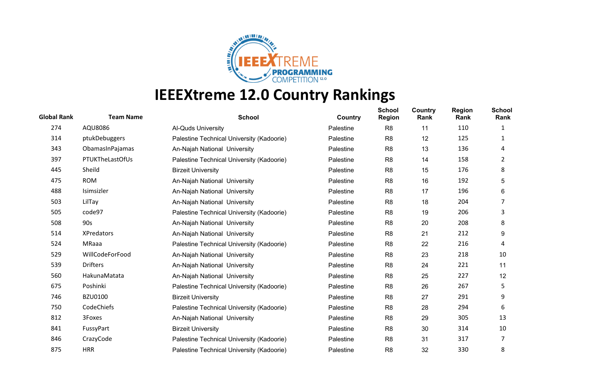

| <b>Global Rank</b> | <b>Team Name</b>  | <b>School</b>                             | Country   | <b>School</b><br><b>Region</b> | Country<br>Rank | <b>Region</b><br>Rank | <b>School</b><br>Rank |
|--------------------|-------------------|-------------------------------------------|-----------|--------------------------------|-----------------|-----------------------|-----------------------|
| 274                | AQU8086           | <b>Al-Quds University</b>                 | Palestine | R <sub>8</sub>                 | 11              | 110                   | 1                     |
| 314                | ptukDebuggers     | Palestine Technical University (Kadoorie) | Palestine | R <sub>8</sub>                 | 12              | 125                   | 1                     |
| 343                | ObamasInPajamas   | An-Najah National University              | Palestine | R <sub>8</sub>                 | 13              | 136                   | 4                     |
| 397                | PTUKTheLastOfUs   | Palestine Technical University (Kadoorie) | Palestine | R <sub>8</sub>                 | 14              | 158                   | 2                     |
| 445                | Sheild            | <b>Birzeit University</b>                 | Palestine | R <sub>8</sub>                 | 15              | 176                   | 8                     |
| 475                | <b>ROM</b>        | An-Najah National University              | Palestine | R <sub>8</sub>                 | 16              | 192                   | 5                     |
| 488                | Isimsizler        | An-Najah National University              | Palestine | R <sub>8</sub>                 | 17              | 196                   | 6                     |
| 503                | LilTay            | An-Najah National University              | Palestine | R <sub>8</sub>                 | 18              | 204                   | 7                     |
| 505                | code97            | Palestine Technical University (Kadoorie) | Palestine | R <sub>8</sub>                 | 19              | 206                   | 3                     |
| 508                | 90s               | An-Najah National University              | Palestine | R <sub>8</sub>                 | 20              | 208                   | 8                     |
| 514                | <b>XPredators</b> | An-Najah National University              | Palestine | R <sub>8</sub>                 | 21              | 212                   | 9                     |
| 524                | MRaaa             | Palestine Technical University (Kadoorie) | Palestine | R <sub>8</sub>                 | 22              | 216                   | 4                     |
| 529                | WillCodeForFood   | An-Najah National University              | Palestine | R <sub>8</sub>                 | 23              | 218                   | 10                    |
| 539                | <b>Drifters</b>   | An-Najah National University              | Palestine | R <sub>8</sub>                 | 24              | 221                   | 11                    |
| 560                | HakunaMatata      | An-Najah National University              | Palestine | R <sub>8</sub>                 | 25              | 227                   | 12                    |
| 675                | Poshinki          | Palestine Technical University (Kadoorie) | Palestine | R <sub>8</sub>                 | 26              | 267                   | 5                     |
| 746                | <b>BZU0100</b>    | <b>Birzeit University</b>                 | Palestine | R <sub>8</sub>                 | 27              | 291                   | 9                     |
| 750                | CodeChiefs        | Palestine Technical University (Kadoorie) | Palestine | R <sub>8</sub>                 | 28              | 294                   | 6                     |
| 812                | 3Foxes            | An-Najah National University              | Palestine | R <sub>8</sub>                 | 29              | 305                   | 13                    |
| 841                | FussyPart         | <b>Birzeit University</b>                 | Palestine | R <sub>8</sub>                 | 30              | 314                   | 10                    |
| 846                | CrazyCode         | Palestine Technical University (Kadoorie) | Palestine | R <sub>8</sub>                 | 31              | 317                   | 7                     |
| 875                | <b>HRR</b>        | Palestine Technical University (Kadoorie) | Palestine | R <sub>8</sub>                 | 32              | 330                   | 8                     |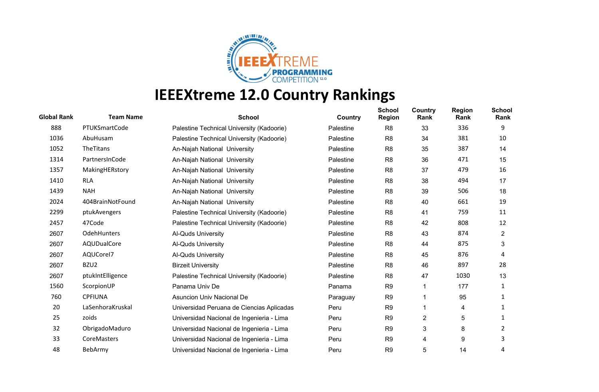

| <b>Global Rank</b> | <b>Team Name</b>   | <b>School</b>                             | Country   | <b>School</b><br><b>Region</b> | Country<br>Rank | <b>Region</b><br>Rank | <b>School</b><br>Rank |
|--------------------|--------------------|-------------------------------------------|-----------|--------------------------------|-----------------|-----------------------|-----------------------|
| 888                | PTUKSmartCode      | Palestine Technical University (Kadoorie) | Palestine | R <sub>8</sub>                 | 33              | 336                   | 9                     |
| 1036               | AbuHusam           | Palestine Technical University (Kadoorie) | Palestine | R <sub>8</sub>                 | 34              | 381                   | 10                    |
| 1052               | TheTitans          | An-Najah National University              | Palestine | R <sub>8</sub>                 | 35              | 387                   | 14                    |
| 1314               | PartnersInCode     | An-Najah National University              | Palestine | R <sub>8</sub>                 | 36              | 471                   | 15                    |
| 1357               | MakingHERstory     | An-Najah National University              | Palestine | R <sub>8</sub>                 | 37              | 479                   | 16                    |
| 1410               | <b>RLA</b>         | An-Najah National University              | Palestine | R <sub>8</sub>                 | 38              | 494                   | 17                    |
| 1439               | <b>NAH</b>         | An-Najah National University              | Palestine | R <sub>8</sub>                 | 39              | 506                   | 18                    |
| 2024               | 404BrainNotFound   | An-Najah National University              | Palestine | R <sub>8</sub>                 | 40              | 661                   | 19                    |
| 2299               | ptukAvengers       | Palestine Technical University (Kadoorie) | Palestine | R <sub>8</sub>                 | 41              | 759                   | 11                    |
| 2457               | 47Code             | Palestine Technical University (Kadoorie) | Palestine | R <sub>8</sub>                 | 42              | 808                   | 12                    |
| 2607               | <b>OdehHunters</b> | Al-Quds University                        | Palestine | R <sub>8</sub>                 | 43              | 874                   | $\overline{2}$        |
| 2607               | AQUDualCore        | Al-Quds University                        | Palestine | R <sub>8</sub>                 | 44              | 875                   | 3                     |
| 2607               | AQUCorel7          | <b>Al-Quds University</b>                 | Palestine | R <sub>8</sub>                 | 45              | 876                   | 4                     |
| 2607               | BZU2               | <b>Birzeit University</b>                 | Palestine | R <sub>8</sub>                 | 46              | 897                   | 28                    |
| 2607               | ptukIntElligence   | Palestine Technical University (Kadoorie) | Palestine | R <sub>8</sub>                 | 47              | 1030                  | 13                    |
| 1560               | ScorpionUP         | Panama Univ De                            | Panama    | R <sub>9</sub>                 |                 | 177                   | 1                     |
| 760                | <b>CPFIUNA</b>     | <b>Asuncion Univ Nacional De</b>          | Paraguay  | R <sub>9</sub>                 | 1               | 95                    | 1                     |
| 20                 | LaSenhoraKruskal   | Universidad Peruana de Ciencias Aplicadas | Peru      | R <sub>9</sub>                 |                 | 4                     | 1                     |
| 25                 | zoids              | Universidad Nacional de Ingenieria - Lima | Peru      | R <sub>9</sub>                 | $\overline{c}$  | 5                     | 1                     |
| 32                 | ObrigadoMaduro     | Universidad Nacional de Ingenieria - Lima | Peru      | R <sub>9</sub>                 | 3               | 8                     | 2                     |
| 33                 | CoreMasters        | Universidad Nacional de Ingenieria - Lima | Peru      | R <sub>9</sub>                 | 4               | 9                     | 3                     |
| 48                 | BebArmy            | Universidad Nacional de Ingenieria - Lima | Peru      | R <sub>9</sub>                 | 5               | 14                    | 4                     |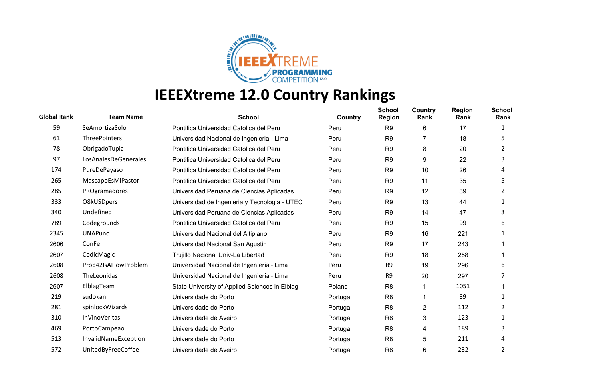

| <b>Global Rank</b> | <b>Team Name</b>     | <b>School</b>                                  | Country  | <b>School</b><br><b>Region</b> | Country<br>Rank | <b>Region</b><br>Rank | <b>School</b><br>Rank |
|--------------------|----------------------|------------------------------------------------|----------|--------------------------------|-----------------|-----------------------|-----------------------|
| 59                 | SeAmortizaSolo       | Pontifica Universidad Catolica del Peru        | Peru     | R <sub>9</sub>                 | 6               | 17                    |                       |
| 61                 | <b>ThreePointers</b> | Universidad Nacional de Ingenieria - Lima      | Peru     | R <sub>9</sub>                 |                 | 18                    | 5.                    |
| 78                 | ObrigadoTupia        | Pontifica Universidad Catolica del Peru        | Peru     | R <sub>9</sub>                 | 8               | 20                    | 2                     |
| 97                 | LosAnalesDeGenerales | Pontifica Universidad Catolica del Peru        | Peru     | R <sub>9</sub>                 | 9               | 22                    | 3                     |
| 174                | PureDePayaso         | Pontifica Universidad Catolica del Peru        | Peru     | R <sub>9</sub>                 | 10              | 26                    | 4                     |
| 265                | MascapoEsMiPastor    | Pontifica Universidad Catolica del Peru        | Peru     | R <sub>9</sub>                 | 11              | 35                    | 5                     |
| 285                | PROgramadores        | Universidad Peruana de Ciencias Aplicadas      | Peru     | R <sub>9</sub>                 | 12              | 39                    | 2                     |
| 333                | O8kUSDpers           | Universidad de Ingenieria y Tecnologia - UTEC  | Peru     | R <sub>9</sub>                 | 13              | 44                    | 1                     |
| 340                | Undefined            | Universidad Peruana de Ciencias Aplicadas      | Peru     | R <sub>9</sub>                 | 14              | 47                    | 3                     |
| 789                | Codegrounds          | Pontifica Universidad Catolica del Peru        | Peru     | R <sub>9</sub>                 | 15              | 99                    | 6                     |
| 2345               | <b>UNAPuno</b>       | Universidad Nacional del Altiplano             | Peru     | R <sub>9</sub>                 | 16              | 221                   |                       |
| 2606               | ConFe                | Universidad Nacional San Agustin               | Peru     | R <sub>9</sub>                 | 17              | 243                   |                       |
| 2607               | CodicMagic           | Trujillo Nacional Univ-La Libertad             | Peru     | R <sub>9</sub>                 | 18              | 258                   |                       |
| 2608               | Prob42IsAFlowProblem | Universidad Nacional de Ingenieria - Lima      | Peru     | R <sub>9</sub>                 | 19              | 296                   | 6                     |
| 2608               | TheLeonidas          | Universidad Nacional de Ingenieria - Lima      | Peru     | R <sub>9</sub>                 | 20              | 297                   |                       |
| 2607               | ElblagTeam           | State University of Applied Sciences in Elblag | Poland   | R <sub>8</sub>                 | 1               | 1051                  |                       |
| 219                | sudokan              | Universidade do Porto                          | Portugal | R <sub>8</sub>                 | 1               | 89                    |                       |
| 281                | spinlockWizards      | Universidade do Porto                          | Portugal | R <sub>8</sub>                 | $\overline{c}$  | 112                   | 2                     |
| 310                | <b>InVinoVeritas</b> | Universidade de Aveiro                         | Portugal | R <sub>8</sub>                 | 3               | 123                   |                       |
| 469                | PortoCampeao         | Universidade do Porto                          | Portugal | R <sub>8</sub>                 | 4               | 189                   | 3                     |
| 513                | InvalidNameException | Universidade do Porto                          | Portugal | R <sub>8</sub>                 | 5               | 211                   | 4                     |
| 572                | UnitedByFreeCoffee   | Universidade de Aveiro                         | Portugal | R <sub>8</sub>                 | 6               | 232                   | 2                     |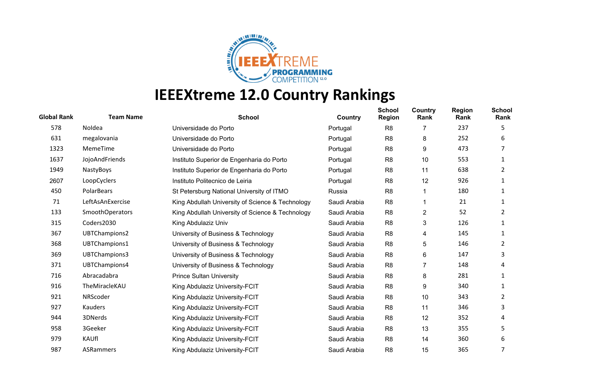

| <b>Global Rank</b> | <b>Team Name</b>       | <b>School</b>                                    | Country      | <b>School</b><br><b>Region</b> | Country<br>Rank         | <b>Region</b><br>Rank | <b>School</b><br>Rank |
|--------------------|------------------------|--------------------------------------------------|--------------|--------------------------------|-------------------------|-----------------------|-----------------------|
| 578                | Noldea                 | Universidade do Porto                            | Portugal     | R <sub>8</sub>                 | 7                       | 237                   | 5                     |
| 631                | megalovania            | Universidade do Porto                            | Portugal     | R <sub>8</sub>                 | 8                       | 252                   | 6                     |
| 1323               | MemeTime               | Universidade do Porto                            | Portugal     | R <sub>8</sub>                 | 9                       | 473                   |                       |
| 1637               | JojoAndFriends         | Instituto Superior de Engenharia do Porto        | Portugal     | R <sub>8</sub>                 | 10                      | 553                   | 1                     |
| 1949               | NastyBoys              | Instituto Superior de Engenharia do Porto        | Portugal     | R <sub>8</sub>                 | 11                      | 638                   | 2                     |
| 2607               | LoopCyclers            | Instituto Politecnico de Leiria                  | Portugal     | R <sub>8</sub>                 | 12                      | 926                   | 1                     |
| 450                | <b>PolarBears</b>      | St Petersburg National University of ITMO        | Russia       | R <sub>8</sub>                 | 1                       | 180                   |                       |
| 71                 | LeftAsAnExercise       | King Abdullah University of Science & Technology | Saudi Arabia | R <sub>8</sub>                 | 1                       | 21                    | 1                     |
| 133                | <b>SmoothOperators</b> | King Abdullah University of Science & Technology | Saudi Arabia | R <sub>8</sub>                 | $\overline{\mathbf{c}}$ | 52                    | 2                     |
| 315                | Coders2030             | King Abdulaziz Univ                              | Saudi Arabia | R <sub>8</sub>                 | 3                       | 126                   |                       |
| 367                | UBTChampions2          | University of Business & Technology              | Saudi Arabia | R <sub>8</sub>                 | 4                       | 145                   | 1                     |
| 368                | UBTChampions1          | University of Business & Technology              | Saudi Arabia | R <sub>8</sub>                 | 5                       | 146                   | 2                     |
| 369                | UBTChampions3          | University of Business & Technology              | Saudi Arabia | R <sub>8</sub>                 | 6                       | 147                   | 3                     |
| 371                | UBTChampions4          | University of Business & Technology              | Saudi Arabia | R <sub>8</sub>                 | 7                       | 148                   | 4                     |
| 716                | Abracadabra            | <b>Prince Sultan University</b>                  | Saudi Arabia | R <sub>8</sub>                 | 8                       | 281                   | 1                     |
| 916                | TheMiracleKAU          | King Abdulaziz University-FCIT                   | Saudi Arabia | R <sub>8</sub>                 | 9                       | 340                   | 1                     |
| 921                | NRScoder               | King Abdulaziz University-FCIT                   | Saudi Arabia | R <sub>8</sub>                 | 10                      | 343                   | 2                     |
| 927                | Kauders                | King Abdulaziz University-FCIT                   | Saudi Arabia | R <sub>8</sub>                 | 11                      | 346                   | 3                     |
| 944                | 3DNerds                | King Abdulaziz University-FCIT                   | Saudi Arabia | R <sub>8</sub>                 | 12                      | 352                   | 4                     |
| 958                | 3Geeker                | King Abdulaziz University-FCIT                   | Saudi Arabia | R <sub>8</sub>                 | 13                      | 355                   | 5                     |
| 979                | KAUfl                  | King Abdulaziz University-FCIT                   | Saudi Arabia | R <sub>8</sub>                 | 14                      | 360                   | 6                     |
| 987                | <b>ASRammers</b>       | King Abdulaziz University-FCIT                   | Saudi Arabia | R <sub>8</sub>                 | 15                      | 365                   | 7                     |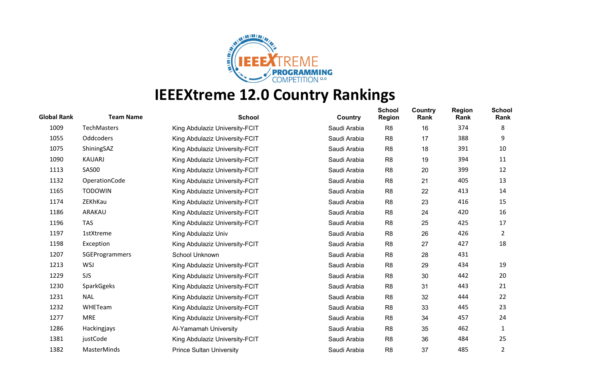

| <b>Global Rank</b> | <b>Team Name</b>      | <b>School</b>                   | Country      | <b>School</b><br><b>Region</b> | Country<br>Rank | <b>Region</b><br>Rank | <b>School</b><br>Rank |
|--------------------|-----------------------|---------------------------------|--------------|--------------------------------|-----------------|-----------------------|-----------------------|
| 1009               | <b>TechMasters</b>    | King Abdulaziz University-FCIT  | Saudi Arabia | R <sub>8</sub>                 | 16              | 374                   | 8                     |
| 1055               | Oddcoders             | King Abdulaziz University-FCIT  | Saudi Arabia | R <sub>8</sub>                 | 17              | 388                   | 9                     |
| 1075               | ShiningSAZ            | King Abdulaziz University-FCIT  | Saudi Arabia | R <sub>8</sub>                 | 18              | 391                   | 10                    |
| 1090               | <b>KAUARJ</b>         | King Abdulaziz University-FCIT  | Saudi Arabia | R <sub>8</sub>                 | 19              | 394                   | 11                    |
| 1113               | SAS00                 | King Abdulaziz University-FCIT  | Saudi Arabia | R <sub>8</sub>                 | 20              | 399                   | 12                    |
| 1132               | OperationCode         | King Abdulaziz University-FCIT  | Saudi Arabia | R <sub>8</sub>                 | 21              | 405                   | 13                    |
| 1165               | <b>TODOWIN</b>        | King Abdulaziz University-FCIT  | Saudi Arabia | R <sub>8</sub>                 | 22              | 413                   | 14                    |
| 1174               | ZEKhKau               | King Abdulaziz University-FCIT  | Saudi Arabia | R <sub>8</sub>                 | 23              | 416                   | 15                    |
| 1186               | ARAKAU                | King Abdulaziz University-FCIT  | Saudi Arabia | R <sub>8</sub>                 | 24              | 420                   | 16                    |
| 1196               | <b>TAS</b>            | King Abdulaziz University-FCIT  | Saudi Arabia | R <sub>8</sub>                 | 25              | 425                   | 17                    |
| 1197               | <b>1stXtreme</b>      | King Abdulaziz Univ             | Saudi Arabia | R <sub>8</sub>                 | 26              | 426                   | 2                     |
| 1198               | Exception             | King Abdulaziz University-FCIT  | Saudi Arabia | R <sub>8</sub>                 | 27              | 427                   | 18                    |
| 1207               | <b>SGEProgrammers</b> | School Unknown                  | Saudi Arabia | R <sub>8</sub>                 | 28              | 431                   |                       |
| 1213               | <b>WSJ</b>            | King Abdulaziz University-FCIT  | Saudi Arabia | R <sub>8</sub>                 | 29              | 434                   | 19                    |
| 1229               | <b>SJS</b>            | King Abdulaziz University-FCIT  | Saudi Arabia | R <sub>8</sub>                 | 30              | 442                   | 20                    |
| 1230               | SparkGgeks            | King Abdulaziz University-FCIT  | Saudi Arabia | R <sub>8</sub>                 | 31              | 443                   | 21                    |
| 1231               | <b>NAL</b>            | King Abdulaziz University-FCIT  | Saudi Arabia | R <sub>8</sub>                 | 32              | 444                   | 22                    |
| 1232               | WHETeam               | King Abdulaziz University-FCIT  | Saudi Arabia | R <sub>8</sub>                 | 33              | 445                   | 23                    |
| 1277               | <b>MRE</b>            | King Abdulaziz University-FCIT  | Saudi Arabia | R <sub>8</sub>                 | 34              | 457                   | 24                    |
| 1286               | Hackingjays           | Al-Yamamah University           | Saudi Arabia | R <sub>8</sub>                 | 35              | 462                   | 1                     |
| 1381               | justCode              | King Abdulaziz University-FCIT  | Saudi Arabia | R <sub>8</sub>                 | 36              | 484                   | 25                    |
| 1382               | <b>MasterMinds</b>    | <b>Prince Sultan University</b> | Saudi Arabia | R <sub>8</sub>                 | 37              | 485                   | 2                     |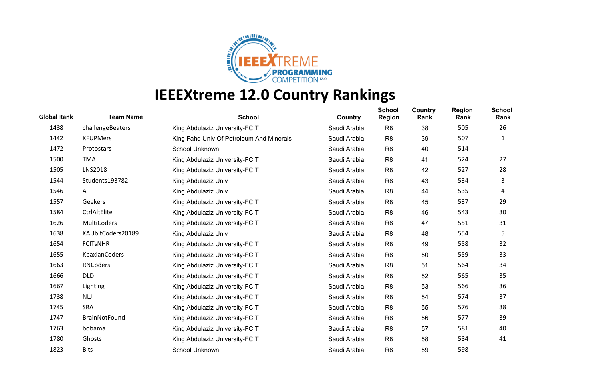

| <b>Global Rank</b> | <b>Team Name</b>     | <b>School</b>                            | Country      | <b>School</b><br><b>Region</b> | Country<br>Rank | <b>Region</b><br>Rank | <b>School</b><br>Rank |
|--------------------|----------------------|------------------------------------------|--------------|--------------------------------|-----------------|-----------------------|-----------------------|
| 1438               | challengeBeaters     | King Abdulaziz University-FCIT           | Saudi Arabia | R <sub>8</sub>                 | 38              | 505                   | 26                    |
| 1442               | <b>KFUPMers</b>      | King Fahd Univ Of Petroleum And Minerals | Saudi Arabia | R <sub>8</sub>                 | 39              | 507                   | 1                     |
| 1472               | Protostars           | School Unknown                           | Saudi Arabia | R <sub>8</sub>                 | 40              | 514                   |                       |
| 1500               | <b>TMA</b>           | King Abdulaziz University-FCIT           | Saudi Arabia | R <sub>8</sub>                 | 41              | 524                   | 27                    |
| 1505               | <b>LNS2018</b>       | King Abdulaziz University-FCIT           | Saudi Arabia | R <sub>8</sub>                 | 42              | 527                   | 28                    |
| 1544               | Students193782       | King Abdulaziz Univ                      | Saudi Arabia | R <sub>8</sub>                 | 43              | 534                   | 3                     |
| 1546               | A                    | King Abdulaziz Univ                      | Saudi Arabia | R <sub>8</sub>                 | 44              | 535                   | 4                     |
| 1557               | Geekers              | King Abdulaziz University-FCIT           | Saudi Arabia | R <sub>8</sub>                 | 45              | 537                   | 29                    |
| 1584               | CtrlAltElite         | King Abdulaziz University-FCIT           | Saudi Arabia | R <sub>8</sub>                 | 46              | 543                   | 30                    |
| 1626               | <b>MultiCoders</b>   | King Abdulaziz University-FCIT           | Saudi Arabia | R <sub>8</sub>                 | 47              | 551                   | 31                    |
| 1638               | KAUbitCoders20189    | King Abdulaziz Univ                      | Saudi Arabia | R <sub>8</sub>                 | 48              | 554                   | 5                     |
| 1654               | <b>FCITSNHR</b>      | King Abdulaziz University-FCIT           | Saudi Arabia | R <sub>8</sub>                 | 49              | 558                   | 32                    |
| 1655               | <b>KpaxianCoders</b> | King Abdulaziz University-FCIT           | Saudi Arabia | R <sub>8</sub>                 | 50              | 559                   | 33                    |
| 1663               | <b>RNCoders</b>      | King Abdulaziz University-FCIT           | Saudi Arabia | R <sub>8</sub>                 | 51              | 564                   | 34                    |
| 1666               | <b>DLD</b>           | King Abdulaziz University-FCIT           | Saudi Arabia | R <sub>8</sub>                 | 52              | 565                   | 35                    |
| 1667               | Lighting             | King Abdulaziz University-FCIT           | Saudi Arabia | R <sub>8</sub>                 | 53              | 566                   | 36                    |
| 1738               | NLJ                  | King Abdulaziz University-FCIT           | Saudi Arabia | R <sub>8</sub>                 | 54              | 574                   | 37                    |
| 1745               | <b>SRA</b>           | King Abdulaziz University-FCIT           | Saudi Arabia | R <sub>8</sub>                 | 55              | 576                   | 38                    |
| 1747               | <b>BrainNotFound</b> | King Abdulaziz University-FCIT           | Saudi Arabia | R <sub>8</sub>                 | 56              | 577                   | 39                    |
| 1763               | bobama               | King Abdulaziz University-FCIT           | Saudi Arabia | R <sub>8</sub>                 | 57              | 581                   | 40                    |
| 1780               | Ghosts               | King Abdulaziz University-FCIT           | Saudi Arabia | R <sub>8</sub>                 | 58              | 584                   | 41                    |
| 1823               | <b>Bits</b>          | School Unknown                           | Saudi Arabia | R <sub>8</sub>                 | 59              | 598                   |                       |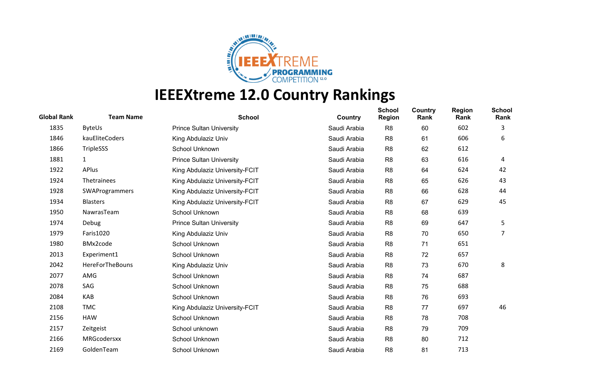

| <b>Global Rank</b> | <b>Team Name</b> | <b>School</b>                   | Country      | <b>School</b><br><b>Region</b> | Country<br>Rank | <b>Region</b><br>Rank | <b>School</b><br>Rank |
|--------------------|------------------|---------------------------------|--------------|--------------------------------|-----------------|-----------------------|-----------------------|
| 1835               | <b>ByteUs</b>    | <b>Prince Sultan University</b> | Saudi Arabia | R <sub>8</sub>                 | 60              | 602                   | 3                     |
| 1846               | kauEliteCoders   | King Abdulaziz Univ             | Saudi Arabia | R <sub>8</sub>                 | 61              | 606                   | 6                     |
| 1866               | TripleSSS        | School Unknown                  | Saudi Arabia | R <sub>8</sub>                 | 62              | 612                   |                       |
| 1881               | $\mathbf{1}$     | <b>Prince Sultan University</b> | Saudi Arabia | R <sub>8</sub>                 | 63              | 616                   | 4                     |
| 1922               | APlus            | King Abdulaziz University-FCIT  | Saudi Arabia | R <sub>8</sub>                 | 64              | 624                   | 42                    |
| 1924               | Thetrainees      | King Abdulaziz University-FCIT  | Saudi Arabia | R <sub>8</sub>                 | 65              | 626                   | 43                    |
| 1928               | SWAProgrammers   | King Abdulaziz University-FCIT  | Saudi Arabia | R <sub>8</sub>                 | 66              | 628                   | 44                    |
| 1934               | <b>Blasters</b>  | King Abdulaziz University-FCIT  | Saudi Arabia | R <sub>8</sub>                 | 67              | 629                   | 45                    |
| 1950               | NawrasTeam       | School Unknown                  | Saudi Arabia | R <sub>8</sub>                 | 68              | 639                   |                       |
| 1974               | Debug            | <b>Prince Sultan University</b> | Saudi Arabia | R <sub>8</sub>                 | 69              | 647                   | 5                     |
| 1979               | Faris1020        | King Abdulaziz Univ             | Saudi Arabia | R <sub>8</sub>                 | 70              | 650                   | 7                     |
| 1980               | BMx2code         | School Unknown                  | Saudi Arabia | R <sub>8</sub>                 | 71              | 651                   |                       |
| 2013               | Experiment1      | School Unknown                  | Saudi Arabia | R <sub>8</sub>                 | 72              | 657                   |                       |
| 2042               | HereForTheBouns  | King Abdulaziz Univ             | Saudi Arabia | R <sub>8</sub>                 | 73              | 670                   | 8                     |
| 2077               | AMG              | School Unknown                  | Saudi Arabia | R <sub>8</sub>                 | 74              | 687                   |                       |
| 2078               | SAG              | School Unknown                  | Saudi Arabia | R <sub>8</sub>                 | 75              | 688                   |                       |
| 2084               | <b>KAB</b>       | School Unknown                  | Saudi Arabia | R <sub>8</sub>                 | 76              | 693                   |                       |
| 2108               | <b>TMC</b>       | King Abdulaziz University-FCIT  | Saudi Arabia | R <sub>8</sub>                 | 77              | 697                   | 46                    |
| 2156               | <b>HAW</b>       | School Unknown                  | Saudi Arabia | R <sub>8</sub>                 | 78              | 708                   |                       |
| 2157               | Zeitgeist        | School unknown                  | Saudi Arabia | R <sub>8</sub>                 | 79              | 709                   |                       |
| 2166               | MRGcodersxx      | School Unknown                  | Saudi Arabia | R <sub>8</sub>                 | 80              | 712                   |                       |
| 2169               | GoldenTeam       | School Unknown                  | Saudi Arabia | R <sub>8</sub>                 | 81              | 713                   |                       |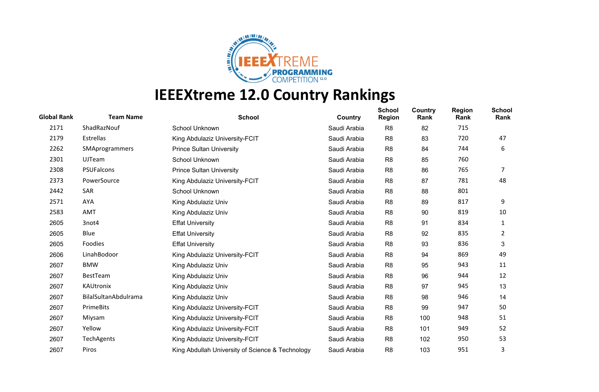

| <b>Global Rank</b> | <b>Team Name</b>     | <b>School</b>                                    | Country      | <b>School</b><br><b>Region</b> | Country<br>Rank | <b>Region</b><br>Rank | <b>School</b><br>Rank |
|--------------------|----------------------|--------------------------------------------------|--------------|--------------------------------|-----------------|-----------------------|-----------------------|
| 2171               | ShadRazNouf          | School Unknown                                   | Saudi Arabia | R <sub>8</sub>                 | 82              | 715                   |                       |
| 2179               | Estrellas            | King Abdulaziz University-FCIT                   | Saudi Arabia | R <sub>8</sub>                 | 83              | 720                   | 47                    |
| 2262               | SMAprogrammers       | <b>Prince Sultan University</b>                  | Saudi Arabia | R <sub>8</sub>                 | 84              | 744                   | 6                     |
| 2301               | <b>UJTeam</b>        | School Unknown                                   | Saudi Arabia | R <sub>8</sub>                 | 85              | 760                   |                       |
| 2308               | PSUFalcons           | <b>Prince Sultan University</b>                  | Saudi Arabia | R <sub>8</sub>                 | 86              | 765                   | 7                     |
| 2373               | PowerSource          | King Abdulaziz University-FCIT                   | Saudi Arabia | R <sub>8</sub>                 | 87              | 781                   | 48                    |
| 2442               | <b>SAR</b>           | School Unknown                                   | Saudi Arabia | R <sub>8</sub>                 | 88              | 801                   |                       |
| 2571               | AYA                  | King Abdulaziz Univ                              | Saudi Arabia | R <sub>8</sub>                 | 89              | 817                   | 9                     |
| 2583               | AMT                  | King Abdulaziz Univ                              | Saudi Arabia | R <sub>8</sub>                 | 90              | 819                   | 10                    |
| 2605               | 3not4                | <b>Effat University</b>                          | Saudi Arabia | R <sub>8</sub>                 | 91              | 834                   | 1                     |
| 2605               | Blue                 | <b>Effat University</b>                          | Saudi Arabia | R <sub>8</sub>                 | 92              | 835                   | 2                     |
| 2605               | Foodies              | <b>Effat University</b>                          | Saudi Arabia | R <sub>8</sub>                 | 93              | 836                   | 3                     |
| 2606               | LinahBodoor          | King Abdulaziz University-FCIT                   | Saudi Arabia | R <sub>8</sub>                 | 94              | 869                   | 49                    |
| 2607               | <b>BMW</b>           | King Abdulaziz Univ                              | Saudi Arabia | R <sub>8</sub>                 | 95              | 943                   | 11                    |
| 2607               | BestTeam             | King Abdulaziz Univ                              | Saudi Arabia | R <sub>8</sub>                 | 96              | 944                   | 12                    |
| 2607               | KAUtronix            | King Abdulaziz Univ                              | Saudi Arabia | R <sub>8</sub>                 | 97              | 945                   | 13                    |
| 2607               | BilalSultanAbdulrama | King Abdulaziz Univ                              | Saudi Arabia | R <sub>8</sub>                 | 98              | 946                   | 14                    |
| 2607               | PrimeBits            | King Abdulaziz University-FCIT                   | Saudi Arabia | R <sub>8</sub>                 | 99              | 947                   | 50                    |
| 2607               | Miysam               | King Abdulaziz University-FCIT                   | Saudi Arabia | R <sub>8</sub>                 | 100             | 948                   | 51                    |
| 2607               | Yellow               | King Abdulaziz University-FCIT                   | Saudi Arabia | R <sub>8</sub>                 | 101             | 949                   | 52                    |
| 2607               | TechAgents           | King Abdulaziz University-FCIT                   | Saudi Arabia | R <sub>8</sub>                 | 102             | 950                   | 53                    |
| 2607               | Piros                | King Abdullah University of Science & Technology | Saudi Arabia | R <sub>8</sub>                 | 103             | 951                   | 3                     |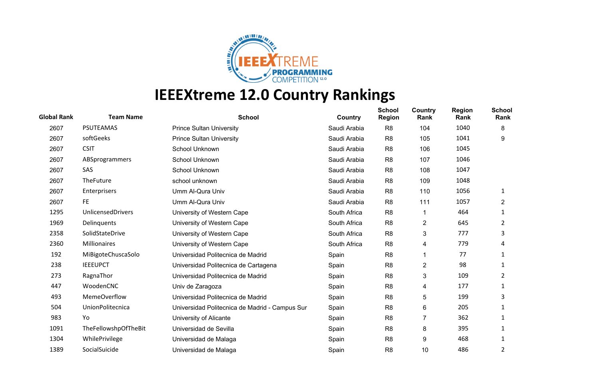

| <b>Global Rank</b> | <b>Team Name</b>         | <b>School</b>                                  | Country      | <b>School</b><br><b>Region</b> | Country<br>Rank | <b>Region</b><br>Rank | <b>School</b><br>Rank |
|--------------------|--------------------------|------------------------------------------------|--------------|--------------------------------|-----------------|-----------------------|-----------------------|
| 2607               | <b>PSUTEAMAS</b>         | <b>Prince Sultan University</b>                | Saudi Arabia | R <sub>8</sub>                 | 104             | 1040                  | 8                     |
| 2607               | softGeeks                | <b>Prince Sultan University</b>                | Saudi Arabia | R <sub>8</sub>                 | 105             | 1041                  | 9                     |
| 2607               | <b>CSIT</b>              | School Unknown                                 | Saudi Arabia | R <sub>8</sub>                 | 106             | 1045                  |                       |
| 2607               | ABSprogrammers           | School Unknown                                 | Saudi Arabia | R <sub>8</sub>                 | 107             | 1046                  |                       |
| 2607               | SAS                      | School Unknown                                 | Saudi Arabia | R <sub>8</sub>                 | 108             | 1047                  |                       |
| 2607               | TheFuture                | school unknown                                 | Saudi Arabia | R <sub>8</sub>                 | 109             | 1048                  |                       |
| 2607               | Enterprisers             | Umm Al-Qura Univ                               | Saudi Arabia | R <sub>8</sub>                 | 110             | 1056                  | 1                     |
| 2607               | FE.                      | Umm Al-Qura Univ                               | Saudi Arabia | R <sub>8</sub>                 | 111             | 1057                  | $\overline{2}$        |
| 1295               | <b>UnlicensedDrivers</b> | University of Western Cape                     | South Africa | R <sub>8</sub>                 |                 | 464                   | 1                     |
| 1969               | Delinquents              | University of Western Cape                     | South Africa | R <sub>8</sub>                 | 2               | 645                   | 2                     |
| 2358               | SolidStateDrive          | University of Western Cape                     | South Africa | R <sub>8</sub>                 | 3               | 777                   | 3                     |
| 2360               | Millionaires             | University of Western Cape                     | South Africa | R <sub>8</sub>                 | 4               | 779                   | 4                     |
| 192                | MiBigoteChuscaSolo       | Universidad Politecnica de Madrid              | Spain        | R <sub>8</sub>                 |                 | 77                    | 1                     |
| 238                | <b>IEEEUPCT</b>          | Universidad Politecnica de Cartagena           | Spain        | R <sub>8</sub>                 | $\overline{c}$  | 98                    |                       |
| 273                | RagnaThor                | Universidad Politecnica de Madrid              | Spain        | R <sub>8</sub>                 | 3               | 109                   | 2                     |
| 447                | WoodenCNC                | Univ de Zaragoza                               | Spain        | R <sub>8</sub>                 | 4               | 177                   | 1                     |
| 493                | <b>MemeOverflow</b>      | Universidad Politecnica de Madrid              | Spain        | R <sub>8</sub>                 | 5               | 199                   | 3                     |
| 504                | UnionPolitecnica         | Universidad Politecnica de Madrid - Campus Sur | Spain        | R <sub>8</sub>                 | 6               | 205                   | 1                     |
| 983                | Yo                       | University of Alicante                         | Spain        | R <sub>8</sub>                 | 7               | 362                   | 1                     |
| 1091               | TheFellowshpOfTheBit     | Universidad de Sevilla                         | Spain        | R <sub>8</sub>                 | 8               | 395                   | 1                     |
| 1304               | WhilePrivilege           | Universidad de Malaga                          | Spain        | R <sub>8</sub>                 | 9               | 468                   |                       |
| 1389               | SocialSuicide            | Universidad de Malaga                          | Spain        | R <sub>8</sub>                 | 10              | 486                   | 2                     |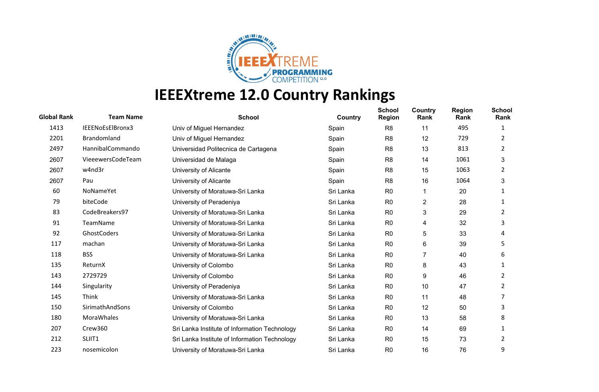

| <b>Global Rank</b> | <b>Team Name</b>  | <b>School</b>                                 | Country   | <b>School</b><br><b>Region</b> | Country<br>Rank         | <b>Region</b><br>Rank | <b>School</b><br>Rank |
|--------------------|-------------------|-----------------------------------------------|-----------|--------------------------------|-------------------------|-----------------------|-----------------------|
| 1413               | IEEENoEsElBronx3  | Univ of Miguel Hernandez                      | Spain     | R <sub>8</sub>                 | 11                      | 495                   | 1                     |
| 2201               | Brandomland       | Univ of Miguel Hernandez                      | Spain     | R <sub>8</sub>                 | 12                      | 729                   | 2                     |
| 2497               | HannibalCommando  | Universidad Politecnica de Cartagena          | Spain     | R <sub>8</sub>                 | 13                      | 813                   | 2                     |
| 2607               | VieeewersCodeTeam | Universidad de Malaga                         | Spain     | R <sub>8</sub>                 | 14                      | 1061                  | 3                     |
| 2607               | w4nd3r            | University of Alicante                        | Spain     | R <sub>8</sub>                 | 15                      | 1063                  | 2                     |
| 2607               | Pau               | University of Alicante                        | Spain     | R <sub>8</sub>                 | 16                      | 1064                  | 3                     |
| 60                 | NoNameYet         | University of Moratuwa-Sri Lanka              | Sri Lanka | R <sub>0</sub>                 | 1                       | 20                    |                       |
| 79                 | biteCode          | University of Peradeniya                      | Sri Lanka | R <sub>0</sub>                 | $\overline{\mathbf{c}}$ | 28                    | 1                     |
| 83                 | CodeBreakers97    | University of Moratuwa-Sri Lanka              | Sri Lanka | R <sub>0</sub>                 | 3                       | 29                    | 2                     |
| 91                 | TeamName          | University of Moratuwa-Sri Lanka              | Sri Lanka | R <sub>0</sub>                 | 4                       | 32                    | 3                     |
| 92                 | GhostCoders       | University of Moratuwa-Sri Lanka              | Sri Lanka | R <sub>0</sub>                 | 5                       | 33                    | 4                     |
| 117                | machan            | University of Moratuwa-Sri Lanka              | Sri Lanka | R <sub>0</sub>                 | 6                       | 39                    | 5                     |
| 118                | <b>BSS</b>        | University of Moratuwa-Sri Lanka              | Sri Lanka | R <sub>0</sub>                 | $\overline{7}$          | 40                    | 6                     |
| 135                | ReturnX           | University of Colombo                         | Sri Lanka | R <sub>0</sub>                 | 8                       | 43                    |                       |
| 143                | 2729729           | University of Colombo                         | Sri Lanka | R <sub>0</sub>                 | 9                       | 46                    | 2                     |
| 144                | Singularity       | University of Peradeniya                      | Sri Lanka | R <sub>0</sub>                 | 10                      | 47                    | 2                     |
| 145                | Think             | University of Moratuwa-Sri Lanka              | Sri Lanka | R <sub>0</sub>                 | 11                      | 48                    |                       |
| 150                | SirimathAndSons   | University of Colombo                         | Sri Lanka | R <sub>0</sub>                 | 12                      | 50                    | 3                     |
| 180                | MoraWhales        | University of Moratuwa-Sri Lanka              | Sri Lanka | R <sub>0</sub>                 | 13                      | 58                    | 8                     |
| 207                | Crew360           | Sri Lanka Institute of Information Technology | Sri Lanka | R <sub>0</sub>                 | 14                      | 69                    | 1                     |
| 212                | SLIIT1            | Sri Lanka Institute of Information Technology | Sri Lanka | R <sub>0</sub>                 | 15                      | 73                    | 2                     |
| 223                | nosemicolon       | University of Moratuwa-Sri Lanka              | Sri Lanka | R <sub>0</sub>                 | 16                      | 76                    | 9                     |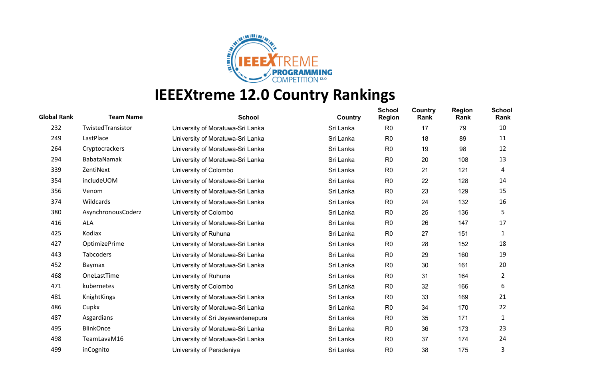

| <b>Global Rank</b> | <b>Team Name</b>   | <b>School</b>                     | Country   | <b>School</b><br><b>Region</b> | Country<br>Rank | <b>Region</b><br>Rank | <b>School</b><br>Rank |
|--------------------|--------------------|-----------------------------------|-----------|--------------------------------|-----------------|-----------------------|-----------------------|
| 232                | TwistedTransistor  | University of Moratuwa-Sri Lanka  | Sri Lanka | R <sub>0</sub>                 | 17              | 79                    | 10                    |
| 249                | LastPlace          | University of Moratuwa-Sri Lanka  | Sri Lanka | R <sub>0</sub>                 | 18              | 89                    | 11                    |
| 264                | Cryptocrackers     | University of Moratuwa-Sri Lanka  | Sri Lanka | R <sub>0</sub>                 | 19              | 98                    | 12                    |
| 294                | BabataNamak        | University of Moratuwa-Sri Lanka  | Sri Lanka | R <sub>0</sub>                 | 20              | 108                   | 13                    |
| 339                | ZentiNext          | University of Colombo             | Sri Lanka | R <sub>0</sub>                 | 21              | 121                   | 4                     |
| 354                | includeUOM         | University of Moratuwa-Sri Lanka  | Sri Lanka | R <sub>0</sub>                 | 22              | 128                   | 14                    |
| 356                | Venom              | University of Moratuwa-Sri Lanka  | Sri Lanka | R <sub>0</sub>                 | 23              | 129                   | 15                    |
| 374                | Wildcards          | University of Moratuwa-Sri Lanka  | Sri Lanka | R <sub>0</sub>                 | 24              | 132                   | 16                    |
| 380                | AsynchronousCoderz | University of Colombo             | Sri Lanka | R <sub>0</sub>                 | 25              | 136                   | 5                     |
| 416                | <b>ALA</b>         | University of Moratuwa-Sri Lanka  | Sri Lanka | R <sub>0</sub>                 | 26              | 147                   | 17                    |
| 425                | Kodiax             | University of Ruhuna              | Sri Lanka | R <sub>0</sub>                 | 27              | 151                   | 1                     |
| 427                | OptimizePrime      | University of Moratuwa-Sri Lanka  | Sri Lanka | R <sub>0</sub>                 | 28              | 152                   | 18                    |
| 443                | Tabcoders          | University of Moratuwa-Sri Lanka  | Sri Lanka | R <sub>0</sub>                 | 29              | 160                   | 19                    |
| 452                | Baymax             | University of Moratuwa-Sri Lanka  | Sri Lanka | R <sub>0</sub>                 | 30              | 161                   | 20                    |
| 468                | OneLastTime        | University of Ruhuna              | Sri Lanka | R <sub>0</sub>                 | 31              | 164                   | $\overline{2}$        |
| 471                | kubernetes         | University of Colombo             | Sri Lanka | R <sub>0</sub>                 | 32              | 166                   | 6                     |
| 481                | KnightKings        | University of Moratuwa-Sri Lanka  | Sri Lanka | R <sub>0</sub>                 | 33              | 169                   | 21                    |
| 486                | Cupkx              | University of Moratuwa-Sri Lanka  | Sri Lanka | R <sub>0</sub>                 | 34              | 170                   | 22                    |
| 487                | Asgardians         | University of Sri Jayawardenepura | Sri Lanka | R <sub>0</sub>                 | 35              | 171                   | 1                     |
| 495                | <b>BlinkOnce</b>   | University of Moratuwa-Sri Lanka  | Sri Lanka | R <sub>0</sub>                 | 36              | 173                   | 23                    |
| 498                | TeamLavaM16        | University of Moratuwa-Sri Lanka  | Sri Lanka | R <sub>0</sub>                 | 37              | 174                   | 24                    |
| 499                | inCognito          | University of Peradeniya          | Sri Lanka | R <sub>0</sub>                 | 38              | 175                   | 3                     |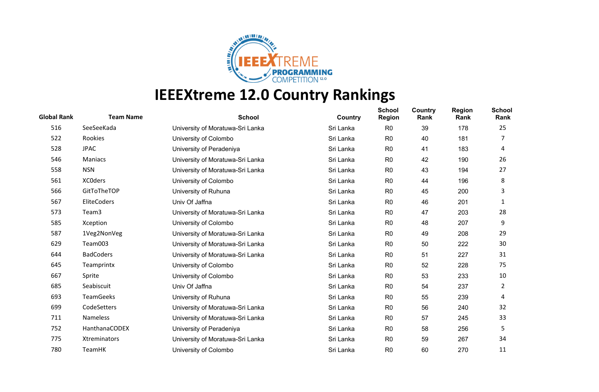

| <b>Global Rank</b> | <b>Team Name</b> | <b>School</b>                    | Country   | <b>School</b><br><b>Region</b> | Country<br>Rank | <b>Region</b><br>Rank | <b>School</b><br>Rank |
|--------------------|------------------|----------------------------------|-----------|--------------------------------|-----------------|-----------------------|-----------------------|
| 516                | SeeSeeKada       | University of Moratuwa-Sri Lanka | Sri Lanka | R <sub>0</sub>                 | 39              | 178                   | 25                    |
| 522                | Rookies          | University of Colombo            | Sri Lanka | R <sub>0</sub>                 | 40              | 181                   |                       |
| 528                | <b>JPAC</b>      | University of Peradeniya         | Sri Lanka | R <sub>0</sub>                 | 41              | 183                   | 4                     |
| 546                | <b>Maniacs</b>   | University of Moratuwa-Sri Lanka | Sri Lanka | R <sub>0</sub>                 | 42              | 190                   | 26                    |
| 558                | <b>NSN</b>       | University of Moratuwa-Sri Lanka | Sri Lanka | R <sub>0</sub>                 | 43              | 194                   | 27                    |
| 561                | <b>XCOders</b>   | University of Colombo            | Sri Lanka | R <sub>0</sub>                 | 44              | 196                   | 8                     |
| 566                | GitToTheTOP      | University of Ruhuna             | Sri Lanka | R <sub>0</sub>                 | 45              | 200                   | 3                     |
| 567                | EliteCoders      | Univ Of Jaffna                   | Sri Lanka | R <sub>0</sub>                 | 46              | 201                   | 1                     |
| 573                | Team3            | University of Moratuwa-Sri Lanka | Sri Lanka | R <sub>0</sub>                 | 47              | 203                   | 28                    |
| 585                | Xception         | University of Colombo            | Sri Lanka | R <sub>0</sub>                 | 48              | 207                   | 9                     |
| 587                | 1Veg2NonVeg      | University of Moratuwa-Sri Lanka | Sri Lanka | R <sub>0</sub>                 | 49              | 208                   | 29                    |
| 629                | Team003          | University of Moratuwa-Sri Lanka | Sri Lanka | R <sub>0</sub>                 | 50              | 222                   | 30                    |
| 644                | <b>BadCoders</b> | University of Moratuwa-Sri Lanka | Sri Lanka | R <sub>0</sub>                 | 51              | 227                   | 31                    |
| 645                | Teamprintx       | University of Colombo            | Sri Lanka | R <sub>0</sub>                 | 52              | 228                   | 75                    |
| 667                | Sprite           | University of Colombo            | Sri Lanka | R <sub>0</sub>                 | 53              | 233                   | 10                    |
| 685                | Seabiscuit       | Univ Of Jaffna                   | Sri Lanka | R <sub>0</sub>                 | 54              | 237                   | 2                     |
| 693                | <b>TeamGeeks</b> | University of Ruhuna             | Sri Lanka | R <sub>0</sub>                 | 55              | 239                   | 4                     |
| 699                | CodeSetters      | University of Moratuwa-Sri Lanka | Sri Lanka | R <sub>0</sub>                 | 56              | 240                   | 32                    |
| 711                | <b>Nameless</b>  | University of Moratuwa-Sri Lanka | Sri Lanka | R <sub>0</sub>                 | 57              | 245                   | 33                    |
| 752                | HanthanaCODEX    | University of Peradeniya         | Sri Lanka | R <sub>0</sub>                 | 58              | 256                   | 5                     |
| 775                | Xtreminators     | University of Moratuwa-Sri Lanka | Sri Lanka | R <sub>0</sub>                 | 59              | 267                   | 34                    |
| 780                | <b>TeamHK</b>    | University of Colombo            | Sri Lanka | R <sub>0</sub>                 | 60              | 270                   | 11                    |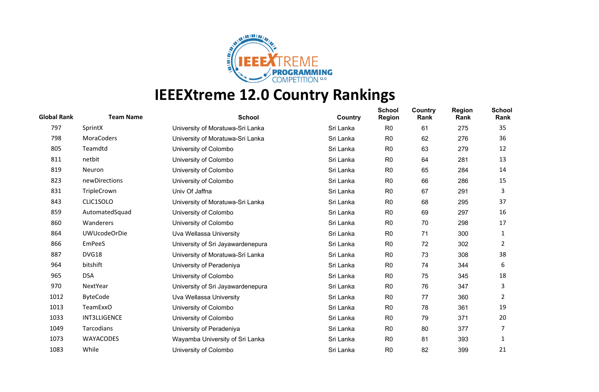

| <b>Global Rank</b> | <b>Team Name</b>    | <b>School</b>                     | Country   | <b>School</b><br><b>Region</b> | Country<br>Rank | <b>Region</b><br>Rank | <b>School</b><br>Rank |
|--------------------|---------------------|-----------------------------------|-----------|--------------------------------|-----------------|-----------------------|-----------------------|
| 797                | SprintX             | University of Moratuwa-Sri Lanka  | Sri Lanka | R <sub>0</sub>                 | 61              | 275                   | 35                    |
| 798                | <b>MoraCoders</b>   | University of Moratuwa-Sri Lanka  | Sri Lanka | R <sub>0</sub>                 | 62              | 276                   | 36                    |
| 805                | Teamdtd             | University of Colombo             | Sri Lanka | R <sub>0</sub>                 | 63              | 279                   | 12                    |
| 811                | netbit              | University of Colombo             | Sri Lanka | R <sub>0</sub>                 | 64              | 281                   | 13                    |
| 819                | Neuron              | University of Colombo             | Sri Lanka | R <sub>0</sub>                 | 65              | 284                   | 14                    |
| 823                | newDirections       | University of Colombo             | Sri Lanka | R <sub>0</sub>                 | 66              | 286                   | 15                    |
| 831                | TripleCrown         | Univ Of Jaffna                    | Sri Lanka | R <sub>0</sub>                 | 67              | 291                   | 3                     |
| 843                | CLIC1SOLO           | University of Moratuwa-Sri Lanka  | Sri Lanka | R <sub>0</sub>                 | 68              | 295                   | 37                    |
| 859                | AutomatedSquad      | University of Colombo             | Sri Lanka | R <sub>0</sub>                 | 69              | 297                   | 16                    |
| 860                | Wanderers           | University of Colombo             | Sri Lanka | R <sub>0</sub>                 | 70              | 298                   | 17                    |
| 864                | <b>UWUcodeOrDie</b> | Uva Wellassa University           | Sri Lanka | R <sub>0</sub>                 | 71              | 300                   | 1                     |
| 866                | <b>EmPeeS</b>       | University of Sri Jayawardenepura | Sri Lanka | R <sub>0</sub>                 | 72              | 302                   | $\mathbf{2}$          |
| 887                | DVG18               | University of Moratuwa-Sri Lanka  | Sri Lanka | R <sub>0</sub>                 | 73              | 308                   | 38                    |
| 964                | bitshift            | University of Peradeniya          | Sri Lanka | R <sub>0</sub>                 | 74              | 344                   | 6                     |
| 965                | <b>DSA</b>          | University of Colombo             | Sri Lanka | R <sub>0</sub>                 | 75              | 345                   | 18                    |
| 970                | NextYear            | University of Sri Jayawardenepura | Sri Lanka | R <sub>0</sub>                 | 76              | 347                   | 3                     |
| 1012               | <b>ByteCode</b>     | Uva Wellassa University           | Sri Lanka | R <sub>0</sub>                 | 77              | 360                   | 2                     |
| 1013               | <b>TeamExxO</b>     | University of Colombo             | Sri Lanka | R <sub>0</sub>                 | 78              | 361                   | 19                    |
| 1033               | <b>INT3LLIGENCE</b> | University of Colombo             | Sri Lanka | R <sub>0</sub>                 | 79              | 371                   | 20                    |
| 1049               | Tarcodians          | University of Peradeniya          | Sri Lanka | R <sub>0</sub>                 | 80              | 377                   | 7                     |
| 1073               | WAYACODES           | Wayamba University of Sri Lanka   | Sri Lanka | R <sub>0</sub>                 | 81              | 393                   | 1                     |
| 1083               | While               | University of Colombo             | Sri Lanka | R <sub>0</sub>                 | 82              | 399                   | 21                    |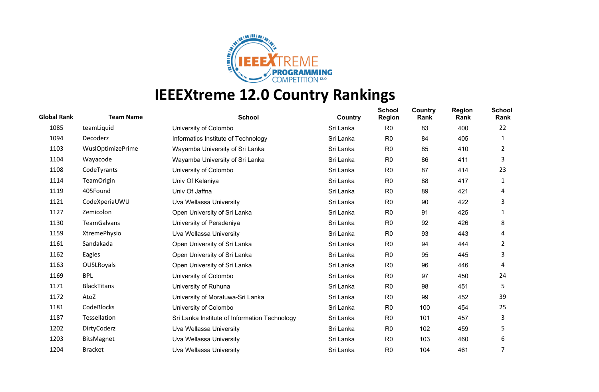

| <b>Global Rank</b> | <b>Team Name</b>         | <b>School</b>                                 | Country   | <b>School</b><br><b>Region</b> | Country<br>Rank | <b>Region</b><br>Rank | <b>School</b><br>Rank |
|--------------------|--------------------------|-----------------------------------------------|-----------|--------------------------------|-----------------|-----------------------|-----------------------|
| 1085               | teamLiquid               | University of Colombo                         | Sri Lanka | R <sub>0</sub>                 | 83              | 400                   | 22                    |
| 1094               | Decoderz                 | Informatics Institute of Technology           | Sri Lanka | R <sub>0</sub>                 | 84              | 405                   | 1                     |
| 1103               | <b>WuslOptimizePrime</b> | Wayamba University of Sri Lanka               | Sri Lanka | R <sub>0</sub>                 | 85              | 410                   | 2                     |
| 1104               | Wayacode                 | Wayamba University of Sri Lanka               | Sri Lanka | R <sub>0</sub>                 | 86              | 411                   | 3                     |
| 1108               | CodeTyrants              | University of Colombo                         | Sri Lanka | R <sub>0</sub>                 | 87              | 414                   | 23                    |
| 1114               | <b>TeamOrigin</b>        | Univ Of Kelaniya                              | Sri Lanka | R <sub>0</sub>                 | 88              | 417                   | 1                     |
| 1119               | 405Found                 | Univ Of Jaffna                                | Sri Lanka | R <sub>0</sub>                 | 89              | 421                   | 4                     |
| 1121               | CodeXperiaUWU            | Uva Wellassa University                       | Sri Lanka | R <sub>0</sub>                 | 90              | 422                   | 3                     |
| 1127               | Zemicolon                | Open University of Sri Lanka                  | Sri Lanka | R <sub>0</sub>                 | 91              | 425                   | 1                     |
| 1130               | <b>TeamGalvans</b>       | University of Peradeniya                      | Sri Lanka | R <sub>0</sub>                 | 92              | 426                   | 8                     |
| 1159               | XtremePhysio             | Uva Wellassa University                       | Sri Lanka | R <sub>0</sub>                 | 93              | 443                   | 4                     |
| 1161               | Sandakada                | Open University of Sri Lanka                  | Sri Lanka | R <sub>0</sub>                 | 94              | 444                   | 2                     |
| 1162               | Eagles                   | Open University of Sri Lanka                  | Sri Lanka | R <sub>0</sub>                 | 95              | 445                   | 3                     |
| 1163               | <b>OUSLRoyals</b>        | Open University of Sri Lanka                  | Sri Lanka | R <sub>0</sub>                 | 96              | 446                   | 4                     |
| 1169               | <b>BPL</b>               | University of Colombo                         | Sri Lanka | R <sub>0</sub>                 | 97              | 450                   | 24                    |
| 1171               | <b>BlackTitans</b>       | University of Ruhuna                          | Sri Lanka | R <sub>0</sub>                 | 98              | 451                   | 5                     |
| 1172               | AtoZ                     | University of Moratuwa-Sri Lanka              | Sri Lanka | R <sub>0</sub>                 | 99              | 452                   | 39                    |
| 1181               | CodeBlocks               | University of Colombo                         | Sri Lanka | R <sub>0</sub>                 | 100             | 454                   | 25                    |
| 1187               | Tessellation             | Sri Lanka Institute of Information Technology | Sri Lanka | R <sub>0</sub>                 | 101             | 457                   | 3                     |
| 1202               | DirtyCoderz              | Uva Wellassa University                       | Sri Lanka | R <sub>0</sub>                 | 102             | 459                   | 5                     |
| 1203               | BitsMagnet               | Uva Wellassa University                       | Sri Lanka | R <sub>0</sub>                 | 103             | 460                   | 6                     |
| 1204               | <b>Bracket</b>           | Uva Wellassa University                       | Sri Lanka | R <sub>0</sub>                 | 104             | 461                   | 7                     |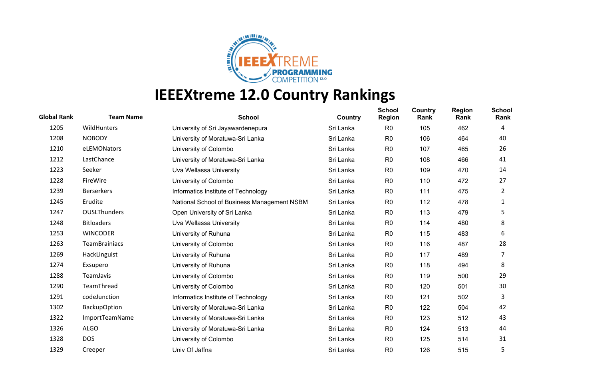

| <b>Global Rank</b> | <b>Team Name</b>     | <b>School</b>                               | Country   | <b>School</b><br><b>Region</b> | Country<br>Rank | <b>Region</b><br>Rank | <b>School</b><br>Rank |
|--------------------|----------------------|---------------------------------------------|-----------|--------------------------------|-----------------|-----------------------|-----------------------|
| 1205               | WildHunters          | University of Sri Jayawardenepura           | Sri Lanka | R <sub>0</sub>                 | 105             | 462                   | 4                     |
| 1208               | <b>NOBODY</b>        | University of Moratuwa-Sri Lanka            | Sri Lanka | R <sub>0</sub>                 | 106             | 464                   | 40                    |
| 1210               | eLEMONators          | University of Colombo                       | Sri Lanka | R <sub>0</sub>                 | 107             | 465                   | 26                    |
| 1212               | LastChance           | University of Moratuwa-Sri Lanka            | Sri Lanka | R <sub>0</sub>                 | 108             | 466                   | 41                    |
| 1223               | Seeker               | Uva Wellassa University                     | Sri Lanka | R <sub>0</sub>                 | 109             | 470                   | 14                    |
| 1228               | FireWire             | University of Colombo                       | Sri Lanka | R <sub>0</sub>                 | 110             | 472                   | 27                    |
| 1239               | <b>Berserkers</b>    | Informatics Institute of Technology         | Sri Lanka | R <sub>0</sub>                 | 111             | 475                   | 2                     |
| 1245               | Erudite              | National School of Business Management NSBM | Sri Lanka | R <sub>0</sub>                 | 112             | 478                   | 1                     |
| 1247               | OUSLThunders         | Open University of Sri Lanka                | Sri Lanka | R <sub>0</sub>                 | 113             | 479                   | 5                     |
| 1248               | <b>Bitloaders</b>    | Uva Wellassa University                     | Sri Lanka | R <sub>0</sub>                 | 114             | 480                   | 8                     |
| 1253               | <b>WINCODER</b>      | University of Ruhuna                        | Sri Lanka | R <sub>0</sub>                 | 115             | 483                   | 6                     |
| 1263               | <b>TeamBrainiacs</b> | University of Colombo                       | Sri Lanka | R <sub>0</sub>                 | 116             | 487                   | 28                    |
| 1269               | HackLinguist         | University of Ruhuna                        | Sri Lanka | R <sub>0</sub>                 | 117             | 489                   | 7                     |
| 1274               | Exsupero             | University of Ruhuna                        | Sri Lanka | R <sub>0</sub>                 | 118             | 494                   | 8                     |
| 1288               | TeamJavis            | University of Colombo                       | Sri Lanka | R <sub>0</sub>                 | 119             | 500                   | 29                    |
| 1290               | TeamThread           | University of Colombo                       | Sri Lanka | R <sub>0</sub>                 | 120             | 501                   | 30                    |
| 1291               | codeJunction         | Informatics Institute of Technology         | Sri Lanka | R <sub>0</sub>                 | 121             | 502                   | 3                     |
| 1302               | <b>BackupOption</b>  | University of Moratuwa-Sri Lanka            | Sri Lanka | R <sub>0</sub>                 | 122             | 504                   | 42                    |
| 1322               | ImportTeamName       | University of Moratuwa-Sri Lanka            | Sri Lanka | R <sub>0</sub>                 | 123             | 512                   | 43                    |
| 1326               | <b>ALGO</b>          | University of Moratuwa-Sri Lanka            | Sri Lanka | R <sub>0</sub>                 | 124             | 513                   | 44                    |
| 1328               | <b>DOS</b>           | University of Colombo                       | Sri Lanka | R <sub>0</sub>                 | 125             | 514                   | 31                    |
| 1329               | Creeper              | Univ Of Jaffna                              | Sri Lanka | R <sub>0</sub>                 | 126             | 515                   | 5                     |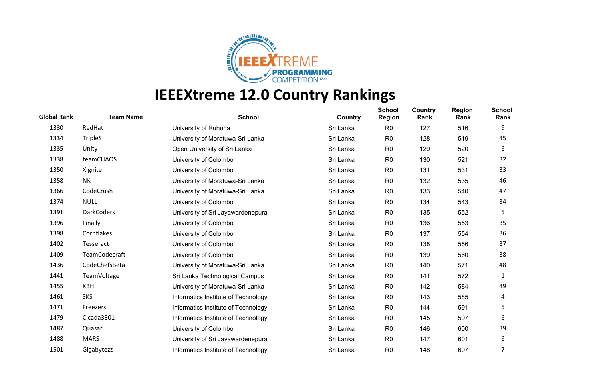

| <b>Global Rank</b> | <b>Team Name</b>  | <b>School</b>                       | Country   | <b>School</b><br><b>Region</b> | Country<br>Rank | <b>Region</b><br>Rank | <b>School</b><br>Rank |
|--------------------|-------------------|-------------------------------------|-----------|--------------------------------|-----------------|-----------------------|-----------------------|
| 1330               | RedHat            | University of Ruhuna                | Sri Lanka | R <sub>0</sub>                 | 127             | 516                   | 9                     |
| 1334               | <b>TripleS</b>    | University of Moratuwa-Sri Lanka    | Sri Lanka | R <sub>0</sub>                 | 128             | 519                   | 45                    |
| 1335               | Unity             | Open University of Sri Lanka        | Sri Lanka | R <sub>0</sub>                 | 129             | 520                   | 6                     |
| 1338               | teamCHAOS         | University of Colombo               | Sri Lanka | R <sub>0</sub>                 | 130             | 521                   | 32                    |
| 1350               | XIgnite           | University of Colombo               | Sri Lanka | R <sub>0</sub>                 | 131             | 531                   | 33                    |
| 1358               | NΚ                | University of Moratuwa-Sri Lanka    | Sri Lanka | R <sub>0</sub>                 | 132             | 535                   | 46                    |
| 1366               | CodeCrush         | University of Moratuwa-Sri Lanka    | Sri Lanka | R <sub>0</sub>                 | 133             | 540                   | 47                    |
| 1374               | <b>NULL</b>       | University of Colombo               | Sri Lanka | R <sub>0</sub>                 | 134             | 543                   | 34                    |
| 1391               | <b>DarkCoders</b> | University of Sri Jayawardenepura   | Sri Lanka | R <sub>0</sub>                 | 135             | 552                   | 5                     |
| 1396               | Finally           | University of Colombo               | Sri Lanka | R <sub>0</sub>                 | 136             | 553                   | 35                    |
| 1398               | Cornflakes        | University of Colombo               | Sri Lanka | R <sub>0</sub>                 | 137             | 554                   | 36                    |
| 1402               | Tesseract         | University of Colombo               | Sri Lanka | R <sub>0</sub>                 | 138             | 556                   | 37                    |
| 1409               | TeamCodecraft     | University of Colombo               | Sri Lanka | R <sub>0</sub>                 | 139             | 560                   | 38                    |
| 1436               | CodeChefsBeta     | University of Moratuwa-Sri Lanka    | Sri Lanka | R <sub>0</sub>                 | 140             | 571                   | 48                    |
| 1441               | TeamVoltage       | Sri Lanka Technological Campus      | Sri Lanka | R <sub>0</sub>                 | 141             | 572                   | 1                     |
| 1455               | KBH               | University of Moratuwa-Sri Lanka    | Sri Lanka | R <sub>0</sub>                 | 142             | 584                   | 49                    |
| 1461               | <b>SKS</b>        | Informatics Institute of Technology | Sri Lanka | R <sub>0</sub>                 | 143             | 585                   | 4                     |
| 1471               | Freezers          | Informatics Institute of Technology | Sri Lanka | R <sub>0</sub>                 | 144             | 591                   | 5                     |
| 1479               | Cicada3301        | Informatics Institute of Technology | Sri Lanka | R <sub>0</sub>                 | 145             | 597                   | 6                     |
| 1487               | Quasar            | University of Colombo               | Sri Lanka | R <sub>0</sub>                 | 146             | 600                   | 39                    |
| 1488               | <b>MARS</b>       | University of Sri Jayawardenepura   | Sri Lanka | R <sub>0</sub>                 | 147             | 601                   | 6                     |
| 1501               | Gigabytezz        | Informatics Institute of Technology | Sri Lanka | R <sub>0</sub>                 | 148             | 607                   | 7                     |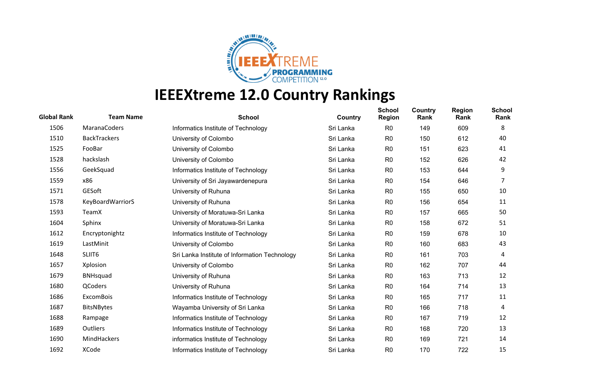

| <b>Global Rank</b> | <b>Team Name</b>    | <b>School</b>                                 | Country   | <b>School</b><br><b>Region</b> | Country<br>Rank | <b>Region</b><br>Rank | <b>School</b><br>Rank |
|--------------------|---------------------|-----------------------------------------------|-----------|--------------------------------|-----------------|-----------------------|-----------------------|
| 1506               | MaranaCoders        | Informatics Institute of Technology           | Sri Lanka | R <sub>0</sub>                 | 149             | 609                   | 8                     |
| 1510               | <b>BackTrackers</b> | University of Colombo                         | Sri Lanka | R <sub>0</sub>                 | 150             | 612                   | 40                    |
| 1525               | FooBar              | University of Colombo                         | Sri Lanka | R <sub>0</sub>                 | 151             | 623                   | 41                    |
| 1528               | hackslash           | University of Colombo                         | Sri Lanka | R <sub>0</sub>                 | 152             | 626                   | 42                    |
| 1556               | GeekSquad           | Informatics Institute of Technology           | Sri Lanka | R <sub>0</sub>                 | 153             | 644                   | 9                     |
| 1559               | x86                 | University of Sri Jayawardenepura             | Sri Lanka | R <sub>0</sub>                 | 154             | 646                   | 7                     |
| 1571               | GESoft              | University of Ruhuna                          | Sri Lanka | R <sub>0</sub>                 | 155             | 650                   | 10                    |
| 1578               | KeyBoardWarriorS    | University of Ruhuna                          | Sri Lanka | R <sub>0</sub>                 | 156             | 654                   | 11                    |
| 1593               | TeamX               | University of Moratuwa-Sri Lanka              | Sri Lanka | R <sub>0</sub>                 | 157             | 665                   | 50                    |
| 1604               | Sphinx              | University of Moratuwa-Sri Lanka              | Sri Lanka | R <sub>0</sub>                 | 158             | 672                   | 51                    |
| 1612               | Encryptonightz      | Informatics Institute of Technology           | Sri Lanka | R <sub>0</sub>                 | 159             | 678                   | 10                    |
| 1619               | LastMinit           | University of Colombo                         | Sri Lanka | R <sub>0</sub>                 | 160             | 683                   | 43                    |
| 1648               | SLIIT6              | Sri Lanka Institute of Information Technology | Sri Lanka | R <sub>0</sub>                 | 161             | 703                   | 4                     |
| 1657               | Xplosion            | University of Colombo                         | Sri Lanka | R <sub>0</sub>                 | 162             | 707                   | 44                    |
| 1679               | <b>BNHsquad</b>     | University of Ruhuna                          | Sri Lanka | R <sub>0</sub>                 | 163             | 713                   | 12                    |
| 1680               | QCoders             | University of Ruhuna                          | Sri Lanka | R <sub>0</sub>                 | 164             | 714                   | 13                    |
| 1686               | <b>ExcomBois</b>    | Informatics Institute of Technology           | Sri Lanka | R <sub>0</sub>                 | 165             | 717                   | 11                    |
| 1687               | <b>BitsNBytes</b>   | Wayamba University of Sri Lanka               | Sri Lanka | R <sub>0</sub>                 | 166             | 718                   | 4                     |
| 1688               | Rampage             | Informatics Institute of Technology           | Sri Lanka | R <sub>0</sub>                 | 167             | 719                   | 12                    |
| 1689               | Outliers            | Informatics Institute of Technology           | Sri Lanka | R <sub>0</sub>                 | 168             | 720                   | 13                    |
| 1690               | MindHackers         | informatics Institute of Technology           | Sri Lanka | R <sub>0</sub>                 | 169             | 721                   | 14                    |
| 1692               | <b>XCode</b>        | Informatics Institute of Technology           | Sri Lanka | R <sub>0</sub>                 | 170             | 722                   | 15                    |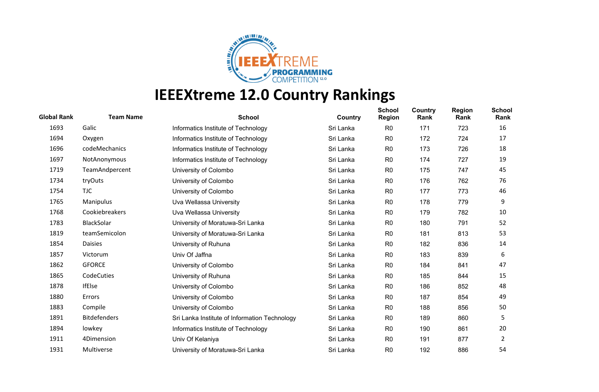

| <b>Global Rank</b> | <b>Team Name</b>    | <b>School</b>                                 | Country   | <b>School</b><br><b>Region</b> | Country<br>Rank | <b>Region</b><br>Rank | <b>School</b><br>Rank |
|--------------------|---------------------|-----------------------------------------------|-----------|--------------------------------|-----------------|-----------------------|-----------------------|
| 1693               | Galic               | Informatics Institute of Technology           | Sri Lanka | R <sub>0</sub>                 | 171             | 723                   | 16                    |
| 1694               | Oxygen              | Informatics Institute of Technology           | Sri Lanka | R <sub>0</sub>                 | 172             | 724                   | 17                    |
| 1696               | codeMechanics       | Informatics Institute of Technology           | Sri Lanka | R <sub>0</sub>                 | 173             | 726                   | 18                    |
| 1697               | NotAnonymous        | Informatics Institute of Technology           | Sri Lanka | R <sub>0</sub>                 | 174             | 727                   | 19                    |
| 1719               | TeamAndpercent      | University of Colombo                         | Sri Lanka | R <sub>0</sub>                 | 175             | 747                   | 45                    |
| 1734               | tryOuts             | University of Colombo                         | Sri Lanka | R <sub>0</sub>                 | 176             | 762                   | 76                    |
| 1754               | <b>TJC</b>          | University of Colombo                         | Sri Lanka | R <sub>0</sub>                 | 177             | 773                   | 46                    |
| 1765               | Manipulus           | Uva Wellassa University                       | Sri Lanka | R <sub>0</sub>                 | 178             | 779                   | 9                     |
| 1768               | Cookiebreakers      | Uva Wellassa University                       | Sri Lanka | R <sub>0</sub>                 | 179             | 782                   | 10                    |
| 1783               | BlackSolar          | University of Moratuwa-Sri Lanka              | Sri Lanka | R <sub>0</sub>                 | 180             | 791                   | 52                    |
| 1819               | teamSemicolon       | University of Moratuwa-Sri Lanka              | Sri Lanka | R <sub>0</sub>                 | 181             | 813                   | 53                    |
| 1854               | <b>Daisies</b>      | University of Ruhuna                          | Sri Lanka | R <sub>0</sub>                 | 182             | 836                   | 14                    |
| 1857               | Victorum            | Univ Of Jaffna                                | Sri Lanka | R <sub>0</sub>                 | 183             | 839                   | 6                     |
| 1862               | <b>GFORCE</b>       | University of Colombo                         | Sri Lanka | R <sub>0</sub>                 | 184             | 841                   | 47                    |
| 1865               | CodeCuties          | University of Ruhuna                          | Sri Lanka | R <sub>0</sub>                 | 185             | 844                   | 15                    |
| 1878               | <b>IfElse</b>       | University of Colombo                         | Sri Lanka | R <sub>0</sub>                 | 186             | 852                   | 48                    |
| 1880               | Errors              | University of Colombo                         | Sri Lanka | R <sub>0</sub>                 | 187             | 854                   | 49                    |
| 1883               | Compile             | University of Colombo                         | Sri Lanka | R <sub>0</sub>                 | 188             | 856                   | 50                    |
| 1891               | <b>Bitdefenders</b> | Sri Lanka Institute of Information Technology | Sri Lanka | R <sub>0</sub>                 | 189             | 860                   | 5                     |
| 1894               | lowkey              | Informatics Institute of Technology           | Sri Lanka | R <sub>0</sub>                 | 190             | 861                   | 20                    |
| 1911               | 4Dimension          | Univ Of Kelaniya                              | Sri Lanka | R <sub>0</sub>                 | 191             | 877                   | $\overline{2}$        |
| 1931               | Multiverse          | University of Moratuwa-Sri Lanka              | Sri Lanka | R <sub>0</sub>                 | 192             | 886                   | 54                    |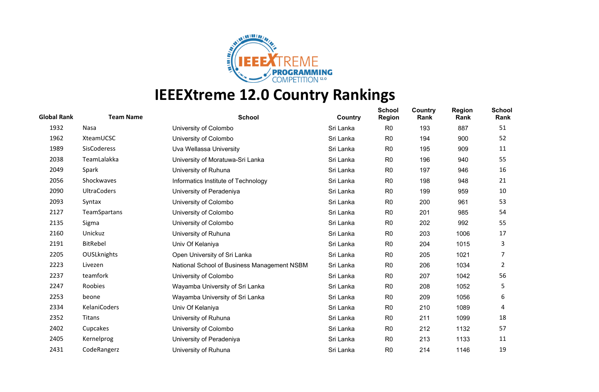

| <b>Global Rank</b> | <b>Team Name</b>   | <b>School</b>                               | Country   | <b>School</b><br><b>Region</b> | Country<br>Rank | <b>Region</b><br>Rank | <b>School</b><br>Rank |
|--------------------|--------------------|---------------------------------------------|-----------|--------------------------------|-----------------|-----------------------|-----------------------|
| 1932               | Nasa               | University of Colombo                       | Sri Lanka | R <sub>0</sub>                 | 193             | 887                   | 51                    |
| 1962               | XteamUCSC          | University of Colombo                       | Sri Lanka | R <sub>0</sub>                 | 194             | 900                   | 52                    |
| 1989               | SisCoderess        | Uva Wellassa University                     | Sri Lanka | R <sub>0</sub>                 | 195             | 909                   | 11                    |
| 2038               | TeamLalakka        | University of Moratuwa-Sri Lanka            | Sri Lanka | R <sub>0</sub>                 | 196             | 940                   | 55                    |
| 2049               | Spark              | University of Ruhuna                        | Sri Lanka | R <sub>0</sub>                 | 197             | 946                   | 16                    |
| 2056               | Shockwaves         | Informatics Institute of Technology         | Sri Lanka | R <sub>0</sub>                 | 198             | 948                   | 21                    |
| 2090               | <b>UltraCoders</b> | University of Peradeniya                    | Sri Lanka | R <sub>0</sub>                 | 199             | 959                   | 10                    |
| 2093               | Syntax             | University of Colombo                       | Sri Lanka | R <sub>0</sub>                 | 200             | 961                   | 53                    |
| 2127               | TeamSpartans       | University of Colombo                       | Sri Lanka | R <sub>0</sub>                 | 201             | 985                   | 54                    |
| 2135               | Sigma              | University of Colombo                       | Sri Lanka | R <sub>0</sub>                 | 202             | 992                   | 55                    |
| 2160               | Unickuz            | University of Ruhuna                        | Sri Lanka | R <sub>0</sub>                 | 203             | 1006                  | 17                    |
| 2191               | <b>BitRebel</b>    | Univ Of Kelaniya                            | Sri Lanka | R <sub>0</sub>                 | 204             | 1015                  | 3                     |
| 2205               | <b>OUSLknights</b> | Open University of Sri Lanka                | Sri Lanka | R <sub>0</sub>                 | 205             | 1021                  | 7                     |
| 2223               | Livezen            | National School of Business Management NSBM | Sri Lanka | R <sub>0</sub>                 | 206             | 1034                  | 2                     |
| 2237               | teamfork           | University of Colombo                       | Sri Lanka | R <sub>0</sub>                 | 207             | 1042                  | 56                    |
| 2247               | Roobies            | Wayamba University of Sri Lanka             | Sri Lanka | R <sub>0</sub>                 | 208             | 1052                  | 5                     |
| 2253               | beone              | Wayamba University of Sri Lanka             | Sri Lanka | R <sub>0</sub>                 | 209             | 1056                  | 6                     |
| 2334               | KelaniCoders       | Univ Of Kelaniya                            | Sri Lanka | R <sub>0</sub>                 | 210             | 1089                  | 4                     |
| 2352               | Titans             | University of Ruhuna                        | Sri Lanka | R <sub>0</sub>                 | 211             | 1099                  | 18                    |
| 2402               | Cupcakes           | University of Colombo                       | Sri Lanka | R <sub>0</sub>                 | 212             | 1132                  | 57                    |
| 2405               | Kernelprog         | University of Peradeniya                    | Sri Lanka | R <sub>0</sub>                 | 213             | 1133                  | 11                    |
| 2431               | CodeRangerz        | University of Ruhuna                        | Sri Lanka | R <sub>0</sub>                 | 214             | 1146                  | 19                    |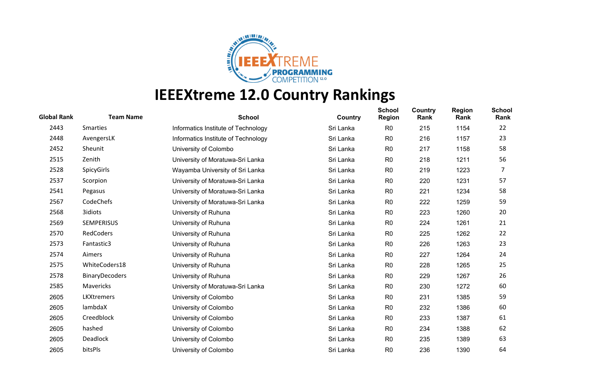

| <b>Global Rank</b> | <b>Team Name</b>      | <b>School</b>                       | Country   | <b>School</b><br><b>Region</b> | Country<br>Rank | <b>Region</b><br>Rank | <b>School</b><br>Rank |
|--------------------|-----------------------|-------------------------------------|-----------|--------------------------------|-----------------|-----------------------|-----------------------|
| 2443               | <b>Smarties</b>       | Informatics Institute of Technology | Sri Lanka | R <sub>0</sub>                 | 215             | 1154                  | 22                    |
| 2448               | AvengersLK            | Informatics Institute of Technology | Sri Lanka | R <sub>0</sub>                 | 216             | 1157                  | 23                    |
| 2452               | Sheunit               | University of Colombo               | Sri Lanka | R <sub>0</sub>                 | 217             | 1158                  | 58                    |
| 2515               | Zenith                | University of Moratuwa-Sri Lanka    | Sri Lanka | R <sub>0</sub>                 | 218             | 1211                  | 56                    |
| 2528               | <b>SpicyGirls</b>     | Wayamba University of Sri Lanka     | Sri Lanka | R <sub>0</sub>                 | 219             | 1223                  | 7                     |
| 2537               | Scorpion              | University of Moratuwa-Sri Lanka    | Sri Lanka | R <sub>0</sub>                 | 220             | 1231                  | 57                    |
| 2541               | Pegasus               | University of Moratuwa-Sri Lanka    | Sri Lanka | R <sub>0</sub>                 | 221             | 1234                  | 58                    |
| 2567               | CodeChefs             | University of Moratuwa-Sri Lanka    | Sri Lanka | R <sub>0</sub>                 | 222             | 1259                  | 59                    |
| 2568               | 3idiots               | University of Ruhuna                | Sri Lanka | R <sub>0</sub>                 | 223             | 1260                  | 20                    |
| 2569               | <b>SEMPERISUS</b>     | University of Ruhuna                | Sri Lanka | R <sub>0</sub>                 | 224             | 1261                  | 21                    |
| 2570               | RedCoders             | University of Ruhuna                | Sri Lanka | R <sub>0</sub>                 | 225             | 1262                  | 22                    |
| 2573               | Fantastic3            | University of Ruhuna                | Sri Lanka | R <sub>0</sub>                 | 226             | 1263                  | 23                    |
| 2574               | Aimers                | University of Ruhuna                | Sri Lanka | R <sub>0</sub>                 | 227             | 1264                  | 24                    |
| 2575               | WhiteCoders18         | University of Ruhuna                | Sri Lanka | R <sub>0</sub>                 | 228             | 1265                  | 25                    |
| 2578               | <b>BinaryDecoders</b> | University of Ruhuna                | Sri Lanka | R <sub>0</sub>                 | 229             | 1267                  | 26                    |
| 2585               | Mavericks             | University of Moratuwa-Sri Lanka    | Sri Lanka | R <sub>0</sub>                 | 230             | 1272                  | 60                    |
| 2605               | LKXtremers            | University of Colombo               | Sri Lanka | R <sub>0</sub>                 | 231             | 1385                  | 59                    |
| 2605               | lambdaX               | University of Colombo               | Sri Lanka | R <sub>0</sub>                 | 232             | 1386                  | 60                    |
| 2605               | Creedblock            | University of Colombo               | Sri Lanka | R <sub>0</sub>                 | 233             | 1387                  | 61                    |
| 2605               | hashed                | University of Colombo               | Sri Lanka | R <sub>0</sub>                 | 234             | 1388                  | 62                    |
| 2605               | Deadlock              | University of Colombo               | Sri Lanka | R <sub>0</sub>                 | 235             | 1389                  | 63                    |
| 2605               | bitsPls               | University of Colombo               | Sri Lanka | R <sub>0</sub>                 | 236             | 1390                  | 64                    |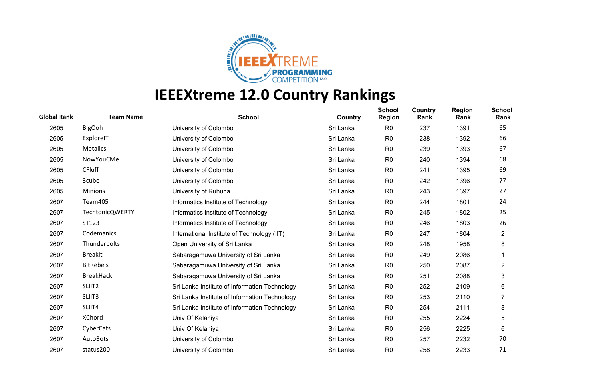

| <b>Global Rank</b> | <b>Team Name</b>       | <b>School</b>                                 | Country   | <b>School</b><br><b>Region</b> | Country<br>Rank | <b>Region</b><br>Rank | <b>School</b><br>Rank |
|--------------------|------------------------|-----------------------------------------------|-----------|--------------------------------|-----------------|-----------------------|-----------------------|
| 2605               | <b>BigOoh</b>          | University of Colombo                         | Sri Lanka | R <sub>0</sub>                 | 237             | 1391                  | 65                    |
| 2605               | ExploreIT              | University of Colombo                         | Sri Lanka | R <sub>0</sub>                 | 238             | 1392                  | 66                    |
| 2605               | Metalics               | University of Colombo                         | Sri Lanka | R <sub>0</sub>                 | 239             | 1393                  | 67                    |
| 2605               | NowYouCMe              | University of Colombo                         | Sri Lanka | R <sub>0</sub>                 | 240             | 1394                  | 68                    |
| 2605               | <b>CFluff</b>          | University of Colombo                         | Sri Lanka | R <sub>0</sub>                 | 241             | 1395                  | 69                    |
| 2605               | 3cube                  | University of Colombo                         | Sri Lanka | R <sub>0</sub>                 | 242             | 1396                  | 77                    |
| 2605               | <b>Minions</b>         | University of Ruhuna                          | Sri Lanka | R <sub>0</sub>                 | 243             | 1397                  | 27                    |
| 2607               | Team405                | Informatics Institute of Technology           | Sri Lanka | R <sub>0</sub>                 | 244             | 1801                  | 24                    |
| 2607               | <b>TechtonicQWERTY</b> | Informatics Institute of Technology           | Sri Lanka | R <sub>0</sub>                 | 245             | 1802                  | 25                    |
| 2607               | ST123                  | Informatics Institute of Technology           | Sri Lanka | R <sub>0</sub>                 | 246             | 1803                  | 26                    |
| 2607               | Codemanics             | International Institute of Technology (IIT)   | Sri Lanka | R <sub>0</sub>                 | 247             | 1804                  | $\overline{2}$        |
| 2607               | Thunderbolts           | Open University of Sri Lanka                  | Sri Lanka | R <sub>0</sub>                 | 248             | 1958                  | 8                     |
| 2607               | <b>BreakIt</b>         | Sabaragamuwa University of Sri Lanka          | Sri Lanka | R <sub>0</sub>                 | 249             | 2086                  |                       |
| 2607               | <b>BitRebels</b>       | Sabaragamuwa University of Sri Lanka          | Sri Lanka | R <sub>0</sub>                 | 250             | 2087                  | $\overline{c}$        |
| 2607               | <b>BreakHack</b>       | Sabaragamuwa University of Sri Lanka          | Sri Lanka | R <sub>0</sub>                 | 251             | 2088                  | 3                     |
| 2607               | SLIIT <sub>2</sub>     | Sri Lanka Institute of Information Technology | Sri Lanka | R <sub>0</sub>                 | 252             | 2109                  | 6                     |
| 2607               | SLIIT3                 | Sri Lanka Institute of Information Technology | Sri Lanka | R <sub>0</sub>                 | 253             | 2110                  |                       |
| 2607               | SLIIT4                 | Sri Lanka Institute of Information Technology | Sri Lanka | R <sub>0</sub>                 | 254             | 2111                  | 8                     |
| 2607               | <b>XChord</b>          | Univ Of Kelaniya                              | Sri Lanka | R <sub>0</sub>                 | 255             | 2224                  | 5                     |
| 2607               | CyberCats              | Univ Of Kelaniya                              | Sri Lanka | R <sub>0</sub>                 | 256             | 2225                  | 6                     |
| 2607               | AutoBots               | University of Colombo                         | Sri Lanka | R <sub>0</sub>                 | 257             | 2232                  | 70                    |
| 2607               | status200              | University of Colombo                         | Sri Lanka | R <sub>0</sub>                 | 258             | 2233                  | 71                    |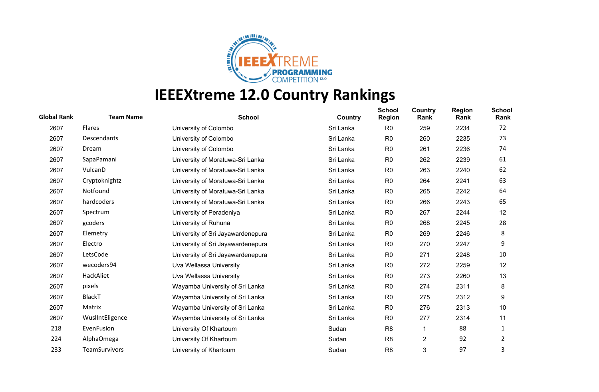

| <b>Global Rank</b> | <b>Team Name</b>     | <b>School</b>                     | Country   | <b>School</b><br><b>Region</b> | Country<br>Rank | <b>Region</b><br>Rank | <b>School</b><br>Rank |
|--------------------|----------------------|-----------------------------------|-----------|--------------------------------|-----------------|-----------------------|-----------------------|
| 2607               | Flares               | University of Colombo             | Sri Lanka | R <sub>0</sub>                 | 259             | 2234                  | 72                    |
| 2607               | Descendants          | University of Colombo             | Sri Lanka | R <sub>0</sub>                 | 260             | 2235                  | 73                    |
| 2607               | Dream                | University of Colombo             | Sri Lanka | R <sub>0</sub>                 | 261             | 2236                  | 74                    |
| 2607               | SapaPamani           | University of Moratuwa-Sri Lanka  | Sri Lanka | R <sub>0</sub>                 | 262             | 2239                  | 61                    |
| 2607               | VulcanD              | University of Moratuwa-Sri Lanka  | Sri Lanka | R <sub>0</sub>                 | 263             | 2240                  | 62                    |
| 2607               | Cryptoknightz        | University of Moratuwa-Sri Lanka  | Sri Lanka | R <sub>0</sub>                 | 264             | 2241                  | 63                    |
| 2607               | Notfound             | University of Moratuwa-Sri Lanka  | Sri Lanka | R <sub>0</sub>                 | 265             | 2242                  | 64                    |
| 2607               | hardcoders           | University of Moratuwa-Sri Lanka  | Sri Lanka | R <sub>0</sub>                 | 266             | 2243                  | 65                    |
| 2607               | Spectrum             | University of Peradeniya          | Sri Lanka | R <sub>0</sub>                 | 267             | 2244                  | 12                    |
| 2607               | gcoders              | University of Ruhuna              | Sri Lanka | R <sub>0</sub>                 | 268             | 2245                  | 28                    |
| 2607               | Elemetry             | University of Sri Jayawardenepura | Sri Lanka | R <sub>0</sub>                 | 269             | 2246                  | 8                     |
| 2607               | Electro              | University of Sri Jayawardenepura | Sri Lanka | R <sub>0</sub>                 | 270             | 2247                  | 9                     |
| 2607               | LetsCode             | University of Sri Jayawardenepura | Sri Lanka | R <sub>0</sub>                 | 271             | 2248                  | 10                    |
| 2607               | wecoders94           | Uva Wellassa University           | Sri Lanka | R <sub>0</sub>                 | 272             | 2259                  | 12                    |
| 2607               | HackAliet            | Uva Wellassa University           | Sri Lanka | R <sub>0</sub>                 | 273             | 2260                  | 13                    |
| 2607               | pixels               | Wayamba University of Sri Lanka   | Sri Lanka | R <sub>0</sub>                 | 274             | 2311                  | 8                     |
| 2607               | <b>BlackT</b>        | Wayamba University of Sri Lanka   | Sri Lanka | R <sub>0</sub>                 | 275             | 2312                  | 9                     |
| 2607               | Matrix               | Wayamba University of Sri Lanka   | Sri Lanka | R <sub>0</sub>                 | 276             | 2313                  | 10                    |
| 2607               | WuslIntEligence      | Wayamba University of Sri Lanka   | Sri Lanka | R <sub>0</sub>                 | 277             | 2314                  | 11                    |
| 218                | EvenFusion           | University Of Khartoum            | Sudan     | R <sub>8</sub>                 | 1               | 88                    | 1                     |
| 224                | AlphaOmega           | University Of Khartoum            | Sudan     | R <sub>8</sub>                 | $\overline{c}$  | 92                    | 2                     |
| 233                | <b>TeamSurvivors</b> | University of Khartoum            | Sudan     | R <sub>8</sub>                 | 3               | 97                    | 3                     |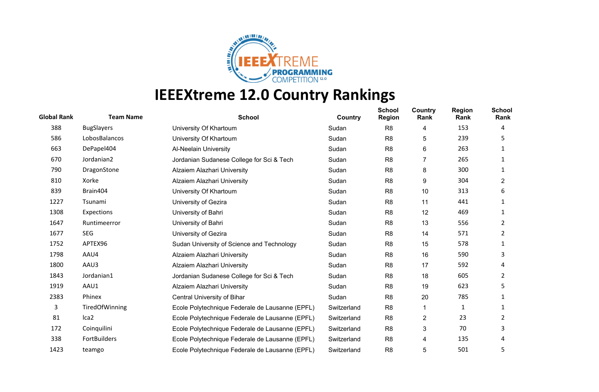

| <b>Global Rank</b> | <b>Team Name</b>  | <b>School</b>                                   | Country     | <b>School</b><br><b>Region</b> | Country<br>Rank         | <b>Region</b><br>Rank | <b>School</b><br>Rank |
|--------------------|-------------------|-------------------------------------------------|-------------|--------------------------------|-------------------------|-----------------------|-----------------------|
| 388                | <b>BugSlayers</b> | University Of Khartoum                          | Sudan       | R <sub>8</sub>                 | 4                       | 153                   | 4                     |
| 586                | LobosBalancos     | University Of Khartoum                          | Sudan       | R <sub>8</sub>                 | 5                       | 239                   | 5.                    |
| 663                | DePapel404        | Al-Neelain University                           | Sudan       | R <sub>8</sub>                 | 6                       | 263                   | 1                     |
| 670                | Jordanian2        | Jordanian Sudanese College for Sci & Tech       | Sudan       | R <sub>8</sub>                 | 7                       | 265                   | 1                     |
| 790                | DragonStone       | Alzaiem Alazhari University                     | Sudan       | R <sub>8</sub>                 | 8                       | 300                   |                       |
| 810                | Xorke             | Alzaiem Alazhari University                     | Sudan       | R <sub>8</sub>                 | 9                       | 304                   | 2                     |
| 839                | Brain404          | University Of Khartoum                          | Sudan       | R <sub>8</sub>                 | 10                      | 313                   | 6                     |
| 1227               | Tsunami           | University of Gezira                            | Sudan       | R <sub>8</sub>                 | 11                      | 441                   | 1                     |
| 1308               | Expections        | University of Bahri                             | Sudan       | R <sub>8</sub>                 | 12                      | 469                   |                       |
| 1647               | Runtimeerror      | University of Bahri                             | Sudan       | R <sub>8</sub>                 | 13                      | 556                   | 2                     |
| 1677               | <b>SEG</b>        | University of Gezira                            | Sudan       | R <sub>8</sub>                 | 14                      | 571                   | 2                     |
| 1752               | APTEX96           | Sudan University of Science and Technology      | Sudan       | R <sub>8</sub>                 | 15                      | 578                   |                       |
| 1798               | AAU4              | Alzaiem Alazhari University                     | Sudan       | R <sub>8</sub>                 | 16                      | 590                   | 3                     |
| 1800               | AAU3              | Alzaiem Alazhari University                     | Sudan       | R <sub>8</sub>                 | 17                      | 592                   | 4                     |
| 1843               | Jordanian1        | Jordanian Sudanese College for Sci & Tech       | Sudan       | R <sub>8</sub>                 | 18                      | 605                   | 2                     |
| 1919               | AAU1              | Alzaiem Alazhari University                     | Sudan       | R <sub>8</sub>                 | 19                      | 623                   | 5                     |
| 2383               | Phinex            | Central University of Bihar                     | Sudan       | R <sub>8</sub>                 | 20                      | 785                   |                       |
| 3                  | TiredOfWinning    | Ecole Polytechnique Federale de Lausanne (EPFL) | Switzerland | R <sub>8</sub>                 |                         | 1                     | 1                     |
| 81                 | Ica <sub>2</sub>  | Ecole Polytechnique Federale de Lausanne (EPFL) | Switzerland | R <sub>8</sub>                 | $\overline{\mathbf{c}}$ | 23                    | 2                     |
| 172                | Coinquilini       | Ecole Polytechnique Federale de Lausanne (EPFL) | Switzerland | R <sub>8</sub>                 | 3                       | 70                    | 3                     |
| 338                | FortBuilders      | Ecole Polytechnique Federale de Lausanne (EPFL) | Switzerland | R <sub>8</sub>                 | 4                       | 135                   | 4                     |
| 1423               | teamgo            | Ecole Polytechnique Federale de Lausanne (EPFL) | Switzerland | R <sub>8</sub>                 | 5                       | 501                   | 5                     |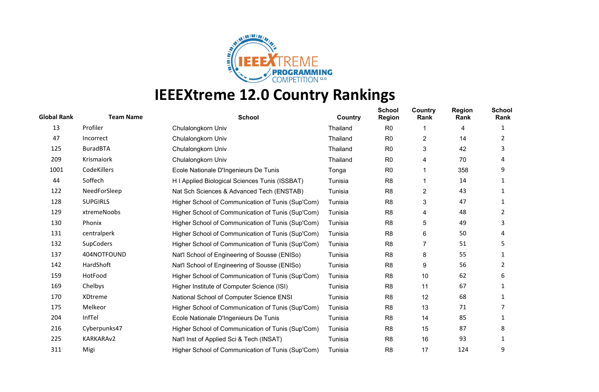

| <b>Global Rank</b> | <b>Team Name</b> | <b>School</b>                                     | Country  | <b>School</b><br><b>Region</b> | Country<br>Rank | <b>Region</b><br>Rank | <b>School</b><br>Rank |
|--------------------|------------------|---------------------------------------------------|----------|--------------------------------|-----------------|-----------------------|-----------------------|
| 13                 | Profiler         | Chulalongkorn Univ                                | Thailand | R <sub>0</sub>                 |                 | 4                     |                       |
| 47                 | Incorrect        | Chulalongkorn Univ                                | Thailand | R <sub>0</sub>                 | 2               | 14                    | 2                     |
| 125                | <b>BuradBTA</b>  | Chulalongkorn Univ                                | Thailand | R <sub>0</sub>                 | 3               | 42                    | 3                     |
| 209                | Krismaiork       | Chulalongkorn Univ                                | Thailand | R <sub>0</sub>                 | 4               | 70                    | 4                     |
| 1001               | CodeKillers      | Ecole Nationale D'Ingenieurs De Tunis             | Tonga    | R <sub>0</sub>                 |                 | 358                   | 9                     |
| 44                 | 5offech          | H I Applied Biological Sciences Tunis (ISSBAT)    | Tunisia  | R <sub>8</sub>                 |                 | 14                    |                       |
| 122                | NeedForSleep     | Nat Sch Sciences & Advanced Tech (ENSTAB)         | Tunisia  | R <sub>8</sub>                 | 2               | 43                    |                       |
| 128                | <b>SUPGIRLS</b>  | Higher School of Communication of Tunis (Sup'Com) | Tunisia  | R <sub>8</sub>                 | 3               | 47                    | 1                     |
| 129                | xtremeNoobs      | Higher School of Communication of Tunis (Sup'Com) | Tunisia  | R <sub>8</sub>                 | 4               | 48                    | 2                     |
| 130                | Phonix           | Higher School of Communication of Tunis (Sup'Com) | Tunisia  | R <sub>8</sub>                 | 5               | 49                    | 3                     |
| 131                | centralperk      | Higher School of Communication of Tunis (Sup'Com) | Tunisia  | R <sub>8</sub>                 | 6               | 50                    | 4                     |
| 132                | SupCoders        | Higher School of Communication of Tunis (Sup'Com) | Tunisia  | R <sub>8</sub>                 | 7               | 51                    | 5                     |
| 137                | 404NOTFOUND      | Nat'l School of Engineering of Sousse (ENISo)     | Tunisia  | R <sub>8</sub>                 | 8               | 55                    | 1                     |
| 142                | HardShoft        | Nat'l School of Engineering of Sousse (ENISo)     | Tunisia  | R <sub>8</sub>                 | 9               | 56                    | 2                     |
| 159                | HotFood          | Higher School of Communication of Tunis (Sup'Com) | Tunisia  | R <sub>8</sub>                 | 10              | 62                    | 6                     |
| 169                | Chelbys          | Higher Institute of Computer Science (ISI)        | Tunisia  | R <sub>8</sub>                 | 11              | 67                    |                       |
| 170                | XDtreme          | National School of Computer Science ENSI          | Tunisia  | R <sub>8</sub>                 | 12              | 68                    |                       |
| 175                | Melkeor          | Higher School of Communication of Tunis (Sup'Com) | Tunisia  | R <sub>8</sub>                 | 13              | 71                    |                       |
| 204                | InfTel           | Ecole Nationale D'Ingenieurs De Tunis             | Tunisia  | R <sub>8</sub>                 | 14              | 85                    |                       |
| 216                | Cyberpunks47     | Higher School of Communication of Tunis (Sup'Com) | Tunisia  | R <sub>8</sub>                 | 15              | 87                    | 8                     |
| 225                | KARKARAv2        | Nat'l Inst of Applied Sci & Tech (INSAT)          | Tunisia  | R <sub>8</sub>                 | 16              | 93                    |                       |
| 311                | Migi             | Higher School of Communication of Tunis (Sup'Com) | Tunisia  | R <sub>8</sub>                 | 17              | 124                   | 9                     |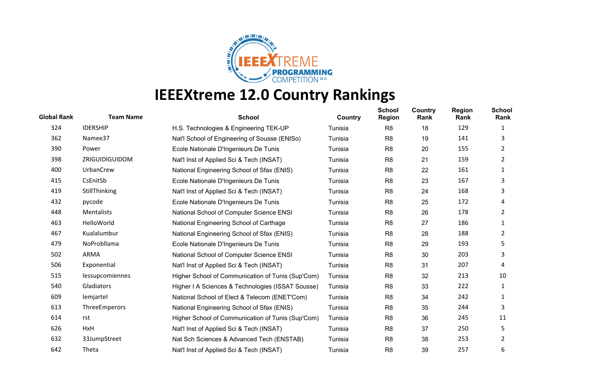

| <b>Global Rank</b> | <b>Team Name</b> | <b>School</b>                                     | Country | <b>School</b><br><b>Region</b> | Country<br>Rank | <b>Region</b><br>Rank | <b>School</b><br>Rank |
|--------------------|------------------|---------------------------------------------------|---------|--------------------------------|-----------------|-----------------------|-----------------------|
| 324                | <b>IDERSHIP</b>  | H.S. Technologies & Engineering TEK-UP            | Tunisia | R <sub>8</sub>                 | 18              | 129                   | 1                     |
| 362                | Namee37          | Nat'l School of Engineering of Sousse (ENISo)     | Tunisia | R <sub>8</sub>                 | 19              | 141                   | 3                     |
| 390                | Power            | Ecole Nationale D'Ingenieurs De Tunis             | Tunisia | R <sub>8</sub>                 | 20              | 155                   | 2                     |
| 398                | ZRIGUIDIGUIDOM   | Nat'l Inst of Applied Sci & Tech (INSAT)          | Tunisia | R <sub>8</sub>                 | 21              | 159                   | $\overline{2}$        |
| 400                | UrbanCrew        | National Engineering School of Sfax (ENIS)        | Tunisia | R <sub>8</sub>                 | 22              | 161                   | 1                     |
| 415                | CsEnitSb         | Ecole Nationale D'Ingenieurs De Tunis             | Tunisia | R <sub>8</sub>                 | 23              | 167                   | 3                     |
| 419                | StillThinking    | Nat'l Inst of Applied Sci & Tech (INSAT)          | Tunisia | R <sub>8</sub>                 | 24              | 168                   | 3                     |
| 432                | pycode           | Ecole Nationale D'Ingenieurs De Tunis             | Tunisia | R <sub>8</sub>                 | 25              | 172                   | 4                     |
| 448                | Mentalists       | National School of Computer Science ENSI          | Tunisia | R <sub>8</sub>                 | 26              | 178                   | $\mathbf{2}$          |
| 463                | HelloWorld       | National Engineering School of Carthage           | Tunisia | R <sub>8</sub>                 | 27              | 186                   | 1                     |
| 467                | Kualalumbur      | National Engineering School of Sfax (ENIS)        | Tunisia | R <sub>8</sub>                 | 28              | 188                   | 2                     |
| 479                | NoProbllama      | Ecole Nationale D'Ingenieurs De Tunis             | Tunisia | R <sub>8</sub>                 | 29              | 193                   | 5                     |
| 502                | ARMA             | National School of Computer Science ENSI          | Tunisia | R <sub>8</sub>                 | 30              | 203                   | 3                     |
| 506                | Exponential      | Nat'l Inst of Applied Sci & Tech (INSAT)          | Tunisia | R <sub>8</sub>                 | 31              | 207                   | 4                     |
| 515                | lessupcomiennes  | Higher School of Communication of Tunis (Sup'Com) | Tunisia | R <sub>8</sub>                 | 32              | 213                   | 10                    |
| 540                | Gladiators       | Higher I A Sciences & Technologies (ISSAT Sousse) | Tunisia | R <sub>8</sub>                 | 33              | 222                   | 1                     |
| 609                | lemjartel        | National School of Elect & Telecom (ENET'Com)     | Tunisia | R <sub>8</sub>                 | 34              | 242                   | 1                     |
| 613                | ThreeEmperors    | National Engineering School of Sfax (ENIS)        | Tunisia | R <sub>8</sub>                 | 35              | 244                   | 3                     |
| 614                | rst              | Higher School of Communication of Tunis (Sup'Com) | Tunisia | R <sub>8</sub>                 | 36              | 245                   | 11                    |
| 626                | HxH              | Nat'l Inst of Applied Sci & Tech (INSAT)          | Tunisia | R <sub>8</sub>                 | 37              | 250                   | 5                     |
| 632                | 33JumpStreet     | Nat Sch Sciences & Advanced Tech (ENSTAB)         | Tunisia | R <sub>8</sub>                 | 38              | 253                   | 2                     |
| 642                | Theta            | Nat'l Inst of Applied Sci & Tech (INSAT)          | Tunisia | R <sub>8</sub>                 | 39              | 257                   | 6                     |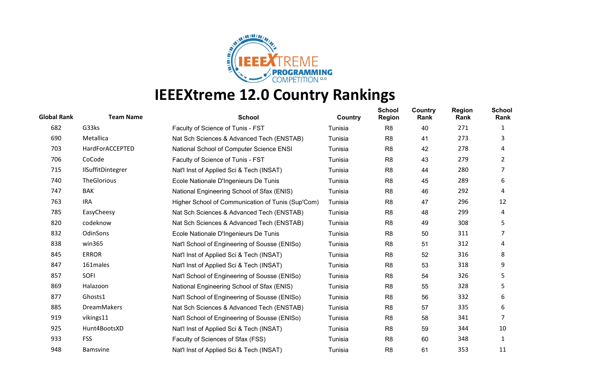

| <b>Global Rank</b> | <b>Team Name</b>  | <b>School</b>                                     | Country | <b>School</b><br><b>Region</b> | Country<br>Rank | <b>Region</b><br>Rank | <b>School</b><br>Rank |
|--------------------|-------------------|---------------------------------------------------|---------|--------------------------------|-----------------|-----------------------|-----------------------|
| 682                | G33ks             | Faculty of Science of Tunis - FST                 | Tunisia | R <sub>8</sub>                 | 40              | 271                   | 1                     |
| 690                | Metallica         | Nat Sch Sciences & Advanced Tech (ENSTAB)         | Tunisia | R <sub>8</sub>                 | 41              | 273                   | 3                     |
| 703                | HardForACCEPTED   | National School of Computer Science ENSI          | Tunisia | R <sub>8</sub>                 | 42              | 278                   | 4                     |
| 706                | CoCode            | Faculty of Science of Tunis - FST                 | Tunisia | R <sub>8</sub>                 | 43              | 279                   | $\overline{2}$        |
| 715                | IlSuffitDintegrer | Nat'l Inst of Applied Sci & Tech (INSAT)          | Tunisia | R <sub>8</sub>                 | 44              | 280                   | 7                     |
| 740                | TheGlorious       | Ecole Nationale D'Ingenieurs De Tunis             | Tunisia | R <sub>8</sub>                 | 45              | 289                   | 6                     |
| 747                | <b>BAK</b>        | National Engineering School of Sfax (ENIS)        | Tunisia | R <sub>8</sub>                 | 46              | 292                   | 4                     |
| 763                | <b>IRA</b>        | Higher School of Communication of Tunis (Sup'Com) | Tunisia | R <sub>8</sub>                 | 47              | 296                   | 12                    |
| 785                | EasyCheesy        | Nat Sch Sciences & Advanced Tech (ENSTAB)         | Tunisia | R <sub>8</sub>                 | 48              | 299                   | 4                     |
| 820                | codeknow          | Nat Sch Sciences & Advanced Tech (ENSTAB)         | Tunisia | R <sub>8</sub>                 | 49              | 308                   | 5                     |
| 832                | OdinSons          | Ecole Nationale D'Ingenieurs De Tunis             | Tunisia | R <sub>8</sub>                 | 50              | 311                   |                       |
| 838                | win365            | Nat'l School of Engineering of Sousse (ENISo)     | Tunisia | R <sub>8</sub>                 | 51              | 312                   | 4                     |
| 845                | <b>ERROR</b>      | Nat'l Inst of Applied Sci & Tech (INSAT)          | Tunisia | R <sub>8</sub>                 | 52              | 316                   | 8                     |
| 847                | 161males          | Nat'l Inst of Applied Sci & Tech (INSAT)          | Tunisia | R <sub>8</sub>                 | 53              | 318                   | 9                     |
| 857                | <b>SOFI</b>       | Nat'l School of Engineering of Sousse (ENISo)     | Tunisia | R <sub>8</sub>                 | 54              | 326                   | 5                     |
| 869                | Halazoon          | National Engineering School of Sfax (ENIS)        | Tunisia | R <sub>8</sub>                 | 55              | 328                   | 5                     |
| 877                | Ghosts1           | Nat'l School of Engineering of Sousse (ENISo)     | Tunisia | R <sub>8</sub>                 | 56              | 332                   | 6                     |
| 885                | DreamMakers       | Nat Sch Sciences & Advanced Tech (ENSTAB)         | Tunisia | R <sub>8</sub>                 | 57              | 335                   | 6                     |
| 919                | vikings11         | Nat'l School of Engineering of Sousse (ENISo)     | Tunisia | R <sub>8</sub>                 | 58              | 341                   | 7                     |
| 925                | Hunt4BootsXD      | Nat'l Inst of Applied Sci & Tech (INSAT)          | Tunisia | R <sub>8</sub>                 | 59              | 344                   | 10                    |
| 933                | <b>FSS</b>        | Faculty of Sciences of Sfax (FSS)                 | Tunisia | R <sub>8</sub>                 | 60              | 348                   | 1                     |
| 948                | <b>Bamsvine</b>   | Nat'l Inst of Applied Sci & Tech (INSAT)          | Tunisia | R <sub>8</sub>                 | 61              | 353                   | 11                    |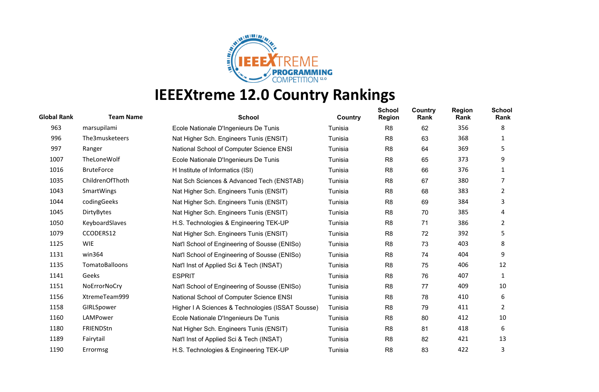

| <b>Global Rank</b> | <b>Team Name</b>  | <b>School</b>                                     | Country | <b>School</b><br><b>Region</b> | <b>Country</b><br>Rank | <b>Region</b><br>Rank | <b>School</b><br>Rank |
|--------------------|-------------------|---------------------------------------------------|---------|--------------------------------|------------------------|-----------------------|-----------------------|
| 963                | marsupilami       | Ecole Nationale D'Ingenieurs De Tunis             | Tunisia | R <sub>8</sub>                 | 62                     | 356                   | 8                     |
| 996                | The3musketeers    | Nat Higher Sch. Engineers Tunis (ENSIT)           | Tunisia | R <sub>8</sub>                 | 63                     | 368                   | 1                     |
| 997                | Ranger            | National School of Computer Science ENSI          | Tunisia | R <sub>8</sub>                 | 64                     | 369                   | 5                     |
| 1007               | TheLoneWolf       | Ecole Nationale D'Ingenieurs De Tunis             | Tunisia | R <sub>8</sub>                 | 65                     | 373                   | 9                     |
| 1016               | <b>BruteForce</b> | H Institute of Informatics (ISI)                  | Tunisia | R <sub>8</sub>                 | 66                     | 376                   |                       |
| 1035               | ChildrenOfThoth   | Nat Sch Sciences & Advanced Tech (ENSTAB)         | Tunisia | R <sub>8</sub>                 | 67                     | 380                   |                       |
| 1043               | <b>SmartWings</b> | Nat Higher Sch. Engineers Tunis (ENSIT)           | Tunisia | R <sub>8</sub>                 | 68                     | 383                   | $\overline{2}$        |
| 1044               | codingGeeks       | Nat Higher Sch. Engineers Tunis (ENSIT)           | Tunisia | R <sub>8</sub>                 | 69                     | 384                   | 3                     |
| 1045               | DirtyBytes        | Nat Higher Sch. Engineers Tunis (ENSIT)           | Tunisia | R <sub>8</sub>                 | 70                     | 385                   | 4                     |
| 1050               | KeyboardSlaves    | H.S. Technologies & Engineering TEK-UP            | Tunisia | R <sub>8</sub>                 | 71                     | 386                   | 2                     |
| 1079               | CCODERS12         | Nat Higher Sch. Engineers Tunis (ENSIT)           | Tunisia | R <sub>8</sub>                 | 72                     | 392                   | 5                     |
| 1125               | <b>WIE</b>        | Nat'l School of Engineering of Sousse (ENISo)     | Tunisia | R <sub>8</sub>                 | 73                     | 403                   | 8                     |
| 1131               | win364            | Nat'l School of Engineering of Sousse (ENISo)     | Tunisia | R <sub>8</sub>                 | 74                     | 404                   | 9                     |
| 1135               | TomatoBalloons    | Nat'l Inst of Applied Sci & Tech (INSAT)          | Tunisia | R <sub>8</sub>                 | 75                     | 406                   | 12                    |
| 1141               | Geeks             | <b>ESPRIT</b>                                     | Tunisia | R <sub>8</sub>                 | 76                     | 407                   | 1                     |
| 1151               | NoErrorNoCry      | Nat'l School of Engineering of Sousse (ENISo)     | Tunisia | R <sub>8</sub>                 | 77                     | 409                   | 10                    |
| 1156               | XtremeTeam999     | National School of Computer Science ENSI          | Tunisia | R <sub>8</sub>                 | 78                     | 410                   | 6                     |
| 1158               | GIRLSpower        | Higher I A Sciences & Technologies (ISSAT Sousse) | Tunisia | R <sub>8</sub>                 | 79                     | 411                   | $\overline{2}$        |
| 1160               | LAMPower          | Ecole Nationale D'Ingenieurs De Tunis             | Tunisia | R <sub>8</sub>                 | 80                     | 412                   | 10                    |
| 1180               | FRIENDStn         | Nat Higher Sch. Engineers Tunis (ENSIT)           | Tunisia | R <sub>8</sub>                 | 81                     | 418                   | 6                     |
| 1189               | Fairytail         | Nat'l Inst of Applied Sci & Tech (INSAT)          | Tunisia | R <sub>8</sub>                 | 82                     | 421                   | 13                    |
| 1190               | Errormsg          | H.S. Technologies & Engineering TEK-UP            | Tunisia | R <sub>8</sub>                 | 83                     | 422                   | 3                     |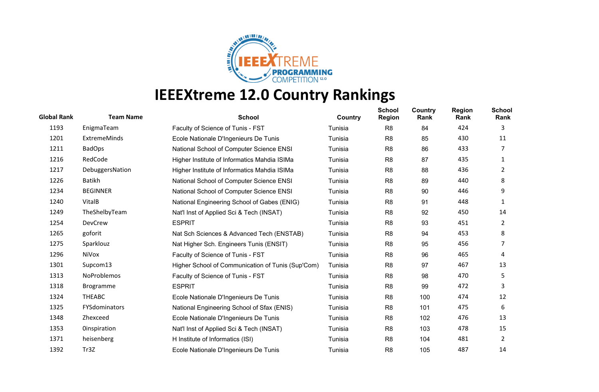

| <b>Global Rank</b> | <b>Team Name</b>    | <b>School</b>                                     | Country | <b>School</b><br><b>Region</b> | <b>Country</b><br>Rank | <b>Region</b><br>Rank | <b>School</b><br>Rank |
|--------------------|---------------------|---------------------------------------------------|---------|--------------------------------|------------------------|-----------------------|-----------------------|
| 1193               | EnigmaTeam          | Faculty of Science of Tunis - FST                 | Tunisia | R <sub>8</sub>                 | 84                     | 424                   | 3                     |
| 1201               | <b>ExtremeMinds</b> | Ecole Nationale D'Ingenieurs De Tunis             | Tunisia | R <sub>8</sub>                 | 85                     | 430                   | 11                    |
| 1211               | <b>BadOps</b>       | National School of Computer Science ENSI          | Tunisia | R <sub>8</sub>                 | 86                     | 433                   | 7                     |
| 1216               | RedCode             | Higher Institute of Informatics Mahdia ISIMa      | Tunisia | R <sub>8</sub>                 | 87                     | 435                   | 1                     |
| 1217               | DebuggersNation     | Higher Institute of Informatics Mahdia ISIMa      | Tunisia | R <sub>8</sub>                 | 88                     | 436                   | 2                     |
| 1226               | Batikh              | National School of Computer Science ENSI          | Tunisia | R <sub>8</sub>                 | 89                     | 440                   | 8                     |
| 1234               | <b>BEGINNER</b>     | National School of Computer Science ENSI          | Tunisia | R <sub>8</sub>                 | 90                     | 446                   | 9                     |
| 1240               | VitalB              | National Engineering School of Gabes (ENIG)       | Tunisia | R <sub>8</sub>                 | 91                     | 448                   | 1                     |
| 1249               | TheShelbyTeam       | Nat'l Inst of Applied Sci & Tech (INSAT)          | Tunisia | R <sub>8</sub>                 | 92                     | 450                   | 14                    |
| 1254               | DevCrew             | <b>ESPRIT</b>                                     | Tunisia | R <sub>8</sub>                 | 93                     | 451                   | 2                     |
| 1265               | goforit             | Nat Sch Sciences & Advanced Tech (ENSTAB)         | Tunisia | R <sub>8</sub>                 | 94                     | 453                   | 8                     |
| 1275               | Sparklouz           | Nat Higher Sch. Engineers Tunis (ENSIT)           | Tunisia | R <sub>8</sub>                 | 95                     | 456                   | 7                     |
| 1296               | NiVox               | Faculty of Science of Tunis - FST                 | Tunisia | R <sub>8</sub>                 | 96                     | 465                   | 4                     |
| 1301               | Supcom13            | Higher School of Communication of Tunis (Sup'Com) | Tunisia | R <sub>8</sub>                 | 97                     | 467                   | 13                    |
| 1313               | <b>NoProblemos</b>  | Faculty of Science of Tunis - FST                 | Tunisia | R <sub>8</sub>                 | 98                     | 470                   | 5.                    |
| 1318               | <b>Brogramme</b>    | <b>ESPRIT</b>                                     | Tunisia | R <sub>8</sub>                 | 99                     | 472                   | 3                     |
| 1324               | <b>THEABC</b>       | Ecole Nationale D'Ingenieurs De Tunis             | Tunisia | R <sub>8</sub>                 | 100                    | 474                   | 12                    |
| 1325               | FYSdominators       | National Engineering School of Sfax (ENIS)        | Tunisia | R <sub>8</sub>                 | 101                    | 475                   | 6                     |
| 1348               | Zhexceed            | Ecole Nationale D'Ingenieurs De Tunis             | Tunisia | R <sub>8</sub>                 | 102                    | 476                   | 13                    |
| 1353               | <b>Oinspiration</b> | Nat'l Inst of Applied Sci & Tech (INSAT)          | Tunisia | R <sub>8</sub>                 | 103                    | 478                   | 15                    |
| 1371               | heisenberg          | H Institute of Informatics (ISI)                  | Tunisia | R <sub>8</sub>                 | 104                    | 481                   | 2                     |
| 1392               | Tr3Z                | Ecole Nationale D'Ingenieurs De Tunis             | Tunisia | R <sub>8</sub>                 | 105                    | 487                   | 14                    |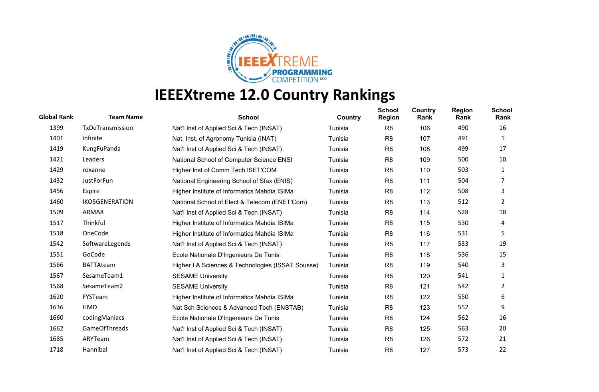

| <b>Global Rank</b> | <b>Team Name</b>      | <b>School</b>                                     | Country | <b>School</b><br><b>Region</b> | Country<br>Rank | <b>Region</b><br>Rank | <b>School</b><br>Rank |
|--------------------|-----------------------|---------------------------------------------------|---------|--------------------------------|-----------------|-----------------------|-----------------------|
| 1399               | TxDeTransmission      | Nat'l Inst of Applied Sci & Tech (INSAT)          | Tunisia | R <sub>8</sub>                 | 106             | 490                   | 16                    |
| 1401               | infinite              | Nat. Inst. of Agronomy Tunisia (INAT)             | Tunisia | R <sub>8</sub>                 | 107             | 491                   | 1                     |
| 1419               | KungFuPanda           | Nat'l Inst of Applied Sci & Tech (INSAT)          | Tunisia | R <sub>8</sub>                 | 108             | 499                   | 17                    |
| 1421               | Leaders               | National School of Computer Science ENSI          | Tunisia | R <sub>8</sub>                 | 109             | 500                   | 10                    |
| 1429               | roxanne               | Higher Inst of Comm Tech ISET'COM                 | Tunisia | R8                             | 110             | 503                   | 1                     |
| 1432               | JustForFun            | National Engineering School of Sfax (ENIS)        | Tunisia | R <sub>8</sub>                 | 111             | 504                   |                       |
| 1456               | Espire                | Higher Institute of Informatics Mahdia ISIMa      | Tunisia | R <sub>8</sub>                 | 112             | 508                   | 3                     |
| 1460               | <b>IKO5GENERATION</b> | National School of Elect & Telecom (ENET'Com)     | Tunisia | R <sub>8</sub>                 | 113             | 512                   | $\overline{2}$        |
| 1509               | ARMA8                 | Nat'l Inst of Applied Sci & Tech (INSAT)          | Tunisia | R <sub>8</sub>                 | 114             | 528                   | 18                    |
| 1517               | Thinkful              | Higher Institute of Informatics Mahdia ISIMa      | Tunisia | R <sub>8</sub>                 | 115             | 530                   | 4                     |
| 1518               | OneCode               | Higher Institute of Informatics Mahdia ISIMa      | Tunisia | R <sub>8</sub>                 | 116             | 531                   | 5                     |
| 1542               | SoftwareLegends       | Nat'l Inst of Applied Sci & Tech (INSAT)          | Tunisia | R <sub>8</sub>                 | 117             | 533                   | 19                    |
| 1551               | GoCode                | Ecole Nationale D'Ingenieurs De Tunis             | Tunisia | R <sub>8</sub>                 | 118             | 536                   | 15                    |
| 1566               | <b>BATTAteam</b>      | Higher I A Sciences & Technologies (ISSAT Sousse) | Tunisia | R <sub>8</sub>                 | 119             | 540                   | 3                     |
| 1567               | SesameTeam1           | <b>SESAME University</b>                          | Tunisia | R <sub>8</sub>                 | 120             | 541                   | 1                     |
| 1568               | SesameTeam2           | <b>SESAME University</b>                          | Tunisia | R <sub>8</sub>                 | 121             | 542                   | 2                     |
| 1620               | FYSTeam               | Higher Institute of Informatics Mahdia ISIMa      | Tunisia | R <sub>8</sub>                 | 122             | 550                   | 6                     |
| 1636               | HMD                   | Nat Sch Sciences & Advanced Tech (ENSTAB)         | Tunisia | R <sub>8</sub>                 | 123             | 552                   | 9                     |
| 1660               | codingManiacs         | Ecole Nationale D'Ingenieurs De Tunis             | Tunisia | R <sub>8</sub>                 | 124             | 562                   | 16                    |
| 1662               | <b>GameOfThreads</b>  | Nat'l Inst of Applied Sci & Tech (INSAT)          | Tunisia | R <sub>8</sub>                 | 125             | 563                   | 20                    |
| 1685               | ARYTeam               | Nat'l Inst of Applied Sci & Tech (INSAT)          | Tunisia | R <sub>8</sub>                 | 126             | 572                   | 21                    |
| 1718               | Hannibal              | Nat'l Inst of Applied Sci & Tech (INSAT)          | Tunisia | R <sub>8</sub>                 | 127             | 573                   | 22                    |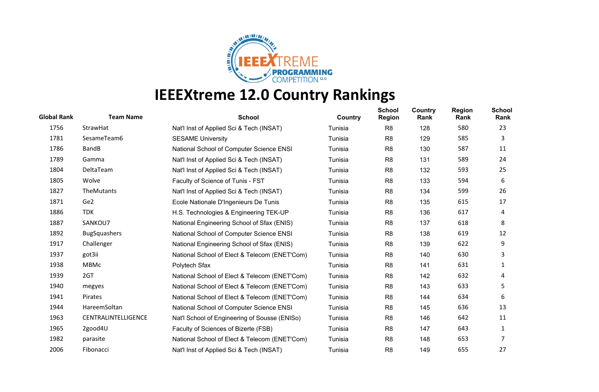

| <b>Global Rank</b> | <b>Team Name</b>    | <b>School</b>                                 | Country | <b>School</b><br><b>Region</b> | <b>Country</b><br>Rank | <b>Region</b><br>Rank | School<br>Rank |
|--------------------|---------------------|-----------------------------------------------|---------|--------------------------------|------------------------|-----------------------|----------------|
| 1756               | StrawHat            | Nat'l Inst of Applied Sci & Tech (INSAT)      | Tunisia | R <sub>8</sub>                 | 128                    | 580                   | 23             |
| 1781               | SesameTeam6         | <b>SESAME University</b>                      | Tunisia | R <sub>8</sub>                 | 129                    | 585                   | 3              |
| 1786               | <b>BandB</b>        | National School of Computer Science ENSI      | Tunisia | R <sub>8</sub>                 | 130                    | 587                   | 11             |
| 1789               | Gamma               | Nat'l Inst of Applied Sci & Tech (INSAT)      | Tunisia | R <sub>8</sub>                 | 131                    | 589                   | 24             |
| 1804               | DeltaTeam           | Nat'l Inst of Applied Sci & Tech (INSAT)      | Tunisia | R <sub>8</sub>                 | 132                    | 593                   | 25             |
| 1805               | Wolve               | Faculty of Science of Tunis - FST             | Tunisia | R <sub>8</sub>                 | 133                    | 594                   | 6              |
| 1827               | <b>TheMutants</b>   | Nat'l Inst of Applied Sci & Tech (INSAT)      | Tunisia | R <sub>8</sub>                 | 134                    | 599                   | 26             |
| 1871               | Ge2                 | Ecole Nationale D'Ingenieurs De Tunis         | Tunisia | R <sub>8</sub>                 | 135                    | 615                   | 17             |
| 1886               | <b>TDK</b>          | H.S. Technologies & Engineering TEK-UP        | Tunisia | R <sub>8</sub>                 | 136                    | 617                   | 4              |
| 1887               | SANKOU7             | National Engineering School of Sfax (ENIS)    | Tunisia | R <sub>8</sub>                 | 137                    | 618                   | 8              |
| 1892               | <b>BugSquashers</b> | National School of Computer Science ENSI      | Tunisia | R <sub>8</sub>                 | 138                    | 619                   | 12             |
| 1917               | Challenger          | National Engineering School of Sfax (ENIS)    | Tunisia | R <sub>8</sub>                 | 139                    | 622                   | 9              |
| 1937               | got3ii              | National School of Elect & Telecom (ENET'Com) | Tunisia | R <sub>8</sub>                 | 140                    | 630                   | 3              |
| 1938               | <b>MBMc</b>         | Polytech Sfax                                 | Tunisia | R <sub>8</sub>                 | 141                    | 631                   | 1              |
| 1939               | 2GT                 | National School of Elect & Telecom (ENET'Com) | Tunisia | R8                             | 142                    | 632                   | 4              |
| 1940               | megyes              | National School of Elect & Telecom (ENET'Com) | Tunisia | R <sub>8</sub>                 | 143                    | 633                   | 5              |
| 1941               | Pirates             | National School of Elect & Telecom (ENET'Com) | Tunisia | R <sub>8</sub>                 | 144                    | 634                   | 6              |
| 1944               | HareemSoltan        | National School of Computer Science ENSI      | Tunisia | R <sub>8</sub>                 | 145                    | 636                   | 13             |
| 1963               | CENTRALINTELLIGENCE | Nat'l School of Engineering of Sousse (ENISo) | Tunisia | R <sub>8</sub>                 | 146                    | 642                   | 11             |
| 1965               | 2good4U             | Faculty of Sciences of Bizerte (FSB)          | Tunisia | R <sub>8</sub>                 | 147                    | 643                   | 1              |
| 1982               | parasite            | National School of Elect & Telecom (ENET'Com) | Tunisia | R <sub>8</sub>                 | 148                    | 653                   | 7              |
| 2006               | Fibonacci           | Nat'l Inst of Applied Sci & Tech (INSAT)      | Tunisia | R <sub>8</sub>                 | 149                    | 655                   | 27             |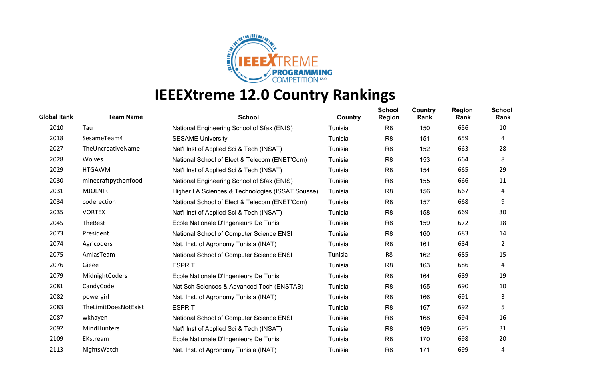

| <b>Global Rank</b> | <b>Team Name</b>     | <b>School</b>                                     | Country | <b>School</b><br><b>Region</b> | <b>Country</b><br>Rank | <b>Region</b><br>Rank | <b>School</b><br>Rank |
|--------------------|----------------------|---------------------------------------------------|---------|--------------------------------|------------------------|-----------------------|-----------------------|
| 2010               | Tau                  | National Engineering School of Sfax (ENIS)        | Tunisia | R <sub>8</sub>                 | 150                    | 656                   | 10                    |
| 2018               | SesameTeam4          | <b>SESAME University</b>                          | Tunisia | R <sub>8</sub>                 | 151                    | 659                   | 4                     |
| 2027               | TheUncreativeName    | Nat'l Inst of Applied Sci & Tech (INSAT)          | Tunisia | R <sub>8</sub>                 | 152                    | 663                   | 28                    |
| 2028               | Wolves               | National School of Elect & Telecom (ENET'Com)     | Tunisia | R <sub>8</sub>                 | 153                    | 664                   | 8                     |
| 2029               | <b>HTGAWM</b>        | Nat'l Inst of Applied Sci & Tech (INSAT)          | Tunisia | R8                             | 154                    | 665                   | 29                    |
| 2030               | minecraftpythonfood  | National Engineering School of Sfax (ENIS)        | Tunisia | R <sub>8</sub>                 | 155                    | 666                   | 11                    |
| 2031               | <b>MJOLNIR</b>       | Higher I A Sciences & Technologies (ISSAT Sousse) | Tunisia | R <sub>8</sub>                 | 156                    | 667                   | 4                     |
| 2034               | coderection          | National School of Elect & Telecom (ENET'Com)     | Tunisia | R <sub>8</sub>                 | 157                    | 668                   | 9                     |
| 2035               | <b>VORTEX</b>        | Nat'l Inst of Applied Sci & Tech (INSAT)          | Tunisia | R <sub>8</sub>                 | 158                    | 669                   | 30                    |
| 2045               | TheBest              | Ecole Nationale D'Ingenieurs De Tunis             | Tunisia | R <sub>8</sub>                 | 159                    | 672                   | 18                    |
| 2073               | President            | National School of Computer Science ENSI          | Tunisia | R <sub>8</sub>                 | 160                    | 683                   | 14                    |
| 2074               | Agricoders           | Nat. Inst. of Agronomy Tunisia (INAT)             | Tunisia | R <sub>8</sub>                 | 161                    | 684                   | 2                     |
| 2075               | AmlasTeam            | National School of Computer Science ENSI          | Tunisia | R8                             | 162                    | 685                   | 15                    |
| 2076               | Gieee                | <b>ESPRIT</b>                                     | Tunisia | R <sub>8</sub>                 | 163                    | 686                   | 4                     |
| 2079               | MidnightCoders       | Ecole Nationale D'Ingenieurs De Tunis             | Tunisia | R <sub>8</sub>                 | 164                    | 689                   | 19                    |
| 2081               | CandyCode            | Nat Sch Sciences & Advanced Tech (ENSTAB)         | Tunisia | R <sub>8</sub>                 | 165                    | 690                   | 10                    |
| 2082               | powergirl            | Nat. Inst. of Agronomy Tunisia (INAT)             | Tunisia | R <sub>8</sub>                 | 166                    | 691                   | 3                     |
| 2083               | TheLimitDoesNotExist | <b>ESPRIT</b>                                     | Tunisia | R <sub>8</sub>                 | 167                    | 692                   | 5                     |
| 2087               | wkhayen              | National School of Computer Science ENSI          | Tunisia | R <sub>8</sub>                 | 168                    | 694                   | 16                    |
| 2092               | MindHunters          | Nat'l Inst of Applied Sci & Tech (INSAT)          | Tunisia | R <sub>8</sub>                 | 169                    | 695                   | 31                    |
| 2109               | EKstream             | Ecole Nationale D'Ingenieurs De Tunis             | Tunisia | R <sub>8</sub>                 | 170                    | 698                   | 20                    |
| 2113               | NightsWatch          | Nat. Inst. of Agronomy Tunisia (INAT)             | Tunisia | R <sub>8</sub>                 | 171                    | 699                   | 4                     |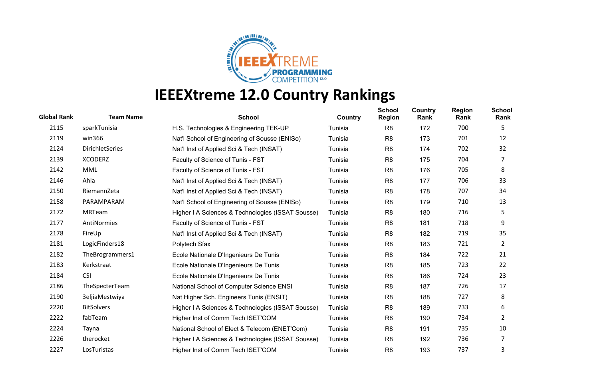

| <b>Global Rank</b> | <b>Team Name</b>       | <b>School</b>                                     | Country | <b>School</b><br><b>Region</b> | Country<br>Rank | <b>Region</b><br>Rank | <b>School</b><br>Rank |
|--------------------|------------------------|---------------------------------------------------|---------|--------------------------------|-----------------|-----------------------|-----------------------|
| 2115               | sparkTunisia           | H.S. Technologies & Engineering TEK-UP            | Tunisia | R <sub>8</sub>                 | 172             | 700                   | 5                     |
| 2119               | win366                 | Nat'l School of Engineering of Sousse (ENISo)     | Tunisia | R <sub>8</sub>                 | 173             | 701                   | 12                    |
| 2124               | <b>DirichletSeries</b> | Nat'l Inst of Applied Sci & Tech (INSAT)          | Tunisia | R <sub>8</sub>                 | 174             | 702                   | 32                    |
| 2139               | <b>XCODERZ</b>         | Faculty of Science of Tunis - FST                 | Tunisia | R <sub>8</sub>                 | 175             | 704                   | 7                     |
| 2142               | MML                    | Faculty of Science of Tunis - FST                 | Tunisia | R <sub>8</sub>                 | 176             | 705                   | 8                     |
| 2146               | Ahla                   | Nat'l Inst of Applied Sci & Tech (INSAT)          | Tunisia | R <sub>8</sub>                 | 177             | 706                   | 33                    |
| 2150               | RiemannZeta            | Nat'l Inst of Applied Sci & Tech (INSAT)          | Tunisia | R <sub>8</sub>                 | 178             | 707                   | 34                    |
| 2158               | PARAMPARAM             | Nat'l School of Engineering of Sousse (ENISo)     | Tunisia | R <sub>8</sub>                 | 179             | 710                   | 13                    |
| 2172               | MRTeam                 | Higher I A Sciences & Technologies (ISSAT Sousse) | Tunisia | R <sub>8</sub>                 | 180             | 716                   | 5                     |
| 2177               | AntiNormies            | Faculty of Science of Tunis - FST                 | Tunisia | R <sub>8</sub>                 | 181             | 718                   | 9                     |
| 2178               | FireUp                 | Nat'l Inst of Applied Sci & Tech (INSAT)          | Tunisia | R <sub>8</sub>                 | 182             | 719                   | 35                    |
| 2181               | LogicFinders18         | Polytech Sfax                                     | Tunisia | R <sub>8</sub>                 | 183             | 721                   | $\overline{2}$        |
| 2182               | TheBrogrammers1        | Ecole Nationale D'Ingenieurs De Tunis             | Tunisia | R <sub>8</sub>                 | 184             | 722                   | 21                    |
| 2183               | Kerkstraat             | Ecole Nationale D'Ingenieurs De Tunis             | Tunisia | R <sub>8</sub>                 | 185             | 723                   | 22                    |
| 2184               | <b>CSI</b>             | Ecole Nationale D'Ingenieurs De Tunis             | Tunisia | R <sub>8</sub>                 | 186             | 724                   | 23                    |
| 2186               | TheSpecterTeam         | National School of Computer Science ENSI          | Tunisia | R <sub>8</sub>                 | 187             | 726                   | 17                    |
| 2190               | 3eljiaMestwiya         | Nat Higher Sch. Engineers Tunis (ENSIT)           | Tunisia | R <sub>8</sub>                 | 188             | 727                   | 8                     |
| 2220               | <b>BitSolvers</b>      | Higher I A Sciences & Technologies (ISSAT Sousse) | Tunisia | R <sub>8</sub>                 | 189             | 733                   | 6                     |
| 2222               | fabTeam                | Higher Inst of Comm Tech ISET'COM                 | Tunisia | R <sub>8</sub>                 | 190             | 734                   | 2                     |
| 2224               | Tayna                  | National School of Elect & Telecom (ENET'Com)     | Tunisia | R <sub>8</sub>                 | 191             | 735                   | 10                    |
| 2226               | therocket              | Higher I A Sciences & Technologies (ISSAT Sousse) | Tunisia | R <sub>8</sub>                 | 192             | 736                   | 7                     |
| 2227               | LosTuristas            | Higher Inst of Comm Tech ISET'COM                 | Tunisia | R <sub>8</sub>                 | 193             | 737                   | 3                     |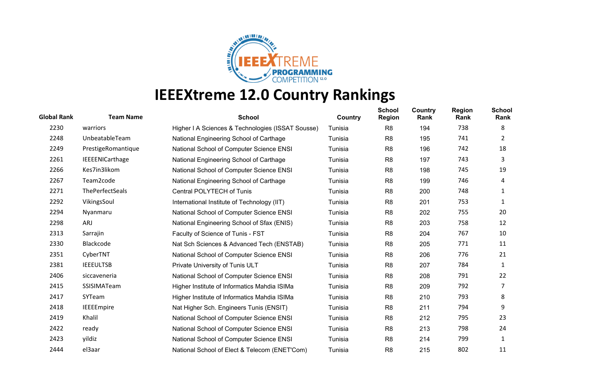

| <b>Global Rank</b> | <b>Team Name</b>       | <b>School</b>                                     | Country | <b>School</b><br><b>Region</b> | <b>Country</b><br>Rank | <b>Region</b><br>Rank | <b>School</b><br>Rank |
|--------------------|------------------------|---------------------------------------------------|---------|--------------------------------|------------------------|-----------------------|-----------------------|
| 2230               | warriors               | Higher I A Sciences & Technologies (ISSAT Sousse) | Tunisia | R <sub>8</sub>                 | 194                    | 738                   | 8                     |
| 2248               | UnbeatableTeam         | National Engineering School of Carthage           | Tunisia | R <sub>8</sub>                 | 195                    | 741                   | 2                     |
| 2249               | PrestigeRomantique     | National School of Computer Science ENSI          | Tunisia | R <sub>8</sub>                 | 196                    | 742                   | 18                    |
| 2261               | <b>IEEEENICarthage</b> | National Engineering School of Carthage           | Tunisia | R <sub>8</sub>                 | 197                    | 743                   | 3                     |
| 2266               | Kes7in3likom           | National School of Computer Science ENSI          | Tunisia | R8                             | 198                    | 745                   | 19                    |
| 2267               | Team2code              | National Engineering School of Carthage           | Tunisia | R <sub>8</sub>                 | 199                    | 746                   | 4                     |
| 2271               | <b>ThePerfectSeals</b> | Central POLYTECH of Tunis                         | Tunisia | R <sub>8</sub>                 | 200                    | 748                   | 1                     |
| 2292               | VikingsSoul            | International Institute of Technology (IIT)       | Tunisia | R <sub>8</sub>                 | 201                    | 753                   | 1                     |
| 2294               | Nyanmaru               | National School of Computer Science ENSI          | Tunisia | R <sub>8</sub>                 | 202                    | 755                   | 20                    |
| 2298               | ARJ                    | National Engineering School of Sfax (ENIS)        | Tunisia | R <sub>8</sub>                 | 203                    | 758                   | 12                    |
| 2313               | Sarrajin               | Faculty of Science of Tunis - FST                 | Tunisia | R <sub>8</sub>                 | 204                    | 767                   | 10                    |
| 2330               | Blackcode              | Nat Sch Sciences & Advanced Tech (ENSTAB)         | Tunisia | R <sub>8</sub>                 | 205                    | 771                   | 11                    |
| 2351               | CyberTNT               | National School of Computer Science ENSI          | Tunisia | R <sub>8</sub>                 | 206                    | 776                   | 21                    |
| 2381               | <b>IEEEULTSB</b>       | Private University of Tunis ULT                   | Tunisia | R <sub>8</sub>                 | 207                    | 784                   | 1                     |
| 2406               | siccaveneria           | National School of Computer Science ENSI          | Tunisia | R <sub>8</sub>                 | 208                    | 791                   | 22                    |
| 2415               | SSISIMATeam            | Higher Institute of Informatics Mahdia ISIMa      | Tunisia | R <sub>8</sub>                 | 209                    | 792                   | 7                     |
| 2417               | SYTeam                 | Higher Institute of Informatics Mahdia ISIMa      | Tunisia | R <sub>8</sub>                 | 210                    | 793                   | 8                     |
| 2418               | <b>IEEEEmpire</b>      | Nat Higher Sch. Engineers Tunis (ENSIT)           | Tunisia | R <sub>8</sub>                 | 211                    | 794                   | 9                     |
| 2419               | Khalil                 | National School of Computer Science ENSI          | Tunisia | R <sub>8</sub>                 | 212                    | 795                   | 23                    |
| 2422               | ready                  | National School of Computer Science ENSI          | Tunisia | R <sub>8</sub>                 | 213                    | 798                   | 24                    |
| 2423               | yildiz                 | National School of Computer Science ENSI          | Tunisia | R <sub>8</sub>                 | 214                    | 799                   | 1                     |
| 2444               | el3aar                 | National School of Elect & Telecom (ENET'Com)     | Tunisia | R <sub>8</sub>                 | 215                    | 802                   | 11                    |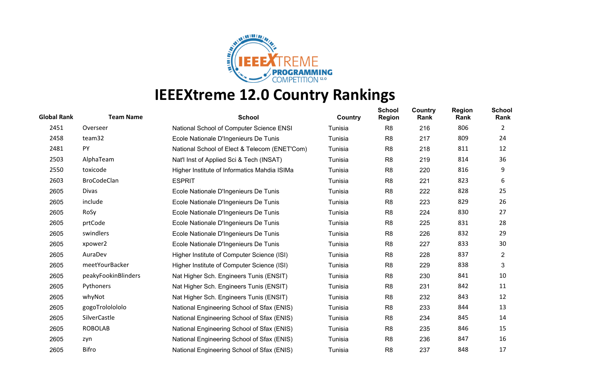

| <b>Global Rank</b> | <b>Team Name</b>    | <b>School</b>                                 | Country | <b>School</b><br><b>Region</b> | <b>Country</b><br>Rank | <b>Region</b><br>Rank | School<br>Rank |
|--------------------|---------------------|-----------------------------------------------|---------|--------------------------------|------------------------|-----------------------|----------------|
| 2451               | Overseer            | National School of Computer Science ENSI      | Tunisia | R <sub>8</sub>                 | 216                    | 806                   | $\mathbf{2}$   |
| 2458               | team32              | Ecole Nationale D'Ingenieurs De Tunis         | Tunisia | R <sub>8</sub>                 | 217                    | 809                   | 24             |
| 2481               | PY                  | National School of Elect & Telecom (ENET'Com) | Tunisia | R <sub>8</sub>                 | 218                    | 811                   | 12             |
| 2503               | AlphaTeam           | Nat'l Inst of Applied Sci & Tech (INSAT)      | Tunisia | R <sub>8</sub>                 | 219                    | 814                   | 36             |
| 2550               | toxicode            | Higher Institute of Informatics Mahdia ISIMa  | Tunisia | R8                             | 220                    | 816                   | 9              |
| 2603               | <b>BroCodeClan</b>  | <b>ESPRIT</b>                                 | Tunisia | R <sub>8</sub>                 | 221                    | 823                   | 6              |
| 2605               | <b>Divas</b>        | Ecole Nationale D'Ingenieurs De Tunis         | Tunisia | R <sub>8</sub>                 | 222                    | 828                   | 25             |
| 2605               | include             | Ecole Nationale D'Ingenieurs De Tunis         | Tunisia | R <sub>8</sub>                 | 223                    | 829                   | 26             |
| 2605               | RoSy                | Ecole Nationale D'Ingenieurs De Tunis         | Tunisia | R <sub>8</sub>                 | 224                    | 830                   | 27             |
| 2605               | prtCode             | Ecole Nationale D'Ingenieurs De Tunis         | Tunisia | R <sub>8</sub>                 | 225                    | 831                   | 28             |
| 2605               | swindlers           | Ecole Nationale D'Ingenieurs De Tunis         | Tunisia | R <sub>8</sub>                 | 226                    | 832                   | 29             |
| 2605               | xpower2             | Ecole Nationale D'Ingenieurs De Tunis         | Tunisia | R <sub>8</sub>                 | 227                    | 833                   | 30             |
| 2605               | AuraDev             | Higher Institute of Computer Science (ISI)    | Tunisia | R <sub>8</sub>                 | 228                    | 837                   | $\overline{2}$ |
| 2605               | meetYourBacker      | Higher Institute of Computer Science (ISI)    | Tunisia | R <sub>8</sub>                 | 229                    | 838                   | 3              |
| 2605               | peakyFookinBlinders | Nat Higher Sch. Engineers Tunis (ENSIT)       | Tunisia | R8                             | 230                    | 841                   | 10             |
| 2605               | Pythoners           | Nat Higher Sch. Engineers Tunis (ENSIT)       | Tunisia | R <sub>8</sub>                 | 231                    | 842                   | 11             |
| 2605               | whyNot              | Nat Higher Sch. Engineers Tunis (ENSIT)       | Tunisia | R <sub>8</sub>                 | 232                    | 843                   | 12             |
| 2605               | gogoTrololololo     | National Engineering School of Sfax (ENIS)    | Tunisia | R <sub>8</sub>                 | 233                    | 844                   | 13             |
| 2605               | SilverCastle        | National Engineering School of Sfax (ENIS)    | Tunisia | R <sub>8</sub>                 | 234                    | 845                   | 14             |
| 2605               | <b>ROBOLAB</b>      | National Engineering School of Sfax (ENIS)    | Tunisia | R <sub>8</sub>                 | 235                    | 846                   | 15             |
| 2605               | zyn                 | National Engineering School of Sfax (ENIS)    | Tunisia | R <sub>8</sub>                 | 236                    | 847                   | 16             |
| 2605               | Bifro               | National Engineering School of Sfax (ENIS)    | Tunisia | R <sub>8</sub>                 | 237                    | 848                   | 17             |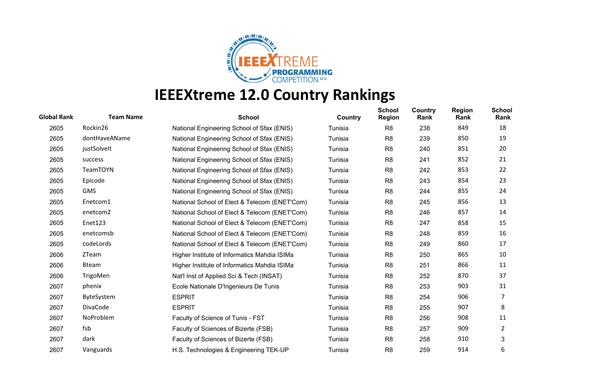

| <b>Global Rank</b> | <b>Team Name</b> | <b>School</b>                                 | Country | <b>School</b><br><b>Region</b> | <b>Country</b><br>Rank | <b>Region</b><br>Rank | School<br>Rank |
|--------------------|------------------|-----------------------------------------------|---------|--------------------------------|------------------------|-----------------------|----------------|
| 2605               | Rockin26         | National Engineering School of Sfax (ENIS)    | Tunisia | R <sub>8</sub>                 | 238                    | 849                   | 18             |
| 2605               | dontHaveAName    | National Engineering School of Sfax (ENIS)    | Tunisia | R <sub>8</sub>                 | 239                    | 850                   | 19             |
| 2605               | justSolvelt      | National Engineering School of Sfax (ENIS)    | Tunisia | R <sub>8</sub>                 | 240                    | 851                   | 20             |
| 2605               | success          | National Engineering School of Sfax (ENIS)    | Tunisia | R <sub>8</sub>                 | 241                    | 852                   | 21             |
| 2605               | <b>TeamTOYN</b>  | National Engineering School of Sfax (ENIS)    | Tunisia | R <sub>8</sub>                 | 242                    | 853                   | 22             |
| 2605               | Epicode          | National Engineering School of Sfax (ENIS)    | Tunisia | R <sub>8</sub>                 | 243                    | 854                   | 23             |
| 2605               | <b>GMS</b>       | National Engineering School of Sfax (ENIS)    | Tunisia | R <sub>8</sub>                 | 244                    | 855                   | 24             |
| 2605               | Enetcom1         | National School of Elect & Telecom (ENET'Com) | Tunisia | R <sub>8</sub>                 | 245                    | 856                   | 13             |
| 2605               | enetcom2         | National School of Elect & Telecom (ENET'Com) | Tunisia | R <sub>8</sub>                 | 246                    | 857                   | 14             |
| 2605               | Enet123          | National School of Elect & Telecom (ENET'Com) | Tunisia | R <sub>8</sub>                 | 247                    | 858                   | 15             |
| 2605               | enetcomsb        | National School of Elect & Telecom (ENET'Com) | Tunisia | R <sub>8</sub>                 | 248                    | 859                   | 16             |
| 2605               | codeLords        | National School of Elect & Telecom (ENET'Com) | Tunisia | R <sub>8</sub>                 | 249                    | 860                   | 17             |
| 2606               | ZTeam            | Higher Institute of Informatics Mahdia ISIMa  | Tunisia | R <sub>8</sub>                 | 250                    | 865                   | 10             |
| 2606               | <b>Bteam</b>     | Higher Institute of Informatics Mahdia ISIMa  | Tunisia | R <sub>8</sub>                 | 251                    | 866                   | 11             |
| 2606               | TrigoMen         | Nat'l Inst of Applied Sci & Tech (INSAT)      | Tunisia | R8                             | 252                    | 870                   | 37             |
| 2607               | phenix           | Ecole Nationale D'Ingenieurs De Tunis         | Tunisia | R <sub>8</sub>                 | 253                    | 903                   | 31             |
| 2607               | ByteSystem       | <b>ESPRIT</b>                                 | Tunisia | R <sub>8</sub>                 | 254                    | 906                   | 7              |
| 2607               | DivaCode         | <b>ESPRIT</b>                                 | Tunisia | R <sub>8</sub>                 | 255                    | 907                   | 8              |
| 2607               | NoProblem        | Faculty of Science of Tunis - FST             | Tunisia | R <sub>8</sub>                 | 256                    | 908                   | 11             |
| 2607               | fsb              | Faculty of Sciences of Bizerte (FSB)          | Tunisia | R <sub>8</sub>                 | 257                    | 909                   | 2              |
| 2607               | dark             | Faculty of Sciences of Bizerte (FSB)          | Tunisia | R <sub>8</sub>                 | 258                    | 910                   | 3              |
| 2607               | Vanguards        | H.S. Technologies & Engineering TEK-UP        | Tunisia | R <sub>8</sub>                 | 259                    | 914                   | 6              |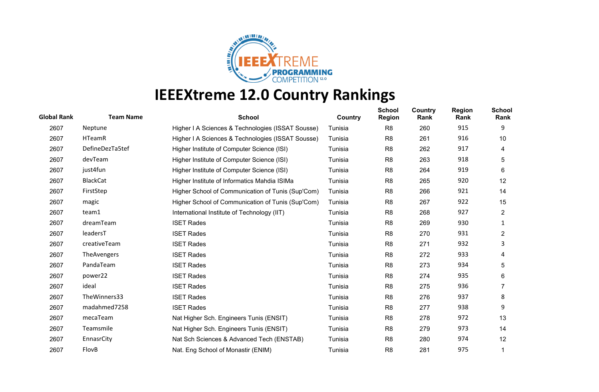

| <b>Global Rank</b> | <b>Team Name</b> | <b>School</b>                                     | Country | <b>School</b><br><b>Region</b> | <b>Country</b><br>Rank | <b>Region</b><br>Rank | <b>School</b><br>Rank |
|--------------------|------------------|---------------------------------------------------|---------|--------------------------------|------------------------|-----------------------|-----------------------|
| 2607               | Neptune          | Higher I A Sciences & Technologies (ISSAT Sousse) | Tunisia | R <sub>8</sub>                 | 260                    | 915                   | 9                     |
| 2607               | <b>HTeamR</b>    | Higher I A Sciences & Technologies (ISSAT Sousse) | Tunisia | R <sub>8</sub>                 | 261                    | 916                   | 10                    |
| 2607               | DefineDezTa5tef  | Higher Institute of Computer Science (ISI)        | Tunisia | R <sub>8</sub>                 | 262                    | 917                   | 4                     |
| 2607               | devTeam          | Higher Institute of Computer Science (ISI)        | Tunisia | R <sub>8</sub>                 | 263                    | 918                   | 5                     |
| 2607               | just4fun         | Higher Institute of Computer Science (ISI)        | Tunisia | R <sub>8</sub>                 | 264                    | 919                   | 6                     |
| 2607               | <b>BlackCat</b>  | Higher Institute of Informatics Mahdia ISIMa      | Tunisia | R <sub>8</sub>                 | 265                    | 920                   | 12                    |
| 2607               | FirstStep        | Higher School of Communication of Tunis (Sup'Com) | Tunisia | R <sub>8</sub>                 | 266                    | 921                   | 14                    |
| 2607               | magic            | Higher School of Communication of Tunis (Sup'Com) | Tunisia | R8                             | 267                    | 922                   | 15                    |
| 2607               | team1            | International Institute of Technology (IIT)       | Tunisia | R <sub>8</sub>                 | 268                    | 927                   | $\overline{2}$        |
| 2607               | dreamTeam        | <b>ISET Rades</b>                                 | Tunisia | R8                             | 269                    | 930                   | 1                     |
| 2607               | leadersT         | <b>ISET Rades</b>                                 | Tunisia | R <sub>8</sub>                 | 270                    | 931                   | $\overline{2}$        |
| 2607               | creativeTeam     | <b>ISET Rades</b>                                 | Tunisia | R <sub>8</sub>                 | 271                    | 932                   | 3                     |
| 2607               | TheAvengers      | <b>ISET Rades</b>                                 | Tunisia | R <sub>8</sub>                 | 272                    | 933                   | 4                     |
| 2607               | PandaTeam        | <b>ISET Rades</b>                                 | Tunisia | R <sub>8</sub>                 | 273                    | 934                   | 5                     |
| 2607               | power22          | <b>ISET Rades</b>                                 | Tunisia | R <sub>8</sub>                 | 274                    | 935                   | 6                     |
| 2607               | ideal            | <b>ISET Rades</b>                                 | Tunisia | R <sub>8</sub>                 | 275                    | 936                   |                       |
| 2607               | TheWinners33     | <b>ISET Rades</b>                                 | Tunisia | R <sub>8</sub>                 | 276                    | 937                   | 8                     |
| 2607               | madahmed7258     | <b>ISET Rades</b>                                 | Tunisia | R <sub>8</sub>                 | 277                    | 938                   | 9                     |
| 2607               | mecaTeam         | Nat Higher Sch. Engineers Tunis (ENSIT)           | Tunisia | R <sub>8</sub>                 | 278                    | 972                   | 13                    |
| 2607               | Teamsmile        | Nat Higher Sch. Engineers Tunis (ENSIT)           | Tunisia | R <sub>8</sub>                 | 279                    | 973                   | 14                    |
| 2607               | EnnasrCity       | Nat Sch Sciences & Advanced Tech (ENSTAB)         | Tunisia | R <sub>8</sub>                 | 280                    | 974                   | $12 \overline{ }$     |
| 2607               | FlovB            | Nat. Eng School of Monastir (ENIM)                | Tunisia | R <sub>8</sub>                 | 281                    | 975                   |                       |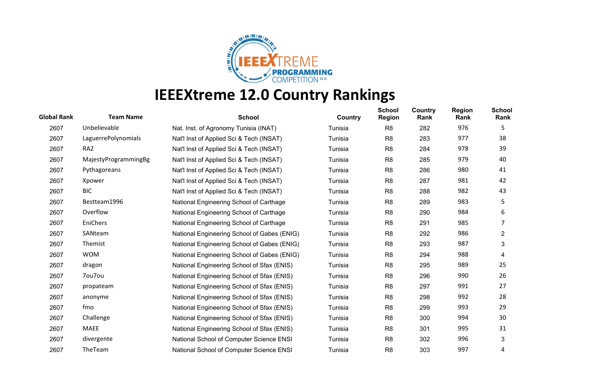

| <b>Global Rank</b> | <b>Team Name</b>     | <b>School</b>                               | Country | <b>School</b><br><b>Region</b> | Country<br>Rank | <b>Region</b><br>Rank | <b>School</b><br>Rank |
|--------------------|----------------------|---------------------------------------------|---------|--------------------------------|-----------------|-----------------------|-----------------------|
| 2607               | Unbelievable         | Nat. Inst. of Agronomy Tunisia (INAT)       | Tunisia | R <sub>8</sub>                 | 282             | 976                   | 5                     |
| 2607               | LaguerrePolynomials  | Nat'l Inst of Applied Sci & Tech (INSAT)    | Tunisia | R <sub>8</sub>                 | 283             | 977                   | 38                    |
| 2607               | RA <sub>2</sub>      | Nat'l Inst of Applied Sci & Tech (INSAT)    | Tunisia | R <sub>8</sub>                 | 284             | 978                   | 39                    |
| 2607               | MajestyProgrammingBg | Nat'l Inst of Applied Sci & Tech (INSAT)    | Tunisia | R <sub>8</sub>                 | 285             | 979                   | 40                    |
| 2607               | Pythagoreans         | Nat'l Inst of Applied Sci & Tech (INSAT)    | Tunisia | R <sub>8</sub>                 | 286             | 980                   | 41                    |
| 2607               | Xpower               | Nat'l Inst of Applied Sci & Tech (INSAT)    | Tunisia | R <sub>8</sub>                 | 287             | 981                   | 42                    |
| 2607               | <b>BIC</b>           | Nat'l Inst of Applied Sci & Tech (INSAT)    | Tunisia | R <sub>8</sub>                 | 288             | 982                   | 43                    |
| 2607               | Bestteam1996         | National Engineering School of Carthage     | Tunisia | R <sub>8</sub>                 | 289             | 983                   | 5                     |
| 2607               | Overflow             | National Engineering School of Carthage     | Tunisia | R <sub>8</sub>                 | 290             | 984                   | 6                     |
| 2607               | EniChers             | National Engineering School of Carthage     | Tunisia | R <sub>8</sub>                 | 291             | 985                   | 7                     |
| 2607               | SANteam              | National Engineering School of Gabes (ENIG) | Tunisia | R <sub>8</sub>                 | 292             | 986                   | $\overline{2}$        |
| 2607               | Themist              | National Engineering School of Gabes (ENIG) | Tunisia | R <sub>8</sub>                 | 293             | 987                   | 3                     |
| 2607               | <b>WOM</b>           | National Engineering School of Gabes (ENIG) | Tunisia | R <sub>8</sub>                 | 294             | 988                   | 4                     |
| 2607               | dragon               | National Engineering School of Sfax (ENIS)  | Tunisia | R <sub>8</sub>                 | 295             | 989                   | 25                    |
| 2607               | 7ou7ou               | National Engineering School of Sfax (ENIS)  | Tunisia | R <sub>8</sub>                 | 296             | 990                   | 26                    |
| 2607               | propateam            | National Engineering School of Sfax (ENIS)  | Tunisia | R <sub>8</sub>                 | 297             | 991                   | 27                    |
| 2607               | anonyme              | National Engineering School of Sfax (ENIS)  | Tunisia | R <sub>8</sub>                 | 298             | 992                   | 28                    |
| 2607               | fmo                  | National Engineering School of Sfax (ENIS)  | Tunisia | R <sub>8</sub>                 | 299             | 993                   | 29                    |
| 2607               | Challenge            | National Engineering School of Sfax (ENIS)  | Tunisia | R <sub>8</sub>                 | 300             | 994                   | 30                    |
| 2607               | MAEE                 | National Engineering School of Sfax (ENIS)  | Tunisia | R <sub>8</sub>                 | 301             | 995                   | 31                    |
| 2607               | divergente           | National School of Computer Science ENSI    | Tunisia | R <sub>8</sub>                 | 302             | 996                   | 3                     |
| 2607               | TheTeam              | National School of Computer Science ENSI    | Tunisia | R <sub>8</sub>                 | 303             | 997                   | 4                     |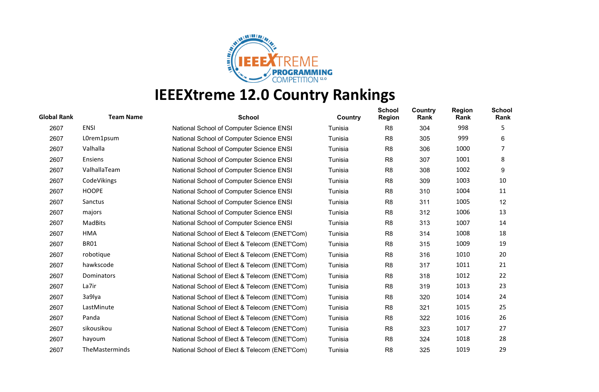

| <b>Global Rank</b> | <b>Team Name</b> | <b>School</b>                                 | Country | <b>School</b><br><b>Region</b> | <b>Country</b><br>Rank | <b>Region</b><br>Rank | <b>School</b><br>Rank |
|--------------------|------------------|-----------------------------------------------|---------|--------------------------------|------------------------|-----------------------|-----------------------|
| 2607               | <b>ENSI</b>      | National School of Computer Science ENSI      | Tunisia | R <sub>8</sub>                 | 304                    | 998                   | 5                     |
| 2607               | L0rem1psum       | National School of Computer Science ENSI      | Tunisia | R <sub>8</sub>                 | 305                    | 999                   | 6                     |
| 2607               | Valhalla         | National School of Computer Science ENSI      | Tunisia | R <sub>8</sub>                 | 306                    | 1000                  | 7                     |
| 2607               | Ensiens          | National School of Computer Science ENSI      | Tunisia | R <sub>8</sub>                 | 307                    | 1001                  | 8                     |
| 2607               | ValhallaTeam     | National School of Computer Science ENSI      | Tunisia | R <sub>8</sub>                 | 308                    | 1002                  | 9                     |
| 2607               | CodeVikings      | National School of Computer Science ENSI      | Tunisia | R <sub>8</sub>                 | 309                    | 1003                  | 10                    |
| 2607               | <b>HOOPE</b>     | National School of Computer Science ENSI      | Tunisia | R <sub>8</sub>                 | 310                    | 1004                  | 11                    |
| 2607               | Sanctus          | National School of Computer Science ENSI      | Tunisia | R <sub>8</sub>                 | 311                    | 1005                  | 12                    |
| 2607               | majors           | National School of Computer Science ENSI      | Tunisia | R <sub>8</sub>                 | 312                    | 1006                  | 13                    |
| 2607               | MadBits          | National School of Computer Science ENSI      | Tunisia | R <sub>8</sub>                 | 313                    | 1007                  | 14                    |
| 2607               | <b>HMA</b>       | National School of Elect & Telecom (ENET'Com) | Tunisia | R <sub>8</sub>                 | 314                    | 1008                  | 18                    |
| 2607               | <b>BR01</b>      | National School of Elect & Telecom (ENET'Com) | Tunisia | R <sub>8</sub>                 | 315                    | 1009                  | 19                    |
| 2607               | robotique        | National School of Elect & Telecom (ENET'Com) | Tunisia | R <sub>8</sub>                 | 316                    | 1010                  | 20                    |
| 2607               | hawkscode        | National School of Elect & Telecom (ENET'Com) | Tunisia | R <sub>8</sub>                 | 317                    | 1011                  | 21                    |
| 2607               | Dominators       | National School of Elect & Telecom (ENET'Com) | Tunisia | R <sub>8</sub>                 | 318                    | 1012                  | 22                    |
| 2607               | La7ir            | National School of Elect & Telecom (ENET'Com) | Tunisia | R <sub>8</sub>                 | 319                    | 1013                  | 23                    |
| 2607               | 3a9lya           | National School of Elect & Telecom (ENET'Com) | Tunisia | R <sub>8</sub>                 | 320                    | 1014                  | 24                    |
| 2607               | LastMinute       | National School of Elect & Telecom (ENET'Com) | Tunisia | R <sub>8</sub>                 | 321                    | 1015                  | 25                    |
| 2607               | Panda            | National School of Elect & Telecom (ENET'Com) | Tunisia | R <sub>8</sub>                 | 322                    | 1016                  | 26                    |
| 2607               | sikousikou       | National School of Elect & Telecom (ENET'Com) | Tunisia | R <sub>8</sub>                 | 323                    | 1017                  | 27                    |
| 2607               | hayoum           | National School of Elect & Telecom (ENET'Com) | Tunisia | R <sub>8</sub>                 | 324                    | 1018                  | 28                    |
| 2607               | TheMasterminds   | National School of Elect & Telecom (ENET'Com) | Tunisia | R <sub>8</sub>                 | 325                    | 1019                  | 29                    |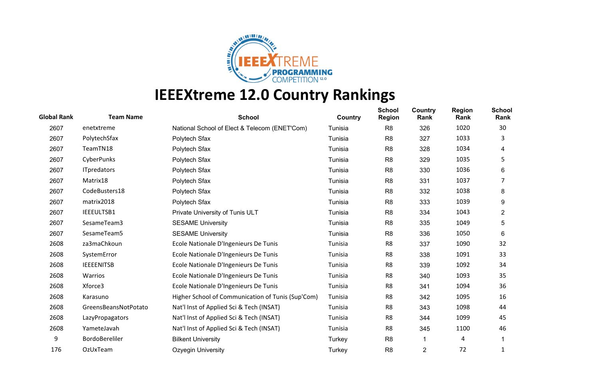

| <b>Global Rank</b> | <b>Team Name</b>      | <b>School</b>                                     | Country | <b>School</b><br><b>Region</b> | Country<br>Rank | <b>Region</b><br>Rank | <b>School</b><br>Rank |
|--------------------|-----------------------|---------------------------------------------------|---------|--------------------------------|-----------------|-----------------------|-----------------------|
| 2607               | enetxtreme            | National School of Elect & Telecom (ENET'Com)     | Tunisia | R <sub>8</sub>                 | 326             | 1020                  | 30                    |
| 2607               | PolytechSfax          | Polytech Sfax                                     | Tunisia | R <sub>8</sub>                 | 327             | 1033                  | 3                     |
| 2607               | TeamTN18              | Polytech Sfax                                     | Tunisia | R <sub>8</sub>                 | 328             | 1034                  | 4                     |
| 2607               | CyberPunks            | Polytech Sfax                                     | Tunisia | R <sub>8</sub>                 | 329             | 1035                  | 5                     |
| 2607               | <b>ITpredators</b>    | Polytech Sfax                                     | Tunisia | R <sub>8</sub>                 | 330             | 1036                  | 6                     |
| 2607               | Matrix18              | Polytech Sfax                                     | Tunisia | R <sub>8</sub>                 | 331             | 1037                  |                       |
| 2607               | CodeBusters18         | Polytech Sfax                                     | Tunisia | R <sub>8</sub>                 | 332             | 1038                  | 8                     |
| 2607               | matrix2018            | Polytech Sfax                                     | Tunisia | R <sub>8</sub>                 | 333             | 1039                  | 9                     |
| 2607               | IEEEULTSB1            | Private University of Tunis ULT                   | Tunisia | R <sub>8</sub>                 | 334             | 1043                  | $\overline{2}$        |
| 2607               | SesameTeam3           | <b>SESAME University</b>                          | Tunisia | R <sub>8</sub>                 | 335             | 1049                  | 5                     |
| 2607               | SesameTeam5           | <b>SESAME University</b>                          | Tunisia | R <sub>8</sub>                 | 336             | 1050                  | 6                     |
| 2608               | za3maChkoun           | Ecole Nationale D'Ingenieurs De Tunis             | Tunisia | R <sub>8</sub>                 | 337             | 1090                  | 32                    |
| 2608               | SystemError           | Ecole Nationale D'Ingenieurs De Tunis             | Tunisia | R <sub>8</sub>                 | 338             | 1091                  | 33                    |
| 2608               | <b>IEEEENITSB</b>     | Ecole Nationale D'Ingenieurs De Tunis             | Tunisia | R <sub>8</sub>                 | 339             | 1092                  | 34                    |
| 2608               | Warrios               | Ecole Nationale D'Ingenieurs De Tunis             | Tunisia | R8                             | 340             | 1093                  | 35                    |
| 2608               | Xforce3               | Ecole Nationale D'Ingenieurs De Tunis             | Tunisia | R <sub>8</sub>                 | 341             | 1094                  | 36                    |
| 2608               | Karasuno              | Higher School of Communication of Tunis (Sup'Com) | Tunisia | R8                             | 342             | 1095                  | 16                    |
| 2608               | GreensBeansNotPotato  | Nat'l Inst of Applied Sci & Tech (INSAT)          | Tunisia | R <sub>8</sub>                 | 343             | 1098                  | 44                    |
| 2608               | LazyPropagators       | Nat'l Inst of Applied Sci & Tech (INSAT)          | Tunisia | R8                             | 344             | 1099                  | 45                    |
| 2608               | YameteJavah           | Nat'l Inst of Applied Sci & Tech (INSAT)          | Tunisia | R <sub>8</sub>                 | 345             | 1100                  | 46                    |
| 9                  | <b>BordoBereliler</b> | <b>Bilkent University</b>                         | Turkey  | R <sub>8</sub>                 | 1               | 4                     |                       |
| 176                | OzUxTeam              | <b>Ozyegin University</b>                         | Turkey  | R <sub>8</sub>                 | $\overline{c}$  | 72                    | 1                     |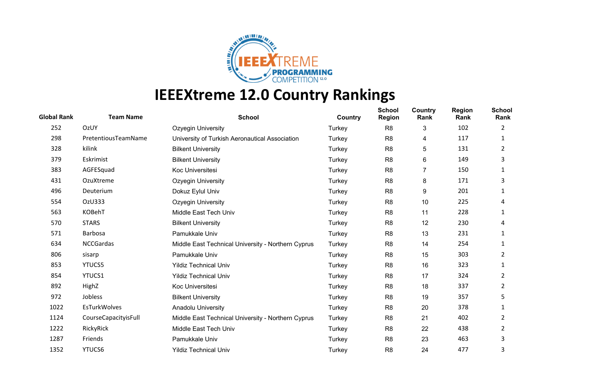

| <b>Global Rank</b> | <b>Team Name</b>     | <b>School</b>                                      | Country | <b>School</b><br><b>Region</b> | Country<br>Rank | <b>Region</b><br>Rank | <b>School</b><br>Rank |
|--------------------|----------------------|----------------------------------------------------|---------|--------------------------------|-----------------|-----------------------|-----------------------|
| 252                | OzUY                 | <b>Ozyegin University</b>                          | Turkey  | R <sub>8</sub>                 | 3               | 102                   | 2                     |
| 298                | PretentiousTeamName  | University of Turkish Aeronautical Association     | Turkey  | R <sub>8</sub>                 | 4               | 117                   | 1                     |
| 328                | kilink               | <b>Bilkent University</b>                          | Turkey  | R <sub>8</sub>                 | 5               | 131                   | 2                     |
| 379                | Eskrimist            | <b>Bilkent University</b>                          | Turkey  | R <sub>8</sub>                 | 6               | 149                   | 3                     |
| 383                | AGFESquad            | Koc Universitesi                                   | Turkey  | R <sub>8</sub>                 | 7               | 150                   |                       |
| 431                | OzuXtreme            | <b>Ozyegin University</b>                          | Turkey  | R <sub>8</sub>                 | 8               | 171                   | 3                     |
| 496                | Deuterium            | Dokuz Eylul Univ                                   | Turkey  | R <sub>8</sub>                 | 9               | 201                   | 1                     |
| 554                | OzU333               | Ozyegin University                                 | Turkey  | R <sub>8</sub>                 | 10              | 225                   | 4                     |
| 563                | KOBehT               | Middle East Tech Univ                              | Turkey  | R <sub>8</sub>                 | 11              | 228                   | 1                     |
| 570                | <b>STARS</b>         | <b>Bilkent University</b>                          | Turkey  | R <sub>8</sub>                 | 12              | 230                   | 4                     |
| 571                | Barbosa              | Pamukkale Univ                                     | Turkey  | R <sub>8</sub>                 | 13              | 231                   | 1                     |
| 634                | <b>NCCGardas</b>     | Middle East Technical University - Northern Cyprus | Turkey  | R <sub>8</sub>                 | 14              | 254                   | 1                     |
| 806                | sisarp               | Pamukkale Univ                                     | Turkey  | R <sub>8</sub>                 | 15              | 303                   | 2                     |
| 853                | <b>YTUCS5</b>        | <b>Yildiz Technical Univ</b>                       | Turkey  | R <sub>8</sub>                 | 16              | 323                   | 1                     |
| 854                | YTUCS1               | <b>Yildiz Technical Univ</b>                       | Turkey  | R <sub>8</sub>                 | 17              | 324                   | 2                     |
| 892                | HighZ                | Koc Universitesi                                   | Turkey  | R <sub>8</sub>                 | 18              | 337                   | 2                     |
| 972                | Jobless              | <b>Bilkent University</b>                          | Turkey  | R <sub>8</sub>                 | 19              | 357                   | 5                     |
| 1022               | EsTurkWolves         | <b>Anadolu University</b>                          | Turkey  | R <sub>8</sub>                 | 20              | 378                   | 1                     |
| 1124               | CourseCapacityisFull | Middle East Technical University - Northern Cyprus | Turkey  | R <sub>8</sub>                 | 21              | 402                   | 2                     |
| 1222               | RickyRick            | Middle East Tech Univ                              | Turkey  | R <sub>8</sub>                 | 22              | 438                   | 2                     |
| 1287               | Friends              | Pamukkale Univ                                     | Turkey  | R <sub>8</sub>                 | 23              | 463                   | 3                     |
| 1352               | YTUCS6               | <b>Yildiz Technical Univ</b>                       | Turkey  | R <sub>8</sub>                 | 24              | 477                   | 3                     |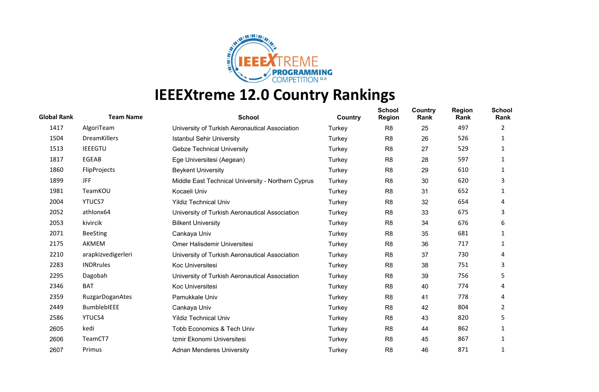

| <b>Global Rank</b> | <b>Team Name</b>       | <b>School</b>                                      | Country | <b>School</b><br><b>Region</b> | Country<br>Rank | <b>Region</b><br>Rank | <b>School</b><br>Rank |
|--------------------|------------------------|----------------------------------------------------|---------|--------------------------------|-----------------|-----------------------|-----------------------|
| 1417               | AlgoriTeam             | University of Turkish Aeronautical Association     | Turkey  | R <sub>8</sub>                 | 25              | 497                   | 2                     |
| 1504               | <b>DreamKillers</b>    | <b>Istanbul Sehir University</b>                   | Turkey  | R <sub>8</sub>                 | 26              | 526                   | 1                     |
| 1513               | <b>IEEEGTU</b>         | <b>Gebze Technical University</b>                  | Turkey  | R <sub>8</sub>                 | 27              | 529                   | 1                     |
| 1817               | EGEAB                  | Ege Universitesi (Aegean)                          | Turkey  | R <sub>8</sub>                 | 28              | 597                   | 1                     |
| 1860               | FlipProjects           | <b>Beykent University</b>                          | Turkey  | R <sub>8</sub>                 | 29              | 610                   |                       |
| 1899               | JFF                    | Middle East Technical University - Northern Cyprus | Turkey  | R <sub>8</sub>                 | 30              | 620                   | 3                     |
| 1981               | TeamKOU                | Kocaeli Univ                                       | Turkey  | R <sub>8</sub>                 | 31              | 652                   | 1                     |
| 2004               | YTUCS7                 | <b>Yildiz Technical Univ</b>                       | Turkey  | R <sub>8</sub>                 | 32              | 654                   | 4                     |
| 2052               | athlonx64              | University of Turkish Aeronautical Association     | Turkey  | R <sub>8</sub>                 | 33              | 675                   | 3                     |
| 2053               | kivircik               | <b>Bilkent University</b>                          | Turkey  | R <sub>8</sub>                 | 34              | 676                   | 6                     |
| 2071               | <b>BeeSting</b>        | Cankaya Univ                                       | Turkey  | R <sub>8</sub>                 | 35              | 681                   | 1                     |
| 2175               | AKMEM                  | Omer Halisdemir Universitesi                       | Turkey  | R <sub>8</sub>                 | 36              | 717                   |                       |
| 2210               | arapkizvedigerleri     | University of Turkish Aeronautical Association     | Turkey  | R <sub>8</sub>                 | 37              | 730                   | 4                     |
| 2283               | <b>INDRrules</b>       | Koc Universitesi                                   | Turkey  | R <sub>8</sub>                 | 38              | 751                   | 3                     |
| 2295               | Dagobah                | University of Turkish Aeronautical Association     | Turkey  | R <sub>8</sub>                 | 39              | 756                   | 5                     |
| 2346               | <b>BAT</b>             | Koc Universitesi                                   | Turkey  | R <sub>8</sub>                 | 40              | 774                   | 4                     |
| 2359               | <b>RuzgarDoganAtes</b> | Pamukkale Univ                                     | Turkey  | R <sub>8</sub>                 | 41              | 778                   | 4                     |
| 2449               | <b>BumblebIEEE</b>     | Cankaya Univ                                       | Turkey  | R <sub>8</sub>                 | 42              | 804                   | 2                     |
| 2586               | YTUCS4                 | <b>Yildiz Technical Univ</b>                       | Turkey  | R <sub>8</sub>                 | 43              | 820                   | 5                     |
| 2605               | kedi                   | <b>Tobb Economics &amp; Tech Univ</b>              | Turkey  | R <sub>8</sub>                 | 44              | 862                   |                       |
| 2606               | TeamCT7                | Izmir Ekonomi Universitesi                         | Turkey  | R <sub>8</sub>                 | 45              | 867                   |                       |
| 2607               | Primus                 | <b>Adnan Menderes University</b>                   | Turkey  | R <sub>8</sub>                 | 46              | 871                   |                       |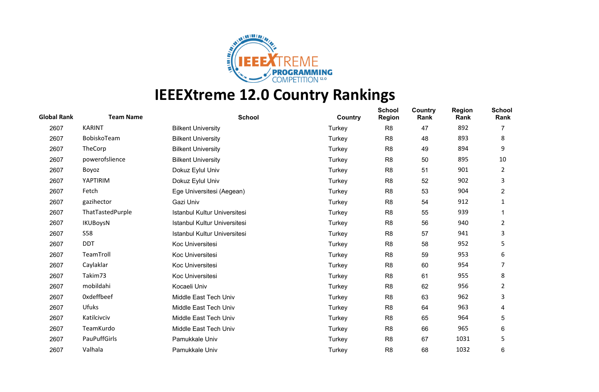

| <b>Global Rank</b> | <b>Team Name</b>  | <b>School</b>                | Country | <b>School</b><br><b>Region</b> | Country<br>Rank | <b>Region</b><br>Rank | <b>School</b><br>Rank |
|--------------------|-------------------|------------------------------|---------|--------------------------------|-----------------|-----------------------|-----------------------|
| 2607               | <b>KARINT</b>     | <b>Bilkent University</b>    | Turkey  | R <sub>8</sub>                 | 47              | 892                   | 7                     |
| 2607               | BobiskoTeam       | <b>Bilkent University</b>    | Turkey  | R <sub>8</sub>                 | 48              | 893                   | 8                     |
| 2607               | TheCorp           | <b>Bilkent University</b>    | Turkey  | R <sub>8</sub>                 | 49              | 894                   | 9                     |
| 2607               | powerofslience    | <b>Bilkent University</b>    | Turkey  | R <sub>8</sub>                 | 50              | 895                   | 10                    |
| 2607               | Boyoz             | Dokuz Eylul Univ             | Turkey  | R <sub>8</sub>                 | 51              | 901                   | 2                     |
| 2607               | YAPTIRIM          | Dokuz Eylul Univ             | Turkey  | R <sub>8</sub>                 | 52              | 902                   | 3                     |
| 2607               | Fetch             | Ege Universitesi (Aegean)    | Turkey  | R <sub>8</sub>                 | 53              | 904                   | 2                     |
| 2607               | gazihector        | Gazi Univ                    | Turkey  | R <sub>8</sub>                 | 54              | 912                   | 1                     |
| 2607               | ThatTastedPurple  | Istanbul Kultur Universitesi | Turkey  | R <sub>8</sub>                 | 55              | 939                   |                       |
| 2607               | <b>IKUBoysN</b>   | Istanbul Kultur Universitesi | Turkey  | R <sub>8</sub>                 | 56              | 940                   | $\overline{2}$        |
| 2607               | <b>S58</b>        | Istanbul Kultur Universitesi | Turkey  | R <sub>8</sub>                 | 57              | 941                   | 3                     |
| 2607               | <b>DDT</b>        | Koc Universitesi             | Turkey  | R <sub>8</sub>                 | 58              | 952                   | 5                     |
| 2607               | TeamTroll         | Koc Universitesi             | Turkey  | R <sub>8</sub>                 | 59              | 953                   | 6                     |
| 2607               | Caylaklar         | Koc Universitesi             | Turkey  | R <sub>8</sub>                 | 60              | 954                   | 7                     |
| 2607               | Takim73           | Koc Universitesi             | Turkey  | R <sub>8</sub>                 | 61              | 955                   | 8                     |
| 2607               | mobildahi         | Kocaeli Univ                 | Turkey  | R <sub>8</sub>                 | 62              | 956                   | 2                     |
| 2607               | <b>Oxdeffbeef</b> | Middle East Tech Univ        | Turkey  | R <sub>8</sub>                 | 63              | 962                   | 3                     |
| 2607               | <b>Ufuks</b>      | Middle East Tech Univ        | Turkey  | R <sub>8</sub>                 | 64              | 963                   | 4                     |
| 2607               | Katilcivciv       | Middle East Tech Univ        | Turkey  | R <sub>8</sub>                 | 65              | 964                   | 5                     |
| 2607               | TeamKurdo         | Middle East Tech Univ        | Turkey  | R <sub>8</sub>                 | 66              | 965                   | 6                     |
| 2607               | PauPuffGirls      | Pamukkale Univ               | Turkey  | R <sub>8</sub>                 | 67              | 1031                  | 5                     |
| 2607               | Valhala           | Pamukkale Univ               | Turkey  | R <sub>8</sub>                 | 68              | 1032                  | 6                     |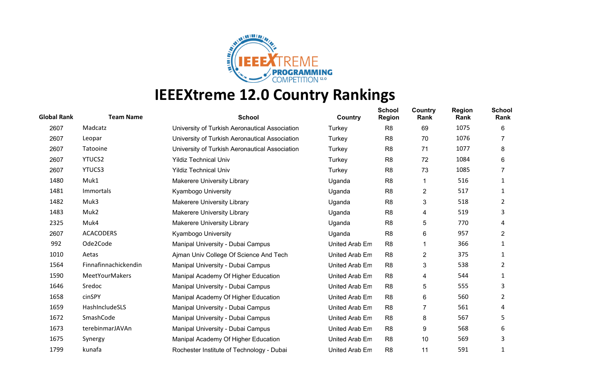

| <b>Global Rank</b> | <b>Team Name</b>      | <b>School</b>                                  | Country        | <b>School</b><br><b>Region</b> | Country<br>Rank | <b>Region</b><br>Rank | <b>School</b><br>Rank |
|--------------------|-----------------------|------------------------------------------------|----------------|--------------------------------|-----------------|-----------------------|-----------------------|
| 2607               | Madcatz               | University of Turkish Aeronautical Association | Turkey         | R <sub>8</sub>                 | 69              | 1075                  | 6                     |
| 2607               | Leopar                | University of Turkish Aeronautical Association | Turkey         | R <sub>8</sub>                 | 70              | 1076                  |                       |
| 2607               | Tatooine              | University of Turkish Aeronautical Association | Turkey         | R <sub>8</sub>                 | 71              | 1077                  | 8                     |
| 2607               | <b>YTUCS2</b>         | <b>Yildiz Technical Univ</b>                   | Turkey         | R <sub>8</sub>                 | 72              | 1084                  | 6                     |
| 2607               | YTUCS3                | <b>Yildiz Technical Univ</b>                   | Turkey         | R <sub>8</sub>                 | 73              | 1085                  |                       |
| 1480               | Muk1                  | <b>Makerere University Library</b>             | Uganda         | R <sub>8</sub>                 | 1               | 516                   | 1                     |
| 1481               | Immortals             | <b>Kyambogo University</b>                     | Uganda         | R <sub>8</sub>                 | $\overline{c}$  | 517                   | 1                     |
| 1482               | Muk3                  | <b>Makerere University Library</b>             | Uganda         | R <sub>8</sub>                 | 3               | 518                   | 2                     |
| 1483               | Muk2                  | <b>Makerere University Library</b>             | Uganda         | R <sub>8</sub>                 | 4               | 519                   | 3                     |
| 2325               | Muk4                  | <b>Makerere University Library</b>             | Uganda         | R <sub>8</sub>                 | 5               | 770                   | 4                     |
| 2607               | <b>ACACODERS</b>      | Kyambogo University                            | Uganda         | R <sub>8</sub>                 | 6               | 957                   | $\overline{2}$        |
| 992                | Ode2Code              | Manipal University - Dubai Campus              | United Arab Em | R <sub>8</sub>                 |                 | 366                   |                       |
| 1010               | Aetas                 | Ajman Univ College Of Science And Tech         | United Arab Em | R <sub>8</sub>                 | 2               | 375                   | 1                     |
| 1564               | Finnafinnachickendin  | Manipal University - Dubai Campus              | United Arab Em | R <sub>8</sub>                 | 3               | 538                   | 2                     |
| 1590               | <b>MeetYourMakers</b> | Manipal Academy Of Higher Education            | United Arab Em | R <sub>8</sub>                 | 4               | 544                   | 1                     |
| 1646               | Sredoc                | Manipal University - Dubai Campus              | United Arab Em | R <sub>8</sub>                 | 5               | 555                   | 3                     |
| 1658               | cinSPY                | Manipal Academy Of Higher Education            | United Arab Em | R <sub>8</sub>                 | 6               | 560                   | 2                     |
| 1659               | HashIncludeSLS        | Manipal University - Dubai Campus              | United Arab Em | R <sub>8</sub>                 | $\overline{7}$  | 561                   | 4                     |
| 1672               | SmashCode             | Manipal University - Dubai Campus              | United Arab Em | R <sub>8</sub>                 | 8               | 567                   | 5                     |
| 1673               | terebinmarJAVAn       | Manipal University - Dubai Campus              | United Arab Em | R <sub>8</sub>                 | 9               | 568                   | 6                     |
| 1675               | Synergy               | Manipal Academy Of Higher Education            | United Arab Em | R <sub>8</sub>                 | 10              | 569                   | 3                     |
| 1799               | kunafa                | Rochester Institute of Technology - Dubai      | United Arab Em | R <sub>8</sub>                 | 11              | 591                   |                       |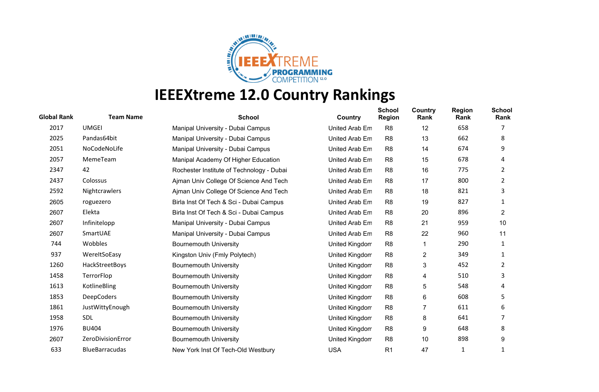

| <b>Global Rank</b> | <b>Team Name</b>      | <b>School</b>                             | Country        | <b>School</b><br><b>Region</b> | Country<br>Rank | <b>Region</b><br>Rank | <b>School</b><br>Rank |
|--------------------|-----------------------|-------------------------------------------|----------------|--------------------------------|-----------------|-----------------------|-----------------------|
| 2017               | <b>UMGEI</b>          | Manipal University - Dubai Campus         | United Arab Em | R <sub>8</sub>                 | 12              | 658                   |                       |
| 2025               | Pandas64bit           | Manipal University - Dubai Campus         | United Arab Em | R <sub>8</sub>                 | 13              | 662                   | 8                     |
| 2051               | NoCodeNoLife          | Manipal University - Dubai Campus         | United Arab Em | R <sub>8</sub>                 | 14              | 674                   | 9                     |
| 2057               | MemeTeam              | Manipal Academy Of Higher Education       | United Arab Em | R <sub>8</sub>                 | 15              | 678                   | 4                     |
| 2347               | 42                    | Rochester Institute of Technology - Dubai | United Arab Em | R <sub>8</sub>                 | 16              | 775                   | 2                     |
| 2437               | Colossus              | Ajman Univ College Of Science And Tech    | United Arab Em | R <sub>8</sub>                 | 17              | 800                   | 2                     |
| 2592               | Nightcrawlers         | Ajman Univ College Of Science And Tech    | United Arab Em | R <sub>8</sub>                 | 18              | 821                   | 3                     |
| 2605               | roguezero             | Birla Inst Of Tech & Sci - Dubai Campus   | United Arab Em | R <sub>8</sub>                 | 19              | 827                   | 1                     |
| 2607               | Elekta                | Birla Inst Of Tech & Sci - Dubai Campus   | United Arab Em | R <sub>8</sub>                 | 20              | 896                   | $\overline{2}$        |
| 2607               | Infinitelopp          | Manipal University - Dubai Campus         | United Arab Em | R <sub>8</sub>                 | 21              | 959                   | 10                    |
| 2607               | SmartUAE              | Manipal University - Dubai Campus         | United Arab Em | R <sub>8</sub>                 | 22              | 960                   | 11                    |
| 744                | Wobbles               | <b>Bournemouth University</b>             | United Kingdom | R <sub>8</sub>                 |                 | 290                   | 1                     |
| 937                | WereltSoEasy          | Kingston Univ (Fmly Polytech)             | United Kingdom | R <sub>8</sub>                 | 2               | 349                   | 1                     |
| 1260               | HackStreetBoys        | <b>Bournemouth University</b>             | United Kingdom | R <sub>8</sub>                 | 3               | 452                   | 2                     |
| 1458               | TerrorFlop            | <b>Bournemouth University</b>             | United Kingdom | R <sub>8</sub>                 | 4               | 510                   | 3                     |
| 1613               | KotlineBling          | <b>Bournemouth University</b>             | United Kingdom | R <sub>8</sub>                 | 5               | 548                   | 4                     |
| 1853               | <b>DeepCoders</b>     | <b>Bournemouth University</b>             | United Kingdom | R <sub>8</sub>                 | 6               | 608                   | 5                     |
| 1861               | JustWittyEnough       | <b>Bournemouth University</b>             | United Kingdom | R <sub>8</sub>                 | 7               | 611                   | 6                     |
| 1958               | <b>SDL</b>            | <b>Bournemouth University</b>             | United Kingdom | R <sub>8</sub>                 | 8               | 641                   |                       |
| 1976               | <b>BU404</b>          | <b>Bournemouth University</b>             | United Kingdom | R <sub>8</sub>                 | 9               | 648                   | 8                     |
| 2607               | ZeroDivisionError     | <b>Bournemouth University</b>             | United Kingdom | R <sub>8</sub>                 | 10              | 898                   | 9                     |
| 633                | <b>BlueBarracudas</b> | New York Inst Of Tech-Old Westbury        | <b>USA</b>     | R <sub>1</sub>                 | 47              | 1                     |                       |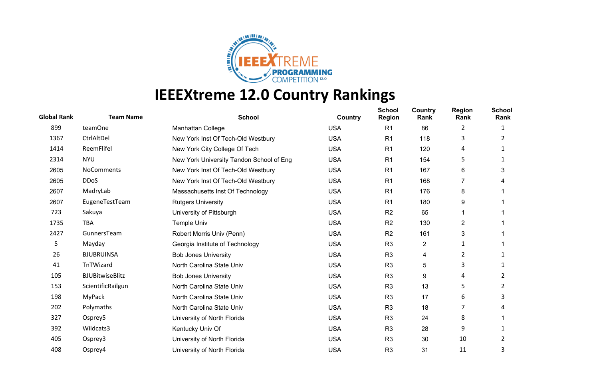

| <b>Global Rank</b> | <b>Team Name</b>       | <b>School</b>                            | Country    | <b>School</b><br><b>Region</b> | Country<br>Rank | <b>Region</b><br>Rank | <b>School</b><br>Rank |
|--------------------|------------------------|------------------------------------------|------------|--------------------------------|-----------------|-----------------------|-----------------------|
| 899                | teamOne                | Manhattan College                        | <b>USA</b> | R <sub>1</sub>                 | 86              | $\overline{2}$        | 1                     |
| 1367               | CtrlAltDel             | New York Inst Of Tech-Old Westbury       | <b>USA</b> | R <sub>1</sub>                 | 118             | 3                     | 2                     |
| 1414               | ReemFlifel             | New York City College Of Tech            | <b>USA</b> | R <sub>1</sub>                 | 120             | 4                     |                       |
| 2314               | <b>NYU</b>             | New York University Tandon School of Eng | <b>USA</b> | R <sub>1</sub>                 | 154             | 5                     |                       |
| 2605               | NoComments             | New York Inst Of Tech-Old Westbury       | <b>USA</b> | R <sub>1</sub>                 | 167             | 6                     | 3                     |
| 2605               | <b>DDoS</b>            | New York Inst Of Tech-Old Westbury       | <b>USA</b> | R <sub>1</sub>                 | 168             | 7                     | 4                     |
| 2607               | MadryLab               | Massachusetts Inst Of Technology         | <b>USA</b> | R <sub>1</sub>                 | 176             | 8                     |                       |
| 2607               | EugeneTestTeam         | <b>Rutgers University</b>                | <b>USA</b> | R <sub>1</sub>                 | 180             | 9                     |                       |
| 723                | Sakuya                 | University of Pittsburgh                 | <b>USA</b> | R <sub>2</sub>                 | 65              |                       |                       |
| 1735               | <b>TBA</b>             | <b>Temple Univ</b>                       | <b>USA</b> | R <sub>2</sub>                 | 130             | $\overline{2}$        |                       |
| 2427               | GunnersTeam            | Robert Morris Univ (Penn)                | <b>USA</b> | R <sub>2</sub>                 | 161             | 3                     |                       |
| 5                  | Mayday                 | Georgia Institute of Technology          | <b>USA</b> | R <sub>3</sub>                 | 2               | 1                     |                       |
| 26                 | <b>BJUBRUINSA</b>      | <b>Bob Jones University</b>              | <b>USA</b> | R <sub>3</sub>                 | 4               | $\overline{2}$        |                       |
| 41                 | TnTWizard              | North Carolina State Univ                | <b>USA</b> | R <sub>3</sub>                 | 5               | 3                     | 1                     |
| 105                | <b>BJUBitwiseBlitz</b> | <b>Bob Jones University</b>              | <b>USA</b> | R <sub>3</sub>                 | 9               | 4                     | 2                     |
| 153                | ScientificRailgun      | North Carolina State Univ                | <b>USA</b> | R <sub>3</sub>                 | 13              | 5                     | 2                     |
| 198                | MyPack                 | North Carolina State Univ                | <b>USA</b> | R <sub>3</sub>                 | 17              | 6                     | 3                     |
| 202                | Polymaths              | North Carolina State Univ                | <b>USA</b> | R <sub>3</sub>                 | 18              | 7                     | 4                     |
| 327                | Osprey5                | University of North Florida              | <b>USA</b> | R <sub>3</sub>                 | 24              | 8                     |                       |
| 392                | Wildcats3              | Kentucky Univ Of                         | <b>USA</b> | R <sub>3</sub>                 | 28              | 9                     |                       |
| 405                | Osprey3                | University of North Florida              | <b>USA</b> | R <sub>3</sub>                 | 30              | 10                    | 2                     |
| 408                | Osprey4                | University of North Florida              | <b>USA</b> | R <sub>3</sub>                 | 31              | 11                    | 3                     |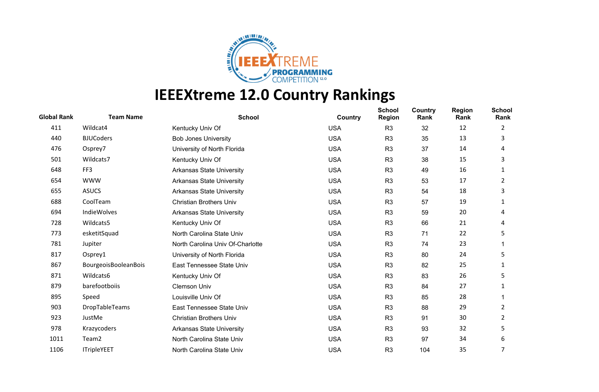

| <b>Global Rank</b> | <b>Team Name</b>     | <b>School</b>                    | Country    | <b>School</b><br><b>Region</b> | <b>Country</b><br>Rank | <b>Region</b><br>Rank | <b>School</b><br>Rank |
|--------------------|----------------------|----------------------------------|------------|--------------------------------|------------------------|-----------------------|-----------------------|
| 411                | Wildcat4             | Kentucky Univ Of                 | <b>USA</b> | R <sub>3</sub>                 | 32                     | 12                    | 2                     |
| 440                | <b>BJUCoders</b>     | <b>Bob Jones University</b>      | <b>USA</b> | R <sub>3</sub>                 | 35                     | 13                    | 3                     |
| 476                | Osprey7              | University of North Florida      | <b>USA</b> | R <sub>3</sub>                 | 37                     | 14                    | 4                     |
| 501                | Wildcats7            | Kentucky Univ Of                 | <b>USA</b> | R <sub>3</sub>                 | 38                     | 15                    | 3                     |
| 648                | FF3                  | <b>Arkansas State University</b> | <b>USA</b> | R <sub>3</sub>                 | 49                     | 16                    | 1                     |
| 654                | <b>WWW</b>           | <b>Arkansas State University</b> | <b>USA</b> | R <sub>3</sub>                 | 53                     | 17                    | 2                     |
| 655                | <b>ASUCS</b>         | <b>Arkansas State University</b> | <b>USA</b> | R <sub>3</sub>                 | 54                     | 18                    | 3                     |
| 688                | CoolTeam             | <b>Christian Brothers Univ</b>   | <b>USA</b> | R <sub>3</sub>                 | 57                     | 19                    | 1                     |
| 694                | IndieWolves          | <b>Arkansas State University</b> | <b>USA</b> | R <sub>3</sub>                 | 59                     | 20                    | 4                     |
| 728                | Wildcats5            | Kentucky Univ Of                 | <b>USA</b> | R <sub>3</sub>                 | 66                     | 21                    | 4                     |
| 773                | esketitSquad         | North Carolina State Univ        | <b>USA</b> | R <sub>3</sub>                 | 71                     | 22                    | 5                     |
| 781                | Jupiter              | North Carolina Univ Of-Charlotte | <b>USA</b> | R <sub>3</sub>                 | 74                     | 23                    |                       |
| 817                | Osprey1              | University of North Florida      | <b>USA</b> | R <sub>3</sub>                 | 80                     | 24                    | 5                     |
| 867                | BourgeoisBooleanBois | East Tennessee State Univ        | <b>USA</b> | R <sub>3</sub>                 | 82                     | 25                    | 1                     |
| 871                | Wildcats6            | Kentucky Univ Of                 | <b>USA</b> | R <sub>3</sub>                 | 83                     | 26                    | 5                     |
| 879                | barefootboiis        | Clemson Univ                     | <b>USA</b> | R <sub>3</sub>                 | 84                     | 27                    | 1                     |
| 895                | Speed                | Louisville Univ Of               | <b>USA</b> | R <sub>3</sub>                 | 85                     | 28                    |                       |
| 903                | DropTableTeams       | East Tennessee State Univ        | <b>USA</b> | R <sub>3</sub>                 | 88                     | 29                    | 2                     |
| 923                | JustMe               | <b>Christian Brothers Univ</b>   | <b>USA</b> | R <sub>3</sub>                 | 91                     | 30                    | 2                     |
| 978                | Krazycoders          | <b>Arkansas State University</b> | <b>USA</b> | R <sub>3</sub>                 | 93                     | 32                    | 5                     |
| 1011               | Team <sub>2</sub>    | North Carolina State Univ        | <b>USA</b> | R <sub>3</sub>                 | 97                     | 34                    | 6                     |
| 1106               | <b>ITripleYEET</b>   | North Carolina State Univ        | <b>USA</b> | R <sub>3</sub>                 | 104                    | 35                    | 7                     |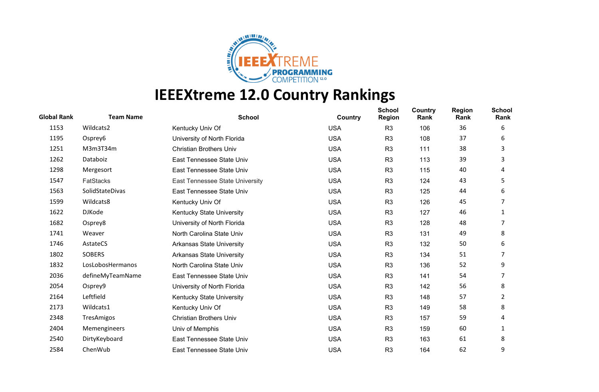

| <b>Global Rank</b> | <b>Team Name</b> | <b>School</b>                    | Country    | <b>School</b><br><b>Region</b> | Country<br>Rank | <b>Region</b><br>Rank | <b>School</b><br>Rank |
|--------------------|------------------|----------------------------------|------------|--------------------------------|-----------------|-----------------------|-----------------------|
| 1153               | Wildcats2        | Kentucky Univ Of                 | <b>USA</b> | R <sub>3</sub>                 | 106             | 36                    | 6                     |
| 1195               | Osprey6          | University of North Florida      | <b>USA</b> | R <sub>3</sub>                 | 108             | 37                    | 6                     |
| 1251               | M3m3T34m         | <b>Christian Brothers Univ</b>   | <b>USA</b> | R <sub>3</sub>                 | 111             | 38                    | 3                     |
| 1262               | Databoiz         | East Tennessee State Univ        | <b>USA</b> | R <sub>3</sub>                 | 113             | 39                    | 3                     |
| 1298               | Mergesort        | East Tennessee State Univ        | <b>USA</b> | R <sub>3</sub>                 | 115             | 40                    | 4                     |
| 1547               | <b>FatStacks</b> | East Tennessee State University  | <b>USA</b> | R <sub>3</sub>                 | 124             | 43                    | 5                     |
| 1563               | SolidStateDivas  | East Tennessee State Univ        | <b>USA</b> | R <sub>3</sub>                 | 125             | 44                    | 6                     |
| 1599               | Wildcats8        | Kentucky Univ Of                 | <b>USA</b> | R <sub>3</sub>                 | 126             | 45                    | 7                     |
| 1622               | <b>DJKode</b>    | Kentucky State University        | <b>USA</b> | R <sub>3</sub>                 | 127             | 46                    | 1                     |
| 1682               | Osprey8          | University of North Florida      | <b>USA</b> | R <sub>3</sub>                 | 128             | 48                    | 7                     |
| 1741               | Weaver           | North Carolina State Univ        | <b>USA</b> | R <sub>3</sub>                 | 131             | 49                    | 8                     |
| 1746               | AstateCS         | <b>Arkansas State University</b> | <b>USA</b> | R <sub>3</sub>                 | 132             | 50                    | 6                     |
| 1802               | <b>SOBERS</b>    | <b>Arkansas State University</b> | <b>USA</b> | R <sub>3</sub>                 | 134             | 51                    | 7                     |
| 1832               | LosLobosHermanos | North Carolina State Univ        | <b>USA</b> | R <sub>3</sub>                 | 136             | 52                    | 9                     |
| 2036               | defineMyTeamName | East Tennessee State Univ        | <b>USA</b> | R <sub>3</sub>                 | 141             | 54                    |                       |
| 2054               | Osprey9          | University of North Florida      | <b>USA</b> | R <sub>3</sub>                 | 142             | 56                    | 8                     |
| 2164               | Leftfield        | Kentucky State University        | <b>USA</b> | R <sub>3</sub>                 | 148             | 57                    | 2                     |
| 2173               | Wildcats1        | Kentucky Univ Of                 | <b>USA</b> | R <sub>3</sub>                 | 149             | 58                    | 8                     |
| 2348               | TresAmigos       | <b>Christian Brothers Univ</b>   | <b>USA</b> | R <sub>3</sub>                 | 157             | 59                    | 4                     |
| 2404               | Memengineers     | Univ of Memphis                  | <b>USA</b> | R <sub>3</sub>                 | 159             | 60                    | 1                     |
| 2540               | DirtyKeyboard    | East Tennessee State Univ        | <b>USA</b> | R <sub>3</sub>                 | 163             | 61                    | 8                     |
| 2584               | ChenWub          | East Tennessee State Univ        | <b>USA</b> | R <sub>3</sub>                 | 164             | 62                    | 9                     |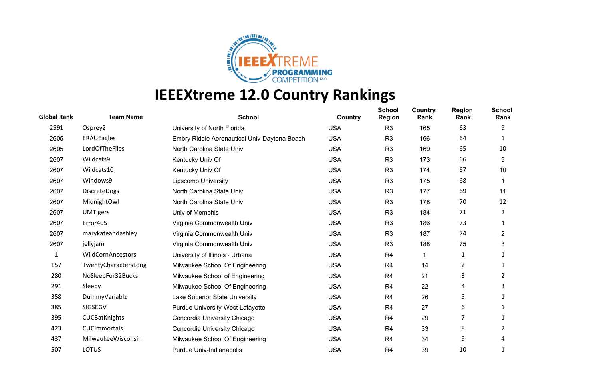

| <b>Global Rank</b> | <b>Team Name</b>         | <b>School</b>                                | Country    | <b>School</b><br><b>Region</b> | Country<br>Rank | <b>Region</b><br>Rank | <b>School</b><br>Rank |
|--------------------|--------------------------|----------------------------------------------|------------|--------------------------------|-----------------|-----------------------|-----------------------|
| 2591               | Osprey2                  | University of North Florida                  | <b>USA</b> | R <sub>3</sub>                 | 165             | 63                    | 9                     |
| 2605               | <b>ERAUEagles</b>        | Embry Riddle Aeronautical Univ-Daytona Beach | <b>USA</b> | R <sub>3</sub>                 | 166             | 64                    |                       |
| 2605               | LordOfTheFiles           | North Carolina State Univ                    | <b>USA</b> | R <sub>3</sub>                 | 169             | 65                    | 10                    |
| 2607               | Wildcats9                | Kentucky Univ Of                             | <b>USA</b> | R <sub>3</sub>                 | 173             | 66                    | 9                     |
| 2607               | Wildcats10               | Kentucky Univ Of                             | <b>USA</b> | R <sub>3</sub>                 | 174             | 67                    | 10                    |
| 2607               | Windows9                 | <b>Lipscomb University</b>                   | <b>USA</b> | R <sub>3</sub>                 | 175             | 68                    |                       |
| 2607               | <b>DiscreteDogs</b>      | North Carolina State Univ                    | <b>USA</b> | R <sub>3</sub>                 | 177             | 69                    | 11                    |
| 2607               | MidnightOwl              | North Carolina State Univ                    | <b>USA</b> | R <sub>3</sub>                 | 178             | 70                    | 12                    |
| 2607               | <b>UMTigers</b>          | Univ of Memphis                              | <b>USA</b> | R <sub>3</sub>                 | 184             | 71                    | 2                     |
| 2607               | Error405                 | Virginia Commonwealth Univ                   | <b>USA</b> | R <sub>3</sub>                 | 186             | 73                    |                       |
| 2607               | marykateandashley        | Virginia Commonwealth Univ                   | <b>USA</b> | R <sub>3</sub>                 | 187             | 74                    | 2                     |
| 2607               | jellyjam                 | Virginia Commonwealth Univ                   | <b>USA</b> | R <sub>3</sub>                 | 188             | 75                    | 3                     |
| 1                  | <b>WildCornAncestors</b> | University of Illinois - Urbana              | <b>USA</b> | R <sub>4</sub>                 | 1               | 1                     | 1                     |
| 157                | TwentyCharactersLong     | Milwaukee School Of Engineering              | <b>USA</b> | R <sub>4</sub>                 | 14              | $\overline{2}$        | 1                     |
| 280                | NoSleepFor32Bucks        | Milwaukee School of Engineering              | <b>USA</b> | R <sub>4</sub>                 | 21              | 3                     | 2                     |
| 291                | Sleepy                   | Milwaukee School Of Engineering              | <b>USA</b> | R <sub>4</sub>                 | 22              | 4                     | 3                     |
| 358                | DummyVariablz            | Lake Superior State University               | <b>USA</b> | R <sub>4</sub>                 | 26              | 5                     | 1                     |
| 385                | SIGSEGV                  | <b>Purdue University-West Lafayette</b>      | <b>USA</b> | R <sub>4</sub>                 | 27              | 6                     | 1                     |
| 395                | CUCBatKnights            | Concordia University Chicago                 | <b>USA</b> | R <sub>4</sub>                 | 29              | 7                     | 1                     |
| 423                | <b>CUCImmortals</b>      | Concordia University Chicago                 | <b>USA</b> | R <sub>4</sub>                 | 33              | 8                     | 2                     |
| 437                | MilwaukeeWisconsin       | Milwaukee School Of Engineering              | <b>USA</b> | R <sub>4</sub>                 | 34              | 9                     | 4                     |
| 507                | <b>LOTUS</b>             | Purdue Univ-Indianapolis                     | <b>USA</b> | R <sub>4</sub>                 | 39              | 10                    |                       |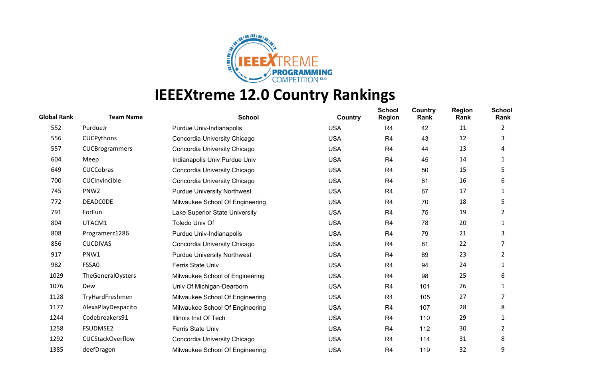

| <b>Global Rank</b> | <b>Team Name</b>         | <b>School</b>                      | Country    | <b>School</b><br><b>Region</b> | Country<br>Rank | <b>Region</b><br>Rank | <b>School</b><br>Rank |
|--------------------|--------------------------|------------------------------------|------------|--------------------------------|-----------------|-----------------------|-----------------------|
| 552                | PurdueJr                 | Purdue Univ-Indianapolis           | <b>USA</b> | R <sub>4</sub>                 | 42              | 11                    | 2                     |
| 556                | CUCPythons               | Concordia University Chicago       | <b>USA</b> | R <sub>4</sub>                 | 43              | 12                    | 3                     |
| 557                | CUCBrogrammers           | Concordia University Chicago       | <b>USA</b> | R4                             | 44              | 13                    | 4                     |
| 604                | Meep                     | Indianapolis Univ Purdue Univ      | <b>USA</b> | R <sub>4</sub>                 | 45              | 14                    | 1                     |
| 649                | <b>CUCCobras</b>         | Concordia University Chicago       | <b>USA</b> | R <sub>4</sub>                 | 50              | 15                    | 5                     |
| 700                | CUCInvincible            | Concordia University Chicago       | <b>USA</b> | R <sub>4</sub>                 | 61              | 16                    | 6                     |
| 745                | PNW <sub>2</sub>         | <b>Purdue University Northwest</b> | <b>USA</b> | R <sub>4</sub>                 | 67              | 17                    | 1                     |
| 772                | <b>DEADCODE</b>          | Milwaukee School Of Engineering    | <b>USA</b> | R <sub>4</sub>                 | 70              | 18                    | 5                     |
| 791                | ForFun                   | Lake Superior State University     | <b>USA</b> | R <sub>4</sub>                 | 75              | 19                    | 2                     |
| 804                | UTACM1                   | Toledo Univ Of                     | <b>USA</b> | R <sub>4</sub>                 | 78              | 20                    | 1                     |
| 808                | Programerz1286           | Purdue Univ-Indianapolis           | <b>USA</b> | R <sub>4</sub>                 | 79              | 21                    | 3                     |
| 856                | <b>CUCDIVAS</b>          | Concordia University Chicago       | <b>USA</b> | R <sub>4</sub>                 | 81              | 22                    | 7                     |
| 917                | PNW1                     | <b>Purdue University Northwest</b> | <b>USA</b> | R <sub>4</sub>                 | 89              | 23                    | 2                     |
| 982                | FSSA0                    | Ferris State Univ                  | <b>USA</b> | R <sub>4</sub>                 | 94              | 24                    | 1                     |
| 1029               | <b>TheGeneralOysters</b> | Milwaukee School of Engineering    | <b>USA</b> | R <sub>4</sub>                 | 98              | 25                    | 6                     |
| 1076               | Dew                      | Univ Of Michigan-Dearborn          | <b>USA</b> | R <sub>4</sub>                 | 101             | 26                    | 1                     |
| 1128               | TryHardFreshmen          | Milwaukee School Of Engineering    | <b>USA</b> | R <sub>4</sub>                 | 105             | 27                    | 7                     |
| 1177               | AlexaPlayDespacito       | Milwaukee School Of Engineering    | <b>USA</b> | R <sub>4</sub>                 | 107             | 28                    | 8                     |
| 1244               | Codebreakers91           | Illinois Inst Of Tech              | <b>USA</b> | R4                             | 110             | 29                    | 1                     |
| 1258               | <b>FSUDMSE2</b>          | Ferris State Univ                  | <b>USA</b> | R <sub>4</sub>                 | 112             | 30                    | 2                     |
| 1292               | <b>CUCStackOverflow</b>  | Concordia University Chicago       | <b>USA</b> | R <sub>4</sub>                 | 114             | 31                    | 8                     |
| 1385               | deefDragon               | Milwaukee School Of Engineering    | <b>USA</b> | R <sub>4</sub>                 | 119             | 32                    | 9                     |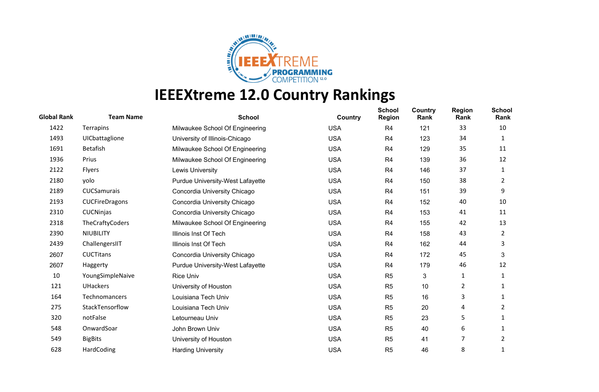

| <b>Global Rank</b> | <b>Team Name</b>      | <b>School</b>                           | Country    | <b>School</b><br><b>Region</b> | Country<br>Rank | <b>Region</b><br>Rank | <b>School</b><br>Rank |
|--------------------|-----------------------|-----------------------------------------|------------|--------------------------------|-----------------|-----------------------|-----------------------|
| 1422               | <b>Terrapins</b>      | Milwaukee School Of Engineering         | <b>USA</b> | R <sub>4</sub>                 | 121             | 33                    | 10                    |
| 1493               | UICbattaglione        | University of Illinois-Chicago          | <b>USA</b> | R <sub>4</sub>                 | 123             | 34                    | 1                     |
| 1691               | Betafish              | Milwaukee School Of Engineering         | <b>USA</b> | R <sub>4</sub>                 | 129             | 35                    | 11                    |
| 1936               | Prius                 | Milwaukee School Of Engineering         | <b>USA</b> | R <sub>4</sub>                 | 139             | 36                    | 12                    |
| 2122               | <b>Flyers</b>         | Lewis University                        | <b>USA</b> | R <sub>4</sub>                 | 146             | 37                    | 1                     |
| 2180               | yolo                  | <b>Purdue University-West Lafayette</b> | <b>USA</b> | R <sub>4</sub>                 | 150             | 38                    | 2                     |
| 2189               | CUCSamurais           | Concordia University Chicago            | <b>USA</b> | R <sub>4</sub>                 | 151             | 39                    | 9                     |
| 2193               | <b>CUCFireDragons</b> | Concordia University Chicago            | <b>USA</b> | R <sub>4</sub>                 | 152             | 40                    | 10                    |
| 2310               | <b>CUCNinjas</b>      | Concordia University Chicago            | <b>USA</b> | R <sub>4</sub>                 | 153             | 41                    | 11                    |
| 2318               | TheCraftyCoders       | Milwaukee School Of Engineering         | <b>USA</b> | R <sub>4</sub>                 | 155             | 42                    | 13                    |
| 2390               | <b>NIUBILITY</b>      | Illinois Inst Of Tech                   | <b>USA</b> | R <sub>4</sub>                 | 158             | 43                    | 2                     |
| 2439               | ChallengersIIT        | Illinois Inst Of Tech                   | <b>USA</b> | R <sub>4</sub>                 | 162             | 44                    | 3                     |
| 2607               | <b>CUCTitans</b>      | Concordia University Chicago            | <b>USA</b> | R <sub>4</sub>                 | 172             | 45                    | 3                     |
| 2607               | Haggerty              | <b>Purdue University-West Lafayette</b> | <b>USA</b> | R <sub>4</sub>                 | 179             | 46                    | 12                    |
| 10                 | YoungSimpleNaive      | <b>Rice Univ</b>                        | <b>USA</b> | R <sub>5</sub>                 | 3               | 1                     | 1                     |
| 121                | <b>UHackers</b>       | University of Houston                   | <b>USA</b> | R <sub>5</sub>                 | 10              | 2                     | 1                     |
| 164                | Technomancers         | Louisiana Tech Univ                     | <b>USA</b> | R <sub>5</sub>                 | 16              | 3                     | 1                     |
| 275                | StackTensorflow       | Louisiana Tech Univ                     | <b>USA</b> | R <sub>5</sub>                 | 20              | 4                     | 2                     |
| 320                | notFalse              | Letourneau Univ                         | <b>USA</b> | R <sub>5</sub>                 | 23              | 5                     | 1                     |
| 548                | OnwardSoar            | John Brown Univ                         | <b>USA</b> | R <sub>5</sub>                 | 40              | 6                     | 1                     |
| 549                | <b>BigBits</b>        | University of Houston                   | <b>USA</b> | R <sub>5</sub>                 | 41              | 7                     | 2                     |
| 628                | HardCoding            | <b>Harding University</b>               | <b>USA</b> | R <sub>5</sub>                 | 46              | 8                     |                       |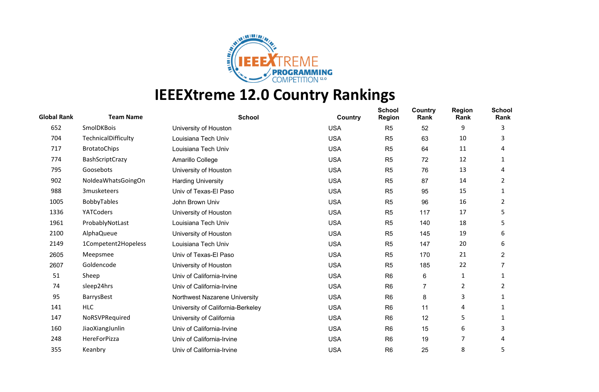

## **IEEEXtreme 12.0 Country Rankings**

| <b>Global Rank</b> | <b>Team Name</b>    | <b>School</b>                     | Country    | <b>School</b><br><b>Region</b> | Country<br>Rank | <b>Region</b><br>Rank | <b>School</b><br>Rank |
|--------------------|---------------------|-----------------------------------|------------|--------------------------------|-----------------|-----------------------|-----------------------|
| 652                | <b>SmolDKBois</b>   | University of Houston             | <b>USA</b> | R <sub>5</sub>                 | 52              | 9                     | 3                     |
| 704                | TechnicalDifficulty | Louisiana Tech Univ               | <b>USA</b> | R <sub>5</sub>                 | 63              | 10                    | 3                     |
| 717                | <b>BrotatoChips</b> | Louisiana Tech Univ               | <b>USA</b> | R <sub>5</sub>                 | 64              | 11                    | 4                     |
| 774                | BashScriptCrazy     | Amarillo College                  | <b>USA</b> | R <sub>5</sub>                 | 72              | 12                    | 1                     |
| 795                | Goosebots           | University of Houston             | <b>USA</b> | R <sub>5</sub>                 | 76              | 13                    | 4                     |
| 902                | NoldeaWhatsGoingOn  | <b>Harding University</b>         | <b>USA</b> | R <sub>5</sub>                 | 87              | 14                    | 2                     |
| 988                | 3musketeers         | Univ of Texas-El Paso             | <b>USA</b> | R <sub>5</sub>                 | 95              | 15                    | 1                     |
| 1005               | BobbyTables         | John Brown Univ                   | <b>USA</b> | R <sub>5</sub>                 | 96              | 16                    | 2                     |
| 1336               | YATCoders           | University of Houston             | <b>USA</b> | R <sub>5</sub>                 | 117             | 17                    | 5                     |
| 1961               | ProbablyNotLast     | Louisiana Tech Univ               | <b>USA</b> | R <sub>5</sub>                 | 140             | 18                    | 5                     |
| 2100               | <b>AlphaQueue</b>   | University of Houston             | <b>USA</b> | R <sub>5</sub>                 | 145             | 19                    | 6                     |
| 2149               | 1Competent2Hopeless | Louisiana Tech Univ               | <b>USA</b> | R <sub>5</sub>                 | 147             | 20                    | 6                     |
| 2605               | Meepsmee            | Univ of Texas-El Paso             | <b>USA</b> | R <sub>5</sub>                 | 170             | 21                    | $\overline{2}$        |
| 2607               | Goldencode          | University of Houston             | <b>USA</b> | R <sub>5</sub>                 | 185             | 22                    |                       |
| 51                 | Sheep               | Univ of California-Irvine         | <b>USA</b> | R <sub>6</sub>                 | 6               | 1                     | 1                     |
| 74                 | sleep24hrs          | Univ of California-Irvine         | <b>USA</b> | R <sub>6</sub>                 | 7               | 2                     | 2                     |
| 95                 | BarrysBest          | Northwest Nazarene University     | <b>USA</b> | R <sub>6</sub>                 | 8               | 3                     | 1                     |
| 141                | <b>HLC</b>          | University of California-Berkeley | <b>USA</b> | R <sub>6</sub>                 | 11              | 4                     | 1                     |
| 147                | NoRSVPRequired      | University of California          | <b>USA</b> | R <sub>6</sub>                 | 12              | 5                     |                       |
| 160                | JiaoXiangJunlin     | Univ of California-Irvine         | <b>USA</b> | R <sub>6</sub>                 | 15              | 6                     | 3                     |
| 248                | HereForPizza        | Univ of California-Irvine         | <b>USA</b> | R <sub>6</sub>                 | 19              | 7                     | 4                     |
| 355                | Keanbry             | Univ of California-Irvine         | <b>USA</b> | R <sub>6</sub>                 | 25              | 8                     | 5                     |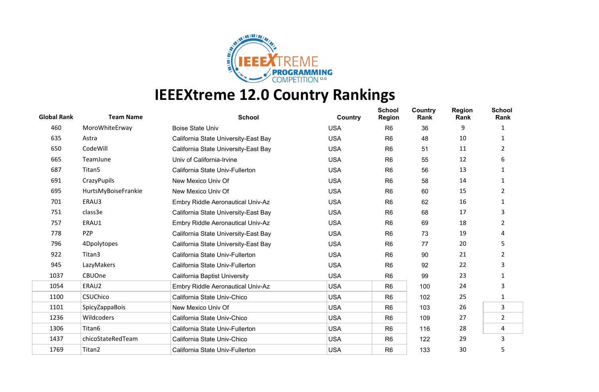

## **IEEEXtreme 12.0 Country Rankings**

| <b>Global Rank</b> | <b>Team Name</b>    | <b>School</b>                            | Country    | <b>School</b><br><b>Region</b> | Country<br>Rank | <b>Region</b><br>Rank | <b>School</b><br>Rank |
|--------------------|---------------------|------------------------------------------|------------|--------------------------------|-----------------|-----------------------|-----------------------|
| 460                | MoroWhiteErway      | <b>Boise State Univ</b>                  | <b>USA</b> | R <sub>6</sub>                 | 36              | 9                     |                       |
| 635                | Astra               | California State University-East Bay     | <b>USA</b> | R <sub>6</sub>                 | 48              | 10                    | 1                     |
| 650                | CodeWill            | California State University-East Bay     | <b>USA</b> | R <sub>6</sub>                 | 51              | 11                    | 2                     |
| 665                | TeamJune            | Univ of California-Irvine                | <b>USA</b> | R <sub>6</sub>                 | 55              | 12                    | 6                     |
| 687                | Titan5              | California State Univ-Fullerton          | <b>USA</b> | R <sub>6</sub>                 | 56              | 13                    | 1                     |
| 691                | CrazyPupils         | New Mexico Univ Of                       | <b>USA</b> | R <sub>6</sub>                 | 58              | 14                    | 1                     |
| 695                | HurtsMyBoiseFrankie | New Mexico Univ Of                       | <b>USA</b> | R <sub>6</sub>                 | 60              | 15                    | 2                     |
| 701                | ERAU3               | Embry Riddle Aeronautical Univ-Az        | <b>USA</b> | R <sub>6</sub>                 | 62              | 16                    | 1                     |
| 751                | class3e             | California State University-East Bay     | <b>USA</b> | R <sub>6</sub>                 | 68              | 17                    | 3                     |
| 757                | ERAU1               | Embry Riddle Aeronautical Univ-Az        | <b>USA</b> | R <sub>6</sub>                 | 69              | 18                    | 2                     |
| 778                | PZP                 | California State University-East Bay     | <b>USA</b> | R <sub>6</sub>                 | 73              | 19                    | 4                     |
| 796                | 4Dpolytopes         | California State University-East Bay     | <b>USA</b> | R <sub>6</sub>                 | 77              | 20                    | 5                     |
| 922                | Titan3              | California State Univ-Fullerton          | <b>USA</b> | R <sub>6</sub>                 | 90              | 21                    | $\overline{2}$        |
| 945                | LazyMakers          | California State Univ-Fullerton          | <b>USA</b> | R <sub>6</sub>                 | 92              | 22                    | 3                     |
| 1037               | CBUOne              | <b>California Baptist University</b>     | <b>USA</b> | R <sub>6</sub>                 | 99              | 23                    |                       |
| 1054               | ERAU2               | <b>Embry Riddle Aeronautical Univ-Az</b> | <b>USA</b> | R <sub>6</sub>                 | 100             | 24                    | 3                     |
| 1100               | <b>CSUChico</b>     | California State Univ-Chico              | <b>USA</b> | R <sub>6</sub>                 | 102             | 25                    | 1                     |
| 1101               | SpicyZappaBois      | New Mexico Univ Of                       | <b>USA</b> | R <sub>6</sub>                 | 103             | 26                    | $\mathbf{3}$          |
| 1236               | Wildcoders          | California State Univ-Chico              | <b>USA</b> | R <sub>6</sub>                 | 109             | 27                    | $\overline{2}$        |
| 1306               | Titan6              | California State Univ-Fullerton          | <b>USA</b> | R <sub>6</sub>                 | 116             | 28                    | 4                     |
| 1437               | chicoStateRedTeam   | California State Univ-Chico              | <b>USA</b> | R <sub>6</sub>                 | 122             | 29                    | 3                     |
| 1769               | Titan2              | California State Univ-Fullerton          | <b>USA</b> | R <sub>6</sub>                 | 133             | 30                    | 5                     |